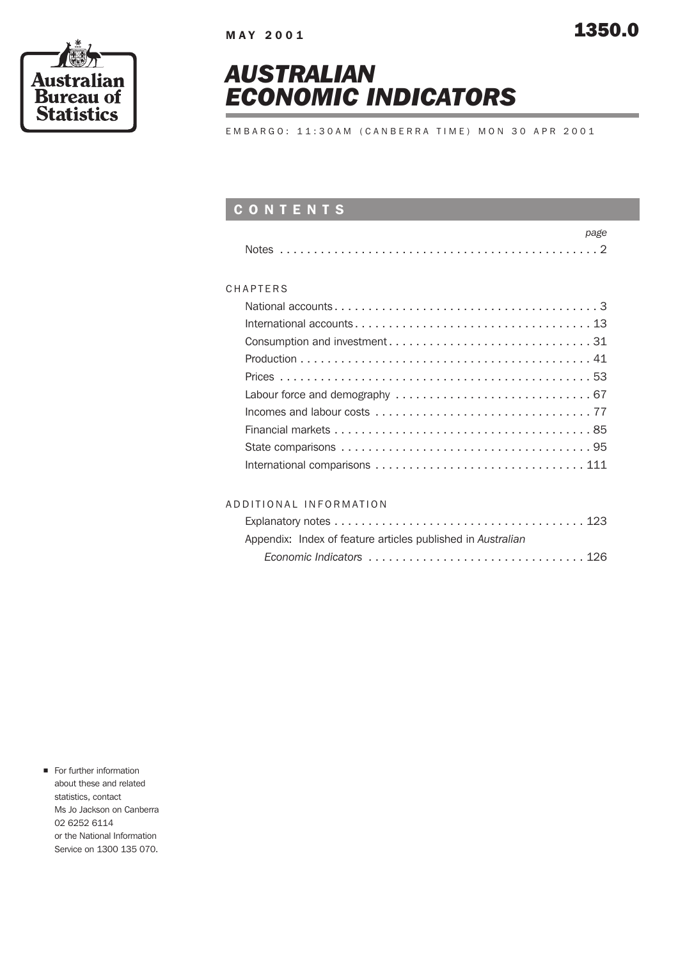MAY 2001 1350.0



## *AUSTRALIAN ECONOMIC INDICATORS*

EMBARGO: 11:30AM (CANBERRA TIME) MON 30 APR 2001

### CONTENTS

| าลตค  |  |
|-------|--|
| Notes |  |

#### CHAPTERS

### ADDITIONAL INFORMATION

| Explanatory notes $\ldots \ldots \ldots \ldots \ldots \ldots \ldots \ldots \ldots \ldots \ldots \ldots 123$ |  |
|-------------------------------------------------------------------------------------------------------------|--|
| Appendix: Index of feature articles published in Australian                                                 |  |
| Economic Indicators $\ldots \ldots \ldots \ldots \ldots \ldots \ldots \ldots \ldots \ldots \ldots 126$      |  |

For further information about these and related statistics, contact Ms Jo Jackson on Canberra 02 6252 6114 or the National Information Service on 1300 135 070.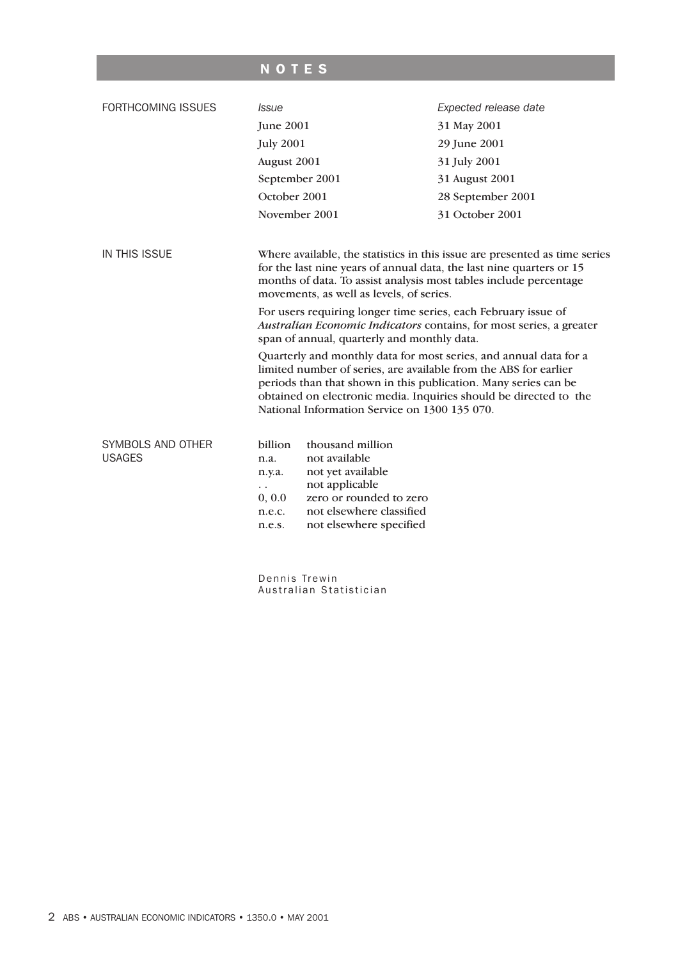### NOTES

| <i>Issue</i>                                                                                                                                                                                                                                                                                                                   | Expected release date                                                          |  |  |  |  |  |
|--------------------------------------------------------------------------------------------------------------------------------------------------------------------------------------------------------------------------------------------------------------------------------------------------------------------------------|--------------------------------------------------------------------------------|--|--|--|--|--|
| <b>June 2001</b>                                                                                                                                                                                                                                                                                                               | 31 May 2001                                                                    |  |  |  |  |  |
| <b>July 2001</b>                                                                                                                                                                                                                                                                                                               | 29 June 2001                                                                   |  |  |  |  |  |
| August 2001                                                                                                                                                                                                                                                                                                                    | 31 July 2001                                                                   |  |  |  |  |  |
| September 2001                                                                                                                                                                                                                                                                                                                 | 31 August 2001                                                                 |  |  |  |  |  |
| October 2001                                                                                                                                                                                                                                                                                                                   | 28 September 2001                                                              |  |  |  |  |  |
| November 2001                                                                                                                                                                                                                                                                                                                  | 31 October 2001                                                                |  |  |  |  |  |
| IN THIS ISSUE<br>Where available, the statistics in this issue are presented as time series<br>for the last nine years of annual data, the last nine quarters or 15<br>months of data. To assist analysis most tables include percentage<br>movements, as well as levels, of series.                                           |                                                                                |  |  |  |  |  |
| For users requiring longer time series, each February issue of<br>Australian Economic Indicators contains, for most series, a greater<br>span of annual, quarterly and monthly data.                                                                                                                                           |                                                                                |  |  |  |  |  |
| Quarterly and monthly data for most series, and annual data for a<br>limited number of series, are available from the ABS for earlier<br>periods than that shown in this publication. Many series can be<br>obtained on electronic media. Inquiries should be directed to the<br>National Information Service on 1300 135 070. |                                                                                |  |  |  |  |  |
| billion<br>thousand million<br>not available<br>n.a.<br>not yet available<br>n.y.a.<br>not applicable<br>$\ddots$<br>0, 0.0<br>n.e.c.<br>n.e.s.                                                                                                                                                                                |                                                                                |  |  |  |  |  |
|                                                                                                                                                                                                                                                                                                                                | zero or rounded to zero<br>not elsewhere classified<br>not elsewhere specified |  |  |  |  |  |

Dennis Trewin Australian Statistician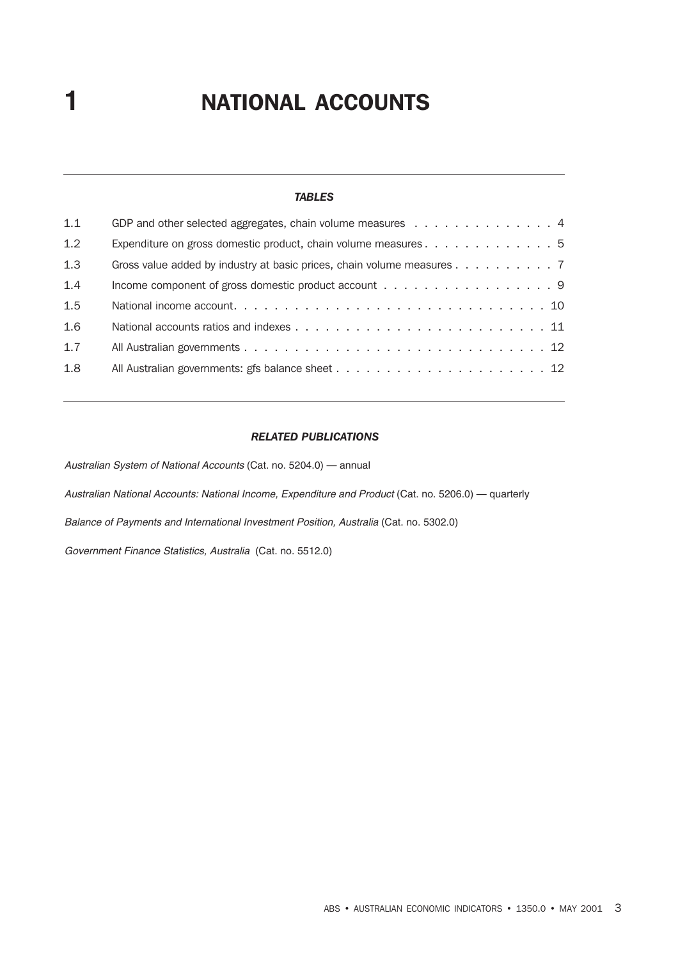# **1** NATIONAL ACCOUNTS

#### *TABLES*

| 1.1 | GDP and other selected aggregates, chain volume measures $\dots \dots \dots \dots \dots$       |
|-----|------------------------------------------------------------------------------------------------|
| 1.2 | Expenditure on gross domestic product, chain volume measures 5                                 |
| 1.3 | Gross value added by industry at basic prices, chain volume measures $\dots \dots \dots$       |
| 1.4 | Income component of gross domestic product account $\dots \dots \dots \dots \dots \dots \dots$ |
| 1.5 |                                                                                                |
| 1.6 |                                                                                                |
| 1.7 |                                                                                                |
| 1.8 |                                                                                                |

#### *RELATED PUBLICATIONS*

Australian System of National Accounts (Cat. no. 5204.0) — annual

Australian National Accounts: National Income, Expenditure and Product (Cat. no. 5206.0) — quarterly

Balance of Payments and International Investment Position, Australia (Cat. no. 5302.0)

Government Finance Statistics, Australia (Cat. no. 5512.0)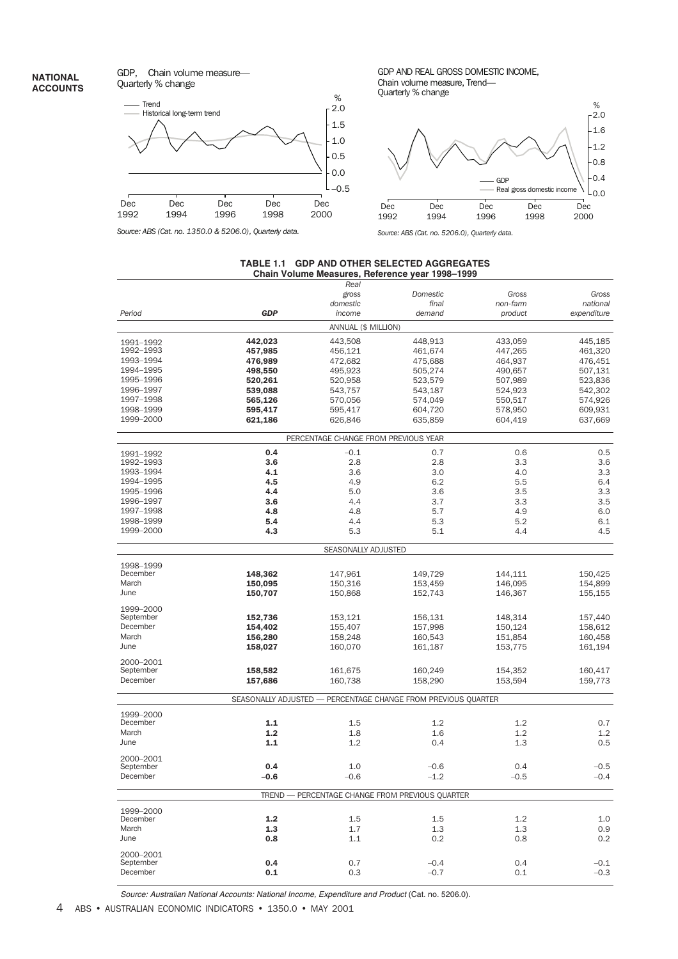**NATIONAL ACCOUNTS** GDP, Chain volume measure— Quarterly % change



*Source: ABS (Cat. no. 1350.0 & 5206.0), Quarterly data.*

GDP AND REAL GROSS DOMESTIC INCOME, Chain volume measure, Trend— Quarterly % change



*Source: ABS (Cat. no. 5206.0), Quarterly data.*

#### **TABLE 1.1 GDP AND OTHER SELECTED AGGREGATES Chain Volume Measures, Reference year 1998–1999**

|                     |            | Real                |                                                               |          |             |  |  |  |  |  |
|---------------------|------------|---------------------|---------------------------------------------------------------|----------|-------------|--|--|--|--|--|
|                     |            | gross               | Domestic                                                      | Gross    | Gross       |  |  |  |  |  |
|                     |            | domestic            | final                                                         | non-farm | national    |  |  |  |  |  |
| Period              | <b>GDP</b> | income              | demand                                                        | product  | expenditure |  |  |  |  |  |
|                     |            | ANNUAL (\$ MILLION) |                                                               |          |             |  |  |  |  |  |
|                     |            |                     |                                                               |          |             |  |  |  |  |  |
| 1991-1992           | 442.023    | 443,508             | 448,913                                                       | 433,059  | 445.185     |  |  |  |  |  |
| 1992-1993           | 457,985    | 456,121             | 461,674                                                       | 447,265  | 461,320     |  |  |  |  |  |
| 1993-1994           | 476,989    | 472,682             | 475,688                                                       | 464,937  | 476,451     |  |  |  |  |  |
| 1994-1995           | 498,550    | 495,923             | 505,274                                                       | 490,657  | 507,131     |  |  |  |  |  |
| 1995-1996           | 520,261    | 520,958             | 523,579                                                       | 507,989  | 523,836     |  |  |  |  |  |
| 1996-1997           | 539,088    | 543,757             | 543,187                                                       | 524,923  | 542,302     |  |  |  |  |  |
| 1997-1998           | 565,126    | 570,056             | 574,049                                                       | 550,517  | 574,926     |  |  |  |  |  |
| 1998-1999           | 595,417    | 595,417             | 604,720                                                       | 578,950  | 609,931     |  |  |  |  |  |
| 1999-2000           | 621,186    | 626,846             | 635,859                                                       | 604,419  | 637,669     |  |  |  |  |  |
|                     |            |                     |                                                               |          |             |  |  |  |  |  |
|                     |            |                     | PERCENTAGE CHANGE FROM PREVIOUS YEAR                          |          |             |  |  |  |  |  |
| 1991-1992           | 0.4        | $-0.1$              | 0.7                                                           | 0.6      | 0.5         |  |  |  |  |  |
| 1992-1993           | 3.6        | 2.8                 | 2.8                                                           | 3.3      | 3.6         |  |  |  |  |  |
| 1993-1994           | 4.1        | 3.6                 | 3.0                                                           | 4.0      | 3.3         |  |  |  |  |  |
|                     |            |                     |                                                               |          |             |  |  |  |  |  |
| 1994-1995           | 4.5        | 4.9                 | 6.2                                                           | 5.5      | 6.4         |  |  |  |  |  |
| 1995-1996           | 4.4        | 5.0                 | 3.6                                                           | 3.5      | 3.3         |  |  |  |  |  |
| 1996-1997           | 3.6        | 4.4                 | 3.7                                                           | 3.3      | 3.5         |  |  |  |  |  |
| 1997-1998           | 4.8        | 4.8                 | 5.7                                                           | 4.9      | 6.0         |  |  |  |  |  |
| 1998-1999           | 5.4        | 4.4                 | 5.3                                                           | 5.2      | 6.1         |  |  |  |  |  |
| 1999-2000           | 4.3        | 5.3                 | 5.1                                                           | 4.4      | 4.5         |  |  |  |  |  |
| SEASONALLY ADJUSTED |            |                     |                                                               |          |             |  |  |  |  |  |
|                     |            |                     |                                                               |          |             |  |  |  |  |  |
| 1998-1999           |            |                     |                                                               |          |             |  |  |  |  |  |
| December            | 148,362    | 147,961             | 149,729                                                       | 144,111  | 150,425     |  |  |  |  |  |
| March               | 150,095    | 150,316             | 153,459                                                       | 146,095  | 154,899     |  |  |  |  |  |
| June                | 150,707    | 150,868             | 152,743                                                       | 146,367  | 155,155     |  |  |  |  |  |
| 1999-2000           |            |                     |                                                               |          |             |  |  |  |  |  |
| September           | 152,736    | 153,121             | 156,131                                                       | 148,314  | 157,440     |  |  |  |  |  |
| December            | 154,402    | 155,407             | 157,998                                                       | 150,124  | 158,612     |  |  |  |  |  |
| March               | 156,280    | 158,248             | 160,543                                                       | 151,854  | 160,458     |  |  |  |  |  |
| June                | 158,027    | 160,070             | 161,187                                                       | 153,775  | 161,194     |  |  |  |  |  |
|                     |            |                     |                                                               |          |             |  |  |  |  |  |
| 2000-2001           |            |                     |                                                               |          |             |  |  |  |  |  |
| September           | 158,582    | 161,675             | 160,249                                                       | 154,352  | 160,417     |  |  |  |  |  |
| December            | 157,686    | 160,738             | 158,290                                                       | 153,594  | 159,773     |  |  |  |  |  |
|                     |            |                     | SEASONALLY ADJUSTED - PERCENTAGE CHANGE FROM PREVIOUS QUARTER |          |             |  |  |  |  |  |
|                     |            |                     |                                                               |          |             |  |  |  |  |  |
| 1999-2000           |            |                     |                                                               |          |             |  |  |  |  |  |
| December            | 1.1        | 1.5                 | 1.2                                                           | 1.2      | 0.7         |  |  |  |  |  |
| March               | 1.2        | 1.8                 | 1.6                                                           | 1.2      | 1.2         |  |  |  |  |  |
| June                | 1.1        | 1.2                 | 0.4                                                           | 1.3      | 0.5         |  |  |  |  |  |
| 2000-2001           |            |                     |                                                               |          |             |  |  |  |  |  |
| September           | 0.4        | 1.0                 | $-0.6$                                                        | 0.4      | $-0.5$      |  |  |  |  |  |
| December            | $-0.6$     | $-0.6$              | $-1.2$                                                        | $-0.5$   | $-0.4$      |  |  |  |  |  |
|                     |            |                     |                                                               |          |             |  |  |  |  |  |
|                     |            |                     | TREND - PERCENTAGE CHANGE FROM PREVIOUS QUARTER               |          |             |  |  |  |  |  |
| 1999-2000           |            |                     |                                                               |          |             |  |  |  |  |  |
| December            | 1.2        | 1.5                 | 1.5                                                           | 1.2      | 1.0         |  |  |  |  |  |
| March               | 1.3        | 1.7                 | 1.3                                                           | 1.3      | 0.9         |  |  |  |  |  |
| June                | 0.8        | 1.1                 | 0.2                                                           | 0.8      | 0.2         |  |  |  |  |  |
| 2000-2001           |            |                     |                                                               |          |             |  |  |  |  |  |
| September           | 0.4        | 0.7                 | $-0.4$                                                        | 0.4      | $-0.1$      |  |  |  |  |  |
| December            | 0.1        | 0.3                 | $-0.7$                                                        | 0.1      | $-0.3$      |  |  |  |  |  |
|                     |            |                     |                                                               |          |             |  |  |  |  |  |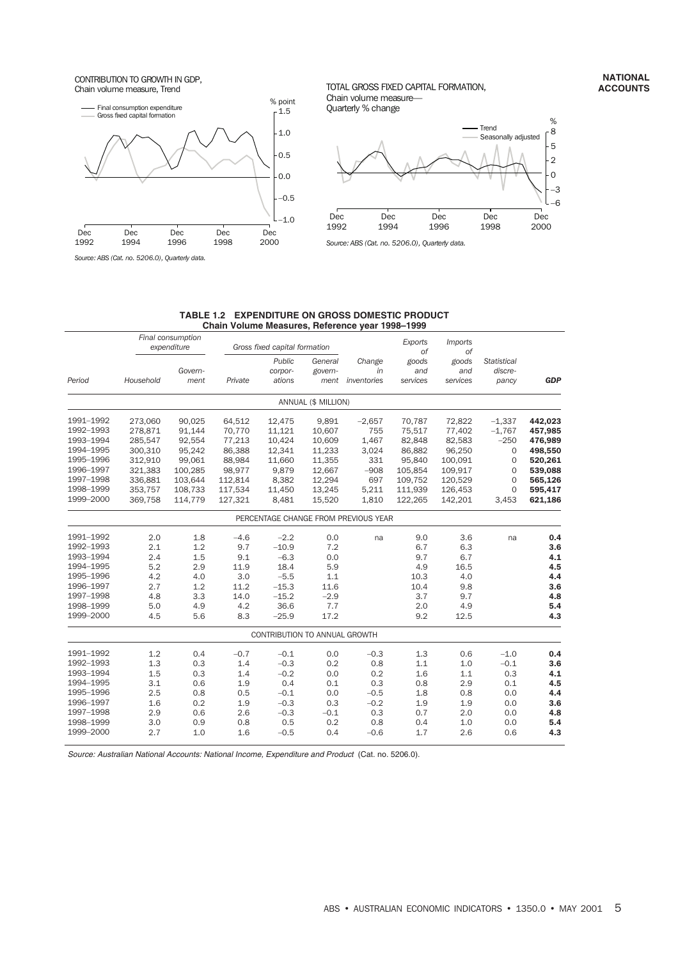CONTRIBUTION TO GROWTH IN GDP, Chain volume measure, Trend



TOTAL GROSS FIXED CAPITAL FORMATION, Chain volume measure— Quarterly % change



*Source: ABS (Cat. no. 5206.0), Quarterly data.*

#### *Source: ABS (Cat. no. 5206.0), Quarterly data.*

#### **TABLE 1.2 EXPENDITURE ON GROSS DOMESTIC PRODUCT Chain Volume Measures, Reference year 1998–1999**

|                        |                    | Final consumption<br>expenditure |                    | Gross fixed capital formation |                            |                                      | Exports<br>of            | <i>Imports</i><br>$\circ f$ |                                        |                    |
|------------------------|--------------------|----------------------------------|--------------------|-------------------------------|----------------------------|--------------------------------------|--------------------------|-----------------------------|----------------------------------------|--------------------|
| Period                 | Household          | Govern-<br>ment                  | Private            | Public<br>corpor-<br>ations   | General<br>govern-<br>ment | Change<br>in<br>inventories          | goods<br>and<br>services | goods<br>and<br>services    | <b>Statistical</b><br>discre-<br>pancy | <b>GDP</b>         |
|                        |                    |                                  |                    |                               | ANNUAL (\$ MILLION)        |                                      |                          |                             |                                        |                    |
| 1991-1992              | 273,060            | 90,025                           | 64,512             | 12,475                        | 9,891                      | $-2,657$                             | 70,787                   | 72,822                      | $-1,337$                               | 442,023            |
| 1992-1993              | 278,871            | 91,144                           | 70,770             | 11,121                        | 10,607                     | 755                                  | 75.517                   | 77,402                      | $-1.767$                               | 457,985            |
| 1993-1994              | 285,547            | 92,554                           | 77,213             | 10,424                        | 10,609                     | 1,467                                | 82,848                   | 82,583                      | $-250$                                 | 476,989            |
| 1994-1995              | 300,310            | 95,242                           | 86,388             | 12,341                        | 11,233                     | 3,024                                | 86,882                   | 96,250                      | 0                                      | 498,550            |
| 1995-1996              | 312,910            | 99,061                           | 88,984             | 11,660                        | 11,355                     | 331                                  | 95,840                   | 100,091                     | 0                                      | 520,261            |
| 1996-1997              | 321,383            | 100,285                          | 98,977             | 9,879                         | 12,667                     | $-908$                               | 105,854                  | 109,917                     | 0                                      | 539,088            |
| 1997-1998<br>1998-1999 | 336,881            | 103,644                          | 112,814            | 8,382                         | 12,294                     | 697                                  | 109,752                  | 120,529                     | 0                                      | 565,126            |
| 1999-2000              | 353,757<br>369,758 | 108,733<br>114,779               | 117,534<br>127,321 | 11,450<br>8,481               | 13,245<br>15,520           | 5,211<br>1,810                       | 111,939<br>122,265       | 126,453<br>142,201          | $\mathbf 0$<br>3,453                   | 595,417<br>621,186 |
|                        |                    |                                  |                    |                               |                            | PERCENTAGE CHANGE FROM PREVIOUS YEAR |                          |                             |                                        |                    |
|                        |                    |                                  |                    |                               |                            |                                      |                          |                             |                                        |                    |
| 1991-1992              | 2.0                | 1.8                              | $-4.6$             | $-2.2$                        | 0.0                        | na                                   | 9.0                      | 3.6                         | na                                     | 0.4                |
| 1992-1993              | 2.1                | 1.2                              | 9.7                | $-10.9$                       | 7.2                        |                                      | 6.7                      | 6.3                         |                                        | 3.6                |
| 1993-1994              | 2.4                | 1.5                              | 9.1                | $-6.3$                        | 0.0                        |                                      | 9.7                      | 6.7                         |                                        | 4.1                |
| 1994-1995              | 5.2                | 2.9                              | 11.9               | 18.4                          | 5.9                        |                                      | 4.9                      | 16.5                        |                                        | 4.5                |
| 1995-1996              | 4.2                | 4.0                              | 3.0                | $-5.5$                        | 1.1                        |                                      | 10.3                     | 4.0                         |                                        | 4.4                |
| 1996-1997              | 2.7                | 1.2                              | 11.2               | $-15.3$                       | 11.6                       |                                      | 10.4                     | 9.8                         |                                        | 3.6                |
| 1997-1998              | 4.8                | 3.3                              | 14.0               | $-15.2$                       | $-2.9$                     |                                      | 3.7                      | 9.7                         |                                        | 4.8                |
| 1998-1999              | 5.0                | 4.9                              | 4.2                | 36.6                          | 7.7                        |                                      | 2.0                      | 4.9                         |                                        | 5.4                |
| 1999-2000              | 4.5                | 5.6                              | 8.3                | $-25.9$                       | 17.2                       |                                      | 9.2                      | 12.5                        |                                        | 4.3                |
|                        |                    |                                  |                    | CONTRIBUTION TO ANNUAL GROWTH |                            |                                      |                          |                             |                                        |                    |
| 1991-1992              | 1.2                | 0.4                              | $-0.7$             | $-0.1$                        | 0.0                        | $-0.3$                               | 1.3                      | 0.6                         | $-1.0$                                 | 0.4                |
| 1992-1993              | 1.3                | 0.3                              | 1.4                | $-0.3$                        | 0.2                        | 0.8                                  | 1.1                      | 1.0                         | $-0.1$                                 | 3.6                |
| 1993-1994              | 1.5                | 0.3                              | 1.4                | $-0.2$                        | 0.0                        | 0.2                                  | 1.6                      | 1.1                         | 0.3                                    | 4.1                |
| 1994-1995              | 3.1                | 0.6                              | 1.9                | 0.4                           | 0.1                        | 0.3                                  | 0.8                      | 2.9                         | 0.1                                    | 4.5                |
| 1995-1996              | 2.5                | 0.8                              | 0.5                | $-0.1$                        | 0.0                        | $-0.5$                               | 1.8                      | 0.8                         | 0.0                                    | 4.4                |
| 1996-1997              | 1.6                | 0.2                              | 1.9                | $-0.3$                        | 0.3                        | $-0.2$                               | 1.9                      | 1.9                         | 0.0                                    | 3.6                |
| 1997-1998              | 2.9                | 0.6                              | 2.6                | $-0.3$                        | $-0.1$                     | 0.3                                  | 0.7                      | 2.0                         | 0.0                                    | 4.8                |
| 1998-1999              | 3.0                | 0.9                              | 0.8                | 0.5                           | 0.2                        | 0.8                                  | 0.4                      | 1.0                         | 0.0                                    | 5.4                |
| 1999-2000              | 2.7                | 1.0                              | 1.6                | $-0.5$                        | 0.4                        | $-0.6$                               | 1.7                      | 2.6                         | 0.6                                    | 4.3                |

Source: Australian National Accounts: National Income, Expenditure and Product (Cat. no. 5206.0).

#### **NATIONAL ACCOUNTS**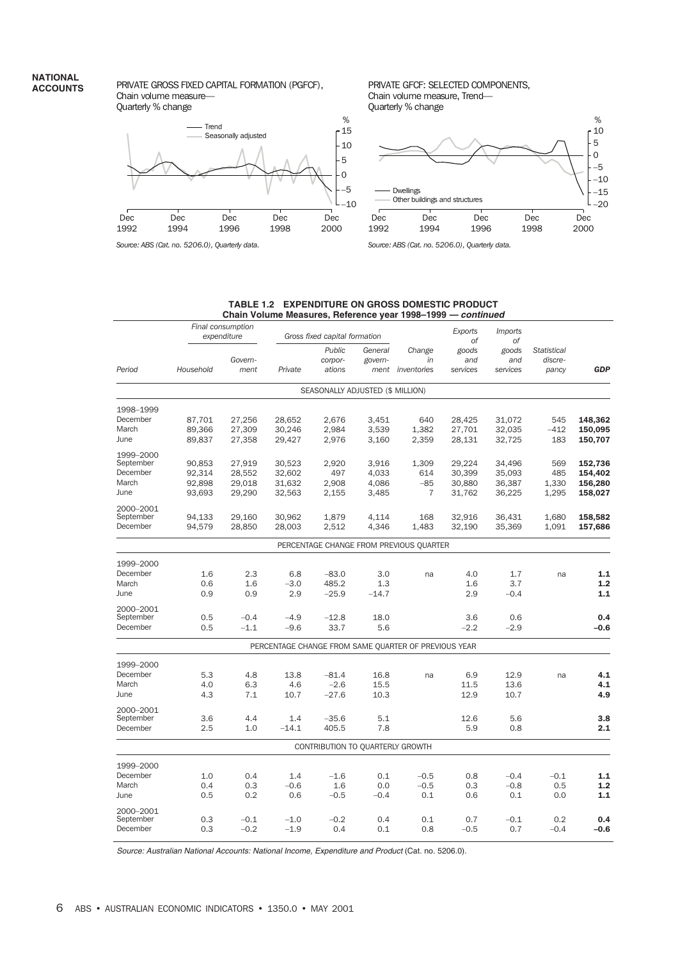#### **NATIONAL ACCOUNTS**

#### PRIVATE GROSS FIXED CAPITAL FORMATION (PGFCF), Chain volume measure— Quarterly % change



*Source: ABS (Cat. no. 5206.0), Quarterly data.*

PRIVATE GFCF: SELECTED COMPONENTS, Chain volume measure, Trend— Quarterly % change



*Source: ABS (Cat. no. 5206.0), Quarterly data.*

#### **TABLE 1.2 EXPENDITURE ON GROSS DOMESTIC PRODUCT Chain Volume Measures, Reference year 1998–1999 — continued**

|                        | Final consumption<br>expenditure |         | Gross fixed capital formation |                                  |         |                                                      | Exports<br>οf | <i>Imports</i><br>οf |                    |            |
|------------------------|----------------------------------|---------|-------------------------------|----------------------------------|---------|------------------------------------------------------|---------------|----------------------|--------------------|------------|
|                        |                                  |         |                               | Public                           | General | Change                                               | goods         | goods                | <b>Statistical</b> |            |
|                        |                                  | Govern- |                               | corpor-                          | govern- | in                                                   | and           | and                  | discre-            |            |
| Period                 | Household                        | ment    | Private                       | ations                           | ment    | inventories                                          | services      | services             | pancy              | <b>GDP</b> |
|                        |                                  |         |                               | SEASONALLY ADJUSTED (\$ MILLION) |         |                                                      |               |                      |                    |            |
| 1998-1999              |                                  |         |                               |                                  |         |                                                      |               |                      |                    |            |
| December               | 87,701                           | 27,256  | 28,652                        | 2,676                            | 3,451   | 640                                                  | 28,425        | 31,072               | 545                | 148,362    |
| March                  | 89,366                           | 27,309  | 30,246                        | 2,984                            | 3,539   | 1,382                                                | 27,701        | 32,035               | $-412$             | 150,095    |
| June                   | 89,837                           | 27,358  | 29,427                        | 2,976                            | 3,160   | 2,359                                                | 28,131        | 32,725               | 183                | 150,707    |
| 1999-2000              |                                  |         |                               |                                  |         |                                                      |               |                      |                    |            |
| September              | 90,853                           | 27,919  | 30,523                        | 2,920                            | 3,916   | 1,309                                                | 29,224        | 34,496               | 569                | 152,736    |
| December               | 92,314                           | 28,552  | 32,602                        | 497                              | 4,033   | 614                                                  | 30,399        | 35,093               | 485                | 154,402    |
| March                  | 92,898                           | 29,018  | 31,632                        | 2,908                            | 4,086   | -85                                                  | 30,880        | 36,387               | 1,330              | 156,280    |
| June                   | 93,693                           | 29,290  | 32,563                        | 2,155                            | 3,485   | $\overline{7}$                                       | 31,762        | 36,225               | 1,295              | 158,027    |
| 2000-2001<br>September | 94,133                           | 29,160  | 30,962                        | 1,879                            | 4,114   | 168                                                  | 32,916        | 36,431               | 1,680              | 158,582    |
| December               | 94,579                           | 28,850  | 28,003                        | 2,512                            | 4,346   | 1,483                                                | 32,190        | 35,369               | 1,091              | 157,686    |
|                        |                                  |         |                               |                                  |         | PERCENTAGE CHANGE FROM PREVIOUS QUARTER              |               |                      |                    |            |
| 1999-2000              |                                  |         |                               |                                  |         |                                                      |               |                      |                    |            |
| December               | 1.6                              | 2.3     | 6.8                           | $-83.0$                          | 3.0     | na                                                   | 4.0           | 1.7                  | na                 | 1.1        |
| March                  | 0.6                              | 1.6     | $-3.0$                        | 485.2                            | 1.3     |                                                      | 1.6           | 3.7                  |                    | 1.2        |
| June                   | 0.9                              | 0.9     | 2.9                           | $-25.9$                          | $-14.7$ |                                                      | 2.9           | $-0.4$               |                    | 1.1        |
| 2000-2001              |                                  |         |                               |                                  |         |                                                      |               |                      |                    |            |
| September              | 0.5                              | $-0.4$  | $-4.9$                        | $-12.8$                          | 18.0    |                                                      | 3.6           | 0.6                  |                    | 0.4        |
| December               | 0.5                              | $-1.1$  | $-9.6$                        | 33.7                             | 5.6     |                                                      | $-2.2$        | $-2.9$               |                    | $-0.6$     |
|                        |                                  |         |                               |                                  |         | PERCENTAGE CHANGE FROM SAME QUARTER OF PREVIOUS YEAR |               |                      |                    |            |
| 1999-2000              |                                  |         |                               |                                  |         |                                                      |               |                      |                    |            |
| December               | 5.3                              | 4.8     | 13.8                          | $-81.4$                          | 16.8    | na                                                   | 6.9           | 12.9                 | na                 | 4.1        |
| March                  | 4.0                              | 6.3     | 4.6                           | $-2.6$                           | 15.5    |                                                      | 11.5          | 13.6                 |                    | 4.1        |
| June                   | 4.3                              | 7.1     | 10.7                          | $-27.6$                          | 10.3    |                                                      | 12.9          | 10.7                 |                    | 4.9        |
| 2000-2001<br>September | 3.6                              | 4.4     | 1.4                           | $-35.6$                          | 5.1     |                                                      | 12.6          |                      |                    | 3.8        |
| December               | 2.5                              | 1.0     | $-14.1$                       | 405.5                            | 7.8     |                                                      | 5.9           | 5.6<br>0.8           |                    | 2.1        |
|                        |                                  |         |                               | CONTRIBUTION TO QUARTERLY GROWTH |         |                                                      |               |                      |                    |            |
| 1999-2000              |                                  |         |                               |                                  |         |                                                      |               |                      |                    |            |
| December               | 1.0                              | 0.4     | 1.4                           | $-1.6$                           | 0.1     | $-0.5$                                               | 0.8           | $-0.4$               | $-0.1$             | 1.1        |
| March                  | 0.4                              | 0.3     | $-0.6$                        | 1.6                              | 0.0     | $-0.5$                                               | 0.3           | $-0.8$               | 0.5                | 1.2        |
| June                   | 0.5                              | 0.2     | 0.6                           | $-0.5$                           | $-0.4$  | 0.1                                                  | 0.6           | 0.1                  | 0.0                | 1.1        |
| 2000-2001              |                                  |         |                               |                                  |         |                                                      |               |                      |                    |            |
| September              | 0.3                              | $-0.1$  | $-1.0$                        | $-0.2$                           | 0.4     | 0.1                                                  | 0.7           | $-0.1$               | 0.2                | 0.4        |
| December               | 0.3                              | $-0.2$  | $-1.9$                        | 0.4                              | 0.1     | 0.8                                                  | $-0.5$        | 0.7                  | $-0.4$             | $-0.6$     |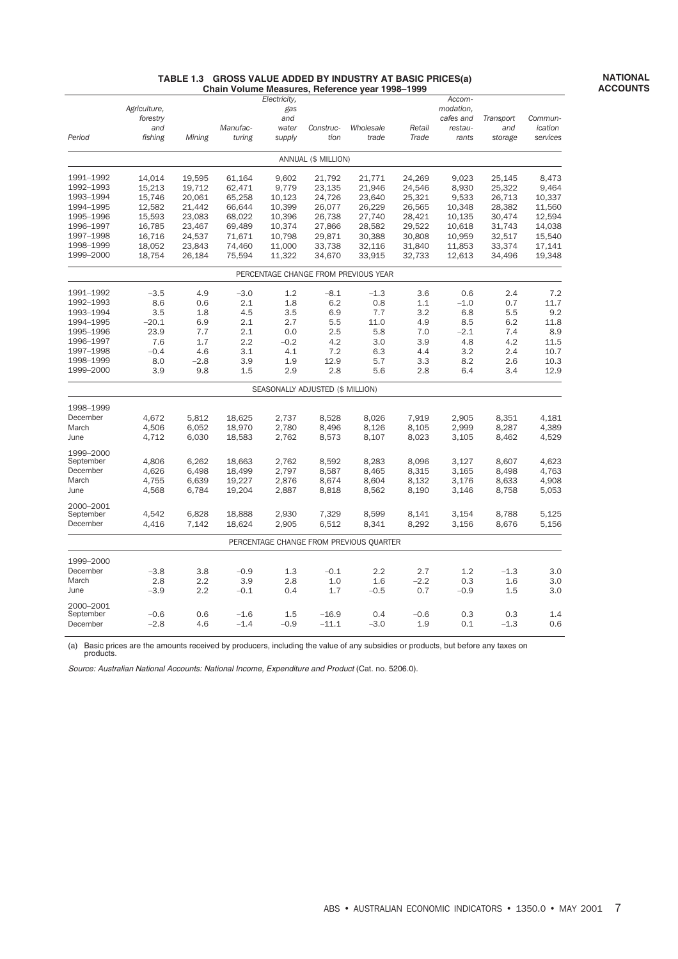**NATIONAL ACCOUNTS**

#### **TABLE 1.3 GROSS VALUE ADDED BY INDUSTRY AT BASIC PRICES(a) Chain Volume Measures, Reference year 1998–1999**

| ANNUAL (\$ MILLION)<br>1991-1992<br>14,014<br>19,595<br>61,164<br>21,771<br>24,269<br>9,023<br>25,145<br>9,602<br>21,792<br>1992-1993<br>15,213<br>19,712<br>62,471<br>9,779<br>23,135<br>21,946<br>24,546<br>8,930<br>25,322<br>1993-1994<br>15,746<br>20,061<br>65,258<br>10,123<br>24,726<br>23,640<br>25,321<br>9,533<br>26,713<br>1994-1995<br>26,565<br>12,582<br>21,442<br>66,644<br>10,399<br>26,077<br>26,229<br>10,348<br>28,382<br>1995-1996<br>15,593<br>23,083<br>68,022<br>26,738<br>27,740<br>28,421<br>30,474<br>10,396<br>10,135<br>1996-1997<br>69,489<br>10,374<br>27,866<br>28,582<br>29,522<br>10,618<br>31,743<br>16,785<br>23,467<br>1997-1998<br>16,716<br>24,537<br>71,671<br>10,798<br>29,871<br>30,388<br>30,808<br>10,959<br>32,517<br>15,540<br>1998-1999<br>18,052<br>23,843<br>74,460<br>11,000<br>33,738<br>32,116<br>31,840<br>33,374<br>17,141<br>11,853<br>1999-2000<br>18,754<br>26,184<br>75,594<br>11,322<br>34,670<br>33,915<br>32,733<br>12,613<br>34,496<br>19,348<br>PERCENTAGE CHANGE FROM PREVIOUS YEAR<br>1991-1992<br>$-3.5$<br>4.9<br>1.2<br>2.4<br>$-3.0$<br>$-8.1$<br>$-1.3$<br>3.6<br>0.6<br>1992-1993<br>8.6<br>0.6<br>2.1<br>1.8<br>6.2<br>0.8<br>1.1<br>$-1.0$<br>0.7<br>1993-1994<br>3.5<br>1.8<br>4.5<br>3.5<br>6.9<br>7.7<br>3.2<br>6.8<br>5.5<br>1994-1995<br>2.7<br>11.8<br>$-20.1$<br>6.9<br>2.1<br>5.5<br>11.0<br>4.9<br>8.5<br>6.2<br>1995-1996<br>23.9<br>2.1<br>8.9<br>7.7<br>0.0<br>2.5<br>5.8<br>7.0<br>$-2.1$<br>7.4<br>1996-1997<br>7.6<br>2.2<br>4.8<br>4.2<br>11.5<br>1.7<br>$-0.2$<br>4.2<br>3.0<br>3.9<br>1997-1998<br>4.6<br>3.1<br>7.2<br>4.4<br>3.2<br>2.4<br>10.7<br>$-0.4$<br>4.1<br>6.3<br>1998-1999<br>8.0<br>$-2.8$<br>3.9<br>1.9<br>12.9<br>5.7<br>3.3<br>8.2<br>2.6<br>10.3<br>1999-2000<br>3.9<br>9.8<br>1.5<br>2.9<br>2.8<br>5.6<br>2.8<br>3.4<br>6.4<br>SEASONALLY ADJUSTED (\$ MILLION)<br>1998-1999<br>December<br>4,672<br>5,812<br>18,625<br>2,737<br>8,528<br>8,026<br>7,919<br>2,905<br>8,351<br>4,181<br>March<br>4,506<br>6,052<br>18,970<br>2,780<br>8,496<br>8,126<br>2,999<br>8,287<br>4,389<br>8,105<br>6,030<br>8,023<br>4,529<br>June<br>4,712<br>18,583<br>2,762<br>8,573<br>8,107<br>3,105<br>8,462<br>1999-2000<br>September<br>4,806<br>6,262<br>18,663<br>2,762<br>8,592<br>8,283<br>8,096<br>3,127<br>8,607<br>4,623<br>December<br>4,626<br>6,498<br>18,499<br>2,797<br>8,587<br>8,465<br>8,315<br>3,165<br>8,498<br>4,763<br>2,876<br>3,176<br>4,908<br>March<br>4,755<br>6,639<br>19,227<br>8,674<br>8,604<br>8,132<br>8,633<br>4,568<br>6,784<br>19,204<br>2,887<br>8,818<br>8,562<br>8,190<br>8,758<br>June<br>3,146<br>2000-2001<br>September<br>4,542<br>6,828<br>18,888<br>2,930<br>7,329<br>8,599<br>8,141<br>3,154<br>8,788<br>December<br>4,416<br>7,142<br>2,905<br>6,512<br>8,341<br>8,292<br>3,156<br>18,624<br>8,676<br>PERCENTAGE CHANGE FROM PREVIOUS OUARTER<br>1999-2000<br>December<br>$-3.8$<br>3.8<br>$-0.9$<br>1.3<br>$-0.1$<br>2.2<br>2.7<br>1.2<br>$-1.3$<br>March<br>2.8<br>2.2<br>3.9<br>2.8<br>1.0<br>$-2.2$<br>0.3<br>1.6<br>1.6<br>$-3.9$<br>June<br>2.2<br>$-0.1$<br>0.4<br>1.7<br>$-0.5$<br>0.7<br>$-0.9$<br>1.5<br>2000-2001<br>September<br>$-0.6$<br>0.6<br>$-1.6$<br>1.5<br>$-16.9$<br>0.4<br>$-0.6$<br>0.3<br>0.3<br>4.6<br>$-2.8$<br>$-1.4$<br>$-0.9$<br>$-11.1$<br>$-3.0$<br>1.9<br>0.1<br>$-1.3$<br>December | Period | Agriculture,<br>forestry<br>and<br>fishing | Mining | Manufac-<br>turing | Electricity,<br>gas<br>and<br>water<br>supply | Construc-<br>tion | Wholesale<br>trade | Retail<br>Trade | Accom-<br>modation,<br>cafes and<br>restau-<br>rants | Transport<br>and<br>storage | Commun-<br>ication<br>services |
|--------------------------------------------------------------------------------------------------------------------------------------------------------------------------------------------------------------------------------------------------------------------------------------------------------------------------------------------------------------------------------------------------------------------------------------------------------------------------------------------------------------------------------------------------------------------------------------------------------------------------------------------------------------------------------------------------------------------------------------------------------------------------------------------------------------------------------------------------------------------------------------------------------------------------------------------------------------------------------------------------------------------------------------------------------------------------------------------------------------------------------------------------------------------------------------------------------------------------------------------------------------------------------------------------------------------------------------------------------------------------------------------------------------------------------------------------------------------------------------------------------------------------------------------------------------------------------------------------------------------------------------------------------------------------------------------------------------------------------------------------------------------------------------------------------------------------------------------------------------------------------------------------------------------------------------------------------------------------------------------------------------------------------------------------------------------------------------------------------------------------------------------------------------------------------------------------------------------------------------------------------------------------------------------------------------------------------------------------------------------------------------------------------------------------------------------------------------------------------------------------------------------------------------------------------------------------------------------------------------------------------------------------------------------------------------------------------------------------------------------------------------------------------------------------------------------------------------------------------------------------------------------------------------------------------------------------------------------------------------------------------------------------------------------------------------------------------------------------------------------------------------------------------------------------------------------------------------------------------------------------------------------------------------------------------------------------------------------------------------|--------|--------------------------------------------|--------|--------------------|-----------------------------------------------|-------------------|--------------------|-----------------|------------------------------------------------------|-----------------------------|--------------------------------|
|                                                                                                                                                                                                                                                                                                                                                                                                                                                                                                                                                                                                                                                                                                                                                                                                                                                                                                                                                                                                                                                                                                                                                                                                                                                                                                                                                                                                                                                                                                                                                                                                                                                                                                                                                                                                                                                                                                                                                                                                                                                                                                                                                                                                                                                                                                                                                                                                                                                                                                                                                                                                                                                                                                                                                                                                                                                                                                                                                                                                                                                                                                                                                                                                                                                                                                                                                              |        |                                            |        |                    |                                               |                   |                    |                 |                                                      |                             |                                |
|                                                                                                                                                                                                                                                                                                                                                                                                                                                                                                                                                                                                                                                                                                                                                                                                                                                                                                                                                                                                                                                                                                                                                                                                                                                                                                                                                                                                                                                                                                                                                                                                                                                                                                                                                                                                                                                                                                                                                                                                                                                                                                                                                                                                                                                                                                                                                                                                                                                                                                                                                                                                                                                                                                                                                                                                                                                                                                                                                                                                                                                                                                                                                                                                                                                                                                                                                              |        |                                            |        |                    |                                               |                   |                    |                 |                                                      |                             | 8,473                          |
|                                                                                                                                                                                                                                                                                                                                                                                                                                                                                                                                                                                                                                                                                                                                                                                                                                                                                                                                                                                                                                                                                                                                                                                                                                                                                                                                                                                                                                                                                                                                                                                                                                                                                                                                                                                                                                                                                                                                                                                                                                                                                                                                                                                                                                                                                                                                                                                                                                                                                                                                                                                                                                                                                                                                                                                                                                                                                                                                                                                                                                                                                                                                                                                                                                                                                                                                                              |        |                                            |        |                    |                                               |                   |                    |                 |                                                      |                             | 9,464                          |
|                                                                                                                                                                                                                                                                                                                                                                                                                                                                                                                                                                                                                                                                                                                                                                                                                                                                                                                                                                                                                                                                                                                                                                                                                                                                                                                                                                                                                                                                                                                                                                                                                                                                                                                                                                                                                                                                                                                                                                                                                                                                                                                                                                                                                                                                                                                                                                                                                                                                                                                                                                                                                                                                                                                                                                                                                                                                                                                                                                                                                                                                                                                                                                                                                                                                                                                                                              |        |                                            |        |                    |                                               |                   |                    |                 |                                                      |                             | 10,337                         |
|                                                                                                                                                                                                                                                                                                                                                                                                                                                                                                                                                                                                                                                                                                                                                                                                                                                                                                                                                                                                                                                                                                                                                                                                                                                                                                                                                                                                                                                                                                                                                                                                                                                                                                                                                                                                                                                                                                                                                                                                                                                                                                                                                                                                                                                                                                                                                                                                                                                                                                                                                                                                                                                                                                                                                                                                                                                                                                                                                                                                                                                                                                                                                                                                                                                                                                                                                              |        |                                            |        |                    |                                               |                   |                    |                 |                                                      |                             | 11,560                         |
|                                                                                                                                                                                                                                                                                                                                                                                                                                                                                                                                                                                                                                                                                                                                                                                                                                                                                                                                                                                                                                                                                                                                                                                                                                                                                                                                                                                                                                                                                                                                                                                                                                                                                                                                                                                                                                                                                                                                                                                                                                                                                                                                                                                                                                                                                                                                                                                                                                                                                                                                                                                                                                                                                                                                                                                                                                                                                                                                                                                                                                                                                                                                                                                                                                                                                                                                                              |        |                                            |        |                    |                                               |                   |                    |                 |                                                      |                             | 12,594                         |
|                                                                                                                                                                                                                                                                                                                                                                                                                                                                                                                                                                                                                                                                                                                                                                                                                                                                                                                                                                                                                                                                                                                                                                                                                                                                                                                                                                                                                                                                                                                                                                                                                                                                                                                                                                                                                                                                                                                                                                                                                                                                                                                                                                                                                                                                                                                                                                                                                                                                                                                                                                                                                                                                                                                                                                                                                                                                                                                                                                                                                                                                                                                                                                                                                                                                                                                                                              |        |                                            |        |                    |                                               |                   |                    |                 |                                                      |                             | 14,038                         |
|                                                                                                                                                                                                                                                                                                                                                                                                                                                                                                                                                                                                                                                                                                                                                                                                                                                                                                                                                                                                                                                                                                                                                                                                                                                                                                                                                                                                                                                                                                                                                                                                                                                                                                                                                                                                                                                                                                                                                                                                                                                                                                                                                                                                                                                                                                                                                                                                                                                                                                                                                                                                                                                                                                                                                                                                                                                                                                                                                                                                                                                                                                                                                                                                                                                                                                                                                              |        |                                            |        |                    |                                               |                   |                    |                 |                                                      |                             |                                |
|                                                                                                                                                                                                                                                                                                                                                                                                                                                                                                                                                                                                                                                                                                                                                                                                                                                                                                                                                                                                                                                                                                                                                                                                                                                                                                                                                                                                                                                                                                                                                                                                                                                                                                                                                                                                                                                                                                                                                                                                                                                                                                                                                                                                                                                                                                                                                                                                                                                                                                                                                                                                                                                                                                                                                                                                                                                                                                                                                                                                                                                                                                                                                                                                                                                                                                                                                              |        |                                            |        |                    |                                               |                   |                    |                 |                                                      |                             |                                |
|                                                                                                                                                                                                                                                                                                                                                                                                                                                                                                                                                                                                                                                                                                                                                                                                                                                                                                                                                                                                                                                                                                                                                                                                                                                                                                                                                                                                                                                                                                                                                                                                                                                                                                                                                                                                                                                                                                                                                                                                                                                                                                                                                                                                                                                                                                                                                                                                                                                                                                                                                                                                                                                                                                                                                                                                                                                                                                                                                                                                                                                                                                                                                                                                                                                                                                                                                              |        |                                            |        |                    |                                               |                   |                    |                 |                                                      |                             |                                |
|                                                                                                                                                                                                                                                                                                                                                                                                                                                                                                                                                                                                                                                                                                                                                                                                                                                                                                                                                                                                                                                                                                                                                                                                                                                                                                                                                                                                                                                                                                                                                                                                                                                                                                                                                                                                                                                                                                                                                                                                                                                                                                                                                                                                                                                                                                                                                                                                                                                                                                                                                                                                                                                                                                                                                                                                                                                                                                                                                                                                                                                                                                                                                                                                                                                                                                                                                              |        |                                            |        |                    |                                               |                   |                    |                 |                                                      |                             |                                |
|                                                                                                                                                                                                                                                                                                                                                                                                                                                                                                                                                                                                                                                                                                                                                                                                                                                                                                                                                                                                                                                                                                                                                                                                                                                                                                                                                                                                                                                                                                                                                                                                                                                                                                                                                                                                                                                                                                                                                                                                                                                                                                                                                                                                                                                                                                                                                                                                                                                                                                                                                                                                                                                                                                                                                                                                                                                                                                                                                                                                                                                                                                                                                                                                                                                                                                                                                              |        |                                            |        |                    |                                               |                   |                    |                 |                                                      |                             | 7.2                            |
|                                                                                                                                                                                                                                                                                                                                                                                                                                                                                                                                                                                                                                                                                                                                                                                                                                                                                                                                                                                                                                                                                                                                                                                                                                                                                                                                                                                                                                                                                                                                                                                                                                                                                                                                                                                                                                                                                                                                                                                                                                                                                                                                                                                                                                                                                                                                                                                                                                                                                                                                                                                                                                                                                                                                                                                                                                                                                                                                                                                                                                                                                                                                                                                                                                                                                                                                                              |        |                                            |        |                    |                                               |                   |                    |                 |                                                      |                             | 11.7                           |
|                                                                                                                                                                                                                                                                                                                                                                                                                                                                                                                                                                                                                                                                                                                                                                                                                                                                                                                                                                                                                                                                                                                                                                                                                                                                                                                                                                                                                                                                                                                                                                                                                                                                                                                                                                                                                                                                                                                                                                                                                                                                                                                                                                                                                                                                                                                                                                                                                                                                                                                                                                                                                                                                                                                                                                                                                                                                                                                                                                                                                                                                                                                                                                                                                                                                                                                                                              |        |                                            |        |                    |                                               |                   |                    |                 |                                                      |                             | 9.2                            |
|                                                                                                                                                                                                                                                                                                                                                                                                                                                                                                                                                                                                                                                                                                                                                                                                                                                                                                                                                                                                                                                                                                                                                                                                                                                                                                                                                                                                                                                                                                                                                                                                                                                                                                                                                                                                                                                                                                                                                                                                                                                                                                                                                                                                                                                                                                                                                                                                                                                                                                                                                                                                                                                                                                                                                                                                                                                                                                                                                                                                                                                                                                                                                                                                                                                                                                                                                              |        |                                            |        |                    |                                               |                   |                    |                 |                                                      |                             |                                |
|                                                                                                                                                                                                                                                                                                                                                                                                                                                                                                                                                                                                                                                                                                                                                                                                                                                                                                                                                                                                                                                                                                                                                                                                                                                                                                                                                                                                                                                                                                                                                                                                                                                                                                                                                                                                                                                                                                                                                                                                                                                                                                                                                                                                                                                                                                                                                                                                                                                                                                                                                                                                                                                                                                                                                                                                                                                                                                                                                                                                                                                                                                                                                                                                                                                                                                                                                              |        |                                            |        |                    |                                               |                   |                    |                 |                                                      |                             |                                |
|                                                                                                                                                                                                                                                                                                                                                                                                                                                                                                                                                                                                                                                                                                                                                                                                                                                                                                                                                                                                                                                                                                                                                                                                                                                                                                                                                                                                                                                                                                                                                                                                                                                                                                                                                                                                                                                                                                                                                                                                                                                                                                                                                                                                                                                                                                                                                                                                                                                                                                                                                                                                                                                                                                                                                                                                                                                                                                                                                                                                                                                                                                                                                                                                                                                                                                                                                              |        |                                            |        |                    |                                               |                   |                    |                 |                                                      |                             |                                |
|                                                                                                                                                                                                                                                                                                                                                                                                                                                                                                                                                                                                                                                                                                                                                                                                                                                                                                                                                                                                                                                                                                                                                                                                                                                                                                                                                                                                                                                                                                                                                                                                                                                                                                                                                                                                                                                                                                                                                                                                                                                                                                                                                                                                                                                                                                                                                                                                                                                                                                                                                                                                                                                                                                                                                                                                                                                                                                                                                                                                                                                                                                                                                                                                                                                                                                                                                              |        |                                            |        |                    |                                               |                   |                    |                 |                                                      |                             |                                |
|                                                                                                                                                                                                                                                                                                                                                                                                                                                                                                                                                                                                                                                                                                                                                                                                                                                                                                                                                                                                                                                                                                                                                                                                                                                                                                                                                                                                                                                                                                                                                                                                                                                                                                                                                                                                                                                                                                                                                                                                                                                                                                                                                                                                                                                                                                                                                                                                                                                                                                                                                                                                                                                                                                                                                                                                                                                                                                                                                                                                                                                                                                                                                                                                                                                                                                                                                              |        |                                            |        |                    |                                               |                   |                    |                 |                                                      |                             | 12.9                           |
|                                                                                                                                                                                                                                                                                                                                                                                                                                                                                                                                                                                                                                                                                                                                                                                                                                                                                                                                                                                                                                                                                                                                                                                                                                                                                                                                                                                                                                                                                                                                                                                                                                                                                                                                                                                                                                                                                                                                                                                                                                                                                                                                                                                                                                                                                                                                                                                                                                                                                                                                                                                                                                                                                                                                                                                                                                                                                                                                                                                                                                                                                                                                                                                                                                                                                                                                                              |        |                                            |        |                    |                                               |                   |                    |                 |                                                      |                             |                                |
|                                                                                                                                                                                                                                                                                                                                                                                                                                                                                                                                                                                                                                                                                                                                                                                                                                                                                                                                                                                                                                                                                                                                                                                                                                                                                                                                                                                                                                                                                                                                                                                                                                                                                                                                                                                                                                                                                                                                                                                                                                                                                                                                                                                                                                                                                                                                                                                                                                                                                                                                                                                                                                                                                                                                                                                                                                                                                                                                                                                                                                                                                                                                                                                                                                                                                                                                                              |        |                                            |        |                    |                                               |                   |                    |                 |                                                      |                             |                                |
|                                                                                                                                                                                                                                                                                                                                                                                                                                                                                                                                                                                                                                                                                                                                                                                                                                                                                                                                                                                                                                                                                                                                                                                                                                                                                                                                                                                                                                                                                                                                                                                                                                                                                                                                                                                                                                                                                                                                                                                                                                                                                                                                                                                                                                                                                                                                                                                                                                                                                                                                                                                                                                                                                                                                                                                                                                                                                                                                                                                                                                                                                                                                                                                                                                                                                                                                                              |        |                                            |        |                    |                                               |                   |                    |                 |                                                      |                             |                                |
|                                                                                                                                                                                                                                                                                                                                                                                                                                                                                                                                                                                                                                                                                                                                                                                                                                                                                                                                                                                                                                                                                                                                                                                                                                                                                                                                                                                                                                                                                                                                                                                                                                                                                                                                                                                                                                                                                                                                                                                                                                                                                                                                                                                                                                                                                                                                                                                                                                                                                                                                                                                                                                                                                                                                                                                                                                                                                                                                                                                                                                                                                                                                                                                                                                                                                                                                                              |        |                                            |        |                    |                                               |                   |                    |                 |                                                      |                             |                                |
|                                                                                                                                                                                                                                                                                                                                                                                                                                                                                                                                                                                                                                                                                                                                                                                                                                                                                                                                                                                                                                                                                                                                                                                                                                                                                                                                                                                                                                                                                                                                                                                                                                                                                                                                                                                                                                                                                                                                                                                                                                                                                                                                                                                                                                                                                                                                                                                                                                                                                                                                                                                                                                                                                                                                                                                                                                                                                                                                                                                                                                                                                                                                                                                                                                                                                                                                                              |        |                                            |        |                    |                                               |                   |                    |                 |                                                      |                             |                                |
|                                                                                                                                                                                                                                                                                                                                                                                                                                                                                                                                                                                                                                                                                                                                                                                                                                                                                                                                                                                                                                                                                                                                                                                                                                                                                                                                                                                                                                                                                                                                                                                                                                                                                                                                                                                                                                                                                                                                                                                                                                                                                                                                                                                                                                                                                                                                                                                                                                                                                                                                                                                                                                                                                                                                                                                                                                                                                                                                                                                                                                                                                                                                                                                                                                                                                                                                                              |        |                                            |        |                    |                                               |                   |                    |                 |                                                      |                             |                                |
|                                                                                                                                                                                                                                                                                                                                                                                                                                                                                                                                                                                                                                                                                                                                                                                                                                                                                                                                                                                                                                                                                                                                                                                                                                                                                                                                                                                                                                                                                                                                                                                                                                                                                                                                                                                                                                                                                                                                                                                                                                                                                                                                                                                                                                                                                                                                                                                                                                                                                                                                                                                                                                                                                                                                                                                                                                                                                                                                                                                                                                                                                                                                                                                                                                                                                                                                                              |        |                                            |        |                    |                                               |                   |                    |                 |                                                      |                             |                                |
|                                                                                                                                                                                                                                                                                                                                                                                                                                                                                                                                                                                                                                                                                                                                                                                                                                                                                                                                                                                                                                                                                                                                                                                                                                                                                                                                                                                                                                                                                                                                                                                                                                                                                                                                                                                                                                                                                                                                                                                                                                                                                                                                                                                                                                                                                                                                                                                                                                                                                                                                                                                                                                                                                                                                                                                                                                                                                                                                                                                                                                                                                                                                                                                                                                                                                                                                                              |        |                                            |        |                    |                                               |                   |                    |                 |                                                      |                             |                                |
|                                                                                                                                                                                                                                                                                                                                                                                                                                                                                                                                                                                                                                                                                                                                                                                                                                                                                                                                                                                                                                                                                                                                                                                                                                                                                                                                                                                                                                                                                                                                                                                                                                                                                                                                                                                                                                                                                                                                                                                                                                                                                                                                                                                                                                                                                                                                                                                                                                                                                                                                                                                                                                                                                                                                                                                                                                                                                                                                                                                                                                                                                                                                                                                                                                                                                                                                                              |        |                                            |        |                    |                                               |                   |                    |                 |                                                      |                             |                                |
|                                                                                                                                                                                                                                                                                                                                                                                                                                                                                                                                                                                                                                                                                                                                                                                                                                                                                                                                                                                                                                                                                                                                                                                                                                                                                                                                                                                                                                                                                                                                                                                                                                                                                                                                                                                                                                                                                                                                                                                                                                                                                                                                                                                                                                                                                                                                                                                                                                                                                                                                                                                                                                                                                                                                                                                                                                                                                                                                                                                                                                                                                                                                                                                                                                                                                                                                                              |        |                                            |        |                    |                                               |                   |                    |                 |                                                      |                             | 5,053                          |
|                                                                                                                                                                                                                                                                                                                                                                                                                                                                                                                                                                                                                                                                                                                                                                                                                                                                                                                                                                                                                                                                                                                                                                                                                                                                                                                                                                                                                                                                                                                                                                                                                                                                                                                                                                                                                                                                                                                                                                                                                                                                                                                                                                                                                                                                                                                                                                                                                                                                                                                                                                                                                                                                                                                                                                                                                                                                                                                                                                                                                                                                                                                                                                                                                                                                                                                                                              |        |                                            |        |                    |                                               |                   |                    |                 |                                                      |                             |                                |
|                                                                                                                                                                                                                                                                                                                                                                                                                                                                                                                                                                                                                                                                                                                                                                                                                                                                                                                                                                                                                                                                                                                                                                                                                                                                                                                                                                                                                                                                                                                                                                                                                                                                                                                                                                                                                                                                                                                                                                                                                                                                                                                                                                                                                                                                                                                                                                                                                                                                                                                                                                                                                                                                                                                                                                                                                                                                                                                                                                                                                                                                                                                                                                                                                                                                                                                                                              |        |                                            |        |                    |                                               |                   |                    |                 |                                                      |                             | 5,125                          |
|                                                                                                                                                                                                                                                                                                                                                                                                                                                                                                                                                                                                                                                                                                                                                                                                                                                                                                                                                                                                                                                                                                                                                                                                                                                                                                                                                                                                                                                                                                                                                                                                                                                                                                                                                                                                                                                                                                                                                                                                                                                                                                                                                                                                                                                                                                                                                                                                                                                                                                                                                                                                                                                                                                                                                                                                                                                                                                                                                                                                                                                                                                                                                                                                                                                                                                                                                              |        |                                            |        |                    |                                               |                   |                    |                 |                                                      |                             | 5,156                          |
|                                                                                                                                                                                                                                                                                                                                                                                                                                                                                                                                                                                                                                                                                                                                                                                                                                                                                                                                                                                                                                                                                                                                                                                                                                                                                                                                                                                                                                                                                                                                                                                                                                                                                                                                                                                                                                                                                                                                                                                                                                                                                                                                                                                                                                                                                                                                                                                                                                                                                                                                                                                                                                                                                                                                                                                                                                                                                                                                                                                                                                                                                                                                                                                                                                                                                                                                                              |        |                                            |        |                    |                                               |                   |                    |                 |                                                      |                             |                                |
|                                                                                                                                                                                                                                                                                                                                                                                                                                                                                                                                                                                                                                                                                                                                                                                                                                                                                                                                                                                                                                                                                                                                                                                                                                                                                                                                                                                                                                                                                                                                                                                                                                                                                                                                                                                                                                                                                                                                                                                                                                                                                                                                                                                                                                                                                                                                                                                                                                                                                                                                                                                                                                                                                                                                                                                                                                                                                                                                                                                                                                                                                                                                                                                                                                                                                                                                                              |        |                                            |        |                    |                                               |                   |                    |                 |                                                      |                             |                                |
|                                                                                                                                                                                                                                                                                                                                                                                                                                                                                                                                                                                                                                                                                                                                                                                                                                                                                                                                                                                                                                                                                                                                                                                                                                                                                                                                                                                                                                                                                                                                                                                                                                                                                                                                                                                                                                                                                                                                                                                                                                                                                                                                                                                                                                                                                                                                                                                                                                                                                                                                                                                                                                                                                                                                                                                                                                                                                                                                                                                                                                                                                                                                                                                                                                                                                                                                                              |        |                                            |        |                    |                                               |                   |                    |                 |                                                      |                             | 3.0                            |
|                                                                                                                                                                                                                                                                                                                                                                                                                                                                                                                                                                                                                                                                                                                                                                                                                                                                                                                                                                                                                                                                                                                                                                                                                                                                                                                                                                                                                                                                                                                                                                                                                                                                                                                                                                                                                                                                                                                                                                                                                                                                                                                                                                                                                                                                                                                                                                                                                                                                                                                                                                                                                                                                                                                                                                                                                                                                                                                                                                                                                                                                                                                                                                                                                                                                                                                                                              |        |                                            |        |                    |                                               |                   |                    |                 |                                                      |                             | 3.0                            |
|                                                                                                                                                                                                                                                                                                                                                                                                                                                                                                                                                                                                                                                                                                                                                                                                                                                                                                                                                                                                                                                                                                                                                                                                                                                                                                                                                                                                                                                                                                                                                                                                                                                                                                                                                                                                                                                                                                                                                                                                                                                                                                                                                                                                                                                                                                                                                                                                                                                                                                                                                                                                                                                                                                                                                                                                                                                                                                                                                                                                                                                                                                                                                                                                                                                                                                                                                              |        |                                            |        |                    |                                               |                   |                    |                 |                                                      |                             | 3.0                            |
|                                                                                                                                                                                                                                                                                                                                                                                                                                                                                                                                                                                                                                                                                                                                                                                                                                                                                                                                                                                                                                                                                                                                                                                                                                                                                                                                                                                                                                                                                                                                                                                                                                                                                                                                                                                                                                                                                                                                                                                                                                                                                                                                                                                                                                                                                                                                                                                                                                                                                                                                                                                                                                                                                                                                                                                                                                                                                                                                                                                                                                                                                                                                                                                                                                                                                                                                                              |        |                                            |        |                    |                                               |                   |                    |                 |                                                      |                             |                                |
|                                                                                                                                                                                                                                                                                                                                                                                                                                                                                                                                                                                                                                                                                                                                                                                                                                                                                                                                                                                                                                                                                                                                                                                                                                                                                                                                                                                                                                                                                                                                                                                                                                                                                                                                                                                                                                                                                                                                                                                                                                                                                                                                                                                                                                                                                                                                                                                                                                                                                                                                                                                                                                                                                                                                                                                                                                                                                                                                                                                                                                                                                                                                                                                                                                                                                                                                                              |        |                                            |        |                    |                                               |                   |                    |                 |                                                      |                             | 1.4                            |
|                                                                                                                                                                                                                                                                                                                                                                                                                                                                                                                                                                                                                                                                                                                                                                                                                                                                                                                                                                                                                                                                                                                                                                                                                                                                                                                                                                                                                                                                                                                                                                                                                                                                                                                                                                                                                                                                                                                                                                                                                                                                                                                                                                                                                                                                                                                                                                                                                                                                                                                                                                                                                                                                                                                                                                                                                                                                                                                                                                                                                                                                                                                                                                                                                                                                                                                                                              |        |                                            |        |                    |                                               |                   |                    |                 |                                                      |                             | 0.6                            |

(a) Basic prices are the amounts received by producers, including the value of any subsidies or products, but before any taxes on products.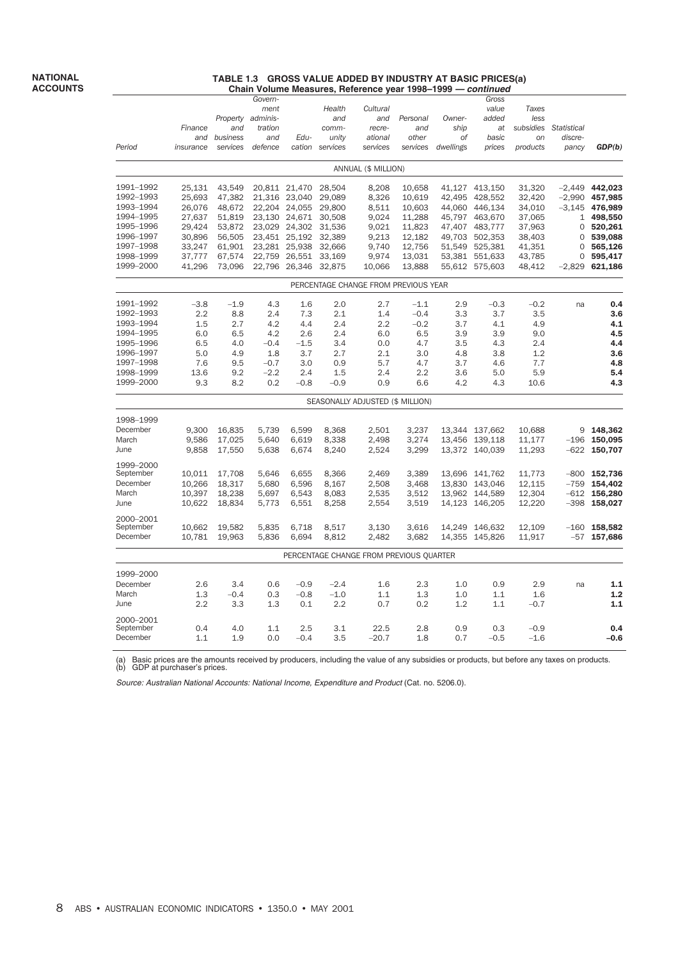#### **TABLE 1.3 GROSS VALUE ADDED BY INDUSTRY AT BASIC PRICES(a) Chain Volume Measures, Reference year 1998–1999 — continued**

|           |           | uuu      |          |                      |                 | volume incasures, ricicience y          | car roop |           | 0011.111.11    |           |             |                  |
|-----------|-----------|----------|----------|----------------------|-----------------|-----------------------------------------|----------|-----------|----------------|-----------|-------------|------------------|
|           |           |          | Govern-  |                      |                 |                                         |          |           | Gross          |           |             |                  |
|           |           |          | ment     |                      | Health          | Cultural                                |          |           | value          | Taxes     |             |                  |
|           |           | Property | adminis- |                      | and             | and                                     | Personal | Owner-    | added          | less      |             |                  |
|           | Finance   | and      | tration  |                      | comm-           | recre-                                  | and      | ship      | at             | subsidies | Statistical |                  |
|           | and       | business | and      | Edu-                 | unity           | ational                                 | other    | оf        | basic          | on        | discre-     |                  |
| Period    | insurance | services | defence  |                      | cation services | services                                | services | dwellings | prices         | products  | pancy       | GDP(b)           |
|           |           |          |          |                      |                 | ANNUAL (\$ MILLION)                     |          |           |                |           |             |                  |
| 1991-1992 | 25,131    | 43,549   |          | 20,811 21,470 28,504 |                 | 8,208                                   | 10,658   |           | 41,127 413,150 | 31,320    |             | $-2,449$ 442,023 |
| 1992-1993 | 25,693    | 47,382   |          | 21,316 23,040        | 29,089          | 8,326                                   | 10,619   | 42,495    | 428,552        | 32,420    |             | $-2,990$ 457,985 |
| 1993-1994 | 26,076    | 48,672   |          | 22,204 24,055        | 29,800          | 8,511                                   | 10,603   |           | 44,060 446,134 | 34,010    |             | $-3,145$ 476,989 |
| 1994-1995 | 27,637    | 51,819   |          | 23,130 24,671 30,508 |                 | 9,024                                   | 11,288   |           | 45,797 463,670 | 37,065    |             | 1 498,550        |
| 1995-1996 | 29,424    | 53,872   |          | 23,029 24,302        | 31,536          | 9,021                                   | 11,823   |           | 47,407 483,777 | 37,963    |             | 0, 520, 261      |
| 1996-1997 | 30,896    | 56,505   |          | 23,451 25,192        | 32,389          | 9,213                                   | 12,182   |           | 49,703 502,353 | 38,403    | 0           | 539,088          |
| 1997-1998 |           |          |          |                      |                 |                                         |          |           |                |           |             |                  |
|           | 33,247    | 61,901   |          | 23,281 25,938        | 32,666          | 9,740                                   | 12,756   | 51,549    | 525,381        | 41,351    | 0           | 565,126          |
| 1998-1999 | 37,777    | 67,574   |          | 22,759 26,551        | 33,169          | 9,974                                   | 13,031   |           | 53,381 551,633 | 43,785    | 0           | 595,417          |
| 1999-2000 | 41,296    | 73,096   |          | 22,796 26,346 32,875 |                 | 10,066                                  | 13,888   |           | 55,612 575,603 | 48,412    | $-2,829$    | 621,186          |
|           |           |          |          |                      |                 | PERCENTAGE CHANGE FROM PREVIOUS YEAR    |          |           |                |           |             |                  |
| 1991-1992 | $-3.8$    | $-1.9$   | 4.3      | 1.6                  | 2.0             | 2.7                                     | $-1.1$   | 2.9       | $-0.3$         | $-0.2$    | na          | 0.4              |
| 1992-1993 | 2.2       | 8.8      | 2.4      | 7.3                  | 2.1             | 1.4                                     | $-0.4$   | 3.3       | 3.7            | 3.5       |             | 3.6              |
| 1993-1994 | 1.5       | 2.7      | 4.2      | 4.4                  | 2.4             | 2.2                                     | $-0.2$   | 3.7       | 4.1            | 4.9       |             | 4.1              |
| 1994-1995 | 6.0       | 6.5      | 4.2      | 2.6                  | 2.4             | 6.0                                     | 6.5      | 3.9       | 3.9            | 9.0       |             | 4.5              |
| 1995-1996 | 6.5       | 4.0      | $-0.4$   | $-1.5$               | 3.4             | 0.0                                     | 4.7      | 3.5       | 4.3            | 2.4       |             | 4.4              |
| 1996-1997 | 5.0       | 4.9      | 1.8      | 3.7                  | 2.7             | 2.1                                     | 3.0      | 4.8       | 3.8            | 1.2       |             | 3.6              |
| 1997-1998 | 7.6       | 9.5      | $-0.7$   | 3.0                  | 0.9             | 5.7                                     | 4.7      | 3.7       | 4.6            | 7.7       |             | 4.8              |
| 1998-1999 | 13.6      | 9.2      | $-2.2$   | 2.4                  | 1.5             | 2.4                                     | 2.2      | 3.6       | 5.0            | 5.9       |             | 5.4              |
| 1999-2000 | 9.3       | 8.2      | 0.2      | $-0.8$               | $-0.9$          | 0.9                                     | 6.6      | 4.2       | 4.3            | 10.6      |             | 4.3              |
|           |           |          |          |                      |                 |                                         |          |           |                |           |             |                  |
|           |           |          |          |                      |                 | SEASONALLY ADJUSTED (\$ MILLION)        |          |           |                |           |             |                  |
| 1998-1999 |           |          |          |                      |                 |                                         |          |           |                |           |             |                  |
| December  | 9,300     | 16,835   | 5,739    | 6,599                | 8,368           | 2,501                                   | 3,237    |           | 13,344 137,662 | 10,688    |             | 9 148,362        |
| March     | 9,586     | 17,025   | 5,640    | 6,619                | 8,338           | 2,498                                   | 3,274    |           | 13,456 139,118 | 11,177    |             | $-196$ 150,095   |
| June      | 9,858     | 17,550   | 5,638    | 6,674                | 8,240           | 2,524                                   | 3,299    |           | 13,372 140,039 | 11,293    |             | $-622$ 150,707   |
| 1999-2000 |           |          |          |                      |                 |                                         |          |           |                |           |             |                  |
| September | 10,011    | 17,708   | 5,646    | 6,655                | 8,366           | 2,469                                   | 3,389    |           | 13,696 141,762 | 11,773    | $-800$      | 152,736          |
| December  | 10,266    | 18,317   | 5,680    | 6,596                | 8,167           | 2,508                                   | 3,468    |           | 13,830 143,046 | 12,115    | -759        | 154,402          |
| March     | 10,397    | 18,238   | 5,697    | 6,543                | 8,083           | 2,535                                   | 3,512    |           | 13,962 144,589 | 12,304    |             | $-612$ 156,280   |
| June      | 10,622    | 18,834   | 5,773    | 6,551                | 8,258           | 2,554                                   | 3,519    |           | 14,123 146,205 | 12,220    |             | $-398$ 158,027   |
| 2000-2001 |           |          |          |                      |                 |                                         |          |           |                |           |             |                  |
| September | 10,662    | 19,582   | 5,835    | 6,718                | 8,517           | 3,130                                   | 3,616    |           | 14,249 146,632 | 12,109    |             | $-160$ 158,582   |
| December  | 10,781    | 19,963   | 5,836    | 6,694                | 8,812           | 2,482                                   | 3,682    |           | 14,355 145,826 | 11,917    |             | $-57$ 157,686    |
|           |           |          |          |                      |                 | PERCENTAGE CHANGE FROM PREVIOUS QUARTER |          |           |                |           |             |                  |
| 1999-2000 |           |          |          |                      |                 |                                         |          |           |                |           |             |                  |
| December  | 2.6       | 3.4      | 0.6      | $-0.9$               | $-2.4$          | 1.6                                     | 2.3      | 1.0       | 0.9            | 2.9       | na          | 1.1              |
| March     | 1.3       |          | 0.3      | $-0.8$               | $-1.0$          |                                         |          |           |                |           |             | 1.2              |
|           |           | $-0.4$   |          |                      |                 | 1.1                                     | 1.3      | 1.0       | 1.1            | 1.6       |             |                  |
| June      | 2.2       | 3.3      | 1.3      | 0.1                  | 2.2             | 0.7                                     | 0.2      | 1.2       | 1.1            | $-0.7$    |             | 1.1              |
| 2000-2001 |           |          |          |                      |                 |                                         |          |           |                |           |             |                  |
| September | 0.4       | 4.0      | 1.1      | 2.5                  | 3.1             | 22.5                                    | 2.8      | 0.9       | 0.3            | $-0.9$    |             | 0.4              |
| December  | 1.1       | 1.9      | 0.0      | $-0.4$               | 3.5             | $-20.7$                                 | 1.8      | 0.7       | $-0.5$         | $-1.6$    |             | $-0.6$           |
|           |           |          |          |                      |                 |                                         |          |           |                |           |             |                  |

(a) Basic prices are the amounts received by producers, including the value of any subsidies or products, but before any taxes on products. (b) GDP at purchaser's prices.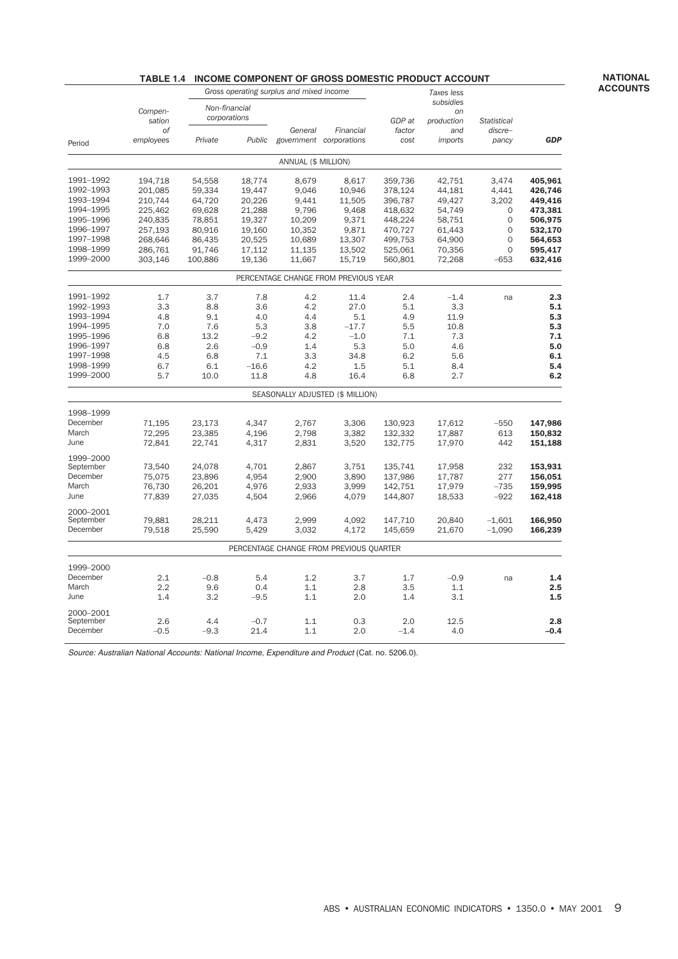#### *Compensation of employees* Period *Private Public Gross operating surplus and mixed income GDP at factor cost Taxes less subsidies on production and imports Statistical discre– pancy Non-financial corporations General government corporations GDP Financial* ANNUAL (\$ MILLION) 1991–1992 194,718 54,558 18,774 8,679 8,617 359,736 42,751 3,474 405,961 1992–1993 201,085 59,334 19,447 9,046 10,946 378,124 44,181 4,441 426,746 1993–1994 210,744 64,720 20,226 9,441 11,505 396,787 49,427 3,202 449,416 1994–1995 225,462 69,628 21,288 9,796 9,468 418,632 54,749 0 473,381 1995–1996 240,835 78,851 19,327 10,209 9,371 448,224 58,751 0 506,975 1996–1997 257,193 80,916 19,160 10,352 9,871 470,727 61,443 0 532,170 1997–1998 268,646 86,435 20,525 10,689 13,307 499,753 64,900 0 564,653 1998–1999 286,761 91,746 17,112 11,135 13,502 525,061 70,356 0 595,417 1999–2000 303,146 100,886 19,136 11,667 15,719 560,801 72,268 –653 632,416 PERCENTAGE CHANGE FROM PREVIOUS YEAR 1991–1992 1.7 3.7 7.8 4.2 11.4 2.4 –1.4 na 2.3 1992–1993 3.3 8.8 3.6 4.2 27.0 5.1 3.3 5**.1** 1993–1994 4.8 9.1 4.0 4.4 5.1 4.9 11.9 5.3 1994–1995 7.0 7.6 5.3 3.8 –17.7 5.5 10.8 5.3 1995–1996 6.8 13.2 –9.2 4.2 –1.0 7.1 7.3 **7.1** 1996–1997 6.8 2.6 –0.9 1.4 5.3 5.0 4.6 5.**0** 1997–1998 4.5 6.8 7.1 3.3 34.8 6.2 5.6 **6.1** 1998–1999 6.7 6.1 –16.6 4.2 1.5 5.1 8.4 5.4 1999–2000 5.7 10.0 11.8 4.8 16.4 6.8 2.7 6**.2** SEASONALLY ADJUSTED (\$ MILLION) 1998–1999 December 71,195 23,173 4,347 2,767 3,306 130,923 17,612 –550 147,986 March 72,295 23,385 4,196 2,798 3,382 132,332 17,887 613 **150,832** June 72,841 22,741 4,317 2,831 3,520 132,775 17,970 442 **151,188** 1999–2000 September 73,540 24,078 4,701 2,867 3,751 135,741 17,958 232 153,931 December 75,075 23,896 4,954 2,900 3,890 137,986 17,787 277 **156,051** March 76,730 26,201 4,976 2,933 3,999 142,751 17,979 –735 **159,995** June 77,839 27,035 4,504 2,966 4,079 144,807 18,533 –922 162,418 2000–2001 September 79,881 28,211 4,473 2,999 4,092 147,710 20,840 –1,601 166,950 December 79,518 25,590 5,429 3,032 4,172 145,659 21,670 –1,090 166,239 PERCENTAGE CHANGE FROM PREVIOUS QUARTER 1999–2000 December 2.1 –0.8 5.4 1.2 3.7 1.7 –0.9 na **1.4** March 2.2 9.6 0.4 1.1 2.8 3.5 1.1 2.5 June 1.4 3.2 –9.5 1.1 2.0 1.4 3.1 1.5 2000–2001 September 2.6 4.4 –0.7 1.1 0.3 2.0 12.5 2.8

December –0.5 –9.3 21.4 1.1 2.0 –1.4 4.0 –0.4

#### **TABLE 1.4 INCOME COMPONENT OF GROSS DOMESTIC PRODUCT ACCOUNT**

Source: Australian National Accounts: National Income, Expenditure and Product (Cat. no. 5206.0).

**NATIONAL ACCOUNTS**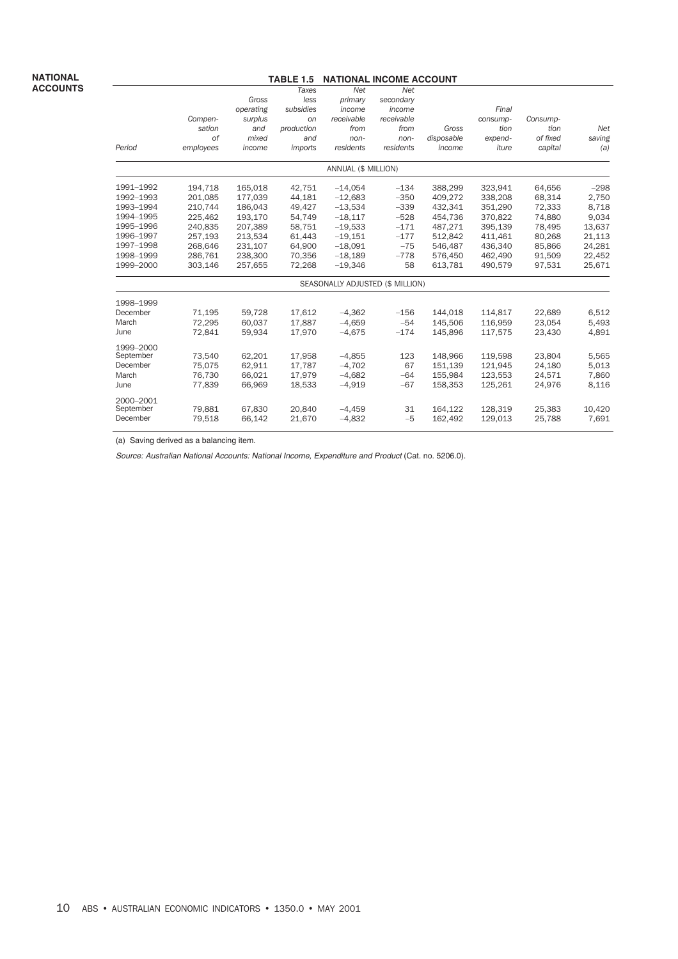#### **TABLE 1.5 NATIONAL INCOME ACCOUNT**

|                       |           |           | Taxes      | Net                              | Net        |            |          |          |        |
|-----------------------|-----------|-----------|------------|----------------------------------|------------|------------|----------|----------|--------|
|                       |           | Gross     | less       | primary                          | secondary  |            |          |          |        |
|                       |           | operating | subsidies  | income                           | income     |            | Final    |          |        |
|                       | Compen-   | surplus   | on         | receivable                       | receivable |            | consump- | Consump- |        |
|                       | sation    | and       | production | from                             | from       | Gross      | tion     | tion     | Net    |
|                       | 0f        | mixed     | and        | $non-$                           | $non-$     | disposable | expend-  | of fixed | saving |
| Period                | employees | income    | imports    | residents                        | residents  | income     | iture    | capital  | (a)    |
|                       |           |           |            | ANNUAL (\$ MILLION)              |            |            |          |          |        |
| 1991-1992             | 194,718   | 165,018   | 42,751     | $-14,054$                        | $-134$     | 388,299    | 323,941  | 64,656   | $-298$ |
| 1992-1993             | 201,085   | 177,039   | 44,181     | $-12,683$                        | $-350$     | 409,272    | 338,208  | 68,314   | 2,750  |
| 1993-1994             | 210,744   | 186.043   | 49,427     | $-13.534$                        | $-339$     | 432.341    | 351,290  | 72.333   | 8,718  |
| 1994-1995             | 225,462   | 193,170   | 54,749     | $-18,117$                        | $-528$     | 454,736    | 370,822  | 74,880   | 9,034  |
| 1995-1996             | 240,835   | 207,389   | 58.751     | $-19,533$                        | $-171$     | 487.271    | 395,139  | 78,495   | 13,637 |
| 1996-1997             | 257,193   | 213,534   | 61.443     | $-19.151$                        | $-177$     | 512.842    | 411.461  | 80,268   | 21,113 |
| 1997-1998             | 268,646   | 231,107   | 64,900     | $-18,091$                        | $-75$      | 546,487    | 436,340  | 85,866   | 24,281 |
| 1998-1999             | 286,761   | 238,300   | 70,356     | $-18,189$                        | $-778$     | 576,450    | 462,490  | 91,509   | 22,452 |
| 1999-2000             | 303,146   | 257,655   | 72,268     | $-19,346$                        | 58         | 613,781    | 490,579  | 97,531   | 25,671 |
|                       |           |           |            | SEASONALLY ADJUSTED (\$ MILLION) |            |            |          |          |        |
| 1998-1999             |           |           |            |                                  |            |            |          |          |        |
| December              | 71,195    | 59,728    | 17,612     | $-4,362$                         | $-156$     | 144,018    | 114,817  | 22,689   | 6,512  |
| March                 | 72,295    | 60,037    | 17,887     | $-4,659$                         | $-54$      | 145,506    | 116,959  | 23,054   | 5,493  |
| June                  | 72,841    | 59,934    | 17,970     | $-4,675$                         | $-174$     | 145,896    | 117,575  | 23,430   | 4,891  |
| 1999-2000             |           |           |            |                                  |            |            |          |          |        |
| September<br>December | 73.540    | 62.201    | 17.958     | $-4.855$                         | 123        | 148.966    | 119.598  | 23.804   | 5,565  |
| March                 | 75,075    | 62,911    | 17,787     | $-4,702$                         | 67         | 151,139    | 121,945  | 24,180   | 5,013  |
|                       | 76,730    | 66,021    | 17,979     | $-4,682$                         | $-64$      | 155,984    | 123,553  | 24,571   | 7,860  |
| June                  | 77.839    | 66,969    | 18,533     | $-4,919$                         | $-67$      | 158,353    | 125,261  | 24,976   | 8,116  |
| 2000-2001             |           |           |            |                                  |            |            |          |          |        |
| September             | 79,881    | 67,830    | 20,840     | $-4,459$                         | 31         | 164,122    | 128,319  | 25,383   | 10,420 |
| December              | 79,518    | 66,142    | 21,670     | $-4,832$                         | $-5$       | 162,492    | 129,013  | 25,788   | 7,691  |

(a) Saving derived as a balancing item.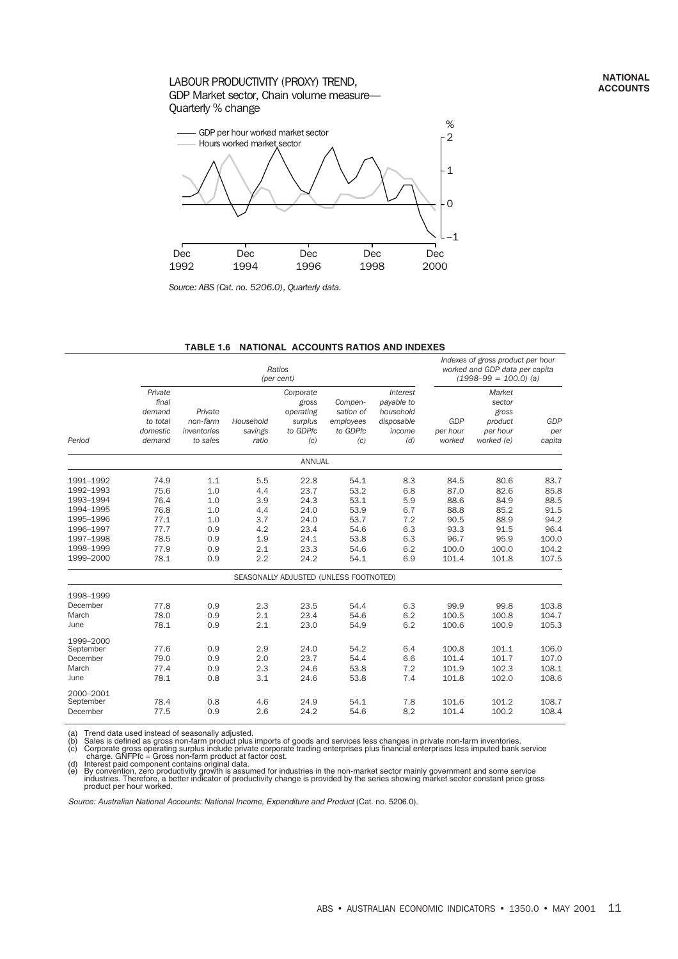#### LABOUR PRODUCTIVITY (PROXY) TREND, GDP Market sector, Chain volume measure— Quarterly % change



*Source: ABS (Cat. no. 5206.0), Quarterly data.*

|                        |                                                              |                                                |                               | Ratios<br>(per cent)                                          |                                                      |                                                                    |                           | Indexes of gross product per hour<br>worked and GDP data per capita<br>$(1998-99) = 100.0$ (a) |                      |
|------------------------|--------------------------------------------------------------|------------------------------------------------|-------------------------------|---------------------------------------------------------------|------------------------------------------------------|--------------------------------------------------------------------|---------------------------|------------------------------------------------------------------------------------------------|----------------------|
| Period                 | Private<br>final<br>demand<br>to total<br>domestic<br>demand | Private<br>non-farm<br>inventories<br>to sales | Household<br>savings<br>ratio | Corporate<br>gross<br>operating<br>surplus<br>to GDPfc<br>(c) | Compen-<br>sation of<br>employees<br>to GDPfc<br>(c) | Interest<br>payable to<br>household<br>disposable<br>income<br>(d) | GDP<br>per hour<br>worked | Market<br>sector<br>gross<br>product<br>per hour<br>worked (e)                                 | GDP<br>per<br>capita |
|                        |                                                              |                                                |                               | <b>ANNUAL</b>                                                 |                                                      |                                                                    |                           |                                                                                                |                      |
| 1991-1992              | 74.9                                                         | 1.1                                            | 5.5                           | 22.8                                                          | 54.1                                                 | 8.3                                                                | 84.5                      | 80.6                                                                                           | 83.7                 |
| 1992-1993              | 75.6                                                         | 1.0                                            | 4.4                           | 23.7                                                          | 53.2                                                 | 6.8                                                                | 87.0                      | 82.6                                                                                           | 85.8                 |
| 1993-1994              | 76.4                                                         | 1.0                                            | 3.9                           | 24.3                                                          | 53.1                                                 | 5.9                                                                | 88.6                      | 84.9                                                                                           | 88.5                 |
| 1994-1995              | 76.8                                                         | 1.0                                            | 4.4                           | 24.0                                                          | 53.9                                                 | 6.7                                                                | 88.8                      | 85.2                                                                                           | 91.5                 |
| 1995-1996              | 77.1                                                         | 1.0                                            | 3.7                           | 24.0                                                          | 53.7                                                 | 7.2                                                                | 90.5                      | 88.9                                                                                           | 94.2                 |
| 1996-1997              | 77.7                                                         | 0.9                                            | 4.2                           | 23.4                                                          | 54.6                                                 | 6.3                                                                | 93.3                      | 91.5                                                                                           | 96.4                 |
| 1997-1998              | 78.5                                                         | 0.9                                            | 1.9                           | 24.1                                                          | 53.8                                                 | 6.3                                                                | 96.7                      | 95.9                                                                                           | 100.0                |
| 1998-1999              | 77.9                                                         | 0.9                                            | 2.1                           | 23.3                                                          | 54.6                                                 | 6.2                                                                | 100.0                     | 100.0                                                                                          | 104.2                |
| 1999-2000              | 78.1                                                         | 0.9                                            | 2.2                           | 24.2                                                          | 54.1                                                 | 6.9                                                                | 101.4                     | 101.8                                                                                          | 107.5                |
|                        |                                                              |                                                |                               |                                                               | SEASONALLY ADJUSTED (UNLESS FOOTNOTED)               |                                                                    |                           |                                                                                                |                      |
| 1998-1999              |                                                              |                                                |                               |                                                               |                                                      |                                                                    |                           |                                                                                                |                      |
| December               | 77.8                                                         | 0.9                                            | 2.3                           | 23.5                                                          | 54.4                                                 | 6.3                                                                | 99.9                      | 99.8                                                                                           | 103.8                |
| March                  | 78.0                                                         | 0.9                                            | 2.1                           | 23.4                                                          | 54.6                                                 | 6.2                                                                | 100.5                     | 100.8                                                                                          | 104.7                |
| June                   | 78.1                                                         | 0.9                                            | 2.1                           | 23.0                                                          | 54.9                                                 | 6.2                                                                | 100.6                     | 100.9                                                                                          | 105.3                |
| 1999-2000              |                                                              |                                                |                               |                                                               |                                                      |                                                                    |                           |                                                                                                |                      |
| September              | 77.6                                                         | 0.9                                            | 2.9                           | 24.0                                                          | 54.2                                                 | 6.4                                                                | 100.8                     | 101.1                                                                                          | 106.0                |
| December               | 79.0                                                         | 0.9                                            | 2.0                           | 23.7                                                          | 54.4                                                 | 6.6                                                                | 101.4                     | 101.7                                                                                          | 107.0                |
| March                  | 77.4                                                         | 0.9                                            | 2.3                           | 24.6                                                          | 53.8                                                 | 7.2                                                                | 101.9                     | 102.3                                                                                          | 108.1                |
| June                   | 78.1                                                         | 0.8                                            | 3.1                           | 24.6                                                          | 53.8                                                 | 7.4                                                                | 101.8                     | 102.0                                                                                          | 108.6                |
| 2000-2001<br>September | 78.4                                                         | 0.8                                            | 4.6                           | 24.9                                                          | 54.1                                                 | 7.8                                                                | 101.6                     | 101.2                                                                                          | 108.7                |
| December               | 77.5                                                         | 0.9                                            | 2.6                           | 24.2                                                          | 54.6                                                 | 8.2                                                                | 101.4                     | 100.2                                                                                          | 108.4                |
|                        |                                                              |                                                |                               |                                                               |                                                      |                                                                    |                           |                                                                                                |                      |

**TABLE 1.6 NATIONAL ACCOUNTS RATIOS AND INDEXES**

(a) Trend data used instead of seasonally adjusted.<br>
(b) Sales is defined as gross non-farm inventories.<br>
(b) Sales is defined as gross non-farm product plus imports of goods and services less changes in private non-farm i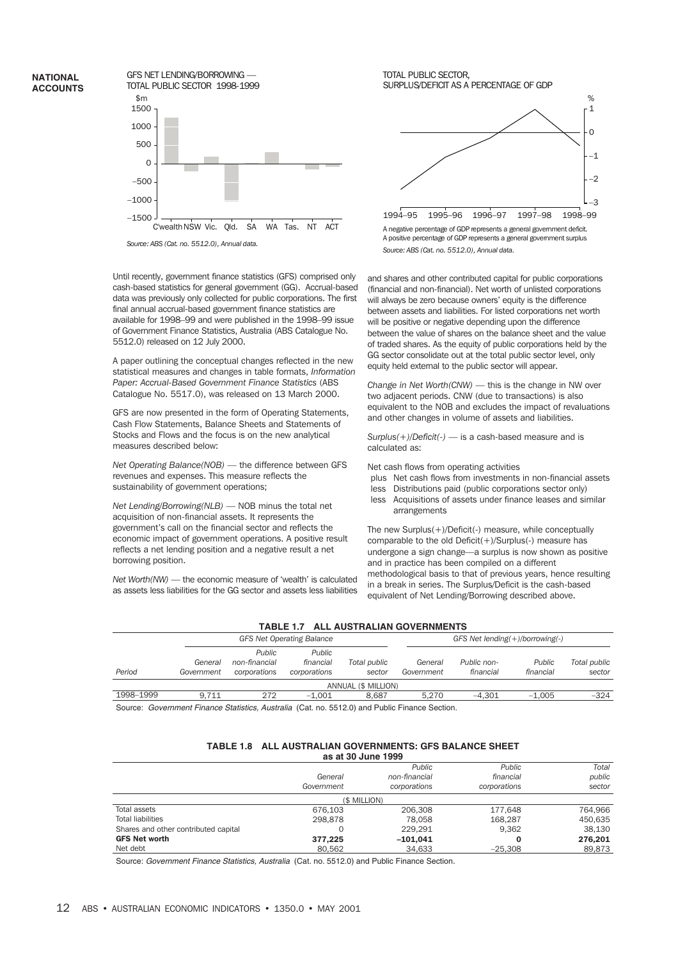

**NATIONAL ACCOUNTS**

> Until recently, government finance statistics (GFS) comprised only cash-based statistics for general government (GG). Accrual-based data was previously only collected for public corporations. The first final annual accrual-based government finance statistics are available for 1998–99 and were published in the 1998–99 issue of Government Finance Statistics, Australia (ABS Catalogue No. 5512.0) released on 12 July 2000.

A paper outlining the conceptual changes reflected in the new statistical measures and changes in table formats, *Information Paper: Accrual-Based Government Finance Statistics* (ABS Catalogue No. 5517.0), was released on 13 March 2000.

GFS are now presented in the form of Operating Statements, Cash Flow Statements, Balance Sheets and Statements of Stocks and Flows and the focus is on the new analytical measures described below:

*Net Operating Balance(NOB) —* the difference between GFS revenues and expenses. This measure reflects the sustainability of government operations;

*Net Lending/Borrowing(NLB)* — NOB minus the total net acquisition of non-financial assets. It represents the government's call on the financial sector and reflects the economic impact of government operations. A positive result reflects a net lending position and a negative result a net borrowing position.

*Net Worth(NW)* — the economic measure of 'wealth' is calculated as assets less liabilities for the GG sector and assets less liabilities TOTAL PUBLIC SECTOR, SURPLUS/DEFICIT AS A PERCENTAGE OF GDP



A negative percentage of GDP represents a general government deficit. A positive percentage of GDP represents a general government surplus *Source: ABS (Cat. no. 5512.0), Annual data.*

and shares and other contributed capital for public corporations (financial and non-financial). Net worth of unlisted corporations will always be zero because owners' equity is the difference between assets and liabilities. For listed corporations net worth will be positive or negative depending upon the difference between the value of shares on the balance sheet and the value of traded shares. As the equity of public corporations held by the GG sector consolidate out at the total public sector level, only equity held external to the public sector will appear.

*Change in Net Worth(CNW)* — this is the change in NW over two adjacent periods. CNW (due to transactions) is also equivalent to the NOB and excludes the impact of revaluations and other changes in volume of assets and liabilities.

*Surplus(+)/Deficit(-)* — is a cash-based measure and is calculated as:

Net cash flows from operating activities

- plus Net cash flows from investments in non-financial assets
- less Distributions paid (public corporations sector only)
- less Acquisitions of assets under finance leases and similar arrangements

The new Surplus(+)/Deficit(-) measure, while conceptually comparable to the old Deficit(+)/Surplus(-) measure has undergone a sign change—a surplus is now shown as positive and in practice has been compiled on a different methodological basis to that of previous years, hence resulting in a break in series. The Surplus/Deficit is the cash-based equivalent of Net Lending/Borrowing described above.

#### **TABLE 1.7 ALL AUSTRALIAN GOVERNMENTS**

|                       |                                         |                                     |                                  | GFS Net lending $(+)$ /borrowing $(-)$ |                          |                     |                        |  |
|-----------------------|-----------------------------------------|-------------------------------------|----------------------------------|----------------------------------------|--------------------------|---------------------|------------------------|--|
| General<br>Government | Public<br>non-financial<br>corporations | Public<br>financial<br>corporations | Total public<br>sector           | General<br>Government                  | Public non-<br>financial | Public<br>financial | Total public<br>sector |  |
|                       |                                         |                                     |                                  |                                        |                          |                     |                        |  |
| 9.711                 | 272                                     | $-1.001$                            | 8.687                            | 5.270                                  | -4.301                   | $-1.005$            | $-324$                 |  |
|                       |                                         |                                     | <b>GFS Net Operating Balance</b> |                                        | ANNUAL (\$ MILLION)      |                     |                        |  |

Source: Government Finance Statistics, Australia (Cat. no. 5512.0) and Public Finance Section.

#### **TABLE 1.8 ALL AUSTRALIAN GOVERNMENTS: GFS BALANCE SHEET as at 30 June 1999**

|                                      | General      | Public<br>non-financial | Public<br>financial | Total<br>public |
|--------------------------------------|--------------|-------------------------|---------------------|-----------------|
|                                      | Government   | corporations            | corporations        | sector          |
|                                      | (\$ MILLION) |                         |                     |                 |
| Total assets                         | 676.103      | 206.308                 | 177.648             | 764.966         |
| <b>Total liabilities</b>             | 298,878      | 78.058                  | 168.287             | 450.635         |
| Shares and other contributed capital | 0            | 229.291                 | 9.362               | 38.130          |
| <b>GFS Net worth</b>                 | 377.225      | $-101.041$              | 0                   | 276.201         |
| Net debt                             | 80.562       | 34.633                  | $-25.308$           | 89.873          |

Source: Government Finance Statistics, Australia (Cat. no. 5512.0) and Public Finance Section.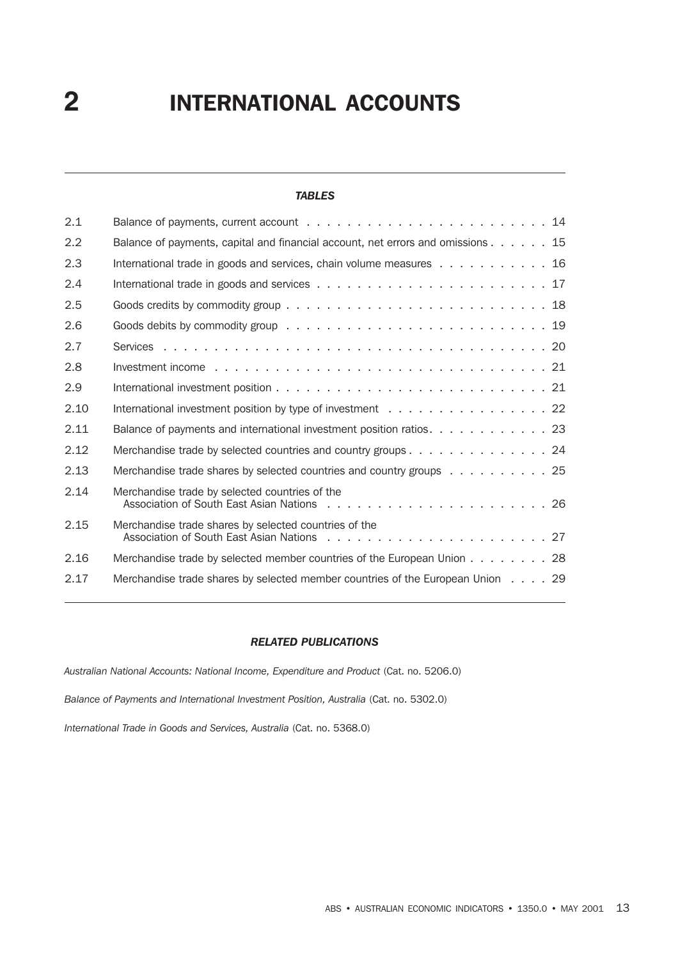#### *TABLES*

| Balance of payments, capital and financial account, net errors and omissions 15                                   |
|-------------------------------------------------------------------------------------------------------------------|
| International trade in goods and services, chain volume measures 16                                               |
|                                                                                                                   |
|                                                                                                                   |
| Goods debits by commodity group $\ldots \ldots \ldots \ldots \ldots \ldots \ldots \ldots \ldots \ldots \ldots 19$ |
|                                                                                                                   |
|                                                                                                                   |
|                                                                                                                   |
| International investment position by type of investment 22                                                        |
| Balance of payments and international investment position ratios. 23                                              |
| Merchandise trade by selected countries and country groups 24                                                     |
| Merchandise trade shares by selected countries and country groups 25                                              |
| Merchandise trade by selected countries of the                                                                    |
| Merchandise trade shares by selected countries of the                                                             |
| Merchandise trade by selected member countries of the European Union 28                                           |
| Merchandise trade shares by selected member countries of the European Union 29                                    |
|                                                                                                                   |

#### *RELATED PUBLICATIONS*

*Australian National Accounts: National Income, Expenditure and Product* (Cat. no. 5206.0)

*Balance of Payments and International Investment Position, Australia* (Cat. no. 5302.0)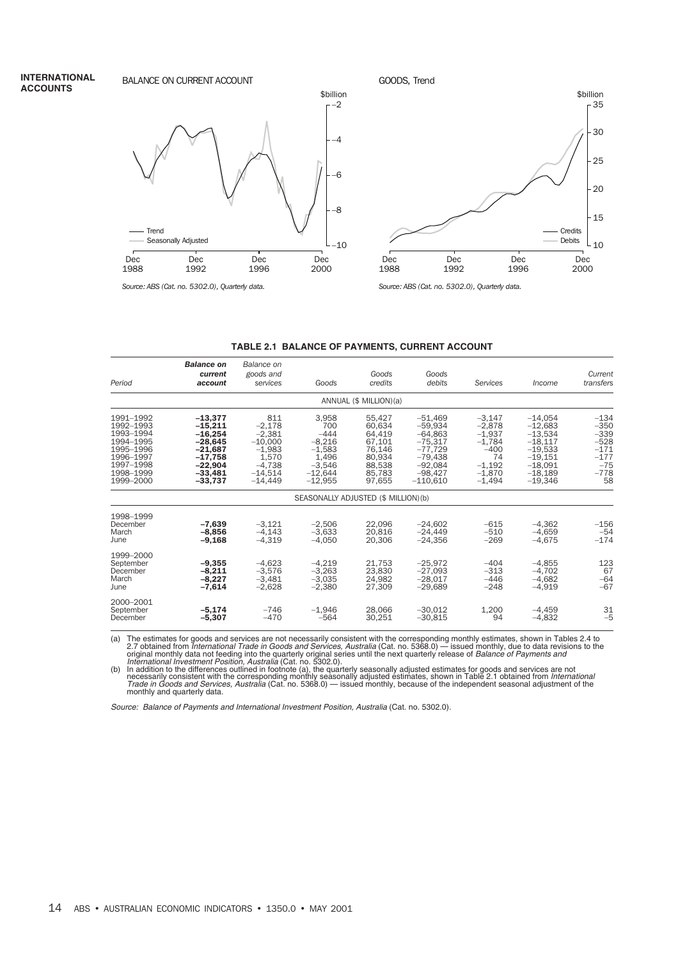BALANCE ON CURRENT ACCOUNT



*Source: ABS (Cat. no. 5302.0), Quarterly data.*



*Source: ABS (Cat. no. 5302.0), Quarterly data.*

#### **TABLE 2.1 BALANCE OF PAYMENTS, CURRENT ACCOUNT**

| Period                                                                                                            | <b>Balance on</b><br>current<br>account                                                                           | Balance on<br>goods and<br>services                                                                 | Goods                                                                                         | Goods<br>credits                                                                       | Goods<br>debits                                                                                                    | Services                                                                                         | Income                                                                                                            | Current<br>transfers                                                              |
|-------------------------------------------------------------------------------------------------------------------|-------------------------------------------------------------------------------------------------------------------|-----------------------------------------------------------------------------------------------------|-----------------------------------------------------------------------------------------------|----------------------------------------------------------------------------------------|--------------------------------------------------------------------------------------------------------------------|--------------------------------------------------------------------------------------------------|-------------------------------------------------------------------------------------------------------------------|-----------------------------------------------------------------------------------|
|                                                                                                                   |                                                                                                                   |                                                                                                     |                                                                                               | ANNUAL (\$ MILLION)(a)                                                                 |                                                                                                                    |                                                                                                  |                                                                                                                   |                                                                                   |
| 1991-1992<br>1992-1993<br>1993-1994<br>1994-1995<br>1995-1996<br>1996-1997<br>1997-1998<br>1998-1999<br>1999-2000 | $-13.377$<br>$-15,211$<br>$-16,254$<br>$-28,645$<br>$-21.687$<br>$-17.758$<br>$-22,904$<br>$-33.481$<br>$-33.737$ | 811<br>$-2,178$<br>$-2,381$<br>$-10,000$<br>$-1.983$<br>1.570<br>$-4.738$<br>$-14.514$<br>$-14.449$ | 3.958<br>700<br>$-444$<br>$-8,216$<br>$-1.583$<br>1.496<br>$-3.546$<br>$-12.644$<br>$-12.955$ | 55.427<br>60.634<br>64,419<br>67.101<br>76.146<br>80.934<br>88,538<br>85.783<br>97.655 | $-51.469$<br>$-59.934$<br>$-64,863$<br>$-75,317$<br>$-77.729$<br>$-79.438$<br>$-92.084$<br>$-98.427$<br>$-110.610$ | $-3.147$<br>$-2,878$<br>$-1,937$<br>$-1.784$<br>$-400$<br>74<br>$-1.192$<br>$-1.870$<br>$-1.494$ | $-14.054$<br>$-12,683$<br>$-13,534$<br>$-18.117$<br>$-19.533$<br>$-19.151$<br>$-18.091$<br>$-18.189$<br>$-19.346$ | $-134$<br>$-350$<br>$-339$<br>$-528$<br>$-171$<br>$-177$<br>$-75$<br>$-778$<br>58 |
|                                                                                                                   |                                                                                                                   |                                                                                                     | SEASONALLY ADJUSTED (\$ MILLION)(b)                                                           |                                                                                        |                                                                                                                    |                                                                                                  |                                                                                                                   |                                                                                   |
| 1998-1999<br>December<br>March<br>June                                                                            | $-7.639$<br>$-8.856$<br>$-9,168$                                                                                  | $-3.121$<br>$-4.143$<br>$-4,319$                                                                    | $-2.506$<br>$-3.633$<br>$-4.050$                                                              | 22,096<br>20.816<br>20,306                                                             | $-24.602$<br>$-24.449$<br>$-24.356$                                                                                | $-615$<br>$-510$<br>$-269$                                                                       | $-4.362$<br>$-4.659$<br>$-4.675$                                                                                  | $-156$<br>$-54$<br>$-174$                                                         |
| 1999-2000<br>September<br>December<br>March<br>June                                                               | $-9,355$<br>$-8,211$<br>$-8.227$<br>$-7,614$                                                                      | $-4.623$<br>$-3,576$<br>$-3.481$<br>$-2,628$                                                        | $-4.219$<br>$-3,263$<br>$-3.035$<br>$-2,380$                                                  | 21.753<br>23,830<br>24.982<br>27,309                                                   | $-25.972$<br>$-27,093$<br>$-28.017$<br>$-29,689$                                                                   | $-404$<br>$-313$<br>$-446$<br>$-248$                                                             | $-4,855$<br>$-4,702$<br>$-4.682$<br>$-4,919$                                                                      | 123<br>67<br>$-64$<br>$-67$                                                       |
| 2000-2001<br>September<br>December                                                                                | $-5,174$<br>$-5,307$                                                                                              | $-746$<br>$-470$                                                                                    | $-1.946$<br>$-564$                                                                            | 28.066<br>30,251                                                                       | $-30,012$<br>$-30,815$                                                                                             | 1,200<br>94                                                                                      | $-4,459$<br>$-4,832$                                                                                              | 31<br>$-5$                                                                        |

(a) The estimates for goods and services are not necessarily consistent with the corresponding monthly estimates, shown in Tables 2.4 to 2.7 obtained from *International Trade in Goods and Services*, *Australia* (Cat. no.

monthly and quarterly data.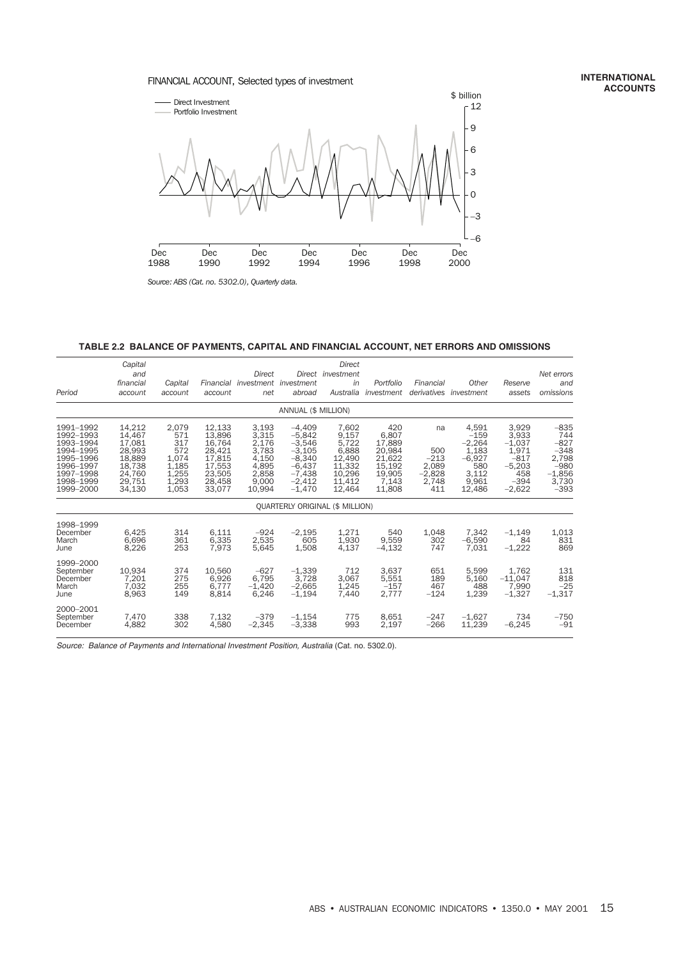



*Source: ABS (Cat. no. 5302.0), Quarterly data.*

**TABLE 2.2 BALANCE OF PAYMENTS, CAPITAL AND FINANCIAL ACCOUNT, NET ERRORS AND OMISSIONS**

| Period                                                                                                            | Capital<br>and<br>financial<br>account                                                 | Capital<br>account                                                      | Financial<br>account                                                                   | Direct<br>investment<br>net                                                    | Direct<br>investment<br>abroad                                                                           | Direct<br>investment<br>in<br>Australia                                            | Portfolio<br>investment                                                           | Financial<br>derivatives                                 | Other<br>investment                                                                 | Reserve<br>assets                                                                      | Net errors<br>and<br>omissions                                                      |
|-------------------------------------------------------------------------------------------------------------------|----------------------------------------------------------------------------------------|-------------------------------------------------------------------------|----------------------------------------------------------------------------------------|--------------------------------------------------------------------------------|----------------------------------------------------------------------------------------------------------|------------------------------------------------------------------------------------|-----------------------------------------------------------------------------------|----------------------------------------------------------|-------------------------------------------------------------------------------------|----------------------------------------------------------------------------------------|-------------------------------------------------------------------------------------|
|                                                                                                                   |                                                                                        |                                                                         |                                                                                        |                                                                                | ANNUAL (\$ MILLION)                                                                                      |                                                                                    |                                                                                   |                                                          |                                                                                     |                                                                                        |                                                                                     |
| 1991-1992<br>1992-1993<br>1993-1994<br>1994-1995<br>1995-1996<br>1996-1997<br>1997-1998<br>1998-1999<br>1999-2000 | 14,212<br>14,467<br>17,081<br>28,993<br>18,889<br>18,738<br>24,760<br>29.751<br>34,130 | 2,079<br>571<br>317<br>572<br>1.074<br>1,185<br>1,255<br>1,293<br>1,053 | 12,133<br>13,896<br>16,764<br>28,421<br>17,815<br>17,553<br>23,505<br>28.458<br>33,077 | 3,193<br>3,315<br>2,176<br>3,783<br>4,150<br>4,895<br>2,858<br>9,000<br>10.994 | $-4,409$<br>$-5,842$<br>$-3,546$<br>$-3,105$<br>$-8,340$<br>$-6,437$<br>$-7.438$<br>$-2,412$<br>$-1,470$ | 7,602<br>9,157<br>5,722<br>6,888<br>12,490<br>11,332<br>10,296<br>11.412<br>12,464 | 420<br>6,807<br>17,889<br>20,984<br>21,622<br>15,192<br>19.905<br>7.143<br>11,808 | na<br>500<br>$-213$<br>2,089<br>$-2.828$<br>2,748<br>411 | 4,591<br>$-159$<br>$-2,264$<br>1,183<br>$-6,927$<br>580<br>3,112<br>9,961<br>12,486 | 3,929<br>3,933<br>$-1,037$<br>1,971<br>$-817$<br>$-5,203$<br>458<br>$-394$<br>$-2,622$ | $-835$<br>744<br>$-827$<br>$-348$<br>2,798<br>$-980$<br>$-1,856$<br>3,730<br>$-393$ |
|                                                                                                                   |                                                                                        |                                                                         |                                                                                        |                                                                                |                                                                                                          | <b>OUARTERLY ORIGINAL (\$ MILLION)</b>                                             |                                                                                   |                                                          |                                                                                     |                                                                                        |                                                                                     |
| 1998-1999<br>December<br>March<br>June                                                                            | 6,425<br>6.696<br>8,226                                                                | 314<br>361<br>253                                                       | 6,111<br>6,335<br>7,973                                                                | $-924$<br>2,535<br>5,645                                                       | $-2,195$<br>605<br>1,508                                                                                 | 1,271<br>1,930<br>4,137                                                            | 540<br>9,559<br>$-4,132$                                                          | 1,048<br>302<br>747                                      | 7,342<br>$-6,590$<br>7,031                                                          | $-1.149$<br>84<br>$-1,222$                                                             | 1,013<br>831<br>869                                                                 |
| 1999-2000<br>September<br>December<br>March<br>June                                                               | 10.934<br>7.201<br>7,032<br>8,963                                                      | 374<br>275<br>255<br>149                                                | 10.560<br>6,926<br>6.777<br>8,814                                                      | $-627$<br>6,795<br>$-1.420$<br>6,246                                           | $-1,339$<br>3,728<br>$-2,665$<br>$-1,194$                                                                | 712<br>3.067<br>1,245<br>7,440                                                     | 3.637<br>5,551<br>$-157$<br>2,777                                                 | 651<br>189<br>467<br>$-124$                              | 5,599<br>5,160<br>488<br>1,239                                                      | 1.762<br>$-11,047$<br>7,990<br>$-1,327$                                                | 131<br>818<br>$-25$<br>$-1,317$                                                     |
| 2000-2001<br>September<br>December                                                                                | 7,470<br>4.882                                                                         | 338<br>302                                                              | 7,132<br>4.580                                                                         | $-379$<br>$-2.345$                                                             | $-1.154$<br>$-3,338$                                                                                     | 775<br>993                                                                         | 8.651<br>2.197                                                                    | $-247$<br>$-266$                                         | $-1,627$<br>11,239                                                                  | 734<br>$-6,245$                                                                        | $-750$<br>$-91$                                                                     |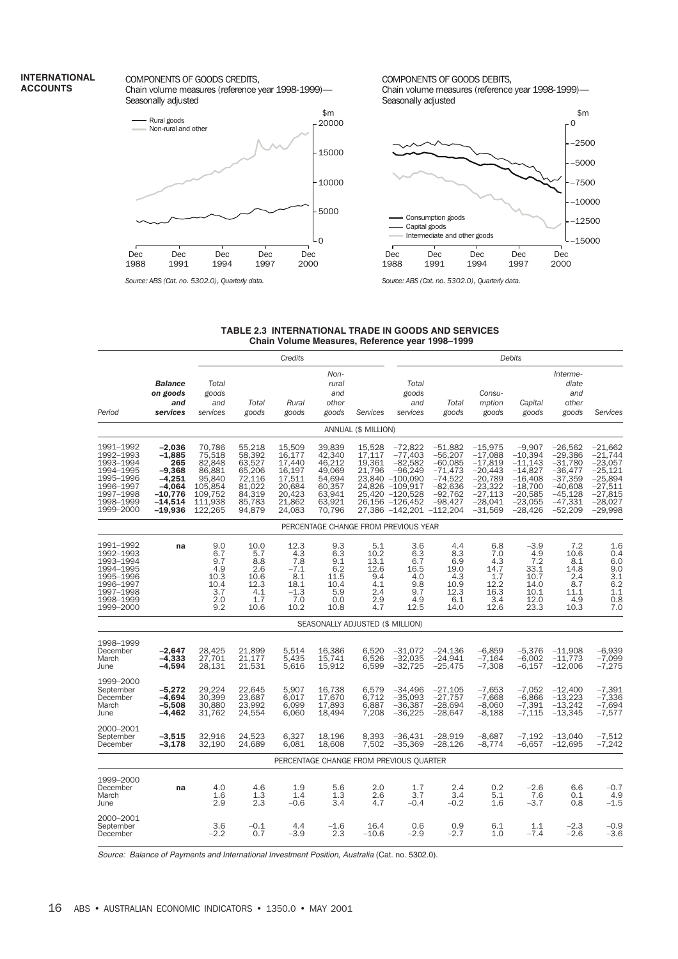COMPONENTS OF GOODS CREDITS, Chain volume measures (reference year 1998-1999)— Seasonally adjusted



*Source: ABS (Cat. no. 5302.0), Quarterly data.*

COMPONENTS OF GOODS DEBITS, Chain volume measures (reference year 1998-1999)— Seasonally adjusted



*Source: ABS (Cat. no. 5302.0), Quarterly data.*

#### **TABLE 2.3 INTERNATIONAL TRADE IN GOODS AND SERVICES Chain Volume Measures, Reference year 1998–1999**

|                                                                                                                   |                                                                                                        |                                                                                            | Credits                                                                                |                                                                                                |                                                                                        |                                                                |                                                                                                                                                          | Debits                                                                                               |                                                                                                                   |                                                                                                                  |                                                                                                                   |                                                                                                                   |
|-------------------------------------------------------------------------------------------------------------------|--------------------------------------------------------------------------------------------------------|--------------------------------------------------------------------------------------------|----------------------------------------------------------------------------------------|------------------------------------------------------------------------------------------------|----------------------------------------------------------------------------------------|----------------------------------------------------------------|----------------------------------------------------------------------------------------------------------------------------------------------------------|------------------------------------------------------------------------------------------------------|-------------------------------------------------------------------------------------------------------------------|------------------------------------------------------------------------------------------------------------------|-------------------------------------------------------------------------------------------------------------------|-------------------------------------------------------------------------------------------------------------------|
| Period                                                                                                            | <b>Balance</b><br>on goods<br>and<br>services                                                          | Total<br>goods<br>and<br>services                                                          | Total<br>goods                                                                         | Rural<br>goods                                                                                 | Non-<br>rural<br>and<br>other<br>goods                                                 | Services                                                       | Total<br>goods<br>and<br>services                                                                                                                        | Total<br>goods                                                                                       | Consu-<br>mption<br>goods                                                                                         | Capital<br>goods                                                                                                 | Interme-<br>diate<br>and<br>other<br>goods                                                                        | Services                                                                                                          |
|                                                                                                                   |                                                                                                        |                                                                                            |                                                                                        |                                                                                                |                                                                                        | ANNUAL (\$ MILLION)                                            |                                                                                                                                                          |                                                                                                      |                                                                                                                   |                                                                                                                  |                                                                                                                   |                                                                                                                   |
| 1991-1992<br>1992-1993<br>1993-1994<br>1994-1995<br>1995-1996<br>1996-1997<br>1997-1998<br>1998-1999<br>1999-2000 | $-2,036$<br>$-1,885$<br>265<br>$-9,368$<br>$-4,251$<br>$-4,064$<br>$-10,776$<br>$-14,514$<br>$-19,936$ | 70,786<br>75,518<br>82,848<br>86,881<br>95,840<br>105,854<br>109,752<br>111,938<br>122,265 | 55,218<br>58,392<br>63,527<br>65,206<br>72,116<br>81,022<br>84,319<br>85,783<br>94,879 | 15,509<br>16,177<br>17,440<br>16,197<br>17,511<br>20,684<br>20,423<br>21,862<br>24,083         | 39,839<br>42,340<br>46,212<br>49,069<br>54,694<br>60,357<br>63,941<br>63,921<br>70,796 | 15,528<br>17,117<br>19,361<br>21,796                           | $-72,822$<br>$-77,403$<br>$-82,582$<br>$-96,249$<br>23,840 -100,090<br>24,826 -109,917<br>25,420 -120,528<br>26,156 -126,452<br>27,386 -142,201 -112,204 | $-51,882$<br>$-56,207$<br>$-60,085$<br>$-71,473$<br>$-74,522$<br>$-82,636$<br>$-92,762$<br>$-98,427$ | $-15,975$<br>$-17,088$<br>$-17,819$<br>$-20,443$<br>$-20,789$<br>$-23,322$<br>$-27,113$<br>$-28,041$<br>$-31,569$ | $-9,907$<br>$-10,394$<br>$-11,143$<br>$-14,827$<br>$-16,408$<br>$-18,700$<br>$-20,585$<br>$-23,055$<br>$-28,426$ | $-26,562$<br>$-29,386$<br>$-31,780$<br>$-36,477$<br>$-37,359$<br>$-40,608$<br>$-45,128$<br>$-47,331$<br>$-52,209$ | $-21,662$<br>$-21,744$<br>$-23,057$<br>$-25,121$<br>$-25,894$<br>$-27,511$<br>$-27,815$<br>$-28,027$<br>$-29,998$ |
|                                                                                                                   |                                                                                                        |                                                                                            |                                                                                        |                                                                                                | PERCENTAGE CHANGE FROM PREVIOUS YEAR                                                   |                                                                |                                                                                                                                                          |                                                                                                      |                                                                                                                   |                                                                                                                  |                                                                                                                   |                                                                                                                   |
| 1991–1992<br>1992-1993<br>1993-1994<br>1994-1995<br>1995-1996<br>1996-1997<br>1997-1998<br>1998-1999<br>1999-2000 | na                                                                                                     | 9.0<br>6.7<br>9.7<br>$^{4.9}_{10.3}$<br>10.4<br>3.7<br>2.0<br>9.2                          | 10.0<br>5.7<br>8.8<br>2.6<br>10.6<br>12.3<br>4.1<br>1.7<br>10.6                        | 12.3<br>$\overline{4.3}$<br>7.8<br>$-7.1$<br>8.1<br>18.1<br>$-1.3$<br>$\overline{7}.0$<br>10.2 | 9.3<br>6.3<br>9.1<br>$6.2$<br>11.5<br>10.4<br>5.9<br>0.0<br>10.8                       | 5.1<br>10.2<br>13.1<br>12.6<br>9.4<br>4.1<br>2.4<br>2.9<br>4.7 | 3.6<br>6.3<br>6.7<br>16.5<br>4.0<br>9.8<br>9.7<br>4.9<br>12.5                                                                                            | 4.4<br>8.3<br>6.9<br>19.0<br>$-4.3$<br>10.9<br>12.3<br>6.1<br>14.0                                   | 6.8<br>7.0<br>4.3<br>14.7<br>1.7<br>12.2<br>16.3<br>3.4<br>12.6                                                   | $-3.9$<br>4.9<br>7.2<br>33.1<br>10.7<br>14.0<br>10.1<br>12.0<br>23.3                                             | 7.2<br>10.6<br>8.1<br>14.8<br>2.4<br>8.7<br>11.1<br>4.9<br>10.3                                                   | 1.6<br>0.4<br>6.0<br>9.0<br>$\overline{3.1}$<br>6.2<br>1.1<br>0.8<br>7.0                                          |
|                                                                                                                   |                                                                                                        |                                                                                            |                                                                                        |                                                                                                | SEASONALLY ADJUSTED (\$ MILLION)                                                       |                                                                |                                                                                                                                                          |                                                                                                      |                                                                                                                   |                                                                                                                  |                                                                                                                   |                                                                                                                   |
| 1998-1999<br>December<br>March<br>June                                                                            | $-2,647$<br>$-4,333$<br>$-4,594$                                                                       | 28,425<br>27,701<br>28,131                                                                 | 21,899<br>21,177<br>21,531                                                             | 5,514<br>5,435<br>5,616                                                                        | 16,386<br>15,741<br>15,912                                                             | 6,520<br>6,526<br>6,599                                        | $-31,072$<br>$-32,035$<br>$-32,725$                                                                                                                      | $-24,136$<br>$-24,941$<br>$-25,475$                                                                  | $-6,859$<br>$-7,164$<br>$-7,308$                                                                                  | $-5,376$<br>$-6,002$<br>$-6,157$                                                                                 | $-11,908$<br>$-11,773$<br>$-12,006$                                                                               | $-6,939$<br>$-7,099$<br>$-7,275$                                                                                  |
| 1999-2000<br>September<br>December<br>March<br>June                                                               | $-5,272$<br>$-4.694$<br>$-5,508$<br>-4,462                                                             | 29.224<br>30,399<br>30,880<br>31,762                                                       | 22,645<br>23,687<br>23,992<br>24,554                                                   | 5.907<br>6,017<br>6,099<br>6,060                                                               | 16,738<br>17,670<br>17,893<br>18,494                                                   | 6,579<br>6,712<br>6,887<br>7,208                               | $-34.496$<br>$-35.093$<br>$-36,387$<br>$-36,225$                                                                                                         | $-27,105$<br>$-27,757$<br>$-28,694$<br>$-28,647$                                                     | $-7,653$<br>$-7,668$<br>$-8,060$<br>$-8,188$                                                                      | $-7,052$<br>$-6.866$<br>$-7,391$<br>$-7,115$                                                                     | $-12,400$<br>$-13,223$<br>$-13,242$<br>$-13,345$                                                                  | $-7,391$<br>$-7,336$<br>$-7,694$<br>$-7,577$                                                                      |
| 2000-2001<br>September<br>December                                                                                | $-3,515$<br>$-3,178$                                                                                   | 32,916<br>32,190                                                                           | 24,523<br>24,689                                                                       | 6,327<br>6,081                                                                                 | 18,196<br>18,608                                                                       | 8,393<br>7,502                                                 | -36,431<br>$-35,369$                                                                                                                                     | $-28,919$<br>$-28,126$                                                                               | $-8,687$<br>$-8,774$                                                                                              | -7,192<br>$-6,657$                                                                                               | $-13,040$<br>$-12,695$                                                                                            | $-7,512$<br>$-7,242$                                                                                              |
|                                                                                                                   |                                                                                                        |                                                                                            |                                                                                        |                                                                                                | PERCENTAGE CHANGE FROM PREVIOUS QUARTER                                                |                                                                |                                                                                                                                                          |                                                                                                      |                                                                                                                   |                                                                                                                  |                                                                                                                   |                                                                                                                   |
| 1999-2000<br>December<br>March<br>June                                                                            | na                                                                                                     | 4.0<br>1.6<br>2.9                                                                          | 4.6<br>1.3<br>2.3                                                                      | 1.9<br>1.4<br>$-0.6$                                                                           | 5.6<br>1.3<br>3.4                                                                      | 2.0<br>2.6<br>4.7                                              | 1.7<br>3.7<br>$-0.4$                                                                                                                                     | $^{2.4}_{3.4}$<br>$-0.2$                                                                             | 0.2<br>5.1<br>1.6                                                                                                 | $-2.6$<br>7.6<br>$-3.7$                                                                                          | 6.6<br>0.1<br>0.8                                                                                                 | $-0.7$<br>4.9<br>$-1.5$                                                                                           |
| 2000-2001<br>September<br>December                                                                                |                                                                                                        | 3.6<br>$-2.2$                                                                              | $-0.1$<br>0.7                                                                          | 4.4<br>$-3.9$                                                                                  | $-1.6$<br>2.3                                                                          | 16.4<br>$-10.6$                                                | 0.6<br>$-2.9$                                                                                                                                            | 0.9<br>$-2.7$                                                                                        | 6.1<br>1.0                                                                                                        | 1.1<br>$-7.4$                                                                                                    | $-2.3$<br>$-2.6$                                                                                                  | $-0.9$<br>$-3.6$                                                                                                  |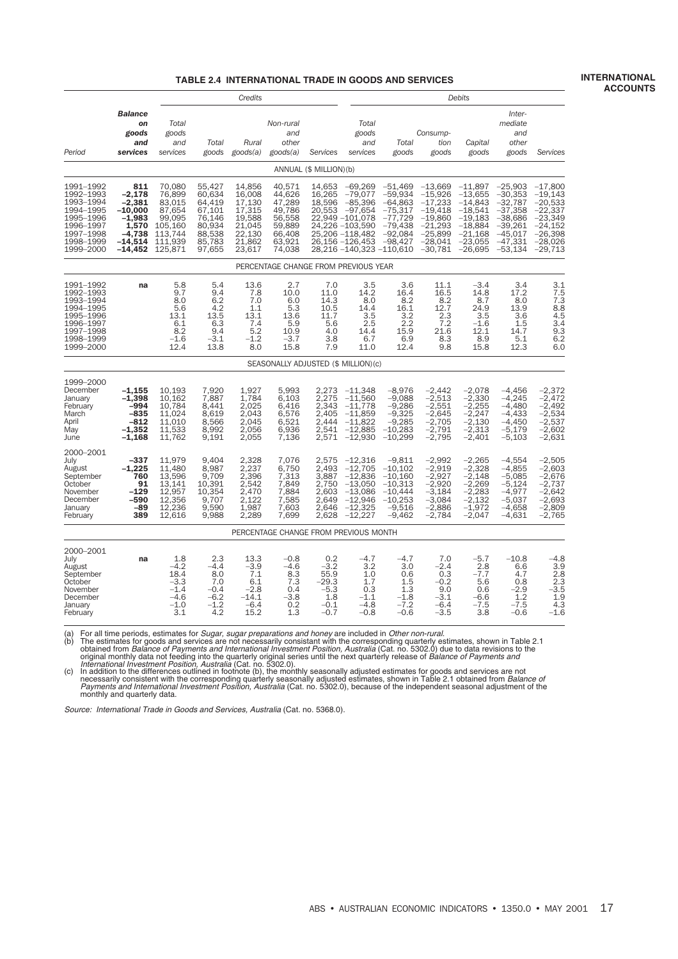#### **TABLE 2.4 INTERNATIONAL TRADE IN GOODS AND SERVICES**

|                                                                                                                   |                                                                                                   |                                                                                            | Credits                                                                                |                                                                                        |                                                                                        |                                                                       |                                                                                                                                                          | Debits                                                                                               |                                                                                                                             |                                                                                                      |                                                                                                               |                                                                                                                   |
|-------------------------------------------------------------------------------------------------------------------|---------------------------------------------------------------------------------------------------|--------------------------------------------------------------------------------------------|----------------------------------------------------------------------------------------|----------------------------------------------------------------------------------------|----------------------------------------------------------------------------------------|-----------------------------------------------------------------------|----------------------------------------------------------------------------------------------------------------------------------------------------------|------------------------------------------------------------------------------------------------------|-----------------------------------------------------------------------------------------------------------------------------|------------------------------------------------------------------------------------------------------|---------------------------------------------------------------------------------------------------------------|-------------------------------------------------------------------------------------------------------------------|
| Period                                                                                                            | <b>Balance</b><br>on<br>goods<br>and<br>services                                                  | Total<br>goods<br>and<br>services                                                          | Total<br>goods                                                                         | Rural<br>goods(a)                                                                      | Non-rural<br>and<br>other<br>$\text{goods}(a)$                                         | Services                                                              | Total<br>goods<br>and<br>services                                                                                                                        | Total<br>goods                                                                                       | Consump-<br>tion<br>goods                                                                                                   | Capital<br>goods                                                                                     | Inter-<br>mediate<br>and<br>other<br>goods                                                                    | Services                                                                                                          |
|                                                                                                                   |                                                                                                   |                                                                                            |                                                                                        |                                                                                        |                                                                                        | ANNUAL (\$ MILLION)(b)                                                |                                                                                                                                                          |                                                                                                      |                                                                                                                             |                                                                                                      |                                                                                                               |                                                                                                                   |
| 1991-1992<br>1992-1993<br>1993-1994<br>1994-1995<br>1995-1996<br>1996-1997<br>1997-1998<br>1998-1999<br>1999-2000 | 811<br>$-2,178$<br>$-2,381$<br>$-10,000$<br>$-1,983$<br>1,570<br>$-4,738$<br>$-14.514$<br>-14,452 | 70,080<br>76,899<br>83,015<br>87,654<br>99,095<br>105,160<br>113,744<br>111,939<br>125,871 | 55,427<br>60,634<br>64,419<br>67,101<br>76,146<br>80,934<br>88,538<br>85,783<br>97,655 | 14,856<br>16,008<br>17,130<br>17,315<br>19,588<br>21,045<br>22,130<br>21,862<br>23,617 | 40,571<br>44,626<br>47,289<br>49,786<br>56,558<br>59,889<br>66,408<br>63,921<br>74,038 | 14,653<br>16,265<br>18,596<br>20,553                                  | $-69,269$<br>$-79,077$<br>$-85,396$<br>$-97,654$<br>22,949 -101,078<br>24,226 -103,590<br>25,206 -118,482<br>26,156 -126,453<br>28,216 -140,323 -110,610 | $-51,469$<br>$-59,934$<br>$-64,863$<br>$-75,317$<br>$-77,729$<br>$-79,438$<br>$-92,084$<br>$-98,427$ | $-13,669$<br>$-15,926$<br>$-17,233$<br>$-19,418$<br>$-19,860$<br>$-21,293$<br>$-25,899$<br>$-28,041$<br>$-30,781$ $-26,695$ | $-11,897$<br>$-13,655$<br>$-14,843$<br>$-18,541$<br>$-19,183$<br>$-18,884$<br>$-21,168$<br>$-23,055$ | $-25,903$<br>$-30,353$<br>–32,787<br>–37,358<br>$-38,686$<br>$-39,261$<br>$-45,017$<br>$-47,331$<br>$-53,134$ | $-17,800$<br>$-19.143$<br>$-20,533$<br>$-22,337$<br>$-23,349$<br>$-24.152$<br>$-26,398$<br>$-28.026$<br>$-29,713$ |
|                                                                                                                   |                                                                                                   |                                                                                            |                                                                                        |                                                                                        | PERCENTAGE CHANGE FROM PREVIOUS YEAR                                                   |                                                                       |                                                                                                                                                          |                                                                                                      |                                                                                                                             |                                                                                                      |                                                                                                               |                                                                                                                   |
| 1991-1992<br>1992-1993<br>1993-1994<br>1994-1995<br>1995-1996<br>1996-1997<br>1997-1998<br>1998-1999<br>1999-2000 | na                                                                                                | 5.8<br>9.7<br>8.0<br>5.6<br>13.1<br>6.1<br>8.2<br>$-1.6$<br>12.4                           | 5.4<br>9.4<br>6.2<br>4.2<br>13.5<br>6.3<br>9.4<br>$-3.1$<br>13.8                       | 13.6<br>7.8<br>7.0<br>1.1<br>13.1<br>7.4<br>5.2<br>$-1.2$<br>8.0                       | 2.7<br>10.0<br>6.0<br>5.3<br>13.6<br>5.9<br>10.9<br>$-3.7$<br>15.8                     | 7.0<br>11.0<br>14.3<br>10.5<br>11.7<br>5.6<br>4.0<br>3.8<br>7.9       | 3.5<br>14.2<br>8.0<br>14.4<br>3.5<br>2.5<br>14.4<br>6.7<br>11.0                                                                                          | 3.6<br>16.4<br>8.2<br>16.1<br>3.2<br>2.2<br>15.9<br>6.9<br>12.4                                      | 11.1<br>16.5<br>8.2<br>12.7<br>2.3<br>7.2<br>21.6<br>8.3<br>9.8                                                             | $-3.4$<br>14.8<br>8.7<br>24.9<br>3.5<br>$-1.6$<br>12.1<br>8.9<br>15.8                                | 3.4<br>17.2<br>8.0<br>13.9<br>3.6<br>1.5<br>14.7<br>5.1<br>12.3                                               | 3.1<br>$7.5$<br>$7.3$<br>8.8<br>4.5<br>3.4<br>$\begin{array}{c} 9.3 \\ 6.2 \end{array}$<br>6.0                    |
|                                                                                                                   |                                                                                                   |                                                                                            |                                                                                        |                                                                                        | SEASONALLY ADJUSTED (\$ MILLION)(c)                                                    |                                                                       |                                                                                                                                                          |                                                                                                      |                                                                                                                             |                                                                                                      |                                                                                                               |                                                                                                                   |
| 1999-2000<br>December<br>January<br>February<br>March<br>April<br>May<br>June                                     | $-1,155$<br>$-1,398$<br>$-994$<br>$-835$<br>$-812$<br>$-1,352$<br>$-1,168$                        | 10,193<br>10,162<br>10,784<br>11,024<br>11,010<br>11,533<br>11,762                         | 7,920<br>7,887<br>8,441<br>8,619<br>8,566<br>8,992<br>9,191                            | 1,927<br>1,784<br>2,025<br>2,043<br>2,045<br>2,056<br>2,055                            | 5,993<br>6,103<br>6,416<br>6,576<br>6,521<br>6,936<br>7,136                            | 2,273<br>2,275<br>2,343<br>2,405<br>2,444<br>2,541<br>2,571           | $-11,348$<br>$-11,560$<br>$-11,778$<br>$-11,859$<br>$-11,822$<br>$-12,885$<br>$-12,930$                                                                  | $-8,976$<br>$-9,088$<br>$-9,286$<br>$-9,325$<br>$-9,285$<br>$-10,283$<br>$-10,299$                   | $-2,442$<br>$-2,513$<br>$-2,551$<br>$-2,645$<br>$-2,705$<br>$-2,791$<br>$-2,795$                                            | $-2,078$<br>$-2,330$<br>$-2,255$<br>$-2,247$<br>$-2,130$<br>$-2,313$<br>$-2,401$                     | $-4,456$<br>$-4,245$<br>$-4,480$<br>$-4,433$<br>$-4,450$<br>$-5,179$<br>$-5,103$                              | $-2,372$<br>$-2,472$<br>$-2,492$<br>$-2,534$<br>$-2,537$<br>$-2,602$<br>$-2,631$                                  |
| 2000-2001<br>July<br>August<br>September<br>October<br>November<br>December<br>January<br>February                | $-337$<br>$-1,225$<br>760<br>91<br>$-129$<br>-590<br>-89<br>389                                   | 11,979<br>11,480<br>13,596<br>13,141<br>12,957<br>12,356<br>12,236<br>12,616               | 9,404<br>8,987<br>9,709<br>10,391<br>10,354<br>9,707<br>9,590<br>9,988                 | 2,328<br>2,237<br>2,396<br>2,542<br>2,470<br>2,122<br>1,987<br>2,289                   | 7,076<br>6,750<br>7,313<br>7,849<br>7,884<br>7,585<br>7,603<br>7,699                   | 2,575<br>2.493<br>3,887<br>2,750<br>2,603<br>2,649<br>2,646<br>2,628  | $-12,316$<br>$-12,705$<br>$-12,836$<br>$-13,050$<br>$-13,086$<br>$-12,946$<br>$-12,325$<br>$-12,227$                                                     | $-9,811$<br>$-10,102$<br>$-10,160$<br>$-10,313$<br>$-10,444$<br>$-10,253$<br>$-9,516$<br>$-9,462$    | $-2,992$<br>$-2,919$<br>$-2,927$<br>$-2,920$<br>$-3,184$<br>$-3,084$<br>$-2,886$<br>$-2,784$                                | $-2,265$<br>$-2,328$<br>$-2,148$<br>$-2,269$<br>$-2,283$<br>$-2,132$<br>$-1,972$<br>$-2,047$         | $-4,554$<br>$-4,855$<br>$-5,085$<br>$-5,124$<br>$-4,977$<br>$-5,037$<br>$-4,658$<br>$-4,631$                  | $-2,505$<br>$-2.603$<br>$-2,676$<br>$-2,737$<br>$-2,642$<br>$-2,693$<br>$-2,809$<br>$-2,765$                      |
|                                                                                                                   |                                                                                                   |                                                                                            |                                                                                        |                                                                                        | PERCENTAGE CHANGE FROM PREVIOUS MONTH                                                  |                                                                       |                                                                                                                                                          |                                                                                                      |                                                                                                                             |                                                                                                      |                                                                                                               |                                                                                                                   |
| 2000-2001<br>July<br>August<br>September<br>October<br>November<br>December<br>January<br>February                | na                                                                                                | 1.8<br>$-4.2$<br>18.4<br>$-3.3$<br>$-1.4$<br>$-4.6$<br>-1.0<br>3.1                         | 2.3<br>$-4.4$<br>8.0<br>7.0<br>-0.4<br>-6.2<br>$-1.2$<br>4.2                           | 13.3<br>$-3.9$<br>7.1<br>6.1<br>$-2.8$<br>$-14.1$<br>$-6.4$<br>15.2                    | $-0.8$<br>$-4.6$<br>8.3<br>7.3<br>0.4<br>$-3.8$<br>0.2<br>1.3                          | 0.2<br>$-3.2$<br>55.9<br>$-29.3$<br>$-5.3$<br>1.8<br>$-0.1$<br>$-0.7$ | -4.7<br>3.2<br>1.0<br>1.7<br>0.3<br>$^{-1.1}$<br>$-4.8$<br>$-0.8$                                                                                        | $-4.7$<br>3.0<br>0.6<br>1.5<br>1.3<br>$-1.8$<br>$-7.2$<br>$-0.6$                                     | 7.0<br>$-2.4$<br>0.3<br>$-0.2$<br>9.0<br>$-3.1$<br>$-6.4$<br>$-3.5$                                                         | $-5.7$<br>2.8<br>$-7.7$<br>5.6<br>0.6<br>$-6.6$<br>$-7.5$<br>3.8                                     | $-10.8$<br>6.6<br>4.7<br>0.8<br>$-2.9$<br>1.2<br>$-7.5$<br>$-0.6$                                             | -4.8<br>3.9<br>2.8<br>2.3<br>$-3.\overline{5}$<br>1.9<br>4.3<br>$-1.6$                                            |

(a) For all time periods, estimates for *Sugar, sugar preparations and honey* are included in *Other non-rural.*<br>
(b) The estimates for goods and services are not necessarily consistant with the corresponding quarterly es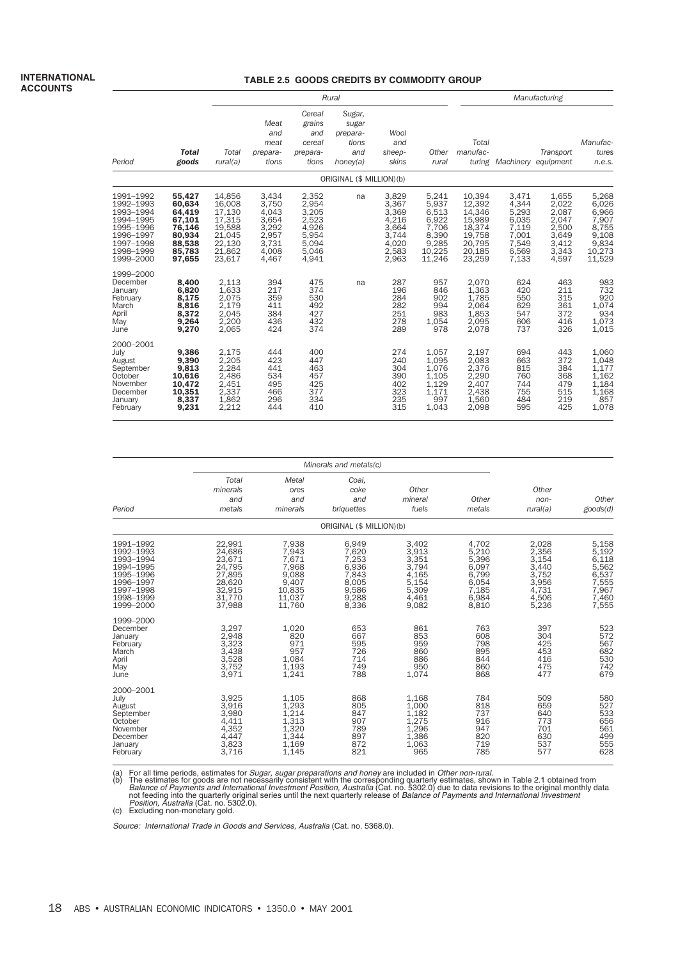#### **TABLE 2.5 GOODS CREDITS BY COMMODITY GROUP**

|                                                                                                                   |                                                                                        |                                                                                        |                                                                               | Rural                                                                         | Manufacturing                                           |                                                                               |                                                                                 |                                                                                        |                                                                               |                                                                               |                                                                                 |
|-------------------------------------------------------------------------------------------------------------------|----------------------------------------------------------------------------------------|----------------------------------------------------------------------------------------|-------------------------------------------------------------------------------|-------------------------------------------------------------------------------|---------------------------------------------------------|-------------------------------------------------------------------------------|---------------------------------------------------------------------------------|----------------------------------------------------------------------------------------|-------------------------------------------------------------------------------|-------------------------------------------------------------------------------|---------------------------------------------------------------------------------|
| Period                                                                                                            | <b>Total</b><br>goods                                                                  | Total<br>rural(a)                                                                      | Meat<br>and<br>meat<br>prepara-<br>tions                                      | Cereal<br>grains<br>and<br>cereal<br>prepara-<br>tions                        | Sugar,<br>sugar<br>prepara-<br>tions<br>and<br>honey(a) | Wool<br>and<br>sheep-<br>skins                                                | Other<br>rural                                                                  | Total<br>manufac-                                                                      |                                                                               | Transport<br>turing Machinery equipment                                       | Manufac-<br>tures<br>n.e.s.                                                     |
|                                                                                                                   |                                                                                        |                                                                                        |                                                                               |                                                                               | ORIGINAL (\$ MILLION)(b)                                |                                                                               |                                                                                 |                                                                                        |                                                                               |                                                                               |                                                                                 |
| 1991-1992<br>1992-1993<br>1993-1994<br>1994-1995<br>1995-1996<br>1996-1997<br>1997-1998<br>1998-1999<br>1999-2000 | 55,427<br>60,634<br>64,419<br>67,101<br>76,146<br>80,934<br>88,538<br>85,783<br>97,655 | 14,856<br>16,008<br>17,130<br>17,315<br>19,588<br>21,045<br>22,130<br>21,862<br>23,617 | 3,434<br>3,750<br>4,043<br>3,654<br>3,292<br>2,957<br>3,731<br>4,008<br>4,467 | 2,352<br>2,954<br>3,205<br>2,523<br>4,926<br>5,954<br>5,094<br>5,046<br>4,941 | na                                                      | 3,829<br>3,367<br>3,369<br>4.216<br>3,664<br>3,744<br>4,020<br>2,583<br>2,963 | 5,241<br>5,937<br>6,513<br>6,922<br>7,706<br>8,390<br>9,285<br>10,225<br>11,246 | 10,394<br>12,392<br>14,346<br>15,989<br>18,374<br>19,758<br>20,795<br>20,185<br>23,259 | 3,471<br>4,344<br>5,293<br>6,035<br>7,119<br>7,001<br>7,549<br>6,569<br>7,133 | 1,655<br>2,022<br>2,087<br>2,047<br>2,500<br>3,649<br>3,412<br>3,343<br>4,597 | 5,268<br>6,026<br>6,966<br>7,907<br>8,755<br>9,108<br>9,834<br>10,273<br>11,529 |
| 1999-2000<br>December<br>January<br>February<br>March<br>April<br>May<br>June                                     | 8.400<br>6,820<br>8,175<br>8,816<br>8,372<br>9,264<br>9.270                            | 2,113<br>1,633<br>2,075<br>2,179<br>2,045<br>2,200<br>2,065                            | 394<br>217<br>359<br>411<br>384<br>436<br>424                                 | 475<br>374<br>530<br>492<br>427<br>432<br>374                                 | na                                                      | 287<br>196<br>284<br>282<br>251<br>278<br>289                                 | 957<br>846<br>902<br>994<br>983<br>1,054<br>978                                 | 2,070<br>1,363<br>1.785<br>2,064<br>1,853<br>2,095<br>2,078                            | 624<br>420<br>550<br>629<br>547<br>606<br>737                                 | 463<br>211<br>315<br>361<br>372<br>416<br>326                                 | 983<br>732<br>920<br>1,074<br>934<br>1,073<br>1,015                             |
| 2000-2001<br>July<br>August<br>September<br>October<br>November<br>December<br>January<br>February                | 9,386<br>9,390<br>9,813<br>10,616<br>10,472<br>10,351<br>8,337<br>9,231                | 2,175<br>2,205<br>2,284<br>2,486<br>2,451<br>2,337<br>1,862<br>2,212                   | 444<br>423<br>441<br>534<br>495<br>466<br>296<br>444                          | 400<br>447<br>463<br>457<br>425<br>377<br>334<br>410                          |                                                         | 274<br>240<br>304<br>390<br>402<br>323<br>235<br>315                          | 1,057<br>1,095<br>1,076<br>1.105<br>1,129<br>1,171<br>997<br>1,043              | 2,197<br>2,083<br>2,376<br>2,290<br>2,407<br>2,438<br>1,560<br>2,098                   | 694<br>663<br>815<br>760<br>744<br>755<br>484<br>595                          | 443<br>372<br>384<br>368<br>479<br>515<br>219<br>425                          | 1,060<br>1,048<br>1,177<br>1,162<br>1,184<br>1,168<br>857<br>1,078              |

| Period                                                                                                            | Total<br>minerals<br>and<br>metals                                                     | Metal<br>ores<br>and<br>minerals                                                 | Coal,<br>coke<br>and<br>briquettes                                            | Other<br>mineral<br>fuels                                                     | Other<br>metals                                                               | Other<br>non-<br>rural(a)                                                     | Other<br>goods(d)                                                             |
|-------------------------------------------------------------------------------------------------------------------|----------------------------------------------------------------------------------------|----------------------------------------------------------------------------------|-------------------------------------------------------------------------------|-------------------------------------------------------------------------------|-------------------------------------------------------------------------------|-------------------------------------------------------------------------------|-------------------------------------------------------------------------------|
|                                                                                                                   |                                                                                        |                                                                                  | ORIGINAL (\$ MILLION)(b)                                                      |                                                                               |                                                                               |                                                                               |                                                                               |
| 1991-1992<br>1992-1993<br>1993-1994<br>1994-1995<br>1995-1996<br>1996-1997<br>1997-1998<br>1998-1999<br>1999-2000 | 22,991<br>24,686<br>23,671<br>24.795<br>27,895<br>28,620<br>32,915<br>31,770<br>37,988 | 7,938<br>7,943<br>7,671<br>7,968<br>9,088<br>9,407<br>10,835<br>11,037<br>11,760 | 6,949<br>7,620<br>7,253<br>6,936<br>7,843<br>8,005<br>9,586<br>9,288<br>8,336 | 3,402<br>3,913<br>3,351<br>3,794<br>4,165<br>5,154<br>5,309<br>4,461<br>9,082 | 4,702<br>5,210<br>5,396<br>6.097<br>6,799<br>6,054<br>7,185<br>6,984<br>8,810 | 2,028<br>2.356<br>3,154<br>3,440<br>3,752<br>3,956<br>4,731<br>4,506<br>5,236 | 5,158<br>5,192<br>6,118<br>5,562<br>6,537<br>7,555<br>7,967<br>7,460<br>7,555 |
| 1999-2000<br>December<br>January<br>February<br>March<br>April<br>May<br>June                                     | 3,297<br>2,948<br>3,323<br>3,438<br>3,528<br>3,752<br>3,971                            | 1,020<br>820<br>971<br>957<br>1,084<br>1,193<br>1,241                            | 653<br>667<br>595<br>726<br>714<br>749<br>788                                 | 861<br>853<br>959<br>860<br>886<br>950<br>1,074                               | 763<br>608<br>798<br>895<br>844<br>860<br>868                                 | 397<br>304<br>425<br>453<br>416<br>475<br>477                                 | 523<br>572<br>567<br>682<br>530<br>742<br>679                                 |
| 2000-2001<br>July<br>August<br>September<br>October<br>November<br>December<br>January<br>February                | 3,925<br>3,916<br>3,980<br>4,411<br>4,352<br>4,447<br>3,823<br>3,716                   | 1,105<br>1,293<br>1,214<br>1,313<br>1,320<br>1,344<br>1,169<br>1,145             | 868<br>805<br>847<br>907<br>789<br>897<br>872<br>821                          | 1.168<br>1.000<br>1,182<br>1,275<br>1,296<br>1,386<br>1,063<br>965            | 784<br>818<br>737<br>916<br>947<br>820<br>719<br>785                          | 509<br>659<br>640<br>773<br>701<br>630<br>537<br>577                          | 580<br>527<br>533<br>656<br>561<br>499<br>555<br>628                          |

(a) For all time periods, estimates for *Sugar, sugar preparations and honey* are included in *Other non-rural*.<br>
(b) The estimates for goods are not necessarily consistent with the corresponding quarterly estimates, shown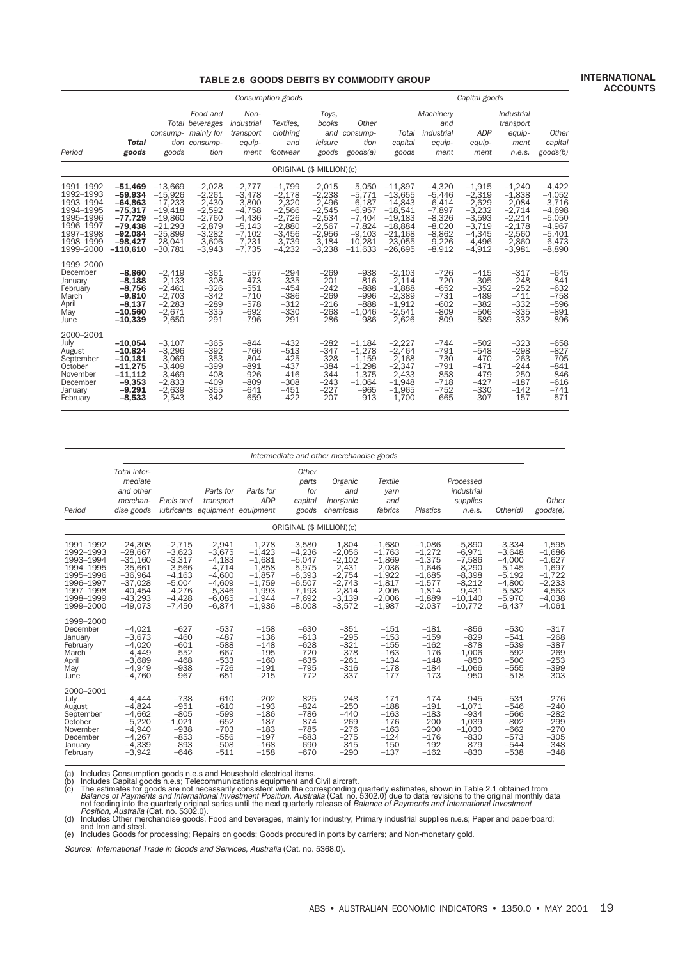#### **TABLE 2.6 GOODS DEBITS BY COMMODITY GROUP**

|                                                                                                                   |                                                                                                                    |                                                                                                                   |                                                                                                          |                                                                                                          | Consumption goods                                                                                        | Capital goods                                                                                            |                                                                                                            |                                                                                                                   |                                                                                                          |                                                                                                          |                                                                                                          |                                                                                                          |
|-------------------------------------------------------------------------------------------------------------------|--------------------------------------------------------------------------------------------------------------------|-------------------------------------------------------------------------------------------------------------------|----------------------------------------------------------------------------------------------------------|----------------------------------------------------------------------------------------------------------|----------------------------------------------------------------------------------------------------------|----------------------------------------------------------------------------------------------------------|------------------------------------------------------------------------------------------------------------|-------------------------------------------------------------------------------------------------------------------|----------------------------------------------------------------------------------------------------------|----------------------------------------------------------------------------------------------------------|----------------------------------------------------------------------------------------------------------|----------------------------------------------------------------------------------------------------------|
| Period                                                                                                            | <b>Total</b><br>goods                                                                                              | goods                                                                                                             | Food and<br>Total beverages<br>consump- mainly for<br>tion consump-<br>tion                              | Non-<br>industrial<br>transport<br>equip-<br>ment                                                        | Textiles.<br>clothing<br>and<br>footwear                                                                 | Toys.<br>books<br>and<br>leisure<br>goods                                                                | Other<br>consump-<br>tion<br>$\text{goods}(a)$                                                             | Total<br>capital<br>goods                                                                                         | Machinery<br>and<br>industrial<br>equip-<br>ment                                                         | <b>ADP</b><br>equip-<br>ment                                                                             | Industrial<br>transport<br>equip-<br>ment<br>n.e.s.                                                      | Other<br>capital<br>goods(b)                                                                             |
|                                                                                                                   |                                                                                                                    |                                                                                                                   |                                                                                                          |                                                                                                          |                                                                                                          | ORIGINAL (\$ MILLION)(c)                                                                                 |                                                                                                            |                                                                                                                   |                                                                                                          |                                                                                                          |                                                                                                          |                                                                                                          |
| 1991-1992<br>1992-1993<br>1993-1994<br>1994-1995<br>1995-1996<br>1996-1997<br>1997-1998<br>1998-1999<br>1999-2000 | $-51,469$<br>$-59.934$<br>$-64,863$<br>$-75,317$<br>$-77,729$<br>$-79.438$<br>$-92,084$<br>$-98,427$<br>$-110.610$ | $-13,669$<br>$-15.926$<br>$-17,233$<br>$-19,418$<br>$-19,860$<br>$-21.293$<br>$-25,899$<br>$-28.041$<br>$-30.781$ | $-2.028$<br>$-2.261$<br>$-2,430$<br>$-2,592$<br>$-2.760$<br>$-2.879$<br>$-3,282$<br>$-3.606$<br>$-3,943$ | $-2,777$<br>$-3.478$<br>$-3,800$<br>$-4,758$<br>$-4,436$<br>$-5.143$<br>$-7,102$<br>$-7.231$<br>$-7,735$ | $-1,799$<br>$-2.178$<br>$-2.320$<br>$-2,566$<br>$-2.726$<br>$-2.880$<br>$-3,456$<br>$-3.739$<br>$-4,232$ | $-2,015$<br>$-2.238$<br>$-2,496$<br>$-2,545$<br>$-2,534$<br>$-2.567$<br>$-2,956$<br>$-3.184$<br>$-3,238$ | $-5,050$<br>$-5.771$<br>$-6.187$<br>$-6,957$<br>$-7,404$<br>$-7.824$<br>$-9,103$<br>$-10.281$<br>$-11,633$ | $-11,897$<br>$-13.655$<br>$-14.843$<br>$-18,541$<br>$-19.183$<br>$-18.884$<br>$-21.168$<br>$-23.055$<br>$-26.695$ | $-4,320$<br>$-5.446$<br>$-6.414$<br>$-7,897$<br>$-8,326$<br>$-8.020$<br>$-8,862$<br>$-9,226$<br>$-8,912$ | $-1,915$<br>$-2.319$<br>$-2,629$<br>$-3,232$<br>$-3,593$<br>$-3.719$<br>$-4,345$<br>$-4.496$<br>$-4,912$ | $-1.240$<br>$-1.838$<br>$-2,084$<br>$-2,714$<br>$-2.214$<br>$-2.178$<br>$-2,560$<br>$-2.860$<br>$-3,981$ | $-4,422$<br>$-4.052$<br>$-3,716$<br>$-4,698$<br>$-5,050$<br>$-4.967$<br>$-5,401$<br>$-6.473$<br>$-8,890$ |
| 1999-2000<br>December<br>January<br>February<br>March<br>April<br>May<br>June                                     | $-8,860$<br>$-8,188$<br>$-8,756$<br>$-9,810$<br>$-8,137$<br>$-10,560$<br>$-10,339$                                 | $-2,419$<br>$-2.133$<br>$-2.461$<br>$-2.703$<br>$-2,283$<br>$-2,671$<br>$-2,650$                                  | $-361$<br>$-308$<br>$-326$<br>$-342$<br>$-289$<br>$-335$<br>$-291$                                       | $-557$<br>$-473$<br>$-551$<br>$-710$<br>$-578$<br>$-692$<br>$-796$                                       | $-294$<br>$-335$<br>$-454$<br>$-386$<br>$-312$<br>$-330$<br>$-291$                                       | $-269$<br>$-201$<br>$-242$<br>$-269$<br>$-216$<br>$-268$<br>$-286$                                       | $-938$<br>$-816$<br>$-888$<br>$-996$<br>$-888$<br>$-1,046$<br>$-986$                                       | $-2,103$<br>$-2.114$<br>$-1.888$<br>$-2.389$<br>$-1.912$<br>$-2,541$<br>$-2,626$                                  | $-726$<br>$-720$<br>$-652$<br>$-731$<br>$-602$<br>$-809$<br>$-809$                                       | $-415$<br>$-305$<br>$-352$<br>$-489$<br>$-382$<br>$-506$<br>$-589$                                       | $-317$<br>$-248$<br>$-252$<br>$-411$<br>$-332$<br>$-335$<br>$-332$                                       | $-645$<br>$-841$<br>$-632$<br>$-758$<br>$-596$<br>$-891$<br>$-896$                                       |
| 2000-2001<br>July<br>August<br>September<br>October<br>November<br>December<br>January<br>February                | $-10,054$<br>$-10.824$<br>$-10,181$<br>$-11,275$<br>$-11,112$<br>$-9,353$<br>$-9,291$<br>$-8,533$                  | $-3,107$<br>$-3.296$<br>$-3,069$<br>$-3,409$<br>$-3,469$<br>$-2,833$<br>$-2,639$<br>$-2,543$                      | $-365$<br>$-392$<br>$-353$<br>$-399$<br>$-408$<br>$-409$<br>$-355$<br>$-342$                             | $-844$<br>$-766$<br>$-804$<br>$-891$<br>$-926$<br>$-809$<br>$-641$<br>$-659$                             | $-432$<br>$-513$<br>$-425$<br>$-437$<br>$-416$<br>$-308$<br>$-451$<br>$-422$                             | $-282$<br>$-347$<br>$-328$<br>$-384$<br>$-344$<br>$-243$<br>$-227$<br>$-207$                             | $-1,184$<br>$-1.278$<br>$-1,159$<br>$-1,298$<br>$-1.375$<br>$-1.064$<br>$-965$<br>$-913$                   | $-2,227$<br>$-2.464$<br>$-2,168$<br>$-2,347$<br>$-2.433$<br>$-1.948$<br>$-1.965$<br>$-1.700$                      | $-744$<br>$-791$<br>$-730$<br>$-791$<br>$-858$<br>$-718$<br>$-752$<br>$-665$                             | $-502$<br>$-548$<br>$-470$<br>$-471$<br>$-479$<br>$-427$<br>$-330$<br>$-307$                             | $-323$<br>$-298$<br>$-263$<br>$-244$<br>$-250$<br>$-187$<br>$-142$<br>$-157$                             | $-658$<br>$-827$<br>$-705$<br>$-841$<br>$-846$<br>$-616$<br>$-741$<br>$-571$                             |

|                                                                                                                   |                                                                                                                   | Intermediate and other merchandise goods                                                                 |                                                                                                          |                                                                                                          |                                                                                                          |                                                                                                          |                                                                                                          |                                                                                                          |                                                                                                            |                                                                                                          |                                                                                                          |  |  |  |  |
|-------------------------------------------------------------------------------------------------------------------|-------------------------------------------------------------------------------------------------------------------|----------------------------------------------------------------------------------------------------------|----------------------------------------------------------------------------------------------------------|----------------------------------------------------------------------------------------------------------|----------------------------------------------------------------------------------------------------------|----------------------------------------------------------------------------------------------------------|----------------------------------------------------------------------------------------------------------|----------------------------------------------------------------------------------------------------------|------------------------------------------------------------------------------------------------------------|----------------------------------------------------------------------------------------------------------|----------------------------------------------------------------------------------------------------------|--|--|--|--|
| Period                                                                                                            | Total inter-<br>mediate<br>and other<br>merchan-<br>dise goods                                                    | Fuels and                                                                                                | Parts for<br>transport<br>lubricants equipment equipment                                                 | Parts for<br><b>ADP</b>                                                                                  | Other<br>parts<br>for<br>capital<br>goods                                                                | Organic<br>and<br>inorganic<br>chemicals                                                                 | Textile<br>yam<br>and<br>fabrics                                                                         | Plastics                                                                                                 | Processed<br>industrial<br>supplies<br>n.e.s.                                                              | Other(d)                                                                                                 | Other<br>goods(e)                                                                                        |  |  |  |  |
|                                                                                                                   |                                                                                                                   |                                                                                                          |                                                                                                          |                                                                                                          | ORIGINAL (\$ MILLION)(c)                                                                                 |                                                                                                          |                                                                                                          |                                                                                                          |                                                                                                            |                                                                                                          |                                                                                                          |  |  |  |  |
| 1991-1992<br>1992-1993<br>1993-1994<br>1994-1995<br>1995-1996<br>1996-1997<br>1997-1998<br>1998-1999<br>1999-2000 | $-24,308$<br>$-28,667$<br>$-31,160$<br>$-35,661$<br>$-36,964$<br>$-37,028$<br>$-40.454$<br>$-43,293$<br>$-49,073$ | $-2,715$<br>$-3,623$<br>$-3,317$<br>$-3,566$<br>$-4,163$<br>$-5,004$<br>$-4.276$<br>$-4,428$<br>$-7,450$ | $-2,941$<br>$-3,675$<br>$-4,183$<br>$-4,714$<br>$-4,600$<br>$-4,609$<br>$-5.346$<br>$-6,085$<br>$-6,874$ | $-1,278$<br>$-1,423$<br>$-1,681$<br>$-1,858$<br>$-1,857$<br>$-1,759$<br>$-1.993$<br>$-1,944$<br>$-1,936$ | $-3,580$<br>$-4,236$<br>$-5,047$<br>$-5,975$<br>$-6,393$<br>$-6,507$<br>$-7.193$<br>$-7,692$<br>$-8,008$ | $-1,804$<br>$-2,056$<br>$-2,102$<br>$-2,431$<br>$-2,754$<br>$-2,743$<br>$-2,814$<br>$-3,139$<br>$-3,572$ | $-1,680$<br>$-1,763$<br>$-1,869$<br>$-2,036$<br>$-1,922$<br>$-1,817$<br>$-2.005$<br>$-2,006$<br>$-1,987$ | $-1,086$<br>$-1,272$<br>$-1,375$<br>$-1.646$<br>$-1,685$<br>$-1,577$<br>$-1.814$<br>$-1,889$<br>$-2,037$ | $-5,890$<br>$-6,971$<br>$-7,586$<br>$-8,290$<br>$-8,398$<br>$-8,212$<br>$-9,431$<br>$-10,140$<br>$-10,772$ | $-3,334$<br>$-3,648$<br>$-4,000$<br>$-5,145$<br>$-5,192$<br>$-4,800$<br>$-5.582$<br>$-5,970$<br>$-6,437$ | $-1,595$<br>$-1,686$<br>$-1,627$<br>$-1,697$<br>$-1,722$<br>$-2,233$<br>$-4,563$<br>$-4,038$<br>$-4,061$ |  |  |  |  |
| 1999-2000<br>December<br>January<br>February<br>March<br>April<br>May<br>June                                     | $-4.021$<br>$-3.673$<br>$-4,020$<br>$-4.449$<br>$-3,689$<br>$-4,949$<br>$-4,760$                                  | $-627$<br>$-460$<br>$-601$<br>$-552$<br>$-468$<br>$-938$<br>$-967$                                       | $-537$<br>$-487$<br>$-588$<br>$-667$<br>$-533$<br>$-726$<br>$-651$                                       | $-158$<br>$-136$<br>$-148$<br>$-195$<br>$-160$<br>$-191$<br>$-215$                                       | $-630$<br>$-613$<br>$-628$<br>$-720$<br>$-635$<br>$-795$<br>$-772$                                       | $-351$<br>$-295$<br>$-321$<br>$-378$<br>$-261$<br>$-316$<br>$-337$                                       | $-151$<br>$-153$<br>$-155$<br>$-163$<br>$-134$<br>$-178$<br>$-177$                                       | $-181$<br>$-159$<br>$-162$<br>$-176$<br>$-148$<br>$-184$<br>$-173$                                       | $-856$<br>$-829$<br>$-878$<br>$-1,006$<br>$-850$<br>$-1,066$<br>$-950$                                     | $-530$<br>$-541$<br>$-539$<br>$-592$<br>$-500$<br>$-555$<br>$-518$                                       | $-317$<br>$-268$<br>$-387$<br>$-269$<br>$-253$<br>$-399$<br>$-303$                                       |  |  |  |  |
| 2000-2001<br>July<br>August<br>September<br>October<br>November<br>December<br>January<br>February                | $-4.444$<br>$-4,824$<br>$-4,662$<br>$-5,220$<br>$-4,940$<br>$-4.267$<br>$-4,339$<br>$-3,942$                      | $-738$<br>$-951$<br>$-805$<br>$-1,021$<br>$-938$<br>$-853$<br>$-893$<br>$-646$                           | $-610$<br>$-610$<br>$-599$<br>$-652$<br>$-703$<br>$-556$<br>$-508$<br>$-511$                             | $-202$<br>$-193$<br>$-186$<br>$-187$<br>$-183$<br>$-197$<br>$-168$<br>$-158$                             | $-825$<br>$-824$<br>$-786$<br>$-874$<br>$-785$<br>$-683$<br>$-690$<br>$-670$                             | $-248$<br>$-250$<br>$-440$<br>$-269$<br>$-276$<br>$-275$<br>$-315$<br>$-290$                             | $-171$<br>$-188$<br>$-163$<br>$-176$<br>$-163$<br>$-124$<br>$-150$<br>$-137$                             | $-174$<br>$-191$<br>$-183$<br>$-200$<br>$-200$<br>$-176$<br>$-192$<br>$-162$                             | $-945$<br>$-1,071$<br>$-934$<br>$-1,039$<br>$-1,030$<br>$-830$<br>$-879$<br>$-830$                         | $-531$<br>$-546$<br>$-566$<br>$-802$<br>$-662$<br>$-573$<br>$-544$<br>$-538$                             | $-276$<br>$-240$<br>$-282$<br>$-299$<br>$-270$<br>$-305$<br>$-348$<br>$-348$                             |  |  |  |  |

(a) Includes Consumption goods n.e.s and Household electrical items.<br>
(b) Includes Consumption goods n.e.s; Telecommunications equipment and Civil aircraft.<br>
(c) The estimates for goods n.e.s; Telecommunications equipment

and Iron and steel. (e) Includes Goods for processing; Repairs on goods; Goods procured in ports by carriers; and Non-monetary gold.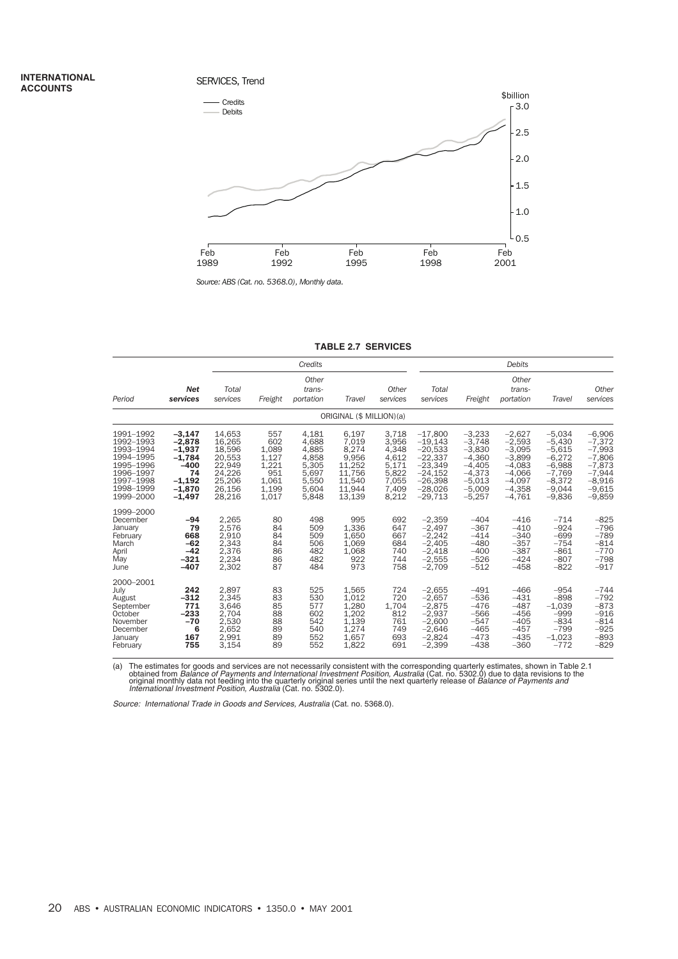#### SERVICES, Trend



*Source: ABS (Cat. no. 5368.0), Monthly data.*

#### **TABLE 2.7 SERVICES**

|                                                                                                                   |                                                                                                  |                                                                                        |                                                                         | Credits                                                                       |                                                                                    |                                                                               | Debits                                                                                                            |                                                                                                          |                                                                                                          |                                                                                                          |                                                                                                          |
|-------------------------------------------------------------------------------------------------------------------|--------------------------------------------------------------------------------------------------|----------------------------------------------------------------------------------------|-------------------------------------------------------------------------|-------------------------------------------------------------------------------|------------------------------------------------------------------------------------|-------------------------------------------------------------------------------|-------------------------------------------------------------------------------------------------------------------|----------------------------------------------------------------------------------------------------------|----------------------------------------------------------------------------------------------------------|----------------------------------------------------------------------------------------------------------|----------------------------------------------------------------------------------------------------------|
| Period                                                                                                            | <b>Net</b><br>services                                                                           | Total<br>services                                                                      | Freight                                                                 | Other<br>trans-<br>portation                                                  | Travel                                                                             | Other<br>services                                                             | Total<br>services                                                                                                 | Freight                                                                                                  | Other<br>trans-<br>portation                                                                             | Travel                                                                                                   | Other<br>services                                                                                        |
|                                                                                                                   |                                                                                                  |                                                                                        |                                                                         |                                                                               | ORIGINAL (\$ MILLION)(a)                                                           |                                                                               |                                                                                                                   |                                                                                                          |                                                                                                          |                                                                                                          |                                                                                                          |
| 1991-1992<br>1992-1993<br>1993-1994<br>1994-1995<br>1995-1996<br>1996-1997<br>1997-1998<br>1998-1999<br>1999-2000 | $-3,147$<br>$-2,878$<br>$-1,937$<br>$-1,784$<br>$-400$<br>74<br>$-1,192$<br>$-1,870$<br>$-1,497$ | 14,653<br>16,265<br>18,596<br>20,553<br>22,949<br>24,226<br>25,206<br>26,156<br>28,216 | 557<br>602<br>1,089<br>1,127<br>1,221<br>951<br>1,061<br>1,199<br>1,017 | 4,181<br>4,688<br>4,885<br>4,858<br>5,305<br>5,697<br>5,550<br>5.604<br>5.848 | 6,197<br>7,019<br>8,274<br>9,956<br>11,252<br>11,756<br>11,540<br>11.944<br>13,139 | 3.718<br>3,956<br>4,348<br>4,612<br>5,171<br>5,822<br>7,055<br>7,409<br>8,212 | $-17,800$<br>$-19,143$<br>$-20,533$<br>$-22,337$<br>$-23.349$<br>$-24,152$<br>$-26,398$<br>$-28,026$<br>$-29.713$ | $-3,233$<br>$-3,748$<br>$-3,830$<br>$-4,360$<br>$-4.405$<br>$-4,373$<br>$-5,013$<br>$-5,009$<br>$-5,257$ | $-2,627$<br>$-2,593$<br>$-3,095$<br>$-3,899$<br>$-4,083$<br>$-4,066$<br>$-4,097$<br>$-4,358$<br>$-4,761$ | $-5,034$<br>$-5,430$<br>$-5,615$<br>$-6,272$<br>$-6,988$<br>$-7,769$<br>$-8,372$<br>$-9,044$<br>$-9,836$ | $-6,906$<br>$-7,372$<br>$-7,993$<br>$-7,806$<br>$-7,873$<br>$-7,944$<br>$-8,916$<br>$-9,615$<br>$-9,859$ |
| 1999-2000<br>December<br>January<br>February<br>March<br>April<br>May<br>June                                     | -94<br>79<br>668<br>$-62$<br>$-42$<br>$-321$<br>$-407$                                           | 2.265<br>2,576<br>2,910<br>2,343<br>2,376<br>2,234<br>2.302                            | 80<br>84<br>84<br>84<br>86<br>86<br>87                                  | 498<br>509<br>509<br>506<br>482<br>482<br>484                                 | 995<br>1,336<br>1,650<br>1,069<br>1,068<br>922<br>973                              | 692<br>647<br>667<br>684<br>740<br>744<br>758                                 | $-2,359$<br>$-2,497$<br>$-2,242$<br>$-2,405$<br>$-2,418$<br>$-2,555$<br>$-2,709$                                  | $-404$<br>$-367$<br>$-414$<br>$-480$<br>$-400$<br>$-526$<br>$-512$                                       | $-416$<br>$-410$<br>$-340$<br>$-357$<br>$-387$<br>$-424$<br>$-458$                                       | $-714$<br>$-924$<br>$-699$<br>$-754$<br>$-861$<br>$-807$<br>$-822$                                       | $-825$<br>$-796$<br>$-789$<br>$-814$<br>$-770$<br>$-798$<br>$-917$                                       |
| 2000-2001<br>July<br>August<br>September<br>October<br>November<br>December<br>January<br>February                | 242<br>$-312$<br>771<br>$-233$<br>$-70$<br>6<br>167<br>755                                       | 2.897<br>2.345<br>3.646<br>2.704<br>2,530<br>2,652<br>2,991<br>3,154                   | 83<br>83<br>85<br>88<br>88<br>89<br>89<br>89                            | 525<br>530<br>577<br>602<br>542<br>540<br>552<br>552                          | 1,565<br>1,012<br>1.280<br>1.202<br>1,139<br>1,274<br>1,657<br>1,822               | 724<br>720<br>1.704<br>812<br>761<br>749<br>693<br>691                        | $-2.655$<br>$-2,657$<br>$-2.875$<br>$-2.937$<br>$-2.600$<br>$-2,646$<br>$-2,824$<br>$-2,399$                      | $-491$<br>$-536$<br>$-476$<br>$-566$<br>$-547$<br>$-465$<br>$-473$<br>$-438$                             | $-466$<br>$-431$<br>$-487$<br>$-456$<br>$-405$<br>$-457$<br>$-435$<br>$-360$                             | $-954$<br>$-898$<br>$-1.039$<br>$-999$<br>$-834$<br>$-799$<br>$-1,023$<br>$-772$                         | $-744$<br>$-792$<br>$-873$<br>$-916$<br>$-814$<br>$-925$<br>$-893$<br>$-829$                             |

(a) The estimates for goods and services are not necessarily consistent with the corresponding quarterly estimates, shown in Table 2.1<br>obtained from *Balance of Payments and International Investment Position, Australia* (C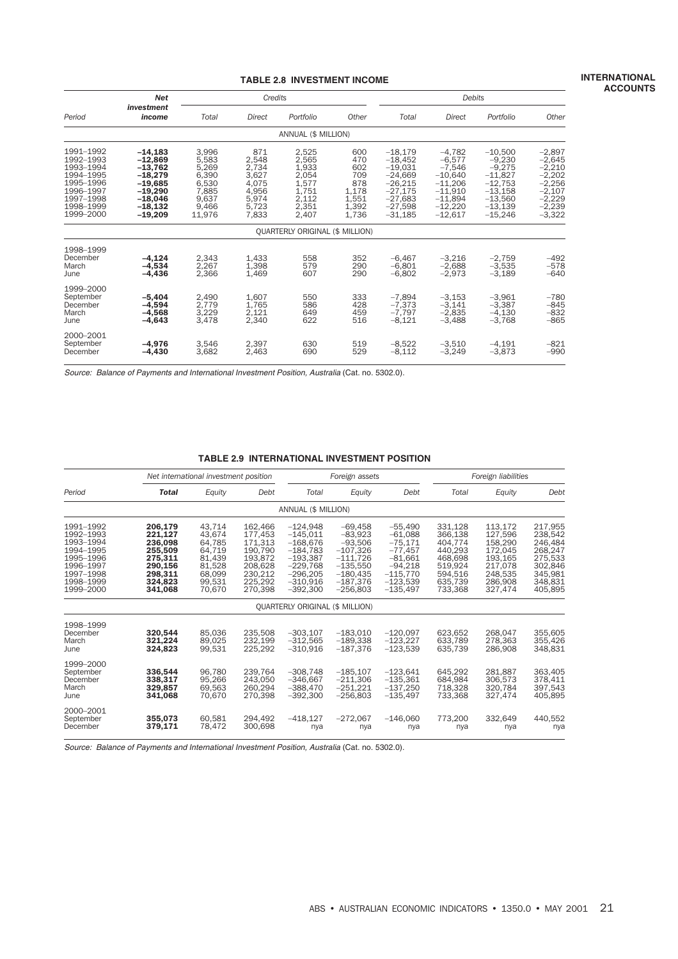#### **TABLE 2.8 INVESTMENT INCOME**

|                                                                                                                   | <b>Net</b>                                                                                                        |                                                                                | Credits                                                                     |                                                                               |                                                                     |                                                                                                                   | Debits                                                                                                         |                                                                                                                 |                                                                                                          |  |
|-------------------------------------------------------------------------------------------------------------------|-------------------------------------------------------------------------------------------------------------------|--------------------------------------------------------------------------------|-----------------------------------------------------------------------------|-------------------------------------------------------------------------------|---------------------------------------------------------------------|-------------------------------------------------------------------------------------------------------------------|----------------------------------------------------------------------------------------------------------------|-----------------------------------------------------------------------------------------------------------------|----------------------------------------------------------------------------------------------------------|--|
| Period                                                                                                            | investment<br>income                                                                                              | Total                                                                          | Direct                                                                      | Portfolio                                                                     | Other                                                               | Total                                                                                                             | Direct                                                                                                         | Portfolio                                                                                                       | Other                                                                                                    |  |
|                                                                                                                   |                                                                                                                   |                                                                                |                                                                             | ANNUAL (\$ MILLION)                                                           |                                                                     |                                                                                                                   |                                                                                                                |                                                                                                                 |                                                                                                          |  |
| 1991-1992<br>1992-1993<br>1993-1994<br>1994-1995<br>1995-1996<br>1996-1997<br>1997-1998<br>1998-1999<br>1999-2000 | $-14.183$<br>$-12,869$<br>$-13,762$<br>$-18,279$<br>$-19,685$<br>$-19,290$<br>$-18.046$<br>$-18.132$<br>$-19,209$ | 3.996<br>5,583<br>5,269<br>6,390<br>6,530<br>7,885<br>9.637<br>9.466<br>11,976 | 871<br>2,548<br>2,734<br>3,627<br>4.075<br>4,956<br>5.974<br>5.723<br>7,833 | 2.525<br>2,565<br>1,933<br>2,054<br>1,577<br>1.751<br>2.112<br>2,351<br>2,407 | 600<br>470<br>602<br>709<br>878<br>1,178<br>1.551<br>1,392<br>1,736 | $-18.179$<br>$-18,452$<br>$-19,031$<br>$-24,669$<br>$-26,215$<br>$-27,175$<br>$-27.683$<br>$-27.598$<br>$-31,185$ | $-4.782$<br>$-6.577$<br>$-7,546$<br>$-10.640$<br>$-11,206$<br>$-11.910$<br>$-11.894$<br>$-12.220$<br>$-12,617$ | $-10.500$<br>$-9.230$<br>$-9,275$<br>$-11,827$<br>$-12,753$<br>$-13.158$<br>$-13.560$<br>$-13.139$<br>$-15,246$ | $-2.897$<br>$-2,645$<br>$-2,210$<br>$-2,202$<br>$-2,256$<br>$-2,107$<br>$-2.229$<br>$-2.239$<br>$-3,322$ |  |
|                                                                                                                   |                                                                                                                   |                                                                                |                                                                             | <b>OUARTERLY ORIGINAL (\$ MILLION)</b>                                        |                                                                     |                                                                                                                   |                                                                                                                |                                                                                                                 |                                                                                                          |  |
| 1998-1999<br>December<br>March<br>June                                                                            | $-4,124$<br>$-4,534$<br>$-4.436$                                                                                  | 2,343<br>2,267<br>2.366                                                        | 1,433<br>1,398<br>1.469                                                     | 558<br>579<br>607                                                             | 352<br>290<br>290                                                   | $-6,467$<br>$-6,801$<br>$-6.802$                                                                                  | $-3,216$<br>$-2,688$<br>$-2.973$                                                                               | $-2,759$<br>$-3,535$<br>$-3,189$                                                                                | $-492$<br>$-578$<br>$-640$                                                                               |  |
| 1999-2000<br>September<br>December<br>March<br>June                                                               | $-5,404$<br>$-4,594$<br>$-4,568$<br>$-4,643$                                                                      | 2,490<br>2.779<br>3,229<br>3,478                                               | 1,607<br>1.765<br>2,121<br>2,340                                            | 550<br>586<br>649<br>622                                                      | 333<br>428<br>459<br>516                                            | $-7,894$<br>$-7,373$<br>$-7,797$<br>$-8,121$                                                                      | $-3,153$<br>$-3,141$<br>$-2,835$<br>$-3,488$                                                                   | $-3,961$<br>$-3,387$<br>$-4,130$<br>$-3,768$                                                                    | $-780$<br>$-845$<br>$-832$<br>$-865$                                                                     |  |
| 2000-2001<br>September<br>December                                                                                | $-4,976$<br>$-4,430$                                                                                              | 3,546<br>3,682                                                                 | 2,397<br>2,463                                                              | 630<br>690                                                                    | 519<br>529                                                          | $-8,522$<br>$-8,112$                                                                                              | $-3,510$<br>$-3,249$                                                                                           | $-4,191$<br>$-3,873$                                                                                            | $-821$<br>$-990$                                                                                         |  |

Source: Balance of Payments and International Investment Position, Australia (Cat. no. 5302.0).

#### **TABLE 2.9 INTERNATIONAL INVESTMENT POSITION**

|                                                                                                                   |                                                                                                 | Net international investment position                                                  |                                                                                                 |                                                                                                                            | Foreign assets                                                                                                          |                                                                                                                      | Foreign liabilities                                                                             |                                                                                                 |                                                                                                 |
|-------------------------------------------------------------------------------------------------------------------|-------------------------------------------------------------------------------------------------|----------------------------------------------------------------------------------------|-------------------------------------------------------------------------------------------------|----------------------------------------------------------------------------------------------------------------------------|-------------------------------------------------------------------------------------------------------------------------|----------------------------------------------------------------------------------------------------------------------|-------------------------------------------------------------------------------------------------|-------------------------------------------------------------------------------------------------|-------------------------------------------------------------------------------------------------|
| Period                                                                                                            | Total                                                                                           | Equity                                                                                 | Debt                                                                                            | Total                                                                                                                      | Equity                                                                                                                  | Debt                                                                                                                 | Total                                                                                           | Equity                                                                                          | Debt                                                                                            |
|                                                                                                                   |                                                                                                 |                                                                                        |                                                                                                 | ANNUAL (\$ MILLION)                                                                                                        |                                                                                                                         |                                                                                                                      |                                                                                                 |                                                                                                 |                                                                                                 |
| 1991-1992<br>1992-1993<br>1993-1994<br>1994-1995<br>1995-1996<br>1996-1997<br>1997-1998<br>1998-1999<br>1999-2000 | 206.179<br>221,127<br>236.098<br>255,509<br>275,311<br>290.156<br>298,311<br>324,823<br>341.068 | 43.714<br>43,674<br>64.785<br>64.719<br>81,439<br>81.528<br>68.099<br>99,531<br>70.670 | 162,466<br>177,453<br>171.313<br>190.790<br>193,872<br>208.628<br>230,212<br>225,292<br>270.398 | $-124,948$<br>$-145.011$<br>$-168.676$<br>$-184.783$<br>$-193,387$<br>$-229.768$<br>$-296.205$<br>$-310,916$<br>$-392.300$ | $-69,458$<br>$-83,923$<br>$-93.506$<br>$-107.326$<br>$-111.726$<br>$-135.550$<br>$-180.435$<br>$-187,376$<br>$-256.803$ | $-55.490$<br>$-61,088$<br>$-75.171$<br>$-77.457$<br>$-81,661$<br>$-94.218$<br>$-115.770$<br>$-123,539$<br>$-135.497$ | 331.128<br>366.138<br>404,774<br>440.293<br>468,698<br>519.924<br>594.516<br>635,739<br>733.368 | 113.172<br>127.596<br>158.290<br>172.045<br>193,165<br>217.078<br>248.535<br>286,908<br>327.474 | 217,955<br>238.542<br>246,484<br>268.247<br>275,533<br>302.846<br>345.981<br>348,831<br>405.895 |
|                                                                                                                   |                                                                                                 |                                                                                        |                                                                                                 | <b>OUARTERLY ORIGINAL (\$ MILLION)</b>                                                                                     |                                                                                                                         |                                                                                                                      |                                                                                                 |                                                                                                 |                                                                                                 |
| 1998-1999<br>December<br>March<br>June                                                                            | 320.544<br>321.224<br>324.823                                                                   | 85.036<br>89.025<br>99.531                                                             | 235.508<br>232.199<br>225.292                                                                   | $-303.107$<br>$-312.565$<br>$-310.916$                                                                                     | $-183.010$<br>$-189.338$<br>$-187.376$                                                                                  | $-120.097$<br>$-123.227$<br>$-123.539$                                                                               | 623.652<br>633.789<br>635.739                                                                   | 268.047<br>278.363<br>286.908                                                                   | 355,605<br>355.426<br>348,831                                                                   |
| 1999-2000<br>September<br>December<br>March<br>June                                                               | 336,544<br>338,317<br>329,857<br>341,068                                                        | 96.780<br>95,266<br>69,563<br>70.670                                                   | 239.764<br>243,050<br>260,294<br>270.398                                                        | $-308,748$<br>$-346,667$<br>$-388,470$<br>$-392.300$                                                                       | $-185,107$<br>$-211,306$<br>$-251,221$<br>$-256.803$                                                                    | $-123,641$<br>$-135,361$<br>$-137,250$<br>$-135.497$                                                                 | 645.292<br>684,984<br>718,328<br>733.368                                                        | 281,887<br>306,573<br>320,784<br>327.474                                                        | 363,405<br>378,411<br>397,543<br>405,895                                                        |
| 2000-2001<br>September<br>December                                                                                | 355,073<br>379,171                                                                              | 60.581<br>78.472                                                                       | 294.492<br>300.698                                                                              | $-418.127$<br>nya                                                                                                          | $-272.067$<br>nya                                                                                                       | $-146.060$<br>nya                                                                                                    | 773.200<br>nya                                                                                  | 332.649<br>nya                                                                                  | 440.552<br>nya                                                                                  |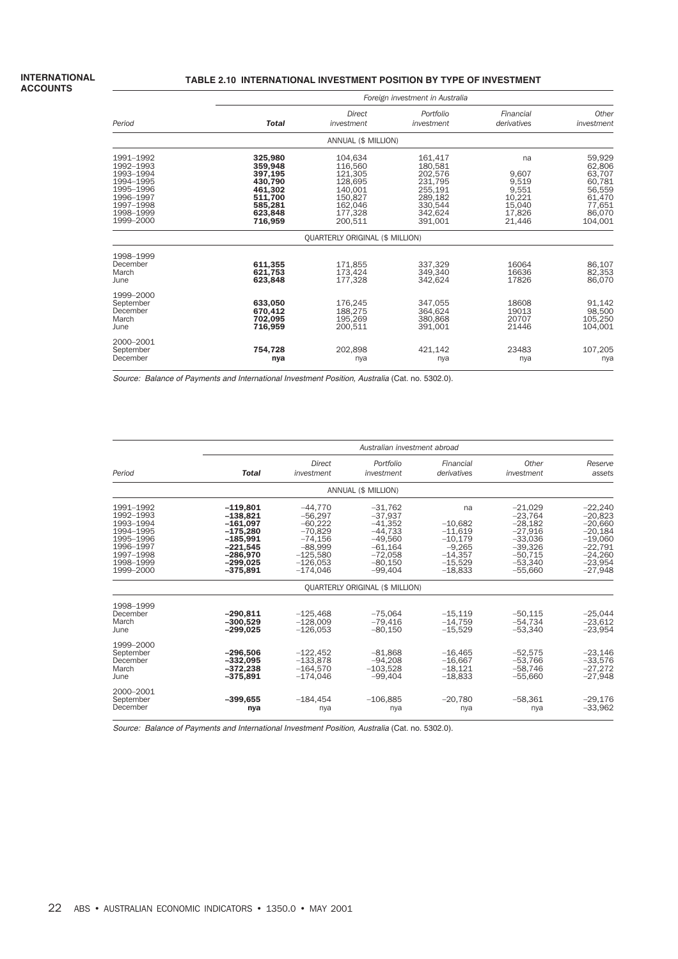#### **TABLE 2.10 INTERNATIONAL INVESTMENT POSITION BY TYPE OF INVESTMENT**

|                                                                                                                   |                                                                                                 |                                                                                                 | Foreign investment in Australia                                                                 |                                                                       |                                                                                         |
|-------------------------------------------------------------------------------------------------------------------|-------------------------------------------------------------------------------------------------|-------------------------------------------------------------------------------------------------|-------------------------------------------------------------------------------------------------|-----------------------------------------------------------------------|-----------------------------------------------------------------------------------------|
| Period                                                                                                            | <b>Total</b>                                                                                    | Direct<br>investment                                                                            | Portfolio<br>investment                                                                         | Financial<br>derivatives                                              | Other<br>investment                                                                     |
|                                                                                                                   |                                                                                                 | ANNUAL (\$ MILLION)                                                                             |                                                                                                 |                                                                       |                                                                                         |
| 1991-1992<br>1992-1993<br>1993-1994<br>1994-1995<br>1995-1996<br>1996-1997<br>1997-1998<br>1998-1999<br>1999-2000 | 325,980<br>359.948<br>397,195<br>430.790<br>461.302<br>511,700<br>585,281<br>623,848<br>716,959 | 104,634<br>116,560<br>121,305<br>128.695<br>140.001<br>150,827<br>162,046<br>177,328<br>200,511 | 161,417<br>180.581<br>202,576<br>231.795<br>255.191<br>289,182<br>330,544<br>342,624<br>391,001 | na<br>9,607<br>9,519<br>9,551<br>10,221<br>15,040<br>17,826<br>21,446 | 59,929<br>62,806<br>63,707<br>60,781<br>56,559<br>61,470<br>77,651<br>86.070<br>104,001 |
|                                                                                                                   |                                                                                                 | <b>QUARTERLY ORIGINAL (\$ MILLION)</b>                                                          |                                                                                                 |                                                                       |                                                                                         |
| 1998-1999<br>December<br>March<br>June                                                                            | 611,355<br>621,753<br>623.848                                                                   | 171.855<br>173,424<br>177,328                                                                   | 337.329<br>349,340<br>342,624                                                                   | 16064<br>16636<br>17826                                               | 86,107<br>82,353<br>86.070                                                              |
| 1999-2000<br>September<br>December<br>March<br>June                                                               | 633.050<br>670.412<br>702.095<br>716,959                                                        | 176.245<br>188.275<br>195.269<br>200,511                                                        | 347.055<br>364.624<br>380.868<br>391,001                                                        | 18608<br>19013<br>20707<br>21446                                      | 91.142<br>98.500<br>105,250<br>104,001                                                  |
| 2000-2001<br>September<br>December                                                                                | 754,728<br>nya                                                                                  | 202,898<br>nya                                                                                  | 421,142<br>nya                                                                                  | 23483<br>nya                                                          | 107,205<br>nya                                                                          |

Source: Balance of Payments and International Investment Position, Australia (Cat. no. 5302.0).

|                                                                                                                   |                                                                                                                            |                                                                                                                      | Australian investment abroad                                                                                      |                                                                                              |                                                                                                                   |                                                                                                                   |
|-------------------------------------------------------------------------------------------------------------------|----------------------------------------------------------------------------------------------------------------------------|----------------------------------------------------------------------------------------------------------------------|-------------------------------------------------------------------------------------------------------------------|----------------------------------------------------------------------------------------------|-------------------------------------------------------------------------------------------------------------------|-------------------------------------------------------------------------------------------------------------------|
| Period                                                                                                            | <b>Total</b>                                                                                                               | Direct<br>investment                                                                                                 | Portfolio<br>investment                                                                                           | Financial<br>derivatives                                                                     | Other<br>investment                                                                                               | Reserve<br>assets                                                                                                 |
|                                                                                                                   |                                                                                                                            |                                                                                                                      | ANNUAL (\$ MILLION)                                                                                               |                                                                                              |                                                                                                                   |                                                                                                                   |
| 1991-1992<br>1992-1993<br>1993-1994<br>1994-1995<br>1995-1996<br>1996-1997<br>1997-1998<br>1998-1999<br>1999-2000 | $-119,801$<br>$-138.821$<br>$-161,097$<br>$-175,280$<br>$-185,991$<br>$-221,545$<br>$-286,970$<br>$-299,025$<br>$-375,891$ | $-44,770$<br>$-56.297$<br>$-60,222$<br>$-70,829$<br>$-74.156$<br>$-88,999$<br>$-125,580$<br>$-126,053$<br>$-174,046$ | $-31,762$<br>$-37.937$<br>$-41,352$<br>$-44.733$<br>$-49.560$<br>$-61,164$<br>$-72,058$<br>$-80,150$<br>$-99,404$ | na<br>$-10,682$<br>$-11,619$<br>$-10.179$<br>$-9,265$<br>$-14,357$<br>$-15,529$<br>$-18,833$ | $-21,029$<br>$-23.764$<br>$-28,182$<br>$-27,916$<br>$-33,036$<br>$-39,326$<br>$-50,715$<br>$-53,340$<br>$-55,660$ | $-22,240$<br>$-20,823$<br>$-20,660$<br>$-20,184$<br>$-19,060$<br>$-22,791$<br>$-24,260$<br>$-23,954$<br>$-27,948$ |
|                                                                                                                   |                                                                                                                            |                                                                                                                      | <b>QUARTERLY ORIGINAL (\$ MILLION)</b>                                                                            |                                                                                              |                                                                                                                   |                                                                                                                   |
| 1998-1999<br>December<br>March<br>June                                                                            | $-290.811$<br>$-300.529$<br>$-299.025$                                                                                     | $-125.468$<br>$-128.009$<br>$-126,053$                                                                               | $-75.064$<br>$-79.416$<br>$-80,150$                                                                               | $-15,119$<br>$-14.759$<br>$-15,529$                                                          | $-50.115$<br>$-54.734$<br>$-53,340$                                                                               | $-25,044$<br>$-23,612$<br>$-23,954$                                                                               |
| 1999-2000<br>September<br>December<br>March<br>June                                                               | $-296,506$<br>$-332,095$<br>$-372,238$<br>$-375,891$                                                                       | $-122,452$<br>$-133,878$<br>$-164.570$<br>$-174,046$                                                                 | $-81.868$<br>$-94,208$<br>$-103.528$<br>$-99,404$                                                                 | $-16.465$<br>$-16,667$<br>$-18.121$<br>$-18,833$                                             | $-52,575$<br>$-53,766$<br>$-58.746$<br>$-55,660$                                                                  | $-23,146$<br>$-33,576$<br>$-27,272$<br>$-27,948$                                                                  |
| 2000-2001<br>September<br>December                                                                                | $-399,655$<br>nya                                                                                                          | $-184,454$<br>nya                                                                                                    | $-106,885$<br>nya                                                                                                 | $-20,780$<br>nya                                                                             | $-58,361$<br>nya                                                                                                  | $-29,176$<br>$-33,962$                                                                                            |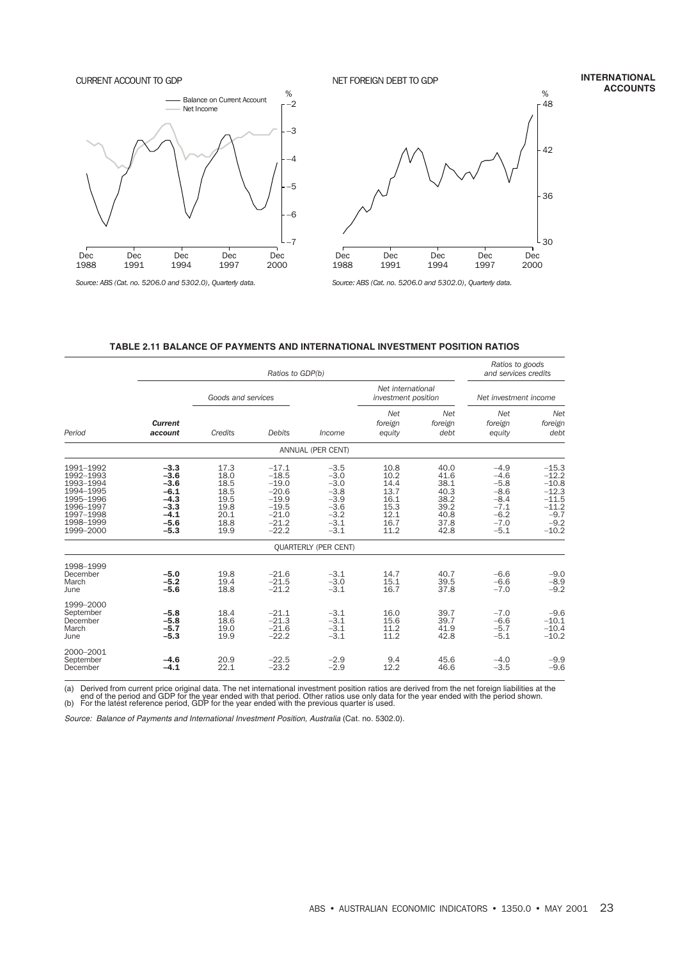

#### NET FOREIGN DEBT TO GDP



*Source: ABS (Cat. no. 5206.0 and 5302.0), Quarterly data.*



*Source: ABS (Cat. no. 5206.0 and 5302.0), Quarterly data.*

|                                                                                                                   |                                                                                        |                                                                      |                                                                                                 | Ratios to goods<br>and services credits                                                |                                                                      |                                                                      |                                                                                        |                                                                                               |
|-------------------------------------------------------------------------------------------------------------------|----------------------------------------------------------------------------------------|----------------------------------------------------------------------|-------------------------------------------------------------------------------------------------|----------------------------------------------------------------------------------------|----------------------------------------------------------------------|----------------------------------------------------------------------|----------------------------------------------------------------------------------------|-----------------------------------------------------------------------------------------------|
|                                                                                                                   |                                                                                        | Goods and services                                                   |                                                                                                 |                                                                                        | Net international<br>investment position                             |                                                                      | Net investment income                                                                  |                                                                                               |
| Period                                                                                                            | <b>Current</b><br>account                                                              | Credits                                                              | Debits                                                                                          | Income                                                                                 | Net<br>foreign<br>equity                                             | Net<br>foreign<br>debt                                               | Net<br>foreign<br>equity                                                               | Net<br>foreign<br>debt                                                                        |
|                                                                                                                   |                                                                                        |                                                                      |                                                                                                 | ANNUAL (PER CENT)                                                                      |                                                                      |                                                                      |                                                                                        |                                                                                               |
| 1991-1992<br>1992-1993<br>1993-1994<br>1994-1995<br>1995-1996<br>1996-1997<br>1997-1998<br>1998-1999<br>1999-2000 | $-3.3$<br>$-3.6$<br>$-3.6$<br>$-6.1$<br>$-4.3$<br>$-3.3$<br>$-4.1$<br>$-5.6$<br>$-5.3$ | 17.3<br>18.0<br>18.5<br>18.5<br>19.5<br>19.8<br>20.1<br>18.8<br>19.9 | $-17.1$<br>$-18.5$<br>$-19.0$<br>$-20.6$<br>$-19.9$<br>$-19.5$<br>$-21.0$<br>$-21.2$<br>$-22.2$ | $-3.5$<br>$-3.0$<br>$-3.0$<br>$-3.8$<br>$-3.9$<br>$-3.6$<br>$-3.2$<br>$-3.1$<br>$-3.1$ | 10.8<br>10.2<br>14.4<br>13.7<br>16.1<br>15.3<br>12.1<br>16.7<br>11.2 | 40.0<br>41.6<br>38.1<br>40.3<br>38.2<br>39.2<br>40.8<br>37.8<br>42.8 | $-4.9$<br>$-4.6$<br>$-5.8$<br>$-8.6$<br>$-8.4$<br>$-7.1$<br>$-6.2$<br>$-7.0$<br>$-5.1$ | $-15.3$<br>$-12.2$<br>$-10.8$<br>$-12.3$<br>$-11.5$<br>$-11.2$<br>$-9.7$<br>$-9.2$<br>$-10.2$ |
|                                                                                                                   |                                                                                        |                                                                      |                                                                                                 | <b>OUARTERLY (PER CENT)</b>                                                            |                                                                      |                                                                      |                                                                                        |                                                                                               |
| 1998-1999<br>December<br>March<br>June                                                                            | $-5.0$<br>$-5.2$<br>$-5.6$                                                             | 19.8<br>19.4<br>18.8                                                 | $-21.6$<br>$-21.5$<br>$-21.2$                                                                   | $-3.1$<br>$-3.0$<br>$-3.1$                                                             | 14.7<br>15.1<br>16.7                                                 | 40.7<br>39.5<br>37.8                                                 | $-6.6$<br>$-6.6$<br>$-7.0$                                                             | $-9.0$<br>$-8.9$<br>$-9.2$                                                                    |
| 1999-2000<br>September<br>December<br>March<br>June                                                               | $-5.8$<br>$-5.8$<br>$-5.7$<br>$-5.3$                                                   | 18.4<br>18.6<br>19.0<br>19.9                                         | $-21.1$<br>$-21.3$<br>$-21.6$<br>$-22.2$                                                        | $-3.1$<br>$-3.1$<br>$-3.1$<br>$-3.1$                                                   | 16.0<br>15.6<br>11.2<br>11.2                                         | 39.7<br>39.7<br>41.9<br>42.8                                         | $-7.0$<br>$-6.6$<br>$-5.7$<br>$-5.1$                                                   | $-9.6$<br>$-10.1$<br>$-10.4$<br>$-10.2$                                                       |
| 2000-2001<br>September<br>December                                                                                | $-4.6$<br>$-4.1$                                                                       | 20.9<br>22.1                                                         | $-22.5$<br>$-23.2$                                                                              | $-2.9$<br>$-2.9$                                                                       | 9.4<br>12.2                                                          | 45.6<br>46.6                                                         | $-4.0$<br>$-3.5$                                                                       | $-9.9$<br>$-9.6$                                                                              |

#### **TABLE 2.11 BALANCE OF PAYMENTS AND INTERNATIONAL INVESTMENT POSITION RATIOS**

a) Derived from current price original data. The net international investment position ratios are derived from the net foreign liabilities at the<br>end of the period and GDP for the year ended with that period . Other ratios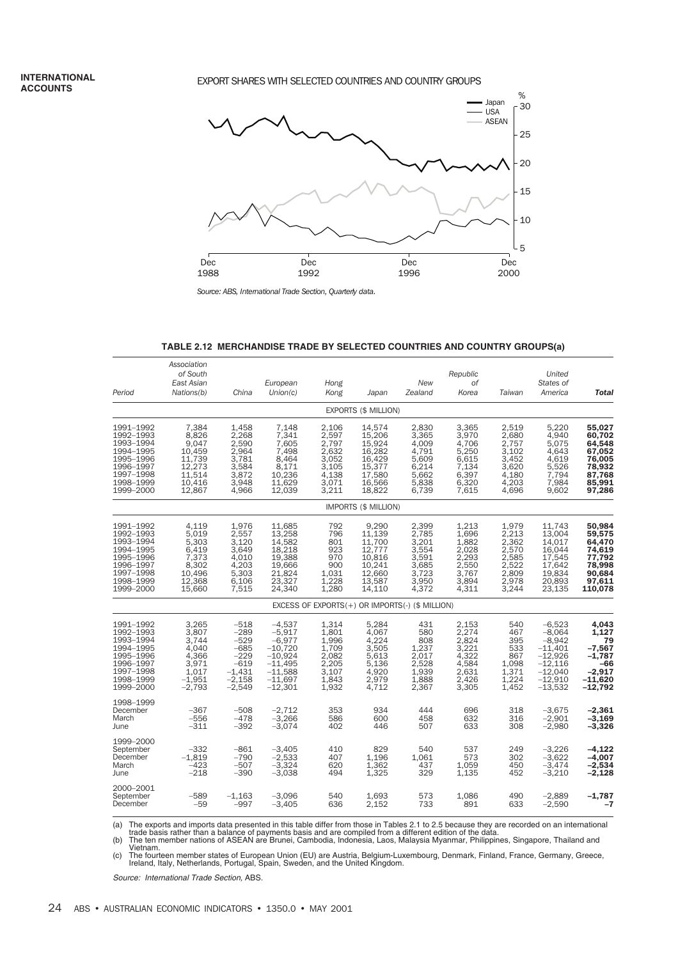#### EXPORT SHARES WITH SELECTED COUNTRIES AND COUNTRY GROUPS



*Source: ABS, International Trade Section, Quarterly data.*

| TABLE 2.12  MERCHANDISE TRADE BY SELECTED COUNTRIES AND COUNTRY GROUPS(a) |  |  |  |  |  |  |  |
|---------------------------------------------------------------------------|--|--|--|--|--|--|--|
|---------------------------------------------------------------------------|--|--|--|--|--|--|--|

| Period                                                                                                            | Association<br>of South<br>East Asian<br>Nations(b)                                 | China                                                                                        | European<br>Union(c)                                                                                           | Hong<br>Kong                                                                  | Japan                                                                                  | New<br>Zealand                                                                | Republic<br>οf<br>Korea                                                       | Taiwan                                                                        | United<br>States of<br>America                                                                                 | <b>Total</b>                                                                                |
|-------------------------------------------------------------------------------------------------------------------|-------------------------------------------------------------------------------------|----------------------------------------------------------------------------------------------|----------------------------------------------------------------------------------------------------------------|-------------------------------------------------------------------------------|----------------------------------------------------------------------------------------|-------------------------------------------------------------------------------|-------------------------------------------------------------------------------|-------------------------------------------------------------------------------|----------------------------------------------------------------------------------------------------------------|---------------------------------------------------------------------------------------------|
|                                                                                                                   |                                                                                     |                                                                                              |                                                                                                                |                                                                               | EXPORTS (\$ MILLION)                                                                   |                                                                               |                                                                               |                                                                               |                                                                                                                |                                                                                             |
| 1991-1992<br>1992-1993<br>1993-1994<br>1994-1995<br>1995-1996<br>1996-1997<br>1997-1998<br>1998-1999<br>1999-2000 | 7,384<br>8,826<br>9,047<br>10.459<br>11,739<br>12,273<br>11,514<br>10,416<br>12,867 | 1,458<br>2,268<br>2,590<br>2,964<br>3,781<br>3,584<br>3,872<br>3,948<br>4,966                | 7,148<br>7,341<br>7,605<br>7.498<br>8.464<br>8,171<br>10,236<br>11,629<br>12,039                               | 2,106<br>2,597<br>2,797<br>2.632<br>3,052<br>3,105<br>4,138<br>3,071<br>3,211 | 14,574<br>15,206<br>15,924<br>16,282<br>16,429<br>15,377<br>17,580<br>16,566<br>18,822 | 2,830<br>3,365<br>4,009<br>4.791<br>5,609<br>6,214<br>5,662<br>5,838<br>6,739 | 3,365<br>3,970<br>4,706<br>5.250<br>6,615<br>7,134<br>6,397<br>6,320<br>7,615 | 2,519<br>2,680<br>2,757<br>3.102<br>3,452<br>3,620<br>4,180<br>4,203<br>4,696 | 5,220<br>4,940<br>5,075<br>4.643<br>4,619<br>5,526<br>7,794<br>7,984<br>9,602                                  | 55,027<br>60,702<br>64,548<br>67,052<br>76,005<br>78,932<br>87,768<br>85,991<br>97,286      |
|                                                                                                                   |                                                                                     |                                                                                              |                                                                                                                |                                                                               | <b>IMPORTS (\$ MILLION)</b>                                                            |                                                                               |                                                                               |                                                                               |                                                                                                                |                                                                                             |
| 1991-1992<br>1992-1993<br>1993-1994<br>1994-1995<br>1995-1996<br>1996-1997<br>1997-1998<br>1998-1999<br>1999-2000 | 4,119<br>5,019<br>5.303<br>6,419<br>7,373<br>8,302<br>10,496<br>12,368<br>15,660    | 1,976<br>2,557<br>3,120<br>3,649<br>4,010<br>4,203<br>5,303<br>6,106<br>7,515                | 11,685<br>13,258<br>14,582<br>18,218<br>19,388<br>19,666<br>21,824<br>23,327<br>24,340                         | 792<br>796<br>801<br>923<br>970<br>900<br>1,031<br>1,228<br>1,280             | 9,290<br>11,139<br>11,700<br>12,777<br>10,816<br>10,241<br>12,660<br>13,587<br>14,110  | 2,399<br>2,785<br>3,201<br>3,554<br>3,591<br>3,685<br>3,723<br>3,950<br>4,372 | 1,213<br>1,696<br>1,882<br>2,028<br>2,293<br>2,550<br>3,767<br>3,894<br>4,311 | 1,979<br>2,213<br>2,362<br>2,570<br>2,585<br>2,522<br>2,809<br>2.978<br>3,244 | 11,743<br>13,004<br>14.017<br>16.044<br>17,545<br>17,642<br>19,834<br>20,893<br>23,135                         | 50,984<br>59,575<br>64,470<br>74,619<br>77,792<br>78,998<br>90,684<br>97,611<br>110,078     |
|                                                                                                                   |                                                                                     |                                                                                              |                                                                                                                |                                                                               |                                                                                        | EXCESS OF EXPORTS $(+)$ OR IMPORTS $(-)$ (\$ MILLION)                         |                                                                               |                                                                               |                                                                                                                |                                                                                             |
| 1991-1992<br>1992-1993<br>1993-1994<br>1994-1995<br>1995-1996<br>1996-1997<br>1997-1998<br>1998-1999<br>1999-2000 | 3,265<br>3,807<br>3,744<br>4.040<br>4,366<br>3,971<br>1,017<br>$-1,951$<br>$-2,793$ | $-518$<br>$-289$<br>$-529$<br>$-685$<br>$-229$<br>$-619$<br>$-1,431$<br>$-2,158$<br>$-2,549$ | $-4,537$<br>$-5,917$<br>$-6,977$<br>$-10.720$<br>$-10,924$<br>$-11,495$<br>$-11,588$<br>$-11,697$<br>$-12,301$ | 1,314<br>1,801<br>1,996<br>1,709<br>2,082<br>2,205<br>3,107<br>1,843<br>1,932 | 5,284<br>4,067<br>4,224<br>3,505<br>5,613<br>5,136<br>4,920<br>2,979<br>4.712          | 431<br>580<br>808<br>1,237<br>2,017<br>2,528<br>1,939<br>1,888<br>2,367       | 2,153<br>2,274<br>2,824<br>3.221<br>4,322<br>4,584<br>2,631<br>2,426<br>3,305 | 540<br>467<br>395<br>533<br>867<br>1,098<br>1,371<br>1,224<br>1,452           | $-6,523$<br>$-8,064$<br>$-8,942$<br>$-11,401$<br>$-12,926$<br>$-12,116$<br>$-12,040$<br>$-12,910$<br>$-13,532$ | 4,043<br>1,127<br>79<br>$-7,567$<br>$-1,787$<br>$-66$<br>$-2,917$<br>$-11,620$<br>$-12,792$ |
| 1998-1999<br>December<br>March<br>June                                                                            | $-367$<br>$-556$<br>$-311$                                                          | $-508$<br>-478<br>$-392$                                                                     | $-2,712$<br>$-3,266$<br>$-3,074$                                                                               | 353<br>586<br>402                                                             | 934<br>600<br>446                                                                      | 444<br>458<br>507                                                             | 696<br>632<br>633                                                             | 318<br>316<br>308                                                             | $-3,675$<br>$-2,901$<br>$-2,980$                                                                               | $-2,361$<br>$-3,169$<br>$-3,326$                                                            |
| 1999-2000<br>September<br>December<br>March<br>June                                                               | $-332$<br>$-1,819$<br>$-423$<br>$-218$                                              | $-861$<br>$-790$<br>$-507$<br>$-390$                                                         | $-3,405$<br>$-2,533$<br>$-3,324$<br>$-3,038$                                                                   | 410<br>407<br>620<br>494                                                      | 829<br>1,196<br>1,362<br>1,325                                                         | 540<br>1,061<br>437<br>329                                                    | 537<br>573<br>1,059<br>1,135                                                  | 249<br>302<br>450<br>452                                                      | $-3,226$<br>$-3,622$<br>$-3,474$<br>$-3,210$                                                                   | $-4,122$<br>$-4,007$<br>$-2,534$<br>$-2,128$                                                |
| 2000-2001<br>September<br>December                                                                                | $-589$<br>$-59$                                                                     | $-1,163$<br>$-997$                                                                           | $-3,096$<br>$-3,405$                                                                                           | 540<br>636                                                                    | 1,693<br>2,152                                                                         | 573<br>733                                                                    | 1,086<br>891                                                                  | 490<br>633                                                                    | $-2,889$<br>$-2,590$                                                                                           | $-1,787$<br>$-7$                                                                            |

(a) The exports and imports data presented in this table differ from those in Tables 2.1 to 2.5 because they are recorded on an international<br>trade basis rather than a balance of payments basis and are compiled from a diff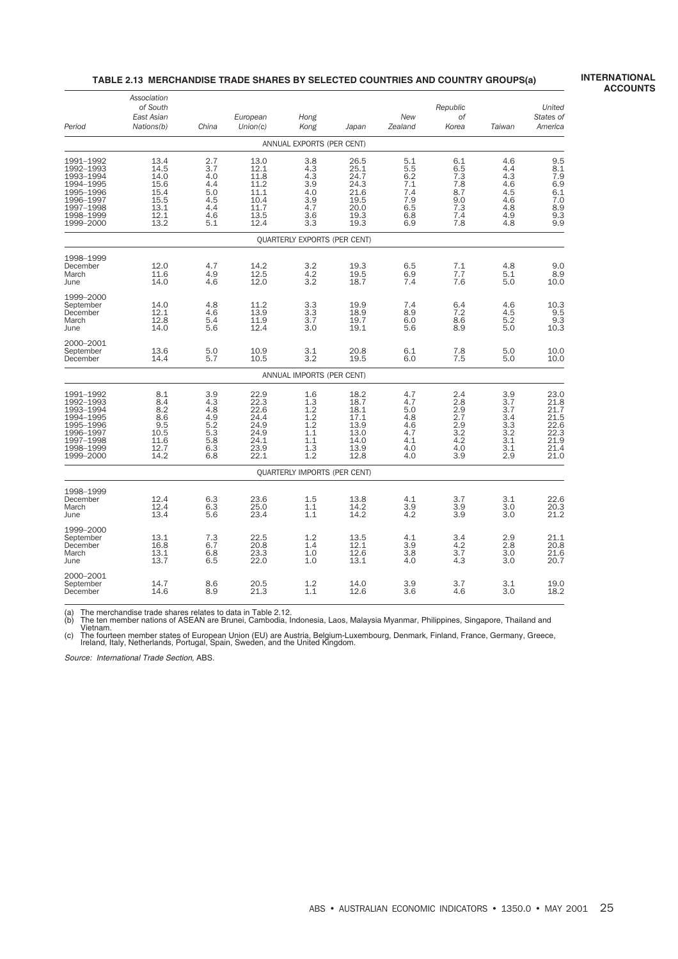#### **TABLE 2.13 MERCHANDISE TRADE SHARES BY SELECTED COUNTRIES AND COUNTRY GROUPS(a)**

**INTERNATIONAL ACCOUNTS**

|                                                                                                                   | of South<br>East Asian                                                       |                                                                          | European                                                                            | Hong                                                                           |                                                                             | New                                                         | Republic<br>оf                                                                |                                                                                                | United<br>States of                                                  |
|-------------------------------------------------------------------------------------------------------------------|------------------------------------------------------------------------------|--------------------------------------------------------------------------|-------------------------------------------------------------------------------------|--------------------------------------------------------------------------------|-----------------------------------------------------------------------------|-------------------------------------------------------------|-------------------------------------------------------------------------------|------------------------------------------------------------------------------------------------|----------------------------------------------------------------------|
| Period                                                                                                            | Nations(b)                                                                   | China                                                                    | Union(c)                                                                            | Kong                                                                           | Japan                                                                       | Zealand                                                     | Korea                                                                         | Taiwan                                                                                         | America                                                              |
|                                                                                                                   |                                                                              |                                                                          |                                                                                     | ANNUAL EXPORTS (PER CENT)                                                      |                                                                             |                                                             |                                                                               |                                                                                                |                                                                      |
| 1991-1992<br>1992-1993<br>1993-1994<br>1994-1995<br>1995-1996<br>1996-1997<br>1997-1998<br>1998-1999<br>1999-2000 | 13.4<br>$14.5$<br>$14.0$<br>15.6<br>$15.4$<br>$15.5$<br>13.1<br>12.1<br>13.2 | 2.7<br>3.7<br>4.0<br>4.4<br>5.0<br>4.5<br>4.4<br>4.6<br>5.1              | 13.0<br>12.1<br>$\frac{12.1}{11.8}$<br>11.2<br>11.1<br>10.4<br>11.7<br>13.5<br>12.4 | 3.8<br>$4.3$<br>$4.3$<br>$3.9$<br>4.0<br>3.9<br>4.7<br>3.6<br>3.3              | 26.5<br>25.1<br>24.7<br>24.3<br>21.6<br>19.5<br>20.0<br>$\frac{19.3}{19.3}$ | 5.1<br>5.5<br>6.2<br>7.1<br>7.4<br>7.9<br>6.5<br>6.8<br>6.9 | 6.1<br>$6.5$<br>$7.3$<br>7.8<br>8.7<br>9.0<br>7.3<br>7.4<br>7.8               | 4.6<br>4.4<br>$4.3$<br>$4.6$<br>$\frac{4.5}{4.6}$<br>4.8<br>4.9<br>4.8                         |                                                                      |
|                                                                                                                   |                                                                              |                                                                          |                                                                                     | <b>QUARTERLY EXPORTS (PER CENT)</b>                                            |                                                                             |                                                             |                                                                               |                                                                                                |                                                                      |
| 1998-1999<br>December<br>March<br>June                                                                            | $12.0$<br>$11.6$<br>14.0                                                     | 4.7<br>4.9<br>4.6                                                        | 14.2<br>12.5<br>12.0                                                                | $3.2$<br>$4.2$<br>3.2                                                          | $19.3$<br>$19.5$<br>18.7                                                    | 6.5<br>6.9<br>7.4                                           | $7.1$<br>$7.7$<br>7.6                                                         | 4.8<br>5.1<br>5.0                                                                              | 9.0<br>8.9<br>10.0                                                   |
| 1999-2000<br>September<br>December<br>March<br>June                                                               | 14.0<br>12.1<br>12.8<br>14.0                                                 | 4.8<br>4.6<br>5.4<br>5.6                                                 | 11.2<br>13.9<br>11.9<br>12.4                                                        | 3.3<br>$\frac{3.3}{3.7}$<br>3.0                                                | 19.9<br>18.9<br>19.7<br>19.1                                                | 7.4<br>8.9<br>6.0<br>5.6                                    | 6.4<br>7.2<br>8.6<br>8.9                                                      | 4.6<br>$\frac{4.5}{5.2}$<br>5.0                                                                | 10.3<br>9.5<br>$\frac{9.3}{10.3}$                                    |
| 2000-2001<br>September<br>December                                                                                | 13.6<br>14.4                                                                 | 5.0<br>5.7                                                               | 10.9<br>10.5                                                                        | 3.1<br>3.2                                                                     | 20.8<br>19.5                                                                | 6.1<br>6.0                                                  | 7.8<br>7.5                                                                    | 5.0<br>5.0                                                                                     | 10.0<br>10.0                                                         |
|                                                                                                                   |                                                                              |                                                                          |                                                                                     | ANNUAL IMPORTS (PER CENT)                                                      |                                                                             |                                                             |                                                                               |                                                                                                |                                                                      |
| 1991-1992<br>1992-1993<br>1993-1994<br>1994-1995<br>1995-1996<br>1996-1997<br>1997-1998<br>1998-1999<br>1999-2000 | 8.1<br>8.4<br>$\frac{8.2}{8.6}$<br>9.5<br>10.5<br>11.6<br>12.7<br>14.2       | 3.9<br>4.3<br>4.8<br>5.2<br>5.3<br>5.5<br>5.8<br>$6.\overline{3}$<br>6.8 | 22.9<br>22.3<br>$\frac{22.6}{24.4}$<br>24.9<br>24.9<br>24.1<br>23.9<br>22.1         | 1.6<br>$1.\overline{3}$<br>$1.2$<br>$1.2$<br>$1.2$<br>1.1<br>1.1<br>1.3<br>1.2 | 18.2<br>18.7<br>$\frac{18.1}{17.1}$<br>13.9<br>13.0<br>14.0<br>13.9<br>12.8 | 4.7<br>4.7<br>5.0<br>4.8<br>4.6<br>4.7<br>4.1<br>4.0<br>4.0 | $^{2.4}_{2.8}$<br>$\frac{2.9}{2.7}$<br>$\frac{2.9}{3.2}$<br>4.2<br>4.0<br>3.9 | 3.9<br>$3.\bar{7}$<br>$\frac{3.7}{3.4}$<br>$\frac{3.3}{3.2}$<br>$3.\overline{1}$<br>3.1<br>2.9 | 23.0<br>21.8<br>21.7<br>21.5<br>22.6<br>22.3<br>21.9<br>21.4<br>21.0 |
|                                                                                                                   |                                                                              |                                                                          |                                                                                     | <b>QUARTERLY IMPORTS (PER CENT)</b>                                            |                                                                             |                                                             |                                                                               |                                                                                                |                                                                      |
| 1998-1999<br>December<br>March<br>June                                                                            | $12.4$<br>$12.4$<br>13.4                                                     | $6.3$<br>$6.3$<br>5.6                                                    | 23.6<br>25.0<br>23.4                                                                | $1.5$<br>$1.1$<br>1.1                                                          | 13.8<br>14.2<br>14.2                                                        | 4.1<br>3.9<br>4.2                                           | 3.7<br>3.9<br>3.9                                                             | $\frac{3.1}{3.0}$<br>3.0                                                                       | 22.6<br>20.3<br>21.2                                                 |
| 1999-2000<br>September<br>December<br>March<br>June                                                               | 13.1<br>16.8<br>13.1<br>13.7                                                 | $7.3$<br>6.7<br>6.8<br>6.5                                               | 22.5<br>20.8<br>23.3<br>22.0                                                        | 1.2<br>1.4<br>1.0<br>1.0                                                       | $13.5$<br>$12.1$<br>12.6<br>13.1                                            | 4.1<br>3.9<br>3.8<br>4.0                                    | 3.4<br>4.2<br>3.7<br>4.3                                                      | $^{2.9}_{2.8}$<br>3.0<br>3.0                                                                   | 21.1<br>20.8<br>$\frac{21.6}{20.7}$                                  |
| 2000-2001<br>September<br>December                                                                                | 14.7<br>14.6                                                                 | 8.6<br>8.9                                                               | 20.5<br>21.3                                                                        | 1.2<br>1.1                                                                     | 14.0<br>12.6                                                                | 3.9<br>3.6                                                  | 3.7<br>4.6                                                                    | 3.1<br>3.0                                                                                     | 19.0<br>18.2                                                         |

(a) The merchandise trade shares relates to data in Table 2.12.<br>(b) The ten member nations of ASEAN are Brunei, Cambodia, Indonesia, Laos, Malaysia Myanmar, Philippines, Singapore, Thailand and<br>Vietnam.<br>(c) The fourteen me

Source: International Trade Section, ABS.

*Association*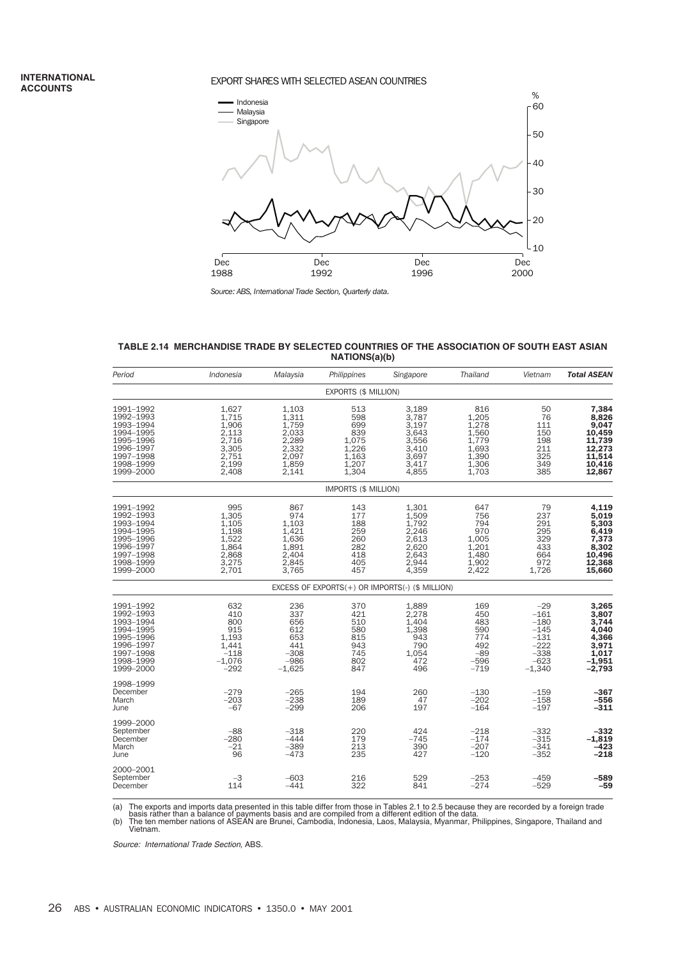#### EXPORT SHARES WITH SELECTED ASEAN COUNTRIES



*Source: ABS, International Trade Section, Quarterly data.*

#### **TABLE 2.14 MERCHANDISE TRADE BY SELECTED COUNTRIES OF THE ASSOCIATION OF SOUTH EAST ASIAN NATIONS(a)(b)**

| Period                                                                                                            | Indonesia                                                                     | Malaysia                                                                      | Philippines                                                           | Singapore                                                                     | Thailand                                                                    | Vietnam                                                                                 | <b>Total ASEAN</b>                                                                  |
|-------------------------------------------------------------------------------------------------------------------|-------------------------------------------------------------------------------|-------------------------------------------------------------------------------|-----------------------------------------------------------------------|-------------------------------------------------------------------------------|-----------------------------------------------------------------------------|-----------------------------------------------------------------------------------------|-------------------------------------------------------------------------------------|
|                                                                                                                   |                                                                               |                                                                               | EXPORTS (\$ MILLION)                                                  |                                                                               |                                                                             |                                                                                         |                                                                                     |
| 1991-1992<br>1992-1993<br>1993-1994<br>1994-1995<br>1995-1996<br>1996-1997<br>1997-1998<br>1998-1999<br>1999-2000 | 1,627<br>1,715<br>1,906<br>2,113<br>2,716<br>3,305<br>2,751<br>2,199<br>2,408 | 1,103<br>1,311<br>1,759<br>2,033<br>2,289<br>2,332<br>2,097<br>1,859<br>2,141 | 513<br>598<br>699<br>839<br>1,075<br>1,226<br>1,163<br>1.207<br>1,304 | 3,189<br>3,787<br>3,197<br>3,643<br>3,556<br>3,410<br>3,697<br>3.417<br>4,855 | 816<br>1,205<br>1,278<br>1,560<br>1,779<br>1,693<br>1,390<br>1,306<br>1,703 | 50<br>76<br>111<br>150<br>198<br>211<br>325<br>349<br>385                               | 7.384<br>8.826<br>9,047<br>10,459<br>11,739<br>12,273<br>11,514<br>10,416<br>12,867 |
|                                                                                                                   |                                                                               |                                                                               | IMPORTS (\$ MILLION)                                                  |                                                                               |                                                                             |                                                                                         |                                                                                     |
| 1991-1992<br>1992-1993<br>1993-1994<br>1994-1995<br>1995-1996<br>1996-1997<br>1997-1998<br>1998-1999<br>1999-2000 | 995<br>1,305<br>1.105<br>1,198<br>1,522<br>1,864<br>2,868<br>3,275<br>2,701   | 867<br>974<br>1.103<br>1,421<br>1,636<br>1,891<br>2,404<br>2,845<br>3,765     | 143<br>177<br>188<br>259<br>260<br>282<br>418<br>405<br>457           | 1,301<br>1,509<br>1.792<br>2,246<br>2.613<br>2,620<br>2.643<br>2,944<br>4,359 | 647<br>756<br>794<br>970<br>1,005<br>1,201<br>1,480<br>1,902<br>2,422       | 79<br>237<br>291<br>295<br>329<br>433<br>664<br>972<br>1,726                            | 4,119<br>5,019<br>5,303<br>6,419<br>7,373<br>8,302<br>10,496<br>12,368<br>15,660    |
|                                                                                                                   |                                                                               |                                                                               |                                                                       | EXCESS OF EXPORTS(+) OR IMPORTS(-) (\$ MILLION)                               |                                                                             |                                                                                         |                                                                                     |
| 1991-1992<br>1992-1993<br>1993-1994<br>1994-1995<br>1995-1996<br>1996-1997<br>1997-1998<br>1998-1999<br>1999-2000 | 632<br>410<br>800<br>915<br>1,193<br>1,441<br>$-118$<br>$-1,076$<br>$-292$    | 236<br>337<br>656<br>612<br>653<br>441<br>$-308$<br>$-986$<br>$-1,625$        | 370<br>421<br>510<br>580<br>815<br>943<br>745<br>802<br>847           | 1,889<br>2,278<br>1,404<br>1.398<br>943<br>790<br>1,054<br>472<br>496         | 169<br>450<br>483<br>590<br>774<br>492<br>$-89$<br>$-596$<br>$-719$         | $-29$<br>$-161$<br>$-180$<br>$-145$<br>$-131$<br>$-222$<br>$-338$<br>$-623$<br>$-1,340$ | 3,265<br>3,807<br>3,744<br>4,040<br>4,366<br>3,971<br>1,017<br>$-1.951$<br>$-2,793$ |
| 1998-1999<br>December<br>March<br>June                                                                            | $-279$<br>$-203$<br>$-67$                                                     | $-265$<br>$-238$<br>$-299$                                                    | 194<br>189<br>206                                                     | 260<br>47<br>197                                                              | $-130$<br>$-202$<br>$-164$                                                  | $-159$<br>$-158$<br>$-197$                                                              | -367<br>-556<br>$-311$                                                              |
| 1999-2000<br>September<br>December<br>March<br>June                                                               | $-88$<br>$-280$<br>$-21$<br>96                                                | $-318$<br>$-444$<br>$-389$<br>-473                                            | 220<br>179<br>213<br>235                                              | 424<br>$-745$<br>390<br>427                                                   | $-218$<br>$-174$<br>$-207$<br>$-120$                                        | $-332$<br>$-315$<br>$-341$<br>$-352$                                                    | $-332$<br>$-1,819$<br>$-423$<br>$-218$                                              |
| 2000-2001<br>September<br>December                                                                                | $-3$<br>114                                                                   | $-603$<br>$-441$                                                              | 216<br>322                                                            | 529<br>841                                                                    | $-253$<br>$-274$                                                            | $-459$<br>$-529$                                                                        | -589<br>$-59$                                                                       |

(a) The exports and imports data presented in this table differ from those in Tables 2.1 to 2.5 because they are recorded by a foreign trade<br>basis rather than a balance of payments basis and are compiled from a different

Vietnam.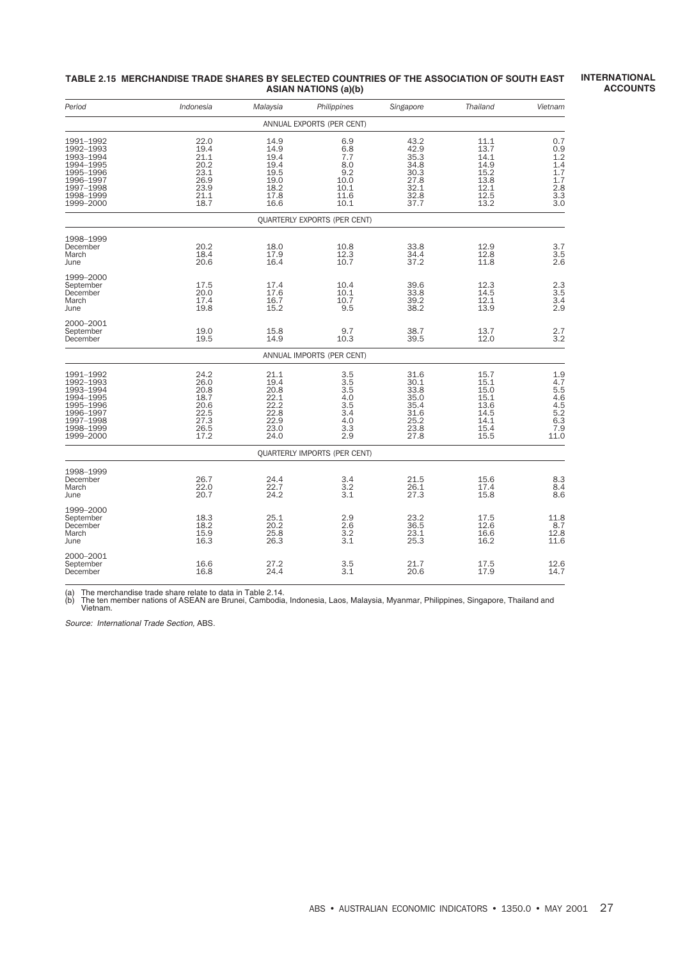| Period                                                                                                            | Indonesia                                                            | Malaysia                                                             | Philippines                                                     | Singapore                                                            | Thailand                                                             | Vietnam                                                                |
|-------------------------------------------------------------------------------------------------------------------|----------------------------------------------------------------------|----------------------------------------------------------------------|-----------------------------------------------------------------|----------------------------------------------------------------------|----------------------------------------------------------------------|------------------------------------------------------------------------|
|                                                                                                                   |                                                                      |                                                                      | ANNUAL EXPORTS (PER CENT)                                       |                                                                      |                                                                      |                                                                        |
| 1991-1992<br>1992-1993<br>1993-1994<br>1994-1995<br>1995-1996<br>1996-1997<br>1997-1998<br>1998-1999<br>1999-2000 | 22.0<br>19.4<br>21.1<br>20.2<br>23.1<br>26.9<br>23.9<br>21.1<br>18.7 | 14.9<br>14.9<br>19.4<br>19.4<br>19.5<br>19.0<br>18.2<br>17.8<br>16.6 | 6.9<br>6.8<br>7.7<br>8.0<br>9.2<br>10.0<br>10.1<br>11.6<br>10.1 | 43.2<br>42.9<br>35.3<br>34.8<br>30.3<br>27.8<br>32.1<br>32.8<br>37.7 | 11.1<br>13.7<br>14.1<br>14.9<br>15.2<br>13.8<br>12.1<br>12.5<br>13.2 | 0.7<br>$0.9$<br>$1.2$<br>1.4<br>1.7<br>1.7<br>$\frac{2.8}{3.3}$<br>3.0 |
|                                                                                                                   |                                                                      |                                                                      | <b>QUARTERLY EXPORTS (PER CENT)</b>                             |                                                                      |                                                                      |                                                                        |
| 1998-1999<br>December<br>March<br>June                                                                            | 20.2<br>18.4<br>20.6                                                 | 18.0<br>17.9<br>16.4                                                 | 10.8<br>12.3<br>10.7                                            | 33.8<br>34.4<br>37.2                                                 | 12.9<br>12.8<br>11.8                                                 | 3.7<br>$\frac{3.5}{2.6}$                                               |
| 1999-2000<br>September<br>December<br>March<br>June                                                               | 17.5<br>20.0<br>17.4<br>19.8                                         | 17.4<br>17.6<br>16.7<br>15.2                                         | 10.4<br>10.1<br>10.7<br>9.5                                     | 39.6<br>33.8<br>39.2<br>38.2                                         | 12.3<br>14.5<br>12.1<br>13.9                                         | $\frac{2.3}{3.5}$<br>$\frac{3.4}{2.9}$                                 |
| 2000-2001<br>September<br>December                                                                                | 19.0<br>19.5                                                         | 15.8<br>14.9                                                         | 9.7<br>10.3                                                     | 38.7<br>39.5                                                         | 13.7<br>12.0                                                         | 2.7<br>3.2                                                             |
|                                                                                                                   |                                                                      |                                                                      | ANNUAL IMPORTS (PER CENT)                                       |                                                                      |                                                                      |                                                                        |
| 1991–1992<br>1992-1993<br>1993–1994<br>1994-1995<br>1995–1996<br>1996-1997<br>1997-1998<br>1998-1999<br>1999-2000 | 24.2<br>26.0<br>20.8<br>18.7<br>20.6<br>22.5<br>27.3<br>26.5<br>17.2 | 21.1<br>19.4<br>20.8<br>22.1<br>22.2<br>22.8<br>22.9<br>23.0<br>24.0 | 3.5<br>3.5<br>3.5<br>4.0<br>3.5<br>3.4<br>4.0<br>3.3<br>2.9     | 31.6<br>30.1<br>33.8<br>35.0<br>35.4<br>31.6<br>25.2<br>23.8<br>27.8 | 15.7<br>15.1<br>15.0<br>15.1<br>13.6<br>14.5<br>14.1<br>15.4<br>15.5 | $\frac{1.9}{4.7}$<br>$5.54.6$<br>$4.52.3$<br>$6.3.3$<br>7.9<br>11.0    |
|                                                                                                                   |                                                                      |                                                                      | <b>QUARTERLY IMPORTS (PER CENT)</b>                             |                                                                      |                                                                      |                                                                        |
| 1998-1999<br>December<br>March<br>June                                                                            | 26.7<br>22.0<br>20.7                                                 | 24.4<br>22.7<br>24.2                                                 | 3.4<br>3.2<br>3.1                                               | 21.5<br>26.1<br>27.3                                                 | 15.6<br>17.4<br>15.8                                                 | 8.3<br>8.4<br>8.6                                                      |
| 1999-2000<br>September<br>December<br>March<br>June                                                               | 18.3<br>18.2<br>15.9<br>16.3                                         | 25.1<br>20.2<br>25.8<br>26.3                                         | 2.9<br>2.6<br>3.2<br>3.1                                        | 23.2<br>36.5<br>23.1<br>25.3                                         | 17.5<br>12.6<br>16.6<br>16.2                                         | 11.8<br>8.7<br>12.8<br>11.6                                            |
| 2000-2001<br>September<br>December                                                                                | 16.6<br>16.8                                                         | 27.2<br>24.4                                                         | 3.5<br>3.1                                                      | 21.7<br>20.6                                                         | 17.5<br>17.9                                                         | 12.6<br>14.7                                                           |

#### **TABLE 2.15 MERCHANDISE TRADE SHARES BY SELECTED COUNTRIES OF THE ASSOCIATION OF SOUTH EAST ASIAN NATIONS (a)(b)**

**INTERNATIONAL ACCOUNTS**

(a) The merchandise trade share relate to data in Table 2.14.<br>(b) The ten member nations of ASEAN are Brunei, Cambodia, Indonesia, Laos, Malaysia, Myanmar, Philippines, Singapore, Thailand and<br> Vietnam.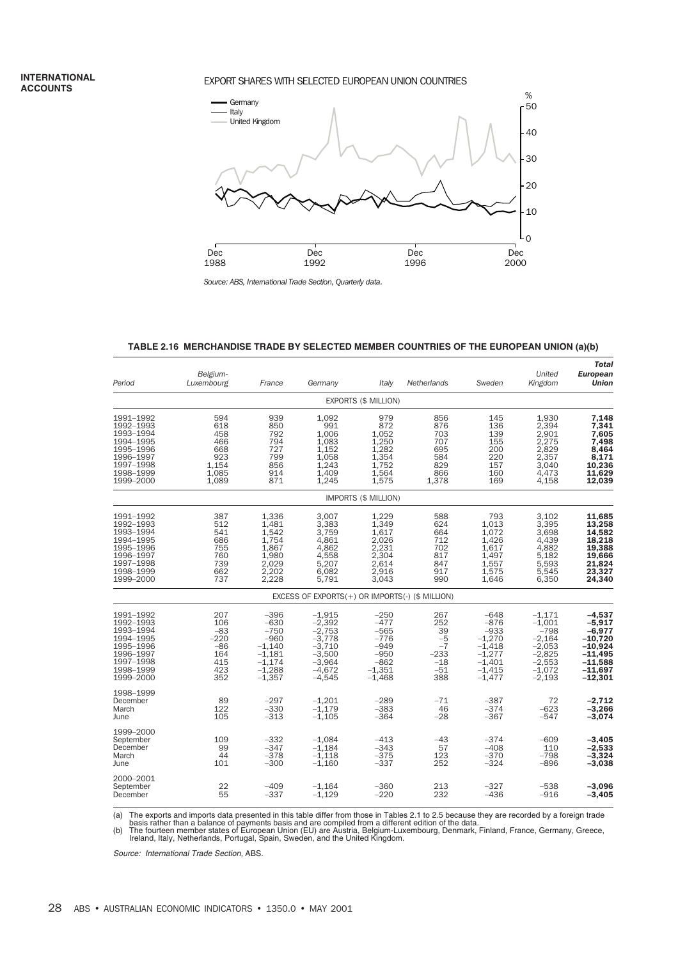#### EXPORT SHARES WITH SELECTED EUROPEAN UNION COUNTRIES



*Source: ABS, International Trade Section, Quarterly data.*

#### **TABLE 2.16 MERCHANDISE TRADE BY SELECTED MEMBER COUNTRIES OF THE EUROPEAN UNION (a)(b)**

| Period                                                                                                            | Belgium-<br>Luxembourg                                             | France                                                                                                      | Germany                                                                                                  | Italv                                                                                      | Netherlands                                                         | Sweden                                                                                             | United<br>Kingdom                                                                                      | Total<br><b>European</b><br>Union                                                                            |
|-------------------------------------------------------------------------------------------------------------------|--------------------------------------------------------------------|-------------------------------------------------------------------------------------------------------------|----------------------------------------------------------------------------------------------------------|--------------------------------------------------------------------------------------------|---------------------------------------------------------------------|----------------------------------------------------------------------------------------------------|--------------------------------------------------------------------------------------------------------|--------------------------------------------------------------------------------------------------------------|
|                                                                                                                   |                                                                    |                                                                                                             |                                                                                                          | EXPORTS (\$ MILLION)                                                                       |                                                                     |                                                                                                    |                                                                                                        |                                                                                                              |
| 1991-1992<br>1992-1993<br>1993-1994<br>1994-1995<br>1995-1996<br>1996-1997<br>1997-1998<br>1998-1999<br>1999-2000 | 594<br>618<br>458<br>466<br>668<br>923<br>1,154<br>1,085<br>1,089  | 939<br>850<br>792<br>794<br>727<br>799<br>856<br>914<br>871                                                 | 1,092<br>991<br>1.006<br>1,083<br>1,152<br>1,058<br>1,243<br>1,409<br>1,245                              | 979<br>872<br>1,052<br>1,250<br>1,282<br>1,354<br>1,752<br>1,564<br>1,575                  | 856<br>876<br>703<br>707<br>695<br>584<br>829<br>866<br>1,378       | 145<br>136<br>139<br>155<br>200<br>220<br>157<br>160<br>169                                        | 1,930<br>2,394<br>2,901<br>2,275<br>2,829<br>2,357<br>3,040<br>4,473<br>4,158                          | 7,148<br>7,341<br>7,605<br>7,498<br>8,464<br>8,171<br>10,236<br>11,629<br>12,039                             |
|                                                                                                                   |                                                                    |                                                                                                             |                                                                                                          | IMPORTS (\$ MILLION)                                                                       |                                                                     |                                                                                                    |                                                                                                        |                                                                                                              |
| 1991-1992<br>1992-1993<br>1993-1994<br>1994-1995<br>1995-1996<br>1996-1997<br>1997-1998<br>1998-1999<br>1999-2000 | 387<br>512<br>541<br>686<br>755<br>760<br>739<br>662<br>737        | 1,336<br>1,481<br>1,542<br>1,754<br>1,867<br>1,980<br>2,029<br>2,202<br>2,228                               | 3,007<br>3,383<br>3,759<br>4,861<br>4,862<br>4,558<br>5,207<br>6,082<br>5,791                            | 1,229<br>1.349<br>1,617<br>2,026<br>2,231<br>2,304<br>2.614<br>2,916<br>3,043              | 588<br>624<br>664<br>712<br>702<br>817<br>847<br>917<br>990         | 793<br>1.013<br>1,072<br>1,426<br>1,617<br>1,497<br>1,557<br>1,575<br>1,646                        | 3,102<br>3,395<br>3,698<br>4,439<br>4,882<br>5,182<br>5,593<br>5,545<br>6,350                          | 11,685<br>13.258<br>14,582<br>18,218<br>19,388<br>19,666<br>21,824<br>23,327<br>24,340                       |
|                                                                                                                   |                                                                    |                                                                                                             | EXCESS OF EXPORTS(+) OR IMPORTS(-) (\$ MILLION)                                                          |                                                                                            |                                                                     |                                                                                                    |                                                                                                        |                                                                                                              |
| 1991-1992<br>1992-1993<br>1993-1994<br>1994-1995<br>1995-1996<br>1996-1997<br>1997-1998<br>1998-1999<br>1999-2000 | 207<br>106<br>$-83$<br>$-220$<br>$-86$<br>164<br>415<br>423<br>352 | $-396$<br>$-630$<br>$-750$<br>$-960$<br>$-1,140$<br>$-1,181$<br>$-\overline{1,174}$<br>$-1,288$<br>$-1,357$ | $-1,915$<br>$-2,392$<br>$-2,753$<br>$-3,778$<br>$-3,710$<br>$-3,500$<br>$-3,964$<br>$-4,672$<br>$-4,545$ | $-250$<br>$-477$<br>$-565$<br>$-776$<br>$-949$<br>$-950$<br>$-862$<br>$-1,351$<br>$-1,468$ | 267<br>252<br>39<br>$-5$<br>$-7$<br>$-233$<br>$-18$<br>$-51$<br>388 | $-648$<br>$-876$<br>$-933$<br>$-1,270$<br>$-1,418$<br>$-1.277$<br>$-1,401$<br>$-1,415$<br>$-1,477$ | $-1,171$<br>$-1,001$<br>$-798$<br>$-2,164$<br>$-2,053$<br>$-2,825$<br>$-2,553$<br>$-1,072$<br>$-2,193$ | $-4,537$<br>$-5,917$<br>$-6,977$<br>$-10,720$<br>-10,924<br>$-11.495$<br>$-11,588$<br>$-11,697$<br>$-12,301$ |
| 1998-1999<br>December<br>March<br>June                                                                            | 89<br>122<br>105                                                   | $-297$<br>$-330$<br>$-313$                                                                                  | $-1,201$<br>$-1,179$<br>$-1,105$                                                                         | $-289$<br>$-383$<br>$-364$                                                                 | $-71$<br>46<br>$-28$                                                | $-387$<br>$-374$<br>$-367$                                                                         | 72<br>$-623$<br>$-547$                                                                                 | $-2,712$<br>$-3,266$<br>$-3,074$                                                                             |
| 1999-2000<br>September<br>December<br>March<br>June                                                               | 109<br>99<br>44<br>101                                             | $-332$<br>$-347$<br>$-378$<br>$-300$                                                                        | $-1,084$<br>$-1,184$<br>$-1,118$<br>$-1,160$                                                             | $-413$<br>$-343$<br>$-375$<br>$-337$                                                       | $-43$<br>57<br>123<br>252                                           | $-374$<br>$-408$<br>$-370$<br>$-324$                                                               | $-609$<br>110<br>$-798$<br>$-896$                                                                      | $-3,405$<br>$-2,533$<br>$-3,324$<br>$-3,038$                                                                 |
| 2000-2001<br>September<br>December                                                                                | 22<br>55                                                           | $-409$<br>$-337$                                                                                            | $-1,164$<br>$-1,129$                                                                                     | $-360$<br>$-220$                                                                           | 213<br>232                                                          | $-327$<br>$-436$                                                                                   | $-538$<br>$-916$                                                                                       | $-3,096$<br>$-3,405$                                                                                         |

a) The exports and imports data presented in this table differ from those in Tables 2.1 to 2.5 because they are recorded by a foreign trade<br>basis rather than a balance of payments basis and are compiled from a different ed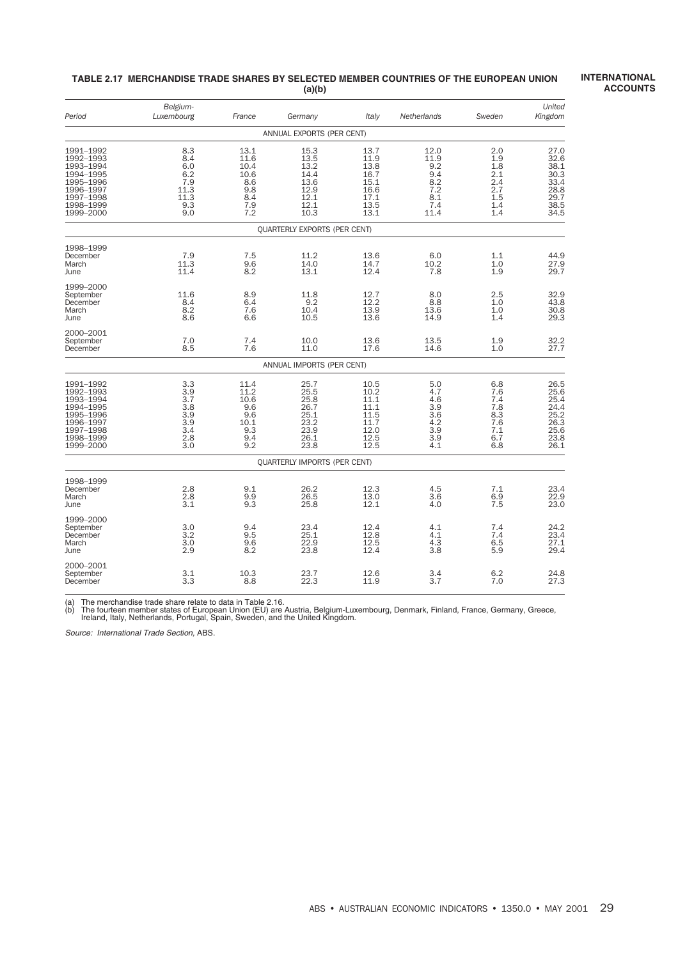#### **TABLE 2.17 MERCHANDISE TRADE SHARES BY SELECTED MEMBER COUNTRIES OF THE EUROPEAN UNION (a)(b)**

**INTERNATIONAL ACCOUNTS**

| Period                                                                                                            | Belgium-<br>Luxembourg                                               | France                                                          | Germany                                                                      | Italy                                                                | Netherlands                                                    | Sweden                                                                   | United<br>Kingdom                                                                  |
|-------------------------------------------------------------------------------------------------------------------|----------------------------------------------------------------------|-----------------------------------------------------------------|------------------------------------------------------------------------------|----------------------------------------------------------------------|----------------------------------------------------------------|--------------------------------------------------------------------------|------------------------------------------------------------------------------------|
|                                                                                                                   |                                                                      |                                                                 | ANNUAL EXPORTS (PER CENT)                                                    |                                                                      |                                                                |                                                                          |                                                                                    |
| 1991-1992<br>1992-1993<br>1993-1994<br>1994-1995<br>1995-1996<br>1996-1997<br>1997-1998<br>1998-1999<br>1999-2000 | 8.3<br>8.4<br>6.0<br>6.2<br>$\frac{7.9}{11.3}$<br>11.3<br>9.3<br>9.0 | 13.1<br>11.6<br>10.4<br>10.6<br>8.6<br>9.8<br>8.4<br>7.9<br>7.2 | $15.3$<br>$13.5$<br>$13.2$<br>$14.4$<br>13.6<br>12.9<br>12.1<br>12.1<br>10.3 | 13.7<br>11.9<br>13.8<br>16.7<br>15.1<br>16.6<br>17.1<br>13.5<br>13.1 | 12.0<br>11.9<br>9.2<br>9.4<br>8.2<br>7.2<br>8.1<br>7.4<br>11.4 | 2.0<br>1.9<br>1.8<br>2.1<br>2.4<br>2.7<br>1.5<br>1.4<br>1.4              | 27.0<br>32.6<br>38.1<br>30.3<br>33.4<br>$\frac{28.8}{29.7}$<br>$\frac{38.5}{34.5}$ |
|                                                                                                                   |                                                                      |                                                                 | QUARTERLY EXPORTS (PER CENT)                                                 |                                                                      |                                                                |                                                                          |                                                                                    |
| 1998-1999<br>December<br>March<br>June                                                                            | 7.9<br>11.3<br>11.4                                                  | 7.5<br>9.6<br>8.2                                               | 11.2<br>14.0<br>13.1                                                         | 13.6<br>14.7<br>12.4                                                 | 6.0<br>10.2<br>7.8                                             | 1.1<br>1.0<br>1.9                                                        | 44.9<br>27.9<br>29.7                                                               |
| 1999-2000<br>September<br>December<br>March<br>June                                                               | 11.6<br>8.4<br>$8.2$<br>$8.6$                                        | 8.9<br>6.4<br>7.6<br>6.6                                        | 11.8<br>9.2<br>10.4<br>10.5                                                  | 12.7<br>12.2<br>13.9<br>13.6                                         | 8.0<br>8.8<br>13.6<br>14.9                                     | 2.5<br>1.0<br>1.0<br>1.4                                                 | 32.9<br>43.8<br>30.8<br>29.3                                                       |
| 2000-2001<br>September<br>December                                                                                | 7.0<br>8.5                                                           | 7.4<br>7.6                                                      | 10.0<br>11.0                                                                 | 13.6<br>17.6                                                         | 13.5<br>14.6                                                   | 1.9<br>1.0                                                               | 32.2<br>27.7                                                                       |
|                                                                                                                   |                                                                      |                                                                 | ANNUAL IMPORTS (PER CENT)                                                    |                                                                      |                                                                |                                                                          |                                                                                    |
| 1991-1992<br>1992-1993<br>1993-1994<br>1994-1995<br>1995-1996<br>1996-1997<br>1997-1998<br>1998-1999<br>1999-2000 | 3.3<br>3.3<br>3.3<br>3.3<br>3.3<br>3.4<br>2.8<br>3.0                 | 11.4<br>11.2<br>10.6<br>9.6<br>9.6<br>10.1<br>9.3<br>9.4<br>9.2 | 25.7<br>25.5<br>25.8<br>26.7<br>25.1<br>$\frac{23.2}{23.9}$<br>26.1<br>23.8  | 10.5<br>10.2<br>11.1<br>11.1<br>11.5<br>11.7<br>12.0<br>12.5<br>12.5 | 5.0<br>4.7<br>4.6<br>3.9<br>3.6<br>4.2<br>3.9<br>3.9<br>4.1    | 6.8<br>7.6<br>7.4<br>7.8<br>$8.\overline{3}$<br>7.6<br>7.1<br>6.7<br>6.8 | 26.5<br>25.6<br>25.4<br>25.4<br>25.2<br>25.2<br>26.3<br>25.6<br>23.8<br>26.1       |
|                                                                                                                   |                                                                      |                                                                 | <b>QUARTERLY IMPORTS (PER CENT)</b>                                          |                                                                      |                                                                |                                                                          |                                                                                    |
| 1998-1999<br>December<br>March<br>June                                                                            | 2.8<br>2.8<br>3.1                                                    | 9.1<br>9.9<br>9.3                                               | 26.2<br>26.5<br>25.8                                                         | 12.3<br>13.0<br>12.1                                                 | 4.5<br>3.6<br>4.0                                              | 7.1<br>6.9<br>7.5                                                        | 23.4<br>22.9<br>23.0                                                               |
| 1999-2000<br>September<br>December<br>March<br>June                                                               | $\frac{3.0}{3.2}$<br>3.0<br>2.9                                      | 9.4<br>9.5<br>9.6<br>8.2                                        | 23.4<br>25.1<br>22.9<br>23.8                                                 | 12.4<br>12.8<br>12.5<br>12.4                                         | 4.1<br>4.1<br>4.3<br>3.8                                       | 7.4<br>7.4<br>6.5<br>5.9                                                 | 24.2<br>23.4<br>27.1<br>29.4                                                       |
| 2000-2001<br>September<br>December                                                                                | 3.1<br>$\overline{3.3}$                                              | 10.3<br>8.8                                                     | 23.7<br>22.3                                                                 | 12.6<br>11.9                                                         | 3.4<br>3.7                                                     | 6.2<br>7.0                                                               | 24.8<br>27.3                                                                       |

(a) The merchandise trade share relate to data in Table 2.16.<br>(b) The fourteen member states of European Union (EU) are Austria, Belgium-Luxembourg, Denmark, Finland, France, Germany, Greece,<br> Ireland, Italy, Netherlands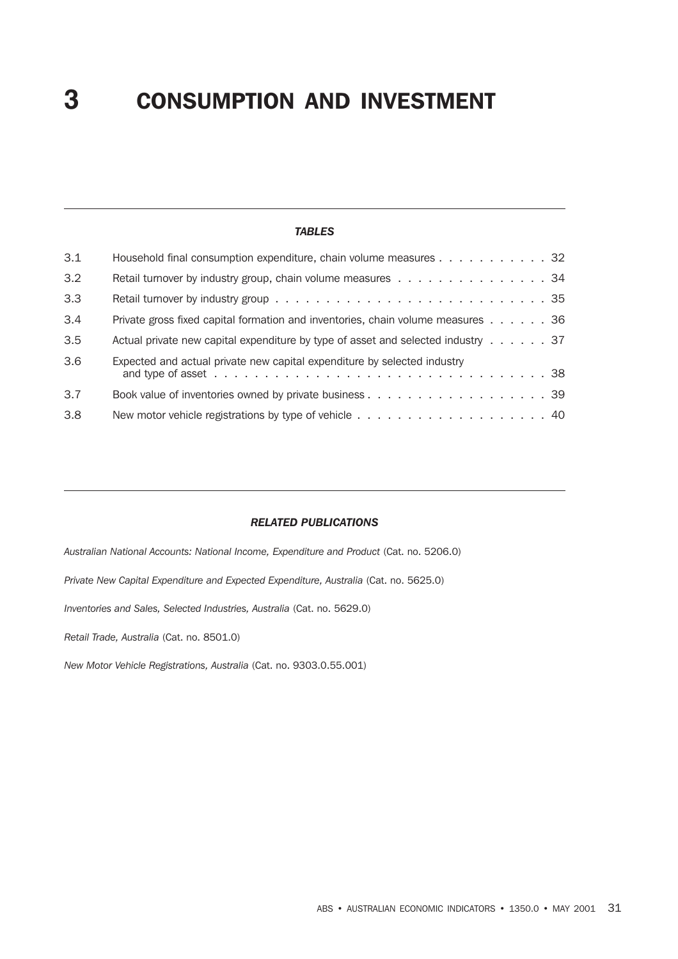#### *TABLES*

| 3.1 | Household final consumption expenditure, chain volume measures 32                              |
|-----|------------------------------------------------------------------------------------------------|
| 3.2 | Retail turnover by industry group, chain volume measures 34                                    |
| 3.3 |                                                                                                |
| 3.4 | Private gross fixed capital formation and inventories, chain volume measures $\dots$ 36        |
| 3.5 | Actual private new capital expenditure by type of asset and selected industry $\dots \dots$ 37 |
| 3.6 | Expected and actual private new capital expenditure by selected industry                       |
| 3.7 |                                                                                                |
| 3.8 |                                                                                                |

#### *RELATED PUBLICATIONS*

*Australian National Accounts: National Income, Expenditure and Product* (Cat. no. 5206.0)

*Private New Capital Expenditure and Expected Expenditure, Australia* (Cat. no. 5625.0)

*Inventories and Sales, Selected Industries, Australia* (Cat. no. 5629.0)

*Retail Trade, Australia* (Cat. no. 8501.0)

*New Motor Vehicle Registrations, Australia* (Cat. no. 9303.0.55.001)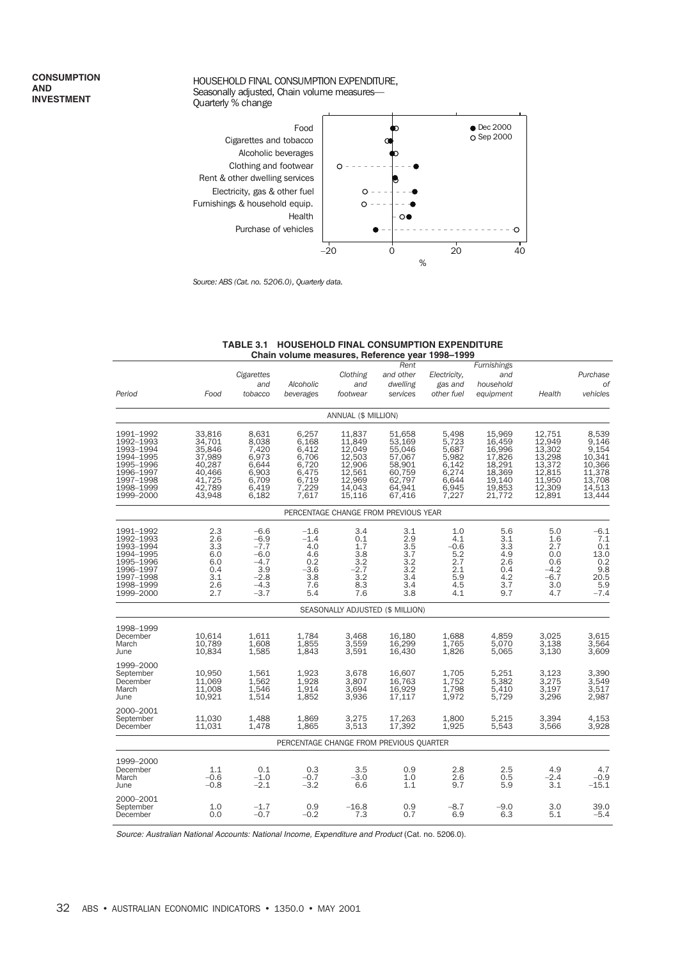#### HOUSEHOLD FINAL CONSUMPTION EXPENDITURE, Seasonally adjusted, Chain volume measures— Quarterly % change



*Source: ABS (Cat. no. 5206.0), Quarterly data.*

| <b>TABLE 3.1 HOUSEHOLD FINAL CONSUMPTION EXPENDITURE</b> |
|----------------------------------------------------------|
| Chain volume measures, Reference year 1998-1999          |

| Period                                                                                                            | Food                                                                                   | Cigarettes<br>and<br>tobacco                                                        | Alcoholic<br>beverages                                                        | Clothing<br>and<br>footwear                                                            | Rent<br>and other<br>dwelling<br>services                                              | Electricity,<br>gas and<br>other fuel                                         | Furnishings<br>and<br>household<br>equipment                                           | Health                                                                                 | Purchase<br>οf<br>vehicles                                                          |
|-------------------------------------------------------------------------------------------------------------------|----------------------------------------------------------------------------------------|-------------------------------------------------------------------------------------|-------------------------------------------------------------------------------|----------------------------------------------------------------------------------------|----------------------------------------------------------------------------------------|-------------------------------------------------------------------------------|----------------------------------------------------------------------------------------|----------------------------------------------------------------------------------------|-------------------------------------------------------------------------------------|
|                                                                                                                   |                                                                                        |                                                                                     |                                                                               | ANNUAL (\$ MILLION)                                                                    |                                                                                        |                                                                               |                                                                                        |                                                                                        |                                                                                     |
| 1991-1992<br>1992-1993<br>1993-1994<br>1994-1995<br>1995-1996<br>1996-1997<br>1997-1998<br>1998-1999<br>1999-2000 | 33,816<br>34,701<br>35,846<br>37,989<br>40,287<br>40,466<br>41,725<br>42,789<br>43,948 | 8,631<br>8,038<br>7,420<br>6,973<br>6,644<br>6,903<br>6,709<br>6,419<br>6,182       | 6,257<br>6,168<br>6,412<br>6,706<br>6,720<br>6,475<br>6,719<br>7,229<br>7,617 | 11,837<br>11,849<br>12,049<br>12,503<br>12,906<br>12,561<br>12,969<br>14,043<br>15,116 | 51,658<br>53,169<br>55,046<br>57,067<br>58,901<br>60,759<br>62,797<br>64,941<br>67,416 | 5,498<br>5,723<br>5,687<br>5,982<br>6,142<br>6,274<br>6,644<br>6,945<br>7,227 | 15,969<br>16,459<br>16,996<br>17,826<br>18,291<br>18,369<br>19,140<br>19,853<br>21,772 | 12,751<br>12,949<br>13,302<br>13,298<br>13,372<br>12,815<br>11,950<br>12,309<br>12,891 | 8,539<br>9,146<br>9,154<br>10,341<br>10,366<br>11,378<br>13,708<br>14,513<br>13,444 |
|                                                                                                                   |                                                                                        |                                                                                     |                                                                               |                                                                                        | PERCENTAGE CHANGE FROM PREVIOUS YEAR                                                   |                                                                               |                                                                                        |                                                                                        |                                                                                     |
| 1991-1992<br>1992-1993<br>1993-1994<br>1994-1995<br>1995-1996<br>1996-1997<br>1997-1998<br>1998-1999<br>1999-2000 | 2.3<br>2.6<br>$3.\overline{3}$<br>6.0<br>6.0<br>0.4<br>3.1<br>2.6<br>2.7               | $-6.6$<br>$-6.9$<br>$-7.7$<br>$-6.0$<br>$-4.7$<br>3.9<br>$-2.8$<br>$-4.3$<br>$-3.7$ | $-1.6$<br>$-1.4$<br>4.0<br>4.6<br>0.2<br>$-3.6$<br>3.8<br>7.6<br>5.4          | 3.4<br>0.1<br>1.7<br>3.8<br>3.2<br>$-2.7$<br>3.2<br>8.3<br>7.6                         | 3.1<br>2.9<br>3.5<br>3.7<br>3.2<br>3.2<br>3.4<br>3.4<br>3.8                            | 1.0<br>4.1<br>$-0.6$<br>5.2<br>2.7<br>2.1<br>5.9<br>4.5<br>4.1                | 5.6<br>3.1<br>3.3<br>4.9<br>2.6<br>0.4<br>4.2<br>3.7<br>9.7                            | 5.0<br>1.6<br>2.7<br>0.0<br>0.6<br>$-4.2$<br>$-6.7$<br>3.0<br>4.7                      | $-6.1$<br>7.1<br>0.1<br>13.0<br>0.2<br>$\frac{9.8}{20.5}$<br>5.9<br>$-7.4$          |
|                                                                                                                   |                                                                                        |                                                                                     |                                                                               |                                                                                        | SEASONALLY ADJUSTED (\$ MILLION)                                                       |                                                                               |                                                                                        |                                                                                        |                                                                                     |
| 1998-1999<br>December<br>March<br>June                                                                            | 10,614<br>10,789<br>10,834                                                             | 1,611<br>1,608<br>1,585                                                             | 1,784<br>1,855<br>1,843                                                       | 3,468<br>3,559<br>3.591                                                                | 16,180<br>16,299<br>16,430                                                             | 1,688<br>1,765<br>1,826                                                       | 4,859<br>5.070<br>5,065                                                                | 3,025<br>3,138<br>3,130                                                                | 3.615<br>3,564<br>3,609                                                             |
| 1999-2000<br>September<br>December<br>March<br>June                                                               | 10,950<br>11,069<br>11,008<br>10,921                                                   | 1,561<br>1,562<br>1,546<br>1,514                                                    | 1,923<br>1,928<br>1,914<br>1,852                                              | 3,678<br>3,807<br>3,694<br>3,936                                                       | 16,607<br>16,763<br>16,929<br>17,117                                                   | 1,705<br>1,752<br>1,798<br>1,972                                              | 5,251<br>5,382<br>5,410<br>5,729                                                       | 3,123<br>3,275<br>3,197<br>3,296                                                       | 3,390<br>3,549<br>3,517<br>2,987                                                    |
| 2000-2001<br>September<br>December                                                                                | 11,030<br>11,031                                                                       | 1,488<br>1,478                                                                      | 1,869<br>1,865                                                                | 3,275<br>3,513                                                                         | 17,263<br>17,392                                                                       | 1,800<br>1,925                                                                | 5,215<br>5,543                                                                         | 3,394<br>3,566                                                                         | 4,153<br>3,928                                                                      |
|                                                                                                                   |                                                                                        |                                                                                     | PERCENTAGE CHANGE FROM PREVIOUS QUARTER                                       |                                                                                        |                                                                                        |                                                                               |                                                                                        |                                                                                        |                                                                                     |
| 1999-2000<br>December<br>March<br>June                                                                            | 1.1<br>$-0.6$<br>$-0.8$                                                                | 0.1<br>$-1.0$<br>$-2.1$                                                             | 0.3<br>$-0.7$<br>$-3.2$                                                       | $3.5\,$<br>$-3.0$<br>6.6                                                               | 0.9<br>1.0<br>1.1                                                                      | 2.8<br>2.6<br>9.7                                                             | 2.5<br>0.5<br>5.9                                                                      | 4.9<br>$-2.4$<br>3.1                                                                   | 4.7<br>$-0.9$<br>$-15.1$                                                            |
| 2000-2001<br>September<br>December                                                                                | 1.0<br>0.0                                                                             | $-1.7$<br>$-0.7$                                                                    | 0.9<br>$-0.2$                                                                 | $-16.8$<br>7.3                                                                         | 0.9<br>0.7                                                                             | $-8.7$<br>6.9                                                                 | $-9.0$<br>6.3                                                                          | 3.0<br>5.1                                                                             | 39.0<br>$-5.4$                                                                      |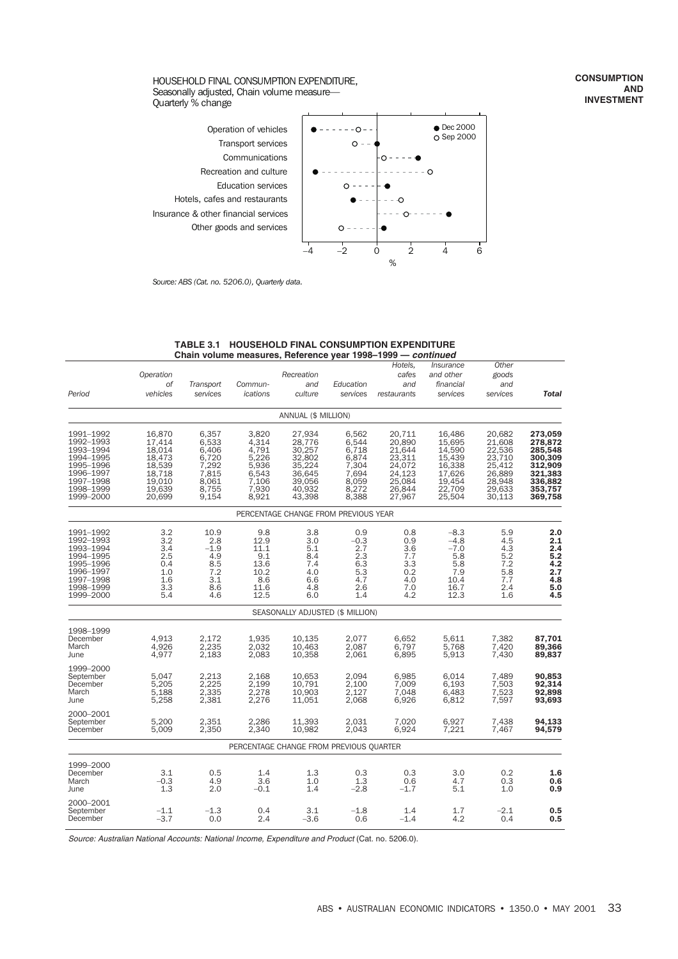HOUSEHOLD FINAL CONSUMPTION EXPENDITURE, Seasonally adjusted, Chain volume measure— Quarterly % change



*Source: ABS (Cat. no. 5206.0), Quarterly data.*

|                                                                                                                   |                                                                                        |                                                                               |                                                                               | Chain volume measures, Reference year 1998-1999 - continued                            |                                                                               |                                                                                        |                                                                                        |                                                                                        |                                                                                                 |
|-------------------------------------------------------------------------------------------------------------------|----------------------------------------------------------------------------------------|-------------------------------------------------------------------------------|-------------------------------------------------------------------------------|----------------------------------------------------------------------------------------|-------------------------------------------------------------------------------|----------------------------------------------------------------------------------------|----------------------------------------------------------------------------------------|----------------------------------------------------------------------------------------|-------------------------------------------------------------------------------------------------|
| Period                                                                                                            | Operation<br><b>of</b><br>vehicles                                                     | Transport<br>services                                                         | Commun-<br>ications                                                           | Recreation<br>and<br>culture                                                           | Education<br>services                                                         | Hotels,<br>cafes<br>and<br>restaurants                                                 | Insurance<br>and other<br>financial<br>services                                        | Other<br>goods<br>and<br>services                                                      | Total                                                                                           |
|                                                                                                                   |                                                                                        |                                                                               |                                                                               | ANNUAL (\$ MILLION)                                                                    |                                                                               |                                                                                        |                                                                                        |                                                                                        |                                                                                                 |
| 1991-1992<br>1992-1993<br>1993-1994<br>1994-1995<br>1995-1996<br>1996-1997<br>1997-1998<br>1998-1999<br>1999-2000 | 16,870<br>17,414<br>18,014<br>18,473<br>18,539<br>18,718<br>19,010<br>19,639<br>20,699 | 6,357<br>6,533<br>6,406<br>6,720<br>7,292<br>7,815<br>8,061<br>8,755<br>9,154 | 3,820<br>4,314<br>4,791<br>5,226<br>5,936<br>6,543<br>7,106<br>7,930<br>8,921 | 27,934<br>28,776<br>30,257<br>32,802<br>35,224<br>36,645<br>39,056<br>40,932<br>43,398 | 6,562<br>6,544<br>6,718<br>6,874<br>7,304<br>7,694<br>8,059<br>8,272<br>8,388 | 20,711<br>20,890<br>21,644<br>23,311<br>24,072<br>24,123<br>25,084<br>26,844<br>27,967 | 16,486<br>15,695<br>14,590<br>15,439<br>16,338<br>17,626<br>19,454<br>22,709<br>25,504 | 20,682<br>21,608<br>22,536<br>23,710<br>25,412<br>26,889<br>28,948<br>29,633<br>30,113 | 273,059<br>278,872<br>285,548<br>300,309<br>312,909<br>321,383<br>336,882<br>353,757<br>369,758 |
|                                                                                                                   |                                                                                        |                                                                               |                                                                               | PERCENTAGE CHANGE FROM PREVIOUS YEAR                                                   |                                                                               |                                                                                        |                                                                                        |                                                                                        |                                                                                                 |
| 1991-1992<br>1992-1993<br>1993-1994<br>1994-1995<br>1995-1996<br>1996-1997<br>1997-1998<br>1998-1999<br>1999-2000 | 3.2<br>3.2<br>3.4<br>2.5<br>0.4<br>1.0<br>1.6<br>3.3<br>5.4                            | 10.9<br>2.8<br>$-1.9$<br>4.9<br>8.5<br>7.2<br>3.1<br>8.6<br>4.6               | 9.8<br>12.9<br>11.1<br>9.1<br>13.6<br>10.2<br>8.6<br>11.6<br>12.5             | 3.8<br>3.0<br>5.1<br>8.4<br>7.4<br>4.0<br>6.6<br>4.8<br>6.0                            | 0.9<br>$-0.3$<br>2.7<br>2.3<br>6.3<br>5.3<br>4.7<br>2.6<br>1.4                | 0.8<br>0.9<br>3.6<br>7.7<br>3.3<br>0.2<br>4.0<br>7.0<br>4.2                            | $-8.3$<br>$-4.8$<br>$-7.0$<br>5.8<br>5.8<br>7.9<br>10.4<br>16.7<br>12.3                | 5.9<br>4.5<br>4.3<br>5.2<br>7.2<br>5.8<br>7.7<br>2.4<br>1.6                            | 2.0<br>2.1<br>2.4<br>5.2<br>4.2<br>2.7<br>4.8<br>5.0<br>4.5                                     |
|                                                                                                                   |                                                                                        |                                                                               |                                                                               | SEASONALLY ADJUSTED (\$ MILLION)                                                       |                                                                               |                                                                                        |                                                                                        |                                                                                        |                                                                                                 |
| 1998-1999<br>December<br>March<br>June                                                                            | 4,913<br>4,926<br>4.977                                                                | 2,172<br>2,235<br>2.183                                                       | 1,935<br>2,032<br>2.083                                                       | 10,135<br>10,463<br>10.358                                                             | 2.077<br>2,087<br>2.061                                                       | 6,652<br>6,797<br>6.895                                                                | 5,611<br>5,768<br>5.913                                                                | 7,382<br>7,420<br>7.430                                                                | 87,701<br>89,366<br>89.837                                                                      |
| 1999-2000<br>September<br>December<br>March<br>June                                                               | 5,047<br>5,205<br>5,188<br>5,258                                                       | 2,213<br>2,225<br>2,335<br>2,381                                              | 2,168<br>2,199<br>2,278<br>2,276                                              | 10,653<br>10,791<br>10,903<br>11,051                                                   | 2,094<br>2.100<br>2,127<br>2,068                                              | 6,985<br>7,009<br>7.048<br>6,926                                                       | 6,014<br>6.193<br>6,483<br>6,812                                                       | 7,489<br>7,503<br>7,523<br>7,597                                                       | 90,853<br>92.314<br>92,898<br>93,693                                                            |
| 2000-2001<br>September<br>December                                                                                | 5,200<br>5,009                                                                         | 2,351<br>2,350                                                                | 2,286<br>2,340                                                                | 11,393<br>10,982                                                                       | 2,031<br>2,043                                                                | 7,020<br>6,924                                                                         | 6,927<br>7,221                                                                         | 7,438<br>7,467                                                                         | 94,133<br>94,579                                                                                |
|                                                                                                                   |                                                                                        |                                                                               |                                                                               | PERCENTAGE CHANGE FROM PREVIOUS QUARTER                                                |                                                                               |                                                                                        |                                                                                        |                                                                                        |                                                                                                 |
| 1999-2000<br>December<br>March<br>June                                                                            | 3.1<br>$-0.3$<br>1.3                                                                   | 0.5<br>4.9<br>2.0                                                             | 1.4<br>3.6<br>$-0.1$                                                          | 1.3<br>1.0<br>1.4                                                                      | 0.3<br>$1.\overline{3}$<br>$-2.8$                                             | 0.3<br>0.6<br>$-1.7$                                                                   | 3.0<br>4.7<br>5.1                                                                      | 0.2<br>0.3<br>1.0                                                                      | 1.6<br>0.6<br>0.9                                                                               |
| 2000-2001<br>September<br>December                                                                                | $-1.1$<br>$-3.7$                                                                       | $^{-1.3}$<br>0.0                                                              | 0.4<br>2.4                                                                    | 3.1<br>$-3.6$                                                                          | $-1.8$<br>0.6                                                                 | 1.4<br>$-1.4$                                                                          | 1.7<br>4.2                                                                             | $-2.1$<br>0.4                                                                          | 0.5<br>0.5                                                                                      |

### **TABLE 3.1 HOUSEHOLD FINAL CONSUMPTION EXPENDITURE**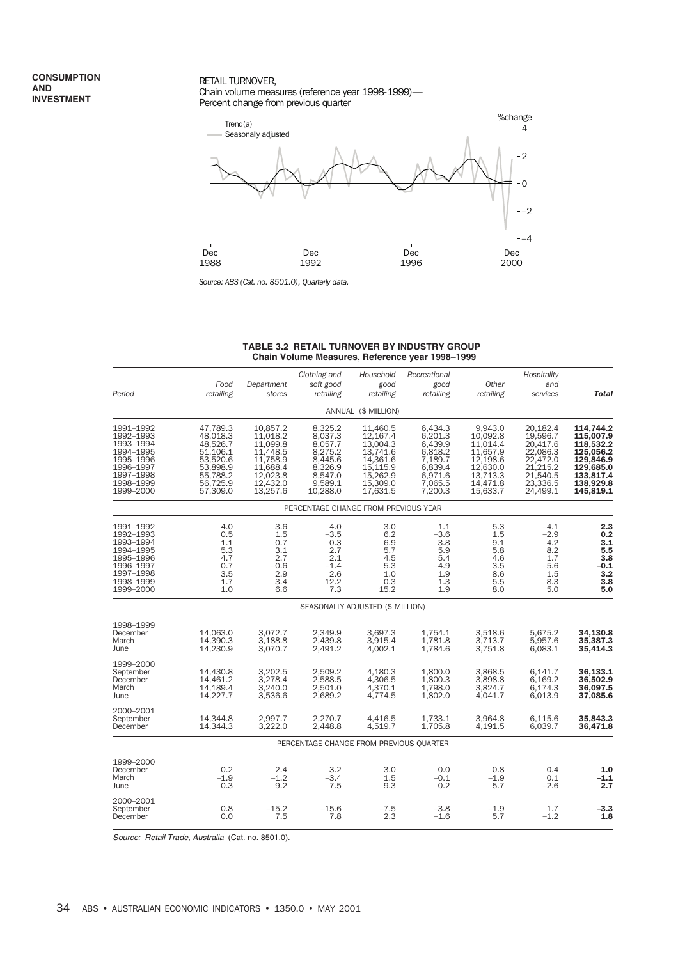#### RETAIL TURNOVER, Chain volume measures (reference year 1998-1999)— Percent change from previous quarter



*Source: ABS (Cat. no. 8501.0), Quarterly data.*

#### **TABLE 3.2 RETAIL TURNOVER BY INDUSTRY GROUP Chain Volume Measures, Reference year 1998–1999**

| Period                                                                                                            | Food<br>retailing                                                                                        | Department<br>stores                                                                                     | Clothing and<br>soft good<br>retailing                                                           | Household<br>good<br>retailing                                                                           | Recreational<br>good<br>retailing                                                               | Other<br>retailing                                                                                      | Hospitality<br>and<br>services                                                                           | Total                                                                                                             |
|-------------------------------------------------------------------------------------------------------------------|----------------------------------------------------------------------------------------------------------|----------------------------------------------------------------------------------------------------------|--------------------------------------------------------------------------------------------------|----------------------------------------------------------------------------------------------------------|-------------------------------------------------------------------------------------------------|---------------------------------------------------------------------------------------------------------|----------------------------------------------------------------------------------------------------------|-------------------------------------------------------------------------------------------------------------------|
|                                                                                                                   |                                                                                                          |                                                                                                          |                                                                                                  | ANNUAL (\$ MILLION)                                                                                      |                                                                                                 |                                                                                                         |                                                                                                          |                                                                                                                   |
| 1991-1992<br>1992-1993<br>1993-1994<br>1994-1995<br>1995-1996<br>1996-1997<br>1997-1998<br>1998-1999<br>1999-2000 | 47,789.3<br>48,018.3<br>48,526.7<br>51,106.1<br>53,520.6<br>53,898.9<br>55,788.2<br>56,725.9<br>57,309.0 | 10,857.2<br>11,018.2<br>11,099.8<br>11,448.5<br>11,758.9<br>11.688.4<br>12,023.8<br>12,432.0<br>13,257.6 | 8,325.2<br>8,037.3<br>8,057.7<br>8,275.2<br>8,445.6<br>8.326.9<br>8,547.0<br>9,589.1<br>10,288.0 | 11,460.5<br>12,167.4<br>13,004.3<br>13,741.6<br>14,361.6<br>15,115.9<br>15,262.9<br>15,309.0<br>17,631.5 | 6,434.3<br>6,201.3<br>6,439.9<br>6,818.2<br>7,189.7<br>6.839.4<br>6,971.6<br>7,065.5<br>7,200.3 | 9,943.0<br>10,092.8<br>11,014.4<br>11,657.9<br>12,198.6<br>12,630.0<br>13.713.3<br>14,471.8<br>15,633.7 | 20,182.4<br>19,596.7<br>20,417.6<br>22,086.3<br>22,472.0<br>21.215.2<br>21,540.5<br>23,336.5<br>24,499.1 | 114,744.2<br>115,007.9<br>118,532.2<br>125,056.2<br>129.846.9<br>129.685.0<br>133,817.4<br>138,929.8<br>145,819.1 |
|                                                                                                                   |                                                                                                          |                                                                                                          | PERCENTAGE CHANGE FROM PREVIOUS YEAR                                                             |                                                                                                          |                                                                                                 |                                                                                                         |                                                                                                          |                                                                                                                   |
| 1991-1992<br>1992-1993<br>1993-1994<br>1994-1995<br>1995-1996<br>1996-1997<br>1997-1998<br>1998-1999<br>1999-2000 | 4.0<br>0.5<br>1.1<br>5.3<br>4.7<br>0.7<br>3.5<br>1.7<br>1.0                                              | 3.6<br>1.5<br>0.7<br>3.1<br>2.7<br>$-0.6$<br>2.9<br>3.4<br>6.6                                           | 4.0<br>$-3.5$<br>0.3<br>2.7<br>2.1<br>$-1.4$<br>2.6<br>12.2<br>7.3                               | 3.0<br>6.2<br>6.9<br>5.7<br>4.5<br>5.3<br>1.0<br>0.3<br>15.2                                             | 1.1<br>$-3.6$<br>3.8<br>5.9<br>5.4<br>$-4.9$<br>1.9<br>1.3<br>1.9                               | 5.3<br>1.5<br>9.1<br>5.8<br>4.6<br>3.5<br>8.6<br>5.5<br>8.0                                             | $-4.1$<br>$-2.9$<br>4.2<br>8.2<br>1.7<br>$-5.6$<br>$1.5\,$<br>8.3<br>5.0                                 | 2.3<br>0.2<br>3.1<br>5.5<br>3.8<br>-0.1<br>3.2<br>3.8<br>5.0                                                      |
|                                                                                                                   |                                                                                                          |                                                                                                          |                                                                                                  | SEASONALLY ADJUSTED (\$ MILLION)                                                                         |                                                                                                 |                                                                                                         |                                                                                                          |                                                                                                                   |
| 1998-1999<br>December<br>March<br>June                                                                            | 14,063.0<br>14.390.3<br>14.230.9                                                                         | 3,072.7<br>3.188.8<br>3.070.7                                                                            | 2,349.9<br>2.439.8<br>2.491.2                                                                    | 3,697.3<br>3.915.4<br>4.002.1                                                                            | 1,754.1<br>1.781.8<br>1.784.6                                                                   | 3,518.6<br>3.713.7<br>3,751.8                                                                           | 5,675.2<br>5,957.6<br>6.083.1                                                                            | 34,130.8<br>35,387.3<br>35,414.3                                                                                  |
| 1999-2000<br>September<br>December<br>March<br>June                                                               | 14,430.8<br>14,461.2<br>14,189.4<br>14,227.7                                                             | 3,202.5<br>3,278.4<br>3,240.0<br>3,536.6                                                                 | 2,509.2<br>2,588.5<br>2,501.0<br>2,689.2                                                         | 4,180.3<br>4,306.5<br>4,370.1<br>4,774.5                                                                 | 1,800.0<br>1,800.3<br>1,798.0<br>1,802.0                                                        | 3,868.5<br>3,898.8<br>3,824.7<br>4,041.7                                                                | 6,141.7<br>6,169.2<br>6,174.3<br>6,013.9                                                                 | 36,133.1<br>36.502.9<br>36,097.5<br>37,085.6                                                                      |
| 2000-2001<br>September<br>December                                                                                | 14,344.8<br>14,344.3                                                                                     | 2,997.7<br>3,222.0                                                                                       | 2,270.7<br>2,448.8                                                                               | 4,416.5<br>4,519.7                                                                                       | 1,733.1<br>1,705.8                                                                              | 3,964.8<br>4,191.5                                                                                      | 6,115.6<br>6,039.7                                                                                       | 35,843.3<br>36,471.8                                                                                              |
|                                                                                                                   |                                                                                                          |                                                                                                          | PERCENTAGE CHANGE FROM PREVIOUS QUARTER                                                          |                                                                                                          |                                                                                                 |                                                                                                         |                                                                                                          |                                                                                                                   |
| 1999-2000<br>December<br>March<br>June                                                                            | 0.2<br>$-1.9$<br>0.3                                                                                     | 2.4<br>$-1.2$<br>9.2                                                                                     | 3.2<br>$-3.4$<br>7.5                                                                             | 3.0<br>1.5<br>9.3                                                                                        | 0.0<br>$-0.1$<br>0.2                                                                            | 0.8<br>$-1.9$<br>5.7                                                                                    | 0.4<br>0.1<br>$-2.6$                                                                                     | 1.0<br>$-1.1$<br>2.7                                                                                              |
| 2000–2001<br>September<br>December                                                                                | 0.8<br>0.0                                                                                               | $-15.2$<br>7.5                                                                                           | $-15.6$<br>7.8                                                                                   | $-7.5$<br>2.3                                                                                            | $-3.8$<br>$-1.6$                                                                                | $-1.9$<br>5.7                                                                                           | 1.7<br>$-1.2$                                                                                            | -3.3<br>1.8                                                                                                       |

Source: Retail Trade, Australia (Cat. no. 8501.0).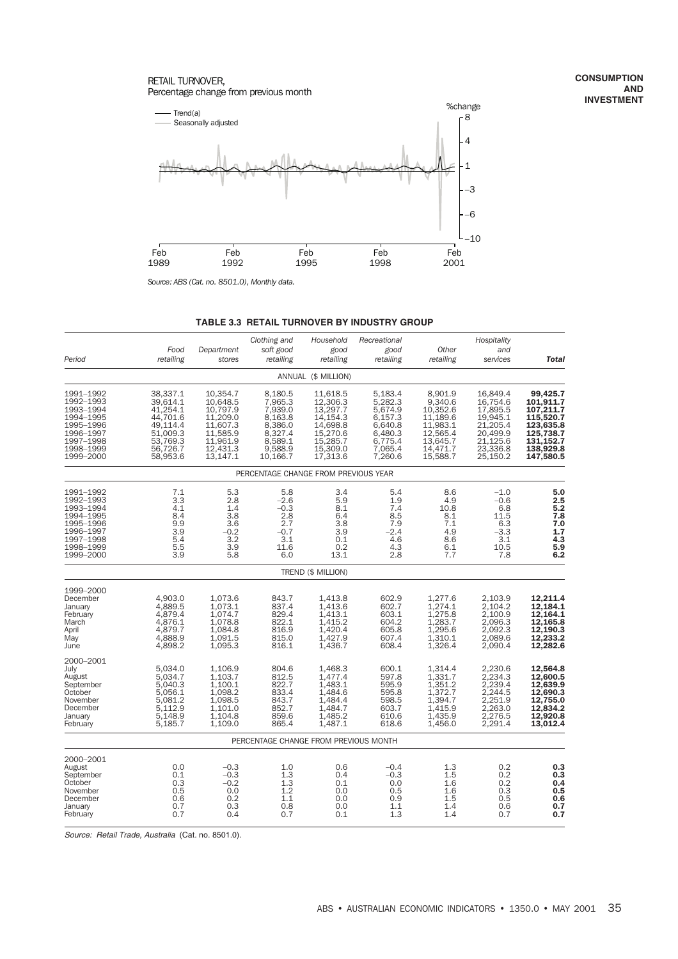#### RETAIL TURNOVER, Percentage change from previous month



*Source: ABS (Cat. no. 8501.0), Monthly data.*

#### **TABLE 3.3 RETAIL TURNOVER BY INDUSTRY GROUP**

|                                                                                                                   |                                                                                                          |                                                                                                          | Clothing and                                                                                     | Household                                                                                                | Recreational                                                                                    |                                                                                                        | Hospitality                                                                                              |                                                                                                                  |
|-------------------------------------------------------------------------------------------------------------------|----------------------------------------------------------------------------------------------------------|----------------------------------------------------------------------------------------------------------|--------------------------------------------------------------------------------------------------|----------------------------------------------------------------------------------------------------------|-------------------------------------------------------------------------------------------------|--------------------------------------------------------------------------------------------------------|----------------------------------------------------------------------------------------------------------|------------------------------------------------------------------------------------------------------------------|
| Period                                                                                                            | Food<br>retailing                                                                                        | Department<br>stores                                                                                     | soft good<br>retailing                                                                           | good<br>retailing                                                                                        | good<br>retailing                                                                               | Other<br>retailing                                                                                     | and<br>services                                                                                          | <b>Total</b>                                                                                                     |
|                                                                                                                   |                                                                                                          |                                                                                                          |                                                                                                  | ANNUAL (\$ MILLION)                                                                                      |                                                                                                 |                                                                                                        |                                                                                                          |                                                                                                                  |
| 1991-1992<br>1992-1993<br>1993-1994<br>1994-1995<br>1995-1996<br>1996-1997<br>1997-1998<br>1998-1999<br>1999-2000 | 38,337.1<br>39,614.1<br>41,254.1<br>44.701.6<br>49.114.4<br>51,009.3<br>53,769.3<br>56,726.7<br>58,953.6 | 10,354.7<br>10,648.5<br>10,797.9<br>11,209.0<br>11,607.3<br>11,585.9<br>11,961.9<br>12,431.3<br>13,147.1 | 8,180.5<br>7,965.3<br>7,939.0<br>8,163.8<br>8,386.0<br>8,327.4<br>8,589.1<br>9,588.9<br>10,166.7 | 11,618.5<br>12,306.3<br>13,297.7<br>14,154.3<br>14,698.8<br>15,270.6<br>15,285.7<br>15,309.0<br>17,313.6 | 5,183.4<br>5,282.3<br>5,674.9<br>6,157.3<br>6,640.8<br>6,480.3<br>6,775.4<br>7,065.4<br>7,260.6 | 8.901.9<br>9,340.6<br>10,352.6<br>11,189.6<br>11,983.1<br>12,565.4<br>13,645.7<br>14,471.7<br>15,588.7 | 16,849.4<br>16,754.6<br>17,895.5<br>19,945.1<br>21,205.4<br>20,499.9<br>21,125.6<br>23,336.8<br>25,150.2 | 99.425.7<br>101,911.7<br>107,211.7<br>115,520.7<br>123,635.8<br>125,738.7<br>131,152.7<br>138,929.8<br>147,580.5 |
|                                                                                                                   |                                                                                                          |                                                                                                          | PERCENTAGE CHANGE FROM PREVIOUS YEAR                                                             |                                                                                                          |                                                                                                 |                                                                                                        |                                                                                                          |                                                                                                                  |
| 1991-1992<br>1992-1993<br>1993-1994<br>1994-1995<br>1995-1996<br>1996-1997<br>1997-1998<br>1998-1999<br>1999-2000 | 7.1<br>3.3<br>4.1<br>8.4<br>9.9<br>3.9<br>5.4<br>5.5<br>3.9                                              | 5.3<br>2.8<br>1.4<br>3.8<br>3.6<br>$-0.2$<br>3.2<br>3.9<br>5.8                                           | 5.8<br>$-2.6$<br>$-0.3$<br>2.8<br>2.7<br>$-0.7$<br>3.1<br>11.6<br>6.0                            | 3.4<br>5.9<br>8.1<br>6.4<br>3.8<br>3.9<br>0.1<br>0.2<br>13.1                                             | 5.4<br>1.9<br>7.4<br>8.5<br>7.9<br>$-2.4$<br>4.6<br>4.3<br>2.8                                  | 8.6<br>4.9<br>10.8<br>8.1<br>7.1<br>4.9<br>8.6<br>6.1<br>7.7                                           | $-1.0$<br>$-0.6$<br>6.8<br>11.5<br>6.3<br>$-3.3$<br>3.1<br>10.5<br>7.8                                   | 5.0<br>$\frac{2.5}{5.2}$<br>7.8<br>$7.0$<br>1.7<br>4.3<br>5.9<br>6.2                                             |
|                                                                                                                   |                                                                                                          |                                                                                                          |                                                                                                  | TREND (\$ MILLION)                                                                                       |                                                                                                 |                                                                                                        |                                                                                                          |                                                                                                                  |
| 1999-2000<br>December<br>January<br>February<br>March<br>April<br>May<br>June                                     | 4,903.0<br>4,889.5<br>4,879.4<br>4,876.1<br>4,879.7<br>4,888.9<br>4.898.2                                | 1,073.6<br>1,073.1<br>1,074.7<br>1,078.8<br>1,084.8<br>1,091.5<br>1,095.3                                | 843.7<br>837.4<br>829.4<br>822.1<br>816.9<br>815.0<br>816.1                                      | 1,413.8<br>1,413.6<br>1,413.1<br>1,415.2<br>1,420.4<br>1,427.9<br>1,436.7                                | 602.9<br>602.7<br>603.1<br>604.2<br>605.8<br>607.4<br>608.4                                     | 1,277.6<br>1,274.1<br>1,275.8<br>1,283.7<br>1,295.6<br>1,310.1<br>1,326.4                              | 2,103.9<br>2,104.2<br>2,100.9<br>2,096.3<br>2,092.3<br>2,089.6<br>2.090.4                                | 12,211.4<br>12.184.1<br>12,164.1<br>12,165.8<br>12,190.3<br>12,233.2<br>12,282.6                                 |
| 2000-2001<br>July<br>August<br>September<br>October<br>November<br>December<br>January<br>February                | 5,034.0<br>5,034.7<br>5,040.3<br>5,056.1<br>5,081.2<br>5.112.9<br>5,148.9<br>5,185.7                     | 1,106.9<br>1.103.7<br>1,100.1<br>1,098.2<br>1,098.5<br>1,101.0<br>1,104.8<br>1,109.0                     | 804.6<br>812.5<br>822.7<br>833.4<br>843.7<br>852.7<br>859.6<br>865.4                             | 1,468.3<br>1.477.4<br>1,483.1<br>1,484.6<br>1,484.4<br>1,484.7<br>1,485.2<br>1,487.1                     | 600.1<br>597.8<br>595.9<br>595.8<br>598.5<br>603.7<br>610.6<br>618.6                            | 1,314.4<br>1,331.7<br>1,351.2<br>1,372.7<br>1,394.7<br>1,415.9<br>1,435.9<br>1,456.0                   | 2,230.6<br>2,234.3<br>2,239.4<br>2,244.5<br>2,251.9<br>2.263.0<br>2,276.5<br>2,291.4                     | 12,564.8<br>12.600.5<br>12,639.9<br>12,690.3<br>12,755.0<br>12,834.2<br>12,920.8<br>13,012.4                     |
|                                                                                                                   |                                                                                                          |                                                                                                          | PERCENTAGE CHANGE FROM PREVIOUS MONTH                                                            |                                                                                                          |                                                                                                 |                                                                                                        |                                                                                                          |                                                                                                                  |
| 2000-2001<br>August<br>September<br>October<br>November<br>December<br>January<br>February                        | 0.0<br>0.1<br>0.3<br>0.5<br>0.6<br>0.7<br>0.7                                                            | $-0.3$<br>$-0.3$<br>$-0.2$<br>0.0<br>0.2<br>0.3<br>0.4                                                   | 1.0<br>$\frac{1.3}{1.3}$<br>1.2<br>1.1<br>0.8<br>0.7                                             | 0.6<br>0.4<br>0.1<br>0.0<br>0.0<br>0.0<br>0.1                                                            | $-0.4$<br>$-0.3$<br>0.0<br>0.5<br>0.9<br>1.1<br>1.3                                             | 1.3<br>1.5<br>1.6<br>1.6<br>1.5<br>1.4<br>1.4                                                          | 0.2<br>0.2<br>0.2<br>0.3<br>0.5<br>0.6<br>0.7                                                            | $\!\!\!\begin{array}{c} 0.3 \\ 0.3 \end{array}\!\!\!\!$<br>0.4<br>0.5<br>0.6<br>0.7<br>0.7                       |

Source: Retail Trade, Australia (Cat. no. 8501.0).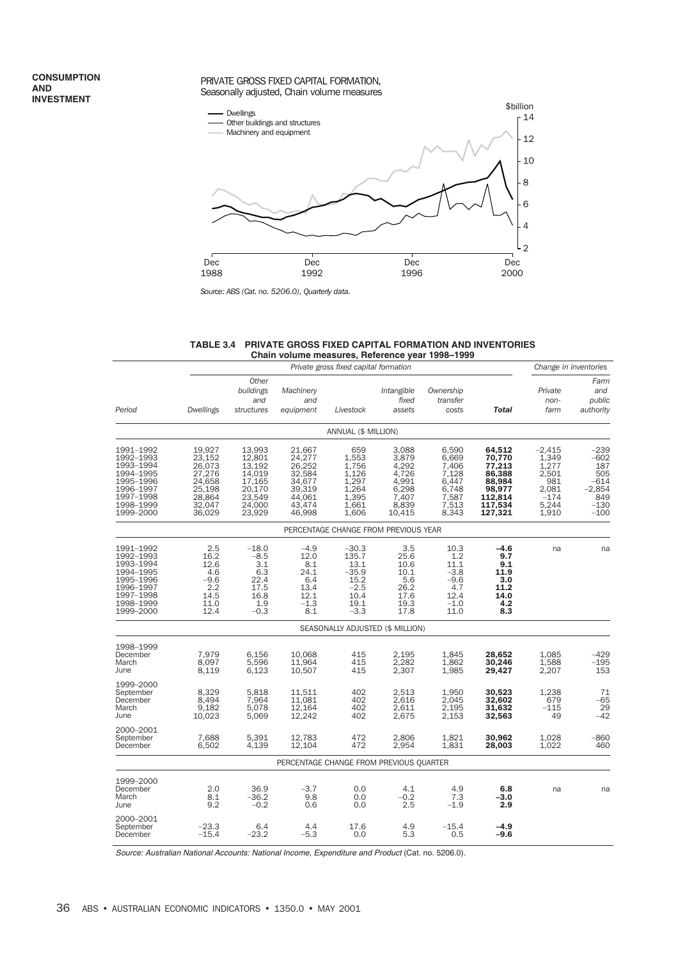#### PRIVATE GROSS FIXED CAPITAL FORMATION, Seasonally adjusted, Chain volume measures



*Source: ABS (Cat. no. 5206.0), Quarterly data.*

#### **TABLE 3.4 PRIVATE GROSS FIXED CAPITAL FORMATION AND INVENTORIES Chain volume measures, Reference year 1998–1999**

|                                                                                                                   |                                                                                        | Change in inventories                                                                  |                                                                                        |                                                                                 |                                                                                |                                                                               |                                                                                           |                                                                                 |                                                                                 |
|-------------------------------------------------------------------------------------------------------------------|----------------------------------------------------------------------------------------|----------------------------------------------------------------------------------------|----------------------------------------------------------------------------------------|---------------------------------------------------------------------------------|--------------------------------------------------------------------------------|-------------------------------------------------------------------------------|-------------------------------------------------------------------------------------------|---------------------------------------------------------------------------------|---------------------------------------------------------------------------------|
| Period                                                                                                            | Dwellings                                                                              | Other<br>buildings<br>and<br>structures                                                | Machinery<br>and<br>equipment                                                          | Livestock                                                                       | Intangible<br>fixed<br>assets                                                  | Ownership<br>transfer<br>costs                                                | <b>Total</b>                                                                              | Private<br>non-<br>farm                                                         | Farm<br>and<br>public<br>authority                                              |
|                                                                                                                   |                                                                                        |                                                                                        |                                                                                        | ANNUAL (\$ MILLION)                                                             |                                                                                |                                                                               |                                                                                           |                                                                                 |                                                                                 |
| 1991-1992<br>1992-1993<br>1993-1994<br>1994-1995<br>1995-1996<br>1996-1997<br>1997-1998<br>1998-1999<br>1999-2000 | 19,927<br>23,152<br>26,073<br>27,276<br>24,658<br>25,198<br>28,864<br>32,047<br>36,029 | 13,993<br>12,801<br>13,192<br>14,019<br>17,165<br>20,170<br>23,549<br>24,000<br>23,929 | 21,667<br>24,277<br>26,252<br>32,584<br>34,677<br>39,319<br>44,061<br>43,474<br>46,998 | 659<br>1,553<br>1,756<br>1,126<br>1,297<br>1,264<br>1,395<br>1,661<br>1,606     | 3,088<br>3,879<br>4,292<br>4,726<br>4,991<br>6,298<br>7,407<br>8,839<br>10,415 | 6,590<br>6,669<br>7,406<br>7,128<br>6,447<br>6,748<br>7,587<br>7,513<br>8,343 | 64,512<br>70,770<br>77,213<br>86,388<br>88,984<br>98,977<br>112,814<br>117,534<br>127,321 | $-2,415$<br>1,349<br>1,277<br>2,501<br>981<br>2,081<br>$-174$<br>5,244<br>1,910 | $-239$<br>$-602$<br>187<br>505<br>$-614$<br>$-2,854$<br>849<br>$-130$<br>$-100$ |
|                                                                                                                   |                                                                                        |                                                                                        |                                                                                        | PERCENTAGE CHANGE FROM PREVIOUS YEAR                                            |                                                                                |                                                                               |                                                                                           |                                                                                 |                                                                                 |
| 1991-1992<br>1992-1993<br>1993-1994<br>1994-1995<br>1995-1996<br>1996-1997<br>1997-1998<br>1998-1999<br>1999-2000 | 2.5<br>16.2<br>12.6<br>4.6<br>$-9.6$<br>2.2<br>14.5<br>11.0<br>12.4                    | $-18.0$<br>$-8.5$<br>3.1<br>6.3<br>22.4<br>17.5<br>16.8<br>1.9<br>$-0.3$               | $-4.9$<br>12.0<br>8.1<br>24.1<br>6.4<br>13.4<br>12.1<br>$-1.3$<br>8.1                  | $-30.3$<br>135.7<br>13.1<br>$-35.9$<br>15.2<br>$-2.5$<br>10.4<br>19.1<br>$-3.3$ | 3.5<br>25.6<br>10.6<br>10.1<br>5.6<br>26.2<br>17.6<br>19.3<br>17.8             | 10.3<br>1.2<br>11.1<br>$-3.8$<br>$-9.6$<br>4.7<br>12.4<br>$-1.0$<br>11.0      | $-4.6$<br>9.7<br>9.1<br>11.9<br>3.0<br>11.2<br>14.0<br>4.2<br>8.3                         | na                                                                              | na                                                                              |
|                                                                                                                   |                                                                                        |                                                                                        |                                                                                        | SEASONALLY ADJUSTED (\$ MILLION)                                                |                                                                                |                                                                               |                                                                                           |                                                                                 |                                                                                 |
| 1998-1999<br>December<br>March<br>June                                                                            | 7,979<br>8,097<br>8,119                                                                | 6,156<br>5,596<br>6.123                                                                | 10,068<br>11,964<br>10.507                                                             | 415<br>415<br>415                                                               | 2,195<br>2,282<br>2,307                                                        | 1,845<br>1,862<br>1,985                                                       | 28,652<br>30,246<br>29,427                                                                | 1,085<br>1,588<br>2,207                                                         | $-429$<br>$-195$<br>153                                                         |
| 1999-2000<br>September<br>December<br>March<br>June                                                               | 8,329<br>8,494<br>9,182<br>10,023                                                      | 5,818<br>7,964<br>5,078<br>5,069                                                       | 11,511<br>11,081<br>12,164<br>12,242                                                   | 402<br>402<br>402<br>402                                                        | 2,513<br>2,616<br>2,611<br>2,675                                               | 1,950<br>2,045<br>2,195<br>2,153                                              | 30,523<br>32,602<br>31,632<br>32,563                                                      | 1,238<br>679<br>$-115$<br>49                                                    | 71<br>$-65$<br>29<br>$-42$                                                      |
| 2000-2001<br>September<br>December                                                                                | 7,688<br>6,502                                                                         | 5,391<br>4,139                                                                         | 12,783<br>12,104                                                                       | 472<br>472                                                                      | 2,806<br>2,954                                                                 | 1,821<br>1,831                                                                | 30,962<br>28,003                                                                          | 1,028<br>1,022                                                                  | -860<br>460                                                                     |
|                                                                                                                   |                                                                                        |                                                                                        | PERCENTAGE CHANGE FROM PREVIOUS QUARTER                                                |                                                                                 |                                                                                |                                                                               |                                                                                           |                                                                                 |                                                                                 |
| 1999-2000<br>December<br>March<br>June                                                                            | 2.0<br>8.1<br>9.2                                                                      | 36.9<br>$-36.2$<br>$-0.2$                                                              | $-3.7$<br>9.8<br>0.6                                                                   | 0.0<br>0.0<br>0.0                                                               | 4.1<br>$-0.2$<br>2.5                                                           | 4.9<br>7.3<br>$-1.9$                                                          | 6.8<br>-3.0<br>2.9                                                                        | na                                                                              | na                                                                              |
| 2000-2001<br>September<br>December                                                                                | $-23.3$<br>$-15.4$                                                                     | 6.4<br>$-23.2$                                                                         | 4.4<br>$-5.3$                                                                          | 17.6<br>0.0                                                                     | 4.9<br>5.3                                                                     | $-15.4$<br>0.5                                                                | $-4.9$<br>-9.6                                                                            |                                                                                 |                                                                                 |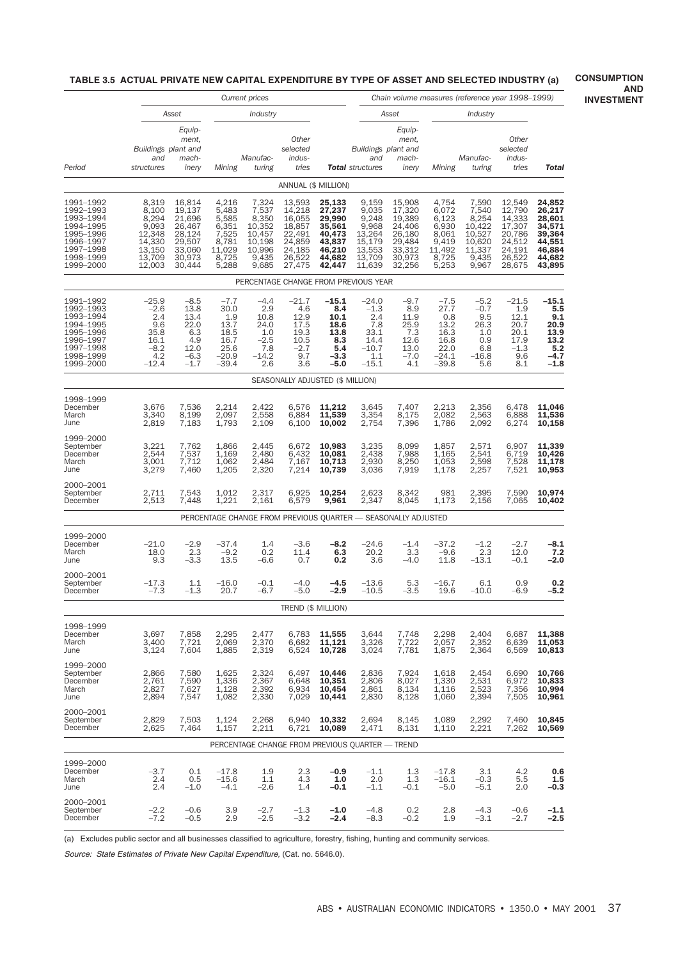# **TABLE 3.5 ACTUAL PRIVATE NEW CAPITAL EXPENDITURE BY TYPE OF ASSET AND SELECTED INDUSTRY (a)**

**CONSUMPTION AND INVESTMENT**

|                                                                                                                   |                                                                                    |                                                                                        |                                                                                | Current prices                                                                    |                                                                                        | Chain volume measures (reference year 1998-1999)                                       |                                                                                    |                                                                                        |                                                                                |                                                                                   |                                                                                        |                                                                                        |
|-------------------------------------------------------------------------------------------------------------------|------------------------------------------------------------------------------------|----------------------------------------------------------------------------------------|--------------------------------------------------------------------------------|-----------------------------------------------------------------------------------|----------------------------------------------------------------------------------------|----------------------------------------------------------------------------------------|------------------------------------------------------------------------------------|----------------------------------------------------------------------------------------|--------------------------------------------------------------------------------|-----------------------------------------------------------------------------------|----------------------------------------------------------------------------------------|----------------------------------------------------------------------------------------|
|                                                                                                                   |                                                                                    | Asset                                                                                  |                                                                                | Industry                                                                          |                                                                                        |                                                                                        |                                                                                    | Asset                                                                                  |                                                                                | Industry                                                                          |                                                                                        |                                                                                        |
| Period                                                                                                            | Buildings plant and<br>and<br>structures                                           | Equip-<br>ment,<br>mach-<br>inery                                                      | Mining                                                                         | Manufac-<br>turing                                                                | Other<br>selected<br>indus-<br>tries                                                   |                                                                                        | Buildings plant and<br>and<br><b>Total</b> structures                              | Equip-<br>ment,<br>mach-<br>inery                                                      | Mining                                                                         | Manufac-<br>turing                                                                | Other<br>selected<br>indus-<br>tries                                                   | Total                                                                                  |
|                                                                                                                   |                                                                                    |                                                                                        |                                                                                |                                                                                   | ANNUAL (\$ MILLION)                                                                    |                                                                                        |                                                                                    |                                                                                        |                                                                                |                                                                                   |                                                                                        |                                                                                        |
| 1991–1992<br>1992–1993<br>1993-1994<br>1994–1995<br>1995-1996<br>1996-1997<br>1997–1998<br>1998-1999<br>1999-2000 | 8,319<br>8,100<br>8,294<br>9,093<br>12,348<br>14,330<br>13,150<br>13,709<br>12,003 | 16,814<br>19,137<br>21,696<br>26,467<br>28,124<br>29,507<br>33,060<br>30,973<br>30,444 | 4,216<br>5,483<br>5,585<br>6,351<br>7,525<br>8,781<br>11,029<br>8,725<br>5,288 | 7,324<br>7,537<br>8,350<br>10,352<br>10,457<br>10,198<br>10,996<br>9,435<br>9,685 | 13,593<br>14,218<br>16,055<br>18,857<br>22,491<br>24,859<br>24.185<br>26,522<br>27,475 | 25,133<br>27,237<br>29,990<br>35,561<br>40,473<br>43,837<br>46,210<br>44,682<br>42,447 | 9,159<br>9,035<br>9,248<br>9,968<br>13,264<br>15,179<br>13,553<br>13,709<br>11,639 | 15,908<br>17,320<br>19,389<br>24,406<br>26,180<br>29,484<br>33,312<br>30,973<br>32,256 | 4,754<br>6,072<br>6,123<br>6,930<br>8,061<br>9,419<br>11,492<br>8,725<br>5,253 | 7,590<br>7,540<br>8,254<br>10,422<br>10,527<br>10,620<br>11,337<br>9,435<br>9,967 | 12,549<br>12,790<br>14,333<br>17,307<br>20,786<br>24,512<br>24,191<br>26,522<br>28,675 | 24,852<br>26,217<br>28,601<br>34,571<br>39,364<br>44,551<br>46,884<br>44,682<br>43,895 |
|                                                                                                                   |                                                                                    |                                                                                        |                                                                                |                                                                                   |                                                                                        |                                                                                        | PERCENTAGE CHANGE FROM PREVIOUS YEAR                                               |                                                                                        |                                                                                |                                                                                   |                                                                                        |                                                                                        |
| 1991–1992<br>1992–1993<br>1993-1994<br>1994-1995<br>1995–1996<br>1996-1997<br>1997-1998<br>1998-1999<br>1999-2000 | $-25.9$<br>$-2.6$<br>2.4<br>9.6<br>35.8<br>16.1<br>$-8.2$<br>4.2<br>$-12.4$        | $-8.5$<br>13.8<br>13.4<br>22.0<br>6.3<br>4.9<br>12.0<br>$-6.3$<br>$-1.7$               | $-7.7$<br>30.0<br>1.9<br>13.7<br>18.5<br>16.7<br>25.6<br>$-20.9$<br>$-39.4$    | $-4.4$<br>2.9<br>10.8<br>24.0<br>1.0<br>$-2.5$<br>7.8<br>$-14.2$<br>2.6           | $-21.7$<br>4.6<br>12.9<br>17.5<br>19.3<br>10.5<br>$-2.7$<br>9.7<br>3.6                 | $-15.1$<br>8.4<br>10.1<br>18.6<br>13.8<br>8.3<br>5.4<br>-3.3<br>-5.0                   | $-24.0$<br>$-1.3$<br>2.4<br>7.8<br>33.1<br>14.4<br>$-10.7$<br>1.1<br>$-15.1$       | $-9.7$<br>8.9<br>11.9<br>25.9<br>7.3<br>12.6<br>13.0<br>$-7.0$<br>4.1                  | $-7.5$<br>27.7<br>0.8<br>13.2<br>16.3<br>16.8<br>22.0<br>$-24.1$<br>$-39.8$    | $-5.2$<br>$-0.7$<br>9.5<br>26.3<br>1.0<br>0.9<br>6.8<br>$-16.8$<br>5.6            | $-21.5$<br>1.9<br>12.1<br>20.7<br>20.1<br>17.9<br>$-1.3$<br>9.6<br>8.1                 | $-15.1$<br>5.5<br>9.1<br>20.9<br>13.9<br>13.2<br>5.2<br>-4.7<br>$-1.8$                 |
|                                                                                                                   |                                                                                    |                                                                                        |                                                                                |                                                                                   | SEASONALLY ADJUSTED (\$ MILLION)                                                       |                                                                                        |                                                                                    |                                                                                        |                                                                                |                                                                                   |                                                                                        |                                                                                        |
| 1998-1999<br>December<br>March<br>June                                                                            | 3,676<br>3,340<br>2,819                                                            | 7,536<br>8,199<br>7,183                                                                | 2,214<br>2,097<br>1,793                                                        | 2,422<br>2,558<br>2,109                                                           | 6,576<br>6,884<br>6,100                                                                | 11,212<br>11,539<br>10,002                                                             | 3,645<br>3,354<br>2,754                                                            | 7,407<br>8,175<br>7,396                                                                | 2,213<br>2,082<br>1,786                                                        | 2,356<br>2,563<br>2,092                                                           | 6,478<br>6,888<br>6,274                                                                | 11,046<br>11,536<br>10,158                                                             |
| 1999-2000<br>September<br>December<br>March<br>June                                                               | 3,221<br>2,544<br>3,001<br>3,279                                                   | 7,762<br>7,537<br>7,712<br>7,460                                                       | 1,866<br>1,169<br>1,062<br>1,205                                               | 2,445<br>2,480<br>2,484<br>2,320                                                  | 6,672<br>6,432<br>7,167<br>7,214                                                       | 10,983<br>10,081<br>10,713<br>10,739                                                   | 3,235<br>2,438<br>2,930<br>3,036                                                   | 8,099<br>7,988<br>8,250<br>7,919                                                       | 1,857<br>1,165<br>1,053<br>1,178                                               | 2,571<br>2,541<br>2,598<br>2,257                                                  | 6,907<br>6,719<br>7,528<br>7,521                                                       | 11,339<br>10,426<br>11,178<br>10,953                                                   |
| 2000–2001<br>September<br>December                                                                                | 2,711<br>2,513                                                                     | 7,543<br>7,448                                                                         | 1,012<br>1,221                                                                 | 2,317<br>2,161                                                                    | 6,925<br>6,579                                                                         | 10,254<br>9,961                                                                        | 2,623<br>2,347                                                                     | 8,342<br>8,045                                                                         | 981<br>1,173                                                                   | 2,395<br>2,156                                                                    | 7,590<br>7,065                                                                         | 10,974<br>10,402                                                                       |
|                                                                                                                   |                                                                                    |                                                                                        |                                                                                |                                                                                   |                                                                                        |                                                                                        | PERCENTAGE CHANGE FROM PREVIOUS QUARTER - SEASONALLY ADJUSTED                      |                                                                                        |                                                                                |                                                                                   |                                                                                        |                                                                                        |
| 1999-2000<br>December<br>March<br>June                                                                            | $-21.0$<br>18.0<br>9.3                                                             | $-2.9$<br>2.3<br>$-3.3$                                                                | $-37.4$<br>$-9.2$<br>13.5                                                      | 1.4<br>0.2<br>$-6.6$                                                              | $-3.6$<br>11.4<br>0.7                                                                  | -8.2<br>6.3<br>0.2                                                                     | $-24.6$<br>20.2<br>3.6                                                             | $-1.4$<br>3.3<br>$-4.0$                                                                | $-37.2$<br>$-9.6$<br>11.8                                                      | $-1.2$<br>2.3<br>$-13.1$                                                          | $-2.7$<br>12.0<br>$-0.1$                                                               | -8.1<br>7.2<br>$-2.0$                                                                  |
| 2000-2001<br>September<br>December                                                                                | $-17.3$<br>$-7.3$                                                                  | 1.1<br>$-1.3$                                                                          | $-16.0$<br>20.7                                                                | $-0.1$<br>$-6.7$                                                                  | $-4.0$<br>$-5.0$                                                                       | -4.5<br>-2.9                                                                           | $-13.6$<br>$-10.5$                                                                 | 5.3<br>$-3.5$                                                                          | $-16.7$<br>19.6                                                                | 6.1<br>$-10.0$                                                                    | 0.9<br>$-6.9$                                                                          | 0.2<br>$-5.2$                                                                          |
|                                                                                                                   |                                                                                    |                                                                                        |                                                                                |                                                                                   | TREND (\$ MILLION)                                                                     |                                                                                        |                                                                                    |                                                                                        |                                                                                |                                                                                   |                                                                                        |                                                                                        |
| 1998–1999<br>December<br>March<br>June                                                                            | 3,697<br>3,400<br>3,124                                                            | 7,858<br>7,721<br>7,604                                                                | 2,295<br>2,069<br>1,885                                                        | 2,477<br>2,370<br>2,319                                                           | 6,783<br>6,682<br>6,524                                                                | 11,555<br>11,121<br>10,728                                                             | 3,644<br>3,326<br>3,024                                                            | 7,748<br>7,722<br>7,781                                                                | 2,298<br>2,057<br>1,875                                                        | 2,404<br>2,352<br>2,364                                                           | 6,687<br>6,639<br>6,569                                                                | 11,388<br>11,053<br>10,813                                                             |
| 1999-2000<br>September<br>December<br>March<br>June                                                               | 2,866<br>2,761<br>2,827<br>2,894                                                   | 7,580<br>7,590<br>7,627<br>7,547                                                       | 1,625<br>1,336<br>1,128<br>1,082                                               | 2.324<br>2,367<br>2,392<br>2,330                                                  | 6,497<br>6,648<br>6,934<br>7,029                                                       | 10,446<br>10,351<br>10,454<br>10,441                                                   | 2,836<br>2,806<br>2,861<br>2,830                                                   | 7,924<br>8,027<br>8,134<br>8,128                                                       | 1,618<br>1,330<br>1,116<br>1,060                                               | 2,454<br>2,531<br>2,523<br>2,394                                                  | 6,690<br>6,972<br>7,356<br>7,505                                                       | 10,766<br>10,833<br>10,994<br>10,961                                                   |
| 2000–2001<br>September<br>December                                                                                | 2,829<br>2,625                                                                     | 7,503<br>7,464                                                                         | 1,124<br>1,157                                                                 | 2,268<br>2,211                                                                    | 6,940<br>6,721                                                                         | 10,332<br>10,089                                                                       | 2,694<br>2,471                                                                     | 8,145<br>8.131                                                                         | 1,089<br>1,110                                                                 | 2,292<br>2,221                                                                    | 7,460<br>7,262                                                                         | 10,845<br>10,569                                                                       |
|                                                                                                                   |                                                                                    |                                                                                        |                                                                                |                                                                                   |                                                                                        |                                                                                        | PERCENTAGE CHANGE FROM PREVIOUS QUARTER - TREND                                    |                                                                                        |                                                                                |                                                                                   |                                                                                        |                                                                                        |
| 1999–2000<br>December<br>March<br>June                                                                            | $-3.7$<br>2.4<br>2.4                                                               | 0.1<br>0.5<br>$-1.0$                                                                   | $-17.8$<br>$-15.6$<br>$-4.1$                                                   | 1.9<br>1.1<br>$-2.6$                                                              | 2.3<br>4.3<br>1.4                                                                      | $-0.9$<br>1.0<br>$-0.1$                                                                | $-1.1$<br>2.0<br>$-1.1$                                                            | 1.3<br>1.3<br>$-0.1$                                                                   | $-17.8$<br>$-16.1$<br>$-5.0$                                                   | 3.1<br>$-0.3$<br>$-5.1$                                                           | 4.2<br>5.5<br>2.0                                                                      | 0.6<br>1.5<br>$-0.3$                                                                   |
| 2000–2001<br>September<br>December                                                                                | $-2.2$<br>$-7.2$                                                                   | $-0.6$<br>$-0.5$                                                                       | 3.9<br>2.9                                                                     | $-2.7$<br>$-2.5$                                                                  | $-1.3$<br>$-3.2$                                                                       | $-1.0$<br>$-2.4$                                                                       | $-4.8$<br>$-8.3$                                                                   | 0.2<br>$-0.2$                                                                          | 2.8<br>1.9                                                                     | $-4.3$<br>$-3.1$                                                                  | $-0.6$<br>$-2.7$                                                                       | $-1.1$<br>$-2.5$                                                                       |

(a) Excludes public sector and all businesses classified to agriculture, forestry, fishing, hunting and community services.

Source: State Estimates of Private New Capital Expenditure, (Cat. no. 5646.0).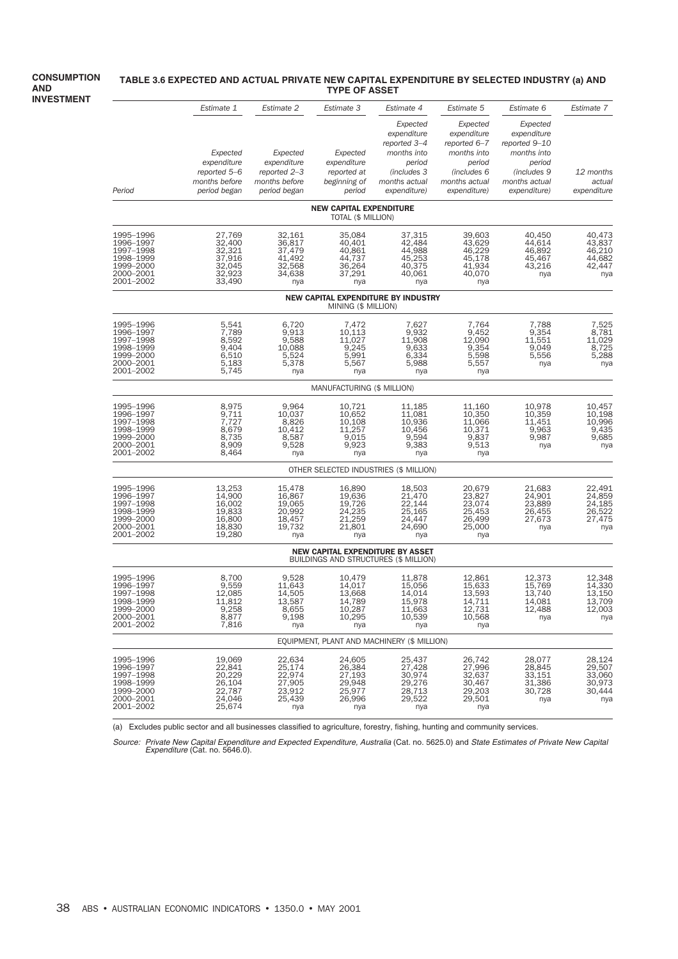#### **CONSUMPTION AND INVESTMENT TABLE 3.6 EXPECTED AND ACTUAL PRIVATE NEW CAPITAL EXPENDITURE BY SELECTED INDUSTRY (a) AND TYPE OF ASSET**

|                                                                                         | Estimate 1                                                               | Estimate 2                                                               | Estimate 3                                                       | Estimate 4                                                                                                        | Estimate 5                                                                                                       | Estimate 6                                                                                                        | Estimate 7                                            |
|-----------------------------------------------------------------------------------------|--------------------------------------------------------------------------|--------------------------------------------------------------------------|------------------------------------------------------------------|-------------------------------------------------------------------------------------------------------------------|------------------------------------------------------------------------------------------------------------------|-------------------------------------------------------------------------------------------------------------------|-------------------------------------------------------|
| Period                                                                                  | Expected<br>expenditure<br>reported 5-6<br>months before<br>period began | Expected<br>expenditure<br>reported 2-3<br>months before<br>period began | Expected<br>expenditure<br>reported at<br>beginning of<br>period | Expected<br>expenditure<br>reported 3-4<br>months into<br>period<br>(includes 3)<br>months actual<br>expenditure) | Expected<br>expenditure<br>reported 6-7<br>months into<br>period<br>(includes 6<br>months actual<br>expenditure) | Expected<br>expenditure<br>reported 9-10<br>months into<br>period<br>(includes 9<br>months actual<br>expenditure) | 12 months<br>actual<br>expenditure                    |
|                                                                                         |                                                                          |                                                                          | <b>NEW CAPITAL EXPENDITURE</b><br>TOTAL (\$ MILLION)             |                                                                                                                   |                                                                                                                  |                                                                                                                   |                                                       |
| 1995-1996<br>1996-1997<br>1997-1998<br>1998-1999<br>1999-2000<br>2000-2001<br>2001-2002 | 27,769<br>32,400<br>32,321<br>37,916<br>32,045<br>32,923<br>33,490       | 32,161<br>36,817<br>37,479<br>41,492<br>32,568<br>34,638<br>nya          | 35,084<br>40,401<br>40,861<br>44,737<br>36,264<br>37,291<br>nya  | 37,315<br>42,484<br>44,988<br>45,253<br>40,375<br>40,061<br>nya                                                   | 39,603<br>43,629<br>46,229<br>45,178<br>41,934<br>40,070<br>nya                                                  | 40,450<br>44,614<br>46,892<br>45,467<br>43,216<br>nya                                                             | 40,473<br>43,837<br>46,210<br>44,682<br>42,447<br>nya |
|                                                                                         |                                                                          |                                                                          | MINING (\$ MILLION)                                              | <b>NEW CAPITAL EXPENDITURE BY INDUSTRY</b>                                                                        |                                                                                                                  |                                                                                                                   |                                                       |
| 1995-1996<br>1996-1997<br>1997-1998<br>1998-1999<br>1999-2000<br>2000-2001<br>2001-2002 | 5,541<br>7,789<br>8,592<br>9,404<br>6,510<br>5,183<br>5,745              | 6,720<br>9,913<br>9,588<br>10,088<br>5,524<br>5,378<br>nya               | 7,472<br>10,113<br>11,027<br>9,245<br>5,991<br>5,567<br>nya      | 7,627<br>9,932<br>11,908<br>9,633<br>6,334<br>5,988<br>nya                                                        | 7,764<br>9,452<br>12,090<br>9,354<br>5,598<br>5,557<br>nya                                                       | 7,788<br>9,354<br>11,551<br>9,049<br>5,556<br>nya                                                                 | 7,525<br>8,781<br>11,029<br>8,725<br>5,288<br>nya     |
|                                                                                         |                                                                          |                                                                          | MANUFACTURING (\$ MILLION)                                       |                                                                                                                   |                                                                                                                  |                                                                                                                   |                                                       |
| 1995–1996<br>1996-1997<br>1997-1998<br>1998-1999<br>1999-2000<br>2000-2001<br>2001-2002 | 8,975<br>9,711<br>7,727<br>8,679<br>8,735<br>8,909<br>8,464              | 9,964<br>10,037<br>8,826<br>10,412<br>8,587<br>9,528<br>nya              | 10,721<br>10,652<br>10,108<br>11,257<br>9,015<br>9,923<br>nya    | 11,185<br>11.081<br>10,936<br>10,456<br>9,594<br>9,383<br>nya                                                     | 11,160<br>10,350<br>11,066<br>10,371<br>9,837<br>9,513<br>nya                                                    | 10,978<br>10,359<br>11,451<br>9,963<br>9,987<br>nya                                                               | 10,457<br>10,198<br>10,996<br>9,435<br>9,685<br>nya   |
|                                                                                         |                                                                          |                                                                          |                                                                  | OTHER SELECTED INDUSTRIES (\$ MILLION)                                                                            |                                                                                                                  |                                                                                                                   |                                                       |
| 1995–1996<br>1996-1997<br>1997-1998<br>1998-1999<br>1999-2000<br>2000-2001<br>2001-2002 | 13,253<br>14,900<br>16,002<br>19,833<br>16,800<br>18,830<br>19,280       | 15,478<br>16,867<br>19,065<br>20,992<br>18,457<br>19,732<br>nya          | 16,890<br>19,636<br>19,726<br>24,235<br>21,259<br>21,801<br>nya  | 18,503<br>21,470<br>22,144<br>25,165<br>24,447<br>24,690<br>nya                                                   | 20,679<br>23,827<br>23,074<br>25,453<br>26,499<br>25,000<br>nya                                                  | 21,683<br>24,901<br>23,889<br>26,455<br>27,673<br>nya                                                             | 22,491<br>24,859<br>24,185<br>26,522<br>27,475<br>nya |
|                                                                                         |                                                                          |                                                                          |                                                                  | <b>NEW CAPITAL EXPENDITURE BY ASSET</b><br><b>BUILDINGS AND STRUCTURES (\$ MILLION)</b>                           |                                                                                                                  |                                                                                                                   |                                                       |
| 1995-1996<br>1996-1997<br>1997-1998<br>1998-1999<br>1999-2000<br>2000–2001<br>2001-2002 | 8,700<br>9,559<br>12,085<br>11,812<br>9,258<br>8,877<br>7,816            | 9,528<br>11,643<br>14,505<br>13,587<br>8,655<br>9,198<br>nya             | 10,479<br>14,017<br>13,668<br>14,789<br>10,287<br>10,295<br>nya  | 11,878<br>15,056<br>14,014<br>15,978<br>11,663<br>10,539<br>nya                                                   | 12,861<br>15,633<br>13,593<br>14,711<br>12,731<br>10,568<br>nya                                                  | 12,373<br>15,769<br>13,740<br>14,081<br>12,488<br>nya                                                             | 12,348<br>14,330<br>13,150<br>13,709<br>12,003<br>nya |
|                                                                                         |                                                                          |                                                                          |                                                                  | EQUIPMENT, PLANT AND MACHINERY (\$ MILLION)                                                                       |                                                                                                                  |                                                                                                                   |                                                       |
| 1995-1996<br>1996-1997<br>1997-1998<br>1998-1999<br>1999-2000<br>2000-2001<br>2001–2002 | 19,069<br>22,841<br>20,229<br>26,104<br>22,787<br>24,046<br>25,674       | 22,634<br>25,174<br>22,974<br>27,905<br>23,912<br>25,439<br>nya          | 24,605<br>26,384<br>27,193<br>29,948<br>25,977<br>26,996<br>nya  | 25,437<br>27,428<br>30,974<br>29,276<br>28,713<br>29,522<br>nya                                                   | 26,742<br>27,996<br>32,637<br>30,467<br>29,203<br>29,501<br>nya                                                  | 28,077<br>28,845<br>33,151<br>31,386<br>30,728<br>nya                                                             | 28,124<br>29,507<br>33,060<br>30,973<br>30,444<br>nya |

(a) Excludes public sector and all businesses classified to agriculture, forestry, fishing, hunting and community services.

Source: Private New Capital Expenditure and Expected Expenditure, Australia (Cat. no. 5625.0) and State Estimates of Private New Capital Expenditure (Cat. no. 5646.0).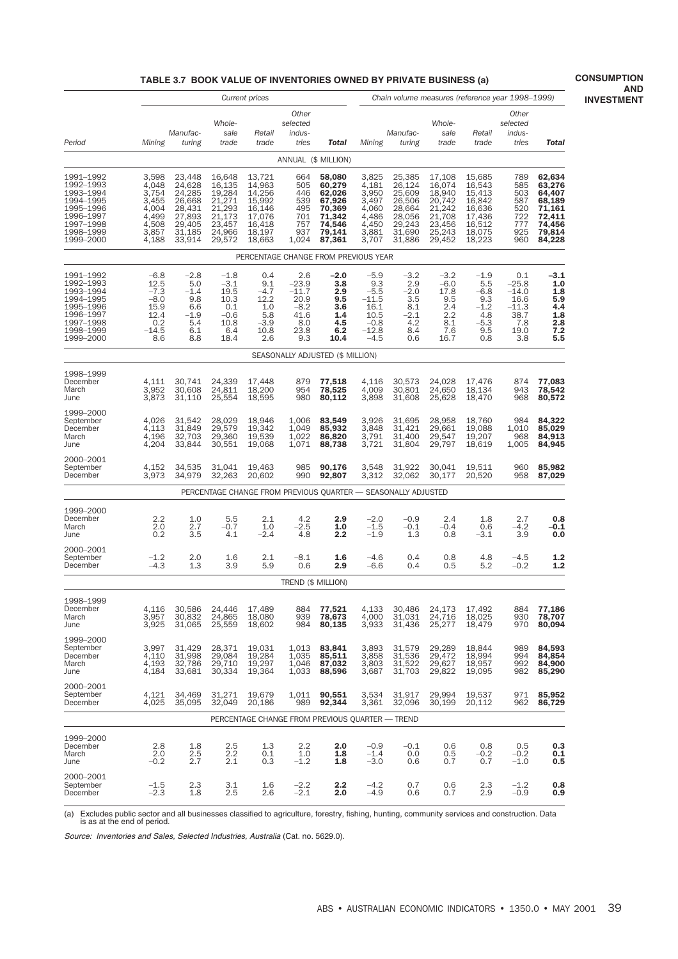# **TABLE 3.7 BOOK VALUE OF INVENTORIES OWNED BY PRIVATE BUSINESS (a)**

**CONSUMPTION AND INVESTMENT**

|                                                                                                                   |                                                                               | Current prices                                                                         |                                                                                        |                                                                                        |                                                                           |                                                                                        |                                                                                   | Chain volume measures (reference year 1998–1999)                                       |                                                                                        |                                                                                        |                                                                            |                                                                                        |  |
|-------------------------------------------------------------------------------------------------------------------|-------------------------------------------------------------------------------|----------------------------------------------------------------------------------------|----------------------------------------------------------------------------------------|----------------------------------------------------------------------------------------|---------------------------------------------------------------------------|----------------------------------------------------------------------------------------|-----------------------------------------------------------------------------------|----------------------------------------------------------------------------------------|----------------------------------------------------------------------------------------|----------------------------------------------------------------------------------------|----------------------------------------------------------------------------|----------------------------------------------------------------------------------------|--|
|                                                                                                                   |                                                                               | Manufac-                                                                               | Whole-<br>sale                                                                         | Retail                                                                                 | Other<br>selected<br>indus-                                               |                                                                                        |                                                                                   | Manufac-                                                                               | Whole-<br>sale                                                                         | Retail                                                                                 | Other<br>selected<br>indus-                                                |                                                                                        |  |
| Period                                                                                                            | Mining                                                                        | turing                                                                                 | trade                                                                                  | trade                                                                                  | tries<br>ANNUAL (\$ MILLION)                                              | Total                                                                                  | Mining                                                                            | turing                                                                                 | trade                                                                                  | trade                                                                                  | tries                                                                      | Total                                                                                  |  |
| 1991-1992<br>1992-1993<br>1993-1994<br>1994-1995<br>1995-1996<br>1996-1997<br>1997-1998<br>1998-1999<br>1999-2000 | 3,598<br>4,048<br>3,754<br>3,455<br>4,004<br>4,499<br>4,508<br>3,857<br>4,188 | 23,448<br>24,628<br>24,285<br>26,668<br>28,431<br>27,893<br>29,405<br>31,185<br>33,914 | 16,648<br>16,135<br>19,284<br>21,271<br>21,293<br>21,173<br>23,457<br>24,966<br>29,572 | 13,721<br>14,963<br>14,256<br>15,992<br>16,146<br>17,076<br>16,418<br>18,197<br>18,663 | 664<br>505<br>446<br>539<br>495<br>701<br>757<br>937<br>1,024             | 58,080<br>60,279<br>62,026<br>67,926<br>70,369<br>71.342<br>74,546<br>79,141<br>87,361 | 3,825<br>4,181<br>3,950<br>3,497<br>4,060<br>4,486<br>4,450<br>3,881<br>3,707     | 25,385<br>26,124<br>25,609<br>26,506<br>28,664<br>28,056<br>29,243<br>31,690<br>31,886 | 17,108<br>16,074<br>18,940<br>20,742<br>21,242<br>21,708<br>23,456<br>25,243<br>29,452 | 15,685<br>16,543<br>15,413<br>16,842<br>16,636<br>17,436<br>16,512<br>18,075<br>18,223 | 789<br>585<br>503<br>587<br>520<br>722<br>777<br>925<br>960                | 62,634<br>63,276<br>64,407<br>68,189<br>71,161<br>72,411<br>74,456<br>79,814<br>84,228 |  |
|                                                                                                                   |                                                                               |                                                                                        |                                                                                        |                                                                                        |                                                                           | PERCENTAGE CHANGE FROM PREVIOUS YEAR                                                   |                                                                                   |                                                                                        |                                                                                        |                                                                                        |                                                                            |                                                                                        |  |
| 1991-1992<br>1992-1993<br>1993-1994<br>1994-1995<br>1995-1996<br>1996-1997<br>1997-1998<br>1998-1999<br>1999-2000 | $-6.8$<br>12.5<br>$-7.3$<br>$-8.0$<br>15.9<br>12.4<br>0.2<br>$-14.5$<br>8.6   | $-2.8$<br>5.0<br>$-1.4$<br>9.8<br>6.6<br>$-1.9$<br>5.4<br>6.1<br>8.8                   | $-1.8$<br>$-3.1$<br>19.5<br>10.3<br>0.1<br>$-0.6$<br>10.8<br>6.4<br>18.4               | 0.4<br>9.1<br>$-4.7$<br>12.2<br>1.0<br>5.8<br>$-3.9$<br>10.8<br>2.6                    | 2.6<br>$-23.9$<br>$-11.7$<br>20.9<br>$-8.2$<br>41.6<br>8.0<br>23.8<br>9.3 | $-2.0$<br>3.8<br>2.9<br>9.5<br>3.6<br>1.4<br>4.5<br>6.2<br>10.4                        | $-5.9$<br>9.3<br>$-5.5$<br>$-11.5$<br>16.1<br>10.5<br>$-0.8$<br>$-12.8$<br>$-4.5$ | $-3.2$<br>2.9<br>$-2.0$<br>3.5<br>8.1<br>$-2.1$<br>4.2<br>8.4<br>0.6                   | $-3.2$<br>$-6.0$<br>17.8<br>9.5<br>2.4<br>2.2<br>8.1<br>7.6<br>16.7                    | $-1.9$<br>5.5<br>$-6.8$<br>9.3<br>$-1.2$<br>4.8<br>$-5.3$<br>9.5<br>0.8                | 0.1<br>$-25.8$<br>$-14.0$<br>16.6<br>$-11.3$<br>38.7<br>7.8<br>19.0<br>3.8 | $-3.1$<br>1.0<br>1.8<br>5.9<br>4.4<br>1.8<br>2.8<br>7.2<br>5.5                         |  |
|                                                                                                                   |                                                                               |                                                                                        |                                                                                        |                                                                                        |                                                                           | SEASONALLY ADJUSTED (\$ MILLION)                                                       |                                                                                   |                                                                                        |                                                                                        |                                                                                        |                                                                            |                                                                                        |  |
| 1998-1999<br>December<br>March<br>June                                                                            | 4,111<br>3,952<br>3,873                                                       | 30,741<br>30,608<br>31,110                                                             | 24,339<br>24,811<br>25,554                                                             | 17,448<br>18,200<br>18,595                                                             | 879<br>954<br>980                                                         | 77,518<br>78,525<br>80,112                                                             | 4,116<br>4,009<br>3,898                                                           | 30,573<br>30,801<br>31,608                                                             | 24,028<br>24,650<br>25,628                                                             | 17,476<br>18,134<br>18,470                                                             | 874<br>943<br>968                                                          | 77,083<br>78,542<br>80,572                                                             |  |
| 1999-2000<br>September<br>December<br>March<br>June                                                               | 4,026<br>4,113<br>4,196<br>4,204                                              | 31,542<br>31,849<br>32,703<br>33,844                                                   | 28,029<br>29,579<br>29,360<br>30,551                                                   | 18,946<br>19,342<br>19,539<br>19,068                                                   | 1,006<br>1,049<br>1,022<br>1,071                                          | 83,549<br>85,932<br>86,820<br>88,738                                                   | 3,926<br>3,848<br>3,791<br>3,721                                                  | 31,695<br>31,421<br>31,400<br>31,804                                                   | 28,958<br>29,661<br>29,547<br>29,797                                                   | 18,760<br>19,088<br>19,207<br>18,619                                                   | 984<br>1,010<br>968<br>1,005                                               | 84,322<br>85,029<br>84,913<br>84,945                                                   |  |
| 2000-2001<br>September<br>December                                                                                | 4,152<br>3,973                                                                | 34,535<br>34,979                                                                       | 31,041<br>32,263                                                                       | 19,463<br>20,602                                                                       | 985<br>990                                                                | 90,176<br>92,807                                                                       | 3,548<br>3,312                                                                    | 31,922<br>32,062                                                                       | 30,041<br>30,177                                                                       | 19,511<br>20,520                                                                       | 960<br>958                                                                 | 85,982<br>87,029                                                                       |  |
|                                                                                                                   |                                                                               |                                                                                        |                                                                                        |                                                                                        |                                                                           | PERCENTAGE CHANGE FROM PREVIOUS QUARTER - SEASONALLY ADJUSTED                          |                                                                                   |                                                                                        |                                                                                        |                                                                                        |                                                                            |                                                                                        |  |
| 1999-2000<br>December<br>March<br>June                                                                            | 2.2<br>2.0<br>0.2                                                             | 1.0<br>2.7<br>3.5                                                                      | 5.5<br>-0.7<br>4.1                                                                     | 2.1<br>1.0<br>$-2.4$                                                                   | 4.2<br>$-2.5$<br>4.8                                                      | 2.9<br>1.0<br>2.2                                                                      | $-2.0$<br>$-1.5$<br>$-1.9$                                                        | $-0.9$<br>$-0.1$<br>1.3                                                                | 2.4<br>$-0.4$<br>0.8                                                                   | 1.8<br>0.6<br>$-3.1$                                                                   | 2.7<br>-4.2<br>3.9                                                         | 0.8<br>-0.1<br>0.0                                                                     |  |
| 2000-2001<br>September<br>December                                                                                | $-1.2$<br>$-4.3$                                                              | 2.0<br>1.3                                                                             | 1.6<br>3.9                                                                             | 2.1<br>5.9                                                                             | $-8.1$<br>0.6                                                             | 1.6<br>2.9                                                                             | $-4.6$<br>$-6.6$                                                                  | 0.4<br>0.4                                                                             | 0.8<br>0.5                                                                             | 4.8<br>5.2                                                                             | -4.5<br>$-0.2$                                                             | 1.2<br>1.2                                                                             |  |
|                                                                                                                   |                                                                               |                                                                                        |                                                                                        |                                                                                        | TREND (\$ MILLION)                                                        |                                                                                        |                                                                                   |                                                                                        |                                                                                        |                                                                                        |                                                                            |                                                                                        |  |
| 1998-1999<br>December<br>March<br>June                                                                            | 4,116<br>3,957<br>3,925                                                       | 30,586<br>30,832<br>31,065                                                             | 24,446<br>24,865<br>25,559                                                             | 17,489<br>18,080<br>18,602                                                             | 884<br>939<br>984                                                         | 77,521<br>78,673<br>80,135                                                             | 4,133<br>4,000<br>3,933                                                           | 30,486<br>31,031<br>31,436                                                             | 24,173<br>24,716<br>25,277                                                             | 17,492<br>18,025<br>18,479                                                             | 884<br>930<br>970                                                          | 77,186<br>78,707<br>80,094                                                             |  |
| 1999-2000<br>September<br>December<br>March<br>June                                                               | 3,997<br>4,110<br>4,193<br>4,184                                              | 31,429<br>31,998<br>32,786<br>33,681                                                   | 28,371<br>29,084<br>29,710<br>30,334                                                   | 19,031<br>19,284<br>19,297<br>19,364                                                   | 1,013<br>1,035<br>1,046<br>1,033                                          | 83,841<br>85,511<br>87,032<br>88,596                                                   | 3,893<br>3,858<br>3,803<br>3,687                                                  | 31,579<br>31,536<br>31,522<br>31,703                                                   | 29,289<br>29,472<br>29,627<br>29,822                                                   | 18,844<br>18,994<br>18,957<br>19,095                                                   | 989<br>994<br>992<br>982                                                   | 84,593<br>84,854<br>84,900<br>85,290                                                   |  |
| 2000-2001<br>September<br>December                                                                                | 4,121<br>4,025                                                                | 34,469<br>35,095                                                                       | 31,271<br>32,049                                                                       | 19,679<br>20,186                                                                       | 1,011<br>989                                                              | 90,551<br>92,344                                                                       | 3,534<br>3,361                                                                    | 31,917<br>32,096                                                                       | 29,994<br>30,199                                                                       | 19,537<br>20,112                                                                       | 971<br>962                                                                 | 85,952<br>86,729                                                                       |  |
|                                                                                                                   |                                                                               |                                                                                        |                                                                                        |                                                                                        |                                                                           | PERCENTAGE CHANGE FROM PREVIOUS QUARTER - TREND                                        |                                                                                   |                                                                                        |                                                                                        |                                                                                        |                                                                            |                                                                                        |  |
| 1999-2000<br>December<br>March<br>June                                                                            | 2.8<br>2.0<br>$-0.2$                                                          | 1.8<br>2.5<br>2.7                                                                      | 2.5<br>$2.2\,$<br>2.1                                                                  | 1.3<br>0.1<br>0.3                                                                      | 2.2<br>1.0<br>$-1.2$                                                      | 2.0<br>1.8<br>1.8                                                                      | $-0.9$<br>$-1.4$<br>$-3.0$                                                        | $-0.1$<br>0.0<br>0.6                                                                   | 0.6<br>0.5<br>0.7                                                                      | 0.8<br>$-0.2$<br>0.7                                                                   | 0.5<br>$-0.2$<br>$-1.0$                                                    | 0.3<br>0.1<br>0.5                                                                      |  |
| 2000–2001<br>September<br>December                                                                                | $-1.5$<br>$-2.3$                                                              | 2.3<br>1.8                                                                             | 3.1<br>2.5                                                                             | 1.6<br>2.6                                                                             | $-2.2$<br>$-2.1$                                                          | 2.2<br>2.0                                                                             | $-4.2$<br>$-4.9$                                                                  | 0.7<br>0.6                                                                             | 0.6<br>0.7                                                                             | 2.3<br>2.9                                                                             | $-1.2$<br>$-0.9$                                                           | 0.8<br>0.9                                                                             |  |

(a) Excludes public sector and all businesses classified to agriculture, forestry, fishing, hunting, community services and construction. Data is as at the end of period.

Source: Inventories and Sales, Selected Industries, Australia (Cat. no. 5629.0).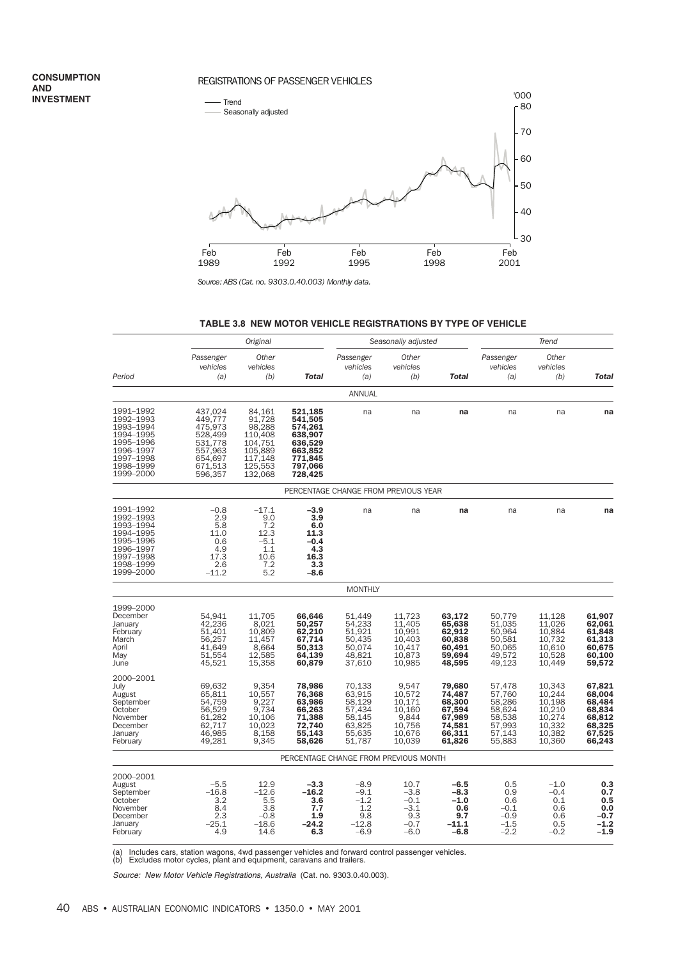#### **CONSUMPTION AND INVESTMENT**

#### REGISTRATIONS OF PASSENGER VEHICLES



*Source: ABS (Cat. no. 9303.0.40.003) Monthly data.*

#### **TABLE 3.8 NEW MOTOR VEHICLE REGISTRATIONS BY TYPE OF VEHICLE**

|                                                                                                                   |                                                                                                 | Original                                                                                     |                                                                                                 |                                                                              | Seasonally adjusted                                                        |                                                                              |                                                                              | Trend                                                                        |                                                                              |
|-------------------------------------------------------------------------------------------------------------------|-------------------------------------------------------------------------------------------------|----------------------------------------------------------------------------------------------|-------------------------------------------------------------------------------------------------|------------------------------------------------------------------------------|----------------------------------------------------------------------------|------------------------------------------------------------------------------|------------------------------------------------------------------------------|------------------------------------------------------------------------------|------------------------------------------------------------------------------|
|                                                                                                                   | Passenger<br>vehicles                                                                           | Other<br>vehicles                                                                            |                                                                                                 | Passenger<br>vehicles                                                        | Other<br>vehicles                                                          |                                                                              | Passenger<br>vehicles                                                        | Other<br>vehicles                                                            |                                                                              |
| Period                                                                                                            | (a)                                                                                             | (b)                                                                                          | <b>Total</b>                                                                                    | (a)                                                                          | (b)                                                                        | <b>Total</b>                                                                 | (a)                                                                          | (b)                                                                          | <b>Total</b>                                                                 |
|                                                                                                                   |                                                                                                 |                                                                                              |                                                                                                 | ANNUAL                                                                       |                                                                            |                                                                              |                                                                              |                                                                              |                                                                              |
| 1991-1992<br>1992-1993<br>1993-1994<br>1994-1995<br>1995-1996<br>1996-1997<br>1997-1998<br>1998-1999<br>1999-2000 | 437,024<br>449.777<br>475,973<br>528,499<br>531,778<br>557,963<br>654,697<br>671,513<br>596,357 | 84,161<br>91,728<br>98,288<br>110,408<br>104,751<br>105,889<br>117,148<br>125,553<br>132,068 | 521,185<br>541,505<br>574,261<br>638,907<br>636,529<br>663,852<br>771,845<br>797,066<br>728,425 | na                                                                           | na                                                                         | na                                                                           | na                                                                           | na                                                                           | na                                                                           |
|                                                                                                                   |                                                                                                 |                                                                                              |                                                                                                 | PERCENTAGE CHANGE FROM PREVIOUS YEAR                                         |                                                                            |                                                                              |                                                                              |                                                                              |                                                                              |
| 1991-1992<br>1992-1993<br>1993-1994<br>1994-1995<br>1995-1996<br>1996-1997<br>1997-1998<br>1998-1999<br>1999-2000 | $-0.8$<br>2.9<br>5.8<br>11.0<br>0.6<br>4.9<br>17.3<br>2.6<br>$-11.2$                            | $-17.1$<br>9.0<br>7.2<br>12.3<br>$-5.1$<br>1.1<br>10.6<br>7.2<br>5.2                         | $-3.9$<br>3.9<br>6.0<br>11.3<br>$-0.4$<br>4.3<br>16.3<br>3.3<br>$-8.6$                          | na                                                                           | na                                                                         | na                                                                           | na                                                                           | na                                                                           | na                                                                           |
|                                                                                                                   |                                                                                                 |                                                                                              |                                                                                                 | <b>MONTHLY</b>                                                               |                                                                            |                                                                              |                                                                              |                                                                              |                                                                              |
| 1999-2000<br>December<br>January<br>February<br>March<br>April<br>May<br>June                                     | 54,941<br>42,236<br>51,401<br>56,257<br>41,649<br>51,554<br>45,521                              | 11,705<br>8,021<br>10,809<br>11.457<br>8,664<br>12,585<br>15,358                             | 66,646<br>50,257<br>62,210<br>67,714<br>50,313<br>64,139<br>60,879                              | 51,449<br>54,233<br>51,921<br>50.435<br>50,074<br>48,821<br>37,610           | 11,723<br>11,405<br>10,991<br>10,403<br>10,417<br>10,873<br>10,985         | 63,172<br>65,638<br>62,912<br>60,838<br>60,491<br>59,694<br>48,595           | 50,779<br>51,035<br>50,964<br>50,581<br>50,065<br>49,572<br>49,123           | 11,128<br>11,026<br>10,884<br>10,732<br>10,610<br>10,528<br>10,449           | 61,907<br>62,061<br>61,848<br>61,313<br>60,675<br>60,100<br>59,572           |
| 2000-2001<br>July<br>August<br>September<br>October<br>November<br>December<br>January<br>February                | 69,632<br>65,811<br>54,759<br>56,529<br>61,282<br>62,717<br>46,985<br>49,281                    | 9,354<br>10,557<br>9,227<br>9,734<br>10,106<br>10,023<br>8,158<br>9,345                      | 78,986<br>76,368<br>63,986<br>66,263<br>71,388<br>72,740<br>55,143<br>58,626                    | 70,133<br>63,915<br>58,129<br>57,434<br>58,145<br>63,825<br>55,635<br>51.787 | 9,547<br>10,572<br>10,171<br>10,160<br>9,844<br>10,756<br>10,676<br>10.039 | 79,680<br>74,487<br>68,300<br>67,594<br>67,989<br>74,581<br>66,311<br>61,826 | 57,478<br>57,760<br>58,286<br>58,624<br>58,538<br>57,993<br>57,143<br>55,883 | 10,343<br>10,244<br>10,198<br>10,210<br>10,274<br>10,332<br>10,382<br>10,360 | 67,821<br>68,004<br>68,484<br>68,834<br>68,812<br>68,325<br>67,525<br>66,243 |
|                                                                                                                   |                                                                                                 |                                                                                              |                                                                                                 | PERCENTAGE CHANGE FROM PREVIOUS MONTH                                        |                                                                            |                                                                              |                                                                              |                                                                              |                                                                              |
| 2000–2001<br>August<br>September<br>October<br>November<br>December<br>January<br>February                        | $-5.5$<br>$-16.8$<br>3.2<br>8.4<br>2.3<br>$-25.1$<br>4.9                                        | 12.9<br>$-12.6$<br>5.5<br>3.8<br>$-0.8$<br>$-18.6$<br>14.6                                   | $-3.3$<br>$-16.2$<br>3.6<br>7.7<br>1.9<br>$-24.2$<br>6.3                                        | $-8.9$<br>$-9.1$<br>$-1.2$<br>1.2<br>9.8<br>$-12.8$<br>$-6.9$                | 10.7<br>$-3.8$<br>$-0.1$<br>$-3.1$<br>9.3<br>$-0.7$<br>$-6.0$              | $-6.5$<br>$-8.3$<br>$-1.0$<br>0.6<br>9.7<br>$-11.1$<br>$-6.8$                | 0.5<br>0.9<br>0.6<br>$-0.1$<br>$-0.9$<br>$-1.5$<br>$-2.2$                    | $-1.0$<br>$-0.4$<br>0.1<br>0.6<br>0.6<br>0.5<br>$-0.2$                       | 0.3<br>0.7<br>0.5<br>0.0<br>$-0.7$<br>$-1.2$<br>$-1.9$                       |

(a) Includes cars, station wagons, 4wd passenger vehicles and forward control passenger vehicles. (b) Excludes motor cycles, plant and equipment, caravans and trailers.

Source: New Motor Vehicle Registrations, Australia (Cat. no. 9303.0.40.003).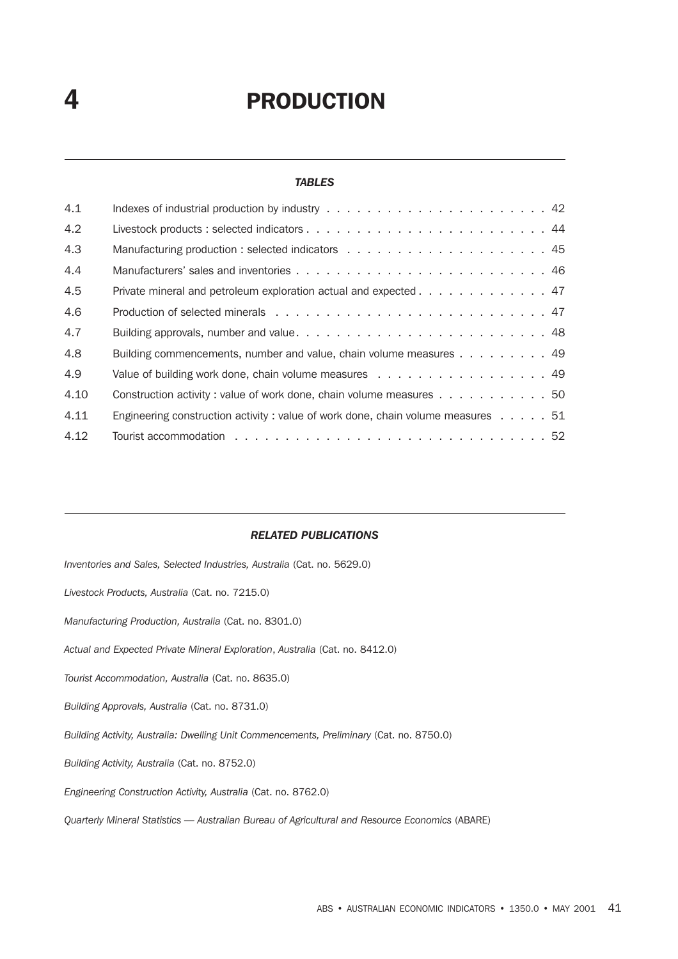# **4** PRODUCTION

#### *TABLES*

| 4.1  |                                                                                                  |
|------|--------------------------------------------------------------------------------------------------|
| 4.2  |                                                                                                  |
| 4.3  |                                                                                                  |
| 4.4  |                                                                                                  |
| 4.5  | Private mineral and petroleum exploration actual and expected 47                                 |
| 4.6  |                                                                                                  |
| 4.7  |                                                                                                  |
| 4.8  | Building commencements, number and value, chain volume measures 49                               |
| 4.9  | Value of building work done, chain volume measures 49                                            |
| 4.10 | Construction activity : value of work done, chain volume measures 50                             |
| 4.11 | Engineering construction activity : value of work done, chain volume measures $\dots$ $\dots$ 51 |
| 4.12 |                                                                                                  |

#### *RELATED PUBLICATIONS*

*Inventories and Sales, Selected Industries, Australia* (Cat. no. 5629.0)

*Livestock Products, Australia* (Cat. no. 7215.0)

*Manufacturing Production, Australia* (Cat. no. 8301.0)

*Actual and Expected Private Mineral Exploration*, *Australia* (Cat. no. 8412.0)

*Tourist Accommodation, Australia* (Cat. no. 8635.0)

*Building Approvals, Australia* (Cat. no. 8731.0)

*Building Activity, Australia: Dwelling Unit Commencements, Preliminary* (Cat. no. 8750.0)

*Building Activity, Australia* (Cat. no. 8752.0)

*Engineering Construction Activity, Australia* (Cat. no. 8762.0)

*Quarterly Mineral Statistics — Australian Bureau of Agricultural and Resource Economics* (ABARE)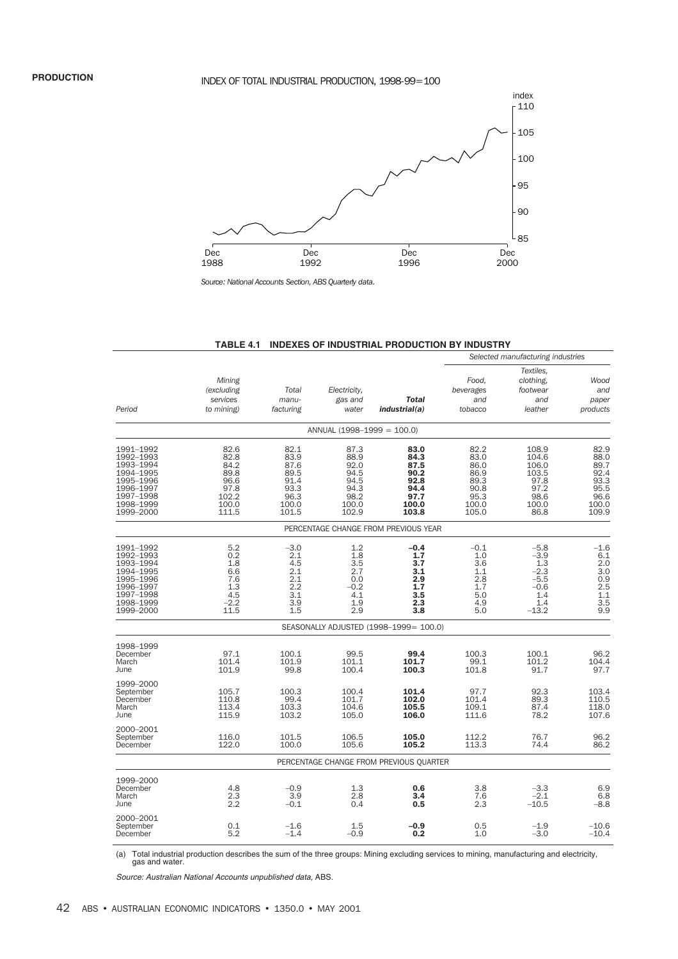# INDEX OF TOTAL INDUSTRIAL PRODUCTION, 1998-99=100



*Source: National Accounts Section, ABS Quarterly data.*

|                                                                                                                   |                                                                         |                                                                        |                                                                        |                                                                        |                                                                        | Selected manufacturing industries                                              |                                                                        |
|-------------------------------------------------------------------------------------------------------------------|-------------------------------------------------------------------------|------------------------------------------------------------------------|------------------------------------------------------------------------|------------------------------------------------------------------------|------------------------------------------------------------------------|--------------------------------------------------------------------------------|------------------------------------------------------------------------|
| Period                                                                                                            | Mining<br>(excluding<br>services<br>to mining)                          | Total<br>manu-<br>facturing                                            | Electricity,<br>gas and<br>water                                       | <b>Total</b><br>industrial(a)                                          | Food,<br>beverages<br>and<br>tobacco                                   | Textiles.<br>clothing.<br>footwear<br>and<br>leather                           | Wood<br>and<br>paper<br>products                                       |
|                                                                                                                   |                                                                         |                                                                        | ANNUAL $(1998-1999 = 100.0)$                                           |                                                                        |                                                                        |                                                                                |                                                                        |
| 1991–1992<br>1992–1993<br>1993-1994<br>1994–1995<br>1995–1996<br>1996-1997<br>1997-1998<br>1998-1999<br>1999-2000 | 82.6<br>82.8<br>84.2<br>89.8<br>96.6<br>97.8<br>102.2<br>100.0<br>111.5 | 82.1<br>83.9<br>87.6<br>89.5<br>91.4<br>93.3<br>96.3<br>100.0<br>101.5 | 87.3<br>88.9<br>92.0<br>94.5<br>94.5<br>94.3<br>98.2<br>100.0<br>102.9 | 83.0<br>84.3<br>87.5<br>90.2<br>92.8<br>94.4<br>97.7<br>100.0<br>103.8 | 82.2<br>83.0<br>86.0<br>86.9<br>89.3<br>90.8<br>95.3<br>100.0<br>105.0 | 108.9<br>104.6<br>106.0<br>103.5<br>97.8<br>97.2<br>98.6<br>100.0<br>86.8      | 82.9<br>88.0<br>89.7<br>92.4<br>93.3<br>95.5<br>96.6<br>100.0<br>109.9 |
|                                                                                                                   |                                                                         |                                                                        |                                                                        | PERCENTAGE CHANGE FROM PREVIOUS YEAR                                   |                                                                        |                                                                                |                                                                        |
| 1991–1992<br>1992-1993<br>1993-1994<br>1994–1995<br>1995-1996<br>1996-1997<br>1997-1998<br>1998-1999<br>1999-2000 | 5.2<br>0.2<br>$1.8\,$<br>6.6<br>7.6<br>1.3<br>4.5<br>$-2.2$<br>11.5     | $-3.0$<br>2.1<br>4.5<br>2.1<br>2.1<br>2.2<br>3.1<br>3.9<br>1.5         | 1.2<br>1.8<br>3.5<br>2.7<br>0.0<br>$-0.2$<br>4.1<br>1.9<br>2.9         | $-0.4$<br>1.7<br>3.7<br>3.1<br>2.9<br>1.7<br>3.5<br>2.3<br>3.8         | $-0.1$<br>1.0<br>3.6<br>1.1<br>2.8<br>1.7<br>5.0<br>4.9<br>5.0         | $-5.8$<br>$-3.9$<br>1.3<br>$-2.3$<br>$-5.5$<br>$-0.6$<br>1.4<br>1.4<br>$-13.2$ | $-1.6$<br>6.1<br>2.0<br>3.0<br>0.9<br>$2.5$<br>$1.1$<br>3.5<br>9.9     |
|                                                                                                                   |                                                                         |                                                                        |                                                                        | SEASONALLY ADJUSTED (1998-1999= 100.0)                                 |                                                                        |                                                                                |                                                                        |
| 1998-1999<br>December<br>March<br>June                                                                            | 97.1<br>101.4<br>101.9                                                  | 100.1<br>101.9<br>99.8                                                 | 99.5<br>101.1<br>100.4                                                 | 99.4<br>101.7<br>100.3                                                 | 100.3<br>99.1<br>101.8                                                 | 100.1<br>101.2<br>91.7                                                         | 96.2<br>104.4<br>97.7                                                  |
| 1999-2000<br>September<br>December<br>March<br>June                                                               | 105.7<br>110.8<br>113.4<br>115.9                                        | 100.3<br>99.4<br>103.3<br>103.2                                        | 100.4<br>101.7<br>104.6<br>105.0                                       | 101.4<br>102.0<br>105.5<br>106.0                                       | 97.7<br>101.4<br>109.1<br>111.6                                        | 92.3<br>89.3<br>87.4<br>78.2                                                   | 103.4<br>110.5<br>118.0<br>107.6                                       |
| 2000–2001<br>September<br>December                                                                                | 116.0<br>122.0                                                          | 101.5<br>100.0                                                         | 106.5<br>105.6                                                         | 105.0<br>105.2                                                         | 112.2<br>113.3                                                         | 76.7<br>74.4                                                                   | 96.2<br>86.2                                                           |
|                                                                                                                   |                                                                         |                                                                        |                                                                        | PERCENTAGE CHANGE FROM PREVIOUS QUARTER                                |                                                                        |                                                                                |                                                                        |
| 1999-2000<br>December<br>March<br>June                                                                            | 4.8<br>2.3<br>2.2                                                       | $-0.9$<br>3.9<br>$-0.1$                                                | 1.3<br>2.8<br>0.4                                                      | 0.6<br>3.4<br>0.5                                                      | 3.8<br>7.6<br>2.3                                                      | $-3.3$<br>$-2.1$<br>$-10.5$                                                    | 6.9<br>6.8<br>$-8.8$                                                   |
| 2000–2001<br>September<br>December                                                                                | 0.1<br>5.2                                                              | $-1.6$<br>$-1.4$                                                       | 1.5<br>$-0.9$                                                          | $-0.9$<br>0.2                                                          | 0.5<br>1.0                                                             | $-1.9$<br>$-3.0$                                                               | $-10.6$<br>$-10.4$                                                     |

#### **TABLE 4.1 INDEXES OF INDUSTRIAL PRODUCTION BY INDUSTRY**

(a) Total industrial production describes the sum of the three groups: Mining excluding services to mining, manufacturing and electricity, gas and water.

Source: Australian National Accounts unpublished data, ABS.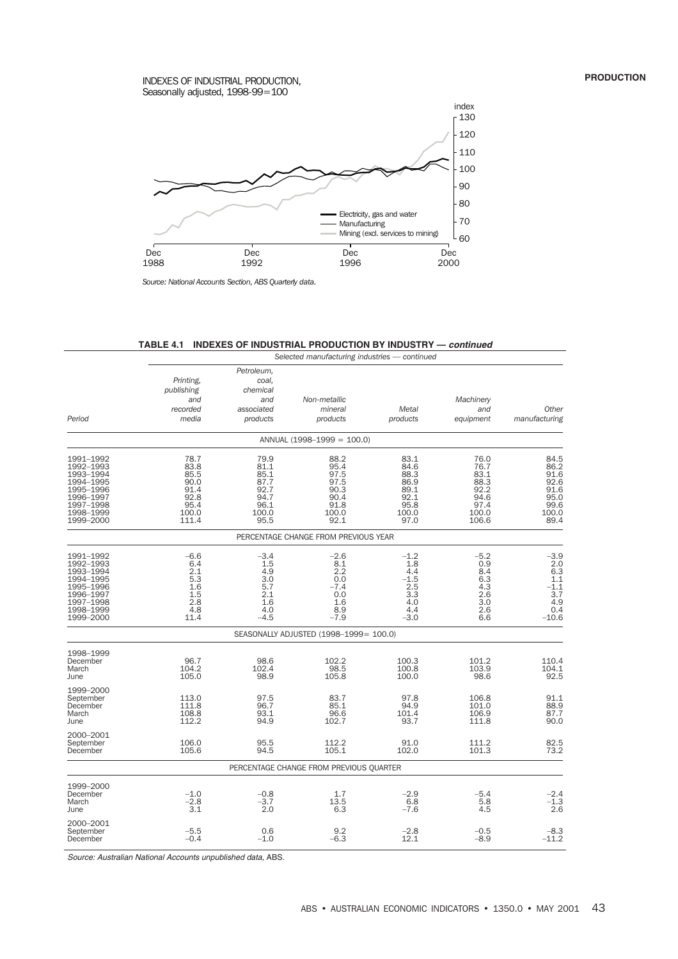#### INDEXES OF INDUSTRIAL PRODUCTION, Seasonally adjusted, 1998-99=100 Dec 1988 Dec 1992 Dec 1996 Dec 2000 index 60 70 80 90  $-100$ 110 120  $-130$ Electricity, gas and water **Manufacturing** Mining (excl. services to mining)

*Source: National Accounts Section, ABS Quarterly data.*

**TABLE 4.1 INDEXES OF INDUSTRIAL PRODUCTION BY INDUSTRY — continued**

|                                                                                                                   |                                                                        |                                                                       | Selected manufacturing industries - continued                         |                                                                                   |                                                                        |                                                                              |
|-------------------------------------------------------------------------------------------------------------------|------------------------------------------------------------------------|-----------------------------------------------------------------------|-----------------------------------------------------------------------|-----------------------------------------------------------------------------------|------------------------------------------------------------------------|------------------------------------------------------------------------------|
| Period                                                                                                            | Printing.<br>publishing<br>and<br>recorded<br>media                    | Petroleum,<br>coal.<br>chemical<br>and<br>associated<br>products      | Non-metallic<br>mineral<br>products                                   | Metal<br>products                                                                 | Machinery<br>and<br>equipment                                          | Other<br>manufacturing                                                       |
|                                                                                                                   |                                                                        |                                                                       | ANNUAL (1998-1999 = 100.0)                                            |                                                                                   |                                                                        |                                                                              |
| 1991-1992<br>1992-1993<br>1993-1994<br>1994-1995<br>1995-1996<br>1996-1997<br>1997-1998<br>1998-1999<br>1999-2000 | 78.7<br>83.8<br>85.5<br>90.0<br>91.4<br>92.8<br>95.4<br>100.0<br>111.4 | 79.9<br>81.1<br>85.1<br>87.7<br>92.7<br>94.7<br>96.1<br>100.0<br>95.5 | 88.2<br>95.4<br>97.5<br>97.5<br>90.3<br>90.4<br>91.8<br>100.0<br>92.1 | 83.1<br>84.6<br>88.3<br>86.9<br>89.1<br>92.1<br>95.8<br>100.0<br>97.0             | 76.0<br>76.7<br>83.1<br>88.3<br>92.2<br>94.6<br>97.4<br>100.0<br>106.6 | 84.5<br>86.2<br>91.6<br>92.6<br>91.6<br>95.0<br>99.6<br>100.0<br>89.4        |
|                                                                                                                   |                                                                        |                                                                       | PERCENTAGE CHANGE FROM PREVIOUS YEAR                                  |                                                                                   |                                                                        |                                                                              |
| 1991-1992<br>1992-1993<br>1993-1994<br>1994-1995<br>1995-1996<br>1996-1997<br>1997-1998<br>1998-1999<br>1999-2000 | $-6.6$<br>6.4<br>2.1<br>5.3<br>1.6<br>1.5<br>2.8<br>4.8<br>11.4        | $-3.4$<br>1.5<br>4.9<br>3.0<br>5.7<br>2.1<br>1.6<br>4.0<br>$-4.5$     | $-2.6$<br>8.1<br>2.2<br>0.0<br>$-7.4$<br>0.0<br>1.6<br>8.9<br>$-7.9$  | $-1.2$<br>1.8<br>4.4<br>$-1.5$<br>2.5<br>$\overline{3.3}$<br>4.0<br>4.4<br>$-3.0$ | $-5.2$<br>0.9<br>8.4<br>6.3<br>2.6<br>3.0<br>2.6<br>6.6                | $-3.9$<br>$\frac{2.0}{6.3}$<br>1.1<br>$-1.1$<br>3.7<br>4.9<br>0.4<br>$-10.6$ |
|                                                                                                                   |                                                                        |                                                                       | SEASONALLY ADJUSTED (1998-1999= 100.0)                                |                                                                                   |                                                                        |                                                                              |
| 1998-1999<br>December<br>March<br>June                                                                            | 96.7<br>104.2<br>105.0                                                 | 98.6<br>102.4<br>98.9                                                 | 102.2<br>98.5<br>105.8                                                | 100.3<br>100.8<br>100.0                                                           | 101.2<br>103.9<br>98.6                                                 | 110.4<br>104.1<br>92.5                                                       |
| 1999-2000<br>September<br>December<br>March<br>June                                                               | 113.0<br>111.8<br>108.8<br>112.2                                       | 97.5<br>96.7<br>93.1<br>94.9                                          | 83.7<br>85.1<br>96.6<br>102.7                                         | 97.8<br>94.9<br>101.4<br>93.7                                                     | 106.8<br>101.0<br>106.9<br>111.8                                       | 91.1<br>88.9<br>87.7<br>90.0                                                 |
| 2000-2001<br>September<br>December                                                                                | 106.0<br>105.6                                                         | 95.5<br>94.5                                                          | 112.2<br>105.1                                                        | 91.0<br>102.0                                                                     | 111.2<br>101.3                                                         | 82.5<br>73.2                                                                 |
|                                                                                                                   |                                                                        |                                                                       | PERCENTAGE CHANGE FROM PREVIOUS QUARTER                               |                                                                                   |                                                                        |                                                                              |
| 1999-2000<br>December<br>March<br>June                                                                            | $-1.0$<br>$-2.8$<br>3.1                                                | $-0.8$<br>$-3.\overline{7}$<br>2.0                                    | 1.7<br>13.5<br>6.3                                                    | $-2.9$<br>6.8<br>$-7.6$                                                           | $-5.4$<br>5.8<br>4.5                                                   | $-2.4$<br>$-1.3$<br>2.6                                                      |
| 2000-2001<br>September<br>December                                                                                | $-5.5$<br>$-0.4$                                                       | 0.6<br>$-1.0$                                                         | 9.2<br>$-6.3$                                                         | $-2.8$<br>12.1                                                                    | $-0.5$<br>$-8.9$                                                       | $-8.3$<br>$-11.2$                                                            |

Source: Australian National Accounts unpublished data, ABS.

#### **PRODUCTION**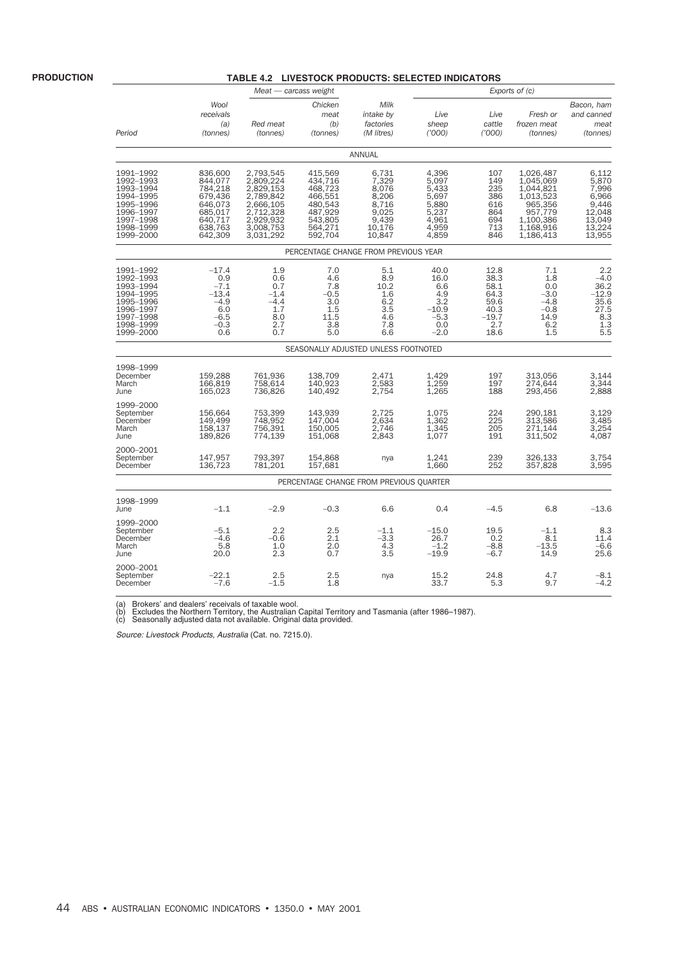# **TABLE 4.2 LIVESTOCK PRODUCTS: SELECTED INDICATORS**

|                                                                                                                   |                                                                                                 | $Meat - carcass weight$                                                                                           |                                                                                                 |                                                                                 |                                                                               |                                                                        | Exports of (c)                                                                                                |                                                                                    |
|-------------------------------------------------------------------------------------------------------------------|-------------------------------------------------------------------------------------------------|-------------------------------------------------------------------------------------------------------------------|-------------------------------------------------------------------------------------------------|---------------------------------------------------------------------------------|-------------------------------------------------------------------------------|------------------------------------------------------------------------|---------------------------------------------------------------------------------------------------------------|------------------------------------------------------------------------------------|
| Period                                                                                                            | Wool<br>receivals<br>(a)<br>(tonnes)                                                            | Red meat<br>(tonnes)                                                                                              | Chicken<br>meat<br>(b)<br>(tonnes)                                                              | Milk<br>intake by<br>factories<br>(M litres)                                    | Live<br>sheep<br>(7000)                                                       | Live<br>cattle<br>(7000)                                               | Fresh or<br>frozen meat<br>(tonnes)                                                                           | Bacon, ham<br>and canned<br>meat<br>(tonnes)                                       |
|                                                                                                                   |                                                                                                 |                                                                                                                   |                                                                                                 | ANNUAL                                                                          |                                                                               |                                                                        |                                                                                                               |                                                                                    |
| 1991-1992<br>1992-1993<br>1993-1994<br>1994-1995<br>1995-1996<br>1996-1997<br>1997-1998<br>1998-1999<br>1999-2000 | 836,600<br>844,077<br>784,218<br>679,436<br>646,073<br>685,017<br>640,717<br>638,763<br>642,309 | 2,793,545<br>2,809,224<br>2,829,153<br>2,789,842<br>2,666,105<br>2,712,328<br>2,929,932<br>3,008,753<br>3,031,292 | 415,569<br>434,716<br>468,723<br>466,551<br>480,543<br>487,929<br>543,805<br>564,271<br>592,704 | 6,731<br>7,329<br>8,076<br>8,206<br>8,716<br>9.025<br>9,439<br>10,176<br>10,847 | 4,396<br>5,097<br>5,433<br>5,697<br>5,880<br>5,237<br>4,961<br>4.959<br>4.859 | 107<br>149<br>235<br>386<br>616<br>864<br>694<br>713<br>846            | 1,026,487<br>1,045,069<br>1,044,821<br>1,013,523<br>965,356<br>957,779<br>1,100,386<br>1,168,916<br>1,186,413 | 6,112<br>5,870<br>7,996<br>6,966<br>9,446<br>12,048<br>13,049<br>13,224<br>13,955  |
|                                                                                                                   |                                                                                                 |                                                                                                                   |                                                                                                 | PERCENTAGE CHANGE FROM PREVIOUS YEAR                                            |                                                                               |                                                                        |                                                                                                               |                                                                                    |
| 1991-1992<br>1992-1993<br>1993-1994<br>1994-1995<br>1995-1996<br>1996-1997<br>1997-1998<br>1998-1999<br>1999-2000 | $-17.4$<br>0.9<br>$-7.1$<br>$-13.4$<br>$-4.9$<br>6.0<br>$-6.5$<br>$-0.3$<br>0.6                 | 1.9<br>0.6<br>0.7<br>$-1.4$<br>$-4.4$<br>1.7<br>8.0<br>2.7<br>0.7                                                 | 7.0<br>4.6<br>7.8<br>$-0.5$<br>3.0<br>1.5<br>11.5<br>3.8<br>5.0                                 | 5.1<br>8.9<br>10.2<br>1.6<br>6.2<br>3.5<br>4.6<br>7.8<br>6.6                    | 40.0<br>16.0<br>6.6<br>4.9<br>3.2<br>$-10.9$<br>$-5.3$<br>0.0<br>$-2.0$       | 12.8<br>38.3<br>58.1<br>64.3<br>59.6<br>40.3<br>$-19.7$<br>2.7<br>18.6 | 7.1<br>1.8<br>0.0<br>$-3.0$<br>$-4.8$<br>$-0.8$<br>14.9<br>6.2<br>1.5                                         | 2.2<br>$-4.0$<br>36.2<br>$-12.9$<br>35.6<br>27.5<br>8.3<br>1.3<br>$5.\overline{5}$ |
|                                                                                                                   |                                                                                                 |                                                                                                                   |                                                                                                 | SEASONALLY ADJUSTED UNLESS FOOTNOTED                                            |                                                                               |                                                                        |                                                                                                               |                                                                                    |
| 1998-1999<br>December<br>March<br>June                                                                            | 159,288<br>166,819<br>165,023                                                                   | 761,936<br>758,614<br>736,826                                                                                     | 138,709<br>140.923<br>140.492                                                                   | 2,471<br>2,583<br>2.754                                                         | 1,429<br>1,259<br>1,265                                                       | 197<br>197<br>188                                                      | 313,056<br>274,644<br>293,456                                                                                 | 3,144<br>3,344<br>2,888                                                            |
| 1999-2000<br>September<br>December<br>March<br>June                                                               | 156,664<br>149,499<br>158,137<br>189,826                                                        | 753,399<br>748,952<br>756,391<br>774,139                                                                          | 143,939<br>147,004<br>150,005<br>151,068                                                        | 2,725<br>2,634<br>2,746<br>2,843                                                | 1.075<br>1,362<br>1,345<br>1,077                                              | 224<br>225<br>205<br>191                                               | 290.181<br>313,586<br>271,144<br>311,502                                                                      | 3,129<br>3,485<br>3,254<br>4,087                                                   |
| 2000-2001<br>September<br>December                                                                                | 147,957<br>136,723                                                                              | 793,397<br>781,201                                                                                                | 154,868<br>157,681                                                                              | nya                                                                             | 1,241<br>1,660                                                                | 239<br>252                                                             | 326,133<br>357,828                                                                                            | 3,754<br>3,595                                                                     |
|                                                                                                                   |                                                                                                 |                                                                                                                   |                                                                                                 | PERCENTAGE CHANGE FROM PREVIOUS QUARTER                                         |                                                                               |                                                                        |                                                                                                               |                                                                                    |
| 1998-1999<br>June                                                                                                 | $-1.1$                                                                                          | $-2.9$                                                                                                            | $-0.3$                                                                                          | 6.6                                                                             | 0.4                                                                           | $-4.5$                                                                 | 6.8                                                                                                           | $-13.6$                                                                            |
| 1999-2000<br>September<br>December<br>March<br>June                                                               | $-5.1$<br>$-4.6$<br>5.8<br>20.0                                                                 | 2.2<br>$-0.6$<br>1.0<br>2.3                                                                                       | 2.5<br>2.1<br>2.0<br>0.7                                                                        | $-1.1$<br>$-3.3$<br>4.3<br>3.5                                                  | $-15.0$<br>26.7<br>$-1.2$<br>$-19.9$                                          | 19.5<br>0.2<br>$-8.8$<br>$-6.7$                                        | $-1.1$<br>8.1<br>$-13.5$<br>14.9                                                                              | 8.3<br>11.4<br>$-6.6$<br>25.6                                                      |
| 2000-2001<br>September<br>December                                                                                | $-22.1$<br>$-7.6$                                                                               | 2.5<br>$-1.5$                                                                                                     | 2.5<br>1.8                                                                                      | nya                                                                             | 15.2<br>33.7                                                                  | 24.8<br>5.3                                                            | 4.7<br>9.7                                                                                                    | $-8.1$<br>$-4.2$                                                                   |

(a) Brokers' and dealers' receivals of taxable wool.<br>(b) Excludes the Northern Territory, the Australian Capital Territory and Tasmania (after 1986–1987).<br>(c) Seasonally adjusted data not available. Original data provided.

Source: Livestock Products, Australia (Cat. no. 7215.0).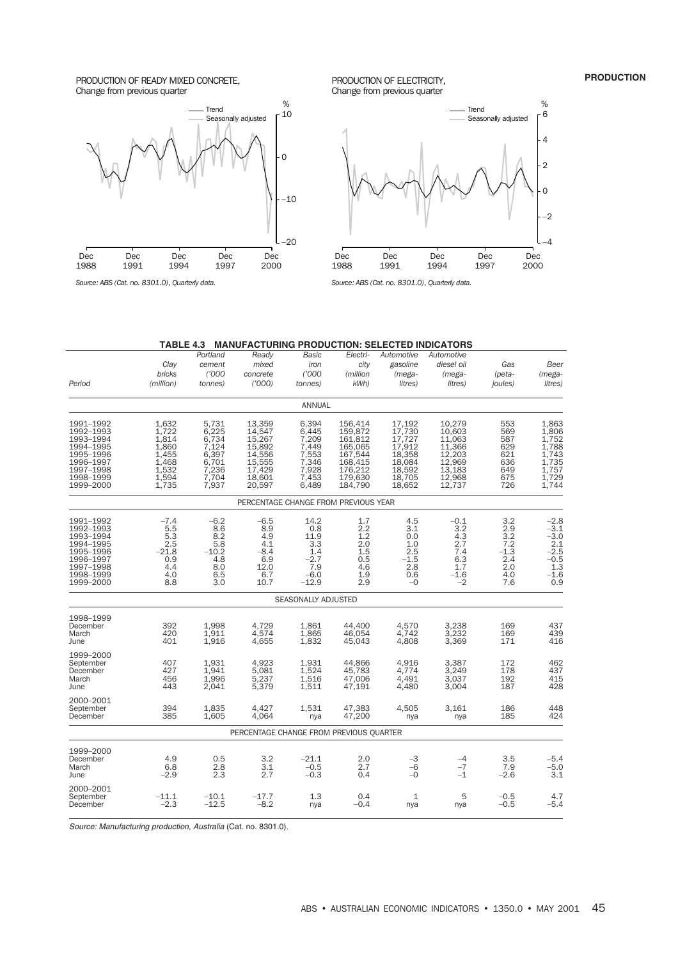PRODUCTION OF READY MIXED CONCRETE, Change from previous quarter



*Source: ABS (Cat. no. 8301.0), Quarterly data.*

PRODUCTION OF ELECTRICITY, Change from previous quarter



*Source: ABS (Cat. no. 8301.0), Quarterly data.*

#### **TABLE 4.3 MANUFACTURING PRODUCTION: SELECTED INDICATORS**

| Period                                                                                                            | Clay<br>bricks<br>(million)                                                   | Portland<br>cement<br>(7000)<br>tonnes)                                       | Ready<br>mixed<br>concrete<br>(7000)                                                   | Basic<br>iron<br>(7000)<br>tonnes)                                             | Electri-<br>city<br>(million<br>kWh)                                                            | Automotive<br>gasoline<br>$(mega-$<br>litres)                                          | Automotive<br>diesel oil<br>$(mega-$<br>litres)                                        | Gas<br>$(\text{peta-}$<br>joules)                              | Beer<br>$(mega-$<br>litres)                                                       |
|-------------------------------------------------------------------------------------------------------------------|-------------------------------------------------------------------------------|-------------------------------------------------------------------------------|----------------------------------------------------------------------------------------|--------------------------------------------------------------------------------|-------------------------------------------------------------------------------------------------|----------------------------------------------------------------------------------------|----------------------------------------------------------------------------------------|----------------------------------------------------------------|-----------------------------------------------------------------------------------|
|                                                                                                                   |                                                                               |                                                                               |                                                                                        | ANNUAL                                                                         |                                                                                                 |                                                                                        |                                                                                        |                                                                |                                                                                   |
| 1991-1992<br>1992-1993<br>1993-1994<br>1994-1995<br>1995-1996<br>1996-1997<br>1997-1998<br>1998-1999<br>1999-2000 | 1,632<br>1,722<br>1,814<br>1,860<br>1,455<br>1,468<br>1,532<br>1,594<br>1,735 | 5,731<br>6,225<br>6,734<br>7,124<br>6,397<br>6,701<br>7,236<br>7,704<br>7,937 | 13,359<br>14,547<br>15,267<br>15,892<br>14,556<br>15,555<br>17,429<br>18,601<br>20,597 | 6,394<br>6,445<br>7,209<br>7,449<br>7,553<br>7,346<br>7,928<br>7,453<br>6,489  | 156,414<br>159,872<br>161,812<br>165,065<br>167,544<br>168,415<br>176,212<br>179,630<br>184,790 | 17,192<br>17,730<br>17,727<br>17,912<br>18,358<br>18,084<br>18,592<br>18,705<br>18,652 | 10,279<br>10,603<br>11,063<br>11,366<br>12,203<br>12,969<br>13,183<br>12,968<br>12,737 | 553<br>569<br>587<br>629<br>621<br>636<br>649<br>675<br>726    | 1,863<br>1,806<br>1,752<br>1,788<br>1,743<br>1,735<br>1,757<br>1,729<br>1,744     |
|                                                                                                                   |                                                                               |                                                                               | PERCENTAGE CHANGE FROM PREVIOUS YEAR                                                   |                                                                                |                                                                                                 |                                                                                        |                                                                                        |                                                                |                                                                                   |
| 1991-1992<br>1992-1993<br>1993-1994<br>1994-1995<br>1995-1996<br>1996-1997<br>1997-1998<br>1998-1999<br>1999-2000 | $-7.4$<br>5.5<br>$\frac{5.3}{2.5}$<br>$-21.8$<br>0.9<br>4.4<br>4.0<br>8.8     | $-6.2$<br>8.6<br>8.2<br>5.8<br>$-10.2$<br>4.8<br>8.0<br>6.5<br>3.0            | $-6.5$<br>8.9<br>4.9<br>4.1<br>$-8.4$<br>6.9<br>12.0<br>6.7<br>10.7                    | 14.2<br>$\frac{0.8}{11.9}$<br>3.3<br>1.4<br>$-2.7$<br>7.9<br>$-6.0$<br>$-12.9$ | 1.7<br>2.2<br>1.2<br>2.0<br>1.5<br>0.5<br>4.6<br>1.9<br>2.9                                     | 4.5<br>3.1<br>0.0<br>1.0<br>2.5<br>$-1.5$<br>2.8<br>0.6<br>$-0$                        | $-0.1$<br>3.2<br>$^{4.3}_{2.7}$<br>7.4<br>6.3<br>1.7<br>$-1.6$<br>$-2$                 | 3.2<br>2.9<br>3.2<br>7.2<br>$-1.3$<br>2.4<br>2.0<br>4.0<br>7.6 | $-2.8$<br>$-3.1$<br>$-3.0$<br>$2.1$<br>$-2.5$<br>$-0.5$<br>$1.3$<br>$-1.6$<br>0.9 |
|                                                                                                                   |                                                                               |                                                                               |                                                                                        | SEASONALLY ADJUSTED                                                            |                                                                                                 |                                                                                        |                                                                                        |                                                                |                                                                                   |
| 1998-1999<br>December<br>March<br>June                                                                            | 392<br>420<br>401                                                             | 1,998<br>1,911<br>1,916                                                       | 4,729<br>4,574<br>4,655                                                                | 1,861<br>1,865<br>1,832                                                        | 44,400<br>46,054<br>45,043                                                                      | 4,570<br>4,742<br>4,808                                                                | 3,238<br>3,232<br>3,369                                                                | 169<br>169<br>171                                              | 437<br>439<br>416                                                                 |
| 1999-2000<br>September<br>December<br>March<br>June                                                               | 407<br>427<br>456<br>443                                                      | 1,931<br>1,941<br>1,996<br>2,041                                              | 4,923<br>5,081<br>5,237<br>5,379                                                       | 1,931<br>1,524<br>1,516<br>1,511                                               | 44,866<br>45,783<br>47,006<br>47,191                                                            | 4,916<br>4,774<br>4,491<br>4,480                                                       | 3,387<br>$3,249$<br>$3,037$<br>3,004                                                   | 172<br>178<br>192<br>187                                       | 462<br>437<br>415<br>428                                                          |
| 2000-2001<br>September<br>December                                                                                | 394<br>385                                                                    | 1,835<br>1,605                                                                | 4,427<br>4,064                                                                         | 1,531<br>nya                                                                   | 47,383<br>47,200                                                                                | 4,505<br>nya                                                                           | 3,161<br>nya                                                                           | 186<br>185                                                     | 448<br>424                                                                        |
|                                                                                                                   |                                                                               |                                                                               | PERCENTAGE CHANGE FROM PREVIOUS QUARTER                                                |                                                                                |                                                                                                 |                                                                                        |                                                                                        |                                                                |                                                                                   |
| 1999-2000<br>December<br>March<br>June                                                                            | 4.9<br>6.8<br>$-2.9$                                                          | 0.5<br>2.8<br>2.3                                                             | 3.2<br>3.1<br>2.7                                                                      | $-21.1$<br>$-0.5$<br>$-0.3$                                                    | 2.0<br>2.7<br>0.4                                                                               | $-3$<br>$-6$<br>$-0$                                                                   | $\frac{-4}{-7}$<br>$-1$                                                                | 3.5<br>7.9<br>$-2.6$                                           | $-5.4$<br>$-5.0$<br>3.1                                                           |
| 2000-2001<br>September<br>December                                                                                | $-11.1$<br>$-2.3$                                                             | $-10.1$<br>$-12.5$                                                            | $-17.7$<br>$-8.2$                                                                      | 1.3<br>nya                                                                     | 0.4<br>$-0.4$                                                                                   | $\mathbf 1$<br>nya                                                                     | 5<br>nya                                                                               | $-0.5$<br>$-0.5$                                               | 4.7<br>$-5.4$                                                                     |

Source: Manufacturing production, Australia (Cat. no. 8301.0).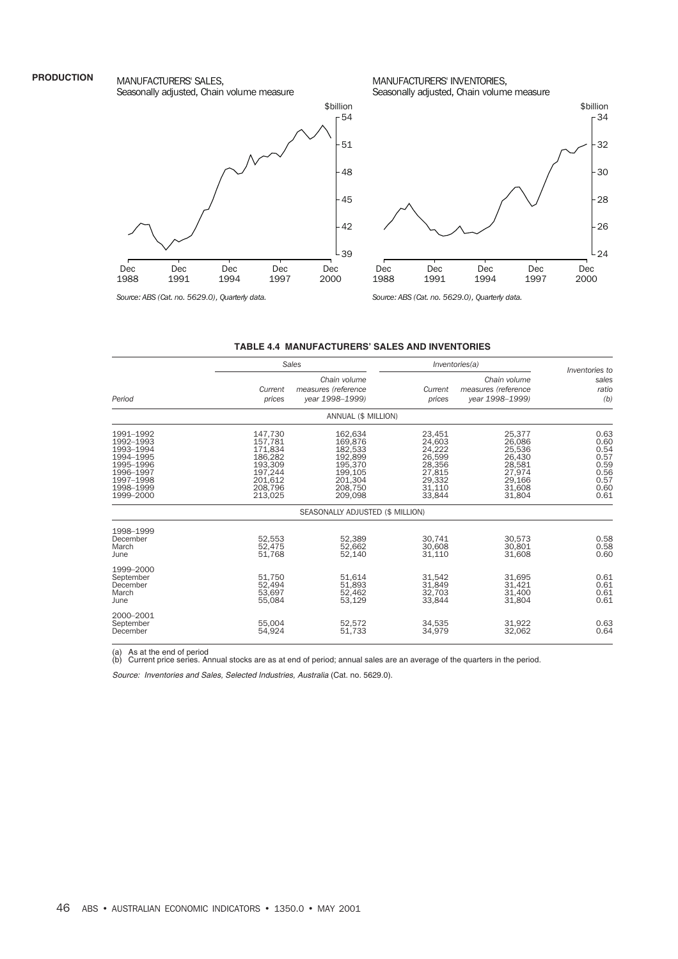#### **PRODUCTION**

MANUFACTURERS' SALES, Seasonally adjusted, Chain volume measure







*Source: ABS (Cat. no. 5629.0), Quarterly data.*

*Source: ABS (Cat. no. 5629.0), Quarterly data.*

MANUFACTURERS' INVENTORIES,

Seasonally adjusted, Chain volume measure

|                                                                                                                   |                                                                                                 | Sales                                                                                           |                                                                                        | Inventories(a)                                                                         | Inventories to                                                       |
|-------------------------------------------------------------------------------------------------------------------|-------------------------------------------------------------------------------------------------|-------------------------------------------------------------------------------------------------|----------------------------------------------------------------------------------------|----------------------------------------------------------------------------------------|----------------------------------------------------------------------|
| Period                                                                                                            | Current<br>prices                                                                               | Chain volume<br>measures (reference<br>year 1998-1999)                                          | Current<br>prices                                                                      | Chain volume<br>measures (reference<br>year 1998-1999)                                 | sales<br>ratio<br>(b)                                                |
|                                                                                                                   |                                                                                                 | ANNUAL (\$ MILLION)                                                                             |                                                                                        |                                                                                        |                                                                      |
| 1991-1992<br>1992–1993<br>1993–1994<br>1994–1995<br>1995–1996<br>1996–1997<br>1997–1998<br>1998–1999<br>1999–2000 | 147,730<br>157,781<br>171,834<br>186,282<br>193,309<br>197,244<br>201,612<br>208.796<br>213,025 | 162,634<br>169,876<br>182,533<br>192,899<br>195,370<br>199,105<br>201,304<br>208,750<br>209,098 | 23,451<br>24,603<br>24,222<br>26,599<br>28,356<br>27,815<br>29,332<br>31.110<br>33,844 | 25,377<br>26,086<br>25,536<br>26,430<br>28,581<br>27,974<br>29,166<br>31,608<br>31,804 | 0.63<br>0.60<br>0.54<br>0.57<br>0.59<br>0.56<br>0.57<br>0.60<br>0.61 |
|                                                                                                                   |                                                                                                 | SEASONALLY ADJUSTED (\$ MILLION)                                                                |                                                                                        |                                                                                        |                                                                      |
| 1998–1999<br>December<br>March<br>June                                                                            | 52,553<br>52,475<br>51,768                                                                      | 52,389<br>52,662<br>52,140                                                                      | 30,741<br>30,608<br>31,110                                                             | 30,573<br>30,801<br>31,608                                                             | 0.58<br>0.58<br>0.60                                                 |
| 1999–2000<br>September<br>December<br>March<br>June                                                               | 51.750<br>52,494<br>53,697<br>55,084                                                            | 51.614<br>51,893<br>52,462<br>53,129                                                            | 31,542<br>31,849<br>32,703<br>33,844                                                   | 31.695<br>31,421<br>31,400<br>31,804                                                   | 0.61<br>0.61<br>0.61<br>0.61                                         |
| 2000–2001<br>September<br>December                                                                                | 55.004<br>54,924                                                                                | 52,572<br>51,733                                                                                | 34,535<br>34,979                                                                       | 31.922<br>32,062                                                                       | 0.63<br>0.64                                                         |

#### **TABLE 4.4 MANUFACTURERS' SALES AND INVENTORIES**

(a) As at the end of period (b) Current price series. Annual stocks are as at end of period; annual sales are an average of the quarters in the period.

Source: Inventories and Sales, Selected Industries, Australia (Cat. no. 5629.0).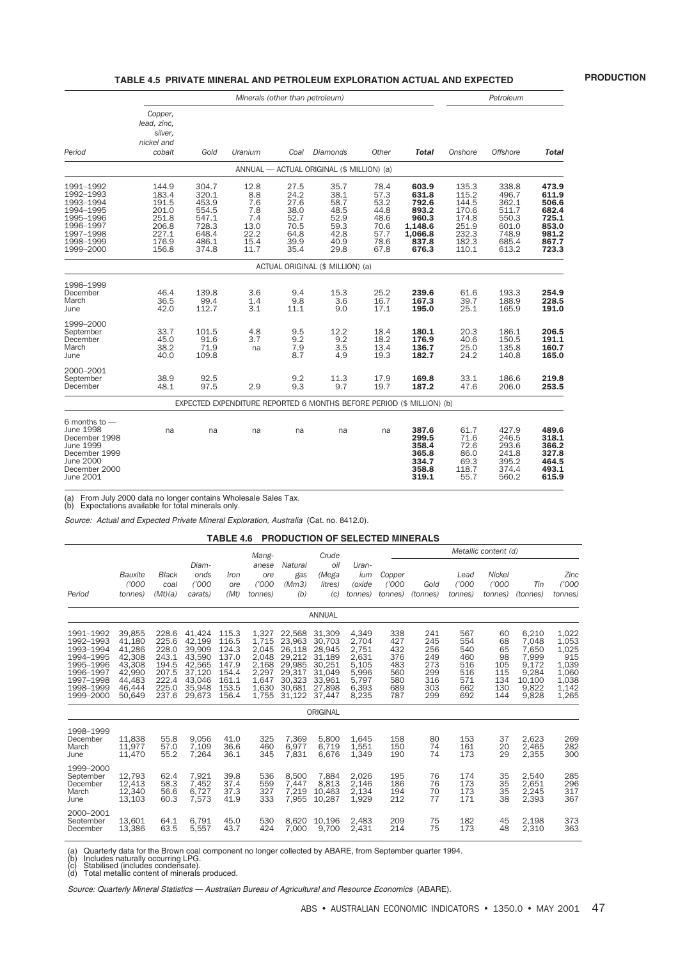#### **TABLE 4.5 PRIVATE MINERAL AND PETROLEUM EXPLORATION ACTUAL AND EXPECTED**

|                                                                                                                          |                                                                               |                                                                               | Minerals (other than petroleum)                                       |                                                                      |                                                                      |                                                                      |                                                                                   | Petroleum                                                                     |                                                                               |                                                                               |  |  |
|--------------------------------------------------------------------------------------------------------------------------|-------------------------------------------------------------------------------|-------------------------------------------------------------------------------|-----------------------------------------------------------------------|----------------------------------------------------------------------|----------------------------------------------------------------------|----------------------------------------------------------------------|-----------------------------------------------------------------------------------|-------------------------------------------------------------------------------|-------------------------------------------------------------------------------|-------------------------------------------------------------------------------|--|--|
| Period                                                                                                                   | Copper,<br>lead, zinc,<br>silver,<br>nickel and<br>cobalt                     | Gold                                                                          | Uranium                                                               | Coal                                                                 | Diamonds                                                             | Other                                                                | Total                                                                             | Onshore                                                                       | <b>Offshore</b>                                                               | Total                                                                         |  |  |
|                                                                                                                          |                                                                               |                                                                               |                                                                       |                                                                      | ANNUAL - ACTUAL ORIGINAL (\$ MILLION) (a)                            |                                                                      |                                                                                   |                                                                               |                                                                               |                                                                               |  |  |
| 1991-1992<br>1992-1993<br>1993-1994<br>1994-1995<br>1995-1996<br>1996-1997<br>1997-1998<br>1998-1999<br>1999-2000        | 144.9<br>183.4<br>191.5<br>201.0<br>251.8<br>206.8<br>227.1<br>176.9<br>156.8 | 304.7<br>320.1<br>453.9<br>554.5<br>547.1<br>728.3<br>648.4<br>486.1<br>374.8 | 12.8<br>8.8<br>7.6<br>7.8<br>7.4<br>13.0<br>22.2<br>15.4<br>11.7      | 27.5<br>24.2<br>27.6<br>38.0<br>52.7<br>70.5<br>64.8<br>39.9<br>35.4 | 35.7<br>38.1<br>58.7<br>48.5<br>52.9<br>59.3<br>42.8<br>40.9<br>29.8 | 78.4<br>57.3<br>53.2<br>44.8<br>48.6<br>70.6<br>57.7<br>78.6<br>67.8 | 603.9<br>631.8<br>792.6<br>893.2<br>960.3<br>1,148.6<br>1,066.8<br>837.8<br>676.3 | 135.3<br>115.2<br>144.5<br>170.6<br>174.8<br>251.9<br>232.3<br>182.3<br>110.1 | 338.8<br>496.7<br>362.1<br>511.7<br>550.3<br>601.0<br>748.9<br>685.4<br>613.2 | 473.9<br>611.9<br>506.6<br>682.4<br>725.1<br>853.0<br>981.2<br>867.7<br>723.3 |  |  |
|                                                                                                                          |                                                                               |                                                                               |                                                                       |                                                                      | ACTUAL ORIGINAL (\$ MILLION) (a)                                     |                                                                      |                                                                                   |                                                                               |                                                                               |                                                                               |  |  |
| 1998-1999<br>December<br>March<br>June                                                                                   | 46.4<br>36.5<br>42.0                                                          | 139.8<br>99.4<br>112.7                                                        | 3.6<br>1.4<br>3.1                                                     | 9.4<br>9.8<br>11.1                                                   | 15.3<br>3.6<br>9.0                                                   | 25.2<br>16.7<br>17.1                                                 | 239.6<br>167.3<br>195.0                                                           | 61.6<br>39.7<br>25.1                                                          | 193.3<br>188.9<br>165.9                                                       | 254.9<br>228.5<br>191.0                                                       |  |  |
| 1999-2000<br>September<br>December<br>March<br>June                                                                      | 33.7<br>45.0<br>38.2<br>40.0                                                  | 101.5<br>91.6<br>71.9<br>109.8                                                | 4.8<br>3.7<br>na                                                      | 9.5<br>9.2<br>7.9<br>8.7                                             | 12.2<br>9.2<br>3.5<br>4.9                                            | 18.4<br>18.2<br>13.4<br>19.3                                         | 180.1<br>176.9<br>136.7<br>182.7                                                  | 20.3<br>40.6<br>25.0<br>24.2                                                  | 186.1<br>150.5<br>135.8<br>140.8                                              | 206.5<br>191.1<br>160.7<br>165.0                                              |  |  |
| 2000-2001<br>September<br>December                                                                                       | 38.9<br>48.1                                                                  | 92.5<br>97.5                                                                  | 2.9                                                                   | 9.2<br>9.3                                                           | 11.3<br>9.7                                                          | 17.9<br>19.7                                                         | 169.8<br>187.2                                                                    | 33.1<br>47.6                                                                  | 186.6<br>206.0                                                                | 219.8<br>253.5                                                                |  |  |
|                                                                                                                          |                                                                               |                                                                               | EXPECTED EXPENDITURE REPORTED 6 MONTHS BEFORE PERIOD (\$ MILLION) (b) |                                                                      |                                                                      |                                                                      |                                                                                   |                                                                               |                                                                               |                                                                               |  |  |
| $6$ months to $-$<br>June 1998<br>December 1998<br>June 1999<br>December 1999<br>June 2000<br>December 2000<br>June 2001 | na                                                                            | na                                                                            | na                                                                    | na                                                                   | na                                                                   | na                                                                   | 387.6<br>299.5<br>358.4<br>365.8<br>334.7<br>358.8<br>319.1                       | 61.7<br>71.6<br>72.6<br>86.0<br>69.3<br>118.7<br>55.7                         | 427.9<br>246.5<br>293.6<br>241.8<br>395.2<br>374.4<br>560.2                   | 489.6<br>318.1<br>366.2<br>327.8<br>464.5<br>493.1<br>615.9                   |  |  |

(a) From July 2000 data no longer contains Wholesale Sales Tax. (b) Expectations available for total minerals only.

Source: Actual and Expected Private Mineral Exploration, Australia (Cat. no. 8412.0).

#### **TABLE 4.6 PRODUCTION OF SELECTED MINERALS**

|                                                                                                                   |                                                                                        |                                                                               |                                                                                        |                                                                               | Mang-                                                                         |                                                                                        | Crude                                                                                  |                                                                               |                                                             |                                                             |                                                             | Metallic content (d)                                    |                                                                                |                                                                             |
|-------------------------------------------------------------------------------------------------------------------|----------------------------------------------------------------------------------------|-------------------------------------------------------------------------------|----------------------------------------------------------------------------------------|-------------------------------------------------------------------------------|-------------------------------------------------------------------------------|----------------------------------------------------------------------------------------|----------------------------------------------------------------------------------------|-------------------------------------------------------------------------------|-------------------------------------------------------------|-------------------------------------------------------------|-------------------------------------------------------------|---------------------------------------------------------|--------------------------------------------------------------------------------|-----------------------------------------------------------------------------|
| Period                                                                                                            | Bauxite<br>(1000)<br>tonnes)                                                           | Black<br>coal<br>(Mt)(a)                                                      | Diam-<br>onds<br>(1000)<br>carats)                                                     | Iron<br>ore<br>(Mt)                                                           | anese<br>ore<br>(7000)<br>tonnes)                                             | Natural<br>gas<br>(Mm3)<br>(b)                                                         | oil<br>(Mega<br>litres)<br>(c)                                                         | Uran-<br>ium<br>(oxide<br>tonnes)                                             | Copper<br>(1000)<br>tonnes)                                 | Gold<br>(tonnes)                                            | Lead<br>(1000)<br>tonnes)                                   | Nickel<br>(1000)<br>tonnes)                             | Tin<br>(tonnes)                                                                | Zinc<br>(7000)<br>tonnes)                                                   |
|                                                                                                                   |                                                                                        |                                                                               |                                                                                        |                                                                               |                                                                               |                                                                                        | ANNUAL                                                                                 |                                                                               |                                                             |                                                             |                                                             |                                                         |                                                                                |                                                                             |
| 1991-1992<br>1992-1993<br>1993-1994<br>1994-1995<br>1995-1996<br>1996-1997<br>1997-1998<br>1998-1999<br>1999-2000 | 39.855<br>41,180<br>41,286<br>42,308<br>43,308<br>42,990<br>44,483<br>46,444<br>50.649 | 228.6<br>225.6<br>228.0<br>243.1<br>194.5<br>207.5<br>222.4<br>225.0<br>237.6 | 41.424<br>42.199<br>39,909<br>43.590<br>42.565<br>37,120<br>43.046<br>35,948<br>29,673 | 115.3<br>116.5<br>124.3<br>137.0<br>147.9<br>154.4<br>161.1<br>153.5<br>156.4 | 1.327<br>1.715<br>2,045<br>2,048<br>2,168<br>2,297<br>1.647<br>1,630<br>1,755 | 22.568<br>23,963<br>26,118<br>29.212<br>29.985<br>29.317<br>30.323<br>30.681<br>31,122 | 31.309<br>30.703<br>28.945<br>31.189<br>30.251<br>31.049<br>33.961<br>27.898<br>37.447 | 4.349<br>2,704<br>2,751<br>2,631<br>5,105<br>5,996<br>5,797<br>6,393<br>8,235 | 338<br>427<br>432<br>376<br>483<br>560<br>580<br>689<br>787 | 241<br>245<br>256<br>249<br>273<br>299<br>316<br>303<br>299 | 567<br>554<br>540<br>460<br>516<br>516<br>571<br>662<br>692 | 60<br>68<br>65<br>98<br>105<br>115<br>134<br>130<br>144 | 6.210<br>7.048<br>7.650<br>7.999<br>9,172<br>9.284<br>10.100<br>9,822<br>9,828 | 1,022<br>1,053<br>1,025<br>915<br>1,039<br>1,060<br>1,038<br>1,142<br>1,265 |
|                                                                                                                   |                                                                                        |                                                                               |                                                                                        |                                                                               |                                                                               |                                                                                        | ORIGINAL                                                                               |                                                                               |                                                             |                                                             |                                                             |                                                         |                                                                                |                                                                             |
| 1998-1999<br>December<br>March<br>June                                                                            | 11,838<br>11,977<br>11,470                                                             | 55.8<br>57.0<br>55.2                                                          | 9,056<br>7,109<br>7,264                                                                | 41.0<br>36.6<br>36.1                                                          | 325<br>460<br>345                                                             | 7,369<br>6,977<br>7,831                                                                | 5,800<br>6.719<br>6.676                                                                | 1,645<br>1,551<br>1,349                                                       | 158<br>150<br>190                                           | 80<br>74<br>74                                              | 153<br>161<br>173                                           | 37<br>20<br>29                                          | 2,623<br>2,465<br>2,355                                                        | 269<br>282<br>300                                                           |
| 1999-2000<br>September<br>December<br>March<br>June                                                               | 12,793<br>12,413<br>12,340<br>13,103                                                   | 62.4<br>58.3<br>56.6<br>60.3                                                  | 7,921<br>7,452<br>6,727<br>7,573                                                       | 39.8<br>37.4<br>37.3<br>41.9                                                  | 536<br>559<br>327<br>333                                                      | 8,500<br>7.447<br>7,219<br>7.955                                                       | 7,884<br>8.813<br>10,463<br>10,287                                                     | 2,026<br>2.146<br>2,134<br>1,929                                              | 195<br>186<br>194<br>212                                    | 76<br>76<br>70<br>77                                        | 174<br>173<br>173<br>171                                    | 35<br>35<br>35<br>38                                    | 2,540<br>2,651<br>2,245<br>2,393                                               | 285<br>296<br>317<br>367                                                    |
| 2000-2001<br>September<br>December                                                                                | 13,601<br>13,386                                                                       | 64.1<br>63.5                                                                  | 6,791<br>5,557                                                                         | 45.0<br>43.7                                                                  | 530<br>424                                                                    | 8,620<br>7,000                                                                         | 10,196<br>9,700                                                                        | 2,483<br>2,431                                                                | 209<br>214                                                  | 75<br>75                                                    | 182<br>173                                                  | 45<br>48                                                | 2,198<br>2,310                                                                 | 373<br>363                                                                  |

(a) Quarterly data for the Brown coal component no longer collected by ABARE, from September quarter 1994.<br>(b) Includes naturally occurring LPG.<br>(c) Stabilised (includes condensate).<br>(d) Total metallic content of miner

Source: Quarterly Mineral Statistics — Australian Bureau of Agricultural and Resource Economics (ABARE).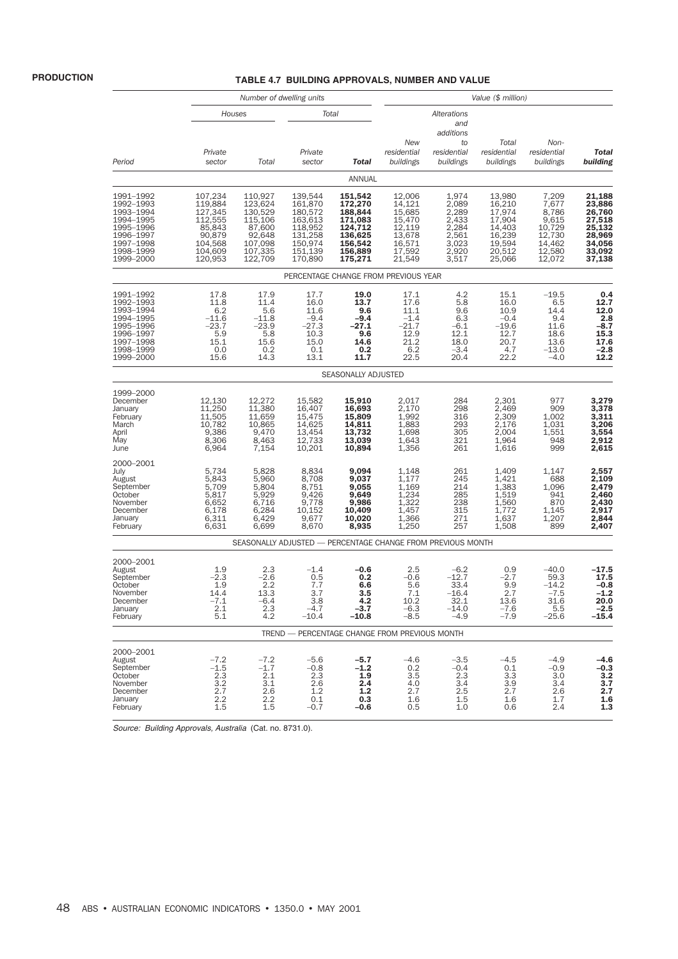#### **TABLE 4.7 BUILDING APPROVALS, NUMBER AND VALUE**

|                                                                                                                   |                                                                                               | Number of dwelling units                                                                      |                                                                                                 |                                                                                                 | Value (\$ million)                                                                     |                                                                               |                                                                                        |                                                                                    |                                                                                        |
|-------------------------------------------------------------------------------------------------------------------|-----------------------------------------------------------------------------------------------|-----------------------------------------------------------------------------------------------|-------------------------------------------------------------------------------------------------|-------------------------------------------------------------------------------------------------|----------------------------------------------------------------------------------------|-------------------------------------------------------------------------------|----------------------------------------------------------------------------------------|------------------------------------------------------------------------------------|----------------------------------------------------------------------------------------|
|                                                                                                                   | Houses                                                                                        |                                                                                               |                                                                                                 | Total                                                                                           |                                                                                        | Alterations<br>and                                                            |                                                                                        |                                                                                    |                                                                                        |
| Period                                                                                                            | Private<br>sector                                                                             | Total                                                                                         | Private<br>sector                                                                               | Total                                                                                           | New<br>residential<br>buildings                                                        | additions<br>to<br>residential<br>buildings                                   | Total<br>residential<br>buildings                                                      | Non-<br>residential<br>buildings                                                   | <b>Total</b><br>building                                                               |
|                                                                                                                   |                                                                                               |                                                                                               |                                                                                                 | ANNUAL                                                                                          |                                                                                        |                                                                               |                                                                                        |                                                                                    |                                                                                        |
| 1991-1992<br>1992-1993<br>1993-1994<br>1994-1995<br>1995-1996<br>1996-1997<br>1997-1998<br>1998-1999<br>1999-2000 | 107,234<br>119,884<br>127,345<br>112,555<br>85,843<br>90,879<br>104,568<br>104,609<br>120,953 | 110,927<br>123,624<br>130,529<br>115,106<br>87,600<br>92,648<br>107,098<br>107,335<br>122,709 | 139,544<br>161,870<br>180,572<br>163,613<br>118,952<br>131,258<br>150,974<br>151,139<br>170,890 | 151,542<br>172,270<br>188,844<br>171,083<br>124,712<br>136,625<br>156,542<br>156,889<br>175,271 | 12,006<br>14,121<br>15,685<br>15,470<br>12,119<br>13,678<br>16,571<br>17,592<br>21,549 | 1,974<br>2,089<br>2,289<br>2,433<br>2,284<br>2,561<br>3,023<br>2,920<br>3,517 | 13,980<br>16,210<br>17,974<br>17,904<br>14,403<br>16,239<br>19,594<br>20,512<br>25,066 | 7,209<br>7,677<br>8,786<br>9,615<br>10,729<br>12,730<br>14,462<br>12,580<br>12,072 | 21,188<br>23,886<br>26,760<br>27,518<br>25,132<br>28,969<br>34,056<br>33,092<br>37,138 |
|                                                                                                                   |                                                                                               |                                                                                               |                                                                                                 |                                                                                                 | PERCENTAGE CHANGE FROM PREVIOUS YEAR                                                   |                                                                               |                                                                                        |                                                                                    |                                                                                        |
| 1991-1992<br>1992-1993<br>1993-1994<br>1994-1995<br>1995-1996<br>1996-1997<br>1997-1998<br>1998-1999<br>1999-2000 | 17.8<br>11.8<br>$\overline{6.2}$<br>$-11.6$<br>$-23.7$<br>5.9<br>15.1<br>0.0<br>15.6          | 17.9<br>11.4<br>5.6<br>$-11.8$<br>$-23.9$<br>5.8<br>15.6<br>0.2<br>14.3                       | 17.7<br>16.0<br>11.6<br>$-9.4$<br>$-27.3$<br>10.3<br>15.0<br>0.1<br>13.1                        | 19.0<br>13.7<br>9.6<br>$-9.4$<br>$-27.1$<br>9.6<br>14.6<br>0.2<br>11.7                          | 17.1<br>17.6<br>11.1<br>$-1.4$<br>$-21.7$<br>12.9<br>21.2<br>6.2<br>22.5               | 4.2<br>5.8<br>9.6<br>6.3<br>$-6.1$<br>12.1<br>18.0<br>$-3.4$<br>20.4          | 15.1<br>16.0<br>10.9<br>$-0.4$<br>$-19.6$<br>12.7<br>20.7<br>4.7<br>22.2               | $-19.5$<br>6.5<br>14.4<br>9.4<br>11.6<br>18.6<br>13.6<br>$-13.0$<br>$-4.0$         | 0.4<br>12.7<br>12.0<br>2.8<br>$-8.7$<br>15.3<br>17.6<br>$-2.8$<br>12.2                 |
|                                                                                                                   |                                                                                               |                                                                                               |                                                                                                 | SEASONALLY ADJUSTED                                                                             |                                                                                        |                                                                               |                                                                                        |                                                                                    |                                                                                        |
| 1999-2000<br>December<br>January<br>February<br>March<br>April<br>May<br>June                                     | 12,130<br>11,250<br>11,505<br>10,782<br>9,386<br>8,306<br>6,964                               | 12,272<br>11,380<br>11,659<br>10,865<br>9,470<br>8,463<br>7,154                               | 15,582<br>16,407<br>15,475<br>14,625<br>13,454<br>12,733<br>10,201                              | 15,910<br>16,693<br>15,809<br>14,811<br>13,732<br>13,039<br>10,894                              | 2,017<br>2,170<br>1,992<br>1,883<br>1,698<br>1,643<br>1,356                            | 284<br>298<br>316<br>293<br>305<br>321<br>261                                 | 2,301<br>2,469<br>2,309<br>2,176<br>2,004<br>1,964<br>1,616                            | 977<br>909<br>1,002<br>1,031<br>1,551<br>948<br>999                                | 3,279<br>3,378<br>3,311<br>3,206<br>3,554<br>2,912<br>2,615                            |
| 2000-2001<br>July<br>August<br>September<br>October<br>November<br>December<br>January<br>February                | 5,734<br>5,843<br>5,709<br>5,817<br>6,652<br>6,178<br>6,311<br>6,631                          | 5,828<br>5,960<br>5,804<br>5,929<br>6,716<br>6,284<br>6,429<br>6,699                          | 8,834<br>8,708<br>8,751<br>9,426<br>9,778<br>10,152<br>9,677<br>8,670                           | 9,094<br>9,037<br>9,055<br>9,649<br>9,986<br>10,409<br>10,020<br>8,935                          | 1,148<br>1,177<br>1,169<br>1,234<br>1,322<br>1,457<br>1,366<br>1,250                   | 261<br>245<br>214<br>285<br>238<br>315<br>271<br>257                          | 1,409<br>1,421<br>1,383<br>1,519<br>1,560<br>1,772<br>1,637<br>1,508                   | 1,147<br>688<br>1,096<br>941<br>870<br>1,145<br>1,207<br>899                       | 2,557<br>2,109<br>2,479<br>2,460<br>2,430<br>2,917<br>2,844<br>2,407                   |
|                                                                                                                   |                                                                                               |                                                                                               |                                                                                                 |                                                                                                 |                                                                                        | SEASONALLY ADJUSTED - PERCENTAGE CHANGE FROM PREVIOUS MONTH                   |                                                                                        |                                                                                    |                                                                                        |
| 2000-2001<br>August<br>September<br>October<br>November<br>December<br>January<br>February                        | 1.9<br>$-2.3$<br>1.9<br>14.4<br>$-1.1$<br>2.1<br>5.1                                          | 2.3<br>$-2.6$<br>2.2<br>13.3<br>$-0.4$<br>2.3<br>4.2                                          | $-1.4$<br>0.5<br>7.7<br>3.7<br>3.8<br>$-4.7$<br>$-10.4$                                         | -0.6<br>0.2<br>6.6<br>3.5<br>4.2<br>$-3.7$<br>$-10.8$                                           | 2.5<br>$-0.6$<br>5.6<br>7.1<br>10.2<br>$-6.3$<br>$-8.5$                                | $-6.2$<br>$-12.7$<br>33.4<br>$-16.4$<br>32.1<br>$-14.0$<br>$-4.9$             | 0.9<br>$-2.7$<br>9.9<br>2.7<br>13.6<br>$-7.6$<br>$-7.9$                                | $-40.0$<br>59.3<br>$-14.2$<br>$-7.5$<br>31.6<br>5.5<br>$-25.6$                     | $-17.5$<br>17.5<br>$-0.8$<br>$-1.2$<br>20.0<br>$-2.5$<br>$-15.4$                       |
|                                                                                                                   |                                                                                               |                                                                                               |                                                                                                 |                                                                                                 | TREND - PERCENTAGE CHANGE FROM PREVIOUS MONTH                                          |                                                                               |                                                                                        |                                                                                    |                                                                                        |
| 2000-2001<br>August<br>September<br>October<br>November<br>December<br>January<br>February                        | $-7.2$<br>$-1.5$<br>2.3<br>3.2<br>2.7<br>2.2<br>1.5                                           | $-7.2$<br>$-1.7$<br>2.1<br>3.1<br>2.6<br>2.2<br>1.5                                           | $-5.6$<br>$-0.8$<br>2.3<br>2.6<br>1.2<br>0.1<br>$-0.7$                                          | $-5.7$<br>$-1.2$<br>1.9<br>2.4<br>1.2<br>0.3<br>$-0.6$                                          | $-4.6$<br>0.2<br>3.5<br>4.0<br>2.7<br>1.6<br>0.5                                       | $-3.5$<br>$-0.4$<br>2.3<br>3.4<br>2.5<br>1.5<br>1.0                           | $-4.5$<br>0.1<br>3.3<br>3.9<br>2.7<br>1.6<br>0.6                                       | $-4.9$<br>$-0.9$<br>3.0<br>3.4<br>2.6<br>1.7<br>2.4                                | -4.6<br>$-0.3$<br>3.2<br>3.7<br>2.7<br>1.6<br>$1.3\,$                                  |

Source: Building Approvals, Australia (Cat. no. 8731.0).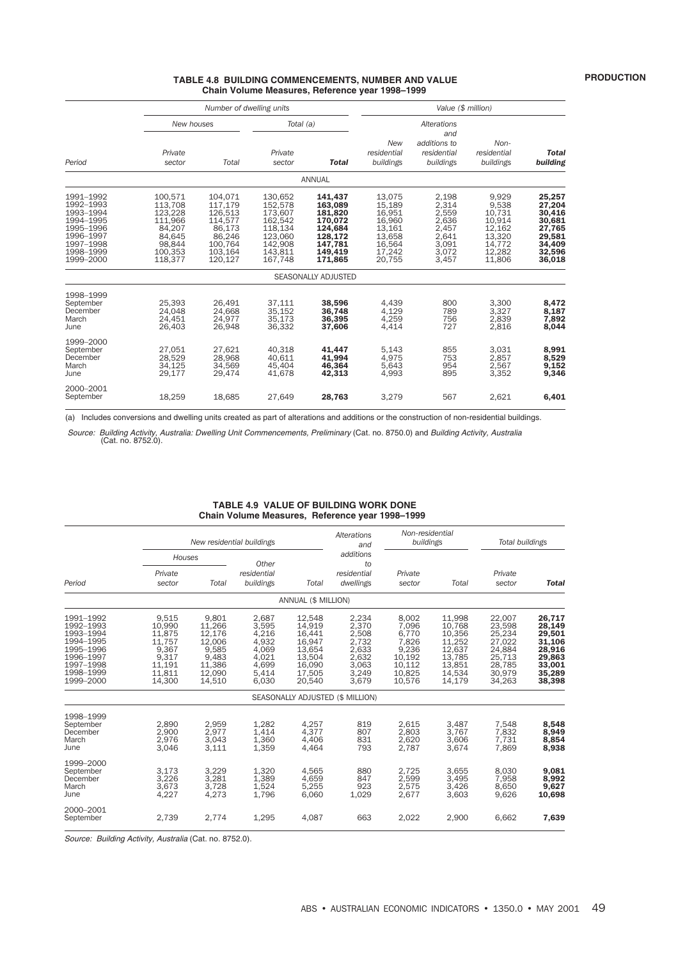#### **TABLE 4.8 BUILDING COMMENCEMENTS, NUMBER AND VALUE Chain Volume Measures, Reference year 1998–1999**

|                                                                                                                   |                                                                                              | Number of dwelling units                                                                      |                                                                                                 | Value (\$ million)                                                                              |                                                                                        |                                                                               |                                                                                      |                                                                                        |
|-------------------------------------------------------------------------------------------------------------------|----------------------------------------------------------------------------------------------|-----------------------------------------------------------------------------------------------|-------------------------------------------------------------------------------------------------|-------------------------------------------------------------------------------------------------|----------------------------------------------------------------------------------------|-------------------------------------------------------------------------------|--------------------------------------------------------------------------------------|----------------------------------------------------------------------------------------|
|                                                                                                                   | New houses                                                                                   |                                                                                               | Total (a)                                                                                       |                                                                                                 |                                                                                        | Alterations<br>and                                                            |                                                                                      |                                                                                        |
| Period                                                                                                            | Private<br>sector                                                                            | Total                                                                                         | Private<br>sector                                                                               | <b>Total</b>                                                                                    | <b>New</b><br>residential<br>buildings                                                 | additions to<br>residential<br>buildings                                      | Non-<br>residential<br>buildings                                                     | <b>Total</b><br>building                                                               |
|                                                                                                                   |                                                                                              |                                                                                               |                                                                                                 | <b>ANNUAL</b>                                                                                   |                                                                                        |                                                                               |                                                                                      |                                                                                        |
| 1991-1992<br>1992-1993<br>1993-1994<br>1994-1995<br>1995-1996<br>1996-1997<br>1997-1998<br>1998-1999<br>1999-2000 | 100,571<br>113,708<br>123,228<br>111,966<br>84.207<br>84.645<br>98,844<br>100.353<br>118,377 | 104,071<br>117.179<br>126,513<br>114,577<br>86.173<br>86,246<br>100,764<br>103.164<br>120,127 | 130.652<br>152,578<br>173,607<br>162,542<br>118.134<br>123,060<br>142,908<br>143.811<br>167,748 | 141.437<br>163,089<br>181,820<br>170,072<br>124.684<br>128,172<br>147,781<br>149.419<br>171,865 | 13,075<br>15,189<br>16,951<br>16,960<br>13.161<br>13.658<br>16,564<br>17.242<br>20,755 | 2,198<br>2,314<br>2,559<br>2,636<br>2,457<br>2.641<br>3,091<br>3,072<br>3,457 | 9,929<br>9,538<br>10,731<br>10,914<br>12,162<br>13,320<br>14,772<br>12,282<br>11,806 | 25,257<br>27,204<br>30,416<br>30,681<br>27,765<br>29,581<br>34,409<br>32,596<br>36,018 |
|                                                                                                                   |                                                                                              |                                                                                               |                                                                                                 | SEASONALLY ADJUSTED                                                                             |                                                                                        |                                                                               |                                                                                      |                                                                                        |
| 1998-1999<br>September<br>December<br>March<br>June                                                               | 25,393<br>24,048<br>24,451<br>26,403                                                         | 26,491<br>24,668<br>24,977<br>26,948                                                          | 37,111<br>35,152<br>35,173<br>36,332                                                            | 38,596<br>36,748<br>36,395<br>37.606                                                            | 4,439<br>4,129<br>4,259<br>4,414                                                       | 800<br>789<br>756<br>727                                                      | 3,300<br>3,327<br>2,839<br>2,816                                                     | 8,472<br>8,187<br>7,892<br>8,044                                                       |
| 1999-2000<br>September<br>December<br>March<br>June                                                               | 27,051<br>28.529<br>34.125<br>29,177                                                         | 27,621<br>28.968<br>34.569<br>29,474                                                          | 40,318<br>40.611<br>45.404<br>41,678                                                            | 41,447<br>41.994<br>46.364<br>42,313                                                            | 5,143<br>4.975<br>5.643<br>4,993                                                       | 855<br>753<br>954<br>895                                                      | 3,031<br>2.857<br>2,567<br>3,352                                                     | 8,991<br>8,529<br>9,152<br>9,346                                                       |
| 2000-2001<br>September                                                                                            | 18,259                                                                                       | 18,685                                                                                        | 27,649                                                                                          | 28,763                                                                                          | 3,279                                                                                  | 567                                                                           | 2,621                                                                                | 6,401                                                                                  |

(a) Includes conversions and dwelling units created as part of alterations and additions or the construction of non-residential buildings.

Source: Building Activity, Australia: Dwelling Unit Commencements, Preliminary (Cat. no. 8750.0) and Building Activity, Australia (Cat. no. 8752.0).

#### *Period New residential buildings Alterations and additions to residential dwellings Non-residential buildings Total buildings Houses Other residential buildings Total Private sector Total Private sector Total Private sector Total* ANNUAL (\$ MILLION) 1991–1992 9,515 9,801 2,687 12,548 2,234 8,002 11,998 22,007 26,717 1992–1993 10,990 11,266 3,595 14,919 2,370 7,096 10,768 23,598 28,149 1993–1994 11,875 12,176 4,216 16,441 2,508 6,770 10,356 25,234 29,501 1994–1995 11,757 12,006 4,932 16,947 2,732 7,826 11,252 27,022 31,106 1995–1996 9,367 9,585 4,069 13,654 2,633 9,236 12,637 24,884 28,916 1996–1997 9,317 9,483 4,021 13,504 2,632 10,192 13,785 25,713 29,863 1997–1998 11,191 11,386 4,699 16,090 3,063 10,112 13,851 28,785 33,001 1998–1999 11,811 12,090 5,414 17,505 3,249 10,825 14,534 30,979 35,289 1999–2000 14,300 14,510 6,030 20,540 3,679 10,576 14,179 34,263 38,398 SEASONALLY ADJUSTED (\$ MILLION) 1998–1999<br>September<br>December September 2,890 2,959 1,282 4,257 819 2,615 3,487 7,548 8,548 December 2,900 2,977 1,414 4,377 807 2,803 3,767 7,832 8,949 March 2,976 3,043 1,360 4,406 831 2,620 3,606 7,731 8,854 June 3,046 3,111 1,359 4,464 793 2,787 3,674 7,869 8,938 1999–2000 September 3,173 3,229 1,320 4,565 880 2,725 3,655 8,030 9,081 December 3,226 3,281 1,389 4,659 847 2,599 3,495 7,958 8,992 March 3,673 3,728 1,524 5,255 923 2,575 3,426 8,650 9,627 June 4,227 4,273 1,796 6,060 1,029 2,677 3,603 9,626 10,698 2000–2001 September 2,739 2,774 1,295 4,087 663 2,022 2,900 6,662 7,639

**TABLE 4.9 VALUE OF BUILDING WORK DONE Chain Volume Measures, Reference year 1998–1999**

Source: Building Activity, Australia (Cat. no. 8752.0).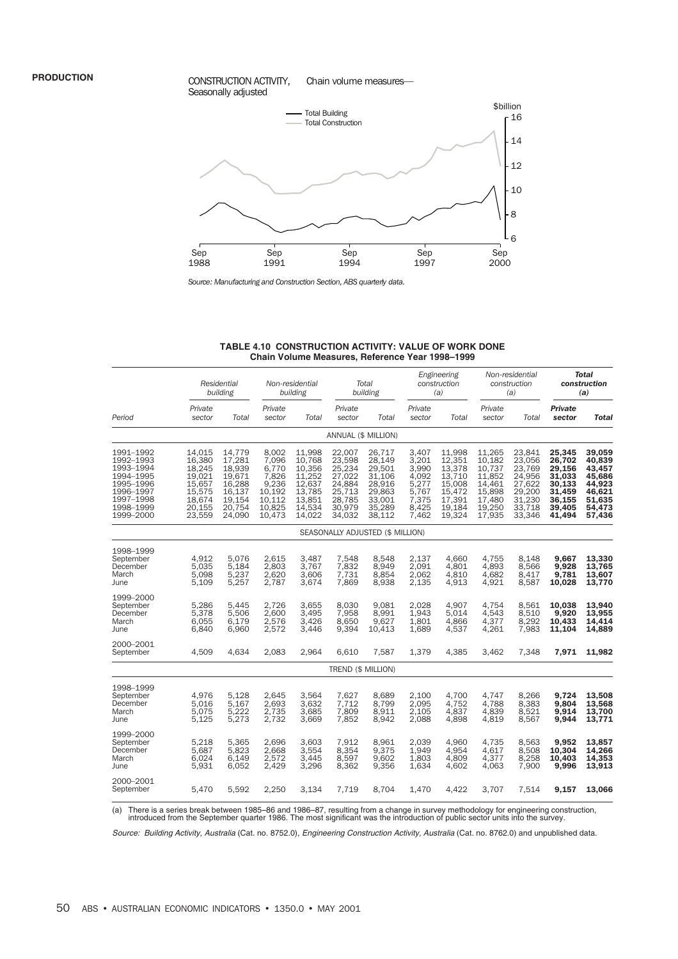#### **PRODUCTION**



*Source: Manufacturing and Construction Section, ABS quarterly data.*

| TABLE 4.10  CONSTRUCTION ACTIVITY: VALUE OF WORK DONE |
|-------------------------------------------------------|
| Chain Volume Measures, Reference Year 1998–1999       |

|                                                                                                                   |                                                                                        | Residential<br>building                                                                |                                                                                   | Non-residential<br>building                                                            |                                                                                        | Total<br>building                                                                      |                                                                               | Engineering<br>construction<br>(a)                                                     |                                                                                        | Non-residential<br>construction<br>(a)                                                 |                                                                                        | Total<br>construction<br>(a)                                                           |  |
|-------------------------------------------------------------------------------------------------------------------|----------------------------------------------------------------------------------------|----------------------------------------------------------------------------------------|-----------------------------------------------------------------------------------|----------------------------------------------------------------------------------------|----------------------------------------------------------------------------------------|----------------------------------------------------------------------------------------|-------------------------------------------------------------------------------|----------------------------------------------------------------------------------------|----------------------------------------------------------------------------------------|----------------------------------------------------------------------------------------|----------------------------------------------------------------------------------------|----------------------------------------------------------------------------------------|--|
| Period                                                                                                            | Private<br>sector                                                                      | Total                                                                                  | Private<br>sector                                                                 | Total                                                                                  | Private<br>sector                                                                      | Total                                                                                  | Private<br>sector                                                             | Total                                                                                  | Private<br>sector                                                                      | Total                                                                                  | Private<br>sector                                                                      | <b>Total</b>                                                                           |  |
|                                                                                                                   |                                                                                        |                                                                                        |                                                                                   |                                                                                        | ANNUAL (\$ MILLION)                                                                    |                                                                                        |                                                                               |                                                                                        |                                                                                        |                                                                                        |                                                                                        |                                                                                        |  |
| 1991-1992<br>1992-1993<br>1993-1994<br>1994-1995<br>1995-1996<br>1996-1997<br>1997-1998<br>1998-1999<br>1999-2000 | 14,015<br>16,380<br>18,245<br>19,021<br>15,657<br>15,575<br>18,674<br>20,155<br>23,559 | 14,779<br>17,281<br>18,939<br>19,671<br>16,288<br>16,137<br>19,154<br>20,754<br>24,090 | 8,002<br>7,096<br>6,770<br>7,826<br>9,236<br>10,192<br>10,112<br>10,825<br>10,473 | 11,998<br>10,768<br>10,356<br>11,252<br>12,637<br>13,785<br>13,851<br>14,534<br>14,022 | 22,007<br>23,598<br>25,234<br>27,022<br>24,884<br>25,713<br>28,785<br>30,979<br>34,032 | 26,717<br>28,149<br>29,501<br>31,106<br>28,916<br>29,863<br>33,001<br>35,289<br>38,112 | 3,407<br>3,201<br>3,990<br>4,092<br>5,277<br>5,767<br>7,375<br>8,425<br>7,462 | 11,998<br>12,351<br>13,378<br>13,710<br>15,008<br>15,472<br>17,391<br>19,184<br>19,324 | 11,265<br>10,182<br>10,737<br>11,852<br>14,461<br>15,898<br>17,480<br>19,250<br>17,935 | 23,841<br>23,056<br>23,769<br>24,956<br>27,622<br>29,200<br>31,230<br>33,718<br>33,346 | 25,345<br>26,702<br>29,156<br>31.033<br>30,133<br>31,459<br>36,155<br>39,405<br>41.494 | 39,059<br>40,839<br>43,457<br>45,686<br>44,923<br>46,621<br>51,635<br>54,473<br>57,436 |  |
|                                                                                                                   |                                                                                        |                                                                                        |                                                                                   |                                                                                        |                                                                                        | SEASONALLY ADJUSTED (\$ MILLION)                                                       |                                                                               |                                                                                        |                                                                                        |                                                                                        |                                                                                        |                                                                                        |  |
| 1998-1999<br>September<br>December<br>March<br>June                                                               | 4,912<br>5,035<br>5,098<br>5,109                                                       | 5,076<br>5,184<br>5,237<br>5,257                                                       | 2,615<br>2,803<br>2,620<br>2,787                                                  | 3,487<br>3,767<br>3,606<br>3,674                                                       | 7,548<br>7,832<br>7,731<br>7,869                                                       | 8,548<br>8,949<br>8,854<br>8,938                                                       | 2,137<br>2,091<br>2,062<br>2,135                                              | 4,660<br>4,801<br>4,810<br>4,913                                                       | 4,755<br>4,893<br>4,682<br>4,921                                                       | 8,148<br>8,566<br>8,417<br>8,587                                                       | 9,667<br>9,928<br>9,781<br>10,028                                                      | 13,330<br>13,765<br>13,607<br>13,770                                                   |  |
| 1999-2000<br>September<br>December<br>March<br>June                                                               | 5,286<br>5,378<br>6,055<br>6,840                                                       | 5,445<br>5,506<br>6,179<br>6,960                                                       | 2,726<br>2,600<br>2,576<br>2,572                                                  | 3,655<br>3,495<br>3,426<br>3,446                                                       | 8,030<br>7,958<br>8,650<br>9,394                                                       | 9,081<br>8,991<br>9,627<br>10,413                                                      | 2,028<br>1,943<br>1,801<br>1,689                                              | 4,907<br>5,014<br>4,866<br>4,537                                                       | 4,754<br>4,543<br>4,377<br>4,261                                                       | 8,561<br>8,510<br>8,292<br>7,983                                                       | 10,038<br>9,920<br>10,433<br>11,104                                                    | 13,940<br>13,955<br>14,414<br>14,889                                                   |  |
| 2000-2001<br>September                                                                                            | 4,509                                                                                  | 4,634                                                                                  | 2,083                                                                             | 2,964                                                                                  | 6,610                                                                                  | 7,587                                                                                  | 1,379                                                                         | 4,385                                                                                  | 3,462                                                                                  | 7,348                                                                                  | 7,971                                                                                  | 11,982                                                                                 |  |
|                                                                                                                   |                                                                                        |                                                                                        |                                                                                   |                                                                                        | TREND (\$ MILLION)                                                                     |                                                                                        |                                                                               |                                                                                        |                                                                                        |                                                                                        |                                                                                        |                                                                                        |  |
| 1998-1999<br>September<br>December<br>March<br>June                                                               | 4,976<br>5,016<br>5.075<br>5,125                                                       | 5,128<br>5,167<br>5,222<br>5,273                                                       | 2,645<br>2,693<br>2.735<br>2,732                                                  | 3,564<br>3,632<br>3,685<br>3,669                                                       | 7,627<br>7,712<br>7,809<br>7,852                                                       | 8,689<br>8,799<br>8.911<br>8,942                                                       | 2,100<br>2,095<br>2,105<br>2,088                                              | 4,700<br>4,752<br>4,837<br>4,898                                                       | 4,747<br>4,788<br>4,839<br>4,819                                                       | 8,266<br>8,383<br>8,521<br>8,567                                                       | 9,724<br>9,804<br>9.914<br>9,944                                                       | 13,508<br>13,568<br>13,700<br>13,771                                                   |  |
| 1999-2000<br>September<br>December<br>March<br>June                                                               | 5,218<br>5,687<br>6,024<br>5,931                                                       | 5,365<br>5,823<br>6,149<br>6,052                                                       | 2,696<br>2,668<br>2,572<br>2,429                                                  | 3,603<br>3,554<br>3,445<br>3,296                                                       | 7,912<br>8,354<br>8,597<br>8,362                                                       | 8,961<br>9,375<br>9,602<br>9,356                                                       | 2,039<br>1,949<br>1,803<br>1,634                                              | 4,960<br>4,954<br>4,809<br>4,602                                                       | 4,735<br>4,617<br>4,377<br>4,063                                                       | 8,563<br>8,508<br>8,258<br>7,900                                                       | 9,952<br>10,304<br>10.403<br>9,996                                                     | 13,857<br>14,266<br>14,353<br>13,913                                                   |  |
| 2000-2001<br>September                                                                                            | 5.470                                                                                  | 5,592                                                                                  | 2,250                                                                             | 3,134                                                                                  | 7,719                                                                                  | 8,704                                                                                  | 1,470                                                                         | 4,422                                                                                  | 3,707                                                                                  | 7,514                                                                                  | 9,157                                                                                  | 13,066                                                                                 |  |

(a) There is a series break between 1985–86 and 1986–87, resulting from a change in survey methodology for engineering construction, introduced from the September quarter 1986. The most significant was the introduction of

Source: Building Activity, Australia (Cat. no. 8752.0), Engineering Construction Activity, Australia (Cat. no. 8762.0) and unpublished data.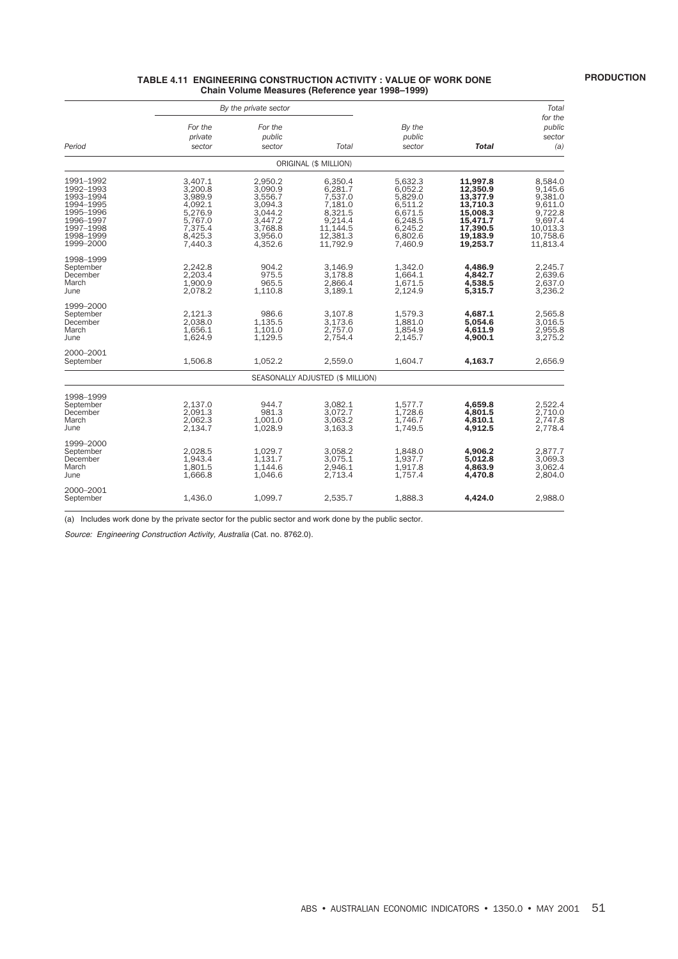#### **PRODUCTION**

#### **TABLE 4.11 ENGINEERING CONSTRUCTION ACTIVITY : VALUE OF WORK DONE Chain Volume Measures (Reference year 1998–1999)**

|                                                                                                                   |                                                                                                 | By the private sector                                                                           |                                                                                                    |                                                                                                 |                                                                                                          | Total<br>for the                                                                                   |
|-------------------------------------------------------------------------------------------------------------------|-------------------------------------------------------------------------------------------------|-------------------------------------------------------------------------------------------------|----------------------------------------------------------------------------------------------------|-------------------------------------------------------------------------------------------------|----------------------------------------------------------------------------------------------------------|----------------------------------------------------------------------------------------------------|
| Period                                                                                                            | For the<br>private<br>sector                                                                    | For the<br>public<br>sector                                                                     | Total                                                                                              | By the<br>public<br>sector                                                                      | Total                                                                                                    | public<br>sector<br>(a)                                                                            |
|                                                                                                                   |                                                                                                 |                                                                                                 | ORIGINAL (\$ MILLION)                                                                              |                                                                                                 |                                                                                                          |                                                                                                    |
| 1991-1992<br>1992-1993<br>1993-1994<br>1994-1995<br>1995-1996<br>1996-1997<br>1997-1998<br>1998-1999<br>1999-2000 | 3,407.1<br>3,200.8<br>3,989.9<br>4.092.1<br>5,276.9<br>5.767.0<br>7,375.4<br>8.425.3<br>7,440.3 | 2,950.2<br>3.090.9<br>3,556.7<br>3.094.3<br>3,044.2<br>3.447.2<br>3,768.8<br>3.956.0<br>4,352.6 | 6,350.4<br>6,281.7<br>7,537.0<br>7.181.0<br>8,321.5<br>9,214.4<br>11,144.5<br>12.381.3<br>11,792.9 | 5,632.3<br>6.052.2<br>5,829.0<br>6.511.2<br>6,671.5<br>6.248.5<br>6,245.2<br>6.802.6<br>7,460.9 | 11,997.8<br>12,350.9<br>13.377.9<br>13.710.3<br>15,008.3<br>15.471.7<br>17,390.5<br>19.183.9<br>19,253.7 | 8,584.0<br>9.145.6<br>9.381.0<br>9.611.0<br>9,722.8<br>9.697.4<br>10.013.3<br>10.758.6<br>11,813.4 |
| 1998-1999<br>September<br>December<br>March<br>June                                                               | 2.242.8<br>2,203.4<br>1.900.9<br>2.078.2                                                        | 904.2<br>975.5<br>965.5<br>1.110.8                                                              | 3.146.9<br>3,178.8<br>2.866.4<br>3.189.1                                                           | 1.342.0<br>1,664.1<br>1.671.5<br>2.124.9                                                        | 4.486.9<br>4,842.7<br>4.538.5<br>5.315.7                                                                 | 2.245.7<br>2,639.6<br>2.637.0<br>3.236.2                                                           |
| 1999-2000<br>September<br>December<br>March<br>June                                                               | 2.121.3<br>2.038.0<br>1,656.1<br>1.624.9                                                        | 986.6<br>1.135.5<br>1,101.0<br>1.129.5                                                          | 3,107.8<br>3.173.6<br>2,757.0<br>2.754.4                                                           | 1,579.3<br>1,881.0<br>1,854.9<br>2.145.7                                                        | 4,687.1<br>5,054.6<br>4,611.9<br>4.900.1                                                                 | 2,565.8<br>3.016.5<br>2,955.8<br>3,275.2                                                           |
| 2000-2001<br>September                                                                                            | 1,506.8                                                                                         | 1,052.2                                                                                         | 2,559.0                                                                                            | 1,604.7                                                                                         | 4,163.7                                                                                                  | 2,656.9                                                                                            |
|                                                                                                                   |                                                                                                 |                                                                                                 | SEASONALLY ADJUSTED (\$ MILLION)                                                                   |                                                                                                 |                                                                                                          |                                                                                                    |
| 1998-1999<br>September<br>December<br>March<br>June                                                               | 2,137.0<br>2,091.3<br>2.062.3<br>2,134.7                                                        | 944.7<br>981.3<br>1.001.0<br>1,028.9                                                            | 3,082.1<br>3,072.7<br>3.063.2<br>3,163.3                                                           | 1,577.7<br>1,728.6<br>1.746.7<br>1.749.5                                                        | 4,659.8<br>4.801.5<br>4,810.1<br>4,912.5                                                                 | 2,522.4<br>2.710.0<br>2.747.8<br>2,778.4                                                           |
| 1999-2000<br>September<br>December<br>March<br>June                                                               | 2.028.5<br>1,943.4<br>1.801.5<br>1,666.8                                                        | 1.029.7<br>1,131.7<br>1.144.6<br>1,046.6                                                        | 3.058.2<br>3,075.1<br>2.946.1<br>2,713.4                                                           | 1.848.0<br>1,937.7<br>1.917.8<br>1,757.4                                                        | 4.906.2<br>5,012.8<br>4.863.9<br>4,470.8                                                                 | 2.877.7<br>3,069.3<br>3.062.4<br>2,804.0                                                           |
| 2000-2001<br>September                                                                                            | 1.436.0                                                                                         | 1.099.7                                                                                         | 2,535.7                                                                                            | 1.888.3                                                                                         | 4.424.0                                                                                                  | 2.988.0                                                                                            |

(a) Includes work done by the private sector for the public sector and work done by the public sector.

Source: Engineering Construction Activity, Australia (Cat. no. 8762.0).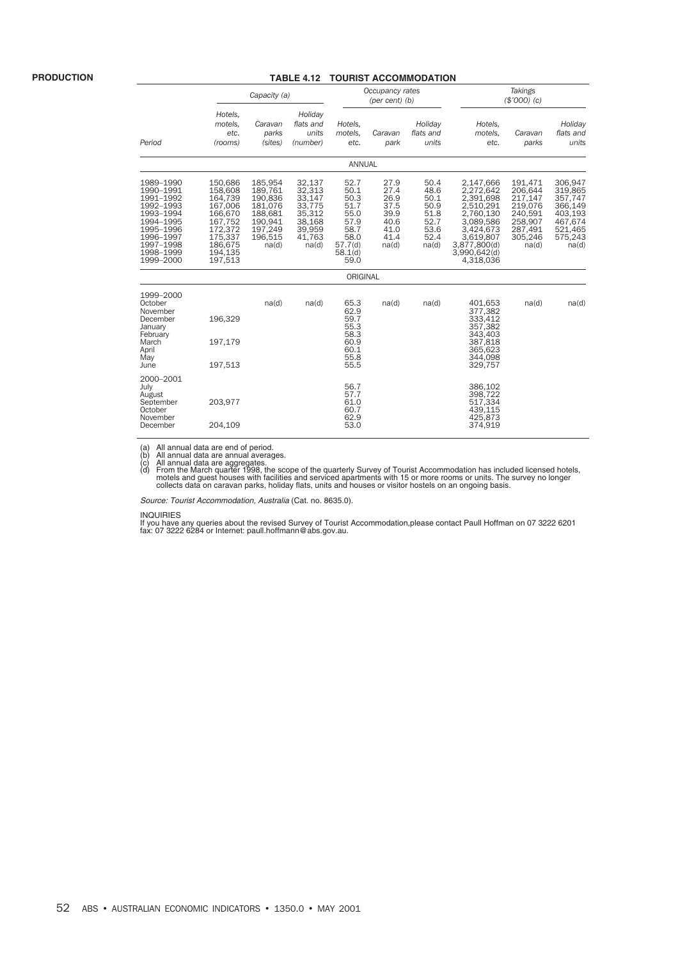#### **TABLE 4.12 TOURIST ACCOMMODATION**

|                                                                                                                                             |                                                                                                                       |                                                                                               | I ADLE 4. IZ                                                                          |                                                                                            |                                                                       | <b>IUURISI AUUUMMUDAIIUN</b>                                          |                                                                                                                                                   |                                                                                               |                                                                                               |  |
|---------------------------------------------------------------------------------------------------------------------------------------------|-----------------------------------------------------------------------------------------------------------------------|-----------------------------------------------------------------------------------------------|---------------------------------------------------------------------------------------|--------------------------------------------------------------------------------------------|-----------------------------------------------------------------------|-----------------------------------------------------------------------|---------------------------------------------------------------------------------------------------------------------------------------------------|-----------------------------------------------------------------------------------------------|-----------------------------------------------------------------------------------------------|--|
|                                                                                                                                             |                                                                                                                       | Capacity (a)                                                                                  |                                                                                       |                                                                                            | Occupancy rates<br>$(per cent)$ $(b)$                                 |                                                                       |                                                                                                                                                   | Takings<br>(\$'000)(c)                                                                        |                                                                                               |  |
| Period                                                                                                                                      | Hotels,<br>motels.<br>etc.<br>(rooms)                                                                                 | Caravan<br>parks<br>(sites)                                                                   | Holiday<br>flats and<br>units<br>(number)                                             | Hotels,<br>motels.<br>etc.                                                                 | Caravan<br>park                                                       | Holiday<br>flats and<br>units                                         | Hotels.<br>motels,<br>etc.                                                                                                                        | Caravan<br>parks                                                                              | Holiday<br>flats and<br>units                                                                 |  |
|                                                                                                                                             |                                                                                                                       |                                                                                               |                                                                                       | ANNUAL                                                                                     |                                                                       |                                                                       |                                                                                                                                                   |                                                                                               |                                                                                               |  |
| 1989-1990<br>1990-1991<br>1991-1992<br>1992-1993<br>1993-1994<br>1994-1995<br>1995-1996<br>1996-1997<br>1997-1998<br>1998-1999<br>1999-2000 | 150,686<br>158,608<br>164,739<br>167.006<br>166,670<br>167,752<br>172,372<br>175,337<br>186,675<br>194,135<br>197,513 | 185,954<br>189,761<br>190,836<br>181.076<br>188,681<br>190,941<br>197.249<br>196.515<br>na(d) | 32,137<br>32,313<br>33,147<br>33.775<br>35,312<br>38,168<br>39,959<br>41,763<br>na(d) | 52.7<br>50.1<br>50.3<br>51.7<br>55.0<br>57.9<br>58.7<br>58.0<br>57.7(d)<br>58.1(d)<br>59.0 | 27.9<br>27.4<br>26.9<br>37.5<br>39.9<br>40.6<br>41.0<br>41.4<br>na(d) | 50.4<br>48.6<br>50.1<br>50.9<br>51.8<br>52.7<br>53.6<br>52.4<br>na(d) | 2,147,666<br>2,272,642<br>2,391,698<br>2,510,291<br>2,760,130<br>3,089,586<br>3,424,673<br>3,619,807<br>3,877,800(d)<br>3,990,642(d)<br>4,318,036 | 191.471<br>206,644<br>217,147<br>219.076<br>240,591<br>258,907<br>287,491<br>305,246<br>na(d) | 306,947<br>319,865<br>357,747<br>366.149<br>403,193<br>467,674<br>521,465<br>575,243<br>na(d) |  |
|                                                                                                                                             |                                                                                                                       |                                                                                               |                                                                                       | ORIGINAL                                                                                   |                                                                       |                                                                       |                                                                                                                                                   |                                                                                               |                                                                                               |  |
| 1999-2000<br>October<br>November<br>December<br>January<br>February<br>March<br>April<br>May<br>June                                        | 196.329<br>197,179<br>197,513                                                                                         | na(d)                                                                                         | na(d)                                                                                 | 65.3<br>62.9<br>59.7<br>55.3<br>58.3<br>60.9<br>60.1<br>55.8<br>55.5                       | na(d)                                                                 | na(d)                                                                 | 401,653<br>377,382<br>333.412<br>357,382<br>343,403<br>387,818<br>365,623<br>344.098<br>329,757                                                   | na(d)                                                                                         | na(d)                                                                                         |  |
| 2000-2001<br>July<br>August<br>September<br>October<br>November<br>December                                                                 | 203,977<br>204,109                                                                                                    |                                                                                               |                                                                                       | 56.7<br>57.7<br>61.0<br>60.7<br>62.9<br>53.0                                               |                                                                       |                                                                       | 386,102<br>398.722<br>517,334<br>439,115<br>425,873<br>374,919                                                                                    |                                                                                               |                                                                                               |  |

(a) All annual data are end of period.<br>(b) All annual data are annual averages.<br>(c) All annual data are aggregates.<br>(c) All annual data are aggregates.<br>(d) From the March quarter 1998, the scope of the quarterly Survey of

Source: Tourist Accommodation, Australia (Cat. no. 8635.0).

INQUIRIES<br>If you have any queries about the revised Survey of Tourist Accommodation,please contact Paull Hoffman on 07 3222 6201<br>fax: 07 3222 6284 or Internet: paull.hoffmann@abs.gov.au.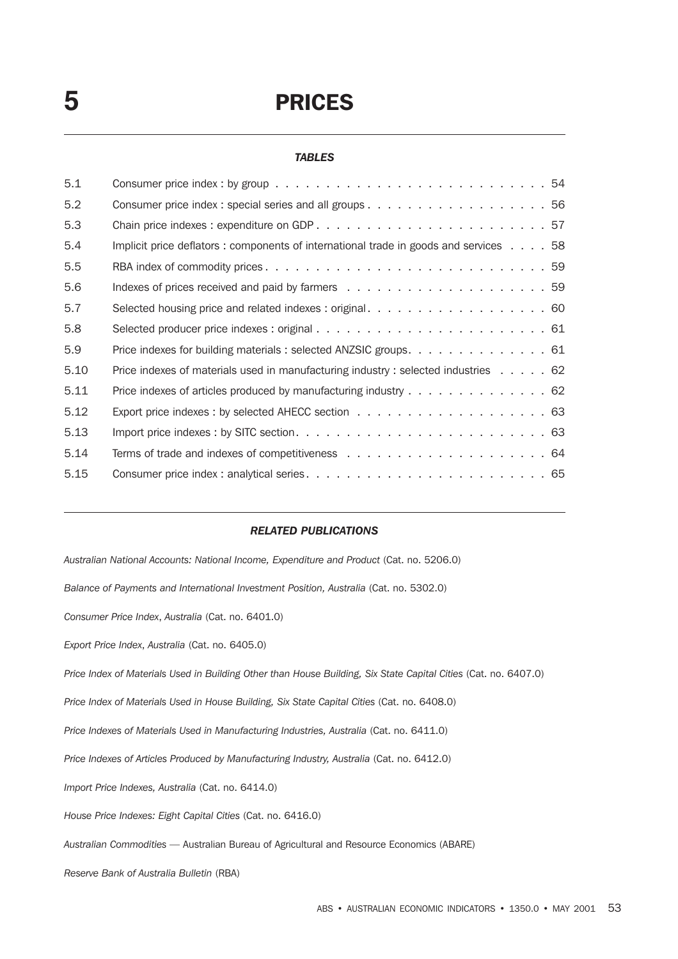# **5** PRICES

#### *TABLES*

| 5.1  | Consumer price index : by group $\ldots \ldots \ldots \ldots \ldots \ldots \ldots \ldots \ldots \ldots \ldots 54$ |
|------|-------------------------------------------------------------------------------------------------------------------|
| 5.2  |                                                                                                                   |
| 5.3  |                                                                                                                   |
| 5.4  | Implicit price deflators : components of international trade in goods and services 58                             |
| 5.5  |                                                                                                                   |
| 5.6  | Indexes of prices received and paid by farmers $\ldots \ldots \ldots \ldots \ldots \ldots \ldots \ldots$          |
| 5.7  |                                                                                                                   |
| 5.8  |                                                                                                                   |
| 5.9  | Price indexes for building materials : selected ANZSIC groups. 61                                                 |
| 5.10 | Price indexes of materials used in manufacturing industry : selected industries 62                                |
| 5.11 | Price indexes of articles produced by manufacturing industry 62                                                   |
| 5.12 | Export price indexes : by selected AHECC section $\ldots \ldots \ldots \ldots \ldots \ldots \ldots$               |
| 5.13 |                                                                                                                   |
| 5.14 |                                                                                                                   |
| 5.15 |                                                                                                                   |

#### *RELATED PUBLICATIONS*

*Australian National Accounts: National Income, Expenditure and Product* (Cat. no. 5206.0)

*Balance of Payments and International Investment Position, Australia* (Cat. no. 5302.0)

*Consumer Price Index*, *Australia* (Cat. no. 6401.0)

*Export Price Index*, *Australia* (Cat. no. 6405.0)

*Price Index of Materials Used in Building Other than House Building, Six State Capital Cities* (Cat. no. 6407.0)

*Price Index of Materials Used in House Building, Six State Capital Cities* (Cat. no. 6408.0)

*Price Indexes of Materials Used in Manufacturing Industries, Australia* (Cat. no. 6411.0)

*Price Indexes of Articles Produced by Manufacturing Industry, Australia* (Cat. no. 6412.0)

*Import Price Indexes, Australia* (Cat. no. 6414.0)

*House Price Indexes: Eight Capital Cities* (Cat. no. 6416.0)

*Australian Commodities —* Australian Bureau of Agricultural and Resource Economics (ABARE)

*Reserve Bank of Australia Bulletin* (RBA)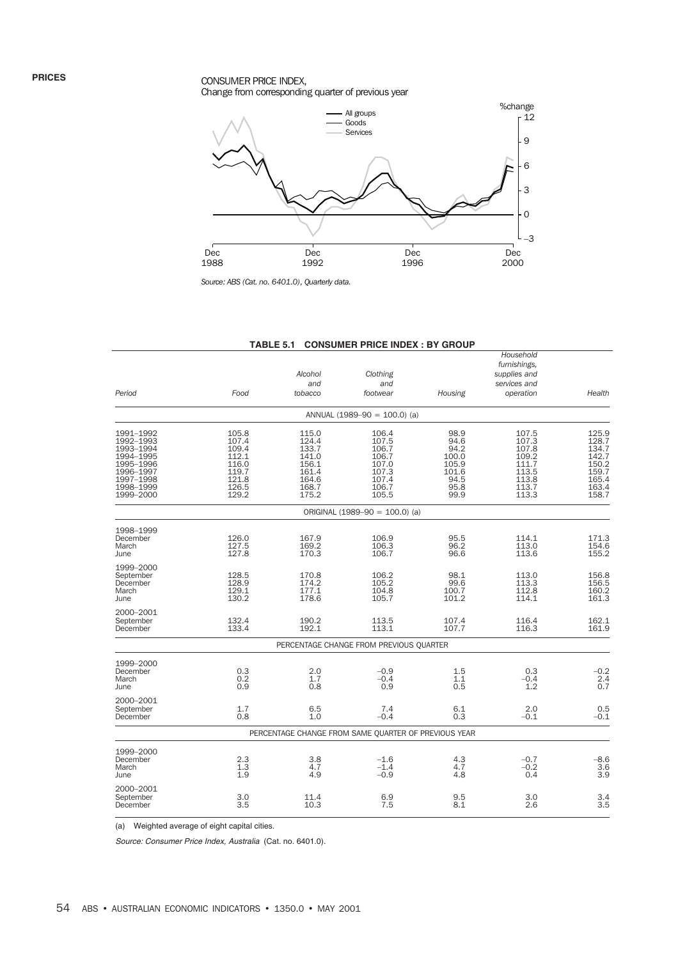#### CONSUMER PRICE INDEX, Change from corresponding quarter of previous year



*Source: ABS (Cat. no. 6401.0), Quarterly data.*

| Period                                                                                                            | Food                                                                          | Alcohol<br>and<br>tobacco                                                     | Clothing<br>and<br>footwear                                                   | Housing                                                                 | Household<br>furnishings,<br>supplies and<br>services and<br>operation        | Health                                                                        |
|-------------------------------------------------------------------------------------------------------------------|-------------------------------------------------------------------------------|-------------------------------------------------------------------------------|-------------------------------------------------------------------------------|-------------------------------------------------------------------------|-------------------------------------------------------------------------------|-------------------------------------------------------------------------------|
|                                                                                                                   |                                                                               |                                                                               | ANNUAL (1989-90 = 100.0) (a)                                                  |                                                                         |                                                                               |                                                                               |
| 1991-1992<br>1992-1993<br>1993-1994<br>1994-1995<br>1995–1996<br>1996-1997<br>1997-1998<br>1998–1999<br>1999-2000 | 105.8<br>107.4<br>109.4<br>112.1<br>116.0<br>119.7<br>121.8<br>126.5<br>129.2 | 115.0<br>124.4<br>133.7<br>141.0<br>156.1<br>161.4<br>164.6<br>168.7<br>175.2 | 106.4<br>107.5<br>106.7<br>106.7<br>107.0<br>107.3<br>107.4<br>106.7<br>105.5 | 98.9<br>94.6<br>94.2<br>100.0<br>105.9<br>101.6<br>94.5<br>95.8<br>99.9 | 107.5<br>107.3<br>107.8<br>109.2<br>111.7<br>113.5<br>113.8<br>113.7<br>113.3 | 125.9<br>128.7<br>134.7<br>142.7<br>150.2<br>159.7<br>165.4<br>163.4<br>158.7 |
|                                                                                                                   |                                                                               |                                                                               | ORIGINAL $(1989 - 90 = 100.0)$ (a)                                            |                                                                         |                                                                               |                                                                               |
| 1998-1999<br>December<br>March<br>June                                                                            | 126.0<br>127.5<br>127.8                                                       | 167.9<br>169.2<br>170.3                                                       | 106.9<br>106.3<br>106.7                                                       | 95.5<br>96.2<br>96.6                                                    | 114.1<br>113.0<br>113.6                                                       | 171.3<br>154.6<br>155.2                                                       |
| 1999-2000<br>September<br>December<br>March<br>June                                                               | 128.5<br>128.9<br>129.1<br>130.2                                              | 170.8<br>174.2<br>177.1<br>178.6                                              | 106.2<br>105.2<br>104.8<br>105.7                                              | 98.1<br>99.6<br>100.7<br>101.2                                          | 113.0<br>113.3<br>112.8<br>114.1                                              | 156.8<br>156.5<br>160.2<br>161.3                                              |
| 2000–2001<br>September<br>December                                                                                | 132.4<br>133.4                                                                | 190.2<br>192.1                                                                | 113.5<br>113.1                                                                | 107.4<br>107.7                                                          | 116.4<br>116.3                                                                | 162.1<br>161.9                                                                |
|                                                                                                                   |                                                                               |                                                                               | PERCENTAGE CHANGE FROM PREVIOUS QUARTER                                       |                                                                         |                                                                               |                                                                               |
| 1999-2000<br>December<br>March<br>June                                                                            | 0.3<br>0.2<br>0.9                                                             | 2.0<br>1.7<br>0.8                                                             | $-0.9$<br>$-0.4$<br>0.9                                                       | 1.5<br>1.1<br>0.5                                                       | 0.3<br>$-0.4$<br>1.2                                                          | $-0.2$<br>$^{2.4}_{0.7}$                                                      |
| 2000–2001<br>September<br>December                                                                                | 1.7<br>0.8                                                                    | 6.5<br>1.0                                                                    | 7.4<br>$-0.4$                                                                 | 6.1<br>0.3                                                              | 2.0<br>$-0.1$                                                                 | 0.5<br>$-0.1$                                                                 |
|                                                                                                                   |                                                                               |                                                                               | PERCENTAGE CHANGE FROM SAME QUARTER OF PREVIOUS YEAR                          |                                                                         |                                                                               |                                                                               |
| 1999-2000<br>December<br>March<br>June                                                                            | 2.3<br>1.3<br>1.9                                                             | 3.8<br>4.7<br>4.9                                                             | $-1.6$<br>$-1.4$<br>$-0.9$                                                    | 4.3<br>4.7<br>4.8                                                       | $-0.7$<br>$-0.2$<br>0.4                                                       | $-8.6$<br>3.6<br>3.9                                                          |
| 2000–2001<br>September<br>December                                                                                | 3.0<br>3.5                                                                    | 11.4<br>10.3                                                                  | 6.9<br>7.5                                                                    | 9.5<br>8.1                                                              | 3.0<br>2.6                                                                    | 3.4<br>3.5                                                                    |

#### **TABLE 5.1 CONSUMER PRICE INDEX : BY GROUP**

(a) Weighted average of eight capital cities.

Source: Consumer Price Index, Australia (Cat. no. 6401.0).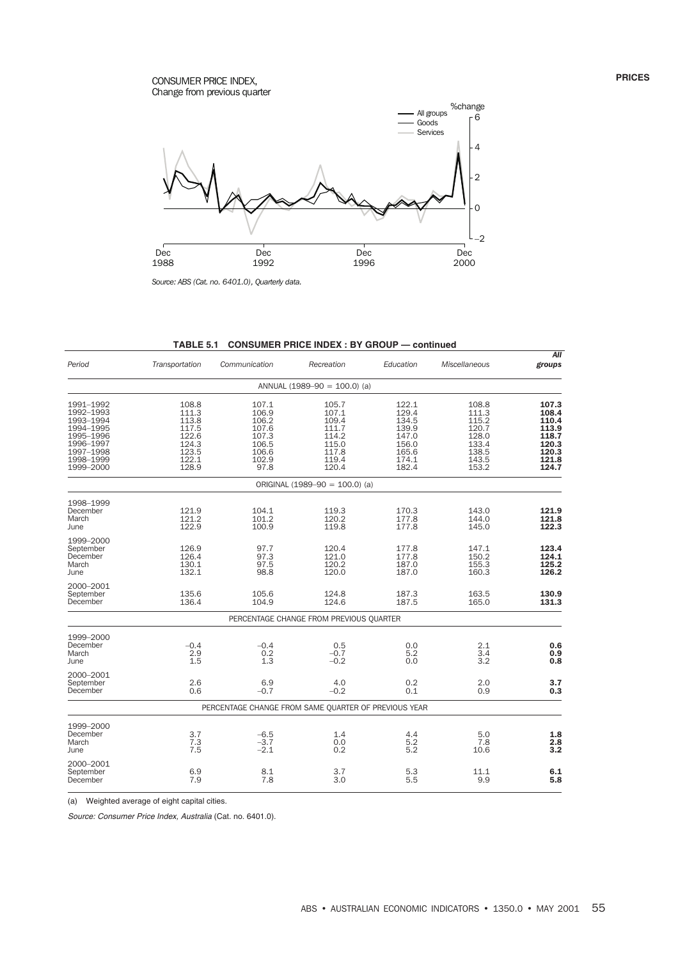#### CONSUMER PRICE INDEX, Change from previous quarter



*Source: ABS (Cat. no. 6401.0), Quarterly data.*

|                                                                                                                   | <b>IABLE 5.1</b>                                                              |                                                                              | CONSUMER PRICE INDEX : BY GROUP — CONTINUED                                   |                                                                               |                                                                               |                                                                               |
|-------------------------------------------------------------------------------------------------------------------|-------------------------------------------------------------------------------|------------------------------------------------------------------------------|-------------------------------------------------------------------------------|-------------------------------------------------------------------------------|-------------------------------------------------------------------------------|-------------------------------------------------------------------------------|
| Period                                                                                                            | Transportation                                                                | Communication                                                                | Recreation                                                                    | Education                                                                     | Miscellaneous                                                                 | All<br>groups                                                                 |
|                                                                                                                   |                                                                               |                                                                              | ANNUAL (1989-90 = 100.0) (a)                                                  |                                                                               |                                                                               |                                                                               |
| 1991-1992<br>1992-1993<br>1993-1994<br>1994-1995<br>1995-1996<br>1996-1997<br>1997-1998<br>1998-1999<br>1999-2000 | 108.8<br>111.3<br>113.8<br>117.5<br>122.6<br>124.3<br>123.5<br>122.1<br>128.9 | 107.1<br>106.9<br>106.2<br>107.6<br>107.3<br>106.5<br>106.6<br>102.9<br>97.8 | 105.7<br>107.1<br>109.4<br>111.7<br>114.2<br>115.0<br>117.8<br>119.4<br>120.4 | 122.1<br>129.4<br>134.5<br>139.9<br>147.0<br>156.0<br>165.6<br>174.1<br>182.4 | 108.8<br>111.3<br>115.2<br>120.7<br>128.0<br>133.4<br>138.5<br>143.5<br>153.2 | 107.3<br>108.4<br>110.4<br>113.9<br>118.7<br>120.3<br>120.3<br>121.8<br>124.7 |
|                                                                                                                   |                                                                               |                                                                              | ORIGINAL (1989-90 = 100.0) (a)                                                |                                                                               |                                                                               |                                                                               |
| 1998-1999<br>December<br>March<br>June                                                                            | 121.9<br>121.2<br>122.9                                                       | 104.1<br>101.2<br>100.9                                                      | 119.3<br>120.2<br>119.8                                                       | 170.3<br>177.8<br>177.8                                                       | 143.0<br>144.0<br>145.0                                                       | 121.9<br>121.8<br>122.3                                                       |
| 1999-2000<br>September<br>December<br>March<br>June                                                               | 126.9<br>126.4<br>130.1<br>132.1                                              | 97.7<br>97.3<br>97.5<br>98.8                                                 | 120.4<br>121.0<br>120.2<br>120.0                                              | 177.8<br>177.8<br>187.0<br>187.0                                              | 147.1<br>150.2<br>155.3<br>160.3                                              | 123.4<br>124.1<br>125.2<br>126.2                                              |
| 2000-2001<br>September<br>December                                                                                | 135.6<br>136.4                                                                | 105.6<br>104.9                                                               | 124.8<br>124.6                                                                | 187.3<br>187.5                                                                | 163.5<br>165.0                                                                | 130.9<br>131.3                                                                |
|                                                                                                                   |                                                                               |                                                                              | PERCENTAGE CHANGE FROM PREVIOUS QUARTER                                       |                                                                               |                                                                               |                                                                               |
| 1999-2000<br>December<br>March<br>June                                                                            | $-0.4$<br>2.9<br>1.5                                                          | $-0.4$<br>0.2<br>1.3                                                         | 0.5<br>$-0.7$<br>$-0.2$                                                       | 0.0<br>5.2<br>0.0                                                             | 2.1<br>3.4<br>3.2                                                             | 0.6<br>0.9<br>0.8                                                             |
| 2000-2001<br>September<br>December                                                                                | 2.6<br>$0.\overline{6}$                                                       | 6.9<br>$-0.7$                                                                | 4.0<br>$-0.2$                                                                 | 0.2<br>0.1                                                                    | 2.0<br>0.9                                                                    | 3.7<br>0.3                                                                    |
|                                                                                                                   |                                                                               | PERCENTAGE CHANGE FROM SAME QUARTER OF PREVIOUS YEAR                         |                                                                               |                                                                               |                                                                               |                                                                               |
| 1999-2000<br>December<br>March<br>June                                                                            | 3.7<br>7.3<br>7.5                                                             | $-6.5$<br>$-3.7$<br>$-2.1$                                                   | 1.4<br>0.0<br>0.2                                                             | 4.4<br>5.2<br>5.2                                                             | 5.0<br>7.8<br>10.6                                                            | 1.8<br>2.8<br>3.2                                                             |
| 2000-2001<br>September<br>December                                                                                | 6.9<br>7.9                                                                    | 8.1<br>7.8                                                                   | 3.7<br>3.0                                                                    | 5.3<br>5.5                                                                    | 11.1<br>9.9                                                                   | 6.1<br>5.8                                                                    |

| TABLE 5.1 CONSUMER PRICE INDEX : BY GROUP — continued |  |  |  |  |  |
|-------------------------------------------------------|--|--|--|--|--|
|-------------------------------------------------------|--|--|--|--|--|

(a) Weighted average of eight capital cities.

Source: Consumer Price Index, Australia (Cat. no. 6401.0).

**PRICES**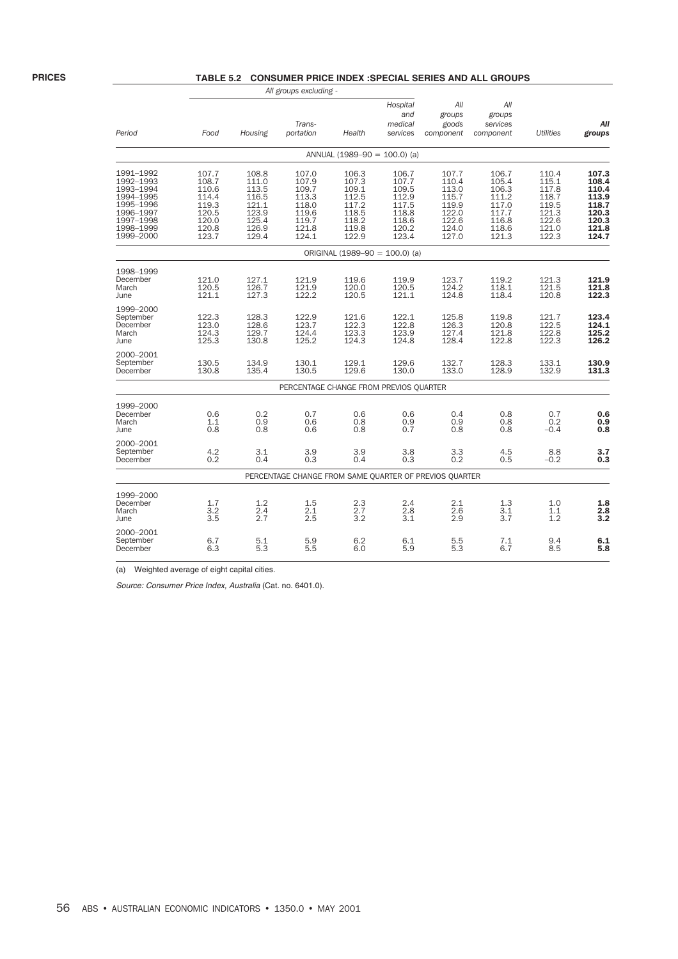#### **TABLE 5.2 CONSUMER PRICE INDEX :SPECIAL SERIES AND ALL GROUPS**

|                                                                                                                   |                                                                               |                                                                               | All groups excluding -                                                        |                                                                               |                                                                               |                                                                               |                                                                               |                                                                               |                                                                               |
|-------------------------------------------------------------------------------------------------------------------|-------------------------------------------------------------------------------|-------------------------------------------------------------------------------|-------------------------------------------------------------------------------|-------------------------------------------------------------------------------|-------------------------------------------------------------------------------|-------------------------------------------------------------------------------|-------------------------------------------------------------------------------|-------------------------------------------------------------------------------|-------------------------------------------------------------------------------|
| Period                                                                                                            | Food                                                                          | Housing                                                                       | Trans-<br>portation                                                           | Health                                                                        | Hospital<br>and<br>medical<br>services                                        | All<br>groups<br>goods<br>component                                           | All<br>groups<br>services<br>component                                        | Utilities                                                                     | All<br>groups                                                                 |
|                                                                                                                   |                                                                               |                                                                               |                                                                               | ANNUAL (1989-90 = 100.0) (a)                                                  |                                                                               |                                                                               |                                                                               |                                                                               |                                                                               |
| 1991-1992<br>1992-1993<br>1993-1994<br>1994-1995<br>1995-1996<br>1996-1997<br>1997-1998<br>1998-1999<br>1999-2000 | 107.7<br>108.7<br>110.6<br>114.4<br>119.3<br>120.5<br>120.0<br>120.8<br>123.7 | 108.8<br>111.0<br>113.5<br>116.5<br>121.1<br>123.9<br>125.4<br>126.9<br>129.4 | 107.0<br>107.9<br>109.7<br>113.3<br>118.0<br>119.6<br>119.7<br>121.8<br>124.1 | 106.3<br>107.3<br>109.1<br>112.5<br>117.2<br>118.5<br>118.2<br>119.8<br>122.9 | 106.7<br>107.7<br>109.5<br>112.9<br>117.5<br>118.8<br>118.6<br>120.2<br>123.4 | 107.7<br>110.4<br>113.0<br>115.7<br>119.9<br>122.0<br>122.6<br>124.0<br>127.0 | 106.7<br>105.4<br>106.3<br>111.2<br>117.0<br>117.7<br>116.8<br>118.6<br>121.3 | 110.4<br>115.1<br>117.8<br>118.7<br>119.5<br>121.3<br>122.6<br>121.0<br>122.3 | 107.3<br>108.4<br>110.4<br>113.9<br>118.7<br>120.3<br>120.3<br>121.8<br>124.7 |
|                                                                                                                   |                                                                               |                                                                               |                                                                               | ORIGINAL (1989-90 = 100.0) (a)                                                |                                                                               |                                                                               |                                                                               |                                                                               |                                                                               |
| 1998-1999<br>December<br>March<br>June                                                                            | 121.0<br>120.5<br>121.1                                                       | 127.1<br>126.7<br>127.3                                                       | 121.9<br>121.9<br>122.2                                                       | 119.6<br>120.0<br>120.5                                                       | 119.9<br>120.5<br>121.1                                                       | 123.7<br>124.2<br>124.8                                                       | $\begin{array}{c} 119.2 \\ 118.1 \end{array}$<br>118.4                        | 121.3<br>121.5<br>120.8                                                       | 121.9<br>121.8<br>122.3                                                       |
| 1999-2000<br>September<br>December<br>March<br>June                                                               | 122.3<br>123.0<br>124.3<br>125.3                                              | 128.3<br>128.6<br>129.7<br>130.8                                              | 122.9<br>123.7<br>124.4<br>125.2                                              | 121.6<br>122.3<br>123.3<br>124.3                                              | 122.1<br>122.8<br>123.9<br>124.8                                              | 125.8<br>126.3<br>127.4<br>128.4                                              | 119.8<br>120.8<br>121.8<br>122.8                                              | 121.7<br>122.5<br>122.8<br>122.3                                              | 123.4<br>124.1<br>125.2<br>126.2                                              |
| 2000-2001<br>September<br>December                                                                                | 130.5<br>130.8                                                                | 134.9<br>135.4                                                                | 130.1<br>130.5                                                                | 129.1<br>129.6                                                                | 129.6<br>130.0                                                                | 132.7<br>133.0                                                                | 128.3<br>128.9                                                                | 133.1<br>132.9                                                                | 130.9<br>131.3                                                                |
|                                                                                                                   |                                                                               |                                                                               | PERCENTAGE CHANGE FROM PREVIOS QUARTER                                        |                                                                               |                                                                               |                                                                               |                                                                               |                                                                               |                                                                               |
| 1999-2000<br>December<br>March<br>June                                                                            | 0.6<br>1.1<br>0.8                                                             | 0.2<br>0.9<br>0.8                                                             | 0.7<br>0.6<br>0.6                                                             | 0.6<br>0.8<br>0.8                                                             | 0.6<br>0.9<br>0.7                                                             | 0.4<br>0.9<br>0.8                                                             | 0.8<br>0.8<br>0.8                                                             | 0.7<br>0.2<br>$-0.4$                                                          | 0.6<br>0.9<br>0.8                                                             |
| 2000-2001<br>September<br>December                                                                                | 4.2<br>0.2                                                                    | 3.1<br>0.4                                                                    | 3.9<br>0.3                                                                    | 3.9<br>0.4                                                                    | 3.8<br>0.3                                                                    | 3.3<br>0.2                                                                    | 4.5<br>0.5                                                                    | 8.8<br>$-0.2$                                                                 | 3.7<br>0.3                                                                    |
|                                                                                                                   |                                                                               |                                                                               | PERCENTAGE CHANGE FROM SAME QUARTER OF PREVIOS QUARTER                        |                                                                               |                                                                               |                                                                               |                                                                               |                                                                               |                                                                               |
| 1999-2000<br>December<br>March<br>June                                                                            | 1.7<br>3.2<br>3.5                                                             | 1.2<br>2.4<br>2.7                                                             | 1.5<br>2.1<br>2.5                                                             | 2.3<br>2.7<br>3.2                                                             | 2.4<br>2.8<br>3.1                                                             | 2.1<br>2.6<br>2.9                                                             | 1.3<br>3.1<br>3.7                                                             | 1.0<br>1.1<br>1.2                                                             | 1.8<br>2.8<br>3.2                                                             |
| 2000-2001<br>September<br>December                                                                                | 6.7<br>6.3                                                                    | 5.1<br>5.3                                                                    | 5.9<br>5.5                                                                    | 6.2<br>6.0                                                                    | 6.1<br>5.9                                                                    | 5.5<br>5.3                                                                    | 7.1<br>6.7                                                                    | 9.4<br>8.5                                                                    | 6.1<br>5.8                                                                    |

(a) Weighted average of eight capital cities.

Source: Consumer Price Index, Australia (Cat. no. 6401.0).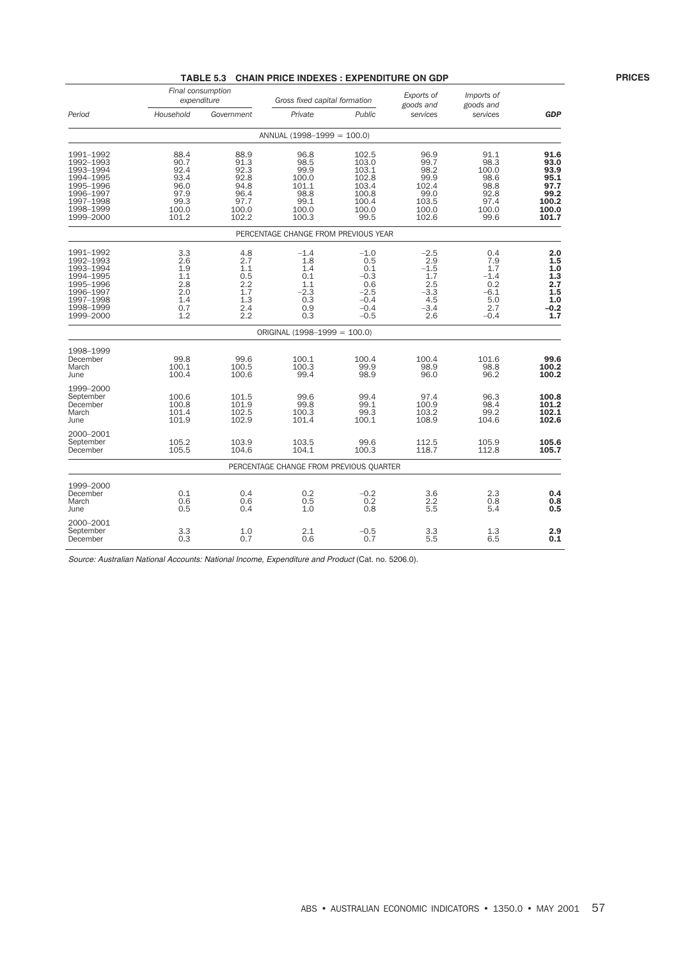|                                                                                                                   |                                                                        | LADLE 3.3<br>Final consumption                                         | CHAIN PRICE INDEXES: EXPENDITURE ON GDP                                  |                                                                               | Exports of                                                                         | Imports of                                                             |                                                                         |
|-------------------------------------------------------------------------------------------------------------------|------------------------------------------------------------------------|------------------------------------------------------------------------|--------------------------------------------------------------------------|-------------------------------------------------------------------------------|------------------------------------------------------------------------------------|------------------------------------------------------------------------|-------------------------------------------------------------------------|
| Period                                                                                                            | Household                                                              | expenditure<br>Government                                              | Gross fixed capital formation<br>Private                                 | Public                                                                        | goods and<br>services                                                              | goods and<br>services                                                  | <b>GDP</b>                                                              |
|                                                                                                                   |                                                                        |                                                                        | $ANNUAL$ (1998-1999 = 100.0)                                             |                                                                               |                                                                                    |                                                                        |                                                                         |
| 1991-1992<br>1992-1993<br>1993-1994<br>1994-1995<br>1995-1996<br>1996-1997<br>1997-1998<br>1998-1999<br>1999-2000 | 88.4<br>90.7<br>92.4<br>93.4<br>96.0<br>97.9<br>99.3<br>100.0<br>101.2 | 88.9<br>91.3<br>92.3<br>92.8<br>94.8<br>96.4<br>97.7<br>100.0<br>102.2 | 96.8<br>98.5<br>99.9<br>100.0<br>101.1<br>98.8<br>99.1<br>100.0<br>100.3 | 102.5<br>103.0<br>103.1<br>102.8<br>103.4<br>100.8<br>100.4<br>100.0<br>99.5  | 96.9<br>99.7<br>98.2<br>99.9<br>102.4<br>99.0<br>103.5<br>100.0<br>102.6           | 91.1<br>98.3<br>100.0<br>98.6<br>98.8<br>92.8<br>97.4<br>100.0<br>99.6 | 91.6<br>93.0<br>93.9<br>95.1<br>97.7<br>99.2<br>100.2<br>100.0<br>101.7 |
|                                                                                                                   |                                                                        |                                                                        | PERCENTAGE CHANGE FROM PREVIOUS YEAR                                     |                                                                               |                                                                                    |                                                                        |                                                                         |
| 1991-1992<br>1992-1993<br>1993-1994<br>1994-1995<br>1995-1996<br>1996-1997<br>1997-1998<br>1998-1999<br>1999-2000 | 3.3<br>2.6<br>1.9<br>1.1<br>2.8<br>2.0<br>1.4<br>0.7<br>1.2            | 4.8<br>2.7<br>1.1<br>0.5<br>2.2<br>1.7<br>1.3<br>2.4<br>2.2            | $-1.4$<br>1.8<br>1.4<br>0.1<br>1.1<br>$-2.3$<br>0.3<br>0.9<br>0.3        | $-1.0$<br>0.5<br>0.1<br>$-0.3$<br>0.6<br>$-2.5$<br>$-0.4$<br>$-0.4$<br>$-0.5$ | $-2.5$<br>2.9<br>$-1.5$<br>1.7<br>2.5<br>$-3.\overline{3}$<br>4.5<br>$-3.4$<br>2.6 | 0.4<br>7.9<br>1.7<br>$-1.4$<br>0.2<br>$-6.1$<br>5.0<br>2.7<br>$-0.4$   | 2.0<br>1.5<br>1.0<br>1.3<br>2.7<br>1.5<br>1.0<br>$-0.2$<br>1.7          |
|                                                                                                                   |                                                                        |                                                                        | ORIGINAL $(1998-1999 = 100.0)$                                           |                                                                               |                                                                                    |                                                                        |                                                                         |
| 1998-1999<br>December<br>March<br>June                                                                            | 99.8<br>100.1<br>100.4                                                 | 99.6<br>100.5<br>100.6                                                 | 100.1<br>100.3<br>99.4                                                   | 100.4<br>99.9<br>98.9                                                         | 100.4<br>98.9<br>96.0                                                              | 101.6<br>98.8<br>96.2                                                  | 99.6<br>100.2<br>100.2                                                  |
| 1999-2000<br>September<br>December<br>March<br>June                                                               | 100.6<br>100.8<br>101.4<br>101.9                                       | 101.5<br>101.9<br>102.5<br>102.9                                       | 99.6<br>99.8<br>100.3<br>101.4                                           | 99.4<br>99.1<br>99.3<br>100.1                                                 | 97.4<br>100.9<br>103.2<br>108.9                                                    | 96.3<br>98.4<br>99.2<br>104.6                                          | 100.8<br>101.2<br>102.1<br>102.6                                        |
| 2000-2001<br>September<br>December                                                                                | 105.2<br>105.5                                                         | 103.9<br>104.6                                                         | 103.5<br>104.1                                                           | 99.6<br>100.3                                                                 | 112.5<br>118.7                                                                     | 105.9<br>112.8                                                         | 105.6<br>105.7                                                          |
|                                                                                                                   |                                                                        |                                                                        | PERCENTAGE CHANGE FROM PREVIOUS OUARTER                                  |                                                                               |                                                                                    |                                                                        |                                                                         |
| 1999-2000<br>December<br>March<br>June                                                                            | 0.1<br>0.6<br>0.5                                                      | 0.4<br>0.6<br>0.4                                                      | 0.2<br>0.5<br>1.0                                                        | $-0.2$<br>0.2<br>0.8                                                          | 3.6<br>2.2<br>5.5                                                                  | 2.3<br>0.8<br>5.4                                                      | 0.4<br>0.8<br>0.5                                                       |
| 2000-2001<br>September<br>December                                                                                | 3.3<br>0.3                                                             | 1.0<br>0.7                                                             | 2.1<br>0.6                                                               | $-0.5$<br>0.7                                                                 | 3.3<br>5.5                                                                         | 1.3<br>6.5                                                             | 2.9<br>0.1                                                              |

#### **TABLE 5.3 CHAIN PRICE INDEXES : EXPENDITURE ON GDP**

Source: Australian National Accounts: National Income, Expenditure and Product (Cat. no. 5206.0).

**PRICES**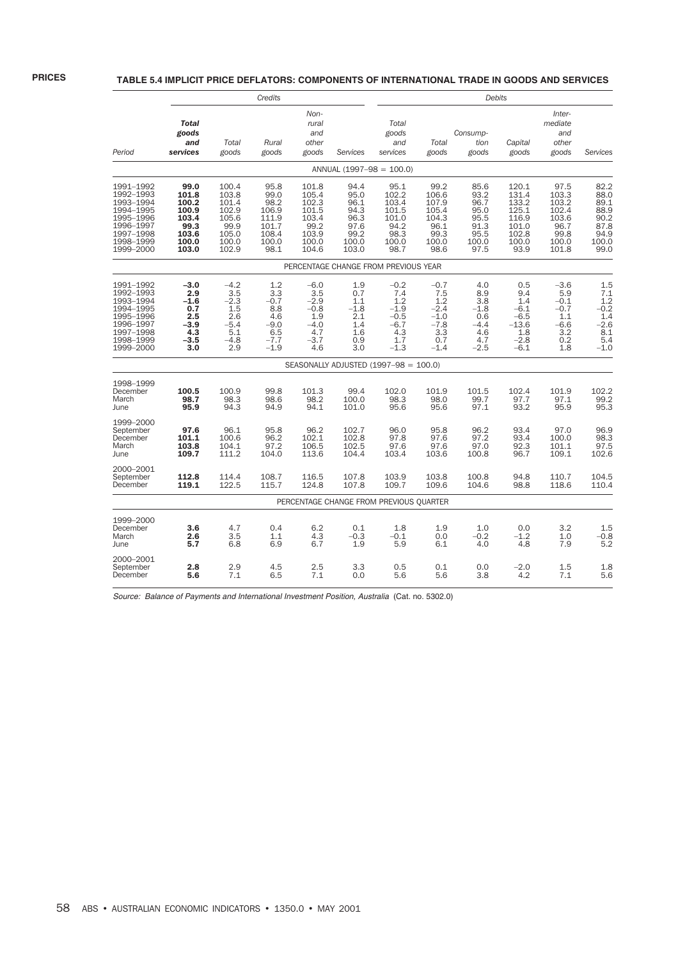|                                                                                                                   |                                                                             | Credits                                                                      |                                                                           | <b>Debits</b>                                                                |                                                                        |                                                                               |                                                                            |                                                                       |                                                                              |                                                                            |                                                                       |
|-------------------------------------------------------------------------------------------------------------------|-----------------------------------------------------------------------------|------------------------------------------------------------------------------|---------------------------------------------------------------------------|------------------------------------------------------------------------------|------------------------------------------------------------------------|-------------------------------------------------------------------------------|----------------------------------------------------------------------------|-----------------------------------------------------------------------|------------------------------------------------------------------------------|----------------------------------------------------------------------------|-----------------------------------------------------------------------|
| Period                                                                                                            | <b>Total</b><br>goods<br>and<br>services                                    | Total<br>goods                                                               | Rural<br>goods                                                            | Non-<br>rural<br>and<br>other<br>goods                                       | Services                                                               | Total<br>goods<br>and<br>services                                             | Total<br>goods                                                             | Consump-<br>tion<br>goods                                             | Capital<br>goods                                                             | Inter-<br>mediate<br>and<br>other<br>goods                                 | Services                                                              |
|                                                                                                                   |                                                                             |                                                                              |                                                                           |                                                                              |                                                                        | ANNUAL $(1997-98 = 100.0)$                                                    |                                                                            |                                                                       |                                                                              |                                                                            |                                                                       |
| 1991-1992<br>1992-1993<br>1993-1994<br>1994-1995<br>1995-1996<br>1996-1997<br>1997-1998<br>1998-1999<br>1999-2000 | 99.0<br>101.8<br>100.2<br>100.9<br>103.4<br>99.3<br>103.6<br>100.0<br>103.0 | 100.4<br>103.8<br>101.4<br>102.9<br>105.6<br>99.9<br>105.0<br>100.0<br>102.9 | 95.8<br>99.0<br>98.2<br>106.9<br>111.9<br>101.7<br>108.4<br>100.0<br>98.1 | 101.8<br>105.4<br>102.3<br>101.5<br>103.4<br>99.2<br>103.9<br>100.0<br>104.6 | 94.4<br>95.0<br>96.1<br>94.3<br>96.3<br>97.6<br>99.2<br>100.0<br>103.0 | 95.1<br>$102.2$<br>$103.4$<br>101.5<br>101.0<br>94.2<br>98.3<br>100.0<br>98.7 | 99.2<br>106.6<br>107.9<br>105.4<br>104.3<br>96.1<br>99.3<br>100.0<br>98.6  | 85.6<br>93.2<br>96.7<br>95.0<br>95.5<br>91.3<br>95.5<br>100.0<br>97.5 | 120.1<br>131.4<br>133.2<br>125.1<br>116.9<br>101.0<br>102.8<br>100.0<br>93.9 | 97.5<br>103.3<br>103.2<br>102.4<br>103.6<br>96.7<br>99.8<br>100.0<br>101.8 | 82.2<br>88.0<br>89.1<br>88.9<br>90.2<br>87.8<br>94.9<br>100.0<br>99.0 |
|                                                                                                                   |                                                                             |                                                                              |                                                                           |                                                                              |                                                                        | PERCENTAGE CHANGE FROM PREVIOUS YEAR                                          |                                                                            |                                                                       |                                                                              |                                                                            |                                                                       |
| 1991-1992<br>1992-1993<br>1993-1994<br>1994-1995<br>1995-1996<br>1996-1997<br>1997-1998<br>1998-1999<br>1999-2000 | -3.0<br>2.9<br>$-1.6$<br>0.7<br>2.5<br>$-3.9$<br>4.3<br>-3.5<br>3.0         | $-4.2$<br>3.5<br>$-2.3$<br>1.5<br>2.6<br>$-5.4$<br>5.1<br>$-4.8$<br>2.9      | 1.2<br>3.3<br>$-0.7$<br>8.8<br>4.6<br>$-9.0$<br>6.5<br>$-7.7$<br>$-1.9$   | $-6.0$<br>3.5<br>$-2.9$<br>$-0.8$<br>1.9<br>$-4.0$<br>4.7<br>$-3.7$<br>4.6   | 1.9<br>0.7<br>1.1<br>$-1.8$<br>2.1<br>1.4<br>1.6<br>0.9<br>3.0         | $-0.2$<br>7.4<br>1.2<br>$-1.9$<br>$-0.5$<br>$-6.7$<br>4.3<br>1.7<br>$-1.3$    | $-0.7$<br>7.5<br>1.2<br>$-2.4$<br>$-1.0$<br>$-7.8$<br>3.3<br>0.7<br>$-1.4$ | 4.0<br>8.9<br>3.8<br>$-1.8$<br>0.6<br>-4.4<br>4.6<br>4.7<br>$-2.5$    | 0.5<br>9.4<br>1.4<br>$-6.1$<br>$-6.5$<br>$-13.6$<br>1.8<br>$-2.8$<br>$-6.1$  | $-3.6$<br>5.9<br>$-0.1$<br>$-0.7$<br>1.1<br>$-6.6$<br>3.2<br>0.2<br>1.8    | 1.5<br>7.1<br>1.2<br>$-0.2$<br>1.4<br>$-2.6$<br>8.1<br>5.4<br>$-1.0$  |
|                                                                                                                   |                                                                             |                                                                              |                                                                           |                                                                              |                                                                        | SEASONALLY ADJUSTED $(1997-98 = 100.0)$                                       |                                                                            |                                                                       |                                                                              |                                                                            |                                                                       |
| 1998-1999<br>December<br>March<br>June                                                                            | 100.5<br>98.7<br>95.9                                                       | 100.9<br>98.3<br>94.3                                                        | 99.8<br>98.6<br>94.9                                                      | 101.3<br>98.2<br>94.1                                                        | 99.4<br>100.0<br>101.0                                                 | 102.0<br>98.3<br>95.6                                                         | 101.9<br>98.0<br>95.6                                                      | 101.5<br>99.7<br>97.1                                                 | 102.4<br>97.7<br>93.2                                                        | 101.9<br>97.1<br>95.9                                                      | 102.2<br>99.2<br>95.3                                                 |
| 1999-2000<br>September<br>December<br>March<br>June                                                               | 97.6<br>101.1<br>103.8<br>109.7                                             | 96.1<br>100.6<br>104.1<br>111.2                                              | 95.8<br>96.2<br>97.2<br>104.0                                             | 96.2<br>102.1<br>106.5<br>113.6                                              | 102.7<br>102.8<br>102.5<br>104.4                                       | 96.0<br>97.8<br>97.6<br>103.4                                                 | 95.8<br>97.6<br>97.6<br>103.6                                              | 96.2<br>97.2<br>97.0<br>100.8                                         | 93.4<br>93.4<br>92.3<br>96.7                                                 | 97.0<br>100.0<br>101.1<br>109.1                                            | 96.9<br>98.3<br>97.5<br>102.6                                         |
| 2000-2001<br>September<br>December                                                                                | 112.8<br>119.1                                                              | 114.4<br>122.5                                                               | 108.7<br>115.7                                                            | 116.5<br>124.8                                                               | 107.8<br>107.8                                                         | 103.9<br>109.7                                                                | 103.8<br>109.6                                                             | 100.8<br>104.6                                                        | 94.8<br>98.8                                                                 | 110.7<br>118.6                                                             | 104.5<br>110.4                                                        |
|                                                                                                                   |                                                                             |                                                                              |                                                                           |                                                                              |                                                                        | PERCENTAGE CHANGE FROM PREVIOUS QUARTER                                       |                                                                            |                                                                       |                                                                              |                                                                            |                                                                       |
| 1999-2000<br>December<br>March<br>June                                                                            | 3.6<br>2.6<br>5.7                                                           | 4.7<br>3.5<br>6.8                                                            | 0.4<br>1.1<br>6.9                                                         | 6.2<br>4.3<br>6.7                                                            | 0.1<br>-0.3<br>1.9                                                     | 1.8<br>$-0.1$<br>5.9                                                          | 1.9<br>0.0<br>6.1                                                          | 1.0<br>-0.2<br>4.0                                                    | 0.0<br>-1.2<br>4.8                                                           | 3.2<br>1.0<br>7.9                                                          | 1.5<br>-0.8<br>5.2                                                    |
| 2000-2001<br>September<br>December                                                                                | 2.8<br>5.6                                                                  | 2.9<br>7.1                                                                   | 4.5<br>6.5                                                                | 2.5<br>7.1                                                                   | 3.3<br>0.0                                                             | 0.5<br>5.6                                                                    | 0.1<br>5.6                                                                 | 0.0<br>3.8                                                            | $-2.0$<br>4.2                                                                | 1.5<br>7.1                                                                 | 1.8<br>5.6                                                            |

Source: Balance of Payments and International Investment Position, Australia (Cat. no. 5302.0)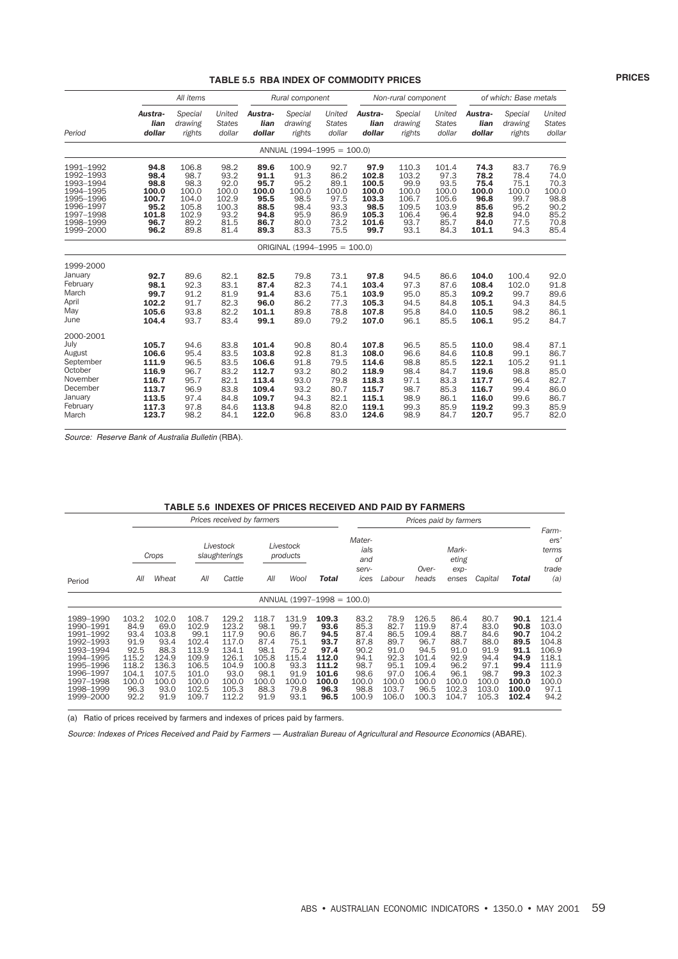#### **TABLE 5.5 RBA INDEX OF COMMODITY PRICES**

| All items                                                                                                         |                                                                               |                                                                           |                                                                         | Rural component                                                               |                                                                        | Non-rural component                                                   |                                                                               |                                                                            | of which: Base metals                                                    |                                                                               |                                                                       |                                                                       |
|-------------------------------------------------------------------------------------------------------------------|-------------------------------------------------------------------------------|---------------------------------------------------------------------------|-------------------------------------------------------------------------|-------------------------------------------------------------------------------|------------------------------------------------------------------------|-----------------------------------------------------------------------|-------------------------------------------------------------------------------|----------------------------------------------------------------------------|--------------------------------------------------------------------------|-------------------------------------------------------------------------------|-----------------------------------------------------------------------|-----------------------------------------------------------------------|
| Period                                                                                                            | Austra-<br>lian<br>dollar                                                     | Special<br>drawing<br>rights                                              | United<br><b>States</b><br>dollar                                       | Austra-<br>lian<br>dollar                                                     | Special<br>drawing<br>rights                                           | United<br><b>States</b><br>dollar                                     | Austra-<br>lian<br>dollar                                                     | Special<br>drawing<br>rights                                               | United<br><b>States</b><br>dollar                                        | Austra-<br>lian<br>dollar                                                     | Special<br>drawing<br>rights                                          | United<br><b>States</b><br>dollar                                     |
|                                                                                                                   |                                                                               |                                                                           |                                                                         |                                                                               | ANNUAL (1994-1995 = 100.0)                                             |                                                                       |                                                                               |                                                                            |                                                                          |                                                                               |                                                                       |                                                                       |
| 1991-1992<br>1992-1993<br>1993-1994<br>1994-1995<br>1995-1996<br>1996-1997<br>1997-1998<br>1998-1999<br>1999-2000 | 94.8<br>98.4<br>98.8<br>100.0<br>100.7<br>95.2<br>101.8<br>96.7<br>96.2       | 106.8<br>98.7<br>98.3<br>100.0<br>104.0<br>105.8<br>102.9<br>89.2<br>89.8 | 98.2<br>93.2<br>92.0<br>100.0<br>102.9<br>100.3<br>93.2<br>81.5<br>81.4 | 89.6<br>91.1<br>95.7<br>100.0<br>95.5<br>88.5<br>94.8<br>86.7<br>89.3         | 100.9<br>91.3<br>95.2<br>100.0<br>98.5<br>98.4<br>95.9<br>80.0<br>83.3 | 92.7<br>86.2<br>89.1<br>100.0<br>97.5<br>93.3<br>86.9<br>73.2<br>75.5 | 97.9<br>102.8<br>100.5<br>100.0<br>103.3<br>98.5<br>105.3<br>101.6<br>99.7    | 110.3<br>103.2<br>99.9<br>100.0<br>106.7<br>109.5<br>106.4<br>93.7<br>93.1 | 101.4<br>97.3<br>93.5<br>100.0<br>105.6<br>103.9<br>96.4<br>85.7<br>84.3 | 74.3<br>78.2<br>75.4<br>100.0<br>96.8<br>85.6<br>92.8<br>84.0<br>101.1        | 83.7<br>78.4<br>75.1<br>100.0<br>99.7<br>95.2<br>94.0<br>77.5<br>94.3 | 76.9<br>74.0<br>70.3<br>100.0<br>98.8<br>90.2<br>85.2<br>70.8<br>85.4 |
|                                                                                                                   |                                                                               |                                                                           |                                                                         |                                                                               | ORIGINAL $(1994-1995 = 100.0)$                                         |                                                                       |                                                                               |                                                                            |                                                                          |                                                                               |                                                                       |                                                                       |
| 1999-2000<br>January<br>February<br>March<br>April<br>May<br>June                                                 | 92.7<br>98.1<br>99.7<br>102.2<br>105.6<br>104.4                               | 89.6<br>92.3<br>91.2<br>91.7<br>93.8<br>93.7                              | 82.1<br>83.1<br>81.9<br>82.3<br>82.2<br>83.4                            | 82.5<br>87.4<br>91.4<br>96.0<br>101.1<br>99.1                                 | 79.8<br>82.3<br>83.6<br>86.2<br>89.8<br>89.0                           | 73.1<br>74.1<br>75.1<br>77.3<br>78.8<br>79.2                          | 97.8<br>103.4<br>103.9<br>105.3<br>107.8<br>107.0                             | 94.5<br>97.3<br>95.0<br>94.5<br>95.8<br>96.1                               | 86.6<br>87.6<br>85.3<br>84.8<br>84.0<br>85.5                             | 104.0<br>108.4<br>109.2<br>105.1<br>110.5<br>106.1                            | 100.4<br>102.0<br>99.7<br>94.3<br>98.2<br>95.2                        | 92.0<br>91.8<br>89.6<br>84.5<br>86.1<br>84.7                          |
| 2000-2001<br>July<br>August<br>September<br>October<br>November<br>December<br>January<br>February<br>March       | 105.7<br>106.6<br>111.9<br>116.9<br>116.7<br>113.7<br>113.5<br>117.3<br>123.7 | 94.6<br>95.4<br>96.5<br>96.7<br>95.7<br>96.9<br>97.4<br>97.8<br>98.2      | 83.8<br>83.5<br>83.5<br>83.2<br>82.1<br>83.8<br>84.8<br>84.6<br>84.1    | 101.4<br>103.8<br>106.6<br>112.7<br>113.4<br>109.4<br>109.7<br>113.8<br>122.0 | 90.8<br>92.8<br>91.8<br>93.2<br>93.0<br>93.2<br>94.3<br>94.8<br>96.8   | 80.4<br>81.3<br>79.5<br>80.2<br>79.8<br>80.7<br>82.1<br>82.0<br>83.0  | 107.8<br>108.0<br>114.6<br>118.9<br>118.3<br>115.7<br>115.1<br>119.1<br>124.6 | 96.5<br>96.6<br>98.8<br>98.4<br>97.1<br>98.7<br>98.9<br>99.3<br>98.9       | 85.5<br>84.6<br>85.5<br>84.7<br>83.3<br>85.3<br>86.1<br>85.9<br>84.7     | 110.0<br>110.8<br>122.1<br>119.6<br>117.7<br>116.7<br>116.0<br>119.2<br>120.7 | 98.4<br>99.1<br>105.2<br>98.8<br>96.4<br>99.4<br>99.6<br>99.3<br>95.7 | 87.1<br>86.7<br>91.1<br>85.0<br>82.7<br>86.0<br>86.7<br>85.9<br>82.0  |

Source: Reserve Bank of Australia Bulletin (RBA).

#### **TABLE 5.6 INDEXES OF PRICES RECEIVED AND PAID BY FARMERS**

| Prices received by farmers                                                                                                                  |                                                                                           |                                                                                            |                                                                                                |                                                                                                |                                                                                          | Prices paid by farmers                                                                  |                                                                                           |                                                                                        |                                                                                         |                                                                                              |                                                                                         |                                                                                         |                                                                                         |                                                                                               |
|---------------------------------------------------------------------------------------------------------------------------------------------|-------------------------------------------------------------------------------------------|--------------------------------------------------------------------------------------------|------------------------------------------------------------------------------------------------|------------------------------------------------------------------------------------------------|------------------------------------------------------------------------------------------|-----------------------------------------------------------------------------------------|-------------------------------------------------------------------------------------------|----------------------------------------------------------------------------------------|-----------------------------------------------------------------------------------------|----------------------------------------------------------------------------------------------|-----------------------------------------------------------------------------------------|-----------------------------------------------------------------------------------------|-----------------------------------------------------------------------------------------|-----------------------------------------------------------------------------------------------|
|                                                                                                                                             |                                                                                           | Crops                                                                                      |                                                                                                | Livestock<br>slaughterings                                                                     |                                                                                          | Livestock<br>products                                                                   |                                                                                           | Mater-<br>ials<br>and                                                                  |                                                                                         |                                                                                              | Mark-<br>eting                                                                          |                                                                                         |                                                                                         | Farm-<br>ers<br>terms<br>οf                                                                   |
| Period                                                                                                                                      | ΑII                                                                                       | Wheat                                                                                      | All                                                                                            | Cattle                                                                                         | All                                                                                      | Wool                                                                                    | Total                                                                                     | serv-<br>ices                                                                          | Labour                                                                                  | Over-<br>heads                                                                               | exp-<br>enses                                                                           | Capital                                                                                 | Total                                                                                   | trade<br>(a)                                                                                  |
|                                                                                                                                             |                                                                                           |                                                                                            |                                                                                                |                                                                                                |                                                                                          |                                                                                         | $ANNUAL (1997-1998 = 100.0)$                                                              |                                                                                        |                                                                                         |                                                                                              |                                                                                         |                                                                                         |                                                                                         |                                                                                               |
| 1989-1990<br>1990-1991<br>1991–1992<br>1992-1993<br>1993-1994<br>1994-1995<br>1995-1996<br>1996-1997<br>1997-1998<br>1998-1999<br>1999-2000 | 103.2<br>84.9<br>93.4<br>91.9<br>92.5<br>115.2<br>118.2<br>104.1<br>100.0<br>96.3<br>92.2 | 102.0<br>69.0<br>103.8<br>93.4<br>88.3<br>124.9<br>136.3<br>107.5<br>100.0<br>93.0<br>91.9 | 108.7<br>102.9<br>99.1<br>102.4<br>113.9<br>109.9<br>106.5<br>101.0<br>100.0<br>102.5<br>109.7 | 129.2<br>123.2<br>117.9<br>117.0<br>134.1<br>126.1<br>104.9<br>93.0<br>100.0<br>105.3<br>112.2 | 118.7<br>98.1<br>90.6<br>87.4<br>98.1<br>105.8<br>100.8<br>98.1<br>100.0<br>88.3<br>91.9 | 131.9<br>99.7<br>86.7<br>75.1<br>75.2<br>115.4<br>93.3<br>91.9<br>100.0<br>79.8<br>93.1 | 109.3<br>93.6<br>94.5<br>93.7<br>97.4<br>112.0<br>111.2<br>101.6<br>100.0<br>96.3<br>96.5 | 83.2<br>85.3<br>87.4<br>87.8<br>90.2<br>94.1<br>98.7<br>98.6<br>100.0<br>98.8<br>100.9 | 78.9<br>82.7<br>86.5<br>89.7<br>91.0<br>92.3<br>95.1<br>97.0<br>100.0<br>103.7<br>106.0 | 126.5<br>119.9<br>109.4<br>96.7<br>94.5<br>101.4<br>109.4<br>106.4<br>100.0<br>96.5<br>100.3 | 86.4<br>87.4<br>88.7<br>88.7<br>91.0<br>92.9<br>96.2<br>96.1<br>100.0<br>102.3<br>104.7 | 80.7<br>83.0<br>84.6<br>88.0<br>91.9<br>94.4<br>97.1<br>98.7<br>100.0<br>103.0<br>105.3 | 90.1<br>90.8<br>90.7<br>89.5<br>91.1<br>94.9<br>99.4<br>99.3<br>100.0<br>100.0<br>102.4 | 121.4<br>103.0<br>104.2<br>104.8<br>106.9<br>118.1<br>111.9<br>102.3<br>100.0<br>97.1<br>94.2 |

(a) Ratio of prices received by farmers and indexes of prices paid by farmers.

Source: Indexes of Prices Received and Paid by Farmers — Australian Bureau of Agricultural and Resource Economics (ABARE).

**PRICES**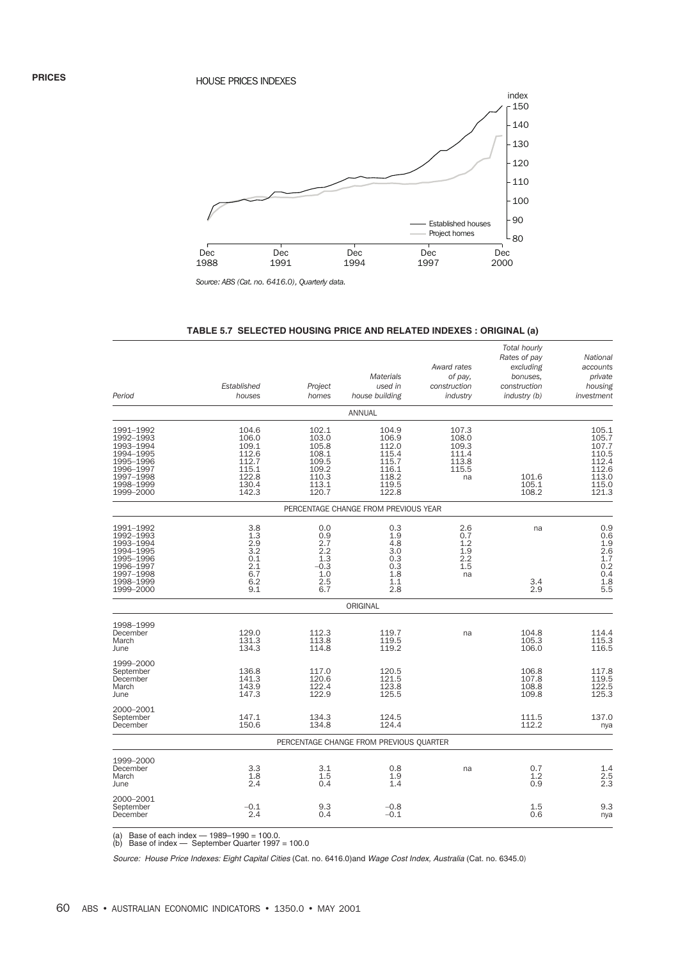#### HOUSE PRICES INDEXES



*Source: ABS (Cat. no. 6416.0), Quarterly data.*

| Period                                                                                                            | Established<br>houses                                                         | Project<br>homes                                                              | <b>Materials</b><br>used in<br>house building                                 | Award rates<br>of pay,<br>construction<br>industry       | <b>Total hourly</b><br>Rates of pay<br>excluding<br>bonuses,<br>construction<br>industry (b) | National<br>accounts<br>private<br>housing<br>investment                         |
|-------------------------------------------------------------------------------------------------------------------|-------------------------------------------------------------------------------|-------------------------------------------------------------------------------|-------------------------------------------------------------------------------|----------------------------------------------------------|----------------------------------------------------------------------------------------------|----------------------------------------------------------------------------------|
|                                                                                                                   |                                                                               |                                                                               | ANNUAL                                                                        |                                                          |                                                                                              |                                                                                  |
| 1991-1992<br>1992–1993<br>1993-1994<br>1994–1995<br>1995–1996<br>1996-1997<br>1997-1998<br>1998-1999<br>1999-2000 | 104.6<br>106.0<br>109.1<br>112.6<br>112.7<br>115.1<br>122.8<br>130.4<br>142.3 | 102.1<br>103.0<br>105.8<br>108.1<br>109.5<br>109.2<br>110.3<br>113.1<br>120.7 | 104.9<br>106.9<br>112.0<br>115.4<br>115.7<br>116.1<br>118.2<br>119.5<br>122.8 | 107.3<br>108.0<br>109.3<br>111.4<br>113.8<br>115.5<br>na | 101.6<br>105.1<br>108.2                                                                      | 105.1<br>105.7<br>107.7<br>110.5<br>112.4<br>112.6<br>113.0<br>115.0<br>121.3    |
|                                                                                                                   |                                                                               |                                                                               | PERCENTAGE CHANGE FROM PREVIOUS YEAR                                          |                                                          |                                                                                              |                                                                                  |
| 1991-1992<br>1992-1993<br>1993-1994<br>1994-1995<br>1995-1996<br>1996–1997<br>1997-1998<br>1998-1999<br>1999-2000 | 3.8<br>1.3<br>2.9<br>3.2<br>0.1<br>2.1<br>6.7<br>6.2<br>9.1                   | 0.0<br>0.9<br>2.7<br>2.2<br>1.3<br>$-0.3$<br>1.0<br>2.5<br>6.7                | 0.3<br>1.9<br>4.8<br>3.0<br>0.3<br>1.8<br>1.1<br>2.8                          | 2.6<br>0.7<br>1.2<br>1.9<br>2.2<br>1.5<br>na             | na<br>3.4<br>2.9                                                                             | 0.9<br>$0.6$<br>$1.9$<br>$2.6$<br>$1.\overline{7}$<br>$0.2$<br>0.4<br>1.8<br>5.5 |
|                                                                                                                   |                                                                               |                                                                               | ORIGINAL                                                                      |                                                          |                                                                                              |                                                                                  |
| 1998–1999<br>December<br>March<br>June                                                                            | 129.0<br>131.3<br>134.3                                                       | 112.3<br>113.8<br>114.8                                                       | 119.7<br>119.5<br>119.2                                                       | na                                                       | 104.8<br>105.3<br>106.0                                                                      | 114.4<br>115.3<br>116.5                                                          |
| 1999-2000<br>September<br>December<br>March<br>June                                                               | 136.8<br>141.3<br>143.9<br>147.3                                              | 117.0<br>120.6<br>122.4<br>122.9                                              | 120.5<br>121.5<br>123.8<br>125.5                                              |                                                          | 106.8<br>107.8<br>108.8<br>109.8                                                             | 117.8<br>119.5<br>122.5<br>125.3                                                 |
| 2000–2001<br>September<br>December                                                                                | 147.1<br>150.6                                                                | 134.3<br>134.8                                                                | 124.5<br>124.4                                                                |                                                          | 111.5<br>112.2                                                                               | 137.0<br>nya                                                                     |
|                                                                                                                   |                                                                               |                                                                               | PERCENTAGE CHANGE FROM PREVIOUS QUARTER                                       |                                                          |                                                                                              |                                                                                  |
| 1999-2000<br>December<br>March<br>June                                                                            | 3.3<br>1.8<br>2.4                                                             | 3.1<br>1.5<br>0.4                                                             | 0.8<br>1.9<br>1.4                                                             | na                                                       | 0.7<br>1.2<br>0.9                                                                            | 1.4<br>2.5<br>2.3                                                                |
| 2000–2001<br>September<br>December                                                                                | $-0.1$<br>2.4                                                                 | 9.3<br>0.4                                                                    | $-0.8$<br>$-0.1$                                                              |                                                          | 1.5<br>0.6                                                                                   | 9.3<br>nya                                                                       |

| TABLE 5.7  SELECTED HOUSING PRICE AND RELATED INDEXES : ORIGINAL (a) |  |  |
|----------------------------------------------------------------------|--|--|
|----------------------------------------------------------------------|--|--|

(a) Base of each index — 1989–1990 = 100.0. (b) Base of index — September Quarter 1997 = 100.0

Source: House Price Indexes: Eight Capital Cities (Cat. no. 6416.0)and Wage Cost Index, Australia (Cat. no. 6345.0)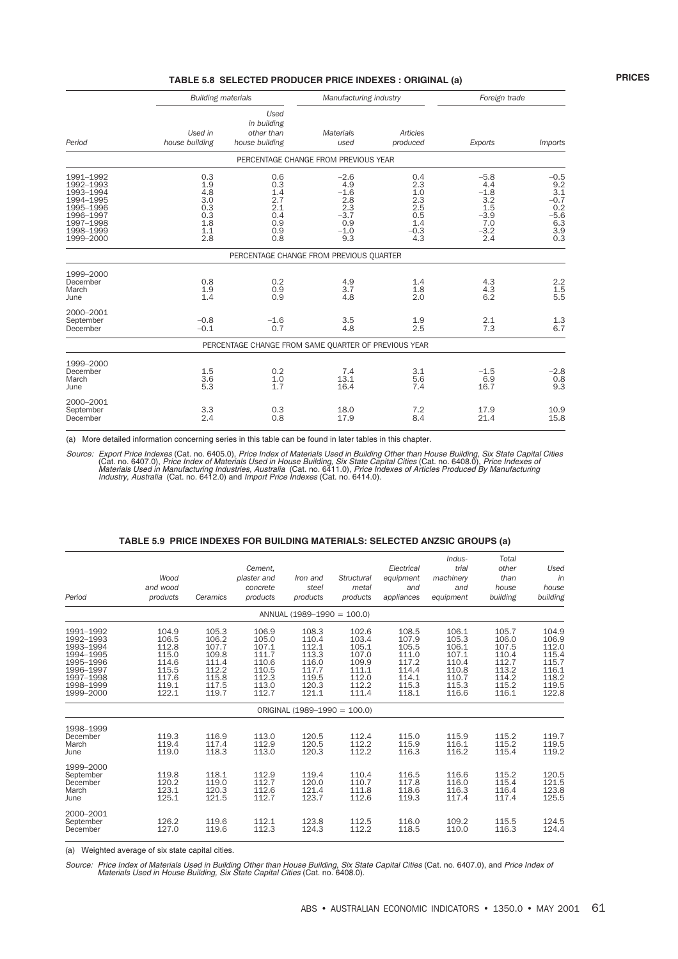#### **TABLE 5.8 SELECTED PRODUCER PRICE INDEXES : ORIGINAL (a)**

|                                                                                                                   | <b>Building materials</b>                                   |                                                             | Manufacturing industry                                                               |                                                                | Foreign trade                                                           |                                                                                         |  |
|-------------------------------------------------------------------------------------------------------------------|-------------------------------------------------------------|-------------------------------------------------------------|--------------------------------------------------------------------------------------|----------------------------------------------------------------|-------------------------------------------------------------------------|-----------------------------------------------------------------------------------------|--|
| Period                                                                                                            | Used in<br>house building                                   | Used<br>in building<br>other than<br>house building         | <b>Materials</b><br>used                                                             | Articles<br>produced                                           | Exports                                                                 | <i>Imports</i>                                                                          |  |
|                                                                                                                   |                                                             |                                                             | PERCENTAGE CHANGE FROM PREVIOUS YEAR                                                 |                                                                |                                                                         |                                                                                         |  |
| 1991-1992<br>1992-1993<br>1993-1994<br>1994-1995<br>1995-1996<br>1996-1997<br>1997-1998<br>1998-1999<br>1999-2000 | 0.3<br>1.9<br>4.8<br>3.0<br>0.3<br>0.3<br>1.8<br>1.1<br>2.8 | 0.6<br>0.3<br>1.4<br>2.7<br>2.1<br>0.4<br>0.9<br>0.9<br>0.8 | $-2.6$<br>4.9<br>$-1.6$<br>2.8<br>$2.\overline{3}$<br>$-3.7$<br>0.9<br>$-1.0$<br>9.3 | 0.4<br>2.3<br>1.0<br>2.3<br>2.5<br>0.5<br>1.4<br>$-0.3$<br>4.3 | $-5.8$<br>4.4<br>$-1.8$<br>3.2<br>1.5<br>$-3.9$<br>7.0<br>$-3.2$<br>2.4 | $-0.5$<br>9.2<br>$3.\overline{1}$<br>$-0.7$<br>0.2<br>$-5.6$<br>$6.3$<br>$3.9$<br>$0.3$ |  |
|                                                                                                                   |                                                             | PERCENTAGE CHANGE FROM PREVIOUS QUARTER                     |                                                                                      |                                                                |                                                                         |                                                                                         |  |
| 1999-2000<br>December<br>March<br>June                                                                            | 0.8<br>1.9<br>1.4                                           | 0.2<br>0.9<br>0.9                                           | 4.9<br>3.7<br>4.8                                                                    | 1.4<br>1.8<br>2.0                                              | 4.3<br>4.3<br>6.2                                                       | $^{2.2}_{1.5}$<br>5.5                                                                   |  |
| 2000-2001<br>September<br>December                                                                                | $-0.8$<br>$-0.1$                                            | $-1.6$<br>0.7                                               | 3.5<br>4.8                                                                           | 1.9<br>2.5                                                     | 2.1<br>7.3                                                              | 1.3<br>6.7                                                                              |  |
|                                                                                                                   |                                                             | PERCENTAGE CHANGE FROM SAME QUARTER OF PREVIOUS YEAR        |                                                                                      |                                                                |                                                                         |                                                                                         |  |
| 1999-2000<br>December<br>March<br>June                                                                            | 1.5<br>3.6<br>5.3                                           | 0.2<br>1.0<br>1.7                                           | 7.4<br>13.1<br>16.4                                                                  | 3.1<br>5.6<br>7.4                                              | $-1.5$<br>6.9<br>16.7                                                   | $-2.8$<br>0.8<br>9.3                                                                    |  |
| 2000-2001<br>September<br>December                                                                                | 3.3<br>2.4                                                  | 0.3<br>0.8                                                  | 18.0<br>17.9                                                                         | 7.2<br>8.4                                                     | 17.9<br>21.4                                                            | 10.9<br>15.8                                                                            |  |

(a) More detailed information concerning series in this table can be found in later tables in this chapter.

Source: Export Price Indexes (Cat. no. 6405.0), Price Index of Materials Used in Building Other than House Building, Six State Capital Cities<br>(Cat. no. 6407.0), Price Index of Materials Used in House Building, Six State Ca

# **TABLE 5.9 PRICE INDEXES FOR BUILDING MATERIALS: SELECTED ANZSIC GROUPS (a)**

| Period                                                                                                            | Wood<br>and wood<br>products                                                  | Ceramics                                                                      | Cement.<br>plaster and<br>concrete<br>products                                | Iron and<br>steel<br>products                                                 | Structural<br>metal<br>products                                               | Electrical<br>equipment<br>and<br>appliances                                  | Indus-<br>trial<br>machinery<br>and<br>equipment                              | Total<br>other<br>than<br>house<br>building                                   | Used<br>in<br>house<br>building                                               |
|-------------------------------------------------------------------------------------------------------------------|-------------------------------------------------------------------------------|-------------------------------------------------------------------------------|-------------------------------------------------------------------------------|-------------------------------------------------------------------------------|-------------------------------------------------------------------------------|-------------------------------------------------------------------------------|-------------------------------------------------------------------------------|-------------------------------------------------------------------------------|-------------------------------------------------------------------------------|
|                                                                                                                   |                                                                               |                                                                               |                                                                               | ANNUAL $(1989-1990 = 100.0)$                                                  |                                                                               |                                                                               |                                                                               |                                                                               |                                                                               |
| 1991-1992<br>1992-1993<br>1993-1994<br>1994-1995<br>1995-1996<br>1996-1997<br>1997-1998<br>1998-1999<br>1999-2000 | 104.9<br>106.5<br>112.8<br>115.0<br>114.6<br>115.5<br>117.6<br>119.1<br>122.1 | 105.3<br>106.2<br>107.7<br>109.8<br>111.4<br>112.2<br>115.8<br>117.5<br>119.7 | 106.9<br>105.0<br>107.1<br>111.7<br>110.6<br>110.5<br>112.3<br>113.0<br>112.7 | 108.3<br>110.4<br>112.1<br>113.3<br>116.0<br>117.7<br>119.5<br>120.3<br>121.1 | 102.6<br>103.4<br>105.1<br>107.0<br>109.9<br>111.1<br>112.0<br>112.2<br>111.4 | 108.5<br>107.9<br>105.5<br>111.0<br>117.2<br>114.4<br>114.1<br>115.3<br>118.1 | 106.1<br>105.3<br>106.1<br>107.1<br>110.4<br>110.8<br>110.7<br>115.3<br>116.6 | 105.7<br>106.0<br>107.5<br>110.4<br>112.7<br>113.2<br>114.2<br>115.2<br>116.1 | 104.9<br>106.9<br>112.0<br>115.4<br>115.7<br>116.1<br>118.2<br>119.5<br>122.8 |
|                                                                                                                   |                                                                               |                                                                               |                                                                               | ORIGINAL $(1989-1990 = 100.0)$                                                |                                                                               |                                                                               |                                                                               |                                                                               |                                                                               |
| 1998-1999<br>December<br>March<br>June                                                                            | 119.3<br>119.4<br>119.0                                                       | 116.9<br>117.4<br>118.3                                                       | 113.0<br>112.9<br>113.0                                                       | 120.5<br>120.5<br>120.3                                                       | 112.4<br>112.2<br>112.2                                                       | 115.0<br>115.9<br>116.3                                                       | 115.9<br>116.1<br>116.2                                                       | 115.2<br>115.2<br>115.4                                                       | 119.7<br>119.5<br>119.2                                                       |
| 1999-2000<br>September<br>December<br>March<br>June                                                               | 119.8<br>120.2<br>123.1<br>125.1                                              | 118.1<br>119.0<br>120.3<br>121.5                                              | 112.9<br>112.7<br>112.6<br>112.7                                              | 119.4<br>120.0<br>121.4<br>123.7                                              | 110.4<br>110.7<br>111.8<br>112.6                                              | 116.5<br>117.8<br>118.6<br>119.3                                              | 116.6<br>116.0<br>116.3<br>117.4                                              | 115.2<br>115.4<br>116.4<br>117.4                                              | 120.5<br>121.5<br>123.8<br>125.5                                              |
| 2000-2001<br>September<br>December                                                                                | 126.2<br>127.0                                                                | 119.6<br>119.6                                                                | 112.1<br>112.3                                                                | 123.8<br>124.3                                                                | 112.5<br>112.2                                                                | 116.0<br>118.5                                                                | 109.2<br>110.0                                                                | 115.5<br>116.3                                                                | 124.5<br>124.4                                                                |

(a) Weighted average of six state capital cities.

Source: Price Index of Materials Used in Building Other than House Building, Six State Capital Cities (Cat. no. 6407.0), and Price Index of Materials Used in House Building, Six State Capital Cities (Cat. no. 6408.0).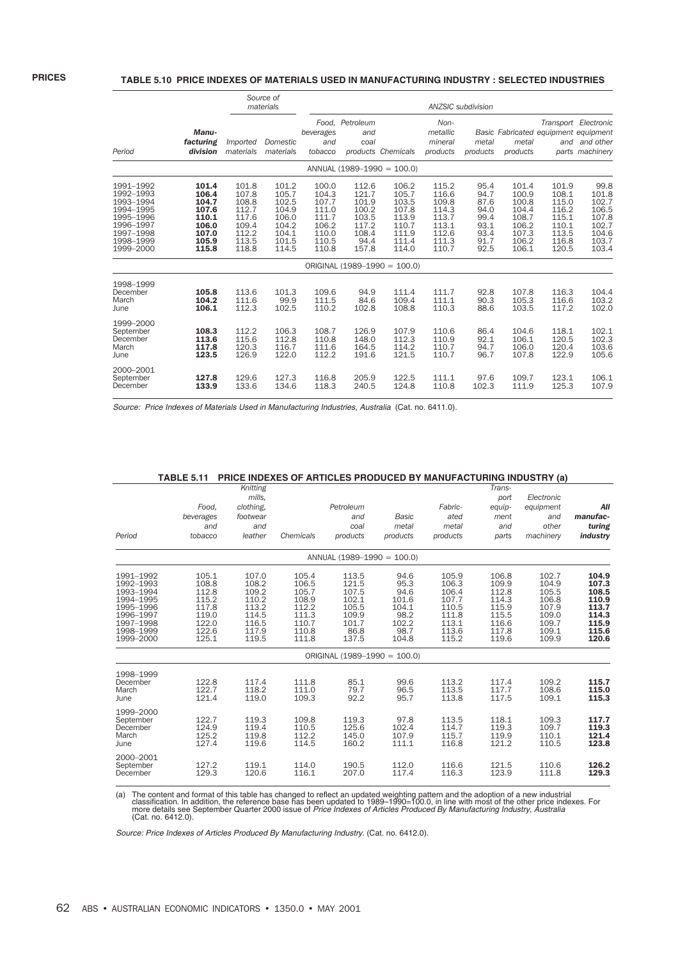|                                                                                                                   |                                                                               |                                                                               | Source of<br>materials                                                        | <b>ANZSIC subdivision</b>                                                     |                                                                              |                                                                               |                                                                               |                                                                      |                                                                               |                                                                               |                                                                              |
|-------------------------------------------------------------------------------------------------------------------|-------------------------------------------------------------------------------|-------------------------------------------------------------------------------|-------------------------------------------------------------------------------|-------------------------------------------------------------------------------|------------------------------------------------------------------------------|-------------------------------------------------------------------------------|-------------------------------------------------------------------------------|----------------------------------------------------------------------|-------------------------------------------------------------------------------|-------------------------------------------------------------------------------|------------------------------------------------------------------------------|
| Period                                                                                                            | <b>Manu-</b><br>facturing<br>division                                         | <i>Imported</i><br>materials                                                  | Domestic<br>materials                                                         | beverages<br>and<br>tobacco                                                   | Food, Petroleum<br>and<br>coal                                               | products Chemicals                                                            | Non-<br>metallic<br>mineral<br>products                                       | metal<br>products                                                    | metal<br>products                                                             | Basic Fabricated equipment equipment                                          | Transport Electronic<br>and and other<br>parts machinery                     |
|                                                                                                                   |                                                                               |                                                                               |                                                                               |                                                                               |                                                                              | ANNUAL $(1989-1990 = 100.0)$                                                  |                                                                               |                                                                      |                                                                               |                                                                               |                                                                              |
| 1991-1992<br>1992-1993<br>1993-1994<br>1994-1995<br>1995-1996<br>1996-1997<br>1997-1998<br>1998-1999<br>1999-2000 | 101.4<br>106.4<br>104.7<br>107.6<br>110.1<br>106.0<br>107.0<br>105.9<br>115.8 | 101.8<br>107.8<br>108.8<br>112.7<br>117.6<br>109.4<br>112.2<br>113.5<br>118.8 | 101.2<br>105.7<br>102.5<br>104.9<br>106.0<br>104.2<br>104.1<br>101.5<br>114.5 | 100.0<br>104.3<br>107.7<br>111.0<br>111.7<br>106.2<br>110.0<br>110.5<br>110.8 | 112.6<br>121.7<br>101.9<br>100.2<br>103.5<br>117.2<br>108.4<br>94.4<br>157.8 | 106.2<br>105.7<br>103.5<br>107.8<br>113.9<br>110.7<br>111.9<br>111.4<br>114.0 | 115.2<br>116.6<br>109.8<br>114.3<br>113.7<br>113.1<br>112.6<br>111.3<br>110.7 | 95.4<br>94.7<br>87.6<br>94.0<br>99.4<br>93.1<br>93.4<br>91.7<br>92.5 | 101.4<br>100.9<br>100.8<br>104.4<br>108.7<br>106.2<br>107.3<br>106.2<br>106.1 | 101.9<br>108.1<br>115.0<br>116.2<br>115.1<br>110.1<br>113.5<br>116.8<br>120.5 | 99.8<br>101.8<br>102.7<br>106.5<br>107.8<br>102.7<br>104.6<br>103.7<br>103.4 |
|                                                                                                                   |                                                                               |                                                                               |                                                                               |                                                                               |                                                                              | ORIGINAL $(1989-1990 = 100.0)$                                                |                                                                               |                                                                      |                                                                               |                                                                               |                                                                              |
| 1998-1999<br>December<br>March<br>June                                                                            | 105.8<br>104.2<br>106.1                                                       | 113.6<br>111.6<br>112.3                                                       | 101.3<br>99.9<br>102.5                                                        | 109.6<br>111.5<br>110.2                                                       | 94.9<br>84.6<br>102.8                                                        | 111.4<br>109.4<br>108.8                                                       | 111.7<br>111.1<br>110.3                                                       | 92.8<br>90.3<br>88.6                                                 | 107.8<br>105.3<br>103.5                                                       | 116.3<br>116.6<br>117.2                                                       | 104.4<br>103.2<br>102.0                                                      |
| 1999-2000<br>September<br>December<br>March<br>June                                                               | 108.3<br>113.6<br>117.8<br>123.5                                              | 112.2<br>115.6<br>120.3<br>126.9                                              | 106.3<br>112.8<br>116.7<br>122.0                                              | 108.7<br>110.8<br>111.6<br>112.2                                              | 126.9<br>148.0<br>164.5<br>191.6                                             | 107.9<br>112.3<br>114.2<br>121.5                                              | 110.6<br>110.9<br>110.7<br>110.7                                              | 86.4<br>92.1<br>94.7<br>96.7                                         | 104.6<br>106.1<br>106.0<br>107.8                                              | 118.1<br>120.5<br>120.4<br>122.9                                              | 102.1<br>102.3<br>103.6<br>105.6                                             |
| 2000-2001<br>September<br>December                                                                                | 127.8<br>133.9                                                                | 129.6<br>133.6                                                                | 127.3<br>134.6                                                                | 116.8<br>118.3                                                                | 205.9<br>240.5                                                               | 122.5<br>124.8                                                                | 111.1<br>110.8                                                                | 97.6<br>102.3                                                        | 109.7<br>111.9                                                                | 123.1<br>125.3                                                                | 106.1<br>107.9                                                               |

Source: Price Indexes of Materials Used in Manufacturing Industries, Australia (Cat. no. 6411.0).

*Knitting*

|                        |                | mills.         |                |                                |                |                | port           | Electronic     |                |
|------------------------|----------------|----------------|----------------|--------------------------------|----------------|----------------|----------------|----------------|----------------|
|                        | Food.          | clothing,      |                | Petroleum                      |                | Fabric-        | equip-         | equipment      | All            |
|                        | beverages      | footwear       |                | and                            | <b>Basic</b>   | ated           | ment           | and            | manufac-       |
|                        | and            | and            |                | coal                           | metal          | metal          | and            | other          | turing         |
| Period                 | tobacco        | leather        | Chemicals      | products                       | products       | products       | parts          | machinery      | industry       |
|                        |                |                |                | ANNUAL (1989-1990 = 100.0)     |                |                |                |                |                |
| 1991-1992              | 105.1          | 107.0          | 105.4          | 113.5                          | 94.6<br>95.3   | 105.9          | 106.8          | 102.7          | 104.9          |
| 1992-1993<br>1993-1994 | 108.8<br>112.8 | 108.2<br>109.2 | 106.5<br>105.7 | 121.5<br>107.5                 | 94.6           | 106.3<br>106.4 | 109.9<br>112.8 | 104.9<br>105.5 | 107.3<br>108.5 |
| 1994-1995              | 115.2          | 110.2          | 108.9          | 102.1                          | 101.6          | 107.7          | 114.3          | 106.8          | 110.9          |
| 1995-1996              | 117.8          | 113.2          | 112.2          | 105.5                          | 104.1          | 110.5          | 115.9          | 107.9          | 113.7          |
| 1996-1997<br>1997-1998 | 119.0<br>122.0 | 114.5<br>116.5 | 111.3<br>110.7 | 109.9<br>101.7                 | 98.2<br>102.2  | 111.8<br>113.1 | 115.5<br>116.6 | 109.0<br>109.7 | 114.3<br>115.9 |
| 1998-1999              | 122.6          | 117.9          | 110.8          | 86.8                           | 98.7           | 113.6          | 117.8          | 109.1          | 115.6          |
| 1999-2000              | 125.1          | 119.5          | 111.8          | 137.5                          | 104.8          | 115.2          | 119.6          | 109.9          | 120.6          |
|                        |                |                |                | ORIGINAL $(1989-1990 = 100.0)$ |                |                |                |                |                |
| 1998-1999              |                |                |                |                                |                |                |                |                |                |
| December               | 122.8<br>122.7 | 117.4<br>118.2 | 111.8<br>111.0 | 85.1<br>79.7                   | 99.6<br>96.5   | 113.2<br>113.5 | 117.4<br>117.7 | 109.2<br>108.6 | 115.7<br>115.0 |
| March<br>June          | 121.4          | 119.0          | 109.3          | 92.2                           | 95.7           | 113.8          | 117.5          | 109.1          | 115.3          |
| 1999-2000              |                |                |                |                                |                |                |                |                |                |
| September              | 122.7          | 119.3          | 109.8          | 119.3                          | 97.8           | 113.5          | 118.1          | 109.3          | 117.7          |
| December<br>March      | 124.9<br>125.2 | 119.4<br>119.8 | 110.5<br>112.2 | 125.6<br>145.0                 | 102.4<br>107.9 | 114.7<br>115.7 | 119.3<br>119.9 | 109.7<br>110.1 | 119.3<br>121.4 |
| June                   | 127.4          | 119.6          | 114.5          | 160.2                          | 111.1          | 116.8          | 121.2          | 110.5          | 123.8          |
| 2000-2001              |                |                |                |                                |                |                |                |                |                |
| September              | 127.2          | 119.1          | 114.0          | 190.5                          | 112.0          | 116.6          | 121.5          | 110.6          | 126.2          |
| December               | 129.3          | 120.6          | 116.1          | 207.0                          | 117.4          | 116.3          | 123.9          | 111.8          | 129.3          |

#### **TABLE 5.11 PRICE INDEXES OF ARTICLES PRODUCED BY MANUFACTURING INDUSTRY (a)**

*Trans-*

(a) The content and format of this table has changed to reflect an updated weighting pattern and the adoption of a new industrial classification. In addition, the reference base has been updated to 1989–1990=100.0, in line

Source: Price Indexes of Articles Produced By Manufacturing Industry. (Cat. no. 6412.0).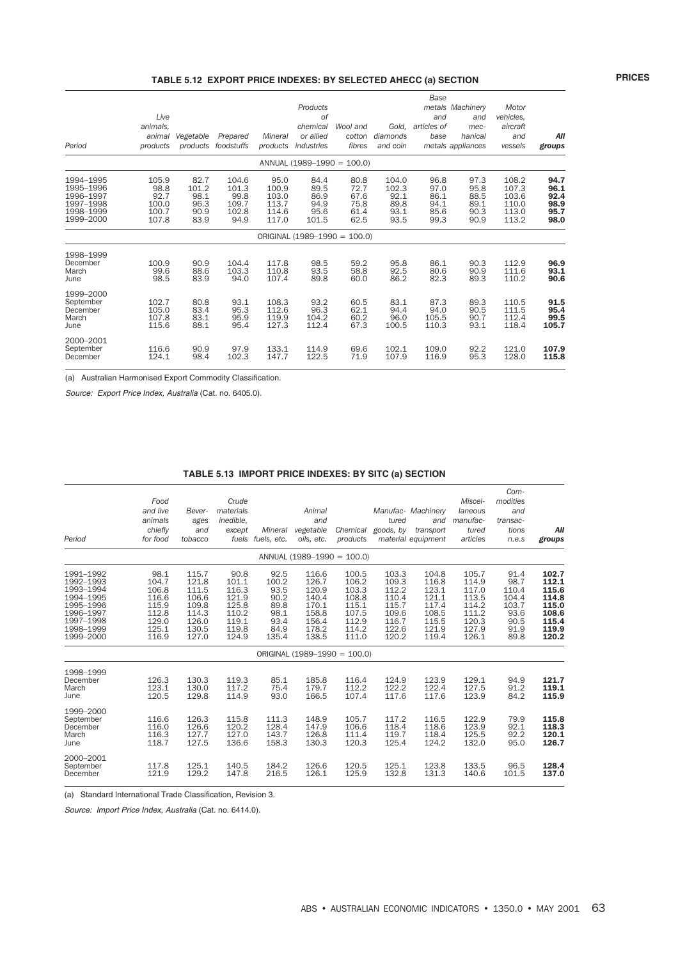#### **TABLE 5.12 EXPORT PRICE INDEXES: BY SELECTED AHECC (a) SECTION**

|                        |                |              |               |                |                                |              |                | Base           |                   |                |                |
|------------------------|----------------|--------------|---------------|----------------|--------------------------------|--------------|----------------|----------------|-------------------|----------------|----------------|
|                        |                |              |               |                | Products                       |              |                |                | metals Machinery  | Motor          |                |
|                        | Live           |              |               |                | 0f                             |              |                | and            | and               | vehicles,      |                |
|                        | animals.       |              |               |                | chemical                       | Wool and     | Gold.          | articles of    | mec-              | aircraft       |                |
|                        | animal         | Vegetable    | Prepared      | Mineral        | or allied                      | cotton       | diamonds       | base           | hanical           | and            | All            |
| Period                 | products       | products     | foodstuffs    | products       | industries                     | fibres       | and coin       |                | metals appliances | vessels        | groups         |
|                        |                |              |               |                | $ANNUAL (1989–1990 = 100.0)$   |              |                |                |                   |                |                |
| 1994-1995              | 105.9          | 82.7         | 104.6         | 95.0           | 84.4                           | 80.8         | 104.0          | 96.8           | 97.3              | 108.2          | 94.7           |
| 1995-1996              | 98.8           | 101.2        | 101.3         | 100.9          | 89.5                           | 72.7         | 102.3          | 97.0           | 95.8              | 107.3          | 96.1           |
| 1996-1997<br>1997-1998 | 92.7<br>100.0  | 98.1<br>96.3 | 99.8<br>109.7 | 103.0<br>113.7 | 86.9<br>94.9                   | 67.6<br>75.8 | 92.1<br>89.8   | 86.1<br>94.1   | 88.5<br>89.1      | 103.6<br>110.0 | 92.4<br>98.9   |
| 1998-1999              | 100.7          | 90.9         | 102.8         | 114.6          | 95.6                           | 61.4         | 93.1           | 85.6           | 90.3              | 113.0          | 95.7           |
| 1999-2000              | 107.8          | 83.9         | 94.9          | 117.0          | 101.5                          | 62.5         | 93.5           | 99.3           | 90.9              | 113.2          | 98.0           |
|                        |                |              |               |                | ORIGINAL $(1989-1990 = 100.0)$ |              |                |                |                   |                |                |
| 1998-1999              |                |              |               |                |                                |              |                |                |                   |                |                |
| December               | 100.9          | 90.9         | 104.4         | 117.8          | 98.5                           | 59.2         | 95.8           | 86.1           | 90.3              | 112.9          | 96.9           |
| March<br>June          | 99.6<br>98.5   | 88.6<br>83.9 | 103.3<br>94.0 | 110.8<br>107.4 | 93.5<br>89.8                   | 58.8<br>60.0 | 92.5<br>86.2   | 80.6<br>82.3   | 90.9<br>89.3      | 111.6<br>110.2 | 93.1<br>90.6   |
|                        |                |              |               |                |                                |              |                |                |                   |                |                |
| 1999-2000              |                |              |               |                |                                |              |                |                |                   |                |                |
| September              | 102.7          | 80.8         | 93.1          | 108.3          | 93.2                           | 60.5         | 83.1           | 87.3           | 89.3              | 110.5          | 91.5           |
| December               | 105.0          | 83.4         | 95.3          | 112.6          | 96.3                           | 62.1         | 94.4           | 94.0           | 90.5              | 111.5          | 95.4           |
| March<br>June          | 107.8<br>115.6 | 83.1<br>88.1 | 95.9<br>95.4  | 119.9<br>127.3 | 104.2<br>112.4                 | 60.2<br>67.3 | 96.0<br>100.5  | 105.5<br>110.3 | 90.7<br>93.1      | 112.4<br>118.4 | 99.5<br>105.7  |
|                        |                |              |               |                |                                |              |                |                |                   |                |                |
| 2000-2001              |                |              |               |                |                                |              |                |                |                   |                |                |
| September<br>December  | 116.6<br>124.1 | 90.9<br>98.4 | 97.9<br>102.3 | 133.1<br>147.7 | 114.9<br>122.5                 | 69.6<br>71.9 | 102.1<br>107.9 | 109.0<br>116.9 | 92.2<br>95.3      | 121.0<br>128.0 | 107.9<br>115.8 |
|                        |                |              |               |                |                                |              |                |                |                   |                |                |

(a) Australian Harmonised Export Commodity Classification.

Source: Export Price Index, Australia (Cat. no. 6405.0).

#### **TABLE 5.13 IMPORT PRICE INDEXES: BY SITC (a) SECTION**

| Period                                                                                                            | Food<br>and live<br>animals<br>chiefly<br>for food                           | Bever-<br>ages<br>and<br>tobacco                                              | Crude<br>materials<br>inedible.<br>except                                    | Mineral<br>fuels fuels, etc.                                           | Animal<br>and<br>vegetable<br>oils, etc.<br>ANNUAL $(1989-1990 = 100.0)$      | Chemical<br>products                                                          | tured<br>goods, by                                                            | Manufac- Machinery<br>and<br>transport<br>material equipment                  | Miscel-<br>laneous<br>manufac-<br>tured<br>articles                           | Com-<br>modities<br>and<br>transac-<br>tions<br>n.e.s                   | All<br>groups                                                                 |
|-------------------------------------------------------------------------------------------------------------------|------------------------------------------------------------------------------|-------------------------------------------------------------------------------|------------------------------------------------------------------------------|------------------------------------------------------------------------|-------------------------------------------------------------------------------|-------------------------------------------------------------------------------|-------------------------------------------------------------------------------|-------------------------------------------------------------------------------|-------------------------------------------------------------------------------|-------------------------------------------------------------------------|-------------------------------------------------------------------------------|
| 1991-1992<br>1992-1993<br>1993-1994<br>1994-1995<br>1995-1996<br>1996-1997<br>1997-1998<br>1998-1999<br>1999-2000 | 98.1<br>104.7<br>106.8<br>116.6<br>115.9<br>112.8<br>129.0<br>125.1<br>116.9 | 115.7<br>121.8<br>111.5<br>106.6<br>109.8<br>114.3<br>126.0<br>130.5<br>127.0 | 90.8<br>101.1<br>116.3<br>121.9<br>125.8<br>110.2<br>119.1<br>119.8<br>124.9 | 92.5<br>100.2<br>93.5<br>90.2<br>89.8<br>98.1<br>93.4<br>84.9<br>135.4 | 116.6<br>126.7<br>120.9<br>140.4<br>170.1<br>158.8<br>156.4<br>178.2<br>138.5 | 100.5<br>106.2<br>103.3<br>108.8<br>115.1<br>107.5<br>112.9<br>114.2<br>111.0 | 103.3<br>109.3<br>112.2<br>110.4<br>115.7<br>109.6<br>116.7<br>122.6<br>120.2 | 104.8<br>116.8<br>123.1<br>121.1<br>117.4<br>108.5<br>115.5<br>121.9<br>119.4 | 105.7<br>114.9<br>117.0<br>113.5<br>114.2<br>111.2<br>120.3<br>127.9<br>126.1 | 91.4<br>98.7<br>110.4<br>104.4<br>103.7<br>93.6<br>90.5<br>91.9<br>89.8 | 102.7<br>112.1<br>115.6<br>114.8<br>115.0<br>108.6<br>115.4<br>119.9<br>120.2 |
|                                                                                                                   |                                                                              |                                                                               |                                                                              |                                                                        | ORIGINAL $(1989-1990 = 100.0)$                                                |                                                                               |                                                                               |                                                                               |                                                                               |                                                                         |                                                                               |
| 1998-1999<br>December<br>March<br>June                                                                            | 126.3<br>123.1<br>120.5                                                      | 130.3<br>130.0<br>129.8                                                       | 119.3<br>117.2<br>114.9                                                      | 85.1<br>75.4<br>93.0                                                   | 185.8<br>179.7<br>166.5                                                       | 116.4<br>112.2<br>107.4                                                       | 124.9<br>122.2<br>117.6                                                       | 123.9<br>122.4<br>117.6                                                       | 129.1<br>127.5<br>123.9                                                       | 94.9<br>91.2<br>84.2                                                    | 121.7<br>119.1<br>115.9                                                       |
| 1999-2000<br>September<br>December<br>March<br>June                                                               | 116.6<br>116.0<br>116.3<br>118.7                                             | 126.3<br>126.6<br>127.7<br>127.5                                              | 115.8<br>120.2<br>127.0<br>136.6                                             | 111.3<br>128.4<br>143.7<br>158.3                                       | 148.9<br>147.9<br>126.8<br>130.3                                              | 105.7<br>106.6<br>111.4<br>120.3                                              | 117.2<br>118.4<br>119.7<br>125.4                                              | 116.5<br>118.6<br>118.4<br>124.2                                              | 122.9<br>123.9<br>125.5<br>132.0                                              | 79.9<br>92.1<br>92.2<br>95.0                                            | 115.8<br>118.3<br>120.1<br>126.7                                              |
| 2000-2001<br>September<br>December                                                                                | 117.8<br>121.9                                                               | 125.1<br>129.2                                                                | 140.5<br>147.8                                                               | 184.2<br>216.5                                                         | 126.6<br>126.1                                                                | 120.5<br>125.9                                                                | 125.1<br>132.8                                                                | 123.8<br>131.3                                                                | 133.5<br>140.6                                                                | 96.5<br>101.5                                                           | 128.4<br>137.0                                                                |

(a) Standard International Trade Classification, Revision 3.

Source: Import Price Index, Australia (Cat. no. 6414.0).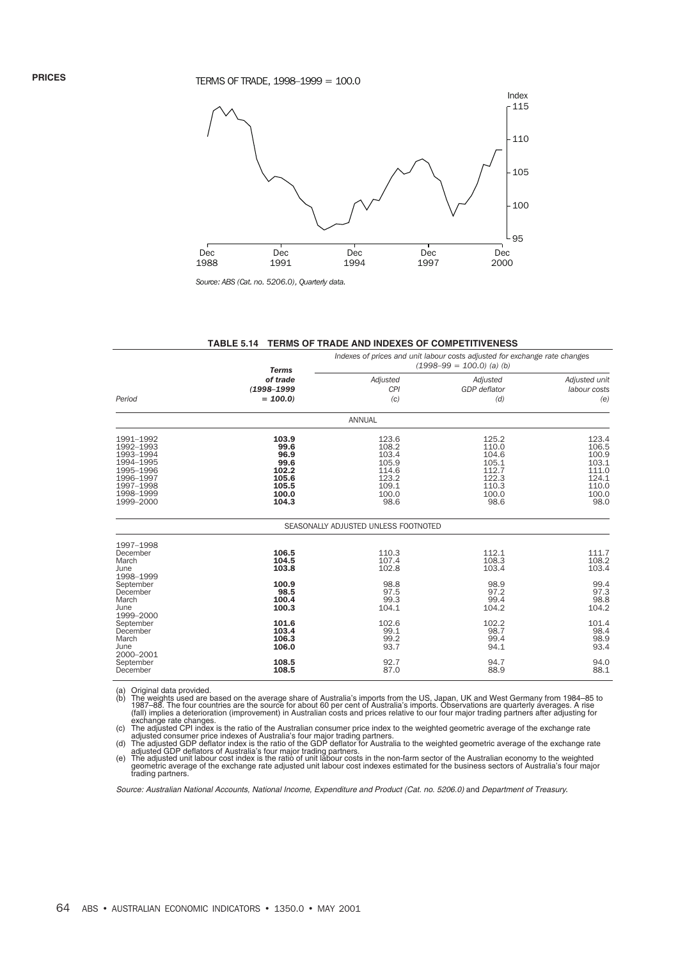#### TERMS OF TRADE, 1998–1999 = 100.0



*Source: ABS (Cat. no. 5206.0), Quarterly data.*

#### **TABLE 5.14 TERMS OF TRADE AND INDEXES OF COMPETITIVENESS**

|                                                                                                                   | <b>Terms</b>                                                               |                                                                              | Indexes of prices and unit labour costs adjusted for exchange rate changes<br>$(1998-99 = 100.0)$ (a) (b) |                                                                              |
|-------------------------------------------------------------------------------------------------------------------|----------------------------------------------------------------------------|------------------------------------------------------------------------------|-----------------------------------------------------------------------------------------------------------|------------------------------------------------------------------------------|
| Period                                                                                                            | of trade<br>$(1998 - 1999)$<br>$= 100.0$                                   | Adjusted<br><b>CPI</b><br>(c)                                                | Adjusted<br><b>GDP</b> deflator<br>(d)                                                                    | Adjusted unit<br>labour costs<br>(e)                                         |
|                                                                                                                   |                                                                            | ANNUAL                                                                       |                                                                                                           |                                                                              |
| 1991-1992<br>1992-1993<br>1993-1994<br>1994-1995<br>1995-1996<br>1996-1997<br>1997-1998<br>1998-1999<br>1999-2000 | 103.9<br>99.6<br>96.9<br>99.6<br>102.2<br>105.6<br>105.5<br>100.0<br>104.3 | 123.6<br>108.2<br>103.4<br>105.9<br>114.6<br>123.2<br>109.1<br>100.0<br>98.6 | 125.2<br>110.0<br>104.6<br>105.1<br>112.7<br>122.3<br>110.3<br>100.0<br>98.6                              | 123.4<br>106.5<br>100.9<br>103.1<br>111.0<br>124.1<br>110.0<br>100.0<br>98.0 |
|                                                                                                                   |                                                                            | SEASONALLY ADJUSTED UNLESS FOOTNOTED                                         |                                                                                                           |                                                                              |
| 1997-1998<br>December<br>March<br>June<br>1998-1999<br>September                                                  | 106.5<br>104.5<br>103.8<br>100.9<br>98.5                                   | 110.3<br>107.4<br>102.8<br>98.8<br>97.5                                      | 112.1<br>108.3<br>103.4<br>98.9<br>97.2                                                                   | 111.7<br>108.2<br>103.4<br>99.4<br>97.3                                      |
| December<br>March<br>June<br>1999-2000                                                                            | 100.4<br>100.3                                                             | 99.3<br>104.1                                                                | 99.4<br>104.2                                                                                             | 98.8<br>104.2                                                                |
| September<br>December<br>March<br>June<br>2000-2001                                                               | 101.6<br>103.4<br>106.3<br>106.0                                           | 102.6<br>99.1<br>99.2<br>93.7                                                | 102.2<br>98.7<br>99.4<br>94.1                                                                             | 101.4<br>98.4<br>98.9<br>93.4                                                |
| September<br>December                                                                                             | 108.5<br>108.5                                                             | 92.7<br>87.0                                                                 | 94.7<br>88.9                                                                                              | 94.0<br>88.1                                                                 |

(a) Original data provided.<br>(b) The weights used are based on the average share of Australia's imports from the US, Japan, UK and West Germany from 1984–85 to<br>1987–88. The four countries are the source for about 60 per cen

exchange rate changes. (c) The adjusted CPI index is the ratio of the Australian consumer price index to the weighted geometric average of the exchange rate

adjusted consumer price indexes of Australia's four major trading partners.<br>
(d) The adjusted GDP deflator index is the ratio of the GDP deflator for Australia to the weighted geometric average of the exchange rate<br>
adjust

Source: Australian National Accounts, National Income, Expenditure and Product (Cat. no. 5206.0) and Department of Treasury*.*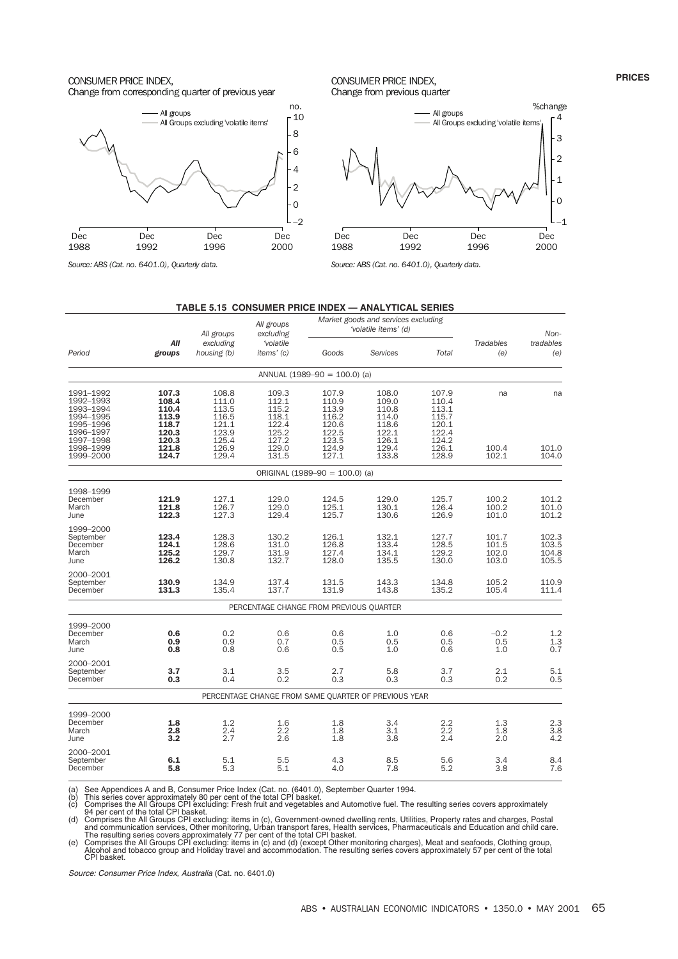#### CONSUMER PRICE INDEX, Change from corresponding quarter of previous year



*Source: ABS (Cat. no. 6401.0), Quarterly data.*

#### CONSUMER PRICE INDEX, Change from previous quarter



*Source: ABS (Cat. no. 6401.0), Quarterly data.*

#### **TABLE 5.15 CONSUMER PRICE INDEX — ANALYTICAL SERIES**

|                                                                                                                   |                                                                               | All groups                                                                    | All groups<br>excluding                                                       |                                                                               | Market goods and services excluding<br>'volatile items' (d)                       |                                                                               | Non-                             |                                      |
|-------------------------------------------------------------------------------------------------------------------|-------------------------------------------------------------------------------|-------------------------------------------------------------------------------|-------------------------------------------------------------------------------|-------------------------------------------------------------------------------|-----------------------------------------------------------------------------------|-------------------------------------------------------------------------------|----------------------------------|--------------------------------------|
| Period                                                                                                            | All<br>groups                                                                 | excluding<br>housing (b)                                                      | <i>'volatile</i><br>items' (c)                                                | Goods                                                                         | Services                                                                          | Total                                                                         | <b>Tradables</b><br>(e)          | tradables<br>(e)                     |
|                                                                                                                   |                                                                               |                                                                               |                                                                               | ANNUAL (1989-90 = 100.0) (a)                                                  |                                                                                   |                                                                               |                                  |                                      |
| 1991-1992<br>1992-1993<br>1993-1994<br>1994-1995<br>1995-1996<br>1996-1997<br>1997-1998<br>1998-1999<br>1999-2000 | 107.3<br>108.4<br>110.4<br>113.9<br>118.7<br>120.3<br>120.3<br>121.8<br>124.7 | 108.8<br>111.0<br>113.5<br>116.5<br>121.1<br>123.9<br>125.4<br>126.9<br>129.4 | 109.3<br>112.1<br>115.2<br>118.1<br>122.4<br>125.2<br>127.2<br>129.0<br>131.5 | 107.9<br>110.9<br>113.9<br>116.2<br>120.6<br>122.5<br>123.5<br>124.9<br>127.1 | 108.0<br>109.0<br>110.8<br>114.0<br>118.6<br>$122.1$<br>$126.1$<br>129.4<br>133.8 | 107.9<br>110.4<br>113.1<br>115.7<br>120.1<br>122.4<br>124.2<br>126.1<br>128.9 | na<br>100.4<br>102.1             | na<br>101.0<br>104.0                 |
|                                                                                                                   |                                                                               |                                                                               |                                                                               | ORIGINAL (1989-90 = 100.0) (a)                                                |                                                                                   |                                                                               |                                  |                                      |
| 1998-1999<br>December<br>March<br>June                                                                            | 121.9<br>121.8<br>122.3                                                       | 127.1<br>126.7<br>127.3                                                       | 129.0<br>129.0<br>129.4                                                       | 124.5<br>125.1<br>125.7                                                       | 129.0<br>130.1<br>130.6                                                           | 125.7<br>126.4<br>126.9                                                       | 100.2<br>100.2<br>101.0          | 101.2<br>101.0<br>101.2              |
| 1999-2000<br>September<br>December<br>March<br>June                                                               | 123.4<br>124.1<br>125.2<br>126.2                                              | 128.3<br>128.6<br>129.7<br>130.8                                              | 130.2<br>131.0<br>131.9<br>132.7                                              | 126.1<br>126.8<br>127.4<br>128.0                                              | 132.1<br>133.4<br>134.1<br>135.5                                                  | 127.7<br>128.5<br>129.2<br>130.0                                              | 101.7<br>101.5<br>102.0<br>103.0 | $102.3$<br>$103.5$<br>104.8<br>105.5 |
| 2000-2001<br>September<br>December                                                                                | 130.9<br>131.3                                                                | 134.9<br>135.4                                                                | 137.4<br>137.7                                                                | 131.5<br>131.9                                                                | 143.3<br>143.8                                                                    | 134.8<br>135.2                                                                | 105.2<br>105.4                   | 110.9<br>111.4                       |
|                                                                                                                   |                                                                               |                                                                               | PERCENTAGE CHANGE FROM PREVIOUS QUARTER                                       |                                                                               |                                                                                   |                                                                               |                                  |                                      |
| 1999-2000<br>December<br>March<br>June                                                                            | 0.6<br>0.9<br>0.8                                                             | 0.2<br>0.9<br>0.8                                                             | 0.6<br>0.7<br>0.6                                                             | 0.6<br>0.5<br>0.5                                                             | 1.0<br>0.5<br>1.0                                                                 | 0.6<br>0.5<br>0.6                                                             | $-0.2$<br>0.5<br>1.0             | 1.2<br>$\frac{1.3}{0.7}$             |
| 2000-2001<br>September<br>December                                                                                | 3.7<br>0.3                                                                    | 3.1<br>0.4                                                                    | 3.5<br>0.2                                                                    | 2.7<br>0.3                                                                    | 5.8<br>0.3                                                                        | 3.7<br>0.3                                                                    | 2.1<br>0.2                       | 5.1<br>0.5                           |
|                                                                                                                   |                                                                               |                                                                               |                                                                               |                                                                               | PERCENTAGE CHANGE FROM SAME QUARTER OF PREVIOUS YEAR                              |                                                                               |                                  |                                      |
| 1999-2000<br>December<br>March<br>June                                                                            | 1.8<br>2.8<br>3.2                                                             | 1.2<br>2.4<br>2.7                                                             | 1.6<br>2.2<br>2.6                                                             | 1.8<br>1.8<br>1.8                                                             | 3.4<br>3.1<br>3.8                                                                 | 2.2<br>2.2<br>2.4                                                             | 1.3<br>1.8<br>2.0                | $2.3$<br>$3.8$<br>$4.2$              |
| 2000-2001<br>September<br>December                                                                                | 6.1<br>5.8                                                                    | 5.1<br>5.3                                                                    | 5.5<br>5.1                                                                    | 4.3<br>4.0                                                                    | 8.5<br>7.8                                                                        | 5.6<br>5.2                                                                    | 3.4<br>3.8                       | $\frac{8.4}{7.6}$                    |

(a) See Appendices A and B, Consumer Price Index (Cat. no. (6401.0), September Quarter 1994.<br>(b) This series cover approximately 80 per cent of the total CPI basket.<br>(c) Comprises the All Groups CPI excluding: Fresh fruit

(d) Comprises the All Groups CPI excluding: items in (c), Government-owned dwelling rents, Utilities, Property rates and charges, Postal<br>and communication services, Other monitoring, Urban transport fares, Health services,

The resulting series covers approximately 77 per cent of the total CPI basket.<br>(e) Comprises the All Groups CPI excluding: items in (c) and (d) (except Other monitoring charges), Meat and seafoods, Clothing group,<br>Alcohol

Source: Consumer Price Index, Australia (Cat. no. 6401.0)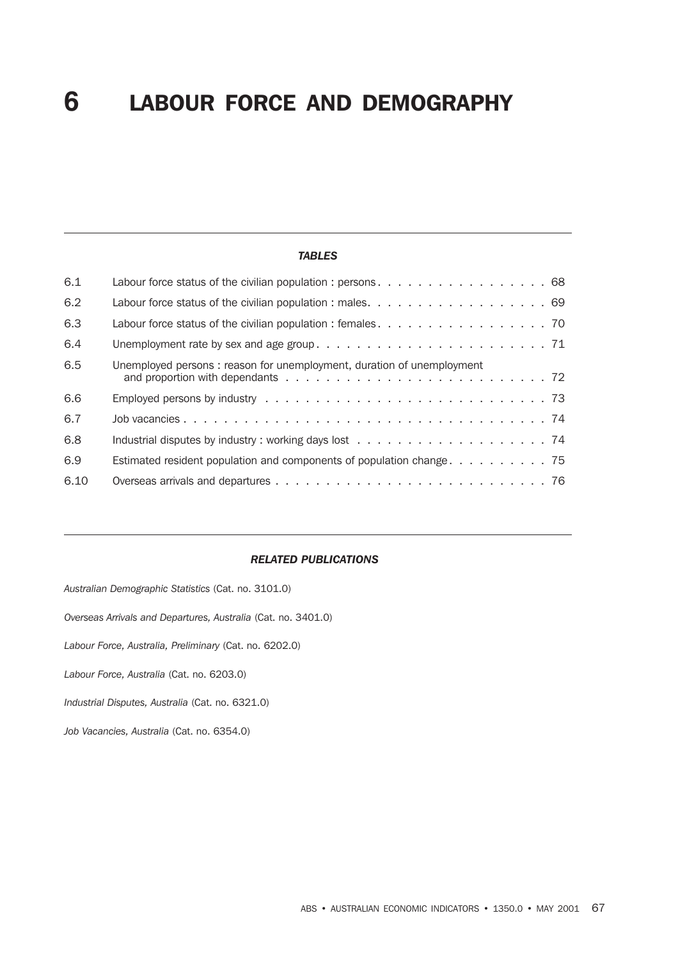# **6** LABOUR FORCE AND DEMOGRAPHY

#### *TABLES*

| 6.1  |                                                                                                              |
|------|--------------------------------------------------------------------------------------------------------------|
| 6.2  |                                                                                                              |
| 6.3  | Labour force status of the civilian population : females. $\ldots$ , 70                                      |
| 6.4  |                                                                                                              |
| 6.5  | Unemployed persons: reason for unemployment, duration of unemployment                                        |
| 6.6  | Employed persons by industry $\dots \dots \dots \dots \dots \dots \dots \dots \dots \dots \dots \dots \dots$ |
| 6.7  |                                                                                                              |
| 6.8  |                                                                                                              |
| 6.9  |                                                                                                              |
| 6.10 |                                                                                                              |

#### *RELATED PUBLICATIONS*

*Australian Demographic Statistics* (Cat. no. 3101.0)

*Overseas Arrivals and Departures, Australia* (Cat. no. 3401.0)

*Labour Force, Australia, Preliminary* (Cat. no. 6202.0)

*Labour Force, Australia* (Cat. no. 6203.0)

*Industrial Disputes, Australia* (Cat. no. 6321.0)

*Job Vacancies, Australia* (Cat. no. 6354.0)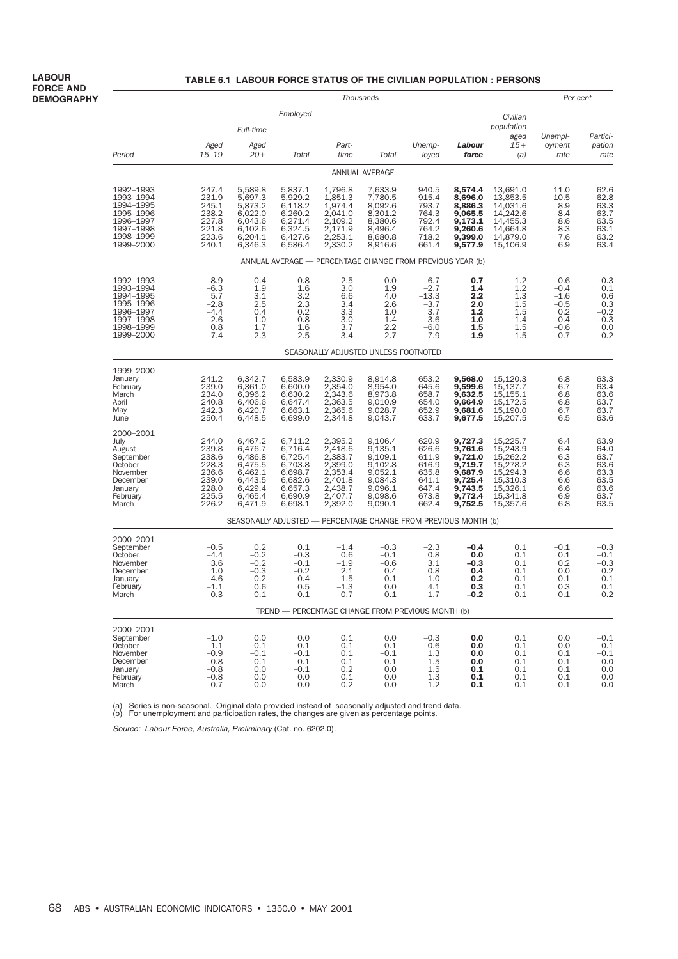#### **TABLE 6.1 LABOUR FORCE STATUS OF THE CIVILIAN POPULATION : PERSONS**

|                                                                       |                                                    | Per cent                                        |                                                 |                                              |                                                                 |                                           |                                         |                                        |                                        |                      |
|-----------------------------------------------------------------------|----------------------------------------------------|-------------------------------------------------|-------------------------------------------------|----------------------------------------------|-----------------------------------------------------------------|-------------------------------------------|-----------------------------------------|----------------------------------------|----------------------------------------|----------------------|
|                                                                       | Employed<br>Civilian                               |                                                 |                                                 |                                              |                                                                 |                                           |                                         |                                        |                                        |                      |
|                                                                       |                                                    | Full-time                                       |                                                 |                                              |                                                                 |                                           |                                         | population<br>aged                     | Unempl-                                | Partici-             |
| Period                                                                | Aged<br>$15 - 19$                                  | Aged<br>$20+$                                   | Total                                           | Part-<br>time                                | Total                                                           | Unemp-<br>loyed                           | Labour<br>force                         | $15+$<br>(a)                           | oyment<br>rate                         | pation<br>rate       |
|                                                                       |                                                    |                                                 |                                                 |                                              | ANNUAL AVERAGE                                                  |                                           |                                         |                                        |                                        |                      |
| 1992-1993                                                             | 247.4                                              | 5,589.8                                         | 5,837.1                                         | 1,796.8                                      | 7,633.9                                                         | 940.5                                     | 8,574.4                                 | 13,691.0                               | 11.0                                   | 62.6                 |
| 1993-1994<br>1994-1995                                                | 231.9<br>245.1                                     | 5,697.3<br>5,873.2                              | 5,929.2<br>6,118.2                              | 1,851.3<br>1,974.4                           | 7,780.5<br>8,092.6                                              | 915.4<br>793.7                            | 8,696.0<br>8,886.3                      | 13,853.5<br>14,031.6                   | 10.5<br>8.9                            | $62.8$<br>$63.3$     |
| 1995-1996<br>1996-1997                                                | 238.2<br>227.8                                     | 6,022.0<br>6,043.6                              | 6,260.2<br>6,271.4                              | 2,041.0<br>2,109.2                           | 8,301.2<br>8,380.6                                              | 764.3<br>792.4                            | 9,065.5<br>9,173.1                      | 14,242.6<br>14,455.3                   | 8.4<br>8.6                             | 63.7                 |
| 1997-1998<br>1998-1999                                                | 221.8<br>223.6                                     | 6,102.6<br>6,204.1                              | 6,324.5<br>6,427.6                              | 2,171.9<br>2,253.1                           | 8,496.4<br>8,680.8                                              | 764.2<br>718.2                            | 9,260.6<br>9,399.0                      | 14,664.8<br>14,879.0                   | 8.3<br>7.6                             | 63.5<br>63.1<br>63.2 |
| 1999-2000                                                             | 240.1                                              | 6,346.3                                         | 6,586.4                                         | 2,330.2                                      | 8,916.6                                                         | 661.4                                     | 9,577.9                                 | 15,106.9                               | 6.9                                    | 63.4                 |
|                                                                       |                                                    |                                                 |                                                 |                                              | ANNUAL AVERAGE - PERCENTAGE CHANGE FROM PREVIOUS YEAR (b)       |                                           |                                         |                                        |                                        |                      |
| 1992-1993<br>1993-1994                                                | $-8.9$<br>$-6.3$                                   | $-0.4$<br>1.9                                   | $-0.8$<br>1.6                                   | 2.5<br>3.0                                   | 0.0<br>1.9                                                      | 6.7<br>$-2.7$                             | 0.7<br>1.4                              | 1.2<br>1.2                             | 0.6<br>$-0.4$                          | $-0.3$<br>0.1        |
| 1994-1995                                                             | 5.7                                                | 3.1                                             | 3.2                                             | 6.6                                          | 4.0                                                             | $-13.3$                                   | 2.2                                     | 1.3                                    | $-1.6$                                 | 0.6                  |
| 1995-1996<br>1996-1997                                                | $-2.8$<br>$-4.4$                                   | 2.5<br>0.4                                      | 2.3<br>0.2                                      | 3.4<br>3.3                                   | 2.6<br>1.0                                                      | $-3.7$<br>3.7                             | 2.0<br>1.2                              | 1.5<br>1.5                             | $-0.5$<br>0.2                          | 0.3<br>$-0.2$        |
| 1997-1998<br>1998-1999                                                | $-2.6$<br>0.8                                      | 1.0<br>1.7                                      | 0.8<br>1.6                                      | 3.0<br>3.7                                   | 1.4<br>2.2                                                      | $-3.6$<br>$-6.0$                          | 1.0<br>1.5                              | 1.4<br>1.5                             | $-0.4$<br>$-0.6$                       | $-0.3$<br>0.0        |
| 1999-2000                                                             | 7.4                                                | 2.3                                             | 2.5                                             | 3.4                                          | 2.7                                                             | $-7.9$                                    | 1.9                                     | 1.5                                    | $-0.7$                                 | 0.2                  |
|                                                                       |                                                    |                                                 |                                                 |                                              | SEASONALLY ADJUSTED UNLESS FOOTNOTED                            |                                           |                                         |                                        |                                        |                      |
| 1999-2000<br>January                                                  | 241.2                                              | 6,342.7                                         | 6,583.9                                         | 2,330.9                                      | 8,914.8                                                         | 653.2                                     | 9,568.0                                 |                                        | 6.8                                    |                      |
| February                                                              | 239.0                                              | 6,361.0                                         | 6,600.0                                         | 2,354.0                                      | 8,954.0                                                         | 645.6                                     | 9,599.6                                 | 15,120.3<br>15,137.7                   | 6.7                                    | 63.3<br>63.4         |
| March<br>April                                                        | 234.0<br>240.8                                     | 6,396.2<br>6,406.6                              | 6,630.2<br>6,647.4                              | 2,343.6<br>2,363.5                           | 8,973.8<br>9.010.9                                              | 658.7<br>654.0                            | 9,632.5<br>9.664.9                      | 15,155.1<br>15,172.5                   | 6.8<br>6.8                             | 63.6<br>63.7         |
| May<br>June                                                           | 242.3<br>250.4                                     | 6,420.7<br>6,448.5                              | 6,663.1<br>6,699.0                              | 2,365.6<br>2,344.8                           | 9,028.7<br>9,043.7                                              | 652.9<br>633.7                            | 9,681.6<br>9,677.5                      | 15,190.0<br>15,207.5                   | 6.7<br>6.5                             | 63.7<br>63.6         |
| 2000-2001                                                             |                                                    |                                                 |                                                 |                                              |                                                                 |                                           |                                         |                                        |                                        |                      |
| July<br>August                                                        | 244.0<br>239.8                                     | 6,467.2<br>6,476.7                              | 6,711.2<br>6,716.4                              | 2,395.2<br>2,418.6                           | 9,106.4<br>9,135.1                                              | 620.9<br>626.6                            | 9,727.3<br>9,761.6                      | 15,225.7<br>15,243.9                   | 6.4<br>6.4                             | 63.9<br>64.0         |
| September<br>October                                                  | 238.6<br>228.3                                     | 6,486.8<br>6,475.5                              | 6,725.4<br>6,703.8                              | 2,383.7<br>2,399.0                           | 9,109.1<br>9,102.8                                              | 611.9<br>616.9                            | 9,721.0<br>9,719.7                      | 15,262.2<br>15,278.2                   | $6.3$<br>$6.3$                         | 63.7<br>63.6         |
| November<br>December                                                  | 236.6<br>239.0                                     | 6,462.1<br>6,443.5                              | 6,698.7<br>6,682.6                              | 2,353.4<br>2,401.8                           | 9,052.1<br>9,084.3                                              | 635.8<br>641.1                            | 9,687.9<br>9,725.4                      | 15,294.3<br>15,310.3                   | 6.6<br>6.6                             | 63.3<br>63.5         |
| January                                                               | 228.0                                              | 6,429.4                                         | 6,657.3                                         | 2,438.7                                      | 9,096.1                                                         | 647.4                                     | 9,743.5                                 | 15,326.1                               | 6.6                                    | 63.6                 |
| February<br>March                                                     | 225.5<br>226.2                                     | 6,465.4<br>6,471.9                              | 6,690.9<br>6,698.1                              | 2,407.7<br>2,392.0                           | 9,098.6<br>9,090.1                                              | 673.8<br>662.4                            | 9,772.4<br>9,752.5                      | 15,341.8<br>15,357.6                   | 6.9<br>6.8                             | 63.7<br>63.5         |
|                                                                       |                                                    |                                                 |                                                 |                                              | SEASONALLY ADJUSTED - PERCENTAGE CHANGE FROM PREVIOUS MONTH (b) |                                           |                                         |                                        |                                        |                      |
| 2000-2001<br>September                                                |                                                    |                                                 |                                                 |                                              |                                                                 |                                           |                                         |                                        |                                        |                      |
| October                                                               | $-0.5$<br>$-4.4$                                   | 0.2<br>$-0.2$                                   | 0.1<br>$-0.3$                                   | $-1.4$<br>0.6                                | $-0.3$<br>$-0.1$                                                | $-2.3$<br>0.8                             | $-0.4$<br>0.0                           | 0.1<br>0.1                             | $-0.1$<br>0.1                          | $-0.3$<br>$-0.1$     |
|                                                                       |                                                    |                                                 |                                                 |                                              |                                                                 |                                           |                                         |                                        |                                        | $-0.3$<br>0.2        |
| January                                                               | $-4.6$                                             | $-0.2$                                          | $-0.4$                                          | 1.5                                          | 0.1                                                             | 1.0                                       | 0.2                                     | 0.1                                    | 0.1                                    | 0.1<br>0.1           |
| March                                                                 | 0.3                                                | 0.1                                             | 0.1                                             | $-0.7$                                       | $-0.1$                                                          | $-1.7$                                    | $-0.2$                                  | 0.1                                    | $-0.1$                                 | $-0.2$               |
|                                                                       |                                                    |                                                 |                                                 |                                              | TREND - PERCENTAGE CHANGE FROM PREVIOUS MONTH (b)               |                                           |                                         |                                        |                                        |                      |
| 2000-2001                                                             |                                                    |                                                 |                                                 |                                              |                                                                 |                                           |                                         |                                        |                                        |                      |
| October                                                               | $-1.1$                                             | $-0.1$                                          | $-0.1$                                          | 0.1                                          | $-0.1$                                                          | 0.6                                       | 0.0                                     | 0.1                                    | 0.0                                    | $-0.1 - 0.1$         |
| December                                                              | $-0.8$                                             | $-0.1$                                          | $-0.1$                                          | 0.1                                          | $-0.1$                                                          | 1.5                                       | 0.0                                     | 0.1                                    | 0.1                                    | $-0.1$               |
| January                                                               | $-0.8$                                             | 0.0                                             | $-0.1$                                          | 0.2                                          | 0.0                                                             | 1.5                                       | 0.1                                     | 0.1                                    | 0.1                                    | $0.0 \\ 0.0$<br>0.0  |
| March                                                                 | $-0.7$                                             | 0.0                                             | 0.0                                             | $0.2\,$                                      | 0.0                                                             | 1.2                                       | 0.1                                     | 0.1                                    | 0.1                                    | 0.0                  |
| November<br>December<br>February<br>September<br>November<br>February | 3.6<br>1.0<br>$-1.1$<br>$-1.0$<br>$-0.9$<br>$-0.8$ | $-0.2$<br>$-0.3$<br>0.6<br>0.0<br>$-0.1$<br>0.0 | $-0.1$<br>$-0.2$<br>0.5<br>0.0<br>$-0.1$<br>0.0 | $-1.9$<br>2.1<br>$-1.3$<br>0.1<br>0.1<br>0.1 | $-0.6$<br>0.4<br>0.0<br>0.0<br>$-0.1$<br>0.0                    | 3.1<br>0.8<br>4.1<br>$-0.3$<br>1.3<br>1.3 | -0.3<br>0.4<br>0.3<br>0.0<br>0.0<br>0.1 | 0.1<br>0.1<br>0.1<br>0.1<br>0.1<br>0.1 | 0.2<br>0.0<br>0.3<br>0.0<br>0.1<br>0.1 |                      |

(a) Series is non-seasonal. Original data provided instead of seasonally adjusted and trend data. (b) For unemployment and participation rates, the changes are given as percentage points.

Source: Labour Force, Australia, Preliminary (Cat. no. 6202.0).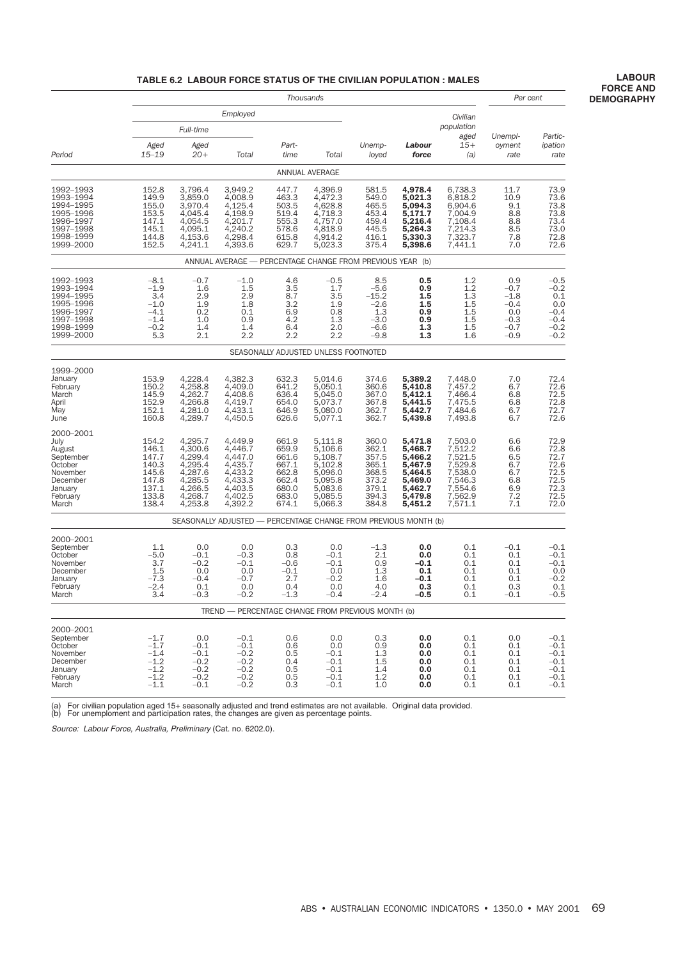#### **TABLE 6.2 LABOUR FORCE STATUS OF THE CIVILIAN POPULATION : MALES**

**LABOUR FORCE AND DEMOGRAPHY**

|                        |                  | Per cent           |                                                                 |                   |                                      |                |                    |                         |                   |                         |
|------------------------|------------------|--------------------|-----------------------------------------------------------------|-------------------|--------------------------------------|----------------|--------------------|-------------------------|-------------------|-------------------------|
|                        |                  |                    | Employed                                                        |                   |                                      |                |                    | Civilian                |                   |                         |
|                        |                  | Full-time          |                                                                 |                   |                                      |                |                    | population              |                   |                         |
|                        | Aged             | Aged               |                                                                 | Part-             |                                      | Unemp-         | Labour             | aged<br>$15+$           | Unempl-<br>oyment | Partic-<br>ipation      |
| Period                 | $15 - 19$        | $20+$              | Total                                                           | time              | Total                                | loyed          | force              | (a)                     | rate              | rate                    |
|                        |                  |                    |                                                                 |                   | ANNUAL AVERAGE                       |                |                    |                         |                   |                         |
| 1992-1993<br>1993-1994 | 152.8<br>149.9   | 3,796.4<br>3,859.0 | 3,949.2<br>4,008.9                                              | 447.7<br>463.3    | 4,396.9<br>4,472.3                   | 581.5<br>549.0 | 4,978.4<br>5,021.3 | 6,738.3<br>6,818.2      | 11.7<br>10.9      | 73.9<br>73.6            |
| 1994-1995              | 155.0            | 3,970.4            | 4,125.4                                                         | 503.5             | 4,628.8                              | 465.5          | 5,094.3            | 6,904.6                 | 9.1               | 73.8                    |
| 1995-1996<br>1996-1997 | 153.5<br>147.1   | 4,045.4<br>4,054.5 | 4,198.9<br>4,201.7                                              | 519.4<br>555.3    | 4,718.3<br>4,757.0                   | 453.4<br>459.4 | 5,171.7<br>5,216.4 | 7,004.9<br>7,108.4      | 8.8<br>8.8        | 73.8<br>73.4            |
| 1997-1998<br>1998-1999 | 145.1<br>144.8   | 4,095.1<br>4,153.6 | 4,240.2<br>4,298.4                                              | 578.6<br>615.8    | 4,818.9<br>4,914.2                   | 445.5<br>416.1 | 5,264.3<br>5.330.3 | 7,214.3<br>7,323.7      | 8.5<br>7.8        | 73.0<br>72.8            |
| 1999-2000              | 152.5            | 4,241.1            | 4,393.6                                                         | 629.7             | 5,023.3                              | 375.4          | 5,398.6            | 7,441.1                 | 7.0               | 72.6                    |
|                        |                  |                    | ANNUAL AVERAGE - PERCENTAGE CHANGE FROM PREVIOUS YEAR (b)       |                   |                                      |                |                    |                         |                   |                         |
| 1992-1993              | $-8.1$<br>$-1.9$ | $-0.7$             | $-1.0$<br>1.5                                                   | 4.6               | $-0.5$<br>1.7                        | 8.5<br>$-5.6$  | 0.5<br>0.9         | 1.2                     | 0.9               | $-0.5$<br>$-0.2$<br>0.1 |
| 1993-1994<br>1994-1995 | 3.4              | 1.6<br>2.9         | 2.9                                                             | $\frac{3.5}{8.7}$ | 3.5                                  | $-15.2$        | 1.5                | 1.2<br>$\overline{1.3}$ | $-0.7$<br>$-1.8$  |                         |
| 1995-1996<br>1996-1997 | $-1.0$<br>$-4.1$ | 1.9<br>0.2         | 1.8<br>0.1                                                      | 3.2<br>6.9        | 1.9<br>0.8                           | $-2.6$<br>1.3  | 1.5<br>0.9         | 1.5<br>1.5              | $-0.4$<br>0.0     | 0.0<br>$-0.4$           |
| 1997-1998              | $-1.4$           | 1.0                | 0.9                                                             | 4.2               | $1.3\,$                              | $-3.0$         | 0.9                | 1.5                     | $-0.3$            | $-0.4$                  |
| 1998-1999<br>1999-2000 | $-0.2$<br>5.3    | 1.4<br>2.1         | 1.4<br>2.2                                                      | 6.4<br>2.2        | $^{2.0}_{2.2}$                       | -6.6<br>$-9.8$ | 1.3<br>1.3         | 1.5<br>1.6              | $-0.7$<br>$-0.9$  | $-0.2$<br>$-0.2$        |
|                        |                  |                    |                                                                 |                   | SEASONALLY ADJUSTED UNLESS FOOTNOTED |                |                    |                         |                   |                         |
| 1999-2000              |                  |                    |                                                                 |                   |                                      |                |                    |                         |                   |                         |
| January<br>February    | 153.9<br>150.2   | 4,228.4<br>4,258.8 | 4,382.3<br>4,409.0                                              | 632.3<br>641.2    | 5,014.6<br>5,050.1                   | 374.6<br>360.6 | 5,389.2<br>5,410.8 | 7,448.0<br>7,457.2      | 7.0<br>6.7        | 72.4<br>72.6            |
| March                  | 145.9            | 4,262.7<br>4,266.8 | 4,408.6                                                         | 636.4             | 5,045.0<br>5,073.7                   | 367.0          | 5.412.1            | 7,466.4                 | 6.8               | 72.5<br>72.8            |
| April<br>May           | 152.9<br>152.1   | 4,281.0            | 4,419.7<br>4,433.1                                              | 654.0<br>646.9    | 5,080.0                              | 367.8<br>362.7 | 5,441.5<br>5,442.7 | 7,475.5<br>7,484.6      | 6.8<br>6.7        | 72.7                    |
| June                   | 160.8            | 4,289.7            | 4,450.5                                                         | 626.6             | 5,077.1                              | 362.7          | 5.439.8            | 7,493.8                 | 6.7               | 72.6                    |
| 2000-2001<br>July      | 154.2            | 4,295.7            | 4,449.9                                                         | 661.9             | 5,111.8                              | 360.0          | 5,471.8            | 7,503.0                 | 6.6               | 72.9                    |
| August                 | 146.1            | 4,300.6<br>4,299.4 | 4,446.7<br>4,447.0                                              | 659.9             | 5,106.6                              | 362.1<br>357.5 | 5,468.7            | 7,512.2<br>7,521.5      | 6.6               | 72.8<br>72.7            |
| September<br>October   | 147.7<br>140.3   | 4,295.4            | 4,435.7                                                         | 661.6<br>667.1    | 5,108.7<br>5,102.8                   | 365.1          | 5,466.2<br>5,467.9 | 7,529.8                 | 6.5<br>6.7        | 72.6                    |
| November<br>December   | 145.6<br>147.8   | 4,287.6<br>4,285.5 | 4,433.2<br>4,433.3                                              | 662.8<br>662.4    | 5,096.0<br>5,095.8                   | 368.5<br>373.2 | 5,464.5<br>5,469.0 | 7,538.0<br>7,546.3      | 6.7<br>6.8        | 72.5<br>72.5            |
| January                | 137.1            | 4,266.5            | 4,403.5                                                         | 680.0             | 5,083.6                              | 379.1          | 5,462.7            | 7,554.6                 | 6.9               | $72.3$<br>$72.5$        |
| February<br>March      | 133.8<br>138.4   | 4,268.7<br>4,253.8 | 4,402.5<br>4,392.2                                              | 683.0<br>674.1    | 5,085.5<br>5,066.3                   | 394.3<br>384.8 | 5,479.8<br>5,451.2 | 7,562.9<br>7,571.1      | 7.2<br>7.1        | 72.0                    |
|                        |                  |                    | SEASONALLY ADJUSTED - PERCENTAGE CHANGE FROM PREVIOUS MONTH (b) |                   |                                      |                |                    |                         |                   |                         |
| 2000-2001              |                  |                    |                                                                 |                   |                                      |                |                    |                         |                   |                         |
| September<br>October   | 1.1<br>$-5.0$    | 0.0<br>$-0.1$      | 0.0<br>$-0.3$                                                   | 0.3<br>0.8        | 0.0<br>$-0.1$                        | $-1.3$<br>2.1  | 0.0<br>0.0         | 0.1<br>0.1              | $-0.1$<br>0.1     | $-0.1$<br>$-0.1$        |
| November               | 3.7              | $-0.2$             | $-0.1$                                                          | $-0.6$            | $-0.1$                               | 0.9            | -0.1               | 0.1                     | 0.1               |                         |
| December<br>January    | 1.5<br>$-7.3$    | 0.0<br>$-0.4$      | 0.0<br>$-0.7$                                                   | $-0.1$<br>2.7     | 0.0<br>$-0.2$                        | 1.3<br>1.6     | 0.1<br>$-0.1$      | 0.1<br>0.1              | 0.1<br>0.1        | $-0.1$<br>0.0<br>-0.2   |
| February               | $-2.4$           | 0.1                | 0.0                                                             | 0.4               | 0.0                                  | 4.0            | 0.3                | 0.1                     | 0.3               | 0.1                     |
| March                  | 3.4              | $-0.3$             | $-0.2$                                                          | $-1.3$            | $-0.4$                               | $-2.4$         | $-0.5$             | 0.1                     | $-0.1$            | $-0.5$                  |
|                        |                  |                    | TREND - PERCENTAGE CHANGE FROM PREVIOUS MONTH (b)               |                   |                                      |                |                    |                         |                   |                         |
| 2000-2001<br>September | $-1.7$           | 0.0                | $-0.1$                                                          | 0.6               | 0.0                                  | 0.3            | 0.0                | 0.1                     | 0.0               | $-0.1$                  |
| October<br>November    | $-1.7$<br>$-1.4$ | $-0.1$<br>$-0.1$   | $-0.1$<br>$-0.2$                                                | 0.6<br>0.5        | 0.0<br>$-0.1$                        | 0.9<br>1.3     | 0.0<br>0.0         | 0.1<br>0.1              | 0.1<br>0.1        | $-0.1$<br>$-0.1$        |
| December               | $-1.2$           | $-0.2$             | $-0.2$                                                          | 0.4               | $-0.1$                               | 1.5            | 0.0                | 0.1                     | 0.1               | $-0.1$                  |
| January<br>February    | $-1.2$<br>$-1.2$ | $-0.2$<br>$-0.2$   | $-0.2$<br>$-0.2$                                                | 0.5<br>0.5        | $-0.1$<br>$-0.1$                     | 1.4<br>1.2     | 0.0<br>0.0         | 0.1<br>0.1              | 0.1<br>0.1        | $-0.1$<br>$-0.1$        |
| March                  | $-1.1$           | $-0.1$             | $-0.2$                                                          | 0.3               | $-0.1$                               | 1.0            | 0.0                | 0.1                     | 0.1               | $-0.1$                  |
|                        |                  |                    |                                                                 |                   |                                      |                |                    |                         |                   |                         |

(a) For civilian population aged 15+ seasonally adjusted and trend estimates are not available. Original data provided. (b) For unemploment and participation rates, the changes are given as percentage points.

Source: Labour Force, Australia, Preliminary (Cat. no. 6202.0).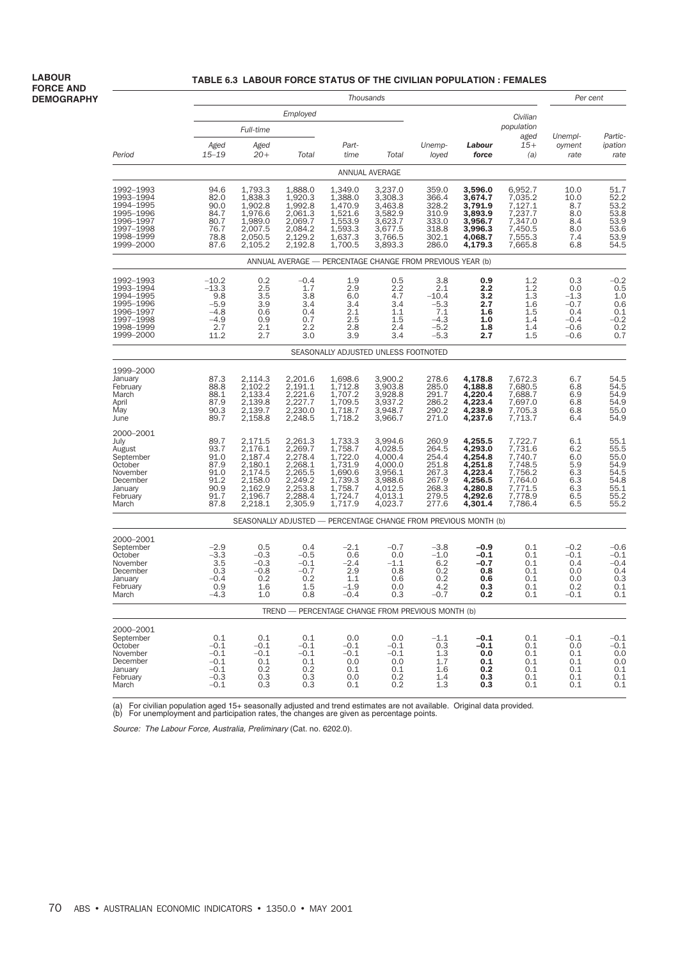#### **TABLE 6.3 LABOUR FORCE STATUS OF THE CIVILIAN POPULATION : FEMALES**

|                        | Thousands                   |                                                  |                    |                               |                                                                 |                                           |                    |                         |                                        | Per cent                             |  |  |
|------------------------|-----------------------------|--------------------------------------------------|--------------------|-------------------------------|-----------------------------------------------------------------|-------------------------------------------|--------------------|-------------------------|----------------------------------------|--------------------------------------|--|--|
|                        |                             |                                                  | Employed           |                               |                                                                 |                                           |                    | Civilian                |                                        |                                      |  |  |
|                        |                             | Full-time                                        |                    |                               |                                                                 |                                           |                    | population<br>aged      | Unempl-                                | Partic-                              |  |  |
| Period                 | Aged<br>$15 - 19$           | Aged<br>$20+$                                    | Total              | Part-<br>time                 | Total                                                           | Unemp-<br>loyed                           | Labour<br>force    | $15+$<br>(a)            | oyment<br>rate                         | ipation<br>rate                      |  |  |
|                        |                             |                                                  |                    |                               | ANNUAL AVERAGE                                                  |                                           |                    |                         |                                        |                                      |  |  |
| 1992-1993              | 94.6                        | 1,793.3                                          | 1,888.0            | 1,349.0                       | 3,237.0                                                         | 359.0                                     | 3,596.0            | 6,952.7                 | 10.0                                   |                                      |  |  |
| 1993-1994<br>1994-1995 | 82.0<br>90.0                | 1,838.3<br>1,902.8                               | 1,920.3<br>1,992.8 | 1,388.0<br>1,470.9            | 3,308.3<br>3,463.8                                              | 366.4<br>328.2                            | 3,674.7<br>3,791.9 | 7,035.2<br>7,127.1      | 10.0<br>8.7                            | 51.7<br>52.2<br>53.2                 |  |  |
| 1995-1996<br>1996–1997 | 84.7<br>80.7                | 1,976.6<br>1,989.0                               | 2,061.3<br>2,069.7 | 1,521.6<br>1,553.9            | 3,582.9<br>3,623.7                                              | 310.9<br>333.0                            | 3,893.9<br>3,956.7 | 7,237.7<br>7,347.0      | 8.0<br>8.4                             | 53.8<br>53.9<br>53.6                 |  |  |
| 1997-1998<br>1998-1999 | 76.7                        | 2,007.5                                          | 2,084.2            | 1,593.3                       | 3,677.5                                                         | 318.8                                     | 3,996.3            | 7,450.5                 | 8.0                                    |                                      |  |  |
| 1999-2000              | 78.8<br>87.6                | 2,050.5<br>2,105.2                               | 2,129.2<br>2,192.8 | 1,637.3<br>1,700.5            | 3,766.5<br>3,893.3                                              | 302.1<br>286.0                            | 4,068.7<br>4,179.3 | 7,555.3<br>7,665.8      | 7.4<br>6.8                             | 53.9<br>54.5                         |  |  |
|                        |                             |                                                  |                    |                               | ANNUAL AVERAGE - PERCENTAGE CHANGE FROM PREVIOUS YEAR (b)       |                                           |                    |                         |                                        |                                      |  |  |
| 1992-1993<br>1993-1994 | $-10.2$<br>$-13.3$          | $\begin{array}{c} 0.2 \\ 2.5 \\ 3.5 \end{array}$ | $-0.4$<br>1.7      | $^{1.9}_{2.9}$                | $\begin{array}{c} 0.5 \\ 2.2 \\ 4.7 \end{array}$                | 3.8<br>$2.1\,$                            | 0.9<br>2.2         | $1.2$<br>$1.2$<br>$1.3$ | 0.3<br>0.0                             | $-0.2$<br>0.5<br>1.0                 |  |  |
| 1994-1995<br>1995-1996 | 9.8<br>$-5.9$               | 3.9                                              | 3.8<br>3.4         | 6.0<br>3.4                    | 3.4                                                             | $-10.4$<br>$-5.3$                         | 3.2<br>2.7         | 1.6                     | $-1.3$<br>$-0.7$                       | 0.6                                  |  |  |
| 1996-1997              | $-4.8$                      | 0.6                                              | 0.4                | 2.1                           | 1.1                                                             | 7.1                                       | 1.6                | 1.5                     | 0.4                                    | 0.1                                  |  |  |
| 1997-1998<br>1998-1999 | $-4.9$<br>2.7               | 0.9<br>2.1                                       | 0.7<br>2.2         | 2.5<br>2.8                    | 1.5<br>2.4                                                      | $-4.3$<br>$-5.2$                          | 1.0<br>1.8         | 1.4<br>1.4              | $-0.4$<br>$-0.6$                       | $-0.2$<br>0.2<br>0.7                 |  |  |
| 1999-2000              | 11.2                        | 2.7                                              | 3.0                | 3.9                           | 3.4                                                             | $-5.3$                                    | 2.7                | 1.5                     | $-0.6$                                 |                                      |  |  |
|                        |                             |                                                  |                    |                               | SEASONALLY ADJUSTED UNLESS FOOTNOTED                            |                                           |                    |                         |                                        |                                      |  |  |
| 1999-2000<br>January   | 87.3                        | 2,114.3                                          | 2,201.6            |                               | 3,900.2                                                         | 278.6                                     | 4,178.8            | 7,672.3                 | 6.7                                    |                                      |  |  |
| February<br>March      | 88.8<br>88.1                | 2,102.2<br>2,133.4                               | 2,191.1<br>2,221.6 | 1,698.6<br>1,712.8<br>1,707.2 | 3,903.8<br>3,928.8                                              | 285.0<br>291.7                            | 4,188.8<br>4,220.4 | 7,680.5<br>7,688.7      | 6.8<br>6.9                             | 54.5<br>54.5                         |  |  |
| April                  | 87.9                        | 2,139.8                                          | 2,227.7            | 1,709.5                       | 3,937.2                                                         | 286.2                                     | 4,223.4            | 7,697.0                 | 6.8                                    | 54.9<br>54.9<br>55.0                 |  |  |
| May<br>June            | 90.3<br>89.7                | 2,139.7<br>2,158.8                               | 2,230.0<br>2,248.5 | 1,718.7<br>1,718.2            | 3,948.7<br>3,966.7                                              | 290.2<br>271.0                            | 4,238.9<br>4,237.6 | 7,705.3<br>7,713.7      | 6.8<br>6.4                             | 54.9                                 |  |  |
| 2000-2001<br>July      | 89.7                        | 2,171.5                                          | 2,261.3            | 1,733.3                       | 3,994.6                                                         | 260.9                                     | 4,255.5            | 7,722.7                 | 6.1                                    | 55.1                                 |  |  |
| August                 | 93.7<br>91.0                | 2,176.1                                          | 2,269.7<br>2,278.4 | 1,758.7                       | 4,028.5<br>4,000.4                                              | 264.5<br>254.4                            | 4,293.0            | 7,731.6                 |                                        |                                      |  |  |
| September<br>October   | 87.9                        | 2,187.4<br>2,180.1                               | 2,268.1            | 1,722.0<br>1,731.9            | 4,000.0                                                         | 251.8                                     | 4,254.8<br>4,251.8 | 7,740.7<br>7,748.5      | 6.2<br>6.0<br>5.9<br>6.3<br>6.3<br>6.3 | 55.5<br>55.0<br>54.9<br>54.8<br>55.1 |  |  |
| November<br>December   | 91.0<br>91.2                | 2,174.5<br>2,158.0                               | 2,265.5<br>2,249.2 | 1,690.6<br>1,739.3            | 3,956.1<br>3,988.6                                              | 267.3<br>267.9                            | 4,223.4<br>4,256.5 | 7,756.2<br>7,764.0      |                                        |                                      |  |  |
| January<br>February    | 90.9<br>91.7                | 2,162.9<br>2,196.7                               | 2,253.8<br>2,288.4 | 1,758.7<br>1,724.7            | 4,012.5<br>4,013.1                                              | 268.3<br>279.5                            | 4,280.8<br>4,292.6 | 7,771.5<br>7,778.9      | 6.5                                    | 55.2                                 |  |  |
| March                  | 87.8                        | 2,218.1                                          | 2,305.9            | 1,717.9                       | 4,023.7                                                         | 277.6                                     | 4,301.4            | 7,786.4                 | 6.5                                    | 55.2                                 |  |  |
|                        |                             |                                                  |                    |                               | SEASONALLY ADJUSTED - PERCENTAGE CHANGE FROM PREVIOUS MONTH (b) |                                           |                    |                         |                                        |                                      |  |  |
| 2000-2001<br>September |                             | 0.5                                              | 0.4                | $-2.1$                        | $-0.7$                                                          | $-3.8$                                    | -0.9               | 0.1                     | $-0.2$                                 | $-0.6$                               |  |  |
| October<br>November    | $-2.9$<br>$-3.3$<br>$3.5\,$ | $-0.3$<br>$-0.3$                                 | $-0.5$<br>$-0.1$   | 0.6<br>$-2.4$                 | 0.0<br>$-1.1$                                                   | $-1.0$<br>6.2                             | -0.1<br>$-0.7$     | 0.1<br>0.1              | $-0.1$<br>0.4                          | $-0.1$<br>$-0.4$                     |  |  |
| December               | 0.3                         | $-0.8$                                           | $-0.7$             | 2.9                           | 0.8                                                             | $0.2$<br>$0.2$                            | 0.8                | 0.1                     | 0.0                                    | 0.4                                  |  |  |
| January<br>February    | $-0.4$<br>0.9               | 0.2<br>1.6                                       | 0.2<br>1.5         | 1.1<br>$-1.9$                 | 0.6<br>0.0                                                      | 4.2                                       | 0.6<br>0.3         | 0.1<br>0.1              | 0.0<br>0.2                             | 0.3<br>0.1                           |  |  |
| March                  | $-4.3$                      | 1.0                                              | 0.8                | $-0.4$                        | 0.3                                                             | $-0.7$                                    | 0.2                | 0.1                     | $-0.1$                                 | 0.1                                  |  |  |
|                        |                             |                                                  |                    |                               | TREND - PERCENTAGE CHANGE FROM PREVIOUS MONTH (b)               |                                           |                    |                         |                                        |                                      |  |  |
| 2000-2001<br>September | 0.1                         | 0.1                                              | 0.1                | 0.0                           | 0.0                                                             | $-1.1$                                    | $-0.1$             | 0.1                     | $-0.1$                                 |                                      |  |  |
| October<br>November    | $-0.1$<br>$-0.1$            | $-0.1$<br>$-0.1$                                 | $-0.1$<br>$-0.1$   | $-0.1$<br>$-0.1$              | $-0.1$<br>$-0.1$                                                | $\begin{array}{c} 0.3 \\ 1.3 \end{array}$ | $-0.1$<br>0.0      | 0.1<br>0.1              | 0.0<br>0.1                             | $-0.1$<br>$-0.1$<br>0.0              |  |  |
| December<br>January    | $-0.1$<br>$-0.1$            | 0.1<br>0.2                                       | 0.1                | 0.0<br>0.1                    | 0.0<br>0.1                                                      | 1.7<br>1.6                                | 0.1<br>0.2         | 0.1<br>0.1              | 0.1<br>0.1                             | $0.0$<br>$0.1$<br>$0.1$              |  |  |
| February               | $-0.3$                      | 0.3                                              | ${}^{0.2}_{0.3}$   | 0.0                           | 0.2                                                             | 1.4                                       | 0.3                | 0.1                     | 0.1                                    |                                      |  |  |
| March                  | $-0.1$                      | 0.3                                              | 0.3                | 0.1                           | 0.2                                                             | 1.3                                       | 0.3                | 0.1                     | 0.1                                    | 0.1                                  |  |  |

(a) For civilian population aged 15+ seasonally adjusted and trend estimates are not available. Original data provided. (b) For unemployment and participation rates, the changes are given as percentage points.

Source: The Labour Force, Australia, Preliminary (Cat. no. 6202.0).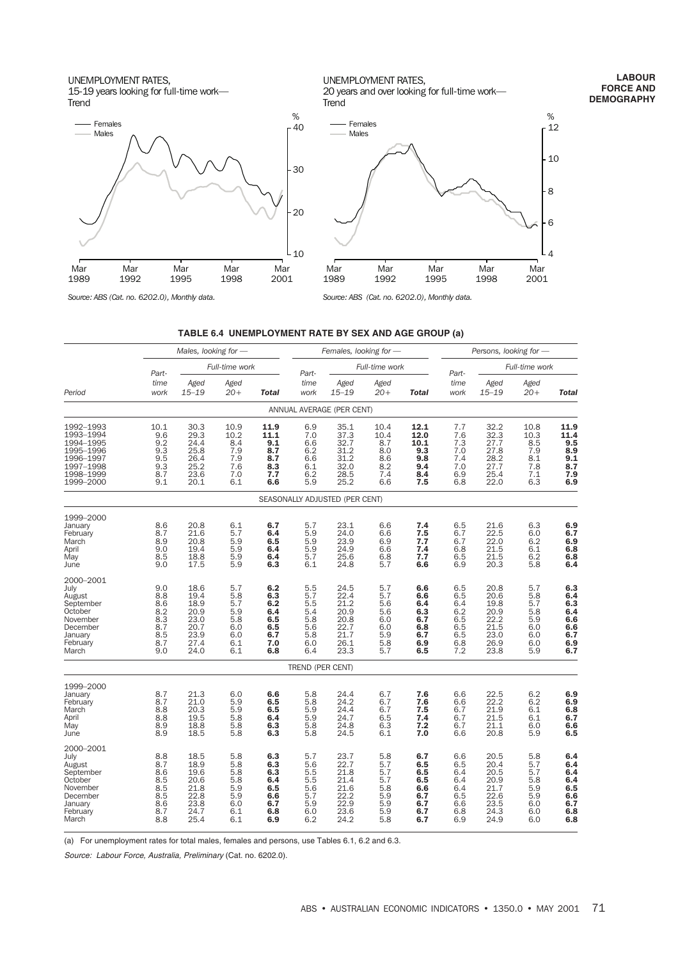UNEMPLOYMENT RATES, 15-19 years looking for full-time work— Trend



UNEMPLOYMENT RATES, 20 years and over looking for full-time work— **Trend** 



*Source: ABS (Cat. no. 6202.0), Monthly data.*

#### **TABLE 6.4 UNEMPLOYMENT RATE BY SEX AND AGE GROUP (a)**

|                                                                                                             |                                                                 | Females, looking for -                                               |                                                                    |                                                             |                                                             | Persons, looking for -                                               |                                                             |                                                             |                                                                          |                                                                      |                                                                                       |                                                                           |
|-------------------------------------------------------------------------------------------------------------|-----------------------------------------------------------------|----------------------------------------------------------------------|--------------------------------------------------------------------|-------------------------------------------------------------|-------------------------------------------------------------|----------------------------------------------------------------------|-------------------------------------------------------------|-------------------------------------------------------------|--------------------------------------------------------------------------|----------------------------------------------------------------------|---------------------------------------------------------------------------------------|---------------------------------------------------------------------------|
|                                                                                                             | Part-                                                           |                                                                      | Full-time work                                                     |                                                             | Part-                                                       | Full-time work                                                       |                                                             |                                                             |                                                                          |                                                                      | Full-time work                                                                        |                                                                           |
| Period                                                                                                      | time<br>work                                                    | Aged<br>$15 - 19$                                                    | Aged<br>$20 +$                                                     | <b>Total</b>                                                | time<br>work                                                | Aged<br>$15 - 19$                                                    | Aged<br>$20 +$                                              | <b>Total</b>                                                | Part-<br>time<br>work                                                    | Aged<br>$15 - 19$                                                    | Aged<br>$20 +$                                                                        | <b>Total</b>                                                              |
|                                                                                                             |                                                                 |                                                                      |                                                                    |                                                             |                                                             | ANNUAL AVERAGE (PER CENT)                                            |                                                             |                                                             |                                                                          |                                                                      |                                                                                       |                                                                           |
| 1992-1993<br>1993-1994<br>1994-1995<br>1995-1996<br>1996-1997<br>1997-1998<br>1998-1999<br>1999-2000        | 10.1<br>$\frac{9.6}{9.2}$<br>9.3<br>9.5<br>9.3<br>8.7<br>9.1    | 30.3<br>$\frac{29.3}{24.4}$<br>25.8<br>26.4<br>25.2<br>23.6<br>20.1  | 10.9<br>10.2<br>8.4<br>7.9<br>7.9<br>7.6<br>7.0<br>6.1             | 11.9<br>11.1<br>9.1<br>8.7<br>8.7<br>8.3<br>7.7<br>6.6      | 6.9<br>7.0<br>6.6<br>6.2<br>6.6<br>6.1<br>$6.2$<br>$5.9$    | 35.1<br>37.3<br>32.7<br>$31.2$<br>$31.2$<br>32.0<br>28.5<br>25.2     | 10.4<br>10.4<br>8.7<br>8.0<br>8.6<br>8.2<br>7.4<br>6.6      | 12.1<br>12.0<br>10.1<br>9.3<br>9.8<br>9.4<br>8.4<br>7.5     | 7.7<br>$7.6$<br>$7.3$<br>7.0<br>7.4<br>7.0<br>6.9<br>6.8                 | 32.2<br>$\frac{32.3}{27.7}$<br>27.8<br>28.2<br>27.7<br>25.4<br>22.0  | 10.8<br>10.3<br>8.5<br>7.9<br>8.1<br>7.8<br>$\begin{array}{c} 7.1 \\ 6.3 \end{array}$ | $11.9$<br>$11.4$<br>$9.5$<br>$8.9$<br>$9.1$<br>8.7<br>$7.9$<br>$6.9$      |
|                                                                                                             |                                                                 |                                                                      |                                                                    |                                                             |                                                             | SEASONALLY ADJUSTED (PER CENT)                                       |                                                             |                                                             |                                                                          |                                                                      |                                                                                       |                                                                           |
| 1999-2000<br>January<br>February<br>March<br>April<br>May<br>June                                           | 8.6<br>8.7<br>8.9<br>9.0<br>8.5<br>9.0                          | $20.8$<br>21.6<br>20.8<br>19.4<br>18.8<br>17.5                       | 6.1<br>5.7<br>5.9<br>5.9<br>5.9<br>5.9                             | 6.7<br>6.4<br>6.5<br>6.4<br>6.4<br>6.3                      | 5.7<br>5.9<br>5.9<br>$\frac{5.9}{5.7}$<br>6.1               | 23.1<br>24.0<br>23.9<br>24.9<br>25.6<br>24.8                         | 6.6<br>6.6<br>6.9<br>6.6<br>6.8<br>5.7                      | 7.4<br>7.5<br>7.7<br>7.4<br>7.7<br>6.6                      | 6.5<br>6.7<br>6.7<br>$6.8$<br>$6.5$<br>6.9                               | 21.6<br>22.5<br>22.0<br>21.5<br>21.5<br>20.3                         | 6.3<br>6.0<br>6.2<br>6.1<br>6.2<br>5.8                                                | $6.9$<br>$6.7$<br>$6.9$<br>$6.8$<br>6.8<br>6.4                            |
| 2000-2001<br>July<br>August<br>September<br>October<br>November<br>December<br>January<br>February<br>March | 9.0<br>8.8<br>8.6<br>$8.2$<br>$8.3$<br>8.7<br>8.5<br>8.7<br>9.0 | 18.6<br>19.4<br>18.9<br>20.9<br>23.0<br>20.7<br>23.9<br>27.4<br>24.0 | 5.7<br>5.8<br>5.7<br>$\frac{5.9}{5.8}$<br>6.0<br>6.0<br>6.1<br>6.1 | 6.2<br>6.3<br>6.2<br>6.4<br>6.5<br>6.5<br>6.7<br>7.0<br>6.8 | 5.5<br>5.7<br>5.5<br>5.4<br>5.8<br>5.6<br>5.8<br>6.0<br>6.4 | 24.5<br>22.4<br>21.2<br>20.9<br>20.8<br>22.7<br>21.7<br>26.1<br>23.3 | 5.7<br>5.7<br>5.6<br>5.6<br>6.0<br>6.0<br>5.9<br>5.8<br>5.7 | 6.6<br>6.6<br>6.4<br>6.3<br>6.7<br>6.8<br>6.7<br>6.9<br>6.5 | 6.5<br>6.5<br>6.4<br>6.2<br>$6.\overline{5}$<br>6.5<br>6.5<br>6.8<br>7.2 | 20.8<br>20.6<br>19.8<br>20.9<br>22.2<br>21.5<br>23.0<br>26.9<br>23.8 | 5.7<br>5.8<br>5.7<br>5.8<br>5.9<br>6.0<br>6.0<br>6.0<br>5.9                           | 6.3<br>6.4<br>$6.3$<br>$6.4$<br>$6.6$<br>$6.6$<br>$6.7$<br>$6.9$<br>$6.7$ |
|                                                                                                             |                                                                 |                                                                      |                                                                    |                                                             | TREND (PER CENT)                                            |                                                                      |                                                             |                                                             |                                                                          |                                                                      |                                                                                       |                                                                           |
| 1999-2000<br>January<br>February<br>March<br>April<br>May<br>June                                           | 8.7<br>8.7<br>8.8<br>8.8<br>8.9<br>8.9                          | 21.3<br>21.0<br>20.3<br>19.5<br>18.8<br>18.5                         | 6.0<br>5.9<br>5.9<br>$\frac{5.8}{5.8}$<br>5.8                      | 6.6<br>6.5<br>6.5<br>6.4<br>6.3<br>6.3                      | 5.8<br>5.8<br>5.9<br>5.9<br>5.8<br>5.8                      | 24.4<br>24.2<br>24.4<br>24.7<br>24.8<br>24.5                         | 6.7<br>6.7<br>6.7<br>6.5<br>6.3<br>6.1                      | 7.6<br>7.6<br>7.5<br>7.4<br>7.2<br>7.0                      | 6.6<br>6.6<br>6.7<br>6.7<br>6.7<br>6.6                                   | 22.5<br>22.2<br>21.9<br>21.5<br>21.1<br>20.8                         | 6.2<br>6.2<br>6.1<br>6.1<br>6.0<br>5.9                                                | 6.9<br>6.9<br>6.8<br>6.7<br>$6.6$<br>$6.5$                                |
| 2000-2001<br>July<br>August<br>September<br>October<br>November<br>December<br>January<br>February<br>March | 8.8<br>8.7<br>8.6<br>8.5<br>8.5<br>8.5<br>8.6<br>8.7<br>8.8     | 18.5<br>18.9<br>19.6<br>20.6<br>21.8<br>22.8<br>23.8<br>24.7<br>25.4 | $\frac{5.8}{5.8}$<br>5.8<br>5.8<br>5.9<br>5.9<br>6.0<br>6.1<br>6.1 | 6.3<br>6.3<br>6.3<br>6.4<br>6.5<br>6.6<br>6.7<br>6.8<br>6.9 | 5.7<br>5.6<br>5.5<br>5.5<br>5.6<br>5.7<br>5.9<br>6.0<br>6.2 | 23.7<br>22.7<br>21.8<br>21.4<br>21.6<br>22.2<br>22.9<br>23.6<br>24.2 | 5.8<br>5.7<br>5.7<br>5.7<br>5.8<br>5.9<br>5.9<br>5.9<br>5.8 | 6.7<br>6.5<br>6.5<br>6.5<br>6.6<br>6.7<br>6.7<br>6.7<br>6.7 | 6.6<br>6.5<br>6.4<br>6.4<br>6.4<br>6.5<br>6.6<br>6.8<br>6.9              | 20.5<br>20.4<br>20.5<br>20.9<br>21.7<br>22.6<br>23.5<br>24.3<br>24.9 | 5.8<br>5.7<br>5.7<br>5.8<br>5.9<br>5.9<br>6.0<br>6.0<br>6.0                           | 6.4<br>6.4<br>6.4<br>$6.4$<br>$6.5$<br>$6.6$<br>$6.7$<br>6.8<br>6.8       |

(a) For unemployment rates for total males, females and persons, use Tables 6.1, 6.2 and 6.3.

Source: Labour Force, Australia, Preliminary (Cat. no. 6202.0).

**LABOUR FORCE AND DEMOGRAPHY**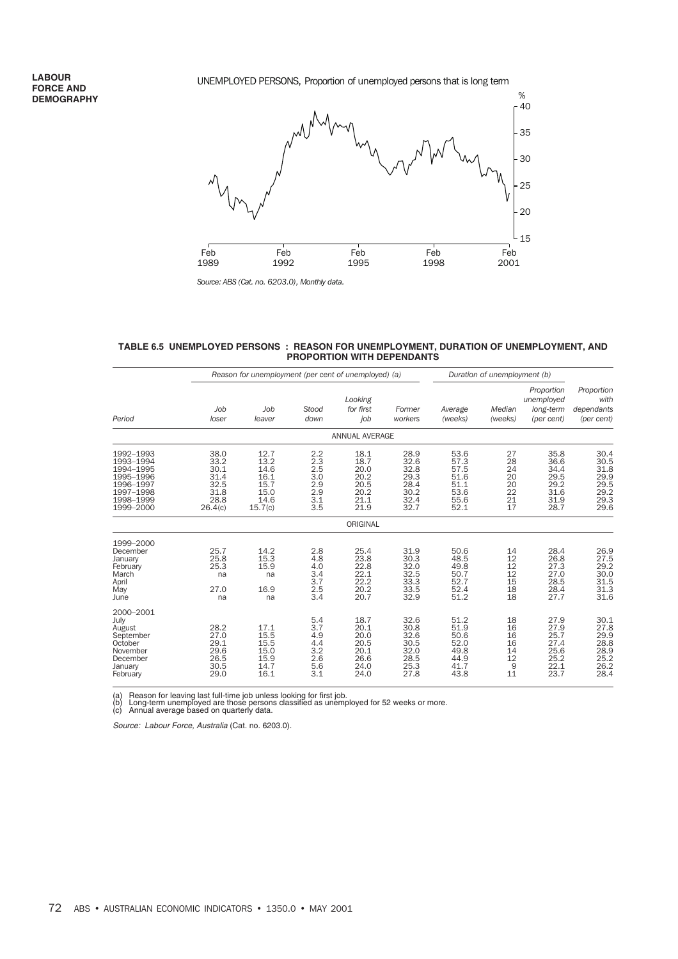**LABOUR FORCE AND DEMOGRAPHY**

# UNEMPLOYED PERSONS, Proportion of unemployed persons that is long term



*Source: ABS (Cat. no. 6203.0), Monthly data.*

#### **TABLE 6.5 UNEMPLOYED PERSONS : REASON FOR UNEMPLOYMENT, DURATION OF UNEMPLOYMENT, AND PROPORTION WITH DEPENDANTS**

|                                                                                                      |                                                                 | Reason for unemployment (per cent of unemployed) (a)            |                                                      | Duration of unemployment (b)                                 |                                                              |                                                              |                                              |                                                              |                                                              |
|------------------------------------------------------------------------------------------------------|-----------------------------------------------------------------|-----------------------------------------------------------------|------------------------------------------------------|--------------------------------------------------------------|--------------------------------------------------------------|--------------------------------------------------------------|----------------------------------------------|--------------------------------------------------------------|--------------------------------------------------------------|
| Period                                                                                               | Job<br>loser                                                    | Job<br>leaver                                                   | Stood<br>down                                        | Looking<br>for first<br>job                                  | Former<br>workers                                            | Average<br>(weeks)                                           | Median<br>(weeks)                            | Proportion<br>unemployed<br>long-term<br>(per cent)          | Proportion<br>with<br>dependants<br>(per cent)               |
|                                                                                                      |                                                                 |                                                                 |                                                      | <b>ANNUAL AVERAGE</b>                                        |                                                              |                                                              |                                              |                                                              |                                                              |
| 1992-1993<br>1993-1994<br>1994-1995<br>1995-1996<br>1996-1997<br>1997-1998<br>1998-1999<br>1999-2000 | 38.0<br>33.2<br>30.1<br>31.4<br>32.5<br>31.8<br>28.8<br>26.4(c) | 12.7<br>13.2<br>14.6<br>16.1<br>15.7<br>15.0<br>14.6<br>15.7(c) | 2.2<br>2.3<br>2.5<br>3.0<br>2.9<br>2.9<br>3.1<br>3.5 | 18.1<br>18.7<br>20.0<br>20.2<br>20.5<br>20.2<br>21.1<br>21.9 | 28.9<br>32.6<br>32.8<br>29.3<br>28.4<br>30.2<br>32.4<br>32.7 | 53.6<br>57.3<br>57.5<br>51.6<br>51.1<br>53.6<br>55.6<br>52.1 | 27<br>28<br>24<br>20<br>20<br>22<br>21<br>17 | 35.8<br>36.6<br>34.4<br>29.5<br>29.2<br>31.6<br>31.9<br>28.7 | 30.4<br>30.5<br>31.8<br>29.9<br>29.5<br>29.2<br>29.3<br>29.6 |
|                                                                                                      |                                                                 |                                                                 |                                                      | ORIGINAL                                                     |                                                              |                                                              |                                              |                                                              |                                                              |
| 1999-2000<br>December<br>January<br>February<br>March<br>April<br>May<br>June                        | 25.7<br>25.8<br>25.3<br>na<br>27.0<br>na                        | 14.2<br>15.3<br>15.9<br>na<br>16.9<br>na                        | 2.8<br>4.8<br>4.0<br>3.4<br>3.7<br>2.5<br>3.4        | 25.4<br>23.8<br>22.8<br>22.1<br>22.2<br>20.2<br>20.7         | 31.9<br>30.3<br>32.0<br>32.5<br>33.3<br>33.5<br>32.9         | 50.6<br>48.5<br>49.8<br>50.7<br>52.7<br>52.4<br>51.2         | 14<br>12<br>12<br>12<br>15<br>18<br>18       | 28.4<br>26.8<br>27.3<br>27.0<br>28.5<br>28.4<br>27.7         | 26.9<br>27.5<br>29.2<br>30.0<br>31.5<br>31.3<br>31.6         |
| 2000-2001<br>July<br>August<br>September<br>October<br>November<br>December<br>January<br>February   | 28.2<br>27.0<br>29.1<br>29.6<br>26.5<br>30.5<br>29.0            | 17.1<br>15.5<br>15.5<br>15.0<br>15.9<br>14.7<br>16.1            | 5.4<br>3.7<br>4.9<br>4.4<br>3.2<br>2.6<br>5.6<br>3.1 | 18.7<br>20.1<br>20.0<br>20.5<br>20.1<br>26.6<br>24.0<br>24.0 | 32.6<br>30.8<br>32.6<br>30.5<br>32.0<br>28.5<br>25.3<br>27.8 | 51.2<br>51.9<br>50.6<br>52.0<br>49.8<br>44.9<br>41.7<br>43.8 | 18<br>16<br>16<br>16<br>14<br>12<br>9<br>11  | 27.9<br>27.9<br>25.7<br>27.4<br>25.6<br>25.2<br>22.1<br>23.7 | 30.1<br>27.8<br>29.9<br>28.8<br>28.9<br>25.2<br>26.2<br>28.4 |

(a) Reason for leaving last full-time job unless looking for first job. (b) Long-term unemployed are those persons classified as unemployed for 52 weeks or more. (c) Annual average based on quarterly data.

Source: Labour Force, Australia (Cat. no. 6203.0).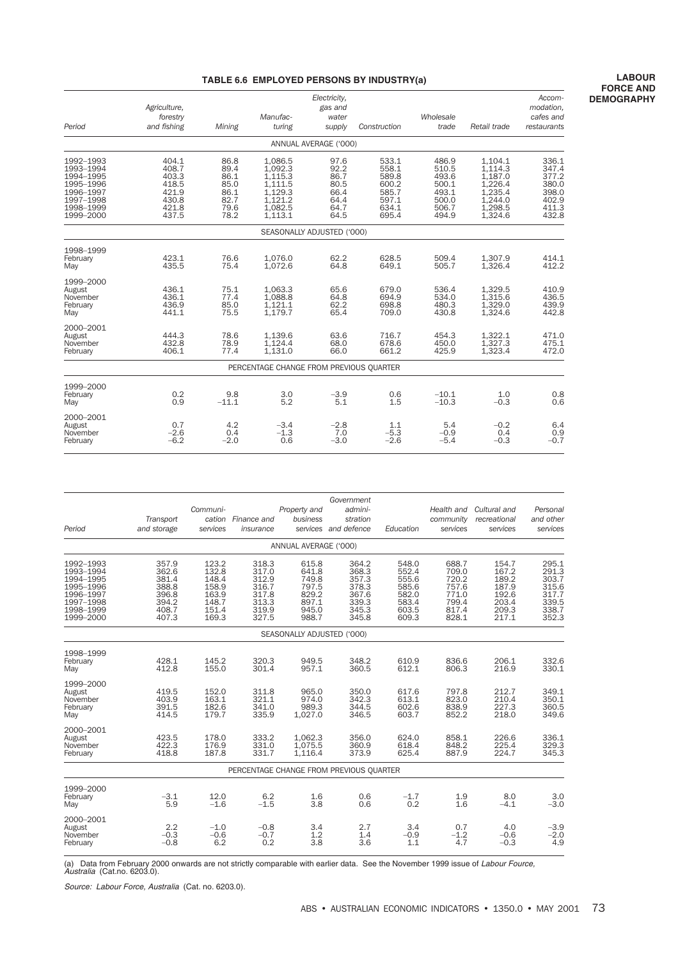### **TABLE 6.6 EMPLOYED PERSONS BY INDUSTRY(a)**

| Period                                                                                               | Agriculture,<br>forestry<br>and fishing                              | Mining                                                       | Manufac-<br>turing                                                                   | Electricity,<br>gas and<br>water<br>supply                   | Construction                                                         | Wholesale<br>trade                                                   | Retail trade                                                                         | Accom-<br>modation,<br>cafes and<br>restaurants                      |
|------------------------------------------------------------------------------------------------------|----------------------------------------------------------------------|--------------------------------------------------------------|--------------------------------------------------------------------------------------|--------------------------------------------------------------|----------------------------------------------------------------------|----------------------------------------------------------------------|--------------------------------------------------------------------------------------|----------------------------------------------------------------------|
|                                                                                                      |                                                                      |                                                              |                                                                                      | ANNUAL AVERAGE ('000)                                        |                                                                      |                                                                      |                                                                                      |                                                                      |
| 1992-1993<br>1993-1994<br>1994-1995<br>1995-1996<br>1996-1997<br>1997-1998<br>1998-1999<br>1999-2000 | 404.1<br>408.7<br>403.3<br>418.5<br>421.9<br>430.8<br>421.8<br>437.5 | 86.8<br>89.4<br>86.1<br>85.0<br>86.1<br>82.7<br>79.6<br>78.2 | 1.086.5<br>1.092.3<br>1.115.3<br>1,111.5<br>1,129.3<br>1,121.2<br>1,082.5<br>1,113.1 | 97.6<br>92.2<br>86.7<br>80.5<br>66.4<br>64.4<br>64.7<br>64.5 | 533.1<br>558.1<br>589.8<br>600.2<br>585.7<br>597.1<br>634.1<br>695.4 | 486.9<br>510.5<br>493.6<br>500.1<br>493.1<br>500.0<br>506.7<br>494.9 | 1.104.1<br>1.114.3<br>1,187.0<br>1,226.4<br>1,235.4<br>1,244.0<br>1.298.5<br>1,324.6 | 336.1<br>347.4<br>377.2<br>380.0<br>398.0<br>402.9<br>411.3<br>432.8 |
|                                                                                                      |                                                                      |                                                              | SEASONALLY ADJUSTED ('000)                                                           |                                                              |                                                                      |                                                                      |                                                                                      |                                                                      |
| 1998-1999<br>February<br>May                                                                         | 423.1<br>435.5                                                       | 76.6<br>75.4                                                 | 1,076.0<br>1,072.6                                                                   | 62.2<br>64.8                                                 | 628.5<br>649.1                                                       | 509.4<br>505.7                                                       | 1,307.9<br>1,326.4                                                                   | 414.1<br>412.2                                                       |
| 1999-2000<br>August<br>November<br>February<br>May                                                   | 436.1<br>436.1<br>436.9<br>441.1                                     | 75.1<br>77.4<br>85.0<br>75.5                                 | 1.063.3<br>1,088.8<br>1.121.1<br>1,179.7                                             | 65.6<br>64.8<br>62.2<br>65.4                                 | 679.0<br>694.9<br>698.8<br>709.0                                     | 536.4<br>534.0<br>480.3<br>430.8                                     | 1.329.5<br>1,315.6<br>1,329.0<br>1,324.6                                             | 410.9<br>436.5<br>439.9<br>442.8                                     |
| 2000-2001<br>August<br>November<br>February                                                          | 444.3<br>432.8<br>406.1                                              | 78.6<br>78.9<br>77.4                                         | 1.139.6<br>1,124.4<br>1,131.0                                                        | 63.6<br>68.0<br>66.0                                         | 716.7<br>678.6<br>661.2                                              | 454.3<br>450.0<br>425.9                                              | 1,322.1<br>1,327.3<br>1,323.4                                                        | 471.0<br>475.1<br>472.0                                              |
|                                                                                                      |                                                                      |                                                              | PERCENTAGE CHANGE FROM PREVIOUS QUARTER                                              |                                                              |                                                                      |                                                                      |                                                                                      |                                                                      |
| 1999-2000<br>February<br>May                                                                         | 0.2<br>0.9                                                           | 9.8<br>$-11.1$                                               | 3.0<br>5.2                                                                           | $-3.9$<br>5.1                                                | 0.6<br>1.5                                                           | $-10.1$<br>$-10.3$                                                   | 1.0<br>$-0.3$                                                                        | 0.8<br>0.6                                                           |
| 2000-2001<br>August<br>November<br>February                                                          | 0.7<br>$-2.6$<br>$-6.2$                                              | 4.2<br>0.4<br>$-2.0$                                         | $-3.4$<br>$-1.3$<br>0.6                                                              | $-2.8$<br>7.0<br>$-3.0$                                      | 1.1<br>$-5.3$<br>$-2.6$                                              | 5.4<br>$-0.9$<br>$-5.4$                                              | $-0.2$<br>0.4<br>$-0.3$                                                              | 6.4<br>0.9<br>$-0.7$                                                 |

| Period                                                                                               | Transport<br>and storage                                             | Communi-<br>services                                                 | cation Finance and<br>insurance                                      | Property and<br>business                                             | Government<br>admini-<br>stration<br>services and defence            | Education                                                            | Health and<br>community<br>services                                  | Cultural and<br>recreational<br>services                             | Personal<br>and other<br>services                                    |
|------------------------------------------------------------------------------------------------------|----------------------------------------------------------------------|----------------------------------------------------------------------|----------------------------------------------------------------------|----------------------------------------------------------------------|----------------------------------------------------------------------|----------------------------------------------------------------------|----------------------------------------------------------------------|----------------------------------------------------------------------|----------------------------------------------------------------------|
|                                                                                                      |                                                                      |                                                                      |                                                                      | ANNUAL AVERAGE ('000)                                                |                                                                      |                                                                      |                                                                      |                                                                      |                                                                      |
| 1992-1993<br>1993-1994<br>1994-1995<br>1995-1996<br>1996-1997<br>1997-1998<br>1998-1999<br>1999-2000 | 357.9<br>362.6<br>381.4<br>388.8<br>396.8<br>394.2<br>408.7<br>407.3 | 123.2<br>132.8<br>148.4<br>158.9<br>163.9<br>148.7<br>151.4<br>169.3 | 318.3<br>317.0<br>312.9<br>316.7<br>317.8<br>313.3<br>319.9<br>327.5 | 615.8<br>641.8<br>749.8<br>797.5<br>829.2<br>897.1<br>945.0<br>988.7 | 364.2<br>368.3<br>357.3<br>378.3<br>367.6<br>339.3<br>345.3<br>345.8 | 548.0<br>552.4<br>555.6<br>585.6<br>582.0<br>583.4<br>603.5<br>609.3 | 688.7<br>709.0<br>720.2<br>757.6<br>771.0<br>799.4<br>817.4<br>828.1 | 154.7<br>167.2<br>189.2<br>187.9<br>192.6<br>203.4<br>209.3<br>217.1 | 295.1<br>291.3<br>303.7<br>315.6<br>317.7<br>339.5<br>338.7<br>352.3 |
|                                                                                                      |                                                                      |                                                                      |                                                                      | SEASONALLY ADJUSTED ('000)                                           |                                                                      |                                                                      |                                                                      |                                                                      |                                                                      |
| 1998-1999<br>February<br>May                                                                         | 428.1<br>412.8                                                       | 145.2<br>155.0                                                       | 320.3<br>301.4                                                       | 949.5<br>957.1                                                       | 348.2<br>360.5                                                       | 610.9<br>612.1                                                       | 836.6<br>806.3                                                       | 206.1<br>216.9                                                       | 332.6<br>330.1                                                       |
| 1999-2000<br>August<br>November<br>February<br>May                                                   | 419.5<br>403.9<br>391.5<br>414.5                                     | 152.0<br>163.1<br>182.6<br>179.7                                     | 311.8<br>321.1<br>341.0<br>335.9                                     | 965.0<br>974.0<br>989.3<br>1,027.0                                   | 350.0<br>342.3<br>344.5<br>346.5                                     | 617.6<br>613.1<br>602.6<br>603.7                                     | 797.8<br>823.0<br>838.9<br>852.2                                     | 212.7<br>210.4<br>227.3<br>218.0                                     | 349.1<br>350.1<br>360.5<br>349.6                                     |
| 2000-2001<br>August<br>November<br>February                                                          | 423.5<br>422.3<br>418.8                                              | 178.0<br>176.9<br>187.8                                              | 333.2<br>331.0<br>331.7                                              | 1,062.3<br>1.075.5<br>1,116.4                                        | 356.0<br>360.9<br>373.9                                              | 624.0<br>618.4<br>625.4                                              | 858.1<br>848.2<br>887.9                                              | 226.6<br>225.4<br>224.7                                              | 336.1<br>329.3<br>345.3                                              |
|                                                                                                      |                                                                      |                                                                      |                                                                      |                                                                      | PERCENTAGE CHANGE FROM PREVIOUS QUARTER                              |                                                                      |                                                                      |                                                                      |                                                                      |
| 1999-2000<br>February<br>May                                                                         | $-3.1$<br>5.9                                                        | 12.0<br>$-1.6$                                                       | 6.2<br>$-1.5$                                                        | 1.6<br>3.8                                                           | 0.6<br>0.6                                                           | $-1.7$<br>0.2                                                        | 1.9<br>1.6                                                           | 8.0<br>$-4.1$                                                        | 3.0<br>$-3.0$                                                        |
| 2000-2001<br>August<br>November<br>February                                                          | 2.2<br>$-0.3$<br>$-0.8$                                              | $-1.0$<br>$-0.6$<br>6.2                                              | $-0.8$<br>$-0.7$<br>0.2                                              | 3.4<br>1.2<br>3.8                                                    | 2.7<br>1.4<br>3.6                                                    | 3.4<br>$-0.9$<br>1.1                                                 | 0.7<br>$-1.2$<br>4.7                                                 | 4.0<br>$-0.6$<br>$-0.3$                                              | $-3.9$<br>$-2.0$<br>4.9                                              |

(a) Data from February 2000 onwards are not strictly comparable with earlier data. See the November 1999 issue of *Labour Fource,*<br>*Australia (*Cat.no. 6203.0).

Source: Labour Force, Australia (Cat. no. 6203.0).

**LABOUR FORCE AND DEMOGRAPHY**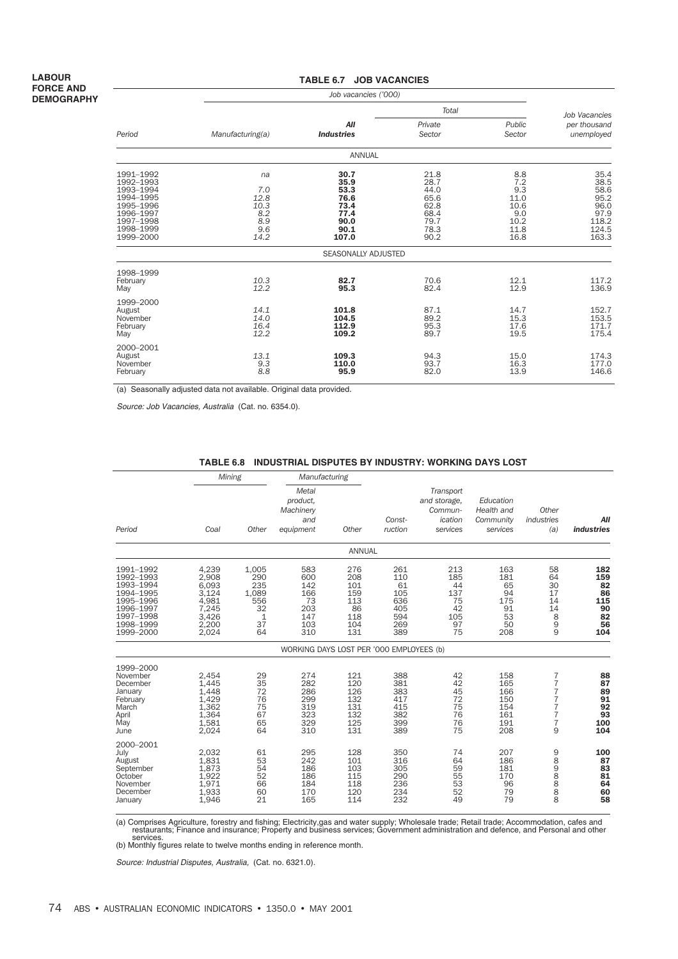# **TABLE 6.7 JOB VACANCIES**

|                                                                                                                   |                                                        |                                                                       | Total                                                                |                                                                  | Job Vacancies                                                           |
|-------------------------------------------------------------------------------------------------------------------|--------------------------------------------------------|-----------------------------------------------------------------------|----------------------------------------------------------------------|------------------------------------------------------------------|-------------------------------------------------------------------------|
| Period                                                                                                            | Manufacturing(a)                                       | All<br><b>Industries</b>                                              | Private<br>Sector                                                    | Public<br>Sector                                                 | per thousand<br>unemployed                                              |
|                                                                                                                   |                                                        | <b>ANNUAL</b>                                                         |                                                                      |                                                                  |                                                                         |
| 1991-1992<br>1992-1993<br>1993-1994<br>1994-1995<br>1995-1996<br>1996-1997<br>1997-1998<br>1998-1999<br>1999-2000 | na<br>7.0<br>12.8<br>10.3<br>8.2<br>8.9<br>9.6<br>14.2 | 30.7<br>35.9<br>53.3<br>76.6<br>73.4<br>77.4<br>90.0<br>90.1<br>107.0 | 21.8<br>28.7<br>44.0<br>65.6<br>62.8<br>68.4<br>79.7<br>78.3<br>90.2 | 8.8<br>7.2<br>9.3<br>11.0<br>10.6<br>9.0<br>10.2<br>11.8<br>16.8 | 35.4<br>38.5<br>58.6<br>95.2<br>96.0<br>97.9<br>118.2<br>124.5<br>163.3 |
|                                                                                                                   |                                                        | SEASONALLY ADJUSTED                                                   |                                                                      |                                                                  |                                                                         |
| 1998-1999<br>February<br>May                                                                                      | 10.3<br>12.2                                           | 82.7<br>95.3                                                          | 70.6<br>82.4                                                         | 12.1<br>12.9                                                     | 117.2<br>136.9                                                          |
| 1999-2000<br>August<br>November<br>February<br>May                                                                | 14.1<br>14.0<br>16.4<br>12.2                           | 101.8<br>104.5<br>112.9<br>109.2                                      | 87.1<br>89.2<br>95.3<br>89.7                                         | 14.7<br>15.3<br>17.6<br>19.5                                     | 152.7<br>153.5<br>171.7<br>175.4                                        |
| 2000-2001<br>August<br>November<br>February                                                                       | 13.1<br>9.3<br>8.8                                     | 109.3<br>110.0<br>95.9                                                | 94.3<br>93.7<br>82.0                                                 | 15.0<br>16.3<br>13.9                                             | 174.3<br>177.0<br>146.6                                                 |

(a) Seasonally adjusted data not available. Original data provided.

Source: Job Vacancies, Australia (Cat. no. 6354.0).

|                                                                                                                   | Mining                                                                        |                                                                      |                                                            | Manufacturing                                              |                                                            |                                                             |                                                        |                                                   |                                                        |
|-------------------------------------------------------------------------------------------------------------------|-------------------------------------------------------------------------------|----------------------------------------------------------------------|------------------------------------------------------------|------------------------------------------------------------|------------------------------------------------------------|-------------------------------------------------------------|--------------------------------------------------------|---------------------------------------------------|--------------------------------------------------------|
| Period                                                                                                            | Coal                                                                          | Other                                                                | Metal<br>product,<br>Machinery<br>and<br>equipment         | Other                                                      | Const-<br>ruction                                          | Transport<br>and storage.<br>Commun-<br>ication<br>services | Education<br>Health and<br>Community<br>services       | Other<br>industries<br>(a)                        | AII<br><b>industries</b>                               |
|                                                                                                                   |                                                                               |                                                                      |                                                            | <b>ANNUAL</b>                                              |                                                            |                                                             |                                                        |                                                   |                                                        |
| 1991-1992<br>1992-1993<br>1993-1994<br>1994-1995<br>1995-1996<br>1996-1997<br>1997-1998<br>1998-1999<br>1999-2000 | 4,239<br>2,908<br>6.093<br>3,124<br>4,981<br>7,245<br>3,426<br>2,200<br>2,024 | 1,005<br>290<br>235<br>1,089<br>556<br>32<br>$\mathbf 1$<br>37<br>64 | 583<br>600<br>142<br>166<br>73<br>203<br>147<br>103<br>310 | 276<br>208<br>101<br>159<br>113<br>86<br>118<br>104<br>131 | 261<br>110<br>61<br>105<br>636<br>405<br>594<br>269<br>389 | 213<br>185<br>44<br>137<br>75<br>42<br>105<br>97<br>75      | 163<br>181<br>65<br>94<br>175<br>91<br>53<br>50<br>208 | 58<br>64<br>30<br>17<br>14<br>14<br>8<br>9<br>9   | 182<br>159<br>82<br>86<br>115<br>90<br>82<br>56<br>104 |
|                                                                                                                   |                                                                               |                                                                      | WORKING DAYS LOST PER '000 EMPLOYEES (b)                   |                                                            |                                                            |                                                             |                                                        |                                                   |                                                        |
| 1999-2000<br>November<br>December<br>January<br>February<br>March<br>April<br>May<br>June                         | 2,454<br>1.445<br>1,448<br>1,429<br>1,362<br>1,364<br>1,581<br>2,024          | 29<br>35<br>72<br>76<br>75<br>67<br>65<br>64                         | 274<br>282<br>286<br>299<br>319<br>323<br>329<br>310       | 121<br>120<br>126<br>132<br>131<br>132<br>125<br>131       | 388<br>381<br>383<br>417<br>415<br>382<br>399<br>389       | 42<br>42<br>45<br>72<br>75<br>76<br>76<br>75                | 158<br>165<br>166<br>150<br>154<br>161<br>191<br>208   | 7<br>7<br>7<br>7<br>7<br>7<br>$\overline{7}$<br>9 | 88<br>87<br>89<br>91<br>92<br>93<br>100<br>104         |
| 2000-2001<br>July<br>August<br>September<br>October<br>November<br>December<br>January                            | 2.032<br>1,831<br>1,873<br>1,922<br>1.971<br>1,933<br>1,946                   | 61<br>53<br>54<br>52<br>66<br>60<br>21                               | 295<br>242<br>186<br>186<br>184<br>170<br>165              | 128<br>101<br>103<br>115<br>118<br>120<br>114              | 350<br>316<br>305<br>290<br>236<br>234<br>232              | 74<br>64<br>59<br>55<br>53<br>52<br>49                      | 207<br>186<br>181<br>170<br>96<br>79<br>79             | 9<br>8<br>9<br>$\frac{8}{8}$<br>8<br>8            | 100<br>87<br>83<br>81<br>64<br>60<br>58                |

#### **TABLE 6.8 INDUSTRIAL DISPUTES BY INDUSTRY: WORKING DAYS LOST**

a) Comprises Agriculture, forestry and fishing; Electricity,gas and water supply; Wholesale trade; Retail trade; Accommodation, cafes and restaurants; Finance and insurance; Property and business services; Government admin

Source: Industrial Disputes, Australia, (Cat. no. 6321.0).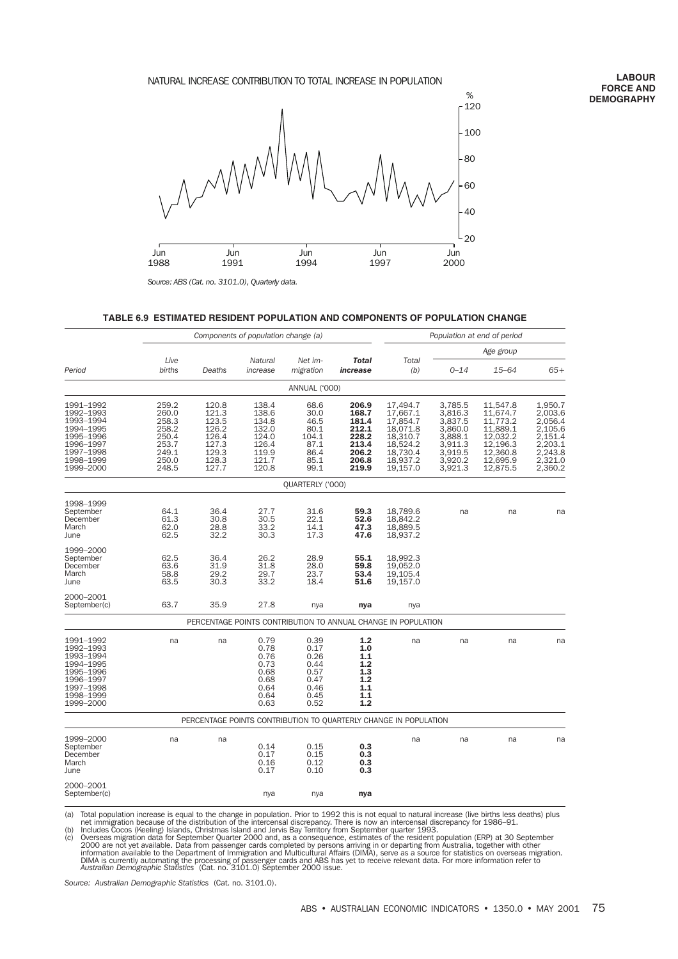# NATURAL INCREASE CONTRIBUTION TO TOTAL INCREASE IN POPULATION

Jun 1988 Jun 1991 Jun 1994 Jun 1997 Jun 2000 20 40 60 80 100  $-120$ 

*Source: ABS (Cat. no. 3101.0), Quarterly data.*

#### **TABLE 6.9 ESTIMATED RESIDENT POPULATION AND COMPONENTS OF POPULATION CHANGE**

|                                                                                                                   |                                                                               |                                                                               | Components of population change (a)                                           |                                                                       |                                                                               |                                                                                                          |                                                                                                 | Population at end of period                                                                              |                                                                                                 |
|-------------------------------------------------------------------------------------------------------------------|-------------------------------------------------------------------------------|-------------------------------------------------------------------------------|-------------------------------------------------------------------------------|-----------------------------------------------------------------------|-------------------------------------------------------------------------------|----------------------------------------------------------------------------------------------------------|-------------------------------------------------------------------------------------------------|----------------------------------------------------------------------------------------------------------|-------------------------------------------------------------------------------------------------|
|                                                                                                                   |                                                                               |                                                                               |                                                                               |                                                                       |                                                                               |                                                                                                          |                                                                                                 | Age group                                                                                                |                                                                                                 |
| Period                                                                                                            | Live<br>births                                                                | Deaths                                                                        | Natural<br>increase                                                           | Net im-<br>migration                                                  | <b>Total</b><br>increase                                                      | Total<br>(b)                                                                                             | $0 - 14$                                                                                        | $15 - 64$                                                                                                | $65+$                                                                                           |
|                                                                                                                   |                                                                               |                                                                               |                                                                               | ANNUAL ('000)                                                         |                                                                               |                                                                                                          |                                                                                                 |                                                                                                          |                                                                                                 |
| 1991-1992<br>1992-1993<br>1993-1994<br>1994-1995<br>1995-1996<br>1996-1997<br>1997-1998<br>1998-1999<br>1999-2000 | 259.2<br>260.0<br>258.3<br>258.2<br>250.4<br>253.7<br>249.1<br>250.0<br>248.5 | 120.8<br>121.3<br>123.5<br>126.2<br>126.4<br>127.3<br>129.3<br>128.3<br>127.7 | 138.4<br>138.6<br>134.8<br>132.0<br>124.0<br>126.4<br>119.9<br>121.7<br>120.8 | 68.6<br>30.0<br>46.5<br>80.1<br>104.1<br>87.1<br>86.4<br>85.1<br>99.1 | 206.9<br>168.7<br>181.4<br>212.1<br>228.2<br>213.4<br>206.2<br>206.8<br>219.9 | 17,494.7<br>17,667.1<br>17,854.7<br>18,071.8<br>18,310.7<br>18,524.2<br>18,730.4<br>18,937.2<br>19,157.0 | 3,785.5<br>3,816.3<br>3.837.5<br>3,860.0<br>3,888.1<br>3,911.3<br>3,919.5<br>3,920.2<br>3,921.3 | 11,547.8<br>11,674.7<br>11.773.2<br>11,889.1<br>12,032.2<br>12,196.3<br>12,360.8<br>12,695.9<br>12,875.5 | 1,950.7<br>2,003.6<br>2.056.4<br>2,105.6<br>2,151.4<br>2,203.1<br>2,243.8<br>2,321.0<br>2,360.2 |
|                                                                                                                   |                                                                               |                                                                               |                                                                               | QUARTERLY ('000)                                                      |                                                                               |                                                                                                          |                                                                                                 |                                                                                                          |                                                                                                 |
| 1998-1999<br>September<br>December<br>March<br>June                                                               | 64.1<br>61.3<br>62.0<br>62.5                                                  | 36.4<br>30.8<br>28.8<br>32.2                                                  | 27.7<br>30.5<br>33.2<br>30.3                                                  | 31.6<br>22.1<br>14.1<br>17.3                                          | 59.3<br>52.6<br>47.3<br>47.6                                                  | 18,789.6<br>18,842.2<br>18,889.5<br>18,937.2                                                             | na                                                                                              | na                                                                                                       | na                                                                                              |
| 1999-2000<br>September<br>December<br>March<br>June                                                               | 62.5<br>63.6<br>58.8<br>63.5                                                  | 36.4<br>31.9<br>29.2<br>30.3                                                  | 26.2<br>31.8<br>29.7<br>33.2                                                  | 28.9<br>28.0<br>23.7<br>18.4                                          | 55.1<br>59.8<br>53.4<br>51.6                                                  | 18,992.3<br>19,052.0<br>19,105.4<br>19,157.0                                                             |                                                                                                 |                                                                                                          |                                                                                                 |
| 2000-2001<br>September(c)                                                                                         | 63.7                                                                          | 35.9                                                                          | 27.8                                                                          | nya                                                                   | nya                                                                           | nya                                                                                                      |                                                                                                 |                                                                                                          |                                                                                                 |
|                                                                                                                   |                                                                               |                                                                               |                                                                               |                                                                       |                                                                               | PERCENTAGE POINTS CONTRIBUTION TO ANNUAL CHANGE IN POPULATION                                            |                                                                                                 |                                                                                                          |                                                                                                 |
| 1991-1992<br>1992-1993<br>1993-1994<br>1994-1995<br>1995-1996<br>1996-1997<br>1997-1998<br>1998-1999<br>1999-2000 | na                                                                            | na                                                                            | 0.79<br>0.78<br>0.76<br>0.73<br>0.68<br>0.68<br>0.64<br>0.64<br>0.63          | 0.39<br>0.17<br>0.26<br>0.44<br>0.57<br>0.47<br>0.46<br>0.45<br>0.52  | 1.2<br>1.0<br>1.1<br>1.2<br>1.3<br>1.2<br>1.1<br>1.1<br>1.2                   | na                                                                                                       | na                                                                                              | na                                                                                                       | na                                                                                              |
|                                                                                                                   |                                                                               |                                                                               |                                                                               |                                                                       |                                                                               | PERCENTAGE POINTS CONTRIBUTION TO QUARTERLY CHANGE IN POPULATION                                         |                                                                                                 |                                                                                                          |                                                                                                 |
| 1999-2000<br>September<br>December<br>March<br>June                                                               | na                                                                            | na                                                                            | 0.14<br>0.17<br>0.16<br>0.17                                                  | 0.15<br>0.15<br>0.12<br>0.10                                          | 0.3<br>0.3<br>0.3<br>0.3                                                      | na                                                                                                       | na                                                                                              | na                                                                                                       | na                                                                                              |
| 2000-2001<br>September(c)                                                                                         |                                                                               |                                                                               | nya                                                                           | nya                                                                   | nya                                                                           |                                                                                                          |                                                                                                 |                                                                                                          |                                                                                                 |

(a) Total population increase is equal to the change in population. Prior to 1992 this is not equal to natural increase (live births less deaths) plus<br>net immigration because of the distribution of the intercensal discrepa

*Source: Australian Demographic Statistics* (Cat. no. 3101.0).

**LABOUR FORCE AND DEMOGRAPHY**

 $\frac{1}{2}$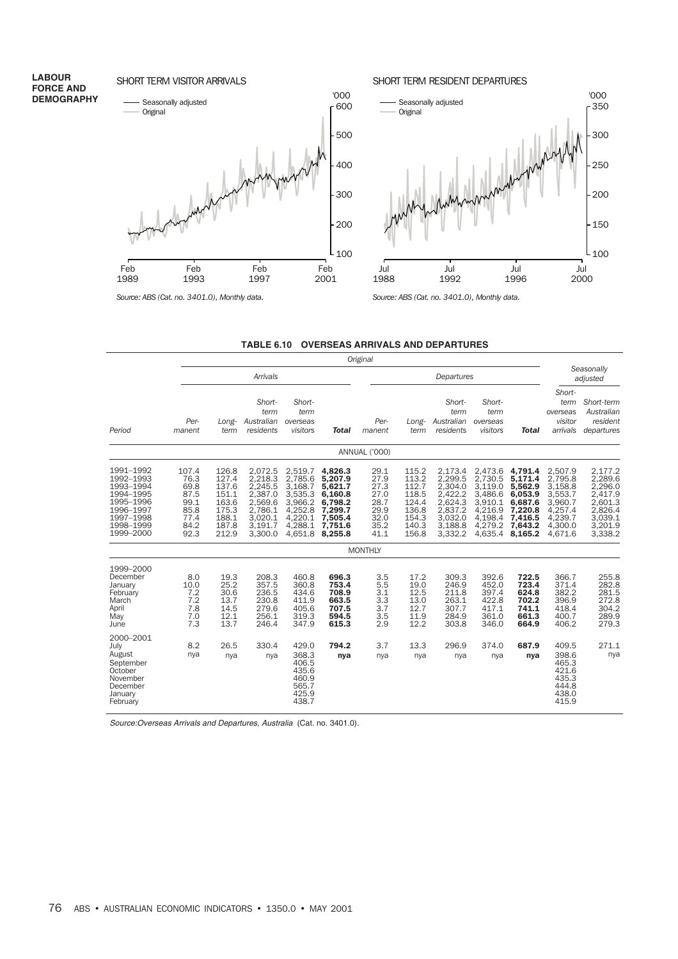

SHORT TERM RESIDENT DEPARTURES



*Source: ABS (Cat. no. 3401.0), Monthly data.*

*Source: ABS (Cat. no. 3401.0), Monthly data.*

# **TABLE 6.10 OVERSEAS ARRIVALS AND DEPARTURES**

|                                                                                                                   |                                                                       | Original                                                                      |                                                                                                 |                                                                                                 |                                                                                                 |                                                                      |                                                                               |                                                                                                 |                                                                                                 |                                                                                                 |                                                                                                 |                                                                                                 |
|-------------------------------------------------------------------------------------------------------------------|-----------------------------------------------------------------------|-------------------------------------------------------------------------------|-------------------------------------------------------------------------------------------------|-------------------------------------------------------------------------------------------------|-------------------------------------------------------------------------------------------------|----------------------------------------------------------------------|-------------------------------------------------------------------------------|-------------------------------------------------------------------------------------------------|-------------------------------------------------------------------------------------------------|-------------------------------------------------------------------------------------------------|-------------------------------------------------------------------------------------------------|-------------------------------------------------------------------------------------------------|
|                                                                                                                   |                                                                       |                                                                               | Arrivals                                                                                        |                                                                                                 |                                                                                                 |                                                                      |                                                                               | Departures                                                                                      |                                                                                                 |                                                                                                 | Seasonally<br>adjusted                                                                          |                                                                                                 |
| Period                                                                                                            | Per-<br>manent                                                        | Long-<br>term                                                                 | Short-<br>term<br>Australian<br>residents                                                       | Short-<br>term<br>overseas<br>visitors                                                          | <b>Total</b>                                                                                    | Per-<br>manent                                                       | Long-<br>term                                                                 | Short-<br>term<br>Australian<br>residents                                                       | Short-<br>term<br>overseas<br>visitors                                                          | <b>Total</b>                                                                                    | Short-<br>term<br>overseas<br>visitor<br>arrivals                                               | Short-term<br>Australian<br>resident<br>departures                                              |
|                                                                                                                   |                                                                       |                                                                               |                                                                                                 |                                                                                                 |                                                                                                 | ANNUAL ('000)                                                        |                                                                               |                                                                                                 |                                                                                                 |                                                                                                 |                                                                                                 |                                                                                                 |
| 1991-1992<br>1992-1993<br>1993-1994<br>1994-1995<br>1995-1996<br>1996-1997<br>1997-1998<br>1998-1999<br>1999-2000 | 107.4<br>76.3<br>69.8<br>87.5<br>99.1<br>85.8<br>77.4<br>84.2<br>92.3 | 126.8<br>127.4<br>137.6<br>151.1<br>163.6<br>175.3<br>188.1<br>187.8<br>212.9 | 2,072.5<br>2,218.3<br>2,245.5<br>2,387.0<br>2,569.6<br>2,786.1<br>3,020.1<br>3,191.7<br>3,300.0 | 2,519.7<br>2,785.6<br>3,168.7<br>3,535.3<br>3,966.2<br>4,252.8<br>4,220.1<br>4.288.1<br>4,651.8 | 4,826.3<br>5,207.9<br>5,621.7<br>6,160.8<br>6,798.2<br>7,299.7<br>7,505.4<br>7.751.6<br>8,255.8 | 29.1<br>27.9<br>27.3<br>27.0<br>28.7<br>29.9<br>32.0<br>35.2<br>41.1 | 115.2<br>113.2<br>112.7<br>118.5<br>124.4<br>136.8<br>154.3<br>140.3<br>156.8 | 2,173.4<br>2,299.5<br>2,304.0<br>2,422.2<br>2,624.3<br>2,837.2<br>3,032.0<br>3.188.8<br>3,332.2 | 2,473.6<br>2,730.5<br>3,119.0<br>3,486.6<br>3,910.1<br>4,216.9<br>4,198.4<br>4.279.2<br>4,635.4 | 4,791.4<br>5,171.4<br>5,562.9<br>6,053.9<br>6,687.6<br>7,220.8<br>7,416.5<br>7,643.2<br>8,165.2 | 2,507.9<br>2,795.8<br>3,158.8<br>3,553.7<br>3,960.7<br>4,257.4<br>4,239.7<br>4,300.0<br>4,671.6 | 2,177.2<br>2,289.6<br>2,296.0<br>2,417.9<br>2,601.3<br>2,826.4<br>3,039.1<br>3,201.9<br>3,338.2 |
|                                                                                                                   |                                                                       |                                                                               |                                                                                                 |                                                                                                 |                                                                                                 | <b>MONTHLY</b>                                                       |                                                                               |                                                                                                 |                                                                                                 |                                                                                                 |                                                                                                 |                                                                                                 |
| 1999-2000<br>December<br>January<br>February<br>March<br>April<br>May<br>June                                     | 8.0<br>10.0<br>7.2<br>7.2<br>7.8<br>7.0<br>7.3                        | 19.3<br>25.2<br>30.6<br>13.7<br>14.5<br>12.1<br>13.7                          | 208.3<br>357.5<br>236.5<br>230.8<br>279.6<br>256.1<br>246.4                                     | 460.8<br>360.8<br>434.6<br>411.9<br>405.6<br>319.3<br>347.9                                     | 696.3<br>753.4<br>708.9<br>663.5<br>707.5<br>594.5<br>615.3                                     | 3.5<br>5.5<br>3.1<br>3.3<br>3.7<br>3.5<br>2.9                        | 17.2<br>19.0<br>12.5<br>13.0<br>12.7<br>11.9<br>12.2                          | 309.3<br>246.9<br>211.8<br>263.1<br>307.7<br>284.9<br>303.8                                     | 392.6<br>452.0<br>397.4<br>422.8<br>417.1<br>361.0<br>346.0                                     | 722.5<br>723.4<br>624.8<br>702.2<br>741.1<br>661.3<br>664.9                                     | 366.7<br>371.4<br>382.2<br>396.9<br>418.4<br>400.7<br>406.2                                     | 255.8<br>282.8<br>281.5<br>272.8<br>304.2<br>289.9<br>279.3                                     |
| 2000-2001<br>July<br>August<br>September<br>October<br>November<br>December<br>January<br>February                | 8.2<br>nya                                                            | 26.5<br>nya                                                                   | 330.4<br>nya                                                                                    | 429.0<br>368.3<br>406.5<br>435.6<br>460.9<br>565.7<br>425.9<br>438.7                            | 794.2<br>nya                                                                                    | 3.7<br>nya                                                           | 13.3<br>nya                                                                   | 296.9<br>nya                                                                                    | 374.0<br>nya                                                                                    | 687.9<br>nya                                                                                    | 409.5<br>398.6<br>465.3<br>421.6<br>435.3<br>444.8<br>438.0<br>415.9                            | 271.1<br>nya                                                                                    |

Source:Overseas Arrivals and Departures, Australia (Cat. no. 3401.0).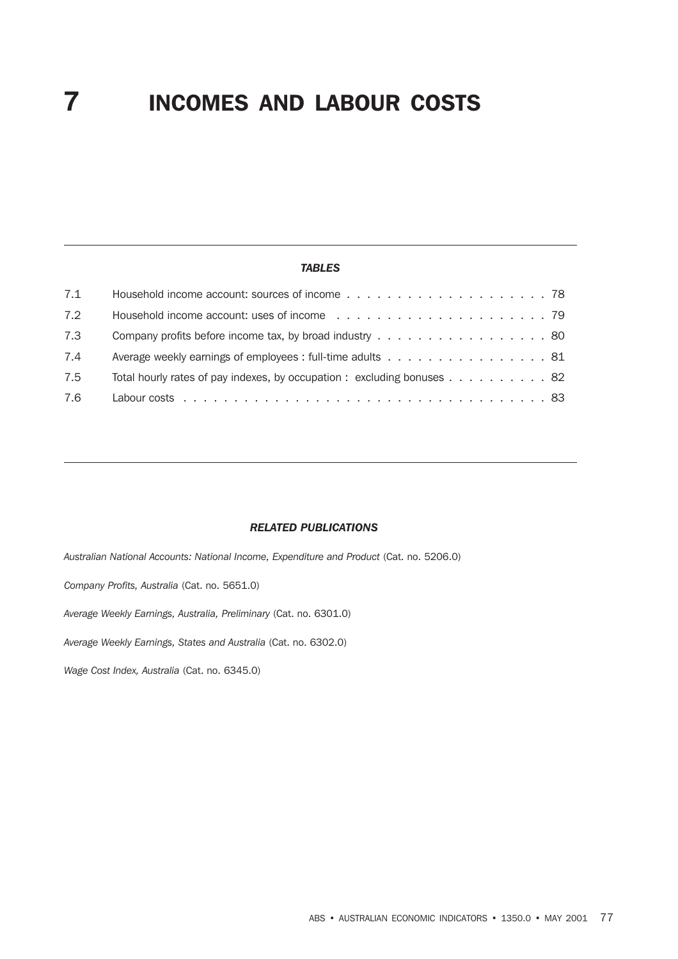# **7** INCOMES AND LABOUR COSTS

# *TABLES*

| 7.1 |                                                                                          |
|-----|------------------------------------------------------------------------------------------|
| 7.2 |                                                                                          |
| 7.3 |                                                                                          |
| 7.4 | Average weekly earnings of employees : full-time adults 81                               |
| 7.5 | Total hourly rates of pay indexes, by occupation : excluding bonuses $\dots \dots \dots$ |
| 7.6 |                                                                                          |

#### *RELATED PUBLICATIONS*

*Australian National Accounts: National Income, Expenditure and Product* (Cat. no. 5206.0)

*Company Profits, Australia* (Cat. no. 5651.0)

*Average Weekly Earnings, Australia, Preliminary* (Cat. no. 6301.0)

*Average Weekly Earnings, States and Australia* (Cat. no. 6302.0)

*Wage Cost Index, Australia* (Cat. no. 6345.0)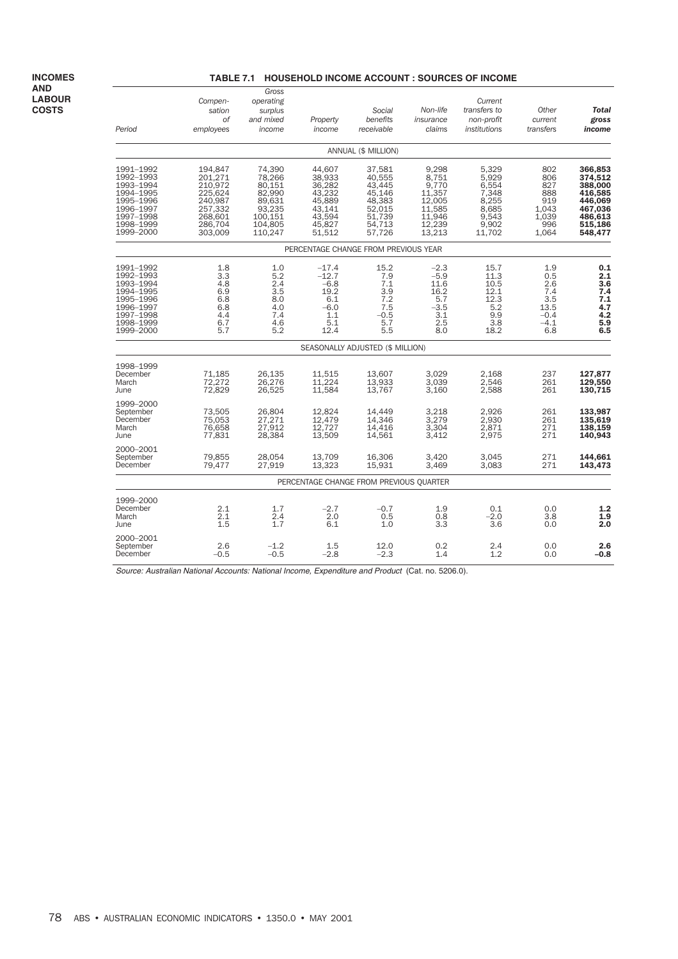|                                                                                                                   | IADLE <i>I</i> .I                                                                               | Gross                                                                                     |                                                                                        |                                                                                        |                                                                                     | <b>NUUSENULD INGUME AGGUUNT . SUUNGES UF INGUME</b>                            |                                                                    |                                                                                                 |
|-------------------------------------------------------------------------------------------------------------------|-------------------------------------------------------------------------------------------------|-------------------------------------------------------------------------------------------|----------------------------------------------------------------------------------------|----------------------------------------------------------------------------------------|-------------------------------------------------------------------------------------|--------------------------------------------------------------------------------|--------------------------------------------------------------------|-------------------------------------------------------------------------------------------------|
| Period                                                                                                            | Compen-<br>sation<br>0f<br>employees                                                            | operating<br>surplus<br>and mixed<br>income                                               | Property<br>income                                                                     | Social<br>benefits<br>receivable                                                       | Non-life<br>insurance<br>claims                                                     | Current<br>transfers to<br>non-profit<br>institutions                          | Other<br>current<br>transfers                                      | <b>Total</b><br>gross<br>income                                                                 |
|                                                                                                                   |                                                                                                 |                                                                                           |                                                                                        | ANNUAL (\$ MILLION)                                                                    |                                                                                     |                                                                                |                                                                    |                                                                                                 |
| 1991-1992<br>1992-1993<br>1993-1994<br>1994-1995<br>1995-1996<br>1996-1997<br>1997-1998<br>1998-1999<br>1999-2000 | 194,847<br>201,271<br>210,972<br>225,624<br>240,987<br>257,332<br>268,601<br>286,704<br>303,009 | 74,390<br>78,266<br>80,151<br>82,990<br>89,631<br>93,235<br>100,151<br>104,805<br>110,247 | 44,607<br>38,933<br>36,282<br>43,232<br>45,889<br>43.141<br>43,594<br>45,827<br>51,512 | 37,581<br>40,555<br>43.445<br>45,146<br>48,383<br>52.015<br>51,739<br>54,713<br>57,726 | 9,298<br>8.751<br>9,770<br>11,357<br>12,005<br>11,585<br>11,946<br>12,239<br>13,213 | 5,329<br>5,929<br>6,554<br>7,348<br>8,255<br>8.685<br>9,543<br>9,902<br>11,702 | 802<br>806<br>827<br>888<br>919<br>1.043<br>1,039<br>996<br>1,064  | 366,853<br>374,512<br>388,000<br>416,585<br>446.069<br>467.036<br>486,613<br>515,186<br>548,477 |
|                                                                                                                   |                                                                                                 |                                                                                           |                                                                                        | PERCENTAGE CHANGE FROM PREVIOUS YEAR                                                   |                                                                                     |                                                                                |                                                                    |                                                                                                 |
| 1991-1992<br>1992-1993<br>1993-1994<br>1994-1995<br>1995-1996<br>1996-1997<br>1997-1998<br>1998-1999<br>1999-2000 | 1.8<br>3.3<br>4.8<br>6.9<br>6.8<br>6.8<br>4.4<br>6.7<br>5.7                                     | 1.0<br>5.2<br>2.4<br>3.5<br>8.0<br>4.0<br>7.4<br>4.6<br>5.2                               | $-17.4$<br>$-12.7$<br>$-6.8$<br>19.2<br>6.1<br>$-6.0$<br>1.1<br>5.1<br>12.4            | 15.2<br>$7.9$<br>$7.1$<br>3.9<br>7.2<br>7.5<br>$-0.5$<br>5.7<br>5.5                    | $-2.3$<br>$-5.9$<br>11.6<br>16.2<br>5.7<br>$-3.5$<br>3.1<br>2.5<br>8.0              | 15.7<br>11.3<br>10.5<br>12.1<br>12.3<br>5.2<br>9.9<br>3.8<br>18.2              | 1.9<br>0.5<br>2.6<br>7.4<br>3.5<br>13.5<br>$-0.4$<br>$-4.1$<br>6.8 | 0.1<br>2.1<br>3.6<br>7.4<br>7.1<br>4.7<br>4.2<br>5.9<br>6.5                                     |
|                                                                                                                   |                                                                                                 |                                                                                           |                                                                                        | SEASONALLY ADJUSTED (\$ MILLION)                                                       |                                                                                     |                                                                                |                                                                    |                                                                                                 |
| 1998-1999<br>December<br>March<br>June                                                                            | 71,185<br>72,272<br>72,829                                                                      | 26,135<br>26,276<br>26,525                                                                | 11,515<br>11,224<br>11,584                                                             | 13,607<br>13.933<br>13,767                                                             | 3.029<br>3,039<br>3,160                                                             | 2.168<br>2,546<br>2,588                                                        | 237<br>261<br>261                                                  | 127,877<br>129,550<br>130,715                                                                   |
| 1999-2000<br>September<br>December<br>March<br>June                                                               | 73,505<br>75,053<br>76,658<br>77.831                                                            | 26,804<br>27,271<br>27,912<br>28,384                                                      | 12,824<br>12,479<br>12,727<br>13,509                                                   | 14,449<br>14,346<br>14,416<br>14,561                                                   | 3,218<br>3,279<br>3,304<br>3,412                                                    | 2,926<br>2,930<br>2,871<br>2,975                                               | 261<br>261<br>271<br>271                                           | 133,987<br>135.619<br>138,159<br>140.943                                                        |
| 2000-2001<br>September<br>December                                                                                | 79.855<br>79,477                                                                                | 28,054<br>27,919                                                                          | 13,709<br>13,323                                                                       | 16,306<br>15,931                                                                       | 3.420<br>3,469                                                                      | 3.045<br>3,083                                                                 | 271<br>271                                                         | 144,661<br>143,473                                                                              |
|                                                                                                                   |                                                                                                 |                                                                                           |                                                                                        | PERCENTAGE CHANGE FROM PREVIOUS QUARTER                                                |                                                                                     |                                                                                |                                                                    |                                                                                                 |
| 1999-2000<br>December<br>March<br>June                                                                            | 2.1<br>2.1<br>1.5                                                                               | 1.7<br>2.4<br>1.7                                                                         | $-2.7$<br>2.0<br>6.1                                                                   | $-0.7$<br>0.5<br>1.0                                                                   | 1.9<br>0.8<br>3.3                                                                   | 0.1<br>$-2.0$<br>3.6                                                           | 0.0<br>3.8<br>0.0                                                  | 1.2<br>1.9<br>2.0                                                                               |
| 2000-2001<br>September<br>December                                                                                | 2.6<br>$-0.5$                                                                                   | $-1.2$<br>$-0.5$                                                                          | 1.5<br>$-2.8$                                                                          | 12.0<br>$-2.3$                                                                         | 0.2<br>1.4                                                                          | 2.4<br>1.2                                                                     | 0.0<br>0.0                                                         | 2.6<br>$-0.8$                                                                                   |

# **TABLE 7.1 HOUSEHOLD INCOME ACCOUNT : SOURCES OF INCOME**

**INCOMES AND LABOUR COSTS**

Source: Australian National Accounts: National Income, Expenditure and Product (Cat. no. 5206.0).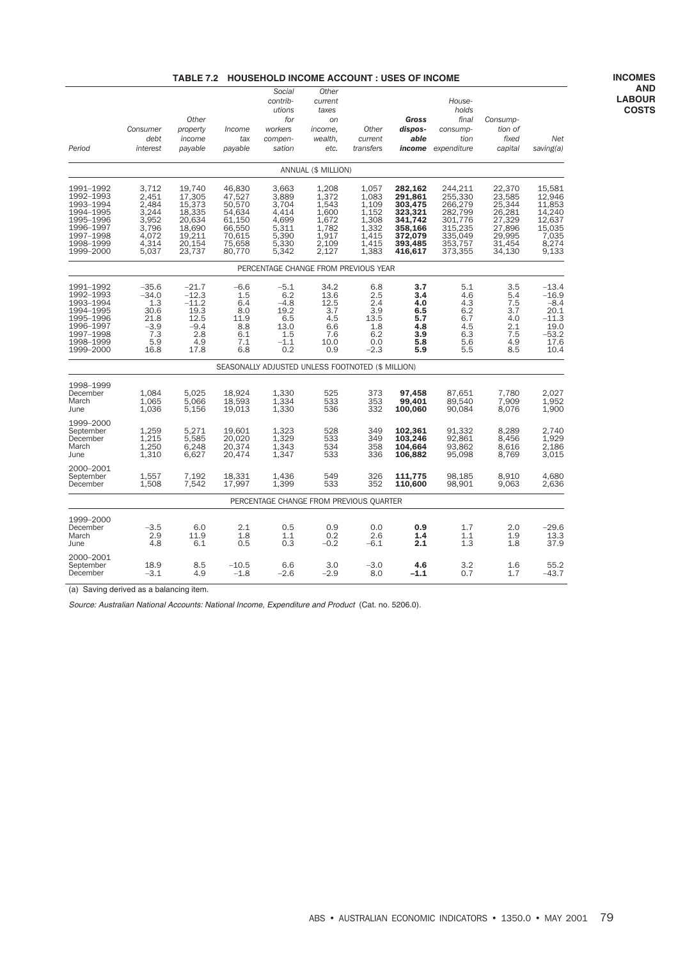### **TABLE 7.2 HOUSEHOLD INCOME ACCOUNT : USES OF INCOME**

| Period                                                                                                            | Consumer<br>debt<br>interest                                                  | Other<br>property<br>income<br>payable                                                 | Income<br>tax<br>payable                                                               | Social<br>contrib-<br>utions<br>for<br>workers<br>compen-<br>sation           | Other<br>current<br>taxes<br>on<br>income.<br>wealth,<br>etc.                 | Other<br>current<br>transfers                                                 | Gross<br>dispos-<br>able                                                                        | House-<br>holds<br>final<br>consump-<br>tion<br><b>income</b> expenditure                       | Consump-<br>tion of<br>fixed<br>capital                                                | Net<br>saving(a)                                                                    |
|-------------------------------------------------------------------------------------------------------------------|-------------------------------------------------------------------------------|----------------------------------------------------------------------------------------|----------------------------------------------------------------------------------------|-------------------------------------------------------------------------------|-------------------------------------------------------------------------------|-------------------------------------------------------------------------------|-------------------------------------------------------------------------------------------------|-------------------------------------------------------------------------------------------------|----------------------------------------------------------------------------------------|-------------------------------------------------------------------------------------|
|                                                                                                                   |                                                                               |                                                                                        |                                                                                        |                                                                               | ANNUAL (\$ MILLION)                                                           |                                                                               |                                                                                                 |                                                                                                 |                                                                                        |                                                                                     |
| 1991-1992<br>1992-1993<br>1993-1994<br>1994-1995<br>1995-1996<br>1996-1997<br>1997-1998<br>1998-1999<br>1999-2000 | 3,712<br>2,451<br>2.484<br>3,244<br>3,952<br>3,796<br>4,072<br>4,314<br>5,037 | 19,740<br>17,305<br>15,373<br>18,335<br>20,634<br>18,690<br>19,211<br>20,154<br>23,737 | 46,830<br>47,527<br>50,570<br>54,634<br>61,150<br>66,550<br>70,615<br>75,658<br>80,770 | 3,663<br>3,889<br>3,704<br>4,414<br>4,699<br>5,311<br>5,390<br>5,330<br>5,342 | 1,208<br>1,372<br>1,543<br>1,600<br>1,672<br>1,782<br>1,917<br>2,109<br>2,127 | 1,057<br>1,083<br>1,109<br>1,152<br>1,308<br>1,332<br>1,415<br>1,415<br>1,383 | 282,162<br>291,861<br>303,475<br>323,321<br>341,742<br>358,166<br>372,079<br>393,485<br>416,617 | 244,211<br>255,330<br>266,279<br>282,799<br>301,776<br>315,235<br>335,049<br>353,757<br>373,355 | 22,370<br>23,585<br>25,344<br>26,281<br>27,329<br>27,896<br>29,995<br>31,454<br>34,130 | 15,581<br>12.946<br>11,853<br>14,240<br>12,637<br>15,035<br>7,035<br>8,274<br>9,133 |
|                                                                                                                   |                                                                               |                                                                                        |                                                                                        | PERCENTAGE CHANGE FROM PREVIOUS YEAR                                          |                                                                               |                                                                               |                                                                                                 |                                                                                                 |                                                                                        |                                                                                     |
| 1991-1992<br>1992-1993<br>1993-1994<br>1994-1995<br>1995-1996<br>1996-1997<br>1997-1998<br>1998-1999<br>1999-2000 | $-35.6$<br>$-34.0$<br>1.3<br>30.6<br>21.8<br>$-3.9$<br>7.3<br>5.9<br>16.8     | $-21.7$<br>$-12.3$<br>$-11.2$<br>19.3<br>12.5<br>$-9.4$<br>2.8<br>4.9<br>17.8          | $-6.6$<br>1.5<br>6.4<br>8.0<br>11.9<br>8.8<br>6.1<br>7.1<br>6.8                        | $-5.1$<br>6.2<br>$-4.8$<br>19.2<br>6.5<br>13.0<br>1.5<br>$-1.1$<br>0.2        | 34.2<br>13.6<br>12.5<br>3.7<br>4.5<br>6.6<br>7.6<br>10.0<br>0.9               | 6.8<br>2.5<br>2.4<br>3.9<br>13.5<br>1.8<br>6.2<br>0.0<br>$-2.3$               | 3.7<br>3.4<br>4.0<br>6.5<br>5.7<br>4.8<br>3.9<br>5.8<br>5.9                                     | 5.1<br>4.6<br>4.3<br>6.2<br>6.7<br>4.5<br>6.3<br>5.6<br>5.5                                     | 3.5<br>5.4<br>7.5<br>3.7<br>4.0<br>2.1<br>7.5<br>4.9<br>8.5                            | $-13.4$<br>$-16.9$<br>$-8.4$<br>20.1<br>$-11.3$<br>19.0<br>$-53.2$<br>17.6<br>10.4  |
|                                                                                                                   |                                                                               |                                                                                        |                                                                                        | SEASONALLY ADJUSTED UNLESS FOOTNOTED (\$ MILLION)                             |                                                                               |                                                                               |                                                                                                 |                                                                                                 |                                                                                        |                                                                                     |
| 1998-1999<br>December<br>March<br>June                                                                            | 1,084<br>1,065<br>1,036                                                       | 5,025<br>5,066<br>5,156                                                                | 18,924<br>18,593<br>19,013                                                             | 1,330<br>1,334<br>1,330                                                       | 525<br>533<br>536                                                             | 373<br>353<br>332                                                             | 97,458<br>99,401<br>100,060                                                                     | 87,651<br>89,540<br>90,084                                                                      | 7,780<br>7,909<br>8,076                                                                | 2.027<br>1,952<br>1,900                                                             |
| 1999-2000<br>September<br>December<br>March<br>June                                                               | 1,259<br>1,215<br>1,250<br>1,310                                              | 5,271<br>5,585<br>6,248<br>6,627                                                       | 19,601<br>20,020<br>20,374<br>20,474                                                   | 1,323<br>1,329<br>1,343<br>1,347                                              | 528<br>533<br>534<br>533                                                      | 349<br>349<br>358<br>336                                                      | 102,361<br>103,246<br>104,664<br>106,882                                                        | 91,332<br>92,861<br>93,862<br>95,098                                                            | 8,289<br>8,456<br>8,616<br>8,769                                                       | 2,740<br>1,929<br>2,186<br>3,015                                                    |
| 2000-2001<br>September<br>December                                                                                | 1,557<br>1,508                                                                | 7,192<br>7,542                                                                         | 18,331<br>17,997                                                                       | 1,436<br>1,399                                                                | 549<br>533                                                                    | 326<br>352                                                                    | 111,775<br>110,600                                                                              | 98,185<br>98,901                                                                                | 8,910<br>9,063                                                                         | 4,680<br>2,636                                                                      |
|                                                                                                                   |                                                                               |                                                                                        |                                                                                        | PERCENTAGE CHANGE FROM PREVIOUS QUARTER                                       |                                                                               |                                                                               |                                                                                                 |                                                                                                 |                                                                                        |                                                                                     |
| 1999-2000<br>December<br>March<br>June                                                                            | $-3.5$<br>2.9<br>4.8                                                          | 6.0<br>11.9<br>6.1                                                                     | 2.1<br>1.8<br>0.5                                                                      | 0.5<br>1.1<br>0.3                                                             | 0.9<br>0.2<br>$-0.2$                                                          | 0.0<br>2.6<br>$-6.1$                                                          | 0.9<br>1.4<br>2.1                                                                               | 1.7<br>1.1<br>1.3                                                                               | 2.0<br>1.9<br>1.8                                                                      | $-29.6$<br>13.3<br>37.9                                                             |
| 2000-2001<br>September<br>December                                                                                | 18.9<br>$-3.1$                                                                | 8.5<br>4.9                                                                             | $-10.5$<br>$-1.8$                                                                      | 6.6<br>$-2.6$                                                                 | 3.0<br>$-2.9$                                                                 | $-3.0$<br>8.0                                                                 | 4.6<br>$-1.1$                                                                                   | 3.2<br>0.7                                                                                      | 1.6<br>1.7                                                                             | 55.2<br>$-43.7$                                                                     |

(a) Saving derived as a balancing item.

Source: Australian National Accounts: National Income, Expenditure and Product (Cat. no. 5206.0).

**INCOMES AND LABOUR COSTS**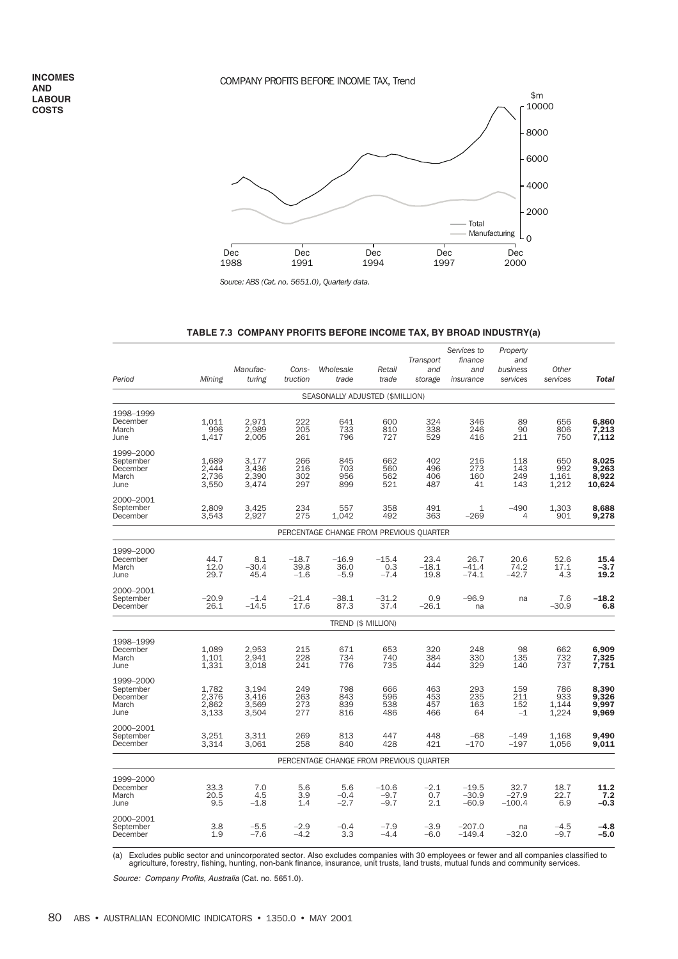**INCOMES AND LABOUR COSTS**

# COMPANY PROFITS BEFORE INCOME TAX, Trend



*Source: ABS (Cat. no. 5651.0), Quarterly data.*

| Period                                              | Mining                           | Manufac-<br>turing               | Cons-<br>truction         | Wholesale<br>trade                      | Retail<br>trade             | Transport<br>and<br>storage | Services to<br>finance<br>and<br>insurance | Property<br>and<br>business<br>services | Other<br>services            | <b>Total</b>                      |
|-----------------------------------------------------|----------------------------------|----------------------------------|---------------------------|-----------------------------------------|-----------------------------|-----------------------------|--------------------------------------------|-----------------------------------------|------------------------------|-----------------------------------|
|                                                     |                                  |                                  |                           | SEASONALLY ADJUSTED (\$MILLION)         |                             |                             |                                            |                                         |                              |                                   |
| 1998-1999<br>December<br>March<br>June              | 1,011<br>996<br>1,417            | 2,971<br>2,989<br>2,005          | 222<br>205<br>261         | 641<br>733<br>796                       | 600<br>810<br>727           | 324<br>338<br>529           | 346<br>246<br>416                          | 89<br>90<br>211                         | 656<br>806<br>750            | 6,860<br>7,213<br>7,112           |
| 1999-2000<br>September<br>December<br>March<br>June | 1,689<br>2,444<br>2,736<br>3,550 | 3,177<br>3,436<br>2,390<br>3,474 | 266<br>216<br>302<br>297  | 845<br>703<br>956<br>899                | 662<br>560<br>562<br>521    | 402<br>496<br>406<br>487    | 216<br>273<br>160<br>41                    | 118<br>143<br>249<br>143                | 650<br>992<br>1,161<br>1,212 | 8,025<br>9,263<br>8,922<br>10,624 |
| 2000–2001<br>September<br>December                  | 2,809<br>3,543                   | 3,425<br>2,927                   | 234<br>275                | 557<br>1,042                            | 358<br>492                  | 491<br>363                  | 1<br>$-269$                                | $-490$<br>4                             | 1,303<br>901                 | 8,688<br>9,278                    |
|                                                     |                                  |                                  |                           | PERCENTAGE CHANGE FROM PREVIOUS QUARTER |                             |                             |                                            |                                         |                              |                                   |
| 1999–2000<br>December<br>March<br>June              | 44.7<br>12.0<br>29.7             | 8.1<br>$-30.4$<br>45.4           | $-18.7$<br>39.8<br>$-1.6$ | $-16.9$<br>36.0<br>$-5.9$               | $-15.4$<br>0.3<br>$-7.4$    | 23.4<br>$-18.1$<br>19.8     | 26.7<br>$-41.4$<br>$-74.1$                 | 20.6<br>74.2<br>$-42.7$                 | 52.6<br>17.1<br>4.3          | 15.4<br>$-3.7$<br>19.2            |
| 2000–2001<br>September<br>December                  | $-20.9$<br>26.1                  | $-1.4$<br>$-14.5$                | $-21.4$<br>17.6           | $-38.1$<br>87.3                         | $-31.2$<br>37.4             | 0.9<br>$-26.1$              | $-96.9$<br>na                              | na                                      | 7.6<br>$-30.9$               | $-18.2$<br>6.8                    |
|                                                     |                                  |                                  |                           |                                         | TREND (\$ MILLION)          |                             |                                            |                                         |                              |                                   |
| 1998-1999<br>December<br>March<br>June              | 1,089<br>1,101<br>1,331          | 2,953<br>2,941<br>3,018          | 215<br>228<br>241         | 671<br>734<br>776                       | 653<br>740<br>735           | 320<br>384<br>444           | 248<br>330<br>329                          | 98<br>135<br>140                        | 662<br>732<br>737            | 6,909<br>7,325<br>7,751           |
| 1999-2000<br>September<br>December<br>March<br>June | 1,782<br>2,376<br>2,862<br>3,133 | 3,194<br>3,416<br>3,569<br>3,504 | 249<br>263<br>273<br>277  | 798<br>843<br>839<br>816                | 666<br>596<br>538<br>486    | 463<br>453<br>457<br>466    | 293<br>235<br>163<br>64                    | 159<br>211<br>152<br>$-1$               | 786<br>933<br>1,144<br>1,224 | 8,390<br>9,326<br>9,997<br>9,969  |
| 2000–2001<br>September<br>December                  | 3,251<br>3,314                   | 3,311<br>3,061                   | 269<br>258                | 813<br>840                              | 447<br>428                  | 448<br>421                  | $-68$<br>$-170$                            | $-149$<br>$-197$                        | 1,168<br>1,056               | 9,490<br>9,011                    |
|                                                     |                                  |                                  |                           | PERCENTAGE CHANGE FROM PREVIOUS QUARTER |                             |                             |                                            |                                         |                              |                                   |
| 1999-2000<br>December<br>March<br>June              | 33.3<br>20.5<br>9.5              | 7.0<br>4.5<br>$-1.8$             | 5.6<br>3.9<br>1.4         | 5.6<br>$-0.4$<br>$-2.7$                 | $-10.6$<br>$-9.7$<br>$-9.7$ | $-2.1$<br>0.7<br>2.1        | $-19.5$<br>$-30.9$<br>$-60.9$              | 32.7<br>$-27.9$<br>$-100.4$             | 18.7<br>22.7<br>6.9          | 11.2<br>7.2<br>$-0.3$             |
| 2000–2001<br>September<br>December                  | 3.8<br>1.9                       | $-5.5$<br>$-7.6$                 | $-2.9$<br>$-4.2$          | $-0.4$<br>3.3                           | $-7.9$<br>$-4.4$            | $-3.9$<br>$-6.0$            | $-207.0$<br>$-149.4$                       | na<br>$-32.0$                           | $-4.5$<br>$-9.7$             | $-4.8$<br>$-5.0$                  |

#### **TABLE 7.3 COMPANY PROFITS BEFORE INCOME TAX, BY BROAD INDUSTRY(a)**

(a) Excludes public sector and unincorporated sector. Also excludes companies with 30 employees or fewer and all companies classified to<br>agriculture, forestry, fishing, hunting, non-bank finance, insurance, unit trusts, la

Source: Company Profits, Australia (Cat. no. 5651.0).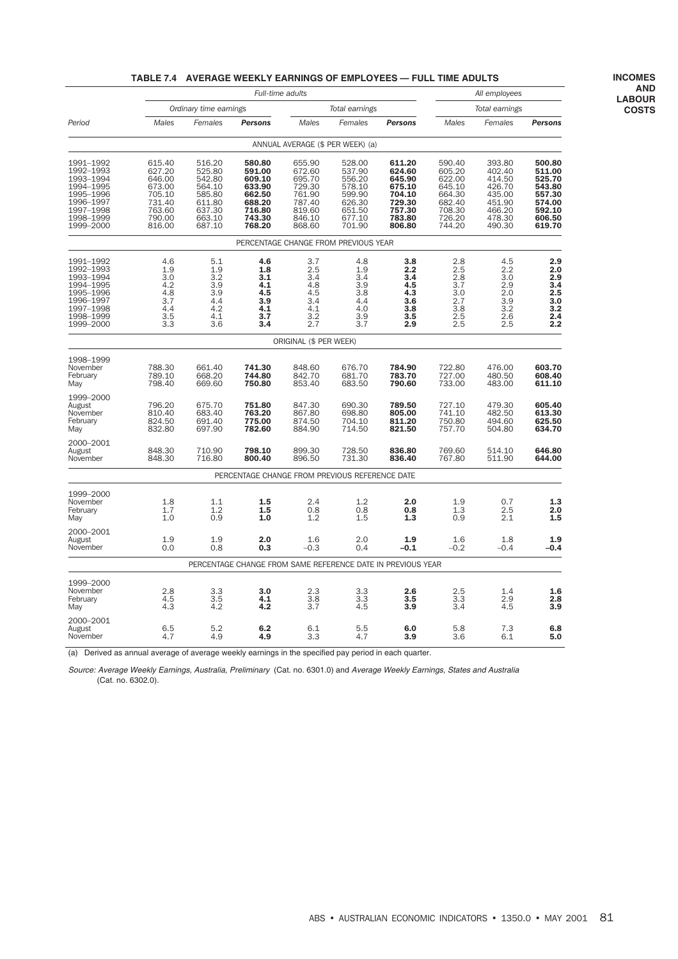|                                                                                                                   |                                                                                        |                                                                                        |                                                                                        | Full-time adults                                                                       |                                                                                        |                                                                                        | All employees                                                                          |                                                                                        |                                                                                        |  |
|-------------------------------------------------------------------------------------------------------------------|----------------------------------------------------------------------------------------|----------------------------------------------------------------------------------------|----------------------------------------------------------------------------------------|----------------------------------------------------------------------------------------|----------------------------------------------------------------------------------------|----------------------------------------------------------------------------------------|----------------------------------------------------------------------------------------|----------------------------------------------------------------------------------------|----------------------------------------------------------------------------------------|--|
|                                                                                                                   |                                                                                        | Ordinary time earnings                                                                 |                                                                                        |                                                                                        | Total earnings                                                                         |                                                                                        |                                                                                        | Total earnings                                                                         |                                                                                        |  |
| Period                                                                                                            | Males                                                                                  | Females                                                                                | <b>Persons</b>                                                                         | Males                                                                                  | Females                                                                                | <b>Persons</b>                                                                         | Males                                                                                  | Females                                                                                | <b>Persons</b>                                                                         |  |
|                                                                                                                   |                                                                                        |                                                                                        |                                                                                        | ANNUAL AVERAGE (\$ PER WEEK) (a)                                                       |                                                                                        |                                                                                        |                                                                                        |                                                                                        |                                                                                        |  |
| 1991-1992<br>1992-1993<br>1993-1994<br>1994-1995<br>1995-1996<br>1996-1997<br>1997-1998<br>1998-1999<br>1999-2000 | 615.40<br>627.20<br>646.00<br>673.00<br>705.10<br>731.40<br>763.60<br>790.00<br>816.00 | 516.20<br>525.80<br>542.80<br>564.10<br>585.80<br>611.80<br>637.30<br>663.10<br>687.10 | 580.80<br>591.00<br>609.10<br>633.90<br>662.50<br>688.20<br>716.80<br>743.30<br>768.20 | 655.90<br>672.60<br>695.70<br>729.30<br>761.90<br>787.40<br>819.60<br>846.10<br>868.60 | 528.00<br>537.90<br>556.20<br>578.10<br>599.90<br>626.30<br>651.50<br>677.10<br>701.90 | 611.20<br>624.60<br>645.90<br>675.10<br>704.10<br>729.30<br>757.30<br>783.80<br>806.80 | 590.40<br>605.20<br>622.00<br>645.10<br>664.30<br>682.40<br>708.30<br>726.20<br>744.20 | 393.80<br>402.40<br>414.50<br>426.70<br>435.00<br>451.90<br>466.20<br>478.30<br>490.30 | 500.80<br>511.00<br>525.70<br>543.80<br>557.30<br>574.00<br>592.10<br>606.50<br>619.70 |  |
|                                                                                                                   |                                                                                        |                                                                                        |                                                                                        | PERCENTAGE CHANGE FROM PREVIOUS YEAR                                                   |                                                                                        |                                                                                        |                                                                                        |                                                                                        |                                                                                        |  |
| 1991-1992<br>1992-1993<br>1993-1994<br>1994-1995<br>1995-1996<br>1996-1997<br>1997-1998<br>1998-1999<br>1999-2000 | 4.6<br>1.9<br>3.0<br>4.2<br>4.8<br>3.7<br>4.4<br>3.5<br>3.3                            | 5.1<br>1.9<br>3.2<br>3.9<br>3.9<br>4.4<br>4.2<br>4.1<br>3.6                            | 4.6<br>1.8<br>3.1<br>4.1<br>4.5<br>3.9<br>4.1<br>3.7<br>3.4                            | 3.7<br>2.5<br>3.4<br>4.8<br>4.5<br>3.4<br>4.1<br>3.2<br>2.7                            | 4.8<br>1.9<br>3.4<br>3.9<br>3.8<br>4.4<br>4.0<br>3.9<br>3.7                            | 3.8<br>2.2<br>3.4<br>4.5<br>4.3<br>3.6<br>3.8<br>3.5<br>2.9                            | 2.8<br>2.5<br>2.8<br>3.7<br>3.0<br>2.7<br>3.8<br>2.5<br>2.5                            | 4.5<br>2.2<br>3.0<br>2.9<br>2.0<br>3.9<br>3.2<br>2.6<br>2.5                            | 2.9<br>2.0<br>2.9<br>3.4<br>$\frac{2.5}{3.0}$<br>3.2<br>2.4<br>2.2                     |  |
|                                                                                                                   |                                                                                        |                                                                                        |                                                                                        | ORIGINAL (\$ PER WEEK)                                                                 |                                                                                        |                                                                                        |                                                                                        |                                                                                        |                                                                                        |  |
| 1998-1999<br>November<br>February<br>May                                                                          | 788.30<br>789.10<br>798.40                                                             | 661.40<br>668.20<br>669.60                                                             | 741.30<br>744.80<br>750.80                                                             | 848.60<br>842.70<br>853.40                                                             | 676.70<br>681.70<br>683.50                                                             | 784.90<br>783.70<br>790.60                                                             | 722.80<br>727.00<br>733.00                                                             | 476.00<br>480.50<br>483.00                                                             | 603.70<br>608.40<br>611.10                                                             |  |
| 1999-2000<br>August<br>November<br>February<br>May                                                                | 796.20<br>810.40<br>824.50<br>832.80                                                   | 675.70<br>683.40<br>691.40<br>697.90                                                   | 751.80<br>763.20<br>775.00<br>782.60                                                   | 847.30<br>867.80<br>874.50<br>884.90                                                   | 690.30<br>698.80<br>704.10<br>714.50                                                   | 789.50<br>805.00<br>811.20<br>821.50                                                   | 727.10<br>741.10<br>750.80<br>757.70                                                   | 479.30<br>482.50<br>494.60<br>504.80                                                   | 605.40<br>613.30<br>625.50<br>634.70                                                   |  |
| 2000-2001<br>August<br>November                                                                                   | 848.30<br>848.30                                                                       | 710.90<br>716.80                                                                       | 798.10<br>800.40                                                                       | 899.30<br>896.50                                                                       | 728.50<br>731.30                                                                       | 836.80<br>836.40                                                                       | 769.60<br>767.80                                                                       | 514.10<br>511.90                                                                       | 646.80<br>644.00                                                                       |  |
|                                                                                                                   |                                                                                        |                                                                                        | PERCENTAGE CHANGE FROM PREVIOUS REFERENCE DATE                                         |                                                                                        |                                                                                        |                                                                                        |                                                                                        |                                                                                        |                                                                                        |  |
| 1999-2000<br>November<br>February<br>May                                                                          | 1.8<br>1.7<br>1.0                                                                      | 1.1<br>1.2<br>0.9                                                                      | 1.5<br>1.5<br>1.0                                                                      | 2.4<br>0.8<br>1.2                                                                      | 1.2<br>0.8<br>1.5                                                                      | 2.0<br>0.8<br>1.3                                                                      | 1.9<br>1.3<br>0.9                                                                      | 0.7<br>2.5<br>2.1                                                                      | 1.3<br>2.0<br>1.5                                                                      |  |
| 2000-2001<br>August<br>November                                                                                   | 1.9<br>0.0                                                                             | 1.9<br>0.8                                                                             | 2.0<br>0.3                                                                             | 1.6<br>$-0.3$                                                                          | 2.0<br>0.4                                                                             | 1.9<br>$-0.1$                                                                          | 1.6<br>$-0.2$                                                                          | 1.8<br>$-0.4$                                                                          | 1.9<br>$-0.4$                                                                          |  |
|                                                                                                                   |                                                                                        |                                                                                        |                                                                                        |                                                                                        |                                                                                        | PERCENTAGE CHANGE FROM SAME REFERENCE DATE IN PREVIOUS YEAR                            |                                                                                        |                                                                                        |                                                                                        |  |
| 1999-2000<br>November<br>February<br>May                                                                          | 2.8<br>4.5<br>4.3                                                                      | 3.3<br>3.5<br>4.2                                                                      | 3.0<br>4.1<br>4.2                                                                      | 2.3<br>3.8<br>3.7                                                                      | 3.3<br>3.3<br>4.5                                                                      | 2.6<br>3.5<br>3.9                                                                      | 2.5<br>3.3<br>3.4                                                                      | 1.4<br>2.9<br>4.5                                                                      | 1.6<br>2.8<br>3.9                                                                      |  |
| 2000-2001<br>August<br>November                                                                                   | 6.5<br>4.7                                                                             | 5.2<br>4.9                                                                             | 6.2<br>4.9                                                                             | 6.1<br>3.3                                                                             | 5.5<br>4.7                                                                             | 6.0<br>3.9                                                                             | 5.8<br>3.6                                                                             | 7.3<br>6.1                                                                             | 6.8<br>5.0                                                                             |  |

### **TABLE 7.4 AVERAGE WEEKLY EARNINGS OF EMPLOYEES — FULL TIME ADULTS**

(a) Derived as annual average of average weekly earnings in the specified pay period in each quarter.

Source: Average Weekly Earnings, Australia, Preliminary (Cat. no. 6301.0) and Average Weekly Earnings, States and Australia (Cat. no. 6302.0).

**INCOMES AND LABOUR COSTS**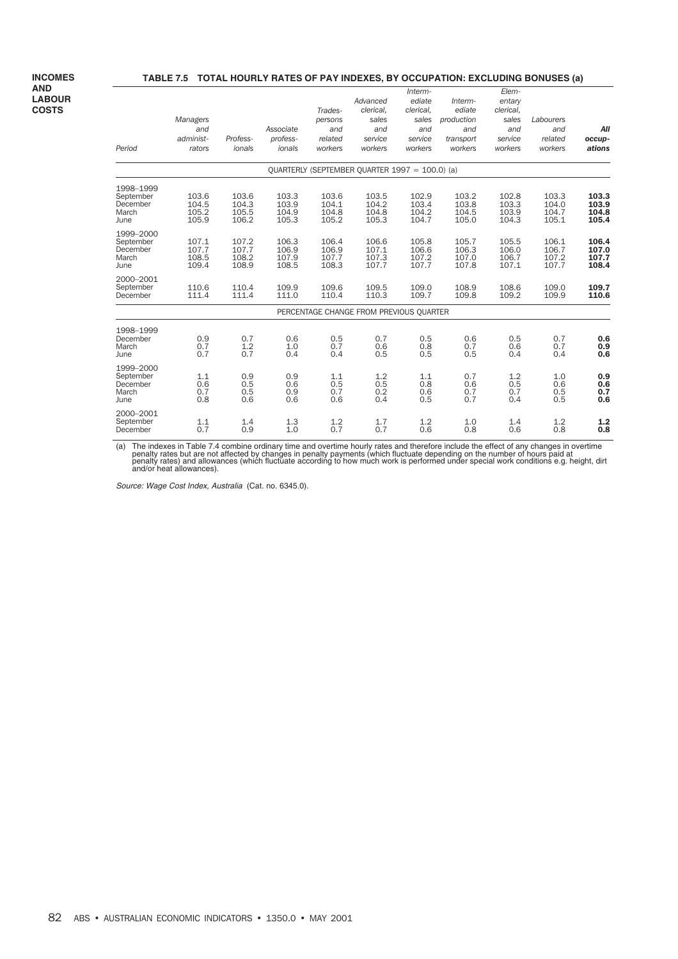### **TABLE 7.5 TOTAL HOURLY RATES OF PAY INDEXES, BY OCCUPATION: EXCLUDING BONUSES (a)**

|                                                     |                                        |                                  |                                  |                                                 |                                                             |                                                                      |                                                                |                                                                    |                                        | -- w                             |
|-----------------------------------------------------|----------------------------------------|----------------------------------|----------------------------------|-------------------------------------------------|-------------------------------------------------------------|----------------------------------------------------------------------|----------------------------------------------------------------|--------------------------------------------------------------------|----------------------------------------|----------------------------------|
| Period                                              | Managers<br>and<br>administ-<br>rators | Profess-<br>ionals               | Associate<br>profess-<br>ionals  | Trades-<br>persons<br>and<br>related<br>workers | Advanced<br>clerical.<br>sales<br>and<br>service<br>workers | Interm-<br>ediate<br>clerical,<br>sales<br>and<br>service<br>workers | Interm-<br>ediate<br>production<br>and<br>transport<br>workers | Elem-<br>entary<br>clerical,<br>sales<br>and<br>service<br>workers | Labourers<br>and<br>related<br>workers | All<br>occup-<br>ations          |
|                                                     |                                        |                                  |                                  |                                                 | QUARTERLY (SEPTEMBER QUARTER $1997 = 100.0$ ) (a)           |                                                                      |                                                                |                                                                    |                                        |                                  |
| 1998-1999<br>September<br>December<br>March<br>June | 103.6<br>104.5<br>105.2<br>105.9       | 103.6<br>104.3<br>105.5<br>106.2 | 103.3<br>103.9<br>104.9<br>105.3 | 103.6<br>104.1<br>104.8<br>105.2                | 103.5<br>104.2<br>104.8<br>105.3                            | 102.9<br>103.4<br>104.2<br>104.7                                     | 103.2<br>103.8<br>104.5<br>105.0                               | 102.8<br>103.3<br>103.9<br>104.3                                   | 103.3<br>104.0<br>104.7<br>105.1       | 103.3<br>103.9<br>104.8<br>105.4 |
| 1999-2000<br>September<br>December<br>March<br>June | 107.1<br>107.7<br>108.5<br>109.4       | 107.2<br>107.7<br>108.2<br>108.9 | 106.3<br>106.9<br>107.9<br>108.5 | 106.4<br>106.9<br>107.7<br>108.3                | 106.6<br>107.1<br>107.3<br>107.7                            | 105.8<br>106.6<br>107.2<br>107.7                                     | 105.7<br>106.3<br>107.0<br>107.8                               | 105.5<br>106.0<br>106.7<br>107.1                                   | 106.1<br>106.7<br>107.2<br>107.7       | 106.4<br>107.0<br>107.7<br>108.4 |
| 2000-2001<br>September<br>December                  | 110.6<br>111.4                         | 110.4<br>111.4                   | 109.9<br>111.0                   | 109.6<br>110.4                                  | 109.5<br>110.3                                              | 109.0<br>109.7                                                       | 108.9<br>109.8                                                 | 108.6<br>109.2                                                     | 109.0<br>109.9                         | 109.7<br>110.6                   |
|                                                     |                                        |                                  |                                  |                                                 | PERCENTAGE CHANGE FROM PREVIOUS QUARTER                     |                                                                      |                                                                |                                                                    |                                        |                                  |
| 1998-1999<br>December<br>March<br>June              | 0.9<br>0.7<br>0.7                      | 0.7<br>1.2<br>0.7                | 0.6<br>1.0<br>0.4                | 0.5<br>0.7<br>0.4                               | 0.7<br>0.6<br>0.5                                           | 0.5<br>0.8<br>0.5                                                    | 0.6<br>0.7<br>0.5                                              | 0.5<br>0.6<br>0.4                                                  | 0.7<br>0.7<br>0.4                      | 0.6<br>0.9<br>0.6                |
| 1999-2000<br>September<br>December<br>March<br>June | 1.1<br>0.6<br>0.7<br>0.8               | 0.9<br>0.5<br>0.5<br>0.6         | 0.9<br>0.6<br>0.9<br>0.6         | 1.1<br>0.5<br>0.7<br>0.6                        | 1.2<br>0.5<br>0.2<br>0.4                                    | 1.1<br>0.8<br>0.6<br>0.5                                             | 0.7<br>0.6<br>0.7<br>0.7                                       | 1.2<br>0.5<br>0.7<br>0.4                                           | 1.0<br>0.6<br>0.5<br>0.5               | 0.9<br>0.6<br>0.7<br>0.6         |
| 2000-2001<br>September<br>December                  | 1.1<br>0.7                             | 1.4<br>0.9                       | 1.3<br>1.0                       | 1.2<br>0.7                                      | 1.7<br>0.7                                                  | 1.2<br>0.6                                                           | 1.0<br>0.8                                                     | 1.4<br>0.6                                                         | 1.2<br>0.8                             | 1.2<br>0.8                       |

(a) The indexes in Table 7.4 combine ordinary time and overtime hourly rates and therefore include the effect of any changes in overtime<br>penalty rates but are not affected by changes in penalty payments (which fluctuate de

Source: Wage Cost Index, Australia (Cat. no. 6345.0).

**AND LABOUR COSTS**

**INCOMES**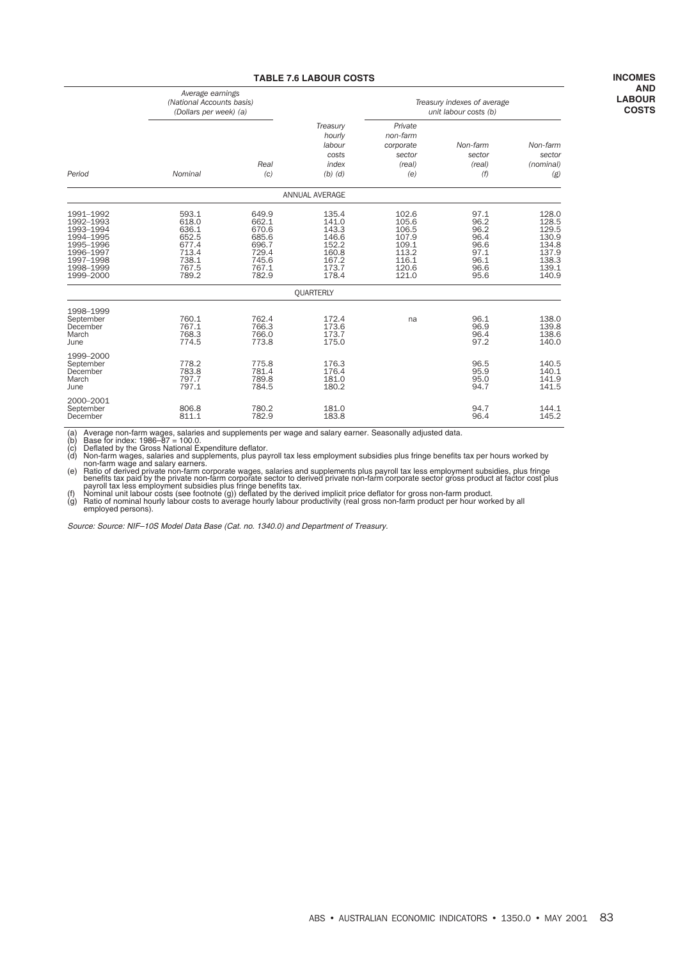#### **TABLE 7.6 LABOUR COSTS**

|                                                                                                                   | Average earnings<br>(National Accounts basis)<br>(Dollars per week) (a)       |                                                                               |                                                                               |                                                                               | Treasury indexes of average<br>unit labour costs (b)                 |                                                                               |
|-------------------------------------------------------------------------------------------------------------------|-------------------------------------------------------------------------------|-------------------------------------------------------------------------------|-------------------------------------------------------------------------------|-------------------------------------------------------------------------------|----------------------------------------------------------------------|-------------------------------------------------------------------------------|
| Period                                                                                                            | Nominal                                                                       | Real<br>(c)                                                                   | Treasury<br>hourly<br>labour<br>costs<br>index<br>$(b)$ $(d)$                 | Private<br>non-farm<br>corporate<br>sector<br>(real)<br>(e)                   | Non-farm<br>sector<br>(real)<br>(f)                                  | Non-farm<br>sector<br>(nominal)<br>(g)                                        |
|                                                                                                                   |                                                                               |                                                                               | <b>ANNUAL AVERAGE</b>                                                         |                                                                               |                                                                      |                                                                               |
| 1991-1992<br>1992-1993<br>1993-1994<br>1994-1995<br>1995-1996<br>1996-1997<br>1997-1998<br>1998-1999<br>1999-2000 | 593.1<br>618.0<br>636.1<br>652.5<br>677.4<br>713.4<br>738.1<br>767.5<br>789.2 | 649.9<br>662.1<br>670.6<br>685.6<br>696.7<br>729.4<br>745.6<br>767.1<br>782.9 | 135.4<br>141.0<br>143.3<br>146.6<br>152.2<br>160.8<br>167.2<br>173.7<br>178.4 | 102.6<br>105.6<br>106.5<br>107.9<br>109.1<br>113.2<br>116.1<br>120.6<br>121.0 | 97.1<br>96.2<br>96.2<br>96.4<br>96.6<br>97.1<br>96.1<br>96.6<br>95.6 | 128.0<br>128.5<br>129.5<br>130.9<br>134.8<br>137.9<br>138.3<br>139.1<br>140.9 |
|                                                                                                                   |                                                                               |                                                                               | <b>QUARTERLY</b>                                                              |                                                                               |                                                                      |                                                                               |
| 1998-1999<br>September<br>December<br>March<br>June                                                               | 760.1<br>767.1<br>768.3<br>774.5                                              | 762.4<br>766.3<br>766.0<br>773.8                                              | 172.4<br>173.6<br>173.7<br>175.0                                              | na                                                                            | 96.1<br>96.9<br>96.4<br>97.2                                         | 138.0<br>139.8<br>138.6<br>140.0                                              |
| 1999-2000<br>September<br>December<br>March<br>June                                                               | 778.2<br>783.8<br>797.7<br>797.1                                              | 775.8<br>781.4<br>789.8<br>784.5                                              | 176.3<br>176.4<br>181.0<br>180.2                                              |                                                                               | 96.5<br>95.9<br>95.0<br>94.7                                         | 140.5<br>140.1<br>141.9<br>141.5                                              |
| 2000-2001<br>September<br>December                                                                                | 806.8<br>811.1                                                                | 780.2<br>782.9                                                                | 181.0<br>183.8                                                                |                                                                               | 94.7<br>96.4                                                         | 144.1<br>145.2                                                                |

(a) Average non-farm wages, salaries and supplements per wage and salary earner. Seasonally adjusted data.<br>
(b) Base for index: 1986-87 = 100.0.<br>
(c) Deflated by the Gross National Expenditure deflator.<br>
(d) Non-farm wages

(g) Ratio of nominal hourly labour costs to average hourly labour productivity (real gross non-farm product per hour worked by all<br>employed persons).

Source: Source: NIF–10S Model Data Base (Cat. no. 1340.0) and Department of Treasury.

ABS • AUSTRALIAN ECONOMIC INDICATORS • 1350.0 • MAY 2001 83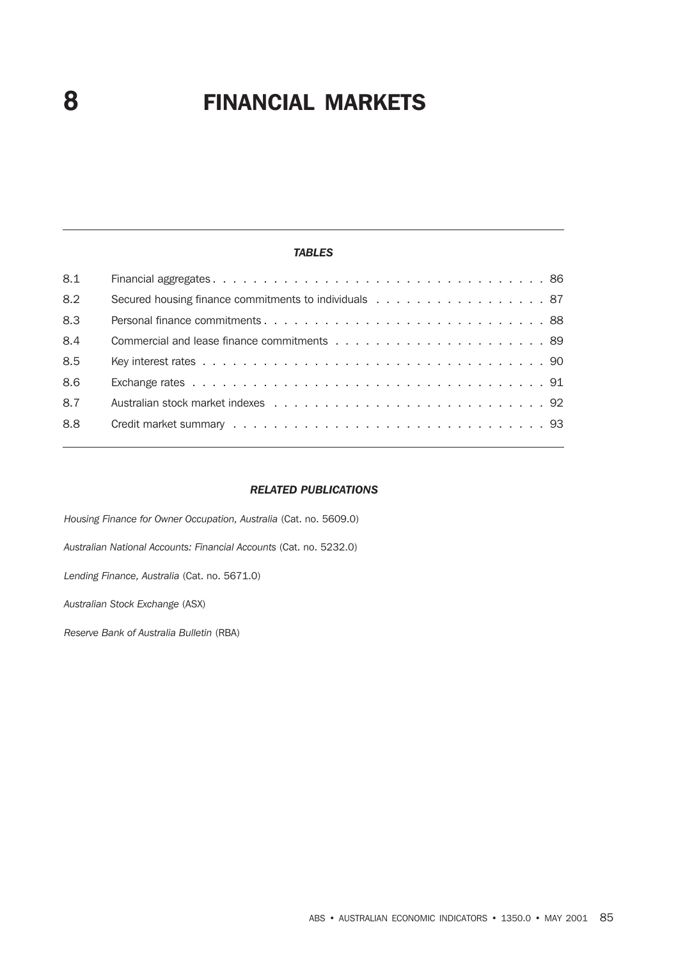# **8** FINANCIAL MARKETS

#### *TABLES*

| 8.1 |                                                       |
|-----|-------------------------------------------------------|
| 8.2 | Secured housing finance commitments to individuals 87 |
| 8.3 |                                                       |
| 8.4 |                                                       |
| 8.5 |                                                       |
| 8.6 |                                                       |
| 8.7 |                                                       |
| 8.8 |                                                       |
|     |                                                       |

## *RELATED PUBLICATIONS*

*Housing Finance for Owner Occupation, Australia* (Cat. no. 5609.0)

*Australian National Accounts: Financial Accounts* (Cat. no. 5232.0)

*Lending Finance, Australia* (Cat. no. 5671.0)

*Australian Stock Exchange* (ASX)

*Reserve Bank of Australia Bulletin* (RBA)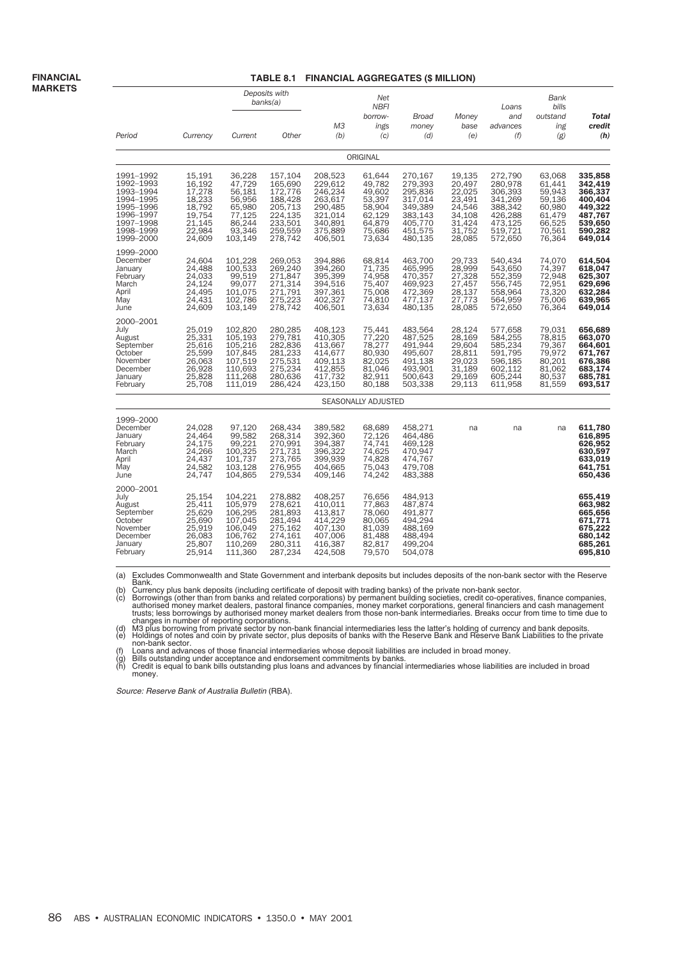**FINANCIAL MARKETS**

#### **TABLE 8.1 FINANCIAL AGGREGATES (\$ MILLION)**

|                                                                                                                   |                                                                                        |                                                                                         | Deposits with<br>banks(a)                                                                       |                                                                                                 | Net<br><b>NBFI</b>                                                                     |                                                                                                 |                                                                                        | Loans                                                                                           | Bank<br>bills                                                                          |                                                                                                 |
|-------------------------------------------------------------------------------------------------------------------|----------------------------------------------------------------------------------------|-----------------------------------------------------------------------------------------|-------------------------------------------------------------------------------------------------|-------------------------------------------------------------------------------------------------|----------------------------------------------------------------------------------------|-------------------------------------------------------------------------------------------------|----------------------------------------------------------------------------------------|-------------------------------------------------------------------------------------------------|----------------------------------------------------------------------------------------|-------------------------------------------------------------------------------------------------|
| Period                                                                                                            | Currency                                                                               | Current                                                                                 | Other                                                                                           | ΜЗ<br>(b)                                                                                       | borrow-<br>ings<br>(c)                                                                 | <b>Broad</b><br>money<br>(d)                                                                    | Money<br>base<br>(e)                                                                   | and<br>advances<br>(f)                                                                          | outstand<br>ing<br>$\left(\cancel{g}\right)$                                           | <b>Total</b><br>credit<br>(h)                                                                   |
|                                                                                                                   |                                                                                        |                                                                                         |                                                                                                 |                                                                                                 | ORIGINAL                                                                               |                                                                                                 |                                                                                        |                                                                                                 |                                                                                        |                                                                                                 |
| 1991-1992<br>1992-1993<br>1993-1994<br>1994-1995<br>1995-1996<br>1996-1997<br>1997-1998<br>1998-1999<br>1999-2000 | 15,191<br>16,192<br>17,278<br>18,233<br>18,792<br>19,754<br>21,145<br>22,984<br>24.609 | 36,228<br>47,729<br>56,181<br>56,956<br>65,980<br>77,125<br>86,244<br>93,346<br>103,149 | 157,104<br>165,690<br>172,776<br>188,428<br>205,713<br>224,135<br>233,501<br>259,559<br>278,742 | 208,523<br>229,612<br>246,234<br>263,617<br>290,485<br>321,014<br>340,891<br>375,889<br>406,501 | 61,644<br>49,782<br>49,602<br>53,397<br>58,904<br>62,129<br>64,879<br>75,686<br>73,634 | 270,167<br>279,393<br>295,836<br>317,014<br>349,389<br>383,143<br>405,770<br>451,575<br>480,135 | 19,135<br>20,497<br>22,025<br>23,491<br>24,546<br>34,108<br>31,424<br>31,752<br>28,085 | 272,790<br>280,978<br>306,393<br>341,269<br>388,342<br>426,288<br>473,125<br>519,721<br>572,650 | 63,068<br>61,441<br>59,943<br>59,136<br>60,980<br>61,479<br>66,525<br>70,561<br>76,364 | 335,858<br>342,419<br>366,337<br>400,404<br>449,322<br>487,767<br>539,650<br>590,282<br>649,014 |
| 1999-2000<br>December<br>January<br>February<br>March<br>April<br>May<br>June                                     | 24,604<br>24.488<br>24,033<br>24,124<br>24,495<br>24,431<br>24,609                     | 101,228<br>100.533<br>99,519<br>99,077<br>101,075<br>102,786<br>103,149                 | 269,053<br>269.240<br>271,847<br>271,314<br>271,791<br>275,223<br>278,742                       | 394,886<br>394.260<br>395,399<br>394,516<br>397,361<br>402,327<br>406,501                       | 68,814<br>71.735<br>74,958<br>75,407<br>75,008<br>74,810<br>73,634                     | 463,700<br>465.995<br>470,357<br>469,923<br>472,369<br>477,137<br>480,135                       | 29,733<br>28.999<br>27,328<br>27,457<br>28,137<br>27,773<br>28,085                     | 540,434<br>543.650<br>552,359<br>556,745<br>558,964<br>564,959<br>572,650                       | 74,070<br>74.397<br>72,948<br>72,951<br>73,320<br>75,006<br>76,364                     | 614,504<br>618.047<br>625,307<br>629,696<br>632.284<br>639,965<br>649,014                       |
| 2000-2001<br>July<br>August<br>September<br>October<br>November<br>December<br>January<br>February                | 25.019<br>25,331<br>25,616<br>25,599<br>26,063<br>26,928<br>25,828<br>25,708           | 102,820<br>105,193<br>105,216<br>107,845<br>107,519<br>110,693<br>111,268<br>111,019    | 280.285<br>279,781<br>282,836<br>281,233<br>275,531<br>275,234<br>280,636<br>286,424            | 408.123<br>410,305<br>413,667<br>414.677<br>409,113<br>412,855<br>417,732<br>423,150            | 75.441<br>77,220<br>78,277<br>80.930<br>82,025<br>81,046<br>82,911<br>80,188           | 483.564<br>487,525<br>491,944<br>495.607<br>491,138<br>493,901<br>500.643<br>503,338            | 28.124<br>28,169<br>29,604<br>28.811<br>29,023<br>31,189<br>29,169<br>29,113           | 577.658<br>584,255<br>585,234<br>591.795<br>596,185<br>602,112<br>605,244<br>611,958            | 79.031<br>78,815<br>79,367<br>79.972<br>80,201<br>81,062<br>80,537<br>81,559           | 656.689<br>663,070<br>664,601<br>671.767<br>676,386<br>683,174<br>685,781<br>693,517            |
|                                                                                                                   |                                                                                        |                                                                                         |                                                                                                 |                                                                                                 | SEASONALLY ADJUSTED                                                                    |                                                                                                 |                                                                                        |                                                                                                 |                                                                                        |                                                                                                 |
| 1999-2000<br>December<br>January<br>February<br>March<br>April<br>May<br>June                                     | 24,028<br>24,464<br>24,175<br>24,266<br>24,437<br>24,582<br>24.747                     | 97,120<br>99,582<br>99,221<br>100,325<br>101,737<br>103,128<br>104.865                  | 268,434<br>268,314<br>270,991<br>271,731<br>273,765<br>276,955<br>279,534                       | 389,582<br>392,360<br>394,387<br>396,322<br>399,939<br>404,665<br>409.146                       | 68,689<br>72,126<br>74.741<br>74,625<br>74,828<br>75,043<br>74.242                     | 458,271<br>464,486<br>469,128<br>470.947<br>474,767<br>479,708<br>483,388                       | na                                                                                     | na                                                                                              | na                                                                                     | 611,780<br>616,895<br>626,952<br>630,597<br>633,019<br>641,751<br>650,436                       |
| 2000-2001<br>July<br>August<br>September<br>October<br>November<br>December<br>January<br>February                | 25,154<br>25.411<br>25,629<br>25,690<br>25,919<br>26,083<br>25,807<br>25,914           | 104,221<br>105.979<br>106,295<br>107,045<br>106,049<br>106,762<br>110,269<br>111,360    | 278,882<br>278.621<br>281,893<br>281,494<br>275,162<br>274,161<br>280,311<br>287,234            | 408,257<br>410.011<br>413,817<br>414,229<br>407,130<br>407,006<br>416,387<br>424,508            | 76,656<br>77.863<br>78,060<br>80,065<br>81,039<br>81,488<br>82,817<br>79,570           | 484,913<br>487.874<br>491.877<br>494,294<br>488.169<br>488,494<br>499,204<br>504,078            |                                                                                        |                                                                                                 |                                                                                        | 655,419<br>663.982<br>665,656<br>671,771<br>675.222<br>680,142<br>685,261<br>695,810            |

(a) Excludes Commonwealth and State Government and interbank deposits but includes deposits of the non-bank sector with the Reserve Bank.

(b) Currency plus bank deposits (including certificate of deposit with trading banks) of the private non-bank sector.<br>
(c) Borrowings (other than from banks and related corporations) by permanent building societies, credit

(f) Loans and advances of those financial intermediaries whose deposit liabilities are included in broad money.<br>(g) Bills outstanding under acceptance and endorsement commitments by banks.<br>(h) Credit is equal to bank bil money.

Source: Reserve Bank of Australia Bulletin (RBA).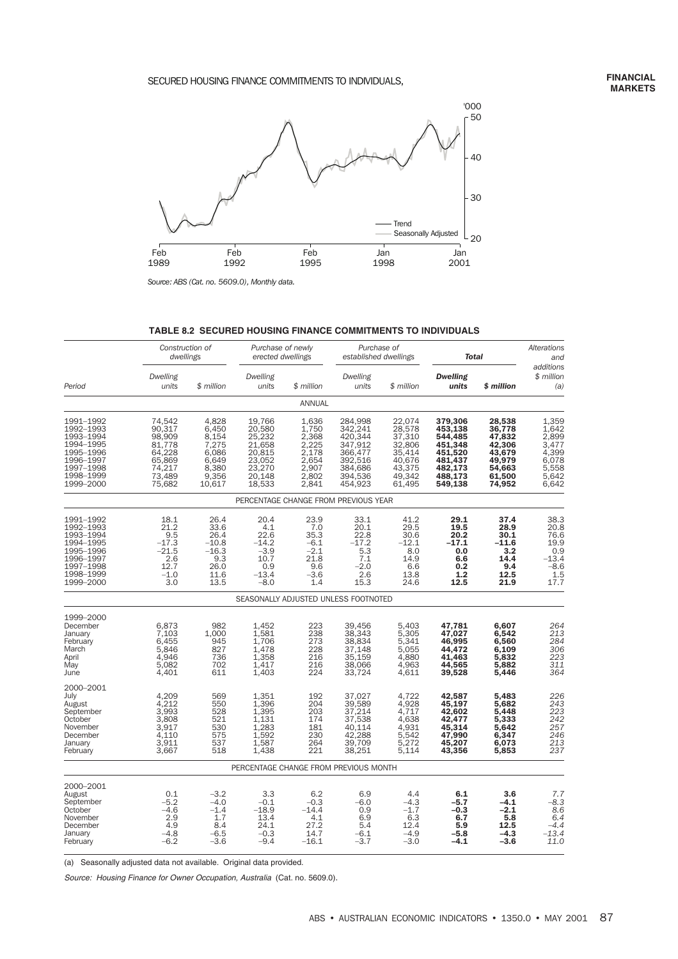# SECURED HOUSING FINANCE COMMITMENTS TO INDIVIDUALS,

#### **FINANCIAL MARKETS**



*Source: ABS (Cat. no. 5609.0), Monthly data.*

|                                                                                                                   |                                                                                        | Construction of<br>dwellings                                                   |                                                                                        | Purchase of newly<br>erected dwellings                                        |                                                                                                 | Purchase of<br>established dwellings                                                   | <b>Total</b>                                                                                    |                                                                                        | Alterations<br>and                                                                    |  |
|-------------------------------------------------------------------------------------------------------------------|----------------------------------------------------------------------------------------|--------------------------------------------------------------------------------|----------------------------------------------------------------------------------------|-------------------------------------------------------------------------------|-------------------------------------------------------------------------------------------------|----------------------------------------------------------------------------------------|-------------------------------------------------------------------------------------------------|----------------------------------------------------------------------------------------|---------------------------------------------------------------------------------------|--|
| Period                                                                                                            | Dwelling<br>units                                                                      | \$ million                                                                     | Dwelling<br>units                                                                      | \$ million                                                                    | Dwelling<br>units                                                                               | \$ million                                                                             | <b>Dwelling</b><br>units                                                                        | \$ million                                                                             | additions<br>\$ million<br>(a)                                                        |  |
|                                                                                                                   |                                                                                        |                                                                                |                                                                                        | ANNUAL                                                                        |                                                                                                 |                                                                                        |                                                                                                 |                                                                                        |                                                                                       |  |
| 1991-1992<br>1992-1993<br>1993-1994<br>1994-1995<br>1995-1996<br>1996-1997<br>1997-1998<br>1998-1999<br>1999-2000 | 74,542<br>90,317<br>98,909<br>81,778<br>64,228<br>65,869<br>74,217<br>73,489<br>75,682 | 4,828<br>6,450<br>8,154<br>7,275<br>6,086<br>6,649<br>8,380<br>9,356<br>10,617 | 19,766<br>20,580<br>25,232<br>21,658<br>20,815<br>23,052<br>23,270<br>20,148<br>18,533 | 1,636<br>1,750<br>2,368<br>2,225<br>2,178<br>2,654<br>2,907<br>2,802<br>2,841 | 284,998<br>342,241<br>420,344<br>347,912<br>366,477<br>392,516<br>384,686<br>394,536<br>454,923 | 22,074<br>28,578<br>37,310<br>32,806<br>35,414<br>40,676<br>43,375<br>49,342<br>61,495 | 379,306<br>453,138<br>544,485<br>451,348<br>451,520<br>481,437<br>482,173<br>488,173<br>549,138 | 28,538<br>36,778<br>47,832<br>42,306<br>43,679<br>49,979<br>54,663<br>61,500<br>74,952 | 1,359<br>$1,642$<br>$2,899$<br>$3,477$<br>$4,399$<br>6,078<br>5,558<br>5,642<br>6,642 |  |
|                                                                                                                   |                                                                                        |                                                                                |                                                                                        |                                                                               | PERCENTAGE CHANGE FROM PREVIOUS YEAR                                                            |                                                                                        |                                                                                                 |                                                                                        |                                                                                       |  |
| 1991-1992<br>1992-1993<br>1993-1994<br>1994-1995<br>1995-1996<br>1996-1997<br>1997-1998<br>1998-1999<br>1999-2000 | 18.1<br>21.2<br>9.5<br>$-17.3$<br>$-21.5$<br>2.6<br>12.7<br>$-1.0$<br>3.0              | 26.4<br>33.6<br>26.4<br>$-10.8$<br>$-16.3$<br>9.3<br>26.0<br>11.6<br>13.5      | 20.4<br>4.1<br>22.6<br>$-14.2$<br>$-3.9$<br>10.7<br>0.9<br>$-13.4$<br>$-8.0$           | 23.9<br>7.0<br>35.3<br>$-6.1$<br>$-2.1$<br>21.8<br>9.6<br>$-3.6$<br>1.4       | 33.1<br>20.1<br>22.8<br>$-17.2$<br>5.3<br>7.1<br>$-2.0$<br>2.6<br>15.3                          | 41.2<br>29.5<br>30.6<br>$-12.1$<br>8.0<br>14.9<br>6.6<br>13.8<br>24.6                  | 29.1<br>19.5<br>20.2<br>$-17.1$<br>0.0<br>6.6<br>0.2<br>1.2<br>12.5                             | 37.4<br>28.9<br>30.1<br>$-11.6$<br>3.2<br>14.4<br>9.4<br>12.5<br>21.9                  | 38.3<br>20.8<br>76.6<br>19.9<br>$0.9 - 13.4$<br>$-8.6$<br>$1.5$<br>$17.7$             |  |
|                                                                                                                   |                                                                                        |                                                                                |                                                                                        |                                                                               | SEASONALLY ADJUSTED UNLESS FOOTNOTED                                                            |                                                                                        |                                                                                                 |                                                                                        |                                                                                       |  |
| 1999-2000<br>December<br>January<br>February<br>March<br>April<br>May<br>June                                     | 6,873<br>7,103<br>6,455<br>5,846<br>4.946<br>5,082<br>4,401                            | 982<br>1,000<br>945<br>827<br>736<br>702<br>611                                | $1,452$<br>$1,581$<br>1,706<br>1,478<br>1,358<br>1,417<br>1,403                        | 223<br>238<br>273<br>228<br>216<br>216<br>224                                 | 39,456<br>38,343<br>38,834<br>37,148<br>35,159<br>38,066<br>33,724                              | 5,403<br>5,305<br>5,341<br>5,055<br>4.880<br>4,963<br>4,611                            | 47,781<br>47,027<br>46,995<br>44,472<br>41,463<br>44,565<br>39,528                              | 6,607<br>6,542<br>6,560<br>6,109<br>5,832<br>5,882<br>5,446                            | 264<br>213<br>284<br>306<br>223<br>311<br>364                                         |  |
| 2000-2001<br>July<br>August<br>September<br>October<br>November<br>December<br>January<br>February                | 4,209<br>4,212<br>3,993<br>3,808<br>3,917<br>4.110<br>3,911<br>3,667                   | 569<br>550<br>528<br>521<br>530<br>575<br>537<br>518                           | 1,351<br>1,396<br>1,395<br>1,131<br>1,283<br>1,592<br>1,587<br>1,438                   | 192<br>204<br>203<br>174<br>181<br>230<br>264<br>221                          | 37,027<br>39,589<br>37,214<br>37,538<br>40,114<br>42,288<br>39,709<br>38,251                    | 4,722<br>4,928<br>4,717<br>4,638<br>4,931<br>5,542<br>5,272<br>5,114                   | 42,587<br>45,197<br>42,602<br>42,477<br>45,314<br>47,990<br>45,207<br>43,356                    | 5,483<br>5,682<br>5,448<br>5,333<br>5,642<br>6,347<br>6,073<br>5,853                   | 226<br>243<br>223<br>242<br>257<br>246<br>213<br>237                                  |  |
|                                                                                                                   |                                                                                        |                                                                                |                                                                                        |                                                                               | PERCENTAGE CHANGE FROM PREVIOUS MONTH                                                           |                                                                                        |                                                                                                 |                                                                                        |                                                                                       |  |
| 2000-2001<br>August<br>September<br>October<br>November<br>December<br>January<br>February                        | 0.1<br>$-5.2$<br>$-4.6$<br>2.9<br>4.9<br>$-4.8$<br>$-6.2$                              | $-3.2$<br>$-4.0$<br>$-1.4$<br>1.7<br>8.4<br>$-6.5$<br>$-3.6$                   | 3.3<br>$-0.1$<br>$-18.9$<br>13.4<br>24.1<br>$-0.3$<br>$-9.4$                           | 6.2<br>$-0.3$<br>$-14.4$<br>4.1<br>27.2<br>14.7<br>$-16.1$                    | 6.9<br>$-6.0$<br>0.9<br>6.9<br>5.4<br>$-6.1$<br>$-3.7$                                          | 4.4<br>$-4.3$<br>$-1.7$<br>6.3<br>12.4<br>$-4.9$<br>$-3.0$                             | 6.1<br>-5.7<br>-0.3<br>6.7<br>5.9<br>-5.8<br>-4.1                                               | 3.6<br>$-4.1$<br>$-2.1$<br>5.8<br>12.5<br>$-4.3$<br>$-3.6$                             | 7.7<br>$-8.3$<br>8.6<br>6.4<br>$-4.4$<br>$-13.4$<br>11.0                              |  |

# **TABLE 8.2 SECURED HOUSING FINANCE COMMITMENTS TO INDIVIDUALS**

(a) Seasonally adjusted data not available. Original data provided.

Source: Housing Finance for Owner Occupation, Australia (Cat. no. 5609.0).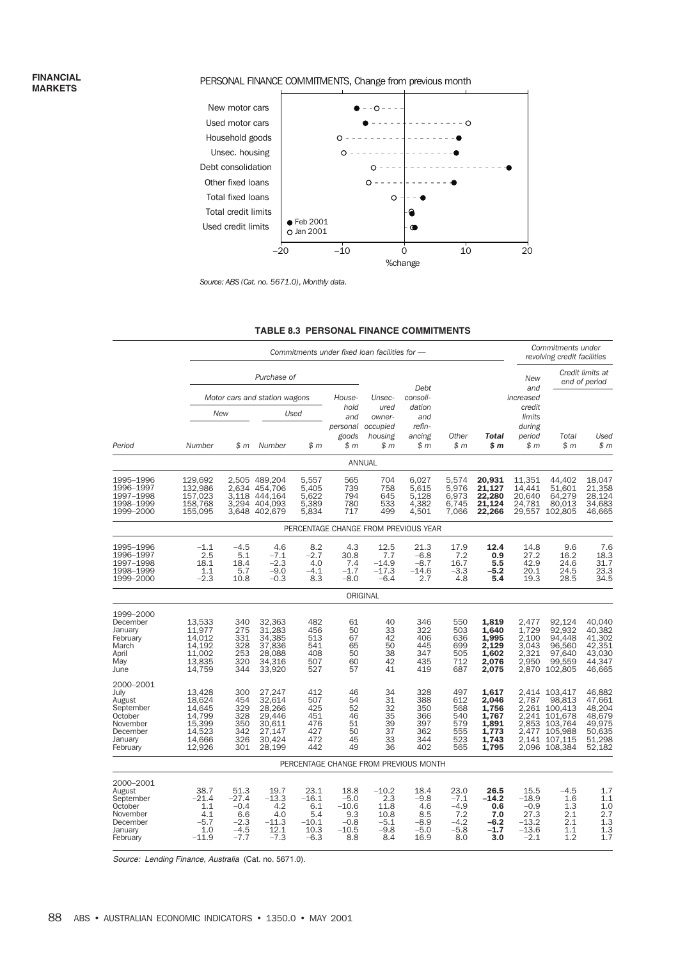#### **FINANCIAL MARKETS**

# PERSONAL FINANCE COMMITMENTS, Change from previous month



*Source: ABS (Cat. no. 5671.0), Monthly data.*

# **TABLE 8.3 PERSONAL FINANCE COMMITMENTS**

|                                                                                                    |                                                                              |                                                                |                                                                                   |                                                            |                                                              | Commitments under fixed loan facilities for -             |                                                          |                                                            |                                                                      |                                                                   | Commitments under<br>revolving credit facilities                                                                              |                                                                              |
|----------------------------------------------------------------------------------------------------|------------------------------------------------------------------------------|----------------------------------------------------------------|-----------------------------------------------------------------------------------|------------------------------------------------------------|--------------------------------------------------------------|-----------------------------------------------------------|----------------------------------------------------------|------------------------------------------------------------|----------------------------------------------------------------------|-------------------------------------------------------------------|-------------------------------------------------------------------------------------------------------------------------------|------------------------------------------------------------------------------|
|                                                                                                    |                                                                              |                                                                | Purchase of                                                                       |                                                            |                                                              |                                                           | Debt                                                     |                                                            |                                                                      | New<br>and                                                        |                                                                                                                               | Credit limits at<br>end of period                                            |
|                                                                                                    |                                                                              |                                                                | Motor cars and station wagons                                                     |                                                            | House-                                                       | Unsec-                                                    | consoli-                                                 |                                                            |                                                                      | increased                                                         |                                                                                                                               |                                                                              |
|                                                                                                    |                                                                              | New                                                            |                                                                                   | Used                                                       | hold<br>and                                                  | ured<br>owner-                                            | dation<br>and                                            |                                                            |                                                                      | credit<br>limits                                                  |                                                                                                                               |                                                                              |
| Period                                                                                             | Number                                                                       | \$m                                                            | Number                                                                            | \$ m                                                       | personal<br>goods<br>\$m                                     | occupied<br>housing<br>\$m                                | refin-<br>ancing<br>\$ m                                 | Other<br>\$ m                                              | Total<br>\$m                                                         | during<br>period<br>\$m                                           | Total<br>\$m                                                                                                                  | Used<br>\$m                                                                  |
|                                                                                                    |                                                                              |                                                                |                                                                                   |                                                            |                                                              | <b>ANNUAL</b>                                             |                                                          |                                                            |                                                                      |                                                                   |                                                                                                                               |                                                                              |
| 1995-1996<br>1996-1997<br>1997-1998<br>1998-1999<br>1999-2000                                      | 129,692<br>132,986<br>157,023<br>158,768<br>155,095                          |                                                                | 2,505 489,204<br>2,634 454,706<br>3,118 444,164<br>3,294 404,093<br>3,648 402,679 | 5,557<br>5,405<br>5,622<br>5,389<br>5,834                  | 565<br>739<br>794<br>780<br>717                              | 704<br>758<br>645<br>533<br>499                           | 6,027<br>5,615<br>5.128<br>4,382<br>4,501                | 5,574<br>5,976<br>6,973<br>6,745<br>7,066                  | 20,931<br>21,127<br>22,280<br>21,124<br>22,266                       | 11,351<br>14,441<br>20,640<br>24,781                              | 44,402<br>51,601<br>64,279<br>80,013<br>29,557 102,805                                                                        | 18,047<br>21,358<br>28,124<br>34,683<br>46,665                               |
|                                                                                                    |                                                                              |                                                                |                                                                                   |                                                            |                                                              |                                                           | PERCENTAGE CHANGE FROM PREVIOUS YEAR                     |                                                            |                                                                      |                                                                   |                                                                                                                               |                                                                              |
| 1995-1996<br>1996-1997<br>1997-1998<br>1998-1999<br>1999-2000                                      | $-1.1$<br>2.5<br>18.1<br>1.1<br>$-2.3$                                       | $-4.5$<br>$5.\overline{1}$<br>18.4<br>5.7<br>10.8              | 4.6<br>$-7.1$<br>$-2.3$<br>$-9.0$<br>$-0.3$                                       | 8.2<br>$-2.7$<br>4.0<br>$-4.1$<br>8.3                      | 4.3<br>30.8<br>7.4<br>$-1.7$<br>$-8.0$                       | $12.5$<br>7.7<br>$-14.9$<br>$-17.3$<br>$-6.4$             | 21.3<br>$-6.8$<br>$-8.7$<br>$-14.6$<br>2.7               | 17.9<br>7.2<br>16.7<br>$-3.3$<br>4.8                       | 12.4<br>0.9<br>5.5<br>$-5.2$<br>5.4                                  | 14.8<br>27.2<br>42.9<br>20.1<br>19.3                              | 9.6<br>16.2<br>24.6<br>24.5<br>28.5                                                                                           | $\begin{array}{c} 7.6 \\ 18.3 \end{array}$<br>31.7<br>23.3<br>34.5           |
|                                                                                                    |                                                                              |                                                                |                                                                                   |                                                            |                                                              | ORIGINAL                                                  |                                                          |                                                            |                                                                      |                                                                   |                                                                                                                               |                                                                              |
| 1999-2000<br>December<br>January<br>February<br>March<br>April<br>May<br>June                      | 13,533<br>11,977<br>14,012<br>14,192<br>11,002<br>13,835<br>14,759           | 340<br>275<br>331<br>328<br>253<br>320<br>344                  | 32,363<br>31,283<br>34,385<br>37,836<br>28,088<br>34,316<br>33,920                | 482<br>456<br>513<br>541<br>408<br>507<br>527              | 61<br>50<br>67<br>65<br>50<br>60<br>57                       | 40<br>33<br>42<br>50<br>38<br>42<br>41                    | 346<br>322<br>406<br>445<br>347<br>435<br>419            | 550<br>503<br>636<br>699<br>505<br>712<br>687              | 1,819<br>1,640<br>$1,995$<br>2,129<br>1,602<br>2,076<br>2,075        | 2,477<br>1,729<br>2,100<br>3,043<br>2,321<br>2,950                | 92,124<br>92,932<br>94,448<br>96,560<br>97,640<br>99,559<br>2,870 102,805                                                     | 40,040<br>40,382<br>41,302<br>42,351<br>43,030<br>44,347<br>46,665           |
| 2000-2001<br>July<br>August<br>September<br>October<br>November<br>December<br>January<br>February | 13,428<br>18,624<br>14,645<br>14,799<br>15,399<br>14,523<br>14,666<br>12,926 | 300<br>454<br>329<br>328<br>350<br>342<br>326<br>301           | 27,247<br>32,614<br>28,266<br>29,446<br>30,611<br>27,147<br>30,424<br>28,199      | 412<br>507<br>425<br>451<br>476<br>427<br>472<br>442       | 46<br>54<br>52<br>46<br>51<br>50<br>45<br>49                 | 34<br>$\overline{31}$<br>32<br>35<br>39<br>37<br>33<br>36 | 328<br>388<br>350<br>366<br>397<br>362<br>344<br>402     | 497<br>612<br>568<br>540<br>579<br>555<br>523<br>565       | 1,617<br>2,046<br>1,756<br>1,767<br>1,891<br>1,773<br>1,743<br>1,795 | 2,787                                                             | 2,414 103,417<br>98,813<br>2,261 100,413<br>2,241 101,678<br>2,853 103,764<br>2,477 105,988<br>2,141 107,115<br>2,096 108,384 | 46,882<br>47,661<br>48,204<br>48,679<br>49,975<br>50,635<br>51,298<br>52,182 |
|                                                                                                    |                                                                              |                                                                |                                                                                   |                                                            |                                                              |                                                           | PERCENTAGE CHANGE FROM PREVIOUS MONTH                    |                                                            |                                                                      |                                                                   |                                                                                                                               |                                                                              |
| 2000-2001<br>August<br>September<br>October<br>November<br>December<br>January<br>February         | 38.7<br>$-21.4$<br>1.1<br>4.1<br>$-5.7$<br>1.0<br>$-11.9$                    | 51.3<br>$-27.4$<br>$-0.4$<br>6.6<br>$-2.3$<br>$-4.5$<br>$-7.7$ | 19.7<br>$-13.3$<br>4.2<br>4.0<br>$-11.3$<br>12.1<br>$-7.3$                        | 23.1<br>$-16.1$<br>6.1<br>5.4<br>$-10.1$<br>10.3<br>$-6.3$ | 18.8<br>$-5.0$<br>$-10.6$<br>9.3<br>$-0.8$<br>$-10.5$<br>8.8 | $-10.2$<br>2.3<br>11.8<br>10.8<br>$-5.1$<br>$-9.8$<br>8.4 | 18.4<br>$-9.8$<br>4.6<br>8.5<br>$-8.9$<br>$-5.0$<br>16.9 | 23.0<br>$-7.1$<br>$-4.9$<br>7.2<br>$-4.2$<br>$-5.8$<br>8.0 | 26.5<br>$-14.2$<br>0.6<br>7.0<br>$-6.2$<br>$-1.7$<br>3.0             | 15.5<br>$-18.9$<br>$-0.9$<br>27.3<br>$-13.2$<br>$-13.6$<br>$-2.1$ | $-4.5$<br>1.6<br>1.3<br>2.1<br>2.1<br>1.1<br>1.2                                                                              | 1.7<br>1.1<br>1.0<br>2.7<br>1.3<br>$1.3 \\ 1.7$                              |

Source: Lending Finance, Australia (Cat. no. 5671.0).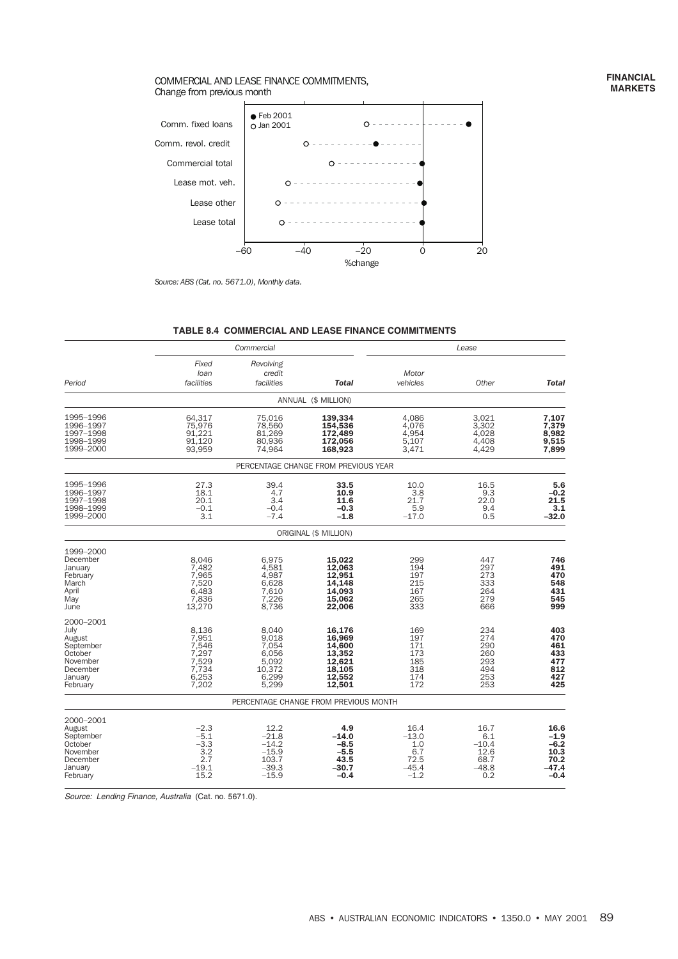#### **FINANCIAL MARKETS**

#### COMMERCIAL AND LEASE FINANCE COMMITMENTS, Change from previous month



*Source: ABS (Cat. no. 5671.0), Monthly data.*

|                                                                                                    |                                                                      | Commercial                                                            |                                                                              |                                                            | Lease                                                    |                                                               |
|----------------------------------------------------------------------------------------------------|----------------------------------------------------------------------|-----------------------------------------------------------------------|------------------------------------------------------------------------------|------------------------------------------------------------|----------------------------------------------------------|---------------------------------------------------------------|
| Period                                                                                             | Fixed<br>loan<br>facilities                                          | Revolving<br>credit<br>facilities                                     | <b>Total</b>                                                                 | Motor<br>vehicles                                          | Other                                                    | Total                                                         |
|                                                                                                    |                                                                      |                                                                       | ANNUAL (\$ MILLION)                                                          |                                                            |                                                          |                                                               |
| 1995-1996<br>1996-1997<br>1997-1998<br>1998-1999<br>1999-2000                                      | 64,317<br>75,976<br>91,221<br>91,120<br>93,959                       | 75,016<br>78,560<br>81,269<br>80,936<br>74,964                        | 139,334<br>154,536<br>172,489<br>172,056<br>168,923                          | 4,086<br>4,076<br>4,954<br>5,107<br>3,471                  | 3,021<br>3,302<br>4,028<br>4,408<br>4,429                | 7,107<br>7,379<br>8,982<br>9,515<br>7,899                     |
|                                                                                                    |                                                                      |                                                                       | PERCENTAGE CHANGE FROM PREVIOUS YEAR                                         |                                                            |                                                          |                                                               |
| 1995-1996<br>1996-1997<br>1997-1998<br>1998-1999<br>1999-2000                                      | 27.3<br>18.1<br>20.1<br>$-0.1$<br>3.1                                | 39.4<br>4.7<br>3.4<br>$-0.4$<br>$-7.4$                                | 33.5<br>10.9<br>11.6<br>$-0.3$<br>$-1.8$                                     | 10.0<br>3.8<br>21.7<br>5.9<br>$-17.0$                      | 16.5<br>9.3<br>22.0<br>9.4<br>0.5                        | 5.6<br>-0.2<br>21.5<br>3.1<br>$-32.0$                         |
|                                                                                                    |                                                                      |                                                                       | ORIGINAL (\$ MILLION)                                                        |                                                            |                                                          |                                                               |
| 1999-2000<br>December<br>January<br>February<br>March<br>April<br>May<br>June                      | 8,046<br>7,482<br>7,965<br>7,520<br>6,483<br>7,836<br>13,270         | 6,975<br>4,581<br>4,987<br>6,628<br>7,610<br>7.226<br>8,736           | 15,022<br>12,063<br>12,951<br>14,148<br>14,093<br>15.062<br>22,006           | 299<br>194<br>197<br>215<br>167<br>265<br>333              | 447<br>297<br>273<br>333<br>264<br>279<br>666            | 746<br>491<br>470<br>548<br>431<br>545<br>999                 |
| 2000-2001<br>July<br>August<br>September<br>October<br>November<br>December<br>January<br>February | 8,136<br>7.951<br>7,546<br>7,297<br>7,529<br>7,734<br>6,253<br>7.202 | 8,040<br>9.018<br>7,054<br>6,056<br>5,092<br>10,372<br>6,299<br>5.299 | 16,176<br>16,969<br>14,600<br>13,352<br>12,621<br>18,105<br>12,552<br>12.501 | 169<br>197<br>171<br>173<br>185<br>318<br>174<br>172       | 234<br>274<br>290<br>260<br>293<br>494<br>253<br>253     | 403<br>470<br>461<br>433<br>477<br>812<br>427<br>425          |
|                                                                                                    |                                                                      |                                                                       | PERCENTAGE CHANGE FROM PREVIOUS MONTH                                        |                                                            |                                                          |                                                               |
| 2000-2001<br>August<br>September<br>October<br>November<br>December<br>January<br>February         | $-2.3$<br>$-5.1$<br>$-3.3$<br>3.2<br>2.7<br>$-19.1$<br>15.2          | 12.2<br>$-21.8$<br>$-14.2$<br>$-15.9$<br>103.7<br>$-39.3$<br>$-15.9$  | 4.9<br>$-14.0$<br>$-8.5$<br>$-5.5$<br>43.5<br>-30.7<br>$-0.4$                | 16.4<br>$-13.0$<br>1.0<br>6.7<br>72.5<br>$-45.4$<br>$-1.2$ | 16.7<br>6.1<br>$-10.4$<br>12.6<br>68.7<br>$-48.8$<br>0.2 | 16.6<br>$-1.9$<br>$-6.2$<br>10.3<br>70.2<br>$-47.4$<br>$-0.4$ |

# **TABLE 8.4 COMMERCIAL AND LEASE FINANCE COMMITMENTS**

Source: Lending Finance, Australia (Cat. no. 5671.0).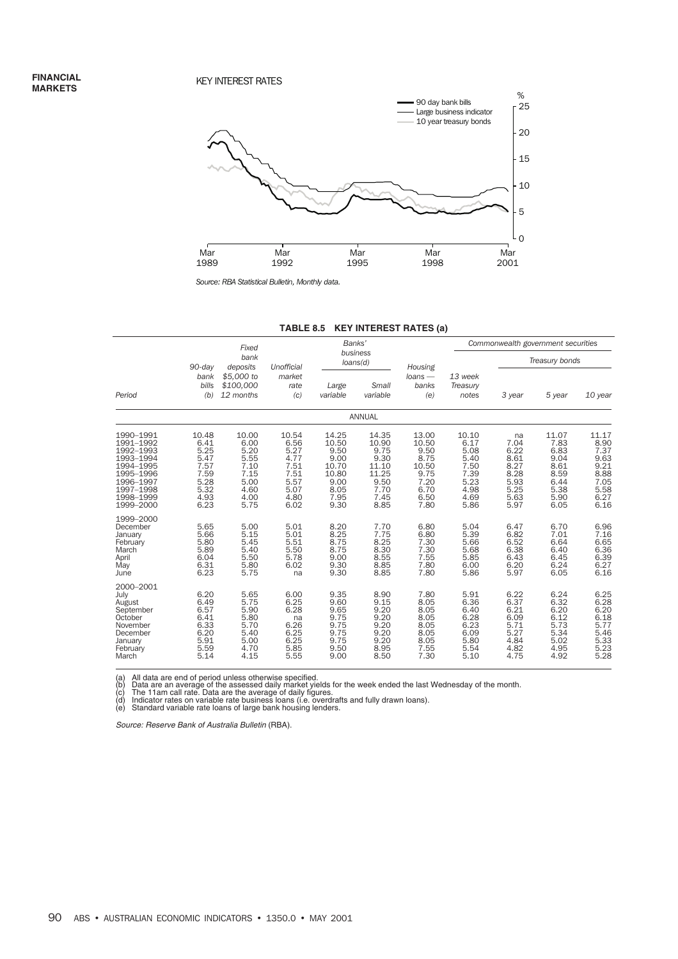#### KEY INTEREST RATES



*Source: RBA Statistical Bulletin, Monthly data.*

|                                                                                                                                |                                                                               | Fixed                                                                         |                                                                               | Banks'                                                                           |                                                                                  |                                                                                 |                                                                               | Commonwealth government securities                                         |                                                                               |                                                                                   |
|--------------------------------------------------------------------------------------------------------------------------------|-------------------------------------------------------------------------------|-------------------------------------------------------------------------------|-------------------------------------------------------------------------------|----------------------------------------------------------------------------------|----------------------------------------------------------------------------------|---------------------------------------------------------------------------------|-------------------------------------------------------------------------------|----------------------------------------------------------------------------|-------------------------------------------------------------------------------|-----------------------------------------------------------------------------------|
|                                                                                                                                | 90-day                                                                        | bank<br>deposits                                                              | Unofficial                                                                    | loans(d)                                                                         | business                                                                         | Housing                                                                         |                                                                               |                                                                            | Treasury bonds                                                                |                                                                                   |
| Period                                                                                                                         | bank<br>bills<br>(b)                                                          | \$5,000 to<br>\$100,000<br>12 months                                          | market<br>rate<br>(c)                                                         | Large<br>variable                                                                | Small<br>variable                                                                | $loans -$<br>banks<br>(e)                                                       | 13 week<br>Treasury<br>notes                                                  | 3 year                                                                     | 5 year                                                                        | 10 year                                                                           |
|                                                                                                                                |                                                                               |                                                                               |                                                                               |                                                                                  | <b>ANNUAL</b>                                                                    |                                                                                 |                                                                               |                                                                            |                                                                               |                                                                                   |
| 1990-1991<br>1991-1992<br>1992-1993<br>1993-1994<br>1994-1995<br>1995-1996<br>1996-1997<br>1997-1998<br>1998-1999<br>1999-2000 | 10.48<br>6.41<br>5.25<br>5.47<br>7.57<br>7.59<br>5.28<br>5.32<br>4.93<br>6.23 | 10.00<br>6.00<br>5.20<br>5.55<br>7.10<br>7.15<br>5.00<br>4.60<br>4.00<br>5.75 | 10.54<br>6.56<br>5.27<br>4.77<br>7.51<br>7.51<br>5.57<br>5.07<br>4.80<br>6.02 | 14.25<br>10.50<br>9.50<br>9.00<br>10.70<br>10.80<br>9.00<br>8.05<br>7.95<br>9.30 | 14.35<br>10.90<br>9.75<br>9.30<br>11.10<br>11.25<br>9.50<br>7.70<br>7.45<br>8.85 | 13.00<br>10.50<br>9.50<br>8.75<br>10.50<br>9.75<br>7.20<br>6.70<br>6.50<br>7.80 | 10.10<br>6.17<br>5.08<br>5.40<br>7.50<br>7.39<br>5.23<br>4.98<br>4.69<br>5.86 | na<br>7.04<br>6.22<br>8.61<br>8.27<br>8.28<br>5.93<br>5.25<br>5.63<br>5.97 | 11.07<br>7.83<br>6.83<br>9.04<br>8.61<br>8.59<br>6.44<br>5.38<br>5.90<br>6.05 | 11.17<br>8.90<br>7.37<br>9.63<br>9.21<br>$8.88$<br>$7.05$<br>5.58<br>6.27<br>6.16 |
| 1999-2000<br>December<br>January<br>February<br>March<br>April<br>May<br>June                                                  | 5.65<br>5.66<br>5.80<br>5.89<br>6.04<br>6.31<br>6.23                          | 5.00<br>5.15<br>5.45<br>5.40<br>5.50<br>5.80<br>5.75                          | 5.01<br>5.01<br>5.51<br>5.50<br>5.78<br>6.02<br>na                            | 8.20<br>8.25<br>8.75<br>8.75<br>9.00<br>9.30<br>9.30                             | 7.70<br>7.75<br>8.25<br>8.30<br>8.55<br>8.85<br>8.85                             | 6.80<br>6.80<br>7.30<br>7.30<br>7.55<br>7.80<br>7.80                            | 5.04<br>5.39<br>5.66<br>5.68<br>5.85<br>6.00<br>5.86                          | 6.47<br>6.82<br>6.52<br>6.38<br>6.43<br>6.20<br>5.97                       | 6.70<br>7.01<br>6.64<br>6.40<br>6.45<br>6.24<br>6.05                          | 6.96<br>7.16<br>6.65<br>6.36<br>$6.39$<br>$6.27$<br>6.16                          |
| 2000-2001<br>July<br>August<br>September<br>October<br>November<br>December<br>January<br>February<br>March                    | 6.20<br>6.49<br>6.57<br>6.41<br>6.33<br>6.20<br>5.91<br>5.59<br>5.14          | 5.65<br>5.75<br>5.90<br>5.80<br>5.70<br>5.40<br>5.00<br>4.70<br>4.15          | 6.00<br>6.25<br>6.28<br>na<br>6.26<br>6.25<br>6.25<br>5.85<br>5.55            | 9.35<br>9.60<br>9.65<br>9.75<br>9.75<br>9.75<br>9.75<br>9.50<br>9.00             | 8.90<br>9.15<br>9.20<br>9.20<br>9.20<br>9.20<br>9.20<br>8.95<br>8.50             | 7.80<br>8.05<br>8.05<br>8.05<br>8.05<br>8.05<br>8.05<br>7.55<br>7.30            | 5.91<br>6.36<br>6.40<br>6.28<br>6.23<br>6.09<br>5.80<br>5.54<br>5.10          | 6.22<br>6.37<br>6.21<br>6.09<br>5.71<br>5.27<br>4.84<br>4.82<br>4.75       | 6.24<br>6.32<br>6.20<br>6.12<br>5.73<br>5.34<br>5.02<br>4.95<br>4.92          | 6.25<br>6.28<br>6.20<br>6.18<br>5.77<br>5.46<br>5.33<br>5.23<br>5.28              |

#### **TABLE 8.5 KEY INTEREST RATES (a)**

(a) All data are end of period unless otherwise specified.<br>(b) Data are an average of the assessed daily market yields for the week ended the last Wednesday of the month.<br>(c) The 11am call rate. Data are the average of dai

Source: Reserve Bank of Australia Bulletin (RBA).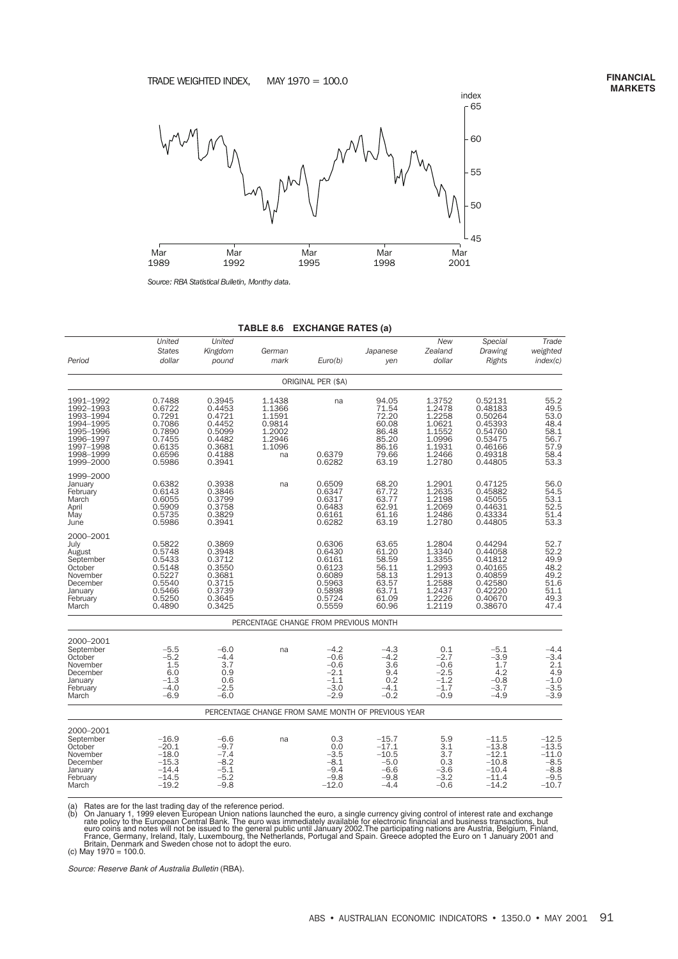# TRADE WEIGHTED INDEX, MAY  $1970 = 100.0$



*Source: RBA Statistical Bulletin, Monthy data.*

|                                                                                                                   |                                                                                        |                                                                                        | IADLE 0.0                                                                | <b>EAUTHINGE RATES (8)</b>                                                             |                                                                               |                                                                                        |                                                                                                 |                                                                        |
|-------------------------------------------------------------------------------------------------------------------|----------------------------------------------------------------------------------------|----------------------------------------------------------------------------------------|--------------------------------------------------------------------------|----------------------------------------------------------------------------------------|-------------------------------------------------------------------------------|----------------------------------------------------------------------------------------|-------------------------------------------------------------------------------------------------|------------------------------------------------------------------------|
| Period                                                                                                            | United<br><b>States</b><br>dollar                                                      | United<br>Kingdom<br>pound                                                             | German<br>mark                                                           | Euro(b)                                                                                | Japanese<br>yen                                                               | New<br>Zealand<br>dollar                                                               | Special<br>Drawing<br>Rights                                                                    | Trade<br>weighted<br>index(c)                                          |
|                                                                                                                   |                                                                                        |                                                                                        |                                                                          | ORIGINAL PER (\$A)                                                                     |                                                                               |                                                                                        |                                                                                                 |                                                                        |
| 1991–1992<br>1992-1993<br>1993-1994<br>1994-1995<br>1995-1996<br>1996-1997<br>1997-1998<br>1998-1999<br>1999-2000 | 0.7488<br>0.6722<br>0.7291<br>0.7086<br>0.7890<br>0.7455<br>0.6135<br>0.6596<br>0.5986 | 0.3945<br>0.4453<br>0.4721<br>0.4452<br>0.5099<br>0.4482<br>0.3681<br>0.4188<br>0.3941 | 1.1438<br>1.1366<br>1.1591<br>0.9814<br>1.2002<br>1.2946<br>1.1096<br>na | na<br>0.6379<br>0.6282                                                                 | 94.05<br>71.54<br>72.20<br>60.08<br>86.48<br>85.20<br>86.16<br>79.66<br>63.19 | 1.3752<br>1.2478<br>1.2258<br>1.0621<br>1.1552<br>1.0996<br>1.1931<br>1.2466<br>1.2780 | 0.52131<br>0.48183<br>0.50264<br>0.45393<br>0.54760<br>0.53475<br>0.46166<br>0.49318<br>0.44805 | 55.2<br>49.5<br>53.0<br>48.4<br>58.1<br>56.7<br>57.9<br>58.4<br>53.3   |
| 1999-2000<br>January<br>February<br>March<br>April<br>May<br>June                                                 | 0.6382<br>0.6143<br>0.6055<br>0.5909<br>0.5735<br>0.5986                               | 0.3938<br>0.3846<br>0.3799<br>0.3758<br>0.3829<br>0.3941                               | na                                                                       | 0.6509<br>0.6347<br>0.6317<br>0.6483<br>0.6161<br>0.6282                               | 68.20<br>67.72<br>63.77<br>62.91<br>61.16<br>63.19                            | 1.2901<br>1.2635<br>1.2198<br>1.2069<br>1.2486<br>1.2780                               | 0.47125<br>0.45882<br>0.45055<br>0.44631<br>0.43334<br>0.44805                                  | 56.0<br>54.5<br>53.1<br>52.5<br>51.4<br>53.3                           |
| 2000–2001<br>July<br>August<br>September<br>October<br>November<br>December<br>January<br>February<br>March       | 0.5822<br>0.5748<br>0.5433<br>0.5148<br>0.5227<br>0.5540<br>0.5466<br>0.5250<br>0.4890 | 0.3869<br>0.3948<br>0.3712<br>0.3550<br>0.3681<br>0.3715<br>0.3739<br>0.3645<br>0.3425 |                                                                          | 0.6306<br>0.6430<br>0.6161<br>0.6123<br>0.6089<br>0.5963<br>0.5898<br>0.5724<br>0.5559 | 63.65<br>61.20<br>58.59<br>56.11<br>58.13<br>63.57<br>63.71<br>61.09<br>60.96 | 1.2804<br>1.3340<br>1.3355<br>1.2993<br>1.2913<br>1.2588<br>1.2437<br>1.2226<br>1.2119 | 0.44294<br>0.44058<br>0.41812<br>0.40165<br>0.40859<br>0.42580<br>0.42220<br>0.40670<br>0.38670 | 52.7<br>52.2<br>49.9<br>48.2<br>49.2<br>51.6<br>51.1<br>49.3<br>47.4   |
|                                                                                                                   |                                                                                        |                                                                                        |                                                                          | PERCENTAGE CHANGE FROM PREVIOUS MONTH                                                  |                                                                               |                                                                                        |                                                                                                 |                                                                        |
| 2000-2001<br>September<br>October<br>November<br>December<br>January<br>February<br>March                         | $-5.5$<br>$-5.2$<br>1.5<br>6.0<br>$-1.3$<br>$-4.0$<br>$-6.9$                           | $-6.0$<br>$-4.4$<br>3.7<br>0.9<br>0.6<br>$-2.5$<br>$-6.0$                              | na                                                                       | $-4.2$<br>$-0.6$<br>$-0.6$<br>$-2.1$<br>$-1.1$<br>$-3.0$<br>$-2.9$                     | $-4.3$<br>$-4.2$<br>3.6<br>9.4<br>0.2<br>$-4.1$<br>$-0.2$                     | 0.1<br>$-2.7$<br>$-0.6$<br>$-2.5$<br>$-1.2$<br>$-1.7$<br>$-0.9$                        | $-5.1$<br>$-3.9$<br>1.7<br>4.2<br>$-0.8$<br>$-3.7$<br>$-4.9$                                    | $-4.4$<br>$-3.4$<br>2.1<br>4.9<br>$-1.0$<br>$-3.5$<br>$-3.9$           |
|                                                                                                                   |                                                                                        |                                                                                        |                                                                          | PERCENTAGE CHANGE FROM SAME MONTH OF PREVIOUS YEAR                                     |                                                                               |                                                                                        |                                                                                                 |                                                                        |
| 2000-2001<br>September<br>October<br>November<br>December<br>January<br>February<br>March                         | $-16.9$<br>$-20.1$<br>$-18.0$<br>$-15.3$<br>$-14.4$<br>$-14.5$<br>$-19.2$              | $-6.6$<br>$-9.7$<br>$-7.4$<br>$-8.2$<br>$-5.1$<br>$-5.2$<br>$-9.8$                     | na                                                                       | 0.3<br>0.0<br>$-3.5$<br>$-8.1$<br>$-9.4$<br>$-9.8$<br>$-12.0$                          | $-15.7$<br>$-17.1$<br>$-10.5$<br>$-5.0$<br>$-6.6$<br>$-9.8$<br>$-4.4$         | 5.9<br>3.1<br>3.7<br>0.3<br>$-3.6$<br>-3.2<br>$-0.6$                                   | $-11.5$<br>$-13.8$<br>$-12.1$<br>$-10.8$<br>$-10.4$<br>$-11.4$<br>$-14.2$                       | $-12.5$<br>$-13.5$<br>$-11.0$<br>$-8.5$<br>$-8.8$<br>$-9.5$<br>$-10.7$ |

**TABLE 8.6 EXCHANGE RATES (a)**

(a) Rates are for the last trading day of the reference period.<br>
(b) On January 1, 1999 eleven European Union nations launched the euro, a single currency giving control of interest rate and exchange<br>
(b) On January 1, 199

Source: Reserve Bank of Australia Bulletin (RBA).

index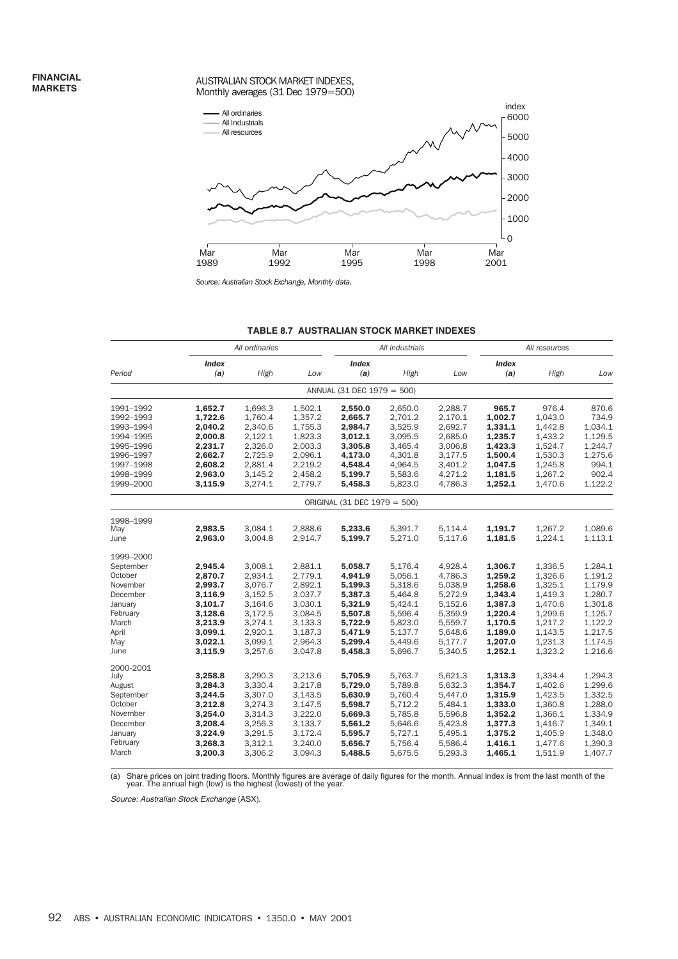#### AUSTRALIAN STOCK MARKET INDEXES, Monthly averages (31 Dec 1979=500)



*Source: Australian Stock Exchange, Monthly data.*

|           |                     | All ordinaries |         |                              | All industrials |         | All resources       |         |         |
|-----------|---------------------|----------------|---------|------------------------------|-----------------|---------|---------------------|---------|---------|
| Period    | <b>Index</b><br>(a) | High           | Low     | <b>Index</b><br>(a)          | High            | Low     | <b>Index</b><br>(a) | High    | Low     |
|           |                     |                |         |                              |                 |         |                     |         |         |
|           |                     |                |         | ANNUAL (31 DEC 1979 = 500)   |                 |         |                     |         |         |
| 1991-1992 | 1,652.7             | 1,696.3        | 1,502.1 | 2,550.0                      | 2,650.0         | 2,288.7 | 965.7               | 976.4   | 870.6   |
| 1992–1993 | 1,722.6             | 1,760.4        | 1,357.2 | 2,665.7                      | 2,701.2         | 2,170.1 | 1,002.7             | 1,043.0 | 734.9   |
| 1993-1994 | 2,040.2             | 2,340.6        | 1,755.3 | 2,984.7                      | 3,525.9         | 2,692.7 | 1,331.1             | 1,442.8 | 1,034.1 |
| 1994-1995 | 2,000.8             | 2,122.1        | 1,823.3 | 3,012.1                      | 3,095.5         | 2,685.0 | 1,235.7             | 1,433.2 | 1,129.5 |
| 1995-1996 | 2,231.7             | 2,326.0        | 2,003.3 | 3,305.8                      | 3,465.4         | 3,006.8 | 1,423.3             | 1,524.7 | 1,244.7 |
| 1996-1997 | 2,662.7             | 2,725.9        | 2,096.1 | 4,173.0                      | 4,301.8         | 3,177.5 | 1,500.4             | 1,530.3 | 1,275.6 |
| 1997-1998 | 2,608.2             | 2,881.4        | 2,219.2 | 4,548.4                      | 4,964.5         | 3,401.2 | 1,047.5             | 1,245.8 | 994.1   |
| 1998-1999 | 2,963.0             | 3,145.2        | 2,458.2 | 5,199.7                      | 5,583.6         | 4,271.2 | 1,181.5             | 1,267.2 | 902.4   |
| 1999-2000 | 3,115.9             | 3,274.1        | 2,779.7 | 5,458.3                      | 5,823.0         | 4,786.3 | 1,252.1             | 1,470.6 | 1,122.2 |
|           |                     |                |         | ORIGINAL (31 DEC 1979 = 500) |                 |         |                     |         |         |
| 1998-1999 |                     |                |         |                              |                 |         |                     |         |         |
| May       | 2,983.5             | 3,084.1        | 2,888.6 | 5,233.6                      | 5,391.7         | 5,114.4 | 1,191.7             | 1,267.2 | 1,089.6 |
| June      | 2,963.0             | 3,004.8        | 2,914.7 | 5,199.7                      | 5,271.0         | 5,117.6 | 1,181.5             | 1,224.1 | 1,113.1 |
| 1999-2000 |                     |                |         |                              |                 |         |                     |         |         |
| September | 2,945.4             | 3,008.1        | 2,881.1 | 5,058.7                      | 5,176.4         | 4,928.4 | 1,306.7             | 1,336.5 | 1,284.1 |
| October   | 2,870.7             | 2,934.1        | 2,779.1 | 4,941.9                      | 5,056.1         | 4,786.3 | 1,259.2             | 1,326.6 | 1,191.2 |
| November  | 2,993.7             | 3,076.7        | 2,892.1 | 5,199.3                      | 5,318.6         | 5,038.9 | 1,258.6             | 1,325.1 | 1,179.9 |
| December  | 3,116.9             | 3,152.5        | 3,037.7 | 5,387.3                      | 5,464.8         | 5,272.9 | 1,343.4             | 1,419.3 | 1,280.7 |
| January   | 3,101.7             | 3,164.6        | 3,030.1 | 5,321.9                      | 5,424.1         | 5,152.6 | 1,387.3             | 1,470.6 | 1,301.8 |
| February  | 3,128.6             | 3,172.5        | 3,084.5 | 5,507.8                      | 5,596.4         | 5,359.9 | 1,220.4             | 1,299.6 | 1,125.7 |
| March     | 3,213.9             | 3,274.1        | 3,133.3 | 5,722.9                      | 5,823.0         | 5,559.7 | 1,170.5             | 1,217.2 | 1,122.2 |
| April     | 3,099.1             | 2,920.1        | 3,187.3 | 5,471.9                      | 5,137.7         | 5,648.6 | 1,189.0             | 1,143.5 | 1,217.5 |
| May       | 3,022.1             | 3,099.1        | 2,964.3 | 5,299.4                      | 5,449.6         | 5,177.7 | 1,207.0             | 1,231.3 | 1,174.5 |
| June      | 3,115.9             | 3,257.6        | 3,047.8 | 5,458.3                      | 5,696.7         | 5,340.5 | 1,252.1             | 1,323.2 | 1,216.6 |
| 2000-2001 |                     |                |         |                              |                 |         |                     |         |         |
| July      | 3,258.8             | 3,290.3        | 3,213.6 | 5,705.9                      | 5,763.7         | 5,621.3 | 1,313.3             | 1,334.4 | 1,294.3 |
| August    | 3,284.3             | 3,330.4        | 3,217.8 | 5,729.0                      | 5,789.8         | 5,632.3 | 1,354.7             | 1,402.6 | 1,299.6 |
| September | 3,244.5             | 3,307.0        | 3,143.5 | 5,630.9                      | 5,760.4         | 5,447.0 | 1,315.9             | 1,423.5 | 1,332.5 |
| October   | 3,212.8             | 3,274.3        | 3,147.5 | 5,598.7                      | 5,712.2         | 5,484.1 | 1,333.0             | 1,360.8 | 1,288.0 |
| November  | 3,254.0             | 3,314.3        | 3,222.0 | 5,669.3                      | 5,785.8         | 5,596.8 | 1,352.2             | 1,366.1 | 1,334.9 |
| December  | 3,208.4             | 3,256.3        | 3,133.7 | 5,561.2                      | 5,646.6         | 5,423.8 | 1,377.3             | 1,416.7 | 1,349.1 |
| January   | 3,224.9             | 3,291.5        | 3,172.4 | 5,595.7                      | 5,727.1         | 5,495.1 | 1,375.2             | 1,405.9 | 1,348.0 |
| February  | 3,268.3             | 3,312.1        | 3,240.0 | 5,656.7                      | 5,756.4         | 5,586.4 | 1,416.1             | 1,477.6 | 1,390.3 |
| March     | 3,200.3             | 3,306.2        | 3,094.3 | 5,488.5                      | 5,675.5         | 5,293.3 | 1,465.1             | 1,511.9 | 1,407.7 |
|           |                     |                |         |                              |                 |         |                     |         |         |

# **TABLE 8.7 AUSTRALIAN STOCK MARKET INDEXES**

(a) Share prices on joint trading floors. Monthly figures are average of daily figures for the month. Annual index is from the last month of the year. The annual high (low) is the highest (lowest) of the year.

Source: Australian Stock Exchange (ASX)*.*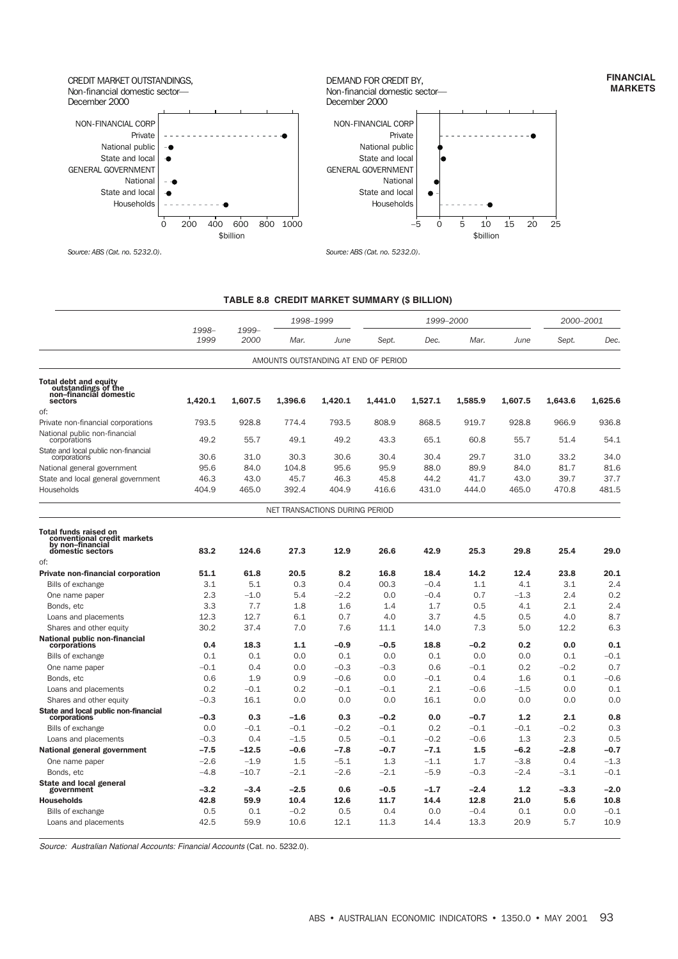

**FINANCIAL MARKETS**

#### **TABLE 8.8 CREDIT MARKET SUMMARY (\$ BILLION)**

|                                                                                              |               |               | 1998-1999 |                                      |         | 1999-2000 |         |         | 2000-2001 |         |
|----------------------------------------------------------------------------------------------|---------------|---------------|-----------|--------------------------------------|---------|-----------|---------|---------|-----------|---------|
|                                                                                              | 1998-<br>1999 | 1999-<br>2000 | Mar.      | June                                 | Sept.   | Dec.      | Mar.    | June    | Sept.     | Dec.    |
|                                                                                              |               |               |           | AMOUNTS OUTSTANDING AT END OF PERIOD |         |           |         |         |           |         |
| <b>Total debt and equity</b><br>outstandings of the<br>non-financial domestic<br>sectors     | 1,420.1       | 1,607.5       | 1,396.6   | 1,420.1                              | 1,441.0 | 1,527.1   | 1,585.9 | 1,607.5 | 1,643.6   | 1,625.6 |
| of:                                                                                          |               |               |           |                                      |         |           |         |         |           |         |
| Private non-financial corporations                                                           | 793.5         | 928.8         | 774.4     | 793.5                                | 808.9   | 868.5     | 919.7   | 928.8   | 966.9     | 936.8   |
| National public non-financial<br>corporations                                                | 49.2          | 55.7          | 49.1      | 49.2                                 | 43.3    | 65.1      | 60.8    | 55.7    | 51.4      | 54.1    |
| State and local public non-financial<br>corporations                                         | 30.6          | 31.0          | 30.3      | 30.6                                 | 30.4    | 30.4      | 29.7    | 31.0    | 33.2      | 34.0    |
| National general government                                                                  | 95.6          | 84.0          | 104.8     | 95.6                                 | 95.9    | 88.0      | 89.9    | 84.0    | 81.7      | 81.6    |
| State and local general government                                                           | 46.3          | 43.0          | 45.7      | 46.3                                 | 45.8    | 44.2      | 41.7    | 43.0    | 39.7      | 37.7    |
| Households                                                                                   | 404.9         | 465.0         | 392.4     | 404.9                                | 416.6   | 431.0     | 444.0   | 465.0   | 470.8     | 481.5   |
|                                                                                              |               |               |           | NET TRANSACTIONS DURING PERIOD       |         |           |         |         |           |         |
| Total funds raised on<br>conventional credit markets<br>by non-financial<br>domestic sectors | 83.2          | 124.6         | 27.3      | 12.9                                 | 26.6    | 42.9      | 25.3    | 29.8    | 25.4      | 29.0    |
| of:                                                                                          |               |               |           |                                      |         |           |         |         |           |         |
| <b>Private non-financial corporation</b>                                                     | 51.1          | 61.8          | 20.5      | 8.2                                  | 16.8    | 18.4      | 14.2    | 12.4    | 23.8      | 20.1    |
| Bills of exchange                                                                            | 3.1           | 5.1           | 0.3       | 0.4                                  | 00.3    | $-0.4$    | 1.1     | 4.1     | 3.1       | 2.4     |
| One name paper                                                                               | 2.3           | $-1.0$        | 5.4       | $-2.2$                               | 0.0     | $-0.4$    | 0.7     | $-1.3$  | 2.4       | 0.2     |
| Bonds, etc                                                                                   | 3.3           | 7.7           | 1.8       | 1.6                                  | 1.4     | 1.7       | 0.5     | 4.1     | 2.1       | 2.4     |
| Loans and placements                                                                         | 12.3          | 12.7          | 6.1       | 0.7                                  | 4.0     | 3.7       | 4.5     | 0.5     | 4.0       | 8.7     |
| Shares and other equity                                                                      | 30.2          | 37.4          | 7.0       | 7.6                                  | 11.1    | 14.0      | 7.3     | 5.0     | 12.2      | 6.3     |
| National public non-financial<br>corporations                                                | 0.4           | 18.3          | 1.1       | $-0.9$                               | $-0.5$  | 18.8      | $-0.2$  | 0.2     | 0.0       | 0.1     |
| Bills of exchange                                                                            | 0.1           | 0.1           | 0.0       | 0.1                                  | 0.0     | 0.1       | 0.0     | 0.0     | 0.1       | $-0.1$  |
| One name paper                                                                               | $-0.1$        | 0.4           | 0.0       | $-0.3$                               | $-0.3$  | 0.6       | $-0.1$  | 0.2     | $-0.2$    | 0.7     |
| Bonds, etc                                                                                   | 0.6           | 1.9           | 0.9       | $-0.6$                               | 0.0     | $-0.1$    | 0.4     | 1.6     | 0.1       | $-0.6$  |
| Loans and placements                                                                         | 0.2           | $-0.1$        | 0.2       | $-0.1$                               | $-0.1$  | 2.1       | $-0.6$  | $-1.5$  | 0.0       | 0.1     |
| Shares and other equity                                                                      | $-0.3$        | 16.1          | 0.0       | 0.0                                  | 0.0     | 16.1      | 0.0     | 0.0     | 0.0       | 0.0     |
| State and local public non-financial<br>corporations                                         | $-0.3$        | 0.3           | $-1.6$    | 0.3                                  | $-0.2$  | 0.0       | $-0.7$  | 1.2     | 2.1       | 0.8     |
| Bills of exchange                                                                            | 0.0           | $-0.1$        | $-0.1$    | $-0.2$                               | $-0.1$  | 0.2       | $-0.1$  | -0.1    | $-0.2$    | 0.3     |
| Loans and placements                                                                         | $-0.3$        | 0.4           | $-1.5$    | 0.5                                  | $-0.1$  | $-0.2$    | $-0.6$  | 1.3     | 2.3       | 0.5     |
| National general government                                                                  | $-7.5$        | $-12.5$       | $-0.6$    | $-7.8$                               | $-0.7$  | $-7.1$    | 1.5     | $-6.2$  | $-2.8$    | $-0.7$  |
| One name paper                                                                               | $-2.6$        | $-1.9$        | 1.5       | $-5.1$                               | 1.3     | $-1.1$    | 1.7     | $-3.8$  | 0.4       | $-1.3$  |
| Bonds, etc                                                                                   | $-4.8$        | $-10.7$       | $-2.1$    | $-2.6$                               | $-2.1$  | $-5.9$    | $-0.3$  | $-2.4$  | $-3.1$    | $-0.1$  |
| <b>State and local general</b><br>government                                                 | $-3.2$        | $-3.4$        | $-2.5$    | 0.6                                  | $-0.5$  | $-1.7$    | $-2.4$  | 1.2     | -3.3      | $-2.0$  |
| <b>Households</b>                                                                            | 42.8          | 59.9          | 10.4      | 12.6                                 | 11.7    | 14.4      | 12.8    | 21.0    | 5.6       | 10.8    |
| Bills of exchange                                                                            | 0.5           | 0.1           | $-0.2$    | 0.5                                  | 0.4     | 0.0       | $-0.4$  | 0.1     | 0.0       | $-0.1$  |
| Loans and placements                                                                         | 42.5          | 59.9          | 10.6      | 12.1                                 | 11.3    | 14.4      | 13.3    | 20.9    | 5.7       | 10.9    |

Source: Australian National Accounts: Financial Accounts (Cat. no. 5232.0).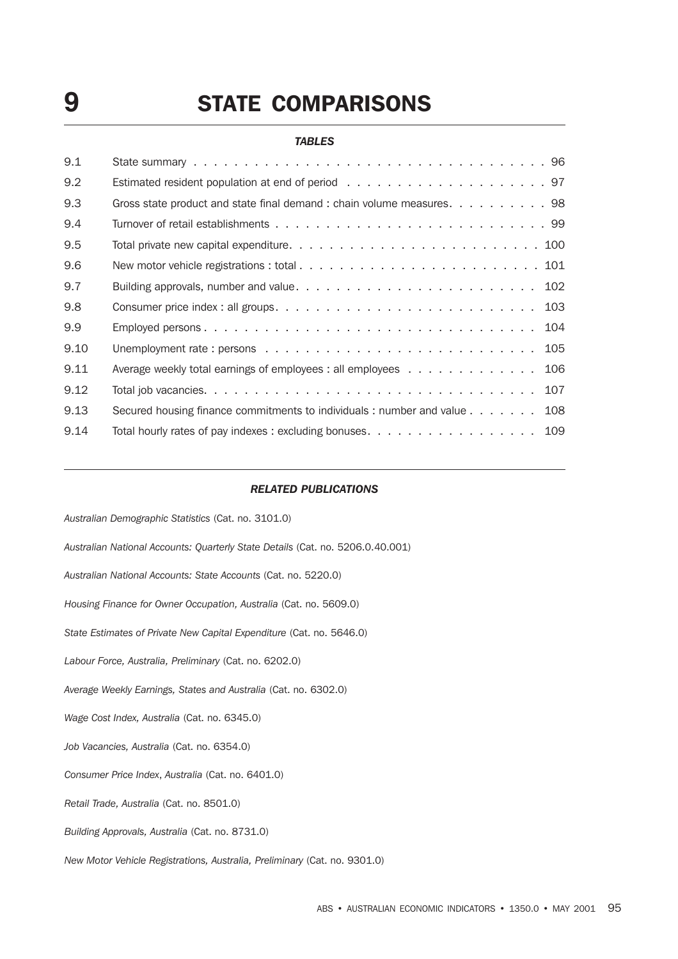# **9** STATE COMPARISONS

#### *TABLES*

| 9.1  |                                                                              |
|------|------------------------------------------------------------------------------|
| 9.2  |                                                                              |
| 9.3  | Gross state product and state final demand : chain volume measures. 98       |
| 9.4  |                                                                              |
| 9.5  |                                                                              |
| 9.6  |                                                                              |
| 9.7  |                                                                              |
| 9.8  |                                                                              |
| 9.9  |                                                                              |
| 9.10 |                                                                              |
| 9.11 | 106                                                                          |
| 9.12 | 107                                                                          |
| 9.13 | Secured housing finance commitments to individuals : number and value<br>108 |
| 9.14 |                                                                              |

#### *RELATED PUBLICATIONS*

*Australian Demographic Statistics* (Cat. no. 3101.0)

*Australian National Accounts: Quarterly State Details* (Cat. no. 5206.0.40.001)

*Australian National Accounts: State Accounts* (Cat. no. 5220.0)

*Housing Finance for Owner Occupation, Australia* (Cat. no. 5609.0)

*State Estimates of Private New Capital Expenditure* (Cat. no. 5646.0)

*Labour Force, Australia, Preliminary* (Cat. no. 6202.0)

*Average Weekly Earnings, States and Australia* (Cat. no. 6302.0)

*Wage Cost Index, Australia* (Cat. no. 6345.0)

*Job Vacancies, Australia* (Cat. no. 6354.0)

*Consumer Price Index*, *Australia* (Cat. no. 6401.0)

*Retail Trade, Australia* (Cat. no. 8501.0)

*Building Approvals, Australia* (Cat. no. 8731.0)

*New Motor Vehicle Registrations, Australia, Preliminary* (Cat. no. 9301.0)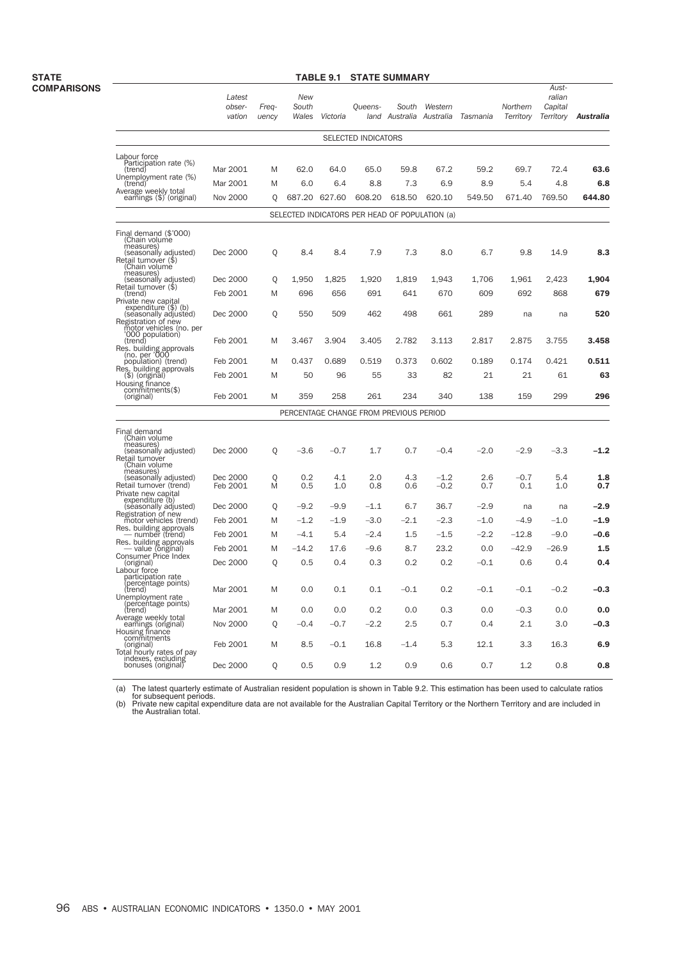#### **STATE COMPARISONS**

#### *Latest observation Frequency New South Wales Victoria Queensland Australia South Western Australia Tasmania Northern Territory Australian Capital Territory Australia* SELECTED INDICATORS Labour force<br>- Participation rate (%)<br>- (trend) rate (%) Mar 2001 M 62.0 64.0 65.0 59.8 67.2 59.2 69.7 72.4 **63.6** 1<br>
Unemployment rate (%)<br>
Unemployment rate (%)<br>
Mar 2001 M 6.0 6.4 8.8 7.3 6.9 8.9 5.4 4.8 6.8 Average weekly total<br>Average weekly total earnings (\$) (original) Nov 2000 Q 687.20 627.60 608.20 618.50 620.10 549.50 671.40 769.50 **644.80** SELECTED INDICATORS PER HEAD OF POPULATION (a) Final demand (\$'000) (Chain volume measures) (seasonally adjusted) Dec 2000 Q 8.4 8.4 7.9 7.3 8.0 6.7 9.8 14.9 8.3 Retail turnover (\$) (Chain volume measures) (seasonally adjusted) Dec 2000 Q 1,950 1,825 1,920 1,819 1,943 1,706 1,961 2,423 1,904 Retail turnover (\$) (trend) Feb 2001 M 696 656 691 641 670 609 692 868 <sup>679</sup> Private new capital<br>
expenditure (\$) (b)<br>
(seasonally adjusted) Dec 2000 Q 550 509 462 498 661 289 na na **520**<br>
Registration of new<br>
(000 population) Feb 2001 M 3.467 3.904 3.405 2.782 3.113 2.817 2.875 Res. building approvals<br>(no. per '000<br>population) (trend) Feb 2001 M 0.437 0.689 0.519 0.373 0.602 0.189 0.174 0.421 **0.511** Res. building approvals<br>(\$) (original) Feb 2001 M 50 96 55 33 82 21 21 6**1 63** Housing finance<br>commitments(\$)<br>(original) Feb 2001 M 359 258 261 234 340 138 159 299 **296** PERCENTAGE CHANGE FROM PREVIOUS PERIOD Final demand (Chain volume measures)<br>(seasonally adjusted) Dec 2000 Q −3.6 −0.7 1.7 0.7 −0.4 −2.0 −2.9 −3.3 **−1.2** Retail turnover (Chain volume measures) (seasonally adjusted) Dec 2000 Q 0.2 4.1 2.0 4.3 –1.2 2.6 –0.7 5.4 1.8 Retail turnover (trend) Feb 2001 M 0.5 1.0 0.8 0.6 –0.2 0.7 0.1 1.0 0.7 Private new capital<br>expenditure (b)<br>(seasonally adjusted) Dec 2000 Q -9.2 -9.9 -1.1 6.7 36.7 -2.9 na na **-2.9** Registration of new<br>
Registration of new motor vehicles (trend) Feb 2001 M –1.2 –1.9 –3.0 –2.1 –2.3 –1.0 –4.9 –1.0 **–1.9** Res. building approvals<br>
— number (trend) Feb 2001 M –4.1 5.4 –2.4 1.5 –1.5 –2.2 –12.8 –9.0 **–0.6** Res. building approvals — value (original) Feb 2001 M –14.2 17.6 –9.6 8.7 23.2 0.0 –42.9 –26.9 1.5 Consumer Price Index (original) Dec 2000 Q 0.5 0.4 0.3 0.2 0.2 –0.1 0.6 0.4 0.4

**TABLE 9.1 STATE SUMMARY**

(a) The latest quarterly estimate of Australian resident population is shown in Table 9.2. This estimation has been used to calculate ratios for subsequent periods.

participation rate (percentage points) (trend) Mar 2001 M 0.0 0.1 0.1 –0.1 0.2 –0.1 –0.1 –0.2 –0.3

(trend) Mar 2001 M 0.0 0.0 0.2 0.0 0.3 0.0 −0.3 0.0 **0.0**<br>Average weekly total Mov 2000 Q −0.4 −0.7 −2.2 2.5 0.7 0.4 2.1 3.0 **−0.3** 

Housing finance<br>
Commitments<br>
(original) Feb 2001 M 8.5 –0.1 16.8 –1.4 5.3 12.1 3.3 16.3 6.9<br>
Indexes, excluding<br>
Indexes, excluding indexes, excluding \*<br>bonuses (original) Dec 2000 Q 0.5 0.9 1.2 0.9 0.6 0.7 1.2 0.8 **0.8** 

(b) Private new capital expenditure data are not available for the Australian Capital Territory or the Northern Territory and are included in the Australian total.

Labour force

Unemployment rate<br>
(percentage points)<br>
(trend)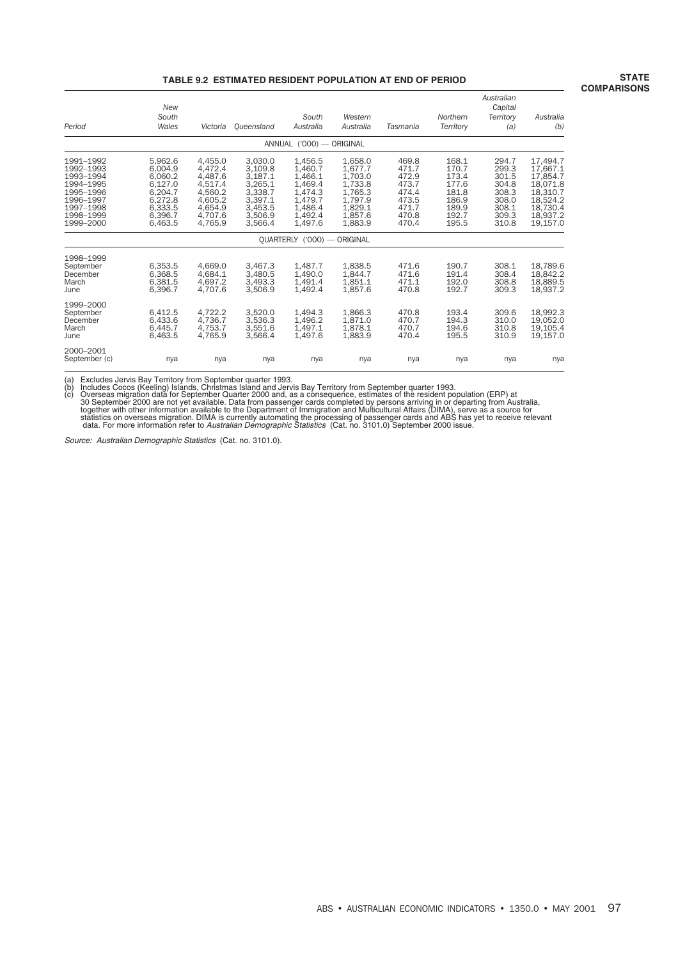### **TABLE 9.2 ESTIMATED RESIDENT POPULATION AT END OF PERIOD**

| Period                                                                                                            | <b>New</b><br>South<br>Wales                                                                    | Victoria                                                                                        | Oueensland                                                                                      | South<br>Australia                                                                              | Western<br>Australia                                                                            | Tasmania                                                                      | Northern<br>Territory                                                         | Australian<br>Capital<br>Territory<br>(a)                                     | Australia<br>(b)                                                                                         |
|-------------------------------------------------------------------------------------------------------------------|-------------------------------------------------------------------------------------------------|-------------------------------------------------------------------------------------------------|-------------------------------------------------------------------------------------------------|-------------------------------------------------------------------------------------------------|-------------------------------------------------------------------------------------------------|-------------------------------------------------------------------------------|-------------------------------------------------------------------------------|-------------------------------------------------------------------------------|----------------------------------------------------------------------------------------------------------|
|                                                                                                                   |                                                                                                 |                                                                                                 |                                                                                                 | ANNUAL ('000) - ORIGINAL                                                                        |                                                                                                 |                                                                               |                                                                               |                                                                               |                                                                                                          |
| 1991-1992<br>1992-1993<br>1993-1994<br>1994-1995<br>1995-1996<br>1996-1997<br>1997-1998<br>1998-1999<br>1999-2000 | 5.962.6<br>6.004.9<br>6,060.2<br>6,127.0<br>6,204.7<br>6,272.8<br>6.333.5<br>6.396.7<br>6.463.5 | 4.455.0<br>4.472.4<br>4.487.6<br>4.517.4<br>4.560.2<br>4.605.2<br>4.654.9<br>4.707.6<br>4.765.9 | 3.030.0<br>3.109.8<br>3.187.1<br>3,265.1<br>3,338.7<br>3.397.1<br>3.453.5<br>3.506.9<br>3,566.4 | 1,456.5<br>1.460.7<br>1.466.1<br>1,469.4<br>1.474.3<br>1.479.7<br>1.486.4<br>1,492.4<br>1,497.6 | 1.658.0<br>1.677.7<br>1,703.0<br>1,733.8<br>1,765.3<br>1.797.9<br>1.829.1<br>1,857.6<br>1,883.9 | 469.8<br>471.7<br>472.9<br>473.7<br>474.4<br>473.5<br>471.7<br>470.8<br>470.4 | 168.1<br>170.7<br>173.4<br>177.6<br>181.8<br>186.9<br>189.9<br>192.7<br>195.5 | 294.7<br>299.3<br>301.5<br>304.8<br>308.3<br>308.0<br>308.1<br>309.3<br>310.8 | 17,494.7<br>17,667.1<br>17,854.7<br>18,071.8<br>18,310.7<br>18,524.2<br>18,730.4<br>18,937.2<br>19,157.0 |
|                                                                                                                   |                                                                                                 |                                                                                                 |                                                                                                 | QUARTERLY ('000) - ORIGINAL                                                                     |                                                                                                 |                                                                               |                                                                               |                                                                               |                                                                                                          |
| 1998-1999<br>September<br>December<br>March<br>June                                                               | 6,353.5<br>6,368.5<br>6,381.5<br>6.396.7                                                        | 4,669.0<br>4.684.1<br>4.697.2<br>4.707.6                                                        | 3,467.3<br>3,480.5<br>3.493.3<br>3,506.9                                                        | 1,487.7<br>1,490.0<br>1.491.4<br>1.492.4                                                        | 1,838.5<br>1,844.7<br>1.851.1<br>1.857.6                                                        | 471.6<br>471.6<br>471.1<br>470.8                                              | 190.7<br>191.4<br>192.0<br>192.7                                              | 308.1<br>308.4<br>308.8<br>309.3                                              | 18,789.6<br>18,842.2<br>18,889.5<br>18,937.2                                                             |
| 1999-2000<br>September<br>December<br>March<br>June                                                               | 6,412.5<br>6.433.6<br>6.445.7<br>6.463.5                                                        | 4,722.2<br>4.736.7<br>4.753.7<br>4.765.9                                                        | 3,520.0<br>3.536.3<br>3.551.6<br>3,566.4                                                        | 1,494.3<br>1.496.2<br>1.497.1<br>1.497.6                                                        | 1,866.3<br>1.871.0<br>1,878.1<br>1.883.9                                                        | 470.8<br>470.7<br>470.7<br>470.4                                              | 193.4<br>194.3<br>194.6<br>195.5                                              | 309.6<br>310.0<br>310.8<br>310.9                                              | 18,992.3<br>19.052.0<br>19.105.4<br>19,157.0                                                             |
| 2000-2001<br>September (c)                                                                                        | nya                                                                                             | nya                                                                                             | nya                                                                                             | nya                                                                                             | nya                                                                                             | nya                                                                           | nya                                                                           | nya                                                                           | nya                                                                                                      |

(a) Excludes Jervis Bay Territory from September quarter 1993.<br>
(b) Includes Cocos (Keeling) Islands, Christmas Island and Jervis Bay Territory from September quarter 1993.<br>
(c) Overseas migration data for September Quarte

Source: Australian Demographic Statistics (Cat. no. 3101.0).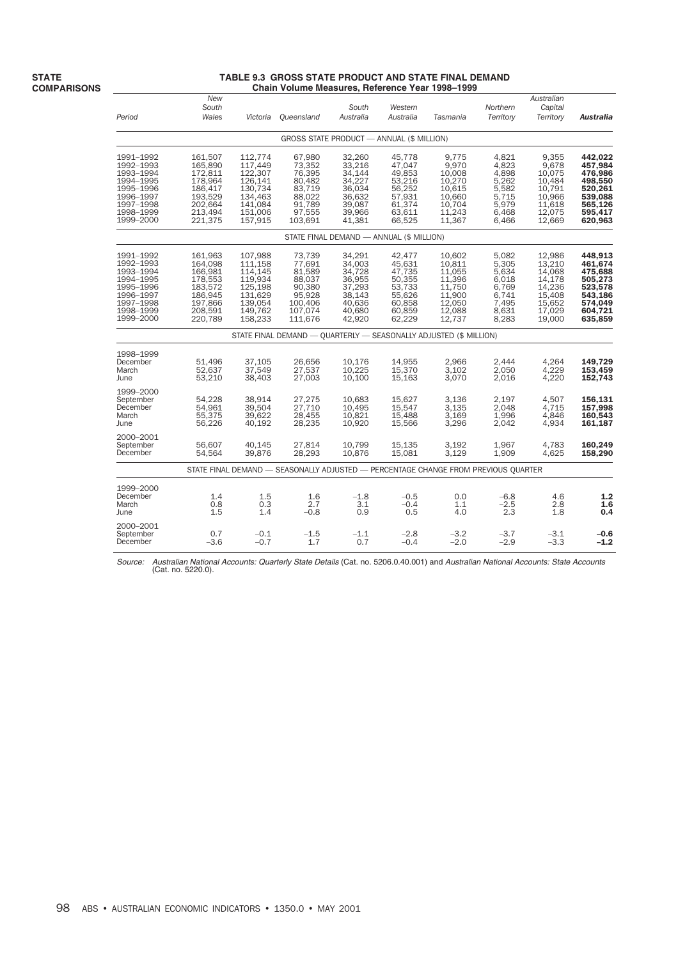#### **TABLE 9.3 GROSS STATE PRODUCT AND STATE FINAL DEMAND Chain Volume Measures, Reference Year 1998–1999**

| Period                                                                                                            | <b>New</b><br>South<br>Wales                                                                    | Victoria                                                                                        | Oueensland                                                                                | South<br>Australia                                                                     | Western<br>Australia                                                                   | Tasmania                                                                               | Northern<br>Territory                                                         | Australian<br>Capital<br>Territory                                                     | <b>Australia</b>                                                                                |
|-------------------------------------------------------------------------------------------------------------------|-------------------------------------------------------------------------------------------------|-------------------------------------------------------------------------------------------------|-------------------------------------------------------------------------------------------|----------------------------------------------------------------------------------------|----------------------------------------------------------------------------------------|----------------------------------------------------------------------------------------|-------------------------------------------------------------------------------|----------------------------------------------------------------------------------------|-------------------------------------------------------------------------------------------------|
|                                                                                                                   |                                                                                                 |                                                                                                 |                                                                                           | GROSS STATE PRODUCT - ANNUAL (\$ MILLION)                                              |                                                                                        |                                                                                        |                                                                               |                                                                                        |                                                                                                 |
| 1991-1992<br>1992-1993<br>1993-1994<br>1994-1995<br>1995-1996<br>1996-1997<br>1997-1998<br>1998-1999<br>1999-2000 | 161,507<br>165,890<br>172,811<br>178,964<br>186,417<br>193.529<br>202.664<br>213,494<br>221,375 | 112,774<br>117,449<br>122,307<br>126,141<br>130,734<br>134,463<br>141.084<br>151,006<br>157,915 | 67,980<br>73,352<br>76,395<br>80,482<br>83.719<br>88.022<br>91,789<br>97,555<br>103,691   | 32,260<br>33,216<br>34,144<br>34.227<br>36.034<br>36.632<br>39,087<br>39,966<br>41,381 | 45,778<br>47,047<br>49,853<br>53,216<br>56,252<br>57,931<br>61,374<br>63,611<br>66,525 | 9,775<br>9,970<br>10,008<br>10,270<br>10.615<br>10,660<br>10,704<br>11,243<br>11,367   | 4,821<br>4,823<br>4,898<br>5.262<br>5,582<br>5.715<br>5.979<br>6,468<br>6,466 | 9,355<br>9,678<br>10,075<br>10.484<br>10.791<br>10.966<br>11.618<br>12,075<br>12,669   | 442,022<br>457,984<br>476,986<br>498.550<br>520.261<br>539.088<br>565,126<br>595,417<br>620,963 |
|                                                                                                                   |                                                                                                 |                                                                                                 |                                                                                           | STATE FINAL DEMAND - ANNUAL (\$ MILLION)                                               |                                                                                        |                                                                                        |                                                                               |                                                                                        |                                                                                                 |
| 1991-1992<br>1992-1993<br>1993-1994<br>1994-1995<br>1995-1996<br>1996-1997<br>1997-1998<br>1998-1999<br>1999-2000 | 161,963<br>164,098<br>166,981<br>178,553<br>183.572<br>186,945<br>197,866<br>208,591<br>220,789 | 107,988<br>111,158<br>114.145<br>119,934<br>125.198<br>131,629<br>139,054<br>149,762<br>158,233 | 73,739<br>77,691<br>81,589<br>88,037<br>90.380<br>95,928<br>100,406<br>107,074<br>111,676 | 34,291<br>34,003<br>34,728<br>36,955<br>37,293<br>38,143<br>40.636<br>40,680<br>42,920 | 42,477<br>45,631<br>47,735<br>50,355<br>53,733<br>55,626<br>60,858<br>60,859<br>62,229 | 10,602<br>10,811<br>11.055<br>11,396<br>11.750<br>11,900<br>12,050<br>12,088<br>12,737 | 5,082<br>5,305<br>5,634<br>6,018<br>6.769<br>6,741<br>7,495<br>8,631<br>8,283 | 12,986<br>13,210<br>14.068<br>14,178<br>14.236<br>15,408<br>15,652<br>17,029<br>19,000 | 448,913<br>461,674<br>475.688<br>505,273<br>523.578<br>543,186<br>574,049<br>604,721<br>635,859 |
|                                                                                                                   |                                                                                                 |                                                                                                 | STATE FINAL DEMAND - QUARTERLY - SEASONALLY ADJUSTED (\$ MILLION)                         |                                                                                        |                                                                                        |                                                                                        |                                                                               |                                                                                        |                                                                                                 |
| 1998-1999<br>December<br>March<br>June                                                                            | 51,496<br>52.637<br>53,210                                                                      | 37,105<br>37,549<br>38.403                                                                      | 26,656<br>27,537<br>27.003                                                                | 10,176<br>10.225<br>10.100                                                             | 14,955<br>15,370<br>15.163                                                             | 2,966<br>3.102<br>3.070                                                                | 2,444<br>2.050<br>2.016                                                       | 4,264<br>4.229<br>4.220                                                                | 149,729<br>153,459<br>152,743                                                                   |
| 1999-2000<br>September<br>December<br>March<br>June                                                               | 54,228<br>54,961<br>55,375<br>56,226                                                            | 38,914<br>39,504<br>39,622<br>40,192                                                            | 27,275<br>27,710<br>28,455<br>28,235                                                      | 10,683<br>10,495<br>10,821<br>10,920                                                   | 15,627<br>15,547<br>15,488<br>15,566                                                   | 3,136<br>3,135<br>3,169<br>3,296                                                       | 2,197<br>2.048<br>1.996<br>2,042                                              | 4,507<br>4,715<br>4,846<br>4,934                                                       | 156,131<br>157,998<br>160,543<br>161,187                                                        |
| 2000-2001<br>September<br>December                                                                                | 56,607<br>54.564                                                                                | 40,145<br>39.876                                                                                | 27,814<br>28.293                                                                          | 10,799<br>10.876                                                                       | 15,135<br>15.081                                                                       | 3,192<br>3,129                                                                         | 1,967<br>1.909                                                                | 4,783<br>4.625                                                                         | 160,249<br>158,290                                                                              |
|                                                                                                                   |                                                                                                 |                                                                                                 | STATE FINAL DEMAND - SEASONALLY ADJUSTED - PERCENTAGE CHANGE FROM PREVIOUS QUARTER        |                                                                                        |                                                                                        |                                                                                        |                                                                               |                                                                                        |                                                                                                 |
| 1999-2000<br>December<br>March<br>June                                                                            | 1.4<br>0.8<br>1.5                                                                               | 1.5<br>0.3<br>1.4                                                                               | 1.6<br>2.7<br>$-0.8$                                                                      | $-1.8$<br>3.1<br>0.9                                                                   | $-0.5$<br>$-0.4$<br>0.5                                                                | 0.0<br>1.1<br>4.0                                                                      | $-6.8$<br>$-2.5$<br>2.3                                                       | 4.6<br>2.8<br>1.8                                                                      | 1.2<br>1.6<br>0.4                                                                               |
| 2000-2001<br>September<br>December                                                                                | 0.7<br>$-3.6$                                                                                   | $-0.1$<br>$-0.7$                                                                                | $-1.5$<br>1.7                                                                             | $-1.1$<br>0.7                                                                          | $-2.8$<br>$-0.4$                                                                       | $-3.2$<br>$-2.0$                                                                       | $-3.7$<br>$-2.9$                                                              | $-3.1$<br>$-3.3$                                                                       | $-0.6$<br>$-1.2$                                                                                |

Source: Australian National Accounts: Quarterly State Details (Cat. no. 5206.0.40.001) and Australian National Accounts: State Accounts (Cat. no. 5220.0).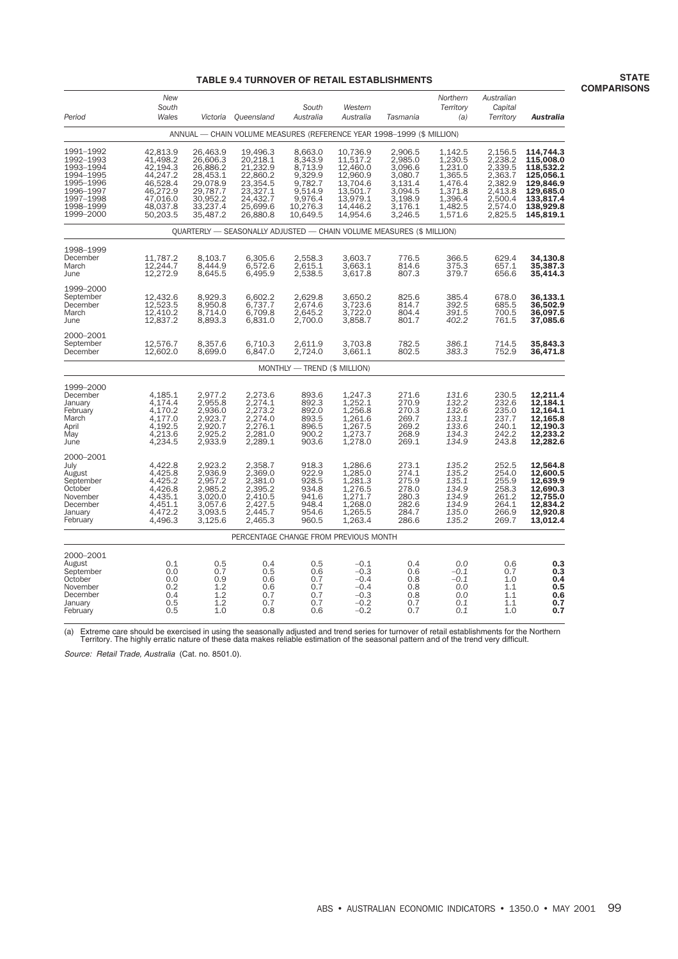# **TABLE 9.4 TURNOVER OF RETAIL ESTABLISHMENTS**

| Period                                                                                                            | <b>New</b><br>South<br>Wales                                                                             | Victoria                                                                                                 | Queensland                                                                                               | South<br>Australia                                                                                | Western<br>Australia                                                                                     | Tasmania                                                                                        | Northern<br>Territory<br>(a)                                                                    | Australian<br>Capital<br>Territory                                                              | Australia                                                                                                         |
|-------------------------------------------------------------------------------------------------------------------|----------------------------------------------------------------------------------------------------------|----------------------------------------------------------------------------------------------------------|----------------------------------------------------------------------------------------------------------|---------------------------------------------------------------------------------------------------|----------------------------------------------------------------------------------------------------------|-------------------------------------------------------------------------------------------------|-------------------------------------------------------------------------------------------------|-------------------------------------------------------------------------------------------------|-------------------------------------------------------------------------------------------------------------------|
|                                                                                                                   |                                                                                                          |                                                                                                          |                                                                                                          |                                                                                                   |                                                                                                          | ANNUAL - CHAIN VOLUME MEASURES (REFERENCE YEAR 1998-1999 (\$ MILLION)                           |                                                                                                 |                                                                                                 |                                                                                                                   |
| 1991–1992<br>1992-1993<br>1993-1994<br>1994-1995<br>1995–1996<br>1996–1997<br>1997-1998<br>1998-1999<br>1999-2000 | 42.813.9<br>41,498.2<br>42,194.3<br>44,247.2<br>46,528.4<br>46,272.9<br>47,016.0<br>48,037.8<br>50,203.5 | 26,463.9<br>26,606.3<br>26,886.2<br>28,453.1<br>29,078.9<br>29,787.7<br>30,952.2<br>33,237.4<br>35,487.2 | 19,496.3<br>20,218.1<br>21,232.9<br>22,860.2<br>23,354.5<br>23,327.1<br>24,432.7<br>25,699.6<br>26,880.8 | 8,663.0<br>8,343.9<br>8,713.9<br>9,329.9<br>9,782.7<br>9,514.9<br>9,976.4<br>10,276.3<br>10,649.5 | 10,736.9<br>11,517.2<br>12,460.0<br>12,960.9<br>13,704.6<br>13,501.7<br>13,979.1<br>14,446.2<br>14,954.6 | 2,906.5<br>2,985.0<br>3,096.6<br>3,080.7<br>3,131.4<br>3,094.5<br>3,198.9<br>3,176.1<br>3,246.5 | 1,142.5<br>1,230.5<br>1,231.0<br>1,365.5<br>1,476.4<br>1,371.8<br>1,396.4<br>1,482.5<br>1,571.6 | 2,156.5<br>2,238.2<br>2,339.5<br>2,363.7<br>2,382.9<br>2,413.8<br>2,500.4<br>2,574.0<br>2,825.5 | 114,744.3<br>115,008.0<br>118,532.2<br>125,056.1<br>129,846.9<br>129,685.0<br>133,817.4<br>138,929.8<br>145,819.1 |
|                                                                                                                   |                                                                                                          |                                                                                                          |                                                                                                          |                                                                                                   |                                                                                                          | QUARTERLY - SEASONALLY ADJUSTED - CHAIN VOLUME MEASURES (\$ MILLION)                            |                                                                                                 |                                                                                                 |                                                                                                                   |
| 1998-1999<br>December<br>March<br>June                                                                            | 11,787.2<br>12,244.7<br>12,272.9                                                                         | 8,103.7<br>8,444.9<br>8,645.5                                                                            | 6,305.6<br>6,572.6<br>6,495.9                                                                            | 2,558.3<br>2,615.1<br>2,538.5                                                                     | 3,603.7<br>3,663.1<br>3,617.8                                                                            | 776.5<br>814.6<br>807.3                                                                         | 366.5<br>375.3<br>379.7                                                                         | 629.4<br>657.1<br>656.6                                                                         | 34,130.8<br>35,387.3<br>35,414.3                                                                                  |
| 1999–2000<br>September<br>December<br>March<br>June                                                               | 12.432.6<br>12,523.5<br>12.410.2<br>12,837.2                                                             | 8.929.3<br>8,950.8<br>8,714.0<br>8,893.3                                                                 | 6.602.2<br>6,737.7<br>6,709.8<br>6,831.0                                                                 | 2.629.8<br>2,674.6<br>2.645.2<br>2,700.0                                                          | 3.650.2<br>3,723.6<br>3,722.0<br>3,858.7                                                                 | 825.6<br>814.7<br>804.4<br>801.7                                                                | 385.4<br>392.5<br>391.5<br>402.2                                                                | 678.0<br>685.5<br>700.5<br>761.5                                                                | 36.133.1<br>36,502.9<br>36,097.5<br>37,085.6                                                                      |
| 2000-2001<br>September<br>December                                                                                | 12,576.7<br>12,602.0                                                                                     | 8,357.6<br>8,699.0                                                                                       | 6,710.3<br>6,847.0                                                                                       | 2,611.9<br>2,724.0                                                                                | 3,703.8<br>3,661.1                                                                                       | 782.5<br>802.5                                                                                  | 386.1<br>383.3                                                                                  | 714.5<br>752.9                                                                                  | 35,843.3<br>36,471.8                                                                                              |
|                                                                                                                   |                                                                                                          |                                                                                                          |                                                                                                          | MONTHLY - TREND (\$ MILLION)                                                                      |                                                                                                          |                                                                                                 |                                                                                                 |                                                                                                 |                                                                                                                   |
| 1999-2000<br>December<br>January<br>February<br>March<br>April<br>May<br>June                                     | 4,185.1<br>4,174.4<br>4,170.2<br>4,177.0<br>4,192.5<br>4,213.6<br>4,234.5                                | 2,977.2<br>2,955.8<br>2,936.0<br>2,923.7<br>2,920.7<br>2,925.2<br>2,933.9                                | 2,273.6<br>2,274.1<br>2,273.2<br>2,274.0<br>2,276.1<br>2,281.0<br>2,289.1                                | 893.6<br>892.3<br>892.0<br>893.5<br>896.5<br>900.2<br>903.6                                       | 1,247.3<br>1,252.1<br>1,256.8<br>1,261.6<br>1,267.5<br>1,273.7<br>1,278.0                                | 271.6<br>270.9<br>270.3<br>269.7<br>269.2<br>268.9<br>269.1                                     | 131.6<br>132.2<br>132.6<br>133.1<br>133.6<br>134.3<br>134.9                                     | 230.5<br>232.6<br>235.0<br>237.7<br>240.1<br>242.2<br>243.8                                     | 12,211.4<br>12,184.1<br>12,164.1<br>12,165.8<br>12,190.3<br>12,233.2<br>12,282.6                                  |
| 2000–2001<br>July<br>August<br>September<br>October<br>November<br>December<br>January<br>February                | 4,422.8<br>4,425.8<br>4,425.2<br>4,426.8<br>4,435.1<br>4,451.1<br>4,472.2<br>4,496.3                     | 2,923.2<br>2,936.9<br>2,957.2<br>2,985.2<br>3,020.0<br>3,057.6<br>3,093.5<br>3,125.6                     | 2,358.7<br>2,369.0<br>2,381.0<br>2,395.2<br>2,410.5<br>2,427.5<br>2,445.7<br>2,465.3                     | 918.3<br>922.9<br>928.5<br>934.8<br>941.6<br>948.4<br>954.6<br>960.5                              | 1,286.6<br>1,285.0<br>1,281.3<br>1,276.5<br>1,271.7<br>1,268.0<br>1,265.5<br>1,263.4                     | 273.1<br>274.1<br>275.9<br>278.0<br>280.3<br>282.6<br>284.7<br>286.6                            | 135.2<br>135.2<br>135.1<br>134.9<br>134.9<br>134.9<br>135.0<br>135.2                            | 252.5<br>254.0<br>255.9<br>258.3<br>261.2<br>264.1<br>266.9<br>269.7                            | 12,564.8<br>12,600.5<br>12,639.9<br>12,690.3<br>12,755.0<br>12,834.2<br>12,920.8<br>13,012.4                      |
|                                                                                                                   |                                                                                                          |                                                                                                          | PERCENTAGE CHANGE FROM PREVIOUS MONTH                                                                    |                                                                                                   |                                                                                                          |                                                                                                 |                                                                                                 |                                                                                                 |                                                                                                                   |
| 2000-2001<br>August<br>September<br>October<br>November<br>December<br>January<br>February                        | 0.1<br>0.0<br>0.0<br>0.2<br>0.4<br>0.5<br>0.5                                                            | 0.5<br>0.7<br>0.9<br>1.2<br>1.2<br>1.2<br>1.0                                                            | 0.4<br>0.5<br>0.6<br>0.6<br>0.7<br>0.7<br>0.8                                                            | 0.5<br>0.6<br>0.7<br>0.7<br>0.7<br>0.7<br>0.6                                                     | $-0.1$<br>$-0.3$<br>$-0.4$<br>$-0.4$<br>$-0.3$<br>$-0.2$<br>$-0.2$                                       | 0.4<br>0.6<br>0.8<br>0.8<br>0.8<br>0.7<br>0.7                                                   | 0.0<br>$-0.1$<br>-0.1<br>0.0<br>0.0<br>0.1<br>0.1                                               | 0.6<br>0.7<br>1.0<br>1.1<br>1.1<br>1.1<br>1.0                                                   | 0.3<br>0.3<br>0.4<br>0.5<br>0.6<br>0.7<br>0.7                                                                     |

(a) Extreme care should be exercised in using the seasonally adjusted and trend series for turnover of retail establishments for the Northern<br>Territory. The highly erratic nature of these data makes reliable estimation of

Source: Retail Trade, Australia (Cat. no. 8501.0).

**STATE COMPARISONS**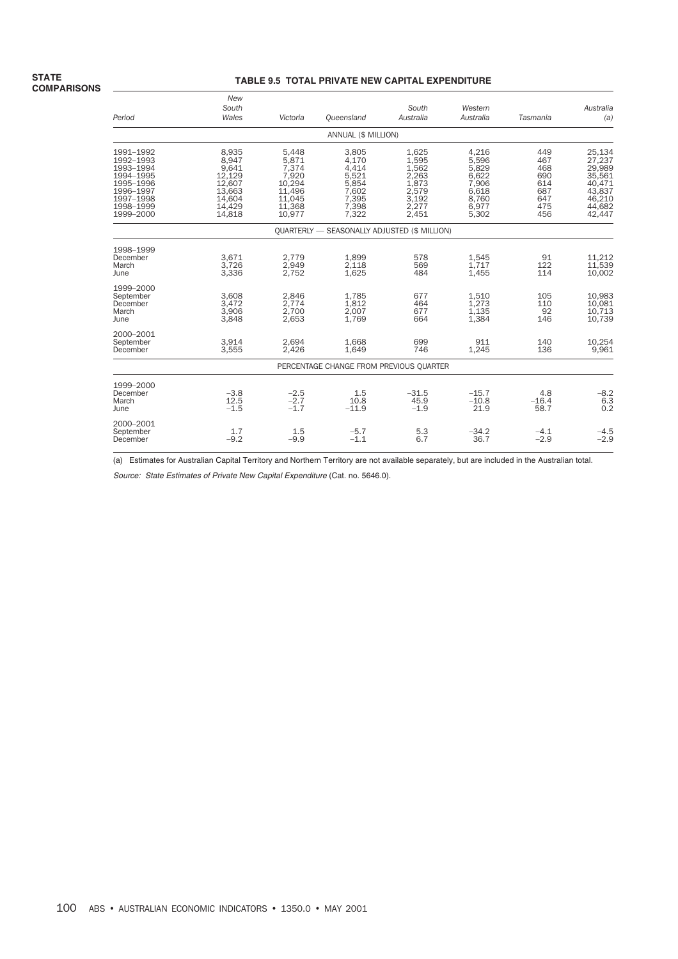# **TABLE 9.5 TOTAL PRIVATE NEW CAPITAL EXPENDITURE**

| Period                                                                                                            | New<br>South<br>Wales                                                               | Victoria                                                                           | Oueensland                                                                    | South<br>Australia                                                            | Western<br>Australia                                                          | Tasmania                                                    | Australia<br>(a)                                                                       |
|-------------------------------------------------------------------------------------------------------------------|-------------------------------------------------------------------------------------|------------------------------------------------------------------------------------|-------------------------------------------------------------------------------|-------------------------------------------------------------------------------|-------------------------------------------------------------------------------|-------------------------------------------------------------|----------------------------------------------------------------------------------------|
|                                                                                                                   |                                                                                     |                                                                                    | ANNUAL (\$ MILLION)                                                           |                                                                               |                                                                               |                                                             |                                                                                        |
| 1991-1992<br>1992-1993<br>1993-1994<br>1994-1995<br>1995-1996<br>1996-1997<br>1997-1998<br>1998-1999<br>1999-2000 | 8,935<br>8.947<br>9,641<br>12,129<br>12,607<br>13,663<br>14,604<br>14,429<br>14,818 | 5,448<br>5,871<br>7,374<br>7,920<br>10,294<br>11,496<br>11,045<br>11,368<br>10,977 | 3,805<br>4.170<br>4,414<br>5,521<br>5,854<br>7.602<br>7,395<br>7,398<br>7,322 | 1,625<br>1,595<br>1,562<br>2,263<br>1,873<br>2.579<br>3,192<br>2,277<br>2,451 | 4,216<br>5.596<br>5,829<br>6,622<br>7,906<br>6,618<br>8,760<br>6,977<br>5,302 | 449<br>467<br>468<br>690<br>614<br>687<br>647<br>475<br>456 | 25,134<br>27,237<br>29,989<br>35,561<br>40,471<br>43,837<br>46,210<br>44,682<br>42,447 |
|                                                                                                                   |                                                                                     |                                                                                    | <b>QUARTERLY - SEASONALLY ADJUSTED (\$ MILLION)</b>                           |                                                                               |                                                                               |                                                             |                                                                                        |
| 1998-1999<br>December<br>March<br>June                                                                            | 3,671<br>3.726<br>3,336                                                             | 2.779<br>2,949<br>2,752                                                            | 1.899<br>2.118<br>1,625                                                       | 578<br>569<br>484                                                             | 1,545<br>1.717<br>1,455                                                       | 91<br>122<br>114                                            | 11.212<br>11.539<br>10,002                                                             |
| 1999-2000<br>September<br>December<br>March<br>June                                                               | 3.608<br>3.472<br>3,906<br>3,848                                                    | 2.846<br>2.774<br>2,700<br>2,653                                                   | 1.785<br>1,812<br>2.007<br>1,769                                              | 677<br>464<br>677<br>664                                                      | 1.510<br>1.273<br>1.135<br>1,384                                              | 105<br>110<br>92<br>146                                     | 10.983<br>10,081<br>10.713<br>10,739                                                   |
| 2000-2001<br>September<br>December                                                                                | 3.914<br>3,555                                                                      | 2.694<br>2,426                                                                     | 1.668<br>1,649                                                                | 699<br>746                                                                    | 911<br>1,245                                                                  | 140<br>136                                                  | 10,254<br>9,961                                                                        |
|                                                                                                                   |                                                                                     |                                                                                    | PERCENTAGE CHANGE FROM PREVIOUS QUARTER                                       |                                                                               |                                                                               |                                                             |                                                                                        |
| 1999-2000<br>December<br>March<br>June                                                                            | $-3.8$<br>12.5<br>$-1.5$                                                            | $-2.5$<br>$-2.7$<br>$-1.7$                                                         | 1.5<br>10.8<br>$-11.9$                                                        | $-31.5$<br>45.9<br>$-1.9$                                                     | $-15.7$<br>$-10.8$<br>21.9                                                    | 4.8<br>$-16.4$<br>58.7                                      | $-8.2$<br>6.3<br>0.2                                                                   |
| 2000-2001<br>September<br>December                                                                                | 1.7<br>$-9.2$                                                                       | 1.5<br>$-9.9$                                                                      | $-5.7$<br>$-1.1$                                                              | 5.3<br>6.7                                                                    | $-34.2$<br>36.7                                                               | $-4.1$<br>$-2.9$                                            | $-4.5$<br>$-2.9$                                                                       |

(a) Estimates for Australian Capital Territory and Northern Territory are not available separately, but are included in the Australian total.

Source: State Estimates of Private New Capital Expenditure (Cat. no. 5646.0).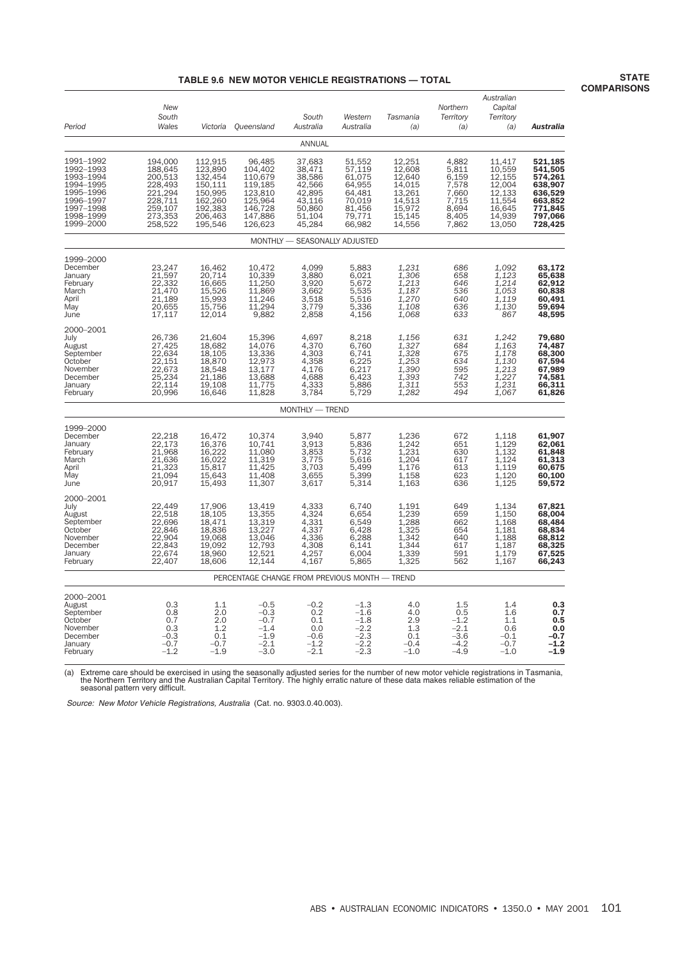### **TABLE 9.6 NEW MOTOR VEHICLE REGISTRATIONS — TOTAL**

| Period                                                                                                            | New<br>South<br>Wales                                                                           |                                                                                                 | Victoria Queensland                                                                            | South<br>Australia                                                                     | Western<br>Australia                                                                   | Tasmania<br>(a)                                                                        | Northern<br>Territory<br>(a)                                                  | Australian<br>Capital<br>Territory<br>(a)                                              | Australia                                                                                       |
|-------------------------------------------------------------------------------------------------------------------|-------------------------------------------------------------------------------------------------|-------------------------------------------------------------------------------------------------|------------------------------------------------------------------------------------------------|----------------------------------------------------------------------------------------|----------------------------------------------------------------------------------------|----------------------------------------------------------------------------------------|-------------------------------------------------------------------------------|----------------------------------------------------------------------------------------|-------------------------------------------------------------------------------------------------|
|                                                                                                                   |                                                                                                 |                                                                                                 |                                                                                                | ANNUAL                                                                                 |                                                                                        |                                                                                        |                                                                               |                                                                                        |                                                                                                 |
| 1991-1992<br>1992-1993<br>1993-1994<br>1994-1995<br>1995-1996<br>1996-1997<br>1997-1998<br>1998-1999<br>1999-2000 | 194,000<br>188,645<br>200,513<br>228,493<br>221,294<br>228,711<br>259,107<br>273,353<br>258,522 | 112,915<br>123,890<br>132,454<br>150,111<br>150,995<br>162,260<br>192,383<br>206,463<br>195,546 | 96,485<br>104,402<br>110,679<br>119,185<br>123,810<br>125,964<br>146,728<br>147,886<br>126,623 | 37,683<br>38,471<br>38,586<br>42,566<br>42,895<br>43,116<br>50,860<br>51,104<br>45,284 | 51,552<br>57,119<br>61,075<br>64,955<br>64,481<br>70,019<br>81,456<br>79,771<br>66,982 | 12,251<br>12,608<br>12,640<br>14,015<br>13,261<br>14,513<br>15,972<br>15,145<br>14,556 | 4,882<br>5,811<br>6,159<br>7,578<br>7,660<br>7,715<br>8,694<br>8,405<br>7,862 | 11,417<br>10,559<br>12,155<br>12,004<br>12,133<br>11,554<br>16,645<br>14,939<br>13,050 | 521,185<br>541,505<br>574,261<br>638,907<br>636,529<br>663,852<br>771,845<br>797,066<br>728,425 |
|                                                                                                                   |                                                                                                 |                                                                                                 |                                                                                                | MONTHLY - SEASONALLY ADJUSTED                                                          |                                                                                        |                                                                                        |                                                                               |                                                                                        |                                                                                                 |
| 1999-2000<br>December<br>January<br>February<br>March<br>April<br>May<br>June                                     | 23,247<br>21,597<br>22,332<br>21,470<br>21,189<br>20,655<br>17,117                              | 16,462<br>20,714<br>16,665<br>15,526<br>15,993<br>15,756<br>12,014                              | 10,472<br>10,339<br>11,250<br>11,869<br>11,246<br>11,294<br>9,882                              | 4,099<br>3,880<br>3,920<br>3,662<br>3,518<br>3,779<br>2,858                            | 5,883<br>6,021<br>5,672<br>5,535<br>5,516<br>5,336<br>4,156                            | $1,231$<br>$1,306$<br>1,213<br>1,187<br>1,270<br>1,108<br>1,068                        | 686<br>658<br>646<br>536<br>640<br>636<br>633                                 | 1,092<br>1,123<br>1,214<br>1,053<br>1,119<br>1,130<br>867                              | 63,172<br>65,638<br>62,912<br>60,838<br>60,491<br>59,694<br>48,595                              |
| 2000-2001<br>July<br>August<br>September<br>October<br>November<br>December<br>January<br>February                | 26,736<br>27,425<br>22,634<br>22,151<br>22,673<br>25,234<br>22,114<br>20,996                    | 21,604<br>18,682<br>18,105<br>18,870<br>18,548<br>21,186<br>19,108<br>16,646                    | 15,396<br>14,076<br>13,336<br>12,973<br>13,177<br>13,688<br>11,775<br>11,828                   | 4,697<br>4,370<br>4,303<br>4,358<br>4,176<br>4,688<br>4,333<br>3,784                   | 8,218<br>6,760<br>6,741<br>$6,225$<br>$6,217$<br>6,423<br>5,886<br>5,729               | 1,156<br>1,327<br>1,328<br>1,253<br>1,390<br>1,393<br>1,311<br>1,282                   | 631<br>684<br>675<br>634<br>595<br>742<br>553<br>494                          | 1,242<br>1,163<br>1,178<br>1,130<br>1,213<br>$1,227$<br>$1,231$<br>1,067               | 79,680<br>74,487<br>68,300<br>67,594<br>67,989<br>74,581<br>66,311<br>61,826                    |
|                                                                                                                   |                                                                                                 |                                                                                                 |                                                                                                | MONTHLY - TREND                                                                        |                                                                                        |                                                                                        |                                                                               |                                                                                        |                                                                                                 |
| 1999-2000<br>December<br>January<br>February<br>March<br>April<br>May<br>June                                     | 22,218<br>22,173<br>21,968<br>21,636<br>21,323<br>21,094<br>20,917                              | 16,472<br>16,376<br>16,222<br>16,022<br>15,817<br>15,643<br>15,493                              | 10,374<br>10,741<br>11,080<br>11,319<br>11,425<br>11,408<br>11,307                             | 3,940<br>3,913<br>3,853<br>3,775<br>3,703<br>3,655<br>3,617                            | 5,877<br>5,836<br>5,732<br>5,616<br>5,499<br>5,399<br>5,314                            | 1,236<br>1,242<br>$\frac{1,231}{1,204}$<br>1,176<br>$1,158$<br>$1,163$                 | 672<br>651<br>630<br>617<br>613<br>623<br>636                                 | 1,118<br>1,129<br>1,132<br>1,124<br>$1,119$<br>$1,120$<br>$1,125$                      | 61,907<br>62,061<br>61,848<br>61,313<br>60,675<br>60,100<br>59,572                              |
| 2000-2001<br>July<br>August<br>September<br>October<br>November<br>December<br>January<br>February                | 22,449<br>22,518<br>22,696<br>22,846<br>22,904<br>22,843<br>22,674<br>22,407                    | 17,906<br>18,105<br>18,471<br>18,836<br>19,068<br>19,092<br>18,960<br>18,606                    | 13,419<br>13,355<br>13,319<br>13,227<br>13,046<br>12,793<br>12,521<br>12,144                   | 4,333<br>4,324<br>4,331<br>4,337<br>4,336<br>4,308<br>4,257<br>4,167                   | 6,740<br>6,654<br>6,549<br>6.428<br>6,288<br>6,141<br>6,004<br>5,865                   | 1,191<br>1,239<br>1,288<br>1,325<br>1,342<br>1,344<br>1,339<br>1,325                   | 649<br>659<br>662<br>654<br>640<br>617<br>591<br>562                          | 1,134<br>1,150<br>1,168<br>1,181<br>1,188<br>1,187<br>1,179<br>1,167                   | 67,821<br>68,004<br>68,484<br>68,834<br>68,812<br>68,325<br>67,525<br>66,243                    |
|                                                                                                                   |                                                                                                 |                                                                                                 | PERCENTAGE CHANGE FROM PREVIOUS MONTH - TREND                                                  |                                                                                        |                                                                                        |                                                                                        |                                                                               |                                                                                        |                                                                                                 |
| 2000-2001<br>August<br>September<br>October<br>November<br>December<br>January<br>February                        | 0.3<br>0.8<br>0.7<br>0.3<br>$-0.3$<br>$-0.7$<br>$-1.2$                                          | 1.1<br>2.0<br>2.0<br>1.2<br>0.1<br>$-0.7$<br>$-1.9$                                             | $-0.5$<br>$-0.3$<br>$-0.7$<br>$-1.4$<br>$-1.9$<br>$-2.1$<br>$-3.0$                             | $-0.2$<br>0.2<br>0.1<br>0.0<br>$-0.6$<br>$-1.2$<br>$-2.1$                              | $-1.3$<br>$-1.6$<br>$-1.8$<br>$-2.2$<br>$-2.3$<br>$-2.2$<br>$-2.3$                     | 4.0<br>4.0<br>2.9<br>1.3<br>0.1<br>$-0.4$<br>$-1.0$                                    | 1.5<br>0.5<br>$-1.2$<br>$-2.1$<br>$-3.6$<br>$-4.2$<br>$-4.9$                  | 1.4<br>1.6<br>1.1<br>0.6<br>$-0.1$<br>$-0.7$<br>$-1.0$                                 | 0.3<br>0.7<br>0.5<br>0.0<br>-0.7<br>$-1.2$<br>$-1.9$                                            |

(a) Extreme care should be exercised in using the seasonally adjusted series for the number of new motor vehicle registrations in Tasmania,<br>the Northern Territor and the Australian Capital Territory. The highly erratic nat

Source: New Motor Vehicle Registrations, Australia (Cat. no. 9303.0.40.003).

**STATE COMPARISONS**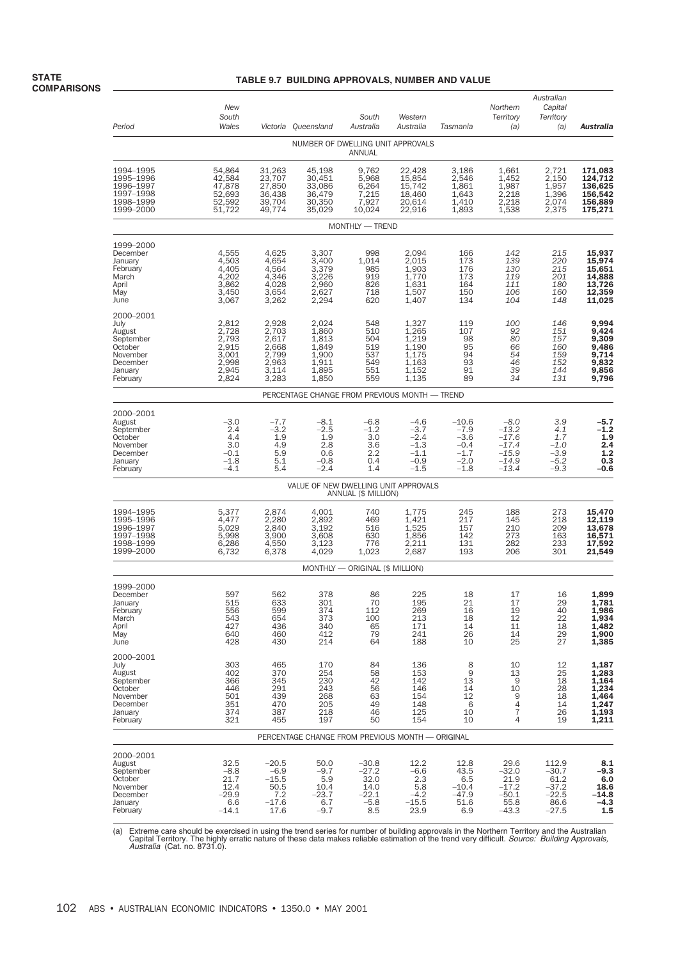**STATE COMPARISONS**

# **TABLE 9.7 BUILDING APPROVALS, NUMBER AND VALUE**

| Period                                                                                             | New<br>South<br>Wales                                                |                                                                      | Victoria Queensland                                                  | South<br>Australia                                             | Western<br>Australia                                                 | Tasmania                                                            | Northern<br>Territory<br>(a)                                           | Australian<br>Capital<br>Territory<br>(a)                         | <b>Australia</b>                                                     |
|----------------------------------------------------------------------------------------------------|----------------------------------------------------------------------|----------------------------------------------------------------------|----------------------------------------------------------------------|----------------------------------------------------------------|----------------------------------------------------------------------|---------------------------------------------------------------------|------------------------------------------------------------------------|-------------------------------------------------------------------|----------------------------------------------------------------------|
|                                                                                                    |                                                                      |                                                                      |                                                                      | NUMBER OF DWELLING UNIT APPROVALS<br>ANNUAL                    |                                                                      |                                                                     |                                                                        |                                                                   |                                                                      |
| 1994-1995<br>1995-1996<br>1996-1997<br>1997-1998<br>1998-1999<br>1999-2000                         | 54,864<br>42,584<br>47,878<br>52,693<br>52,592<br>51,722             | 31,263<br>23,707<br>27,850<br>36,438<br>39,704<br>49,774             | 45,198<br>30,451<br>33,086<br>36,479<br>30,350<br>35,029             | 9,762<br>5,968<br>6,264<br>7,215<br>7,927<br>10,024            | 22,428<br>15,854<br>15,742<br>18,460<br>20,614<br>22,916             | 3,186<br>2,546<br>1,861<br>1,643<br>1,410<br>1,893                  | 1,661<br>1,452<br>1,987<br>2,218<br>2,218<br>1,538                     | 2,721<br>2,150<br>1,957<br>1,396<br>2,074<br>2,375                | 171,083<br>124,712<br>136,625<br>156,542<br>156,889<br>175,271       |
|                                                                                                    |                                                                      |                                                                      |                                                                      | MONTHLY - TREND                                                |                                                                      |                                                                     |                                                                        |                                                                   |                                                                      |
| 1999-2000<br>December<br>January<br>February<br>March<br>April<br>May<br>June                      | 4,555<br>4,503<br>4,405<br>4,202<br>3,862<br>3,450<br>3,067          | 4,625<br>4,654<br>4,564<br>4,346<br>4,028<br>3,654<br>3,262          | 3,307<br>3,400<br>3,379<br>3,226<br>2,960<br>2,627<br>2,294          | 998<br>1,014<br>985<br>919<br>826<br>718<br>620                | 2,094<br>2,015<br>1,903<br>1,770<br>1,631<br>1,507<br>1,407          | 166<br>173<br>176<br>173<br>164<br>150<br>134                       | 142<br>139<br>130<br>119<br>111<br>106<br>104                          | 215<br>220<br>215<br>201<br>180<br>160<br>148                     | 15,937<br>15,974<br>15,651<br>14,888<br>13,726<br>12,359<br>11,025   |
| 2000-2001<br>July<br>August<br>September<br>October<br>November<br>December<br>January<br>February | 2,812<br>2,728<br>2,793<br>2,915<br>3,001<br>2,998<br>2,945<br>2,824 | 2,928<br>2,703<br>2,617<br>2,668<br>2,799<br>2,963<br>3,114<br>3,283 | 2.024<br>1,860<br>1,813<br>1,849<br>1,900<br>1,911<br>1,895<br>1,850 | 548<br>510<br>504<br>519<br>537<br>549<br>551<br>559           | 1,327<br>1,265<br>1,219<br>1,190<br>1,175<br>1,163<br>1,152<br>1,135 | 119<br>107<br>98<br>95<br>94<br>93<br>91<br>89                      | 100<br>92<br>80<br>66<br>54<br>46<br>39<br>34                          | 146<br>151<br>157<br>160<br>159<br>152<br>144<br>131              | 9,994<br>9,424<br>9,309<br>9,486<br>9,714<br>9,832<br>9,856<br>9,796 |
|                                                                                                    |                                                                      |                                                                      |                                                                      | PERCENTAGE CHANGE FROM PREVIOUS MONTH - TREND                  |                                                                      |                                                                     |                                                                        |                                                                   |                                                                      |
| 2000-2001<br>August<br>September<br>October<br>November<br>December<br>January<br>February         | $-3.0$<br>2.4<br>4.4<br>3.0<br>$-0.1$<br>$-1.8$<br>$-4.1$            | $-7.7$<br>$-3.2$<br>1.9<br>4.9<br>5.9<br>5.1<br>5.4                  | $-8.1$<br>$-2.5$<br>1.9<br>2.8<br>0.6<br>$-0.8$<br>$-2.4$            | $-6.8$<br>$-1.2$<br>3.0<br>3.6<br>2.2<br>0.4<br>1.4            | $-4.6$<br>$-3.7$<br>$-2.4$<br>$-1.3$<br>$-1.1$<br>$-0.9$<br>$-1.5$   | $-10.6$<br>$-7.9$<br>$-3.6$<br>$-0.4$<br>$-1.7$<br>$-2.0$<br>$-1.8$ | $-8.0$<br>-13.2<br>$-17.6$<br>$-17.4$<br>$-15.9$<br>$-14.9$<br>$-13.4$ | 3.9<br>4.1<br>1.7<br>$-1.0$<br>$-3.9$<br>$-5.2$<br>$-9.3$         | -5.7<br>$-1.2$<br>1.9<br>2.4<br>1.2<br>0.3<br>-0.6                   |
|                                                                                                    |                                                                      |                                                                      |                                                                      | VALUE OF NEW DWELLING UNIT APPROVALS<br>ANNUAL (\$ MILLION)    |                                                                      |                                                                     |                                                                        |                                                                   |                                                                      |
| 1994-1995<br>1995-1996<br>1996-1997<br>1997-1998<br>1998-1999<br>1999-2000                         | 5,377<br>4,477<br>5,029<br>5,998<br>6,286<br>6,732                   | 2,874<br>2,280<br>2,840<br>3,900<br>4,550<br>6,378                   | 4,001<br>2,892<br>3,192<br>3,608<br>3,123<br>4,029                   | 740<br>469<br>516<br>630<br>776<br>1,023                       | 1,775<br>1,421<br>1,525<br>1,856<br>2,211<br>2,687                   | 245<br>217<br>157<br>142<br>131<br>193                              | 188<br>145<br>210<br>273<br>282<br>206                                 | 273<br>218<br>209<br>163<br>233<br>301                            | 15,470<br>12,119<br>13,678<br>16,571<br>17,592<br>21,549             |
|                                                                                                    |                                                                      |                                                                      |                                                                      | MONTHLY - ORIGINAL (\$ MILLION)                                |                                                                      |                                                                     |                                                                        |                                                                   |                                                                      |
| 1999-2000<br>December<br>January<br>February<br>March<br>April<br>May<br>June                      | 597<br>515<br>556<br>543<br>427<br>640<br>428                        | 562<br>633<br>599<br>654<br>436<br>460<br>430                        | 378<br>301<br>374<br>373<br>340<br>412<br>214                        | 86<br>70<br>112<br>100<br>65<br>79<br>64                       | 225<br>195<br>269<br>213<br>171<br>241<br>188                        | 18<br>21<br>16<br>18<br>14<br>26<br>10                              | 17<br>17<br>19<br>12<br>11<br>14<br>25                                 | 16<br>29<br>40<br>22<br>18<br>$^{29}_{27}$                        | 1,899<br>1,781<br>1,986<br>1,934<br>1,482<br>1,900<br>1,385          |
| 2000-2001<br>July<br>August<br>September<br>October<br>November<br>December<br>January<br>February | 303<br>402<br>366<br>446<br>501<br>351<br>374<br>321                 | 465<br>370<br>345<br>291<br>439<br>470<br>387<br>455                 | 170<br>254<br>230<br>243<br>268<br>205<br>218<br>197                 | 84<br>58<br>42<br>56<br>63<br>49<br>46<br>50                   | 136<br>153<br>142<br>146<br>154<br>148<br>125<br>154                 | 8<br>9<br>13<br>14<br>12<br>6<br>10<br>10                           | 10<br>13<br>9<br>10<br>9<br>$\overline{4}$<br>7<br>4                   | 12<br>25<br>18<br>28<br>18<br>14<br>26<br>19                      | 1,187<br>1,283<br>1,164<br>1,234<br>1,464<br>1,247<br>1,193<br>1,211 |
|                                                                                                    |                                                                      |                                                                      |                                                                      | PERCENTAGE CHANGE FROM PREVIOUS MONTH - ORIGINAL               |                                                                      |                                                                     |                                                                        |                                                                   |                                                                      |
| 2000-2001<br>August<br>September<br>October<br>November<br>December<br>January<br>February         | 32.5<br>$-8.8$<br>21.7<br>12.4<br>$-29.9$<br>6.6<br>$-14.1$          | $-20.5$<br>$-6.9$<br>$-15.5$<br>50.5<br>7.2<br>$-17.6$<br>17.6       | 50.0<br>$-9.7$<br>5.9<br>10.4<br>$-23.7$<br>6.7<br>$-9.7$            | $-30.8$<br>$-27.2$<br>32.0<br>14.0<br>$-22.1$<br>$-5.8$<br>8.5 | 12.2<br>$-6.6$<br>2.3<br>5.8<br>$-4.2$<br>$-15.5$<br>23.9            | 12.8<br>43.5<br>6.5<br>$-10.4$<br>$-47.9$<br>51.6<br>6.9            | 29.6<br>$-32.0$<br>21.9<br>$-17.2$<br>$-50.1$<br>55.8<br>$-43.3$       | 112.9<br>$-30.7$<br>61.2<br>$-37.2$<br>$-22.5$<br>86.6<br>$-27.5$ | 8.1<br>$-9.3$<br>6.0<br>18.6<br>$-14.8$<br>$-4.3$<br>1.5             |

a) Extreme care should be exercised in using the trend series for number of building approvals in the Northern Territory and the Australian<br>Capital Territory. The highly erratic nature of these data makes reliable estimati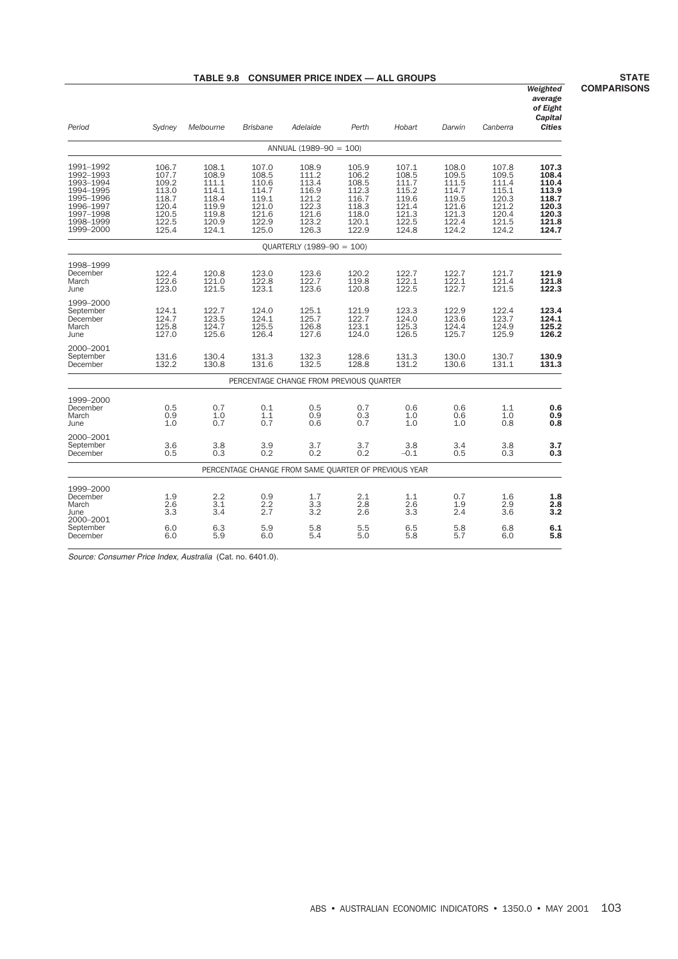**STATE COMPARISONS**

| TABLE 9.8 CONSUMER PRICE INDEX — ALL GROUPS |
|---------------------------------------------|
|                                             |

| Period                                                                                                            | Sydney                                                                        | Melbourne                                                                     | <b>Brisbane</b>                                                               | Adelaide                                                                      | Perth                                                                         | Hobart                                                                        | Darwin                                                                        | Canberra                                                                      | Weighted<br>average<br>of Eight<br>Capital<br><b>Cities</b>                   |
|-------------------------------------------------------------------------------------------------------------------|-------------------------------------------------------------------------------|-------------------------------------------------------------------------------|-------------------------------------------------------------------------------|-------------------------------------------------------------------------------|-------------------------------------------------------------------------------|-------------------------------------------------------------------------------|-------------------------------------------------------------------------------|-------------------------------------------------------------------------------|-------------------------------------------------------------------------------|
|                                                                                                                   |                                                                               |                                                                               |                                                                               | ANNUAL (1989-90 = 100)                                                        |                                                                               |                                                                               |                                                                               |                                                                               |                                                                               |
| 1991-1992<br>1992-1993<br>1993-1994<br>1994-1995<br>1995-1996<br>1996-1997<br>1997-1998<br>1998-1999<br>1999-2000 | 106.7<br>107.7<br>109.2<br>113.0<br>118.7<br>120.4<br>120.5<br>122.5<br>125.4 | 108.1<br>108.9<br>111.1<br>114.1<br>118.4<br>119.9<br>119.8<br>120.9<br>124.1 | 107.0<br>108.5<br>110.6<br>114.7<br>119.1<br>121.0<br>121.6<br>122.9<br>125.0 | 108.9<br>111.2<br>113.4<br>116.9<br>121.2<br>122.3<br>121.6<br>123.2<br>126.3 | 105.9<br>106.2<br>108.5<br>112.3<br>116.7<br>118.3<br>118.0<br>120.1<br>122.9 | 107.1<br>108.5<br>111.7<br>115.2<br>119.6<br>121.4<br>121.3<br>122.5<br>124.8 | 108.0<br>109.5<br>111.5<br>114.7<br>119.5<br>121.6<br>121.3<br>122.4<br>124.2 | 107.8<br>109.5<br>111.4<br>115.1<br>120.3<br>121.2<br>120.4<br>121.5<br>124.2 | 107.3<br>108.4<br>110.4<br>113.9<br>118.7<br>120.3<br>120.3<br>121.8<br>124.7 |
|                                                                                                                   |                                                                               |                                                                               |                                                                               | QUARTERLY (1989-90 = 100)                                                     |                                                                               |                                                                               |                                                                               |                                                                               |                                                                               |
| 1998-1999<br>December<br>March<br>June                                                                            | 122.4<br>122.6<br>123.0                                                       | 120.8<br>121.0<br>121.5                                                       | 123.0<br>122.8<br>123.1                                                       | 123.6<br>122.7<br>123.6                                                       | 120.2<br>119.8<br>120.8                                                       | 122.7<br>122.1<br>122.5                                                       | 122.7<br>122.1<br>122.7                                                       | 121.7<br>121.4<br>121.5                                                       | 121.9<br>121.8<br>122.3                                                       |
| 1999-2000<br>September<br>December<br>March<br>June                                                               | 124.1<br>124.7<br>125.8<br>127.0                                              | 122.7<br>123.5<br>124.7<br>125.6                                              | 124.0<br>124.1<br>125.5<br>126.4                                              | 125.1<br>125.7<br>126.8<br>127.6                                              | 121.9<br>122.7<br>123.1<br>124.0                                              | 123.3<br>124.0<br>125.3<br>126.5                                              | 122.9<br>123.6<br>124.4<br>125.7                                              | 122.4<br>123.7<br>124.9<br>125.9                                              | 123.4<br>124.1<br>125.2<br>126.2                                              |
| 2000-2001<br>September<br>December                                                                                | 131.6<br>132.2                                                                | 130.4<br>130.8                                                                | 131.3<br>131.6                                                                | 132.3<br>132.5                                                                | 128.6<br>128.8                                                                | 131.3<br>131.2                                                                | 130.0<br>130.6                                                                | 130.7<br>131.1                                                                | 130.9<br>131.3                                                                |
|                                                                                                                   |                                                                               |                                                                               |                                                                               | PERCENTAGE CHANGE FROM PREVIOUS QUARTER                                       |                                                                               |                                                                               |                                                                               |                                                                               |                                                                               |
| 1999-2000<br>December<br>March<br>June                                                                            | 0.5<br>0.9<br>1.0                                                             | 0.7<br>1.0<br>0.7                                                             | 0.1<br>1.1<br>0.7                                                             | 0.5<br>0.9<br>0.6                                                             | 0.7<br>0.3<br>0.7                                                             | 0.6<br>1.0<br>1.0                                                             | 0.6<br>0.6<br>1.0                                                             | 1.1<br>1.0<br>0.8                                                             | 0.6<br>0.9<br>0.8                                                             |
| 2000-2001<br>September<br>December                                                                                | 3.6<br>0.5                                                                    | 3.8<br>0.3                                                                    | 3.9<br>0.2                                                                    | 3.7<br>0.2                                                                    | 3.7<br>0.2                                                                    | 3.8<br>$-0.1$                                                                 | 3.4<br>0.5                                                                    | 3.8<br>0.3                                                                    | 3.7<br>0.3                                                                    |
|                                                                                                                   |                                                                               |                                                                               |                                                                               | PERCENTAGE CHANGE FROM SAME QUARTER OF PREVIOUS YEAR                          |                                                                               |                                                                               |                                                                               |                                                                               |                                                                               |
| 1999-2000<br>December<br>March<br>June<br>2000-2001                                                               | 1.9<br>2.6<br>3.3                                                             | 2.2<br>3.1<br>3.4                                                             | 0.9<br>2.2<br>2.7                                                             | 1.7<br>3.3<br>3.2                                                             | 2.1<br>2.8<br>2.6                                                             | 1.1<br>2.6<br>3.3                                                             | 0.7<br>1.9<br>2.4                                                             | 1.6<br>2.9<br>3.6                                                             | 1.8<br>2.8<br>3.2                                                             |
| September<br>December                                                                                             | 6.0<br>6.0                                                                    | 6.3<br>5.9                                                                    | 5.9<br>6.0                                                                    | 5.8<br>5.4                                                                    | 5.5<br>5.0                                                                    | 6.5<br>5.8                                                                    | 5.8<br>5.7                                                                    | 6.8<br>6.0                                                                    | 6.1<br>5.8                                                                    |

Source: Consumer Price Index, Australia (Cat. no. 6401.0).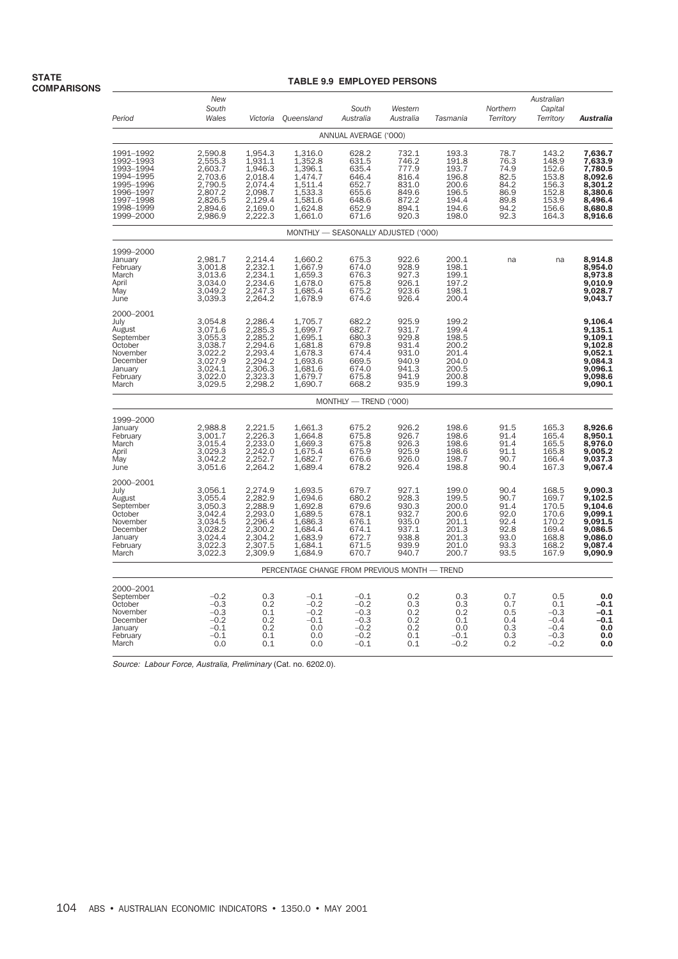# **TABLE 9.9 EMPLOYED PERSONS**

|                                                                                                                   |                                                                                                 |                                                                                                 |                                                                                                 | IADLE 9.9 EMFLUIED FERSUNG                                                    |                                                                               |                                                                               |                                                                      |                                                                               |                                                                                                     |
|-------------------------------------------------------------------------------------------------------------------|-------------------------------------------------------------------------------------------------|-------------------------------------------------------------------------------------------------|-------------------------------------------------------------------------------------------------|-------------------------------------------------------------------------------|-------------------------------------------------------------------------------|-------------------------------------------------------------------------------|----------------------------------------------------------------------|-------------------------------------------------------------------------------|-----------------------------------------------------------------------------------------------------|
| Period                                                                                                            | New<br>South<br>Wales                                                                           | Victoria                                                                                        | Queensland                                                                                      | South<br>Australia                                                            | Western<br>Australia                                                          | Tasmania                                                                      | Northern<br>Territory                                                | Australian<br>Capital<br>Territory                                            | <b>Australia</b>                                                                                    |
|                                                                                                                   |                                                                                                 |                                                                                                 |                                                                                                 | ANNUAL AVERAGE ('000)                                                         |                                                                               |                                                                               |                                                                      |                                                                               |                                                                                                     |
| 1991-1992<br>1992-1993<br>1993-1994<br>1994-1995<br>1995-1996<br>1996-1997<br>1997-1998<br>1998-1999<br>1999-2000 | 2,590.8<br>2,555.3<br>2,603.7<br>2,703.6<br>2,790.5<br>2,807.2<br>2,826.5<br>2,894.6<br>2,986.9 | 1,954.3<br>1,931.1<br>1,946.3<br>2,018.4<br>2,074.4<br>2,098.7<br>2,129.4<br>2,169.0<br>2,222.3 | 1,316.0<br>1,352.8<br>1,396.1<br>1,474.7<br>1,511.4<br>1,533.3<br>1,581.6<br>1,624.8<br>1,661.0 | 628.2<br>631.5<br>635.4<br>646.4<br>652.7<br>655.6<br>648.6<br>652.9<br>671.6 | 732.1<br>746.2<br>777.9<br>816.4<br>831.0<br>849.6<br>872.2<br>894.1<br>920.3 | 193.3<br>191.8<br>193.7<br>196.8<br>200.6<br>196.5<br>194.4<br>194.6<br>198.0 | 78.7<br>76.3<br>74.9<br>82.5<br>84.2<br>86.9<br>89.8<br>94.2<br>92.3 | 143.2<br>148.9<br>152.6<br>153.8<br>156.3<br>152.8<br>153.9<br>156.6<br>164.3 | 7,636.7<br>7,633.9<br>7,780.5<br>8,092.6<br>8,301.2<br>8,380.6<br>8,496.4<br>8,680.8<br>8,916.6     |
|                                                                                                                   |                                                                                                 |                                                                                                 |                                                                                                 | MONTHLY - SEASONALLY ADJUSTED ('000)                                          |                                                                               |                                                                               |                                                                      |                                                                               |                                                                                                     |
| 1999-2000<br>January<br>February<br>March<br>April<br>May<br>June                                                 | 2,981.7<br>3,001.8<br>3,013.6<br>3,034.0<br>3,049.2<br>3,039.3                                  | 2,214.4<br>2,232.1<br>2,234.1<br>2,234.6<br>2,247.3<br>2,264.2                                  | 1,660.2<br>1,667.9<br>1,659.3<br>1,678.0<br>1,685.4<br>1,678.9                                  | 675.3<br>674.0<br>676.3<br>675.8<br>675.2<br>674.6                            | 922.6<br>928.9<br>927.3<br>926.1<br>923.6<br>926.4                            | 200.1<br>198.1<br>199.1<br>197.2<br>198.1<br>200.4                            | na                                                                   | na                                                                            | 8,914.8<br>8,954.0<br>8,973.8<br>9,010.9<br>9,028.7<br>9,043.7                                      |
| 2000-2001<br>July<br>August<br>September<br>October<br>November<br>December<br>January<br>February<br>March       | 3,054.8<br>3,071.6<br>3,055.3<br>3,038.7<br>3,022.2<br>3,027.9<br>3,024.1<br>3,022.0<br>3,029.5 | 2,286.4<br>2,285.3<br>2,294.6<br>2,293.4<br>2,294.2<br>2,306.3<br>2,323.3<br>2,298.2            | 1,705.7<br>1,699.7<br>1,695.1<br>1,681.8<br>1,678.3<br>1,693.6<br>1,681.6<br>1,679.7<br>1,690.7 | 682.2<br>682.7<br>680.3<br>679.8<br>674.4<br>669.5<br>674.0<br>675.8<br>668.2 | 925.9<br>931.7<br>929.8<br>931.4<br>931.0<br>940.9<br>941.3<br>941.9<br>935.9 | 199.2<br>199.4<br>198.5<br>200.2<br>201.4<br>204.0<br>200.5<br>200.8<br>199.3 |                                                                      |                                                                               | 9,106.4<br>9,135.1<br>9,109.1<br>$9,052.8$<br>$9,052.1$<br>9,084.3<br>9,096.1<br>9,098.6<br>9,090.1 |
|                                                                                                                   |                                                                                                 |                                                                                                 |                                                                                                 | MONTHLY - TREND ('000)                                                        |                                                                               |                                                                               |                                                                      |                                                                               |                                                                                                     |
| 1999-2000<br>January<br>February<br>March<br>April<br>May<br>June                                                 | 2,988.8<br>3,001.7<br>3,015.4<br>3,029.3<br>3,042.2<br>3,051.6                                  | 2,221.5<br>2,226.3<br>2,233.0<br>2,242.0<br>2,252.7<br>2,264.2                                  | 1,661.3<br>1,664.8<br>1,669.3<br>1,675.4<br>1,682.7<br>1,689.4                                  | 675.2<br>675.8<br>675.8<br>675.9<br>676.6<br>678.2                            | 926.2<br>926.7<br>926.3<br>925.9<br>926.0<br>926.4                            | 198.6<br>198.6<br>198.6<br>198.6<br>198.7<br>198.8                            | 91.5<br>91.4<br>91.4<br>91.1<br>90.7<br>90.4                         | 165.3<br>165.4<br>165.5<br>165.8<br>166.4<br>167.3                            | 8,926.6<br>8,950.1<br>8,976.0<br>9,005.2<br>9,037.3<br>9,067.4                                      |
| 2000-2001<br>July<br>August<br>September<br>October<br>November<br>December<br>January<br>February<br>March       | 3,056.1<br>3,055.4<br>3,050.3<br>3,042.4<br>3,034.5<br>3,028.2<br>3,024.4<br>3,022.3<br>3,022.3 | 2,274.9<br>2,282.9<br>2,288.9<br>2,293.0<br>2,296.4<br>2,300.2<br>2,304.2<br>2,307.5<br>2,309.9 | 1,693.5<br>1,694.6<br>1,692.8<br>1,689.5<br>1,686.3<br>1,684.4<br>1,683.9<br>1,684.1<br>1,684.9 | 679.7<br>680.2<br>679.6<br>678.1<br>676.1<br>674.1<br>672.7<br>671.5<br>670.7 | 927.1<br>928.3<br>930.3<br>932.7<br>935.0<br>937.1<br>938.8<br>939.9<br>940.7 | 199.0<br>199.5<br>200.0<br>200.6<br>201.1<br>201.3<br>201.3<br>201.0<br>200.7 | 90.4<br>90.7<br>91.4<br>92.0<br>92.4<br>92.8<br>93.0<br>93.3<br>93.5 | 168.5<br>169.7<br>170.5<br>170.6<br>170.2<br>169.4<br>168.8<br>168.2<br>167.9 | 9,090.3<br>9,102.5<br>9,104.6<br>9,099.1<br>9,091.5<br>9,086.5<br>9,086.0<br>9,087.4<br>9,090.9     |
|                                                                                                                   |                                                                                                 |                                                                                                 | PERCENTAGE CHANGE FROM PREVIOUS MONTH - TREND                                                   |                                                                               |                                                                               |                                                                               |                                                                      |                                                                               |                                                                                                     |
| 2000-2001<br>September<br>October<br>November<br>December<br>January<br>February<br>March                         | $-0.2$<br>$-0.3$<br>$-0.3$<br>$-0.2$<br>$-0.1$<br>$-0.1$<br>0.0                                 | 0.3<br>0.2<br>0.1<br>0.2<br>0.2<br>0.1<br>0.1                                                   | $-0.1$<br>$-0.2$<br>$-0.2$<br>$-0.1$<br>0.0<br>0.0<br>0.0                                       | $-0.1$<br>$-0.2$<br>$-0.3$<br>$-0.3$<br>$-0.2$<br>$-0.2$<br>$-0.1$            | 0.2<br>0.3<br>$\begin{array}{c} 0.2 \\ 0.2 \\ 0.2 \end{array}$<br>0.1<br>0.1  | $0.3 \ 0.3$<br>0.2<br>0.1<br>0.0<br>$-0.1$<br>$-0.2$                          | 0.7<br>0.7<br>0.5<br>0.4<br>0.3<br>0.3<br>0.2                        | 0.5<br>0.1<br>$-0.3$<br>$-0.4$<br>$-0.4$<br>$-0.3$<br>$-0.2$                  | 0.0<br>$-0.1$<br>$-0.1$<br>$-0.1$<br>0.0<br>0.0<br>0.0                                              |

Source: Labour Force, Australia, Preliminary (Cat. no. 6202.0).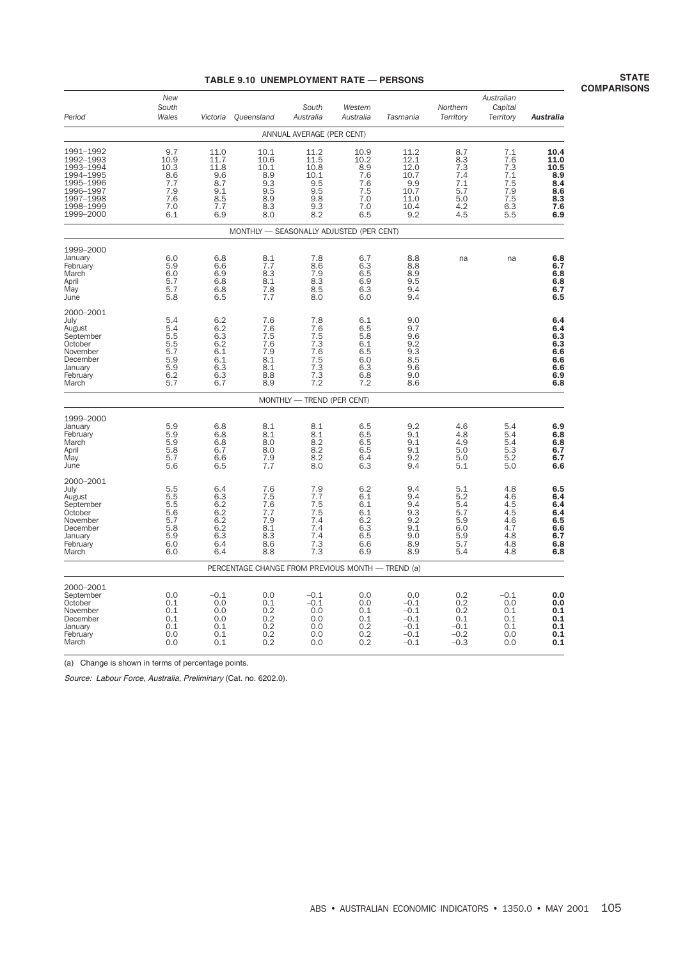# **TABLE 9.10 UNEMPLOYMENT RATE — PERSONS**

| Period                                                                                                            | New<br>South<br>Wales                                              |                                                                | Victoria Queensland                                            | South<br>Australia                                              | Western<br>Australia                                          | Tasmania                                                           | Northern<br>Territory                                       | Australian<br>Capital<br>Territory                            | Australia                                                                    |
|-------------------------------------------------------------------------------------------------------------------|--------------------------------------------------------------------|----------------------------------------------------------------|----------------------------------------------------------------|-----------------------------------------------------------------|---------------------------------------------------------------|--------------------------------------------------------------------|-------------------------------------------------------------|---------------------------------------------------------------|------------------------------------------------------------------------------|
|                                                                                                                   |                                                                    |                                                                |                                                                | ANNUAL AVERAGE (PER CENT)                                       |                                                               |                                                                    |                                                             |                                                               |                                                                              |
| 1991-1992<br>1992–1993<br>1993-1994<br>1994–1995<br>1995-1996<br>1996-1997<br>1997-1998<br>1998-1999<br>1999-2000 | 9.7<br>10.9<br>10.3<br>8.6<br>7.7<br>7.9<br>7.6<br>7.0<br>6.1      | 11.0<br>11.7<br>11.8<br>9.6<br>8.7<br>9.1<br>8.5<br>7.7<br>6.9 | 10.1<br>10.6<br>10.1<br>8.9<br>9.3<br>9.5<br>8.9<br>8.3<br>8.0 | 11.2<br>11.5<br>10.8<br>10.1<br>9.5<br>9.5<br>9.8<br>9.3<br>8.2 | 10.9<br>10.2<br>8.9<br>7.6<br>7.6<br>7.5<br>7.0<br>7.0<br>6.5 | 11.2<br>12.1<br>12.0<br>10.7<br>9.9<br>10.7<br>11.0<br>10.4<br>9.2 | 8.7<br>8.3<br>7.3<br>7.4<br>7.1<br>5.7<br>5.0<br>4.2<br>4.5 | 7.1<br>7.6<br>7.3<br>7.1<br>7.5<br>7.9<br>$7.5$<br>6.3<br>5.5 | 10.4<br>11.0<br>10.5<br>8.9<br>8.4<br>8.6<br>8.3<br>7.6<br>6.9               |
|                                                                                                                   |                                                                    |                                                                | MONTHLY - SEASONALLY ADJUSTED (PER CENT)                       |                                                                 |                                                               |                                                                    |                                                             |                                                               |                                                                              |
| 1999-2000<br>January<br>February<br>March<br>April<br>May<br>June                                                 | 6.0<br>5.9<br>6.0<br>5.7<br>5.7<br>5.8                             | 6.8<br>6.6<br>6.9<br>6.8<br>6.8<br>6.5                         | 8.1<br>7.7<br>8.3<br>8.1<br>7.8<br>7.7                         | 7.8<br>8.6<br>7.9<br>8.3<br>8.5<br>8.0                          | 6.7<br>6.3<br>6.5<br>6.9<br>6.3<br>6.0                        | 8.8<br>8.8<br>8.9<br>9.5<br>9.4<br>9.4                             | na                                                          | na                                                            | 6.8<br>6.7<br>6.8<br>6.8<br>6.7<br>6.5                                       |
| 2000–2001<br>July<br>August<br>September<br>October<br>November<br>December<br>January<br>February<br>March       | 5.4<br>5.4<br>5.5<br>5.5<br>5.7<br>$\frac{5.9}{5.9}$<br>6.2<br>5.7 | 6.2<br>6.2<br>6.3<br>6.2<br>6.1<br>6.1<br>6.3<br>6.3<br>6.7    | 7.6<br>7.6<br>7.5<br>7.6<br>7.9<br>8.1<br>8.1<br>8.8<br>8.9    | 7.8<br>7.6<br>7.5<br>7.3<br>7.6<br>7.5<br>7.3<br>7.3<br>7.2     | 6.1<br>6.5<br>5.8<br>6.1<br>6.5<br>6.0<br>6.3<br>6.8<br>7.2   | 9.0<br>9.7<br>9.6<br>9.2<br>9.3<br>8.5<br>9.6<br>9.0<br>8.6        |                                                             |                                                               | 6.4<br>$6.4$<br>$6.3$<br>$6.3$<br>$6.6$<br>$6.6$<br>$6.6$<br>6.9<br>6.8      |
|                                                                                                                   |                                                                    |                                                                |                                                                | MONTHLY - TREND (PER CENT)                                      |                                                               |                                                                    |                                                             |                                                               |                                                                              |
| 1999-2000<br>January<br>February<br>March<br>April<br>May<br>June                                                 | 5.9<br>5.9<br>5.9<br>5.8<br>5.7<br>5.6                             | 6.8<br>6.8<br>6.8<br>6.7<br>6.6<br>6.5                         | 8.1<br>8.1<br>8.0<br>8.0<br>7.9<br>7.7                         | 8.1<br>8.1<br>8.2<br>8.2<br>8.2<br>8.0                          | 6.5<br>6.5<br>6.5<br>6.5<br>6.4<br>6.3                        | 9.2<br>9.1<br>9.1<br>9.1<br>9.2<br>9.4                             | 4.6<br>4.8<br>4.9<br>5.0<br>5.0<br>5.1                      | 5.4<br>5.4<br>5.4<br>5.3<br>5.2<br>5.0                        | 6.9<br>6.8<br>$6.8$<br>$6.7$<br>6.7<br>6.6                                   |
| 2000-2001<br>July<br>August<br>September<br>October<br>November<br>December<br>January<br>February<br>March       | 5.5<br>5.5<br>5.5<br>5.6<br>5.7<br>5.8<br>5.9<br>6.0<br>6.0        | 6.4<br>6.3<br>6.2<br>6.2<br>6.2<br>6.2<br>6.3<br>6.4<br>6.4    | 7.6<br>7.5<br>7.6<br>7.7<br>7.9<br>8.1<br>8.3<br>8.6<br>8.8    | 7.9<br>7.7<br>7.5<br>7.5<br>7.4<br>7.4<br>7.4<br>7.3<br>7.3     | 6.2<br>6.1<br>6.1<br>6.1<br>6.2<br>6.3<br>6.5<br>6.6<br>6.9   | 9.4<br>9.4<br>9.4<br>9.3<br>9.2<br>9.1<br>9.0<br>8.9<br>8.9        | 5.1<br>5.2<br>5.4<br>5.7<br>5.9<br>6.0<br>5.9<br>5.7<br>5.4 | 4.8<br>4.6<br>4.5<br>4.5<br>4.6<br>4.7<br>4.8<br>4.8<br>4.8   | 6.5<br>6.4<br>6.4<br>6.4<br>6.5<br>$6.6$<br>$6.7$<br>6.8<br>6.8              |
|                                                                                                                   |                                                                    |                                                                | PERCENTAGE CHANGE FROM PREVIOUS MONTH - TREND (a)              |                                                                 |                                                               |                                                                    |                                                             |                                                               |                                                                              |
| 2000–2001<br>September<br>October<br>November<br>December<br>January<br>February<br>March                         | 0.0<br>0.1<br>0.1<br>0.1<br>0.1<br>0.0<br>0.0                      | $-0.1$<br>0.0<br>0.0<br>0.0<br>0.1<br>0.1<br>0.1               | 0.0<br>0.1<br>0.2<br>0.2<br>0.2<br>0.2<br>0.2                  | $-0.1$<br>$-0.1$<br>0.0<br>0.0<br>0.0<br>0.0<br>0.0             | 0.0<br>0.0<br>0.1<br>0.1<br>0.2<br>0.2<br>0.2                 | 0.0<br>$-0.1$<br>$-0.1$<br>-0.1<br>$-0.1$<br>$-0.1$<br>$-0.1$      | 0.2<br>0.2<br>0.2<br>0.1<br>$-0.1$<br>$-0.2$<br>$-0.3$      | $-0.1$<br>0.0<br>0.1<br>0.1<br>0.1<br>0.0<br>0.0              | 0.0<br>0.0<br>0.1<br>0.1<br>$\begin{array}{c} 0.1 \\ 0.1 \end{array}$<br>0.1 |

(a) Change is shown in terms of percentage points.

Source: Labour Force, Australia, Preliminary (Cat. no. 6202.0).

**STATE COMPARISONS**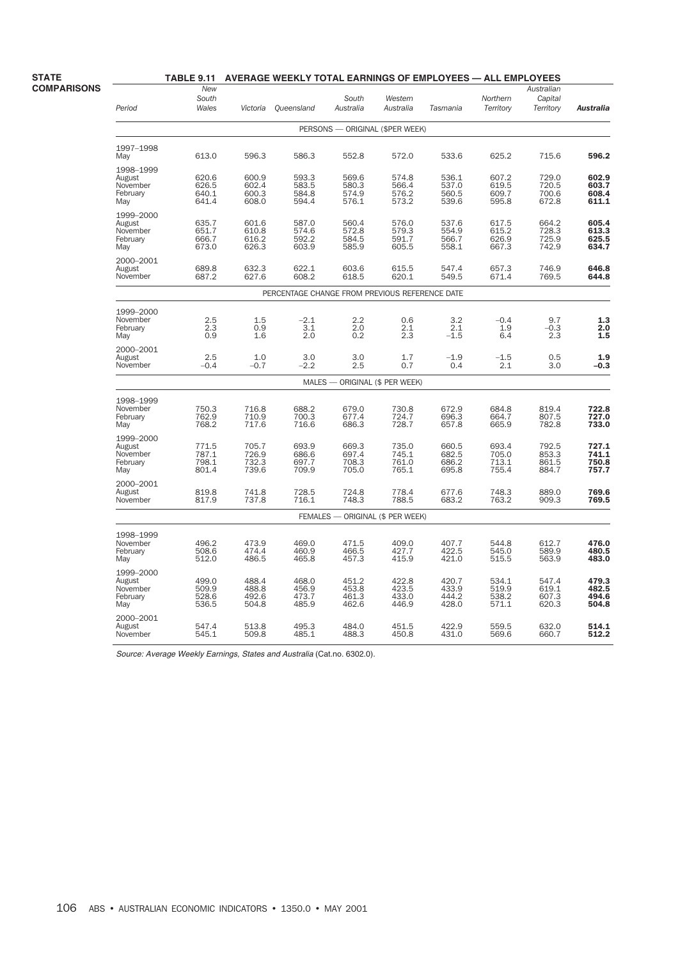#### **STATE COMPARISONS**

# **TABLE 9.11 AVERAGE WEEKLY TOTAL EARNINGS OF EMPLOYEES — ALL EMPLOYEES**

| Period                                             | <b>New</b><br>South<br>Wales     | Victoria                         | Queensland                                     | South<br>Australia               | Western<br>Australia             | Tasmania                         | Northern<br>Territory            | Australian<br>Capital<br>Territory | <b>Australia</b>                 |
|----------------------------------------------------|----------------------------------|----------------------------------|------------------------------------------------|----------------------------------|----------------------------------|----------------------------------|----------------------------------|------------------------------------|----------------------------------|
|                                                    |                                  |                                  |                                                | PERSONS - ORIGINAL (\$PER WEEK)  |                                  |                                  |                                  |                                    |                                  |
| 1997-1998<br>May                                   | 613.0                            | 596.3                            | 586.3                                          | 552.8                            | 572.0                            | 533.6                            | 625.2                            | 715.6                              | 596.2                            |
| 1998-1999<br>August<br>November<br>February<br>May | 620.6<br>626.5<br>640.1<br>641.4 | 600.9<br>602.4<br>600.3<br>608.0 | 593.3<br>583.5<br>584.8<br>594.4               | 569.6<br>580.3<br>574.9<br>576.1 | 574.8<br>566.4<br>576.2<br>573.2 | 536.1<br>537.0<br>560.5<br>539.6 | 607.2<br>619.5<br>609.7<br>595.8 | 729.0<br>720.5<br>700.6<br>672.8   | 602.9<br>603.7<br>608.4<br>611.1 |
| 1999-2000<br>August<br>November<br>February<br>May | 635.7<br>651.7<br>666.7<br>673.0 | 601.6<br>610.8<br>616.2<br>626.3 | 587.0<br>574.6<br>592.2<br>603.9               | 560.4<br>572.8<br>584.5<br>585.9 | 576.0<br>579.3<br>591.7<br>605.5 | 537.6<br>554.9<br>566.7<br>558.1 | 617.5<br>615.2<br>626.9<br>667.3 | 664.2<br>728.3<br>725.9<br>742.9   | 605.4<br>613.3<br>625.5<br>634.7 |
| 2000-2001<br>August<br>November                    | 689.8<br>687.2                   | 632.3<br>627.6                   | 622.1<br>608.2                                 | 603.6<br>618.5                   | 615.5<br>620.1                   | 547.4<br>549.5                   | 657.3<br>671.4                   | 746.9<br>769.5                     | 646.8<br>644.8                   |
|                                                    |                                  |                                  | PERCENTAGE CHANGE FROM PREVIOUS REFERENCE DATE |                                  |                                  |                                  |                                  |                                    |                                  |
| 1999-2000<br>November<br>February<br>May           | 2.5<br>2.3<br>0.9                | 1.5<br>0.9<br>1.6                | $-2.1$<br>3.1<br>2.0                           | 2.2<br>2.0<br>0.2                | 0.6<br>2.1<br>2.3                | 3.2<br>2.1<br>$-1.5$             | $-0.4$<br>1.9<br>6.4             | 9.7<br>$-0.3$<br>2.3               | 1.3<br>2.0<br>1.5                |
| 2000-2001<br>August<br>November                    | 2.5<br>$-0.4$                    | 1.0<br>$-0.7$                    | 3.0<br>$-2.2$                                  | 3.0<br>2.5                       | 1.7<br>0.7                       | $-1.9$<br>0.4                    | $-1.5$<br>2.1                    | 0.5<br>3.0                         | 1.9<br>$-0.3$                    |
|                                                    |                                  |                                  | $MALES$ —                                      |                                  | ORIGINAL (\$ PER WEEK)           |                                  |                                  |                                    |                                  |
| 1998-1999<br>November<br>February<br>May           | 750.3<br>762.9<br>768.2          | 716.8<br>710.9<br>717.6          | 688.2<br>700.3<br>716.6                        | 679.0<br>677.4<br>686.3          | 730.8<br>724.7<br>728.7          | 672.9<br>696.3<br>657.8          | 684.8<br>664.7<br>665.9          | 819.4<br>807.5<br>782.8            | 722.8<br>727.0<br>733.0          |
| 1999-2000<br>August<br>November<br>February<br>May | 771.5<br>787.1<br>798.1<br>801.4 | 705.7<br>726.9<br>732.3<br>739.6 | 693.9<br>686.6<br>697.7<br>709.9               | 669.3<br>697.4<br>708.3<br>705.0 | 735.0<br>745.1<br>761.0<br>765.1 | 660.5<br>682.5<br>686.2<br>695.8 | 693.4<br>705.0<br>713.1<br>755.4 | 792.5<br>853.3<br>861.5<br>884.7   | 727.1<br>741.1<br>750.8<br>757.7 |
| 2000-2001<br>August<br>November                    | 819.8<br>817.9                   | 741.8<br>737.8                   | 728.5<br>716.1                                 | 724.8<br>748.3                   | 778.4<br>788.5                   | 677.6<br>683.2                   | 748.3<br>763.2                   | 889.0<br>909.3                     | 769.6<br>769.5                   |
|                                                    |                                  |                                  | FEMALES -                                      |                                  | ORIGINAL (\$ PER WEEK)           |                                  |                                  |                                    |                                  |
| 1998-1999<br>November<br>February<br>May           | 496.2<br>508.6<br>512.0          | 473.9<br>474.4<br>486.5          | 469.0<br>460.9<br>465.8                        | 471.5<br>466.5<br>457.3          | 409.0<br>427.7<br>415.9          | 407.7<br>422.5<br>421.0          | 544.8<br>545.0<br>515.5          | 612.7<br>589.9<br>563.9            | 476.0<br>480.5<br>483.0          |
| 1999-2000<br>August<br>November<br>February<br>May | 499.0<br>509.9<br>528.6<br>536.5 | 488.4<br>488.8<br>492.6<br>504.8 | 468.0<br>456.9<br>473.7<br>485.9               | 451.2<br>453.8<br>461.3<br>462.6 | 422.8<br>423.5<br>433.0<br>446.9 | 420.7<br>433.9<br>444.2<br>428.0 | 534.1<br>519.9<br>538.2<br>571.1 | 547.4<br>619.1<br>607.3<br>620.3   | 479.3<br>482.5<br>494.6<br>504.8 |
| 2000-2001<br>August<br>November                    | 547.4<br>545.1                   | 513.8<br>509.8                   | 495.3<br>485.1                                 | 484.0<br>488.3                   | 451.5<br>450.8                   | 422.9<br>431.0                   | 559.5<br>569.6                   | 632.0<br>660.7                     | 514.1<br>512.2                   |

Source: Average Weekly Earnings, States and Australia (Cat.no. 6302.0).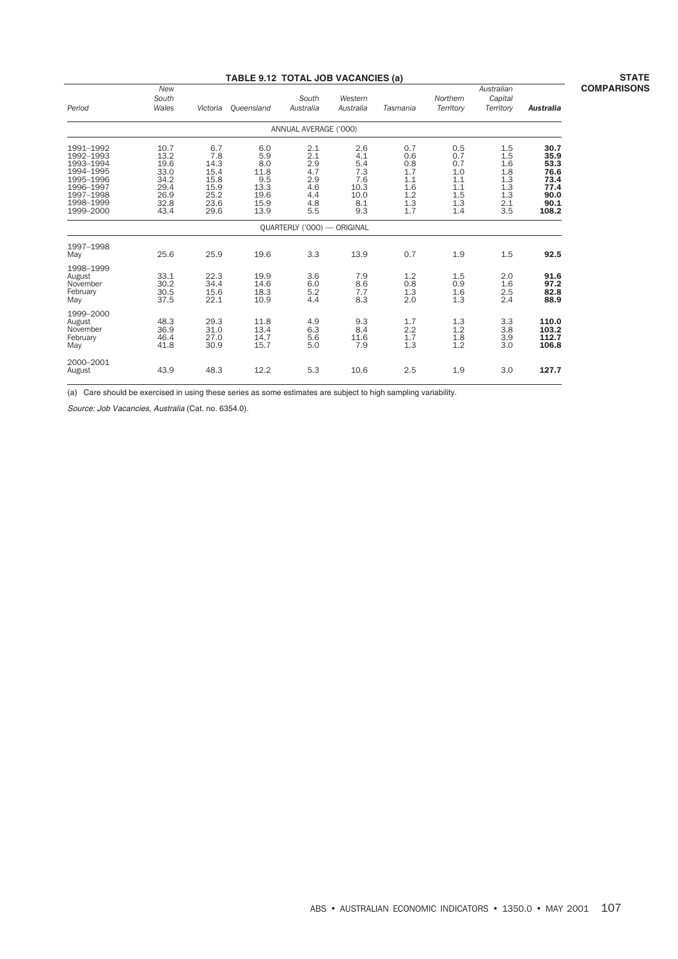|                                                                                                                   | TABLE 9.12 TOTAL JOB VACANCIES (a)                                   |                                                                    |                                                                  |                                                             |                                                               |                                                             |                                                             |                                                             |                                                                       |  |  |  |
|-------------------------------------------------------------------------------------------------------------------|----------------------------------------------------------------------|--------------------------------------------------------------------|------------------------------------------------------------------|-------------------------------------------------------------|---------------------------------------------------------------|-------------------------------------------------------------|-------------------------------------------------------------|-------------------------------------------------------------|-----------------------------------------------------------------------|--|--|--|
| Period                                                                                                            | New<br>South<br>Wales                                                | Victoria                                                           | Oueensland                                                       | South<br>Australia                                          | Western<br>Australia                                          | Tasmania                                                    | Northern<br>Territory                                       | Australian<br>Capital<br>Territory                          | <b>Australia</b>                                                      |  |  |  |
|                                                                                                                   |                                                                      |                                                                    |                                                                  | ANNUAL AVERAGE ('000)                                       |                                                               |                                                             |                                                             |                                                             |                                                                       |  |  |  |
| 1991-1992<br>1992-1993<br>1993-1994<br>1994-1995<br>1995-1996<br>1996-1997<br>1997-1998<br>1998-1999<br>1999-2000 | 10.7<br>13.2<br>19.6<br>33.0<br>34.2<br>29.4<br>26.9<br>32.8<br>43.4 | 6.7<br>7.8<br>14.3<br>15.4<br>15.8<br>15.9<br>25.2<br>23.6<br>29.6 | 6.0<br>5.9<br>8.0<br>11.8<br>9.5<br>13.3<br>19.6<br>15.9<br>13.9 | 2.1<br>2.1<br>2.9<br>4.7<br>2.9<br>4.6<br>4.4<br>4.8<br>5.5 | 2.6<br>4.1<br>5.4<br>7.3<br>7.6<br>10.3<br>10.0<br>8.1<br>9.3 | 0.7<br>0.6<br>0.8<br>1.7<br>1.1<br>1.6<br>1.2<br>1.3<br>1.7 | 0.5<br>0.7<br>0.7<br>1.0<br>1.1<br>1.1<br>1.5<br>1.3<br>1.4 | 1.5<br>1.5<br>1.6<br>1.8<br>1.3<br>1.3<br>1.3<br>2.1<br>3.5 | 30.7<br>35.9<br>53.3<br>76.6<br>73.4<br>77.4<br>90.0<br>90.1<br>108.2 |  |  |  |
|                                                                                                                   |                                                                      |                                                                    |                                                                  | QUARTERLY ('000) - ORIGINAL                                 |                                                               |                                                             |                                                             |                                                             |                                                                       |  |  |  |
| 1997-1998<br>May                                                                                                  | 25.6                                                                 | 25.9                                                               | 19.6                                                             | 3.3                                                         | 13.9                                                          | 0.7                                                         | 1.9                                                         | 1.5                                                         | 92.5                                                                  |  |  |  |
| 1998-1999<br>August<br>November<br>February<br>May                                                                | 33.1<br>30.2<br>30.5<br>37.5                                         | 22.3<br>34.4<br>15.6<br>22.1                                       | 19.9<br>14.6<br>18.3<br>10.9                                     | 3.6<br>6.0<br>5.2<br>4.4                                    | 7.9<br>8.6<br>7.7<br>8.3                                      | 1.2<br>0.8<br>1.3<br>2.0                                    | 1.5<br>0.9<br>1.6<br>1.3                                    | 2.0<br>1.6<br>2.5<br>2.4                                    | 91.6<br>97.2<br>82.8<br>88.9                                          |  |  |  |
| 1999-2000<br>August<br>November<br>February<br>May                                                                | 48.3<br>36.9<br>46.4<br>41.8                                         | 29.3<br>31.0<br>27.0<br>30.9                                       | 11.8<br>13.4<br>14.7<br>15.7                                     | 4.9<br>6.3<br>5.6<br>5.0                                    | 9.3<br>8.4<br>11.6<br>7.9                                     | 1.7<br>2.2<br>1.7<br>1.3                                    | 1.3<br>1.2<br>1.8<br>1.2                                    | 3.3<br>3.8<br>3.9<br>3.0                                    | 110.0<br>103.2<br>112.7<br>106.8                                      |  |  |  |
| 2000-2001<br>August                                                                                               | 43.9                                                                 | 48.3                                                               | 12.2                                                             | 5.3                                                         | 10.6                                                          | 2.5                                                         | 1.9                                                         | 3.0                                                         | 127.7                                                                 |  |  |  |

(a) Care should be exercised in using these series as some estimates are subject to high sampling variability.

Source: Job Vacancies, Australia (Cat. no. 6354.0).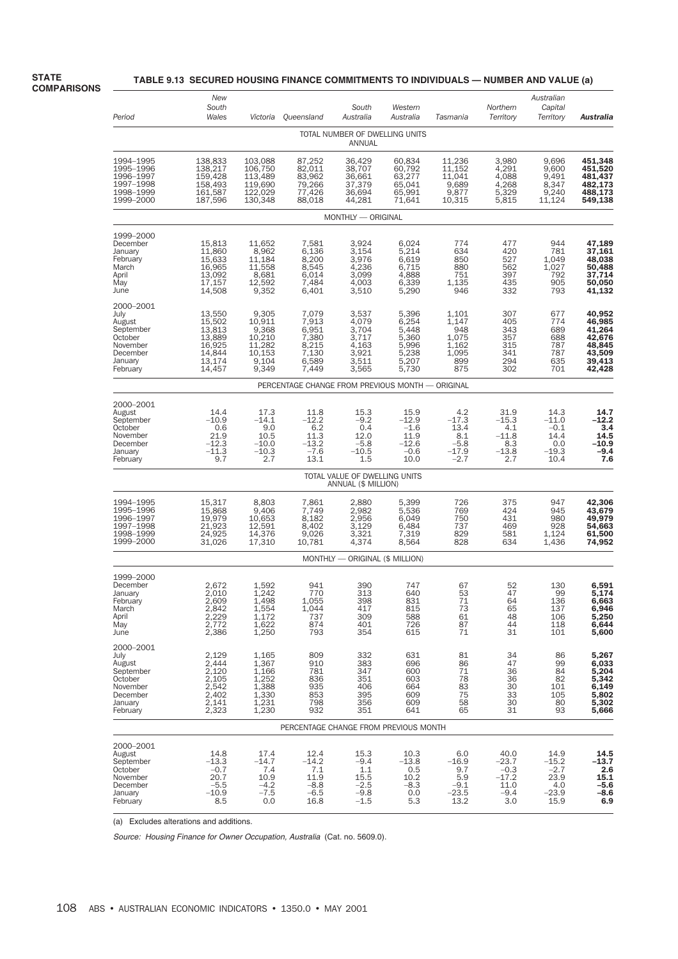### **TABLE 9.13 SECURED HOUSING FINANCE COMMITMENTS TO INDIVIDUALS — NUMBER AND VALUE (a)**

| Period                                                                                             | New<br>South<br>Wales                                                        | Victoria                                                                 | Queensland                                                           | South<br>Australia                                                   | Western<br>Australia                                                 | Tasmania                                                       | Northern<br>Territory                                         | Australian<br>Capital<br>Territory                          | Australia                                                                    |
|----------------------------------------------------------------------------------------------------|------------------------------------------------------------------------------|--------------------------------------------------------------------------|----------------------------------------------------------------------|----------------------------------------------------------------------|----------------------------------------------------------------------|----------------------------------------------------------------|---------------------------------------------------------------|-------------------------------------------------------------|------------------------------------------------------------------------------|
|                                                                                                    |                                                                              |                                                                          |                                                                      | TOTAL NUMBER OF DWELLING UNITS<br>ANNUAL                             |                                                                      |                                                                |                                                               |                                                             |                                                                              |
| 1994-1995<br>1995-1996<br>1996-1997<br>1997-1998<br>1998-1999<br>1999-2000                         | 138,833<br>138,217<br>159,428<br>158,493<br>161,587<br>187,596               | 103,088<br>106,750<br>113,489<br>119,690<br>122,029<br>130,348           | 87,252<br>82,011<br>83,962<br>79,266<br>77,426<br>88,018             | 36,429<br>38,707<br>36,661<br>37,379<br>36,694<br>44,281             | 60,834<br>60,792<br>63,277<br>65,041<br>65,991<br>71,641             | 11,236<br>11,152<br>11,041<br>9,689<br>9,877<br>10,315         | 3,980<br>4,291<br>4,088<br>4,268<br>5,329<br>5,815            | 9,696<br>9,600<br>9,491<br>8,347<br>9,240<br>11,124         | 451,348<br>451,520<br>481,437<br>482,173<br>488,173<br>549,138               |
|                                                                                                    |                                                                              |                                                                          |                                                                      | MONTHLY - ORIGINAL                                                   |                                                                      |                                                                |                                                               |                                                             |                                                                              |
| 1999-2000<br>December<br>January<br>February<br>March<br>April<br>May<br>June                      | 15,813<br>11,860<br>15,633<br>16,965<br>13,092<br>17,157<br>14,508           | 11,652<br>8,962<br>11,184<br>11,558<br>8,681<br>12,592<br>9,352          | 7,581<br>6,136<br>8,200<br>8,545<br>6,014<br>7,484<br>6,401          | 3,924<br>3,154<br>3,976<br>4,236<br>3,099<br>4,003<br>3,510          | 6,024<br>5,214<br>6,619<br>6,715<br>4,888<br>6,339<br>5,290          | 774<br>634<br>850<br>880<br>751<br>1,135<br>946                | 477<br>420<br>527<br>562<br>397<br>435<br>332                 | 944<br>781<br>1,049<br>1,027<br>792<br>905<br>793           | 47,189<br>37,161<br>48,038<br>50,488<br>37,714<br>50,050<br>41,132           |
| 2000-2001<br>July<br>August<br>September<br>October<br>November<br>December<br>January<br>February | 13,550<br>15,502<br>13.813<br>13,889<br>16,925<br>14,844<br>13,174<br>14,457 | 9,305<br>10,911<br>9,368<br>10,210<br>11,282<br>10,153<br>9,104<br>9,349 | 7,079<br>7,913<br>6,951<br>7,380<br>8,215<br>7,130<br>6,589<br>7,449 | 3,537<br>4,079<br>3,704<br>3,717<br>4.163<br>3,921<br>3,511<br>3,565 | 5,396<br>6,254<br>5,448<br>5,360<br>5,996<br>5,238<br>5,207<br>5,730 | 1,101<br>1,147<br>948<br>1,075<br>1.162<br>1,095<br>899<br>875 | 307<br>405<br>343<br>357<br>315<br>341<br>294<br>302          | 677<br>774<br>689<br>688<br>787<br>787<br>635<br>701        | 40,952<br>46,985<br>41,264<br>42,676<br>48,845<br>43,509<br>39,413<br>42,428 |
|                                                                                                    |                                                                              |                                                                          | PERCENTAGE CHANGE FROM PREVIOUS MONTH - ORIGINAL                     |                                                                      |                                                                      |                                                                |                                                               |                                                             |                                                                              |
| 2000-2001<br>August<br>September<br>October<br>November<br>December<br>January<br>February         | 14.4<br>$-10.9$<br>0.6<br>21.9<br>$-12.3$<br>$-11.3$<br>9.7                  | 17.3<br>$-14.1$<br>9.0<br>10.5<br>$-10.0$<br>$-10.3$<br>2.7              | 11.8<br>$-12.2$<br>6.2<br>11.3<br>$-13.2$<br>$-7.6$<br>13.1          | 15.3<br>$-9.2$<br>0.4<br>12.0<br>$-5.8$<br>$-10.5$<br>1.5            | 15.9<br>$-12.9$<br>$-1.6$<br>11.9<br>$-12.6$<br>$-0.6$<br>10.0       | 4.2<br>$-17.3$<br>13.4<br>8.1<br>$-5.8$<br>-17.9<br>$-2.7$     | 31.9<br>$-15.3$<br>4.1<br>-11.8<br>8.3<br>$-13.8$<br>2.7      | 14.3<br>$-11.0$<br>$-0.1$<br>14.4<br>0.0<br>$-19.3$<br>10.4 | 14.7<br>$-12.2$<br>3.4<br>14.5<br>$-10.9$<br>$-9.4$<br>7.6                   |
|                                                                                                    |                                                                              |                                                                          |                                                                      | TOTAL VALUE OF DWELLING UNITS<br>ANNUAL (\$ MILLION)                 |                                                                      |                                                                |                                                               |                                                             |                                                                              |
| 1994-1995<br>1995-1996<br>1996-1997<br>1997-1998<br>1998-1999<br>1999-2000                         | 15,317<br>15,868<br>19,979<br>21,923<br>24,925<br>31,026                     | 8,803<br>9,406<br>10,653<br>12,591<br>14,376<br>17,310                   | 7,861<br>7,749<br>8,182<br>8,402<br>9,026<br>10,781                  | 2,880<br>2,982<br>2,956<br>3,129<br>3,321<br>4,374                   | 5,399<br>5,536<br>6,049<br>6,484<br>7,319<br>8,564                   | 726<br>769<br>750<br>737<br>829<br>828                         | 375<br>424<br>431<br>469<br>581<br>634                        | 947<br>945<br>980<br>928<br>1,124<br>1,436                  | 42,306<br>43,679<br>49,979<br>54,663<br>61,500<br>74,952                     |
|                                                                                                    |                                                                              |                                                                          |                                                                      | MONTHLY - ORIGINAL (\$ MILLION)                                      |                                                                      |                                                                |                                                               |                                                             |                                                                              |
| 1999-2000<br>December<br>January<br><b>February</b><br>March<br>April<br>May<br>June               | 2,672<br>2,010<br>2,609<br>2,842<br>2,229<br>2,772<br>2,386                  | 1,592<br>1,242<br>1,498<br>1,554<br>1.172<br>1,622<br>1,250              | 941<br>770<br>1,055<br>1,044<br>$737$<br>874<br>793                  | 390<br>313<br>ઝઝ<br>417<br>309<br>401<br>354                         | 747<br>640<br>831<br>815<br>588<br>726<br>615                        | 67<br>53<br>71<br>73<br>61<br>87<br>71                         | 52<br>47<br>64<br>65<br>48<br>44<br>31                        | 130<br>99<br>136<br>137<br>106<br>118<br>101                | 6,591<br>5,174<br>6,663<br>6,946<br>5,250<br>6,644<br>5,600                  |
| 2000-2001<br>July<br>August<br>September<br>October<br>November<br>December<br>January<br>February | 2,129<br>2,444<br>2,120<br>2,105<br>2,542<br>2,402<br>2,141<br>2,323         | 1,165<br>1,367<br>1,166<br>1,252<br>1,388<br>1,330<br>1,231<br>1,230     | 809<br>910<br>781<br>836<br>935<br>853<br>798<br>932                 | 332<br>383<br>347<br>351<br>406<br>395<br>356<br>351                 | 631<br>696<br>600<br>603<br>664<br>609<br>609<br>641                 | 81<br>86<br>71<br>78<br>83<br>75<br>58<br>65                   | 34<br>47<br>36<br>36<br>30<br>33<br>30<br>31                  | 86<br>99<br>84<br>82<br>101<br>105<br>80<br>93              | 5,267<br>6,033<br>5,204<br>5,342<br>6,149<br>5,802<br>5,302<br>5,666         |
|                                                                                                    |                                                                              |                                                                          | PERCENTAGE CHANGE FROM PREVIOUS MONTH                                |                                                                      |                                                                      |                                                                |                                                               |                                                             |                                                                              |
| 2000-2001<br>August<br>September<br>October<br>November<br>December<br>January<br>February         | 14.8<br>$-13.3$<br>$-0.7$<br>20.7<br>$-5.5$<br>$-10.9$<br>8.5                | 17.4<br>$-14.7$<br>7.4<br>10.9<br>$-4.2$<br>$-7.5$<br>0.0                | 12.4<br>$-14.2$<br>7.1<br>11.9<br>$-8.8$<br>$-6.5$<br>16.8           | 15.3<br>$-9.4$<br>1.1<br>15.5<br>$-2.5$<br>$-9.8$<br>$-1.5$          | 10.3<br>$-13.8$<br>0.5<br>10.2<br>$-8.3$<br>0.0<br>5.3               | 6.0<br>$-16.9$<br>9.7<br>5.9<br>$-9.1$<br>$-23.5$<br>13.2      | 40.0<br>$-23.7$<br>$-0.3$<br>$-17.2$<br>11.0<br>$-9.4$<br>3.0 | 14.9<br>$-15.2$<br>$-2.7$<br>23.9<br>4.0<br>$-23.9$<br>15.9 | 14.5<br>-13.7<br>2.6<br>15.1<br>$-5.6$<br>$-8.6$<br>6.9                      |

(a) Excludes alterations and additions.

Source: Housing Finance for Owner Occupation, Australia (Cat. no. 5609.0).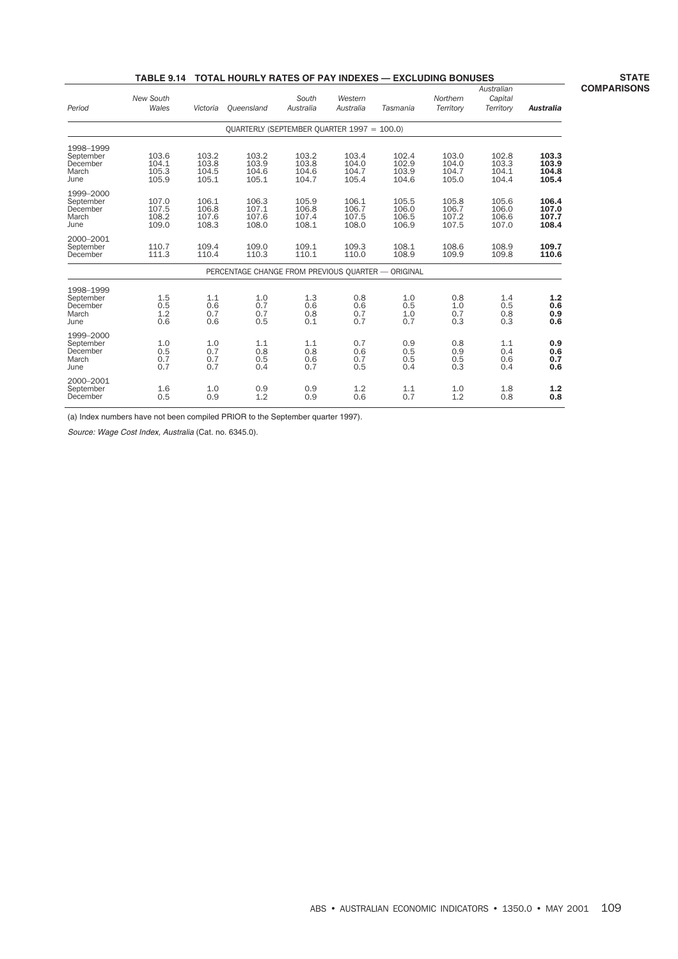# **TABLE 9.14 TOTAL HOURLY RATES OF PAY INDEXES — EXCLUDING BONUSES**

| Period                                              | <b>New South</b><br>Wales        | Victoria                         | Oueensland                                         | South<br>Australia               | Western<br>Australia             | Tasmania                         | Northern<br>Territory            | Australian<br>Capital<br>Territory | <b>Australia</b>                 |
|-----------------------------------------------------|----------------------------------|----------------------------------|----------------------------------------------------|----------------------------------|----------------------------------|----------------------------------|----------------------------------|------------------------------------|----------------------------------|
|                                                     |                                  |                                  | OUARTERLY (SEPTEMBER OUARTER 1997 = 100.0)         |                                  |                                  |                                  |                                  |                                    |                                  |
| 1998-1999<br>September<br>December<br>March<br>June | 103.6<br>104.1<br>105.3<br>105.9 | 103.2<br>103.8<br>104.5<br>105.1 | 103.2<br>103.9<br>104.6<br>105.1                   | 103.2<br>103.8<br>104.6<br>104.7 | 103.4<br>104.0<br>104.7<br>105.4 | 102.4<br>102.9<br>103.9<br>104.6 | 103.0<br>104.0<br>104.7<br>105.0 | 102.8<br>103.3<br>104.1<br>104.4   | 103.3<br>103.9<br>104.8<br>105.4 |
| 1999-2000<br>September<br>December<br>March<br>June | 107.0<br>107.5<br>108.2<br>109.0 | 106.1<br>106.8<br>107.6<br>108.3 | 106.3<br>107.1<br>107.6<br>108.0                   | 105.9<br>106.8<br>107.4<br>108.1 | 106.1<br>106.7<br>107.5<br>108.0 | 105.5<br>106.0<br>106.5<br>106.9 | 105.8<br>106.7<br>107.2<br>107.5 | 105.6<br>106.0<br>106.6<br>107.0   | 106.4<br>107.0<br>107.7<br>108.4 |
| 2000-2001<br>September<br>December                  | 110.7<br>111.3                   | 109.4<br>110.4                   | 109.0<br>110.3                                     | 109.1<br>110.1                   | 109.3<br>110.0                   | 108.1<br>108.9                   | 108.6<br>109.9                   | 108.9<br>109.8                     | 109.7<br>110.6                   |
|                                                     |                                  |                                  | PERCENTAGE CHANGE FROM PREVIOUS OUARTER - ORIGINAL |                                  |                                  |                                  |                                  |                                    |                                  |
| 1998-1999<br>September<br>December<br>March<br>June | 1.5<br>0.5<br>1.2<br>0.6         | 1.1<br>0.6<br>0.7<br>0.6         | 1.0<br>0.7<br>0.7<br>0.5                           | 1.3<br>0.6<br>0.8<br>0.1         | 0.8<br>0.6<br>0.7<br>0.7         | 1.0<br>0.5<br>1.0<br>0.7         | 0.8<br>1.0<br>0.7<br>0.3         | 1.4<br>0.5<br>0.8<br>0.3           | 1.2<br>0.6<br>0.9<br>0.6         |
| 1999-2000<br>September<br>December<br>March<br>June | 1.0<br>0.5<br>0.7<br>0.7         | 1.0<br>0.7<br>0.7<br>0.7         | 1.1<br>0.8<br>0.5<br>0.4                           | 1.1<br>0.8<br>0.6<br>0.7         | 0.7<br>0.6<br>0.7<br>0.5         | 0.9<br>0.5<br>0.5<br>0.4         | 0.8<br>0.9<br>0.5<br>0.3         | 1.1<br>0.4<br>0.6<br>0.4           | 0.9<br>0.6<br>0.7<br>0.6         |
| 2000-2001<br>September<br>December                  | 1.6<br>0.5                       | 1.0<br>0.9                       | 0.9<br>1.2                                         | 0.9<br>0.9                       | 1.2<br>0.6                       | 1.1<br>0.7                       | 1.0<br>1.2                       | 1.8<br>0.8                         | 1.2<br>0.8                       |

(a) Index numbers have not been compiled PRIOR to the September quarter 1997).

Source: Wage Cost Index, Australia (Cat. no. 6345.0).

**STATE COMPARISONS**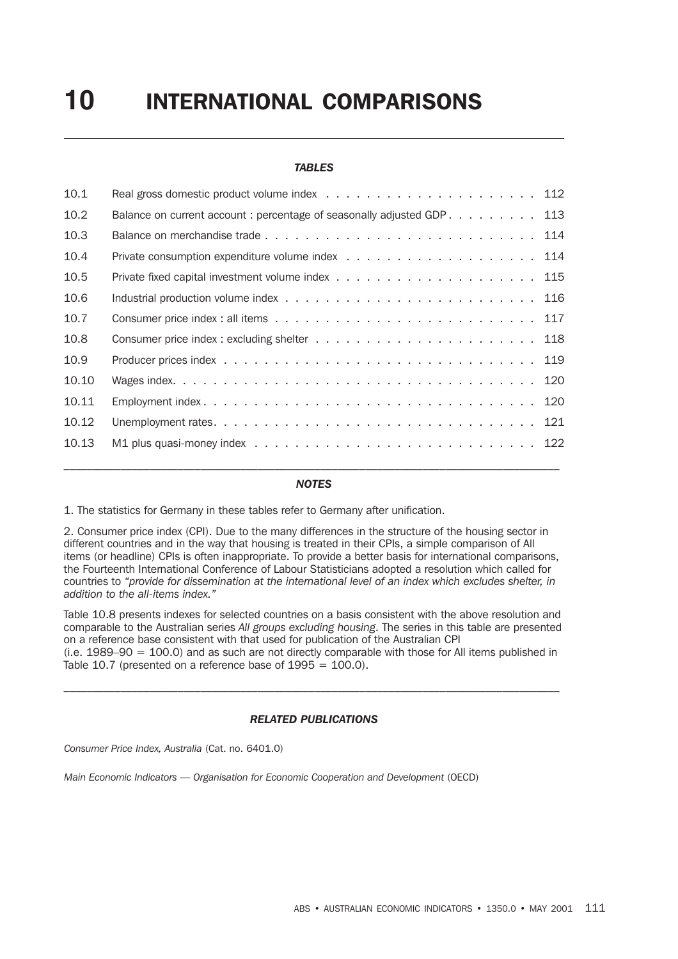## *TABLES*

| 10.1  |                                                                        |
|-------|------------------------------------------------------------------------|
| 10.2  | Balance on current account: percentage of seasonally adjusted GDP. 113 |
| 10.3  |                                                                        |
| 10.4  |                                                                        |
| 10.5  |                                                                        |
| 10.6  |                                                                        |
| 10.7  |                                                                        |
| 10.8  |                                                                        |
| 10.9  |                                                                        |
| 10.10 |                                                                        |
| 10.11 |                                                                        |
| 10.12 |                                                                        |
| 10.13 |                                                                        |
|       |                                                                        |

# *NOTES*

1. The statistics for Germany in these tables refer to Germany after unification.

2. Consumer price index (CPI). Due to the many differences in the structure of the housing sector in different countries and in the way that housing is treated in their CPIs, a simple comparison of All items (or headline) CPIs is often inappropriate. To provide a better basis for international comparisons, the Fourteenth International Conference of Labour Statisticians adopted a resolution which called for countries to *"provide for dissemination at the international level of an index which excludes shelter, in addition to the all-items index."*

Table 10.8 presents indexes for selected countries on a basis consistent with the above resolution and comparable to the Australian series *All groups excluding housing*. The series in this table are presented on a reference base consistent with that used for publication of the Australian CPI  $(i.e. 1989–90 = 100.0)$  and as such are not directly comparable with those for All items published in Table 10.7 (presented on a reference base of  $1995 = 100.0$ ).

## *RELATED PUBLICATIONS*

 $\mathcal{L}_\mathcal{L} = \{ \mathcal{L}_\mathcal{L} = \{ \mathcal{L}_\mathcal{L} = \{ \mathcal{L}_\mathcal{L} = \{ \mathcal{L}_\mathcal{L} = \{ \mathcal{L}_\mathcal{L} = \{ \mathcal{L}_\mathcal{L} = \{ \mathcal{L}_\mathcal{L} = \{ \mathcal{L}_\mathcal{L} = \{ \mathcal{L}_\mathcal{L} = \{ \mathcal{L}_\mathcal{L} = \{ \mathcal{L}_\mathcal{L} = \{ \mathcal{L}_\mathcal{L} = \{ \mathcal{L}_\mathcal{L} = \{ \mathcal{L}_\mathcal{$ 

*Consumer Price Index, Australia* (Cat. no. 6401.0)

*Main Economic Indicators — Organisation for Economic Cooperation and Development* (OECD)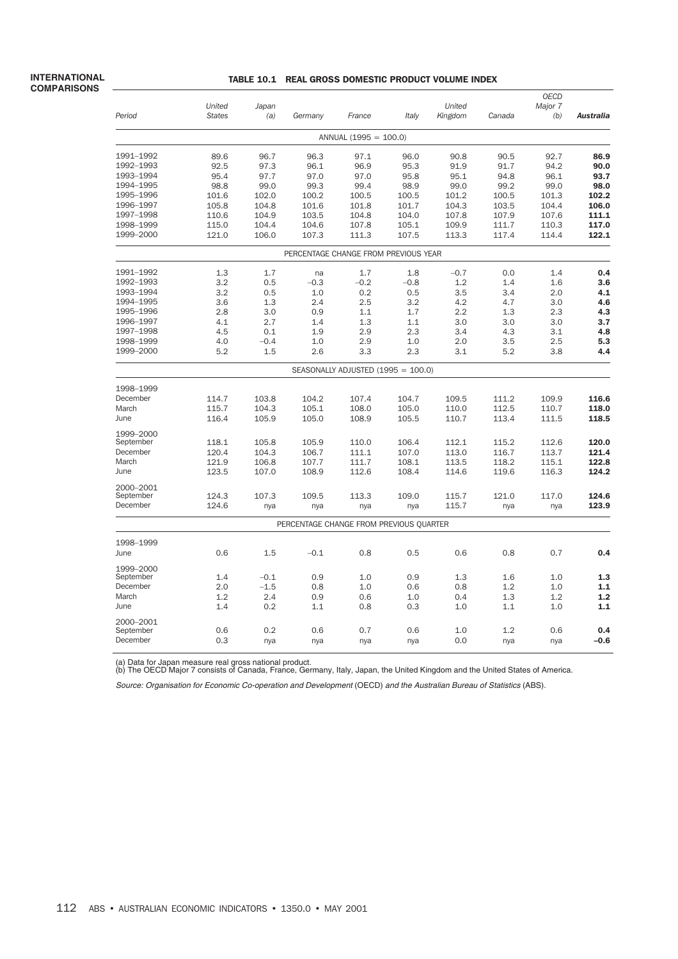#### TABLE 10.1 REAL GROSS DOMESTIC PRODUCT VOLUME INDEX

| Period    | United<br><b>States</b> | Japan<br>(a) | Germany                                 | France                             | Italy  | United<br>Kingdom | Canada | <b>OECD</b><br>Major 7<br>(b) | Australia |
|-----------|-------------------------|--------------|-----------------------------------------|------------------------------------|--------|-------------------|--------|-------------------------------|-----------|
|           |                         |              |                                         | ANNUAL (1995 = 100.0)              |        |                   |        |                               |           |
| 1991-1992 | 89.6                    | 96.7         | 96.3                                    | 97.1                               | 96.0   | 90.8              | 90.5   | 92.7                          | 86.9      |
| 1992-1993 | 92.5                    | 97.3         | 96.1                                    | 96.9                               | 95.3   | 91.9              | 91.7   | 94.2                          | 90.0      |
| 1993-1994 | 95.4                    | 97.7         | 97.0                                    | 97.0                               | 95.8   | 95.1              | 94.8   | 96.1                          | 93.7      |
| 1994-1995 | 98.8                    | 99.0         | 99.3                                    | 99.4                               | 98.9   | 99.0              | 99.2   | 99.0                          | 98.0      |
| 1995-1996 | 101.6                   | 102.0        | 100.2                                   | 100.5                              | 100.5  | 101.2             | 100.5  | 101.3                         | 102.2     |
| 1996-1997 | 105.8                   | 104.8        | 101.6                                   | 101.8                              | 101.7  | 104.3             | 103.5  | 104.4                         | 106.0     |
| 1997-1998 | 110.6                   | 104.9        | 103.5                                   | 104.8                              | 104.0  | 107.8             | 107.9  | 107.6                         | 111.1     |
| 1998-1999 | 115.0                   | 104.4        | 104.6                                   | 107.8                              | 105.1  | 109.9             | 111.7  | 110.3                         | 117.0     |
| 1999-2000 | 121.0                   | 106.0        | 107.3                                   | 111.3                              | 107.5  | 113.3             | 117.4  | 114.4                         | 122.1     |
|           |                         |              | PERCENTAGE CHANGE FROM PREVIOUS YEAR    |                                    |        |                   |        |                               |           |
| 1991-1992 | 1.3                     | 1.7          | na                                      | 1.7                                | 1.8    | $-0.7$            | 0.0    | 1.4                           | 0.4       |
| 1992-1993 | 3.2                     | 0.5          | $-0.3$                                  | $-0.2$                             | $-0.8$ | 1.2               | 1.4    | 1.6                           | 3.6       |
| 1993-1994 | 3.2                     | 0.5          | 1.0                                     | 0.2                                | 0.5    | 3.5               | 3.4    | 2.0                           | 4.1       |
| 1994-1995 | 3.6                     | 1.3          | 2.4                                     | 2.5                                | 3.2    | 4.2               | 4.7    | 3.0                           | 4.6       |
| 1995-1996 | 2.8                     | 3.0          | 0.9                                     | 1.1                                | 1.7    | 2.2               | 1.3    | 2.3                           | 4.3       |
| 1996-1997 | 4.1                     | 2.7          | 1.4                                     | 1.3                                | 1.1    | 3.0               | 3.0    | 3.0                           | 3.7       |
| 1997-1998 | 4.5                     | 0.1          | 1.9                                     | 2.9                                | 2.3    | 3.4               | 4.3    | 3.1                           | 4.8       |
| 1998-1999 | 4.0                     | $-0.4$       | 1.0                                     | 2.9                                | 1.0    | 2.0               | 3.5    | 2.5                           | 5.3       |
| 1999-2000 | 5.2                     | 1.5          | 2.6                                     | 3.3                                | 2.3    | 3.1               | 5.2    | 3.8                           | 4.4       |
|           |                         |              |                                         | SEASONALLY ADJUSTED (1995 = 100.0) |        |                   |        |                               |           |
| 1998-1999 |                         |              |                                         |                                    |        |                   |        |                               |           |
| December  | 114.7                   | 103.8        | 104.2                                   | 107.4                              | 104.7  | 109.5             | 111.2  | 109.9                         | 116.6     |
| March     | 115.7                   | 104.3        | 105.1                                   | 108.0                              | 105.0  | 110.0             | 112.5  | 110.7                         | 118.0     |
| June      | 116.4                   | 105.9        | 105.0                                   | 108.9                              | 105.5  | 110.7             | 113.4  | 111.5                         | 118.5     |
| 1999-2000 |                         |              |                                         |                                    |        |                   |        |                               |           |
| September | 118.1                   | 105.8        | 105.9                                   | 110.0                              | 106.4  | 112.1             | 115.2  | 112.6                         | 120.0     |
| December  | 120.4                   | 104.3        | 106.7                                   | 111.1                              | 107.0  | 113.0             | 116.7  | 113.7                         | 121.4     |
| March     | 121.9                   | 106.8        | 107.7                                   | 111.7                              | 108.1  | 113.5             | 118.2  | 115.1                         | 122.8     |
| June      | 123.5                   | 107.0        | 108.9                                   | 112.6                              | 108.4  | 114.6             | 119.6  | 116.3                         | 124.2     |
| 2000-2001 |                         |              |                                         |                                    |        |                   |        |                               |           |
| September | 124.3                   | 107.3        | 109.5                                   | 113.3                              | 109.0  | 115.7             | 121.0  | 117.0                         | 124.6     |
| December  | 124.6                   | nya          | nya                                     | nya                                | nya    | 115.7             | nya    | nya                           | 123.9     |
|           |                         |              | PERCENTAGE CHANGE FROM PREVIOUS QUARTER |                                    |        |                   |        |                               |           |
| 1998-1999 |                         |              |                                         |                                    |        |                   |        |                               |           |
| June      | 0.6                     | 1.5          | $-0.1$                                  | 0.8                                | 0.5    | 0.6               | 0.8    | 0.7                           | 0.4       |
| 1999-2000 |                         |              |                                         |                                    |        |                   |        |                               |           |
| September | 1.4                     | $-0.1$       | 0.9                                     | 1.0                                | 0.9    | 1.3               | 1.6    | 1.0                           | 1.3       |
| December  | 2.0                     | $-1.5$       | 0.8                                     | 1.0                                | 0.6    | 0.8               | 1.2    | 1.0                           | 1.1       |
| March     | 1.2                     | 2.4          | 0.9                                     | 0.6                                | 1.0    | 0.4               | 1.3    | 1.2                           | 1.2       |
| June      | 1.4                     | 0.2          | 1.1                                     | 0.8                                | 0.3    | 1.0               | 1.1    | 1.0                           | 1.1       |
| 2000-2001 |                         |              |                                         |                                    |        |                   |        |                               |           |
| September | 0.6                     | 0.2          | 0.6                                     | 0.7                                | 0.6    | 1.0               | 1.2    | 0.6                           | 0.4       |
| December  | 0.3                     | nya          | nya                                     | nya                                | nya    | 0.0               | nya    | nya                           | -0.6      |

(a) Data for Japan measure real gross national product. (b) The OECD Major 7 consists of Canada, France, Germany, Italy, Japan, the United Kingdom and the United States of America.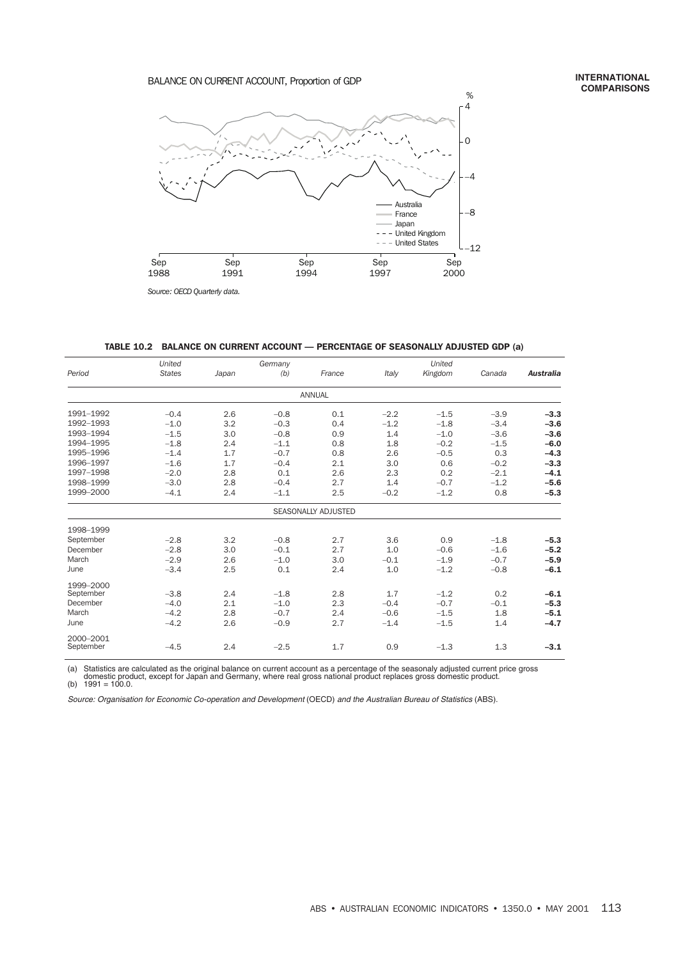# BALANCE ON CURRENT ACCOUNT, Proportion of GDP



*Source: OECD Quarterly data.*

TABLE 10.2 BALANCE ON CURRENT ACCOUNT — PERCENTAGE OF SEASONALLY ADJUSTED GDP (a)

|                        | United        |       | Germany |                            |        | United  |        |                  |
|------------------------|---------------|-------|---------|----------------------------|--------|---------|--------|------------------|
| Period                 | <b>States</b> | Japan | (b)     | France                     | Italy  | Kingdom | Canada | <b>Australia</b> |
|                        |               |       |         | ANNUAL                     |        |         |        |                  |
| 1991-1992              | $-0.4$        | 2.6   | $-0.8$  | 0.1                        | $-2.2$ | $-1.5$  | $-3.9$ | $-3.3$           |
| 1992-1993              | $-1.0$        | 3.2   | $-0.3$  | 0.4                        | $-1.2$ | $-1.8$  | $-3.4$ | $-3.6$           |
| 1993-1994              | $-1.5$        | 3.0   | $-0.8$  | 0.9                        | 1.4    | $-1.0$  | $-3.6$ | $-3.6$           |
| 1994-1995              | $-1.8$        | 2.4   | $-1.1$  | 0.8                        | 1.8    | $-0.2$  | $-1.5$ | $-6.0$           |
| 1995-1996              | $-1.4$        | 1.7   | $-0.7$  | 0.8                        | 2.6    | $-0.5$  | 0.3    | $-4.3$           |
| 1996-1997              | $-1.6$        | 1.7   | $-0.4$  | 2.1                        | 3.0    | 0.6     | $-0.2$ | $-3.3$           |
| 1997-1998              | $-2.0$        | 2.8   | 0.1     | 2.6                        | 2.3    | 0.2     | $-2.1$ | $-4.1$           |
| 1998-1999              | $-3.0$        | 2.8   | $-0.4$  | 2.7                        | 1.4    | $-0.7$  | $-1.2$ | $-5.6$           |
| 1999-2000              | $-4.1$        | 2.4   | $-1.1$  | 2.5                        | $-0.2$ | $-1.2$  | 0.8    | $-5.3$           |
|                        |               |       |         | <b>SEASONALLY ADJUSTED</b> |        |         |        |                  |
| 1998-1999              |               |       |         |                            |        |         |        |                  |
| September              | $-2.8$        | 3.2   | $-0.8$  | 2.7                        | 3.6    | 0.9     | $-1.8$ | $-5.3$           |
| December               | $-2.8$        | 3.0   | $-0.1$  | 2.7                        | 1.0    | $-0.6$  | $-1.6$ | $-5.2$           |
| March                  | $-2.9$        | 2.6   | $-1.0$  | 3.0                        | $-0.1$ | $-1.9$  | $-0.7$ | $-5.9$           |
| June                   | $-3.4$        | 2.5   | 0.1     | 2.4                        | 1.0    | $-1.2$  | $-0.8$ | $-6.1$           |
| 1999-2000              |               |       |         |                            |        |         |        |                  |
| September              | $-3.8$        | 2.4   | $-1.8$  | 2.8                        | 1.7    | $-1.2$  | 0.2    | $-6.1$           |
| December               | $-4.0$        | 2.1   | $-1.0$  | 2.3                        | $-0.4$ | $-0.7$  | $-0.1$ | $-5.3$           |
| March                  | $-4.2$        | 2.8   | $-0.7$  | 2.4                        | $-0.6$ | $-1.5$  | 1.8    | $-5.1$           |
| June                   | $-4.2$        | 2.6   | $-0.9$  | 2.7                        | $-1.4$ | $-1.5$  | 1.4    | $-4.7$           |
| 2000-2001<br>September | $-4.5$        | 2.4   | $-2.5$  | 1.7                        | 0.9    | $-1.3$  | 1.3    | $-3.1$           |

(a) Statistics are calculated as the original balance on current account as a percentage of the seasonaly adjusted current price gross domestic product, except for Japan and Germany, where real gross national product repla

Source: Organisation for Economic Co-operation and Development (OECD) and the Australian Bureau of Statistics (ABS).

#### **INTERNATIONAL COMPARISONS**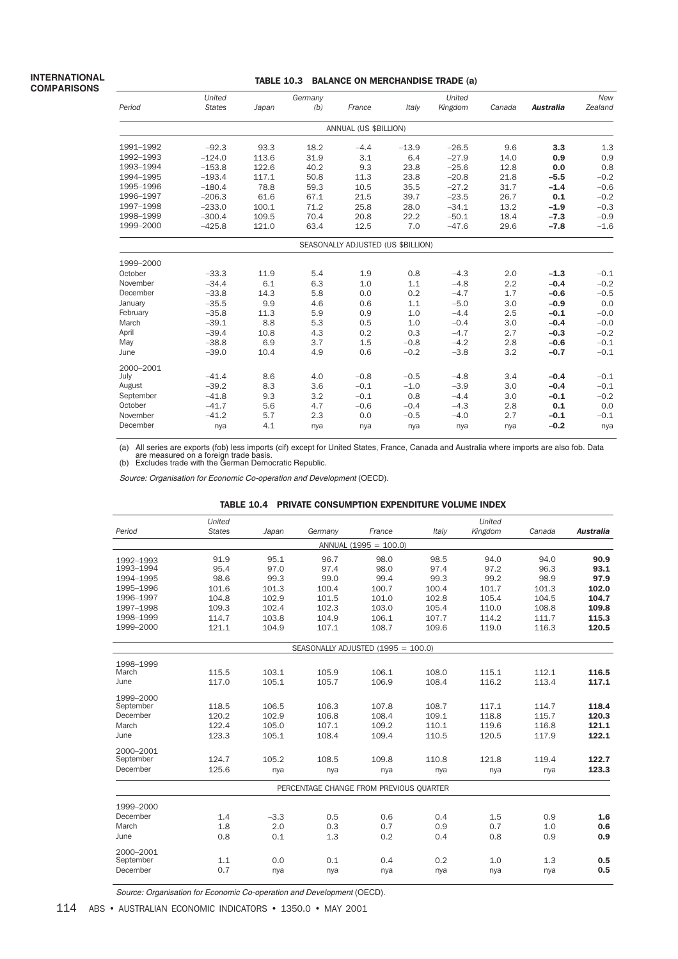#### TABLE 10.3 BALANCE ON MERCHANDISE TRADE (a)

| Period    | United<br><b>States</b> | Japan | Germany<br>(b) | France                             | Italy   | United<br>Kingdom | Canada | <b>Australia</b> | <b>New</b><br>Zealand |
|-----------|-------------------------|-------|----------------|------------------------------------|---------|-------------------|--------|------------------|-----------------------|
|           |                         |       |                | ANNUAL (US \$BILLION)              |         |                   |        |                  |                       |
| 1991-1992 | $-92.3$                 | 93.3  | 18.2           | $-4.4$                             | $-13.9$ | $-26.5$           | 9.6    | 3.3              | 1.3                   |
| 1992-1993 | $-124.0$                | 113.6 | 31.9           | 3.1                                | 6.4     | $-27.9$           | 14.0   | 0.9              | 0.9                   |
| 1993-1994 | $-153.8$                | 122.6 | 40.2           | 9.3                                | 23.8    | $-25.6$           | 12.8   | 0.0              | 0.8                   |
| 1994-1995 | $-193.4$                | 117.1 | 50.8           | 11.3                               | 23.8    | $-20.8$           | 21.8   | $-5.5$           | $-0.2$                |
| 1995-1996 | $-180.4$                | 78.8  | 59.3           | 10.5                               | 35.5    | $-27.2$           | 31.7   | $-1.4$           | $-0.6$                |
| 1996-1997 | $-206.3$                | 61.6  | 67.1           | 21.5                               | 39.7    | $-23.5$           | 26.7   | 0.1              | $-0.2$                |
| 1997-1998 | $-233.0$                | 100.1 | 71.2           | 25.8                               | 28.0    | $-34.1$           | 13.2   | $-1.9$           | $-0.3$                |
| 1998-1999 | $-300.4$                | 109.5 | 70.4           | 20.8                               | 22.2    | $-50.1$           | 18.4   | $-7.3$           | $-0.9$                |
| 1999-2000 | $-425.8$                | 121.0 | 63.4           | 12.5                               | 7.0     | $-47.6$           | 29.6   | $-7.8$           | $-1.6$                |
|           |                         |       |                | SEASONALLY ADJUSTED (US \$BILLION) |         |                   |        |                  |                       |
| 1999-2000 |                         |       |                |                                    |         |                   |        |                  |                       |
| October   | $-33.3$                 | 11.9  | 5.4            | 1.9                                | 0.8     | $-4.3$            | 2.0    | $-1.3$           | $-0.1$                |
| November  | $-34.4$                 | 6.1   | 6.3            | 1.0                                | 1.1     | $-4.8$            | 2.2    | $-0.4$           | $-0.2$                |
| December  | $-33.8$                 | 14.3  | 5.8            | 0.0                                | 0.2     | $-4.7$            | 1.7    | $-0.6$           | $-0.5$                |
| January   | $-35.5$                 | 9.9   | 4.6            | 0.6                                | 1.1     | $-5.0$            | 3.0    | $-0.9$           | 0.0                   |
| February  | $-35.8$                 | 11.3  | 5.9            | 0.9                                | 1.0     | $-4.4$            | 2.5    | $-0.1$           | $-0.0$                |
| March     | $-39.1$                 | 8.8   | 5.3            | 0.5                                | 1.0     | $-0.4$            | 3.0    | $-0.4$           | $-0.0$                |
| April     | $-39.4$                 | 10.8  | 4.3            | 0.2                                | 0.3     | $-4.7$            | 2.7    | $-0.3$           | $-0.2$                |
| May       | $-38.8$                 | 6.9   | 3.7            | 1.5                                | $-0.8$  | $-4.2$            | 2.8    | $-0.6$           | $-0.1$                |
| June      | $-39.0$                 | 10.4  | 4.9            | 0.6                                | $-0.2$  | $-3.8$            | 3.2    | $-0.7$           | $-0.1$                |
| 2000-2001 |                         |       |                |                                    |         |                   |        |                  |                       |
| July      | $-41.4$                 | 8.6   | 4.0            | $-0.8$                             | $-0.5$  | $-4.8$            | 3.4    | $-0.4$           | $-0.1$                |
| August    | $-39.2$                 | 8.3   | 3.6            | $-0.1$                             | $-1.0$  | $-3.9$            | 3.0    | $-0.4$           | $-0.1$                |
| September | $-41.8$                 | 9.3   | 3.2            | $-0.1$                             | 0.8     | $-4.4$            | 3.0    | $-0.1$           | $-0.2$                |
| October   | $-41.7$                 | 5.6   | 4.7            | $-0.6$                             | $-0.4$  | $-4.3$            | 2.8    | 0.1              | 0.0                   |
| November  | $-41.2$                 | 5.7   | 2.3            | 0.0                                | $-0.5$  | $-4.0$            | 2.7    | $-0.1$           | $-0.1$                |
| December  | nya                     | 4.1   | nya            | nya                                | nya     | nya               | nya    | $-0.2$           | nya                   |

(a) All series are exports (fob) less imports (cif) except for United States, France, Canada and Australia where imports are also fob. Data are measured on a foreign trade basis. (b) Excludes trade with the German Democratic Republic.

Source: Organisation for Economic Co-operation and Development (OECD).

| TABLE 10.4 PRIVATE CONSUMPTION EXPENDITURE VOLUME INDEX |
|---------------------------------------------------------|
|                                                         |

|                        | <b>United</b> |        |                                         |                         |       | United  |        |                  |
|------------------------|---------------|--------|-----------------------------------------|-------------------------|-------|---------|--------|------------------|
| Period                 | <b>States</b> | Japan  | Germany                                 | France                  | Italv | Kingdom | Canada | <b>Australia</b> |
|                        |               |        |                                         | ANNUAL $(1995 = 100.0)$ |       |         |        |                  |
| 1992-1993              | 91.9          | 95.1   | 96.7                                    | 98.0                    | 98.5  | 94.0    | 94.0   | 90.9             |
| 1993-1994              | 95.4          | 97.0   | 97.4                                    | 98.0                    | 97.4  | 97.2    | 96.3   | 93.1             |
| 1994-1995              | 98.6          | 99.3   | 99.0                                    | 99.4                    | 99.3  | 99.2    | 98.9   | 97.9             |
| 1995-1996              | 101.6         | 101.3  | 100.4                                   | 100.7                   | 100.4 | 101.7   | 101.3  | 102.0            |
| 1996-1997              | 104.8         | 102.9  | 101.5                                   | 101.0                   | 102.8 | 105.4   | 104.5  | 104.7            |
| 1997-1998              | 109.3         | 102.4  | 102.3                                   | 103.0                   | 105.4 | 110.0   | 108.8  | 109.8            |
| 1998-1999              | 114.7         | 103.8  | 104.9                                   | 106.1                   | 107.7 | 114.2   | 111.7  | 115.3            |
| 1999-2000              | 121.1         | 104.9  | 107.1                                   | 108.7                   | 109.6 | 119.0   | 116.3  | 120.5            |
|                        |               |        | SEASONALLY ADJUSTED $(1995 = 100.0)$    |                         |       |         |        |                  |
| 1998-1999              |               |        |                                         |                         |       |         |        |                  |
| March                  | 115.5         | 103.1  | 105.9                                   | 106.1                   | 108.0 | 115.1   | 112.1  | 116.5            |
| June                   | 117.0         | 105.1  | 105.7                                   | 106.9                   | 108.4 | 116.2   | 113.4  | 117.1            |
|                        |               |        |                                         |                         |       |         |        |                  |
| 1999-2000<br>September | 118.5         | 106.5  | 106.3                                   | 107.8                   | 108.7 | 117.1   | 114.7  | 118.4            |
| December               | 120.2         | 102.9  | 106.8                                   | 108.4                   | 109.1 | 118.8   | 115.7  | 120.3            |
| March                  | 122.4         | 105.0  | 107.1                                   | 109.2                   | 110.1 | 119.6   | 116.8  | 121.1            |
| June                   | 123.3         | 105.1  | 108.4                                   | 109.4                   | 110.5 | 120.5   | 117.9  | 122.1            |
|                        |               |        |                                         |                         |       |         |        |                  |
| 2000-2001              |               |        |                                         |                         |       |         |        |                  |
| September              | 124.7         | 105.2  | 108.5                                   | 109.8                   | 110.8 | 121.8   | 119.4  | 122.7            |
| December               | 125.6         | nya    | nya                                     | nya                     | nya   | nya     | nya    | 123.3            |
|                        |               |        | PERCENTAGE CHANGE FROM PREVIOUS QUARTER |                         |       |         |        |                  |
| 1999-2000              |               |        |                                         |                         |       |         |        |                  |
| December               | 1.4           | $-3.3$ | 0.5                                     | 0.6                     | 0.4   | 1.5     | 0.9    | 1.6              |
| March                  | 1.8           | 2.0    | 0.3                                     | 0.7                     | 0.9   | 0.7     | 1.0    | 0.6              |
| June                   | 0.8           | 0.1    | 1.3                                     | 0.2                     | 0.4   | 0.8     | 0.9    | 0.9              |
|                        |               |        |                                         |                         |       |         |        |                  |
| 2000-2001<br>September | 1.1           | 0.0    | 0.1                                     | 0.4                     | 0.2   | 1.0     | 1.3    | 0.5              |
| December               | 0.7           | nya    | nya                                     | nya                     | nya   | nya     | nya    | 0.5              |
|                        |               |        |                                         |                         |       |         |        |                  |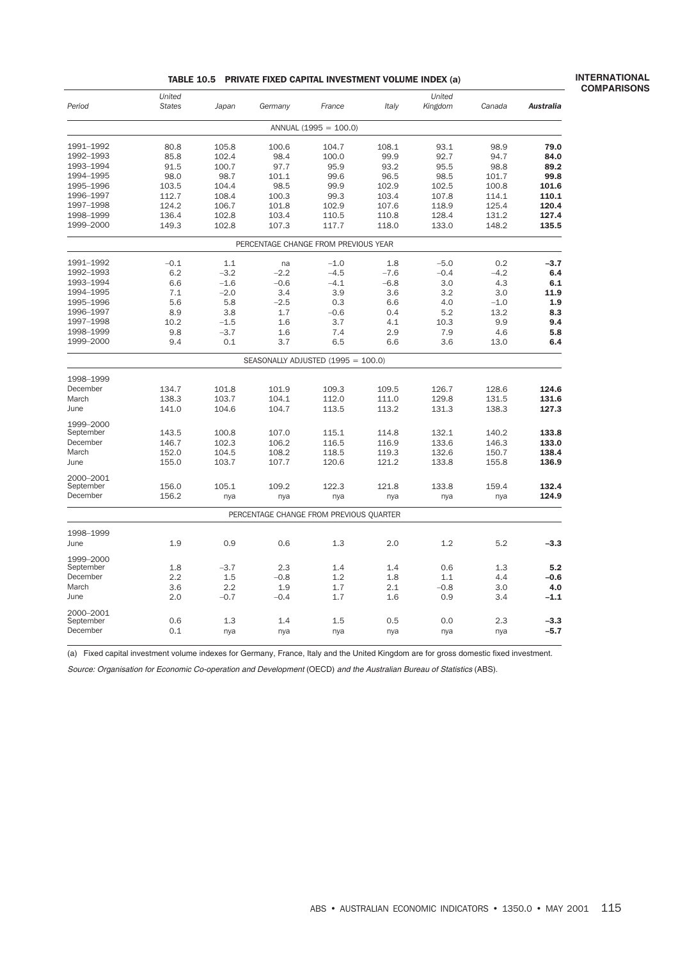#### TABLE 10.5 PRIVATE FIXED CAPITAL INVESTMENT VOLUME INDEX (a)

#### **INTERNATIONAL COMPARISONS**

|                        | United        |        |                                         |                         |        | United  |        |           |
|------------------------|---------------|--------|-----------------------------------------|-------------------------|--------|---------|--------|-----------|
| Period                 | <b>States</b> | Japan  | Germany                                 | France                  | Italy  | Kingdom | Canada | Australia |
|                        |               |        |                                         | ANNUAL $(1995 = 100.0)$ |        |         |        |           |
| 1991-1992              | 80.8          | 105.8  | 100.6                                   | 104.7                   | 108.1  | 93.1    | 98.9   | 79.0      |
| 1992-1993              | 85.8          | 102.4  | 98.4                                    | 100.0                   | 99.9   | 92.7    | 94.7   | 84.0      |
| 1993-1994              | 91.5          | 100.7  | 97.7                                    | 95.9                    | 93.2   | 95.5    | 98.8   | 89.2      |
| 1994-1995              | 98.0          | 98.7   | 101.1                                   | 99.6                    | 96.5   | 98.5    | 101.7  | 99.8      |
| 1995-1996              | 103.5         | 104.4  | 98.5                                    | 99.9                    | 102.9  | 102.5   | 100.8  | 101.6     |
| 1996-1997              | 112.7         | 108.4  | 100.3                                   | 99.3                    | 103.4  | 107.8   | 114.1  | 110.1     |
| 1997-1998              | 124.2         | 106.7  | 101.8                                   | 102.9                   | 107.6  | 118.9   | 125.4  | 120.4     |
| 1998-1999              | 136.4         | 102.8  | 103.4                                   | 110.5                   | 110.8  | 128.4   | 131.2  | 127.4     |
| 1999-2000              | 149.3         | 102.8  | 107.3                                   | 117.7                   | 118.0  | 133.0   | 148.2  | 135.5     |
|                        |               |        | PERCENTAGE CHANGE FROM PREVIOUS YEAR    |                         |        |         |        |           |
| 1991-1992              | $-0.1$        | 1.1    | na                                      | $-1.0$                  | 1.8    | $-5.0$  | 0.2    | $-3.7$    |
| 1992-1993              | 6.2           | $-3.2$ | $-2.2$                                  | $-4.5$                  | $-7.6$ | $-0.4$  | $-4.2$ | 6.4       |
| 1993-1994              | 6.6           | $-1.6$ | $-0.6$                                  | $-4.1$                  | $-6.8$ | 3.0     | 4.3    | 6.1       |
| 1994-1995              | 7.1           | $-2.0$ | 3.4                                     | 3.9                     | 3.6    | 3.2     | 3.0    | 11.9      |
| 1995-1996              | 5.6           | 5.8    | $-2.5$                                  | 0.3                     | 6.6    | 4.0     | $-1.0$ | 1.9       |
| 1996-1997              | 8.9           | 3.8    | 1.7                                     | $-0.6$                  | 0.4    | 5.2     | 13.2   | 8.3       |
| 1997-1998              | 10.2          | $-1.5$ | 1.6                                     | 3.7                     | 4.1    | 10.3    | 9.9    | 9.4       |
| 1998-1999              | 9.8           | $-3.7$ | 1.6                                     | 7.4                     | 2.9    | 7.9     | 4.6    | 5.8       |
| 1999-2000              | 9.4           | 0.1    | 3.7                                     | 6.5                     | 6.6    | 3.6     | 13.0   | 6.4       |
|                        |               |        | SEASONALLY ADJUSTED (1995 = 100.0)      |                         |        |         |        |           |
| 1998-1999              |               |        |                                         |                         |        |         |        |           |
| December               | 134.7         | 101.8  | 101.9                                   | 109.3                   | 109.5  | 126.7   | 128.6  | 124.6     |
| March                  | 138.3         | 103.7  | 104.1                                   | 112.0                   | 111.0  | 129.8   | 131.5  | 131.6     |
| June                   | 141.0         | 104.6  | 104.7                                   | 113.5                   | 113.2  | 131.3   | 138.3  | 127.3     |
| 1999-2000              |               |        |                                         |                         |        |         |        |           |
| September              | 143.5         | 100.8  | 107.0                                   | 115.1                   | 114.8  | 132.1   | 140.2  | 133.8     |
| December               | 146.7         | 102.3  | 106.2                                   | 116.5                   | 116.9  | 133.6   | 146.3  | 133.0     |
| March                  | 152.0         | 104.5  | 108.2                                   | 118.5                   | 119.3  | 132.6   | 150.7  | 138.4     |
| June                   | 155.0         | 103.7  | 107.7                                   | 120.6                   | 121.2  | 133.8   | 155.8  | 136.9     |
| 2000-2001<br>September | 156.0         | 105.1  | 109.2                                   | 122.3                   | 121.8  | 133.8   | 159.4  | 132.4     |
| December               | 156.2         | nya    | nya                                     | nya                     | nya    | nya     | nya    | 124.9     |
|                        |               |        | PERCENTAGE CHANGE FROM PREVIOUS QUARTER |                         |        |         |        |           |
|                        |               |        |                                         |                         |        |         |        |           |
| 1998-1999<br>June      | 1.9           | 0.9    | 0.6                                     | 1.3                     | 2.0    | 1.2     | 5.2    | -3.3      |
|                        |               |        |                                         |                         |        |         |        |           |
| 1999-2000              |               |        |                                         |                         |        |         |        |           |
| September              | 1.8           | $-3.7$ | 2.3                                     | 1.4                     | 1.4    | 0.6     | 1.3    | 5.2       |
| December               | 2.2           | 1.5    | $-0.8$                                  | 1.2                     | 1.8    | 1.1     | 4.4    | $-0.6$    |
| March                  | 3.6           | 2.2    | 1.9                                     | 1.7                     | 2.1    | $-0.8$  | 3.0    | 4.0       |
| June                   | 2.0           | $-0.7$ | $-0.4$                                  | 1.7                     | 1.6    | 0.9     | 3.4    | $-1.1$    |
| 2000-2001              |               |        |                                         |                         |        |         |        |           |
| September              | 0.6           | 1.3    | 1.4                                     | 1.5                     | 0.5    | 0.0     | 2.3    | -3.3      |
| December               | 0.1           | nya    | nya                                     | nya                     | nya    | nya     | nya    | -5.7      |

(a) Fixed capital investment volume indexes for Germany, France, Italy and the United Kingdom are for gross domestic fixed investment.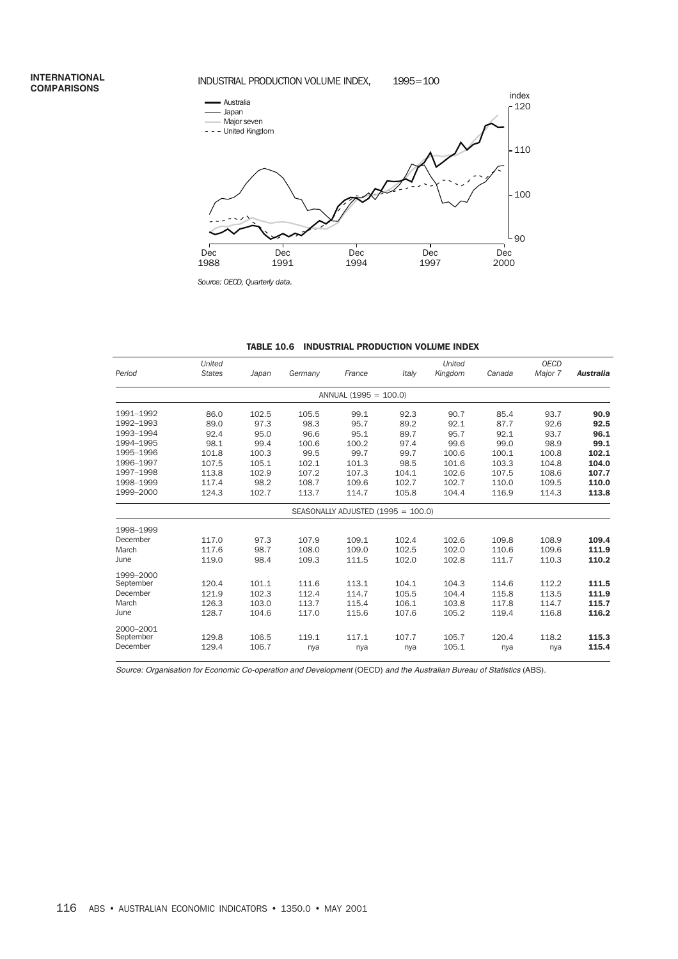# INDUSTRIAL PRODUCTION VOLUME INDEX, 1995=100



*Source: OECD, Quarterly data.*

| TABLE 10.6 INDUSTRIAL PRODUCTION VOLUME INDEX |  |  |
|-----------------------------------------------|--|--|
|-----------------------------------------------|--|--|

| Period    | United<br><b>States</b> | Japan | Germany | France                               | Italy | United<br>Kingdom | Canada | <b>OECD</b><br>Major 7 | Australia |
|-----------|-------------------------|-------|---------|--------------------------------------|-------|-------------------|--------|------------------------|-----------|
|           |                         |       |         | $ANNUAL (1995 = 100.0)$              |       |                   |        |                        |           |
| 1991-1992 | 86.0                    | 102.5 | 105.5   | 99.1                                 | 92.3  | 90.7              | 85.4   | 93.7                   | 90.9      |
| 1992-1993 | 89.0                    | 97.3  | 98.3    | 95.7                                 | 89.2  | 92.1              | 87.7   | 92.6                   | 92.5      |
| 1993-1994 | 92.4                    | 95.0  | 96.6    | 95.1                                 | 89.7  | 95.7              | 92.1   | 93.7                   | 96.1      |
| 1994-1995 | 98.1                    | 99.4  | 100.6   | 100.2                                | 97.4  | 99.6              | 99.0   | 98.9                   | 99.1      |
| 1995-1996 | 101.8                   | 100.3 | 99.5    | 99.7                                 | 99.7  | 100.6             | 100.1  | 100.8                  | 102.1     |
| 1996-1997 | 107.5                   | 105.1 | 102.1   | 101.3                                | 98.5  | 101.6             | 103.3  | 104.8                  | 104.0     |
| 1997-1998 | 113.8                   | 102.9 | 107.2   | 107.3                                | 104.1 | 102.6             | 107.5  | 108.6                  | 107.7     |
| 1998-1999 | 117.4                   | 98.2  | 108.7   | 109.6                                | 102.7 | 102.7             | 110.0  | 109.5                  | 110.0     |
| 1999-2000 | 124.3                   | 102.7 | 113.7   | 114.7                                | 105.8 | 104.4             | 116.9  | 114.3                  | 113.8     |
|           |                         |       |         | SEASONALLY ADJUSTED $(1995 = 100.0)$ |       |                   |        |                        |           |
| 1998-1999 |                         |       |         |                                      |       |                   |        |                        |           |
| December  | 117.0                   | 97.3  | 107.9   | 109.1                                | 102.4 | 102.6             | 109.8  | 108.9                  | 109.4     |
| March     | 117.6                   | 98.7  | 108.0   | 109.0                                | 102.5 | 102.0             | 110.6  | 109.6                  | 111.9     |
| June      | 119.0                   | 98.4  | 109.3   | 111.5                                | 102.0 | 102.8             | 111.7  | 110.3                  | 110.2     |
| 1999-2000 |                         |       |         |                                      |       |                   |        |                        |           |
| September | 120.4                   | 101.1 | 111.6   | 113.1                                | 104.1 | 104.3             | 114.6  | 112.2                  | 111.5     |
| December  | 121.9                   | 102.3 | 112.4   | 114.7                                | 105.5 | 104.4             | 115.8  | 113.5                  | 111.9     |
| March     | 126.3                   | 103.0 | 113.7   | 115.4                                | 106.1 | 103.8             | 117.8  | 114.7                  | 115.7     |
| June      | 128.7                   | 104.6 | 117.0   | 115.6                                | 107.6 | 105.2             | 119.4  | 116.8                  | 116.2     |
| 2000-2001 |                         |       |         |                                      |       |                   |        |                        |           |
| September | 129.8                   | 106.5 | 119.1   | 117.1                                | 107.7 | 105.7             | 120.4  | 118.2                  | 115.3     |
| December  | 129.4                   | 106.7 | nya     | nya                                  | nya   | 105.1             | nya    | nya                    | 115.4     |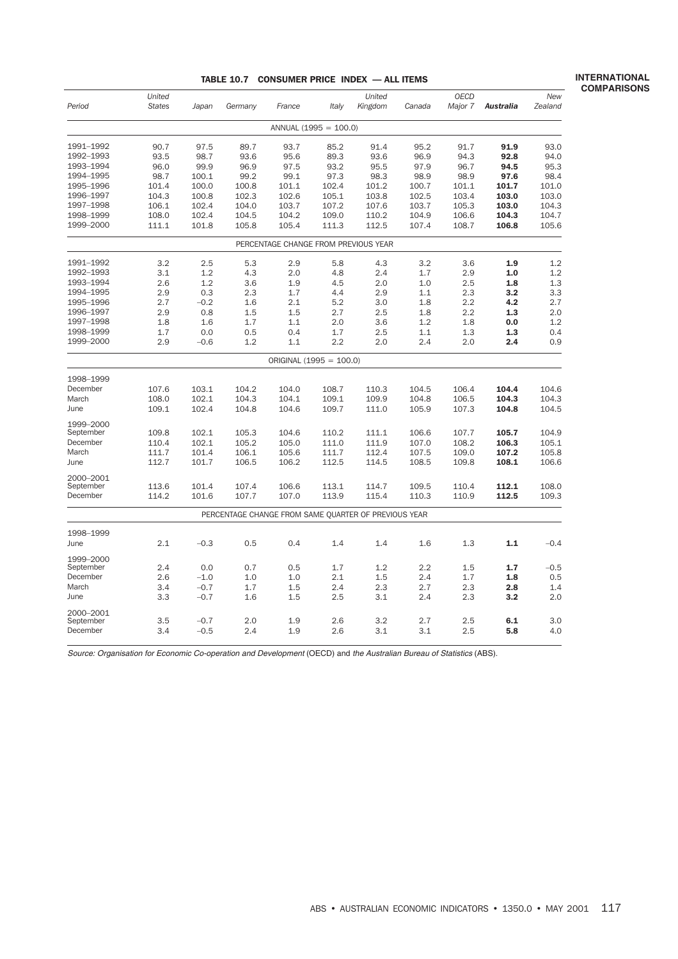#### TABLE 10.7 CONSUMER PRICE INDEX — ALL ITEMS

| Period                 | United<br><b>States</b> | Japan  | Germany | France                                               | Italy | United<br>Kingdom | Canada | <b>OECD</b><br>Major 7 | <b>Australia</b> | New<br>Zealand |
|------------------------|-------------------------|--------|---------|------------------------------------------------------|-------|-------------------|--------|------------------------|------------------|----------------|
|                        |                         |        |         | $ANNUAL (1995 = 100.0)$                              |       |                   |        |                        |                  |                |
| 1991-1992              | 90.7                    | 97.5   | 89.7    | 93.7                                                 | 85.2  | 91.4              | 95.2   | 91.7                   | 91.9             | 93.0           |
| 1992-1993              | 93.5                    | 98.7   | 93.6    | 95.6                                                 | 89.3  | 93.6              | 96.9   | 94.3                   | 92.8             | 94.0           |
| 1993-1994              | 96.0                    | 99.9   | 96.9    | 97.5                                                 | 93.2  | 95.5              | 97.9   | 96.7                   | 94.5             | 95.3           |
| 1994-1995              | 98.7                    | 100.1  | 99.2    | 99.1                                                 | 97.3  | 98.3              | 98.9   | 98.9                   | 97.6             | 98.4           |
| 1995-1996              | 101.4                   | 100.0  | 100.8   | 101.1                                                | 102.4 | 101.2             | 100.7  | 101.1                  | 101.7            | 101.0          |
| 1996-1997              | 104.3                   | 100.8  | 102.3   | 102.6                                                | 105.1 | 103.8             | 102.5  | 103.4                  | 103.0            | 103.0          |
| 1997-1998              | 106.1                   | 102.4  | 104.0   | 103.7                                                | 107.2 | 107.6             | 103.7  | 105.3                  | 103.0            | 104.3          |
| 1998-1999              | 108.0                   | 102.4  | 104.5   | 104.2                                                | 109.0 | 110.2             | 104.9  | 106.6                  | 104.3            | 104.7          |
| 1999-2000              | 111.1                   | 101.8  | 105.8   | 105.4                                                | 111.3 | 112.5             | 107.4  | 108.7                  | 106.8            | 105.6          |
|                        |                         |        |         | PERCENTAGE CHANGE FROM PREVIOUS YEAR                 |       |                   |        |                        |                  |                |
| 1991-1992              | 3.2                     | 2.5    | 5.3     | 2.9                                                  | 5.8   | 4.3               | 3.2    | 3.6                    | 1.9              | 1.2            |
| 1992-1993              | 3.1                     | 1.2    | 4.3     | 2.0                                                  | 4.8   | 2.4               | 1.7    | 2.9                    | 1.0              | 1.2            |
| 1993-1994              | 2.6                     | 1.2    | 3.6     | 1.9                                                  | 4.5   | 2.0               | 1.0    | 2.5                    | 1.8              | 1.3            |
| 1994-1995              | 2.9                     | 0.3    | 2.3     | 1.7                                                  | 4.4   | 2.9               | 1.1    | 2.3                    | 3.2              | 3.3            |
| 1995-1996              | 2.7                     | $-0.2$ | 1.6     | 2.1                                                  | 5.2   | 3.0               | 1.8    | 2.2                    | 4.2              | 2.7            |
| 1996-1997              | 2.9                     | 0.8    | 1.5     | 1.5                                                  | 2.7   | 2.5               | 1.8    | 2.2                    | 1.3              | 2.0            |
| 1997-1998              | 1.8                     | 1.6    | 1.7     | 1.1                                                  | 2.0   | 3.6               | 1.2    | 1.8                    | 0.0              | 1.2            |
| 1998-1999              | 1.7                     | 0.0    | 0.5     | 0.4                                                  | 1.7   | 2.5               | 1.1    | 1.3                    | 1.3              | 0.4            |
| 1999-2000              | 2.9                     | $-0.6$ | 1.2     | 1.1                                                  | 2.2   | 2.0               | 2.4    | 2.0                    | 2.4              | 0.9            |
|                        |                         |        |         | ORIGINAL $(1995 = 100.0)$                            |       |                   |        |                        |                  |                |
| 1998-1999              |                         |        |         |                                                      |       |                   |        |                        |                  |                |
| December               | 107.6                   | 103.1  | 104.2   | 104.0                                                | 108.7 | 110.3             | 104.5  | 106.4                  | 104.4            | 104.6          |
| March                  | 108.0                   | 102.1  | 104.3   | 104.1                                                | 109.1 | 109.9             | 104.8  | 106.5                  | 104.3            | 104.3          |
| June                   | 109.1                   | 102.4  | 104.8   | 104.6                                                | 109.7 | 111.0             | 105.9  | 107.3                  | 104.8            | 104.5          |
| 1999-2000              |                         |        |         |                                                      |       |                   |        |                        |                  |                |
| September              | 109.8                   | 102.1  | 105.3   | 104.6                                                | 110.2 | 111.1             | 106.6  | 107.7                  | 105.7            | 104.9          |
| December               | 110.4                   | 102.1  | 105.2   | 105.0                                                | 111.0 | 111.9             | 107.0  | 108.2                  | 106.3            | 105.1          |
| March                  | 111.7                   | 101.4  | 106.1   | 105.6                                                | 111.7 | 112.4             | 107.5  | 109.0                  | 107.2            | 105.8          |
| June                   | 112.7                   | 101.7  | 106.5   | 106.2                                                | 112.5 | 114.5             | 108.5  | 109.8                  | 108.1            | 106.6          |
| 2000-2001<br>September | 113.6                   | 101.4  | 107.4   | 106.6                                                | 113.1 | 114.7             | 109.5  | 110.4                  | 112.1            | 108.0          |
| December               | 114.2                   | 101.6  | 107.7   | 107.0                                                | 113.9 | 115.4             | 110.3  | 110.9                  | 112.5            | 109.3          |
|                        |                         |        |         | PERCENTAGE CHANGE FROM SAME QUARTER OF PREVIOUS YEAR |       |                   |        |                        |                  |                |
| 1998-1999              |                         |        |         |                                                      |       |                   |        |                        |                  |                |
| June                   | 2.1                     | $-0.3$ | 0.5     | 0.4                                                  | 1.4   | 1.4               | 1.6    | 1.3                    | 1.1              | $-0.4$         |
| 1999-2000              |                         |        |         |                                                      |       |                   |        |                        |                  |                |
| September              | 2.4                     | 0.0    | 0.7     | 0.5                                                  | 1.7   | 1.2               | 2.2    | 1.5                    | 1.7              | $-0.5$         |
| December               | 2.6                     | $-1.0$ | 1.0     | 1.0                                                  | 2.1   | 1.5               | 2.4    | 1.7                    | 1.8              | 0.5            |
| March                  | 3.4                     | $-0.7$ | 1.7     | 1.5                                                  | 2.4   | 2.3               | 2.7    | 2.3                    | 2.8              | 1.4            |
| June                   | 3.3                     | $-0.7$ | 1.6     | 1.5                                                  | 2.5   | 3.1               | 2.4    | 2.3                    | 3.2              | 2.0            |
| 2000-2001              |                         |        |         |                                                      |       |                   |        |                        |                  |                |
| September              | 3.5                     | $-0.7$ | 2.0     | 1.9                                                  | 2.6   | 3.2               | 2.7    | 2.5                    | 6.1              | 3.0            |
| December               | 3.4                     | $-0.5$ | 2.4     | 1.9                                                  | 2.6   | 3.1               | 3.1    | 2.5                    | 5.8              | 4.0            |
|                        |                         |        |         |                                                      |       |                   |        |                        |                  |                |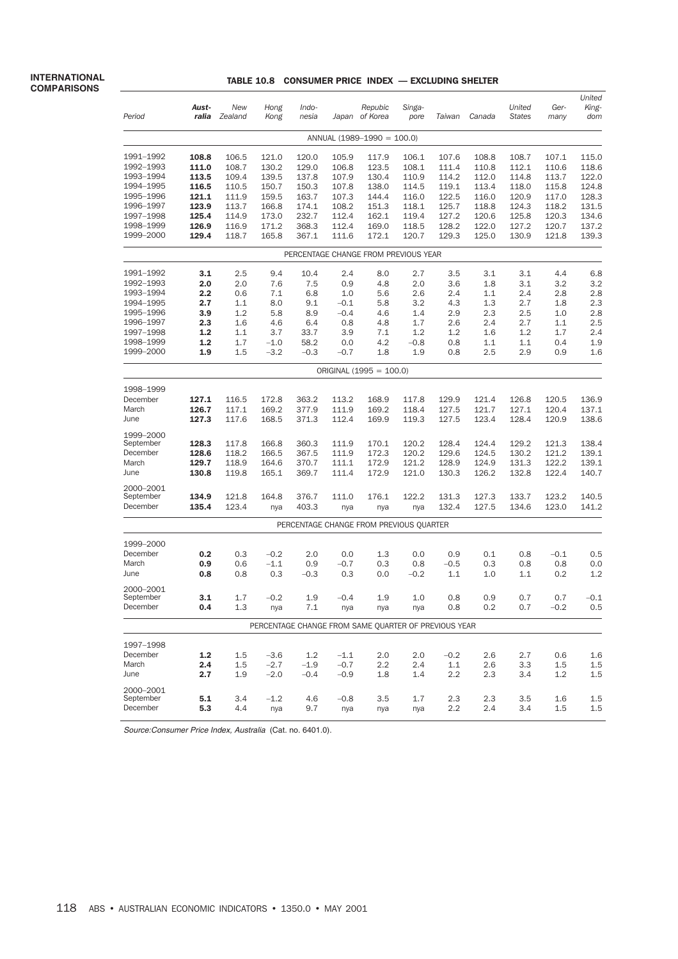## TABLE 10.8 CONSUMER PRICE INDEX — EXCLUDING SHELTER

|                                     |                         | <b>TABLE 10.8</b>       |                         |                         |                         | CONSUMER PRICE INDEX — EXCLUDING SHELTER             |                         |                         |                         |                         |                         |                         |
|-------------------------------------|-------------------------|-------------------------|-------------------------|-------------------------|-------------------------|------------------------------------------------------|-------------------------|-------------------------|-------------------------|-------------------------|-------------------------|-------------------------|
| Period                              | Aust-<br>ralia          | New<br>Zealand          | Hong<br>Kong            | Indo-<br>nesia          |                         | Repubic<br>Japan of Korea                            | Singa-<br>pore          | Taiwan                  | Canada                  | United<br><b>States</b> | Ger-<br>many            | United<br>King-<br>dom  |
|                                     |                         |                         |                         |                         |                         | ANNUAL (1989-1990 = 100.0)                           |                         |                         |                         |                         |                         |                         |
| 1991-1992<br>1992-1993<br>1993-1994 | 108.8<br>111.0<br>113.5 | 106.5<br>108.7<br>109.4 | 121.0<br>130.2<br>139.5 | 120.0<br>129.0<br>137.8 | 105.9<br>106.8<br>107.9 | 117.9<br>123.5<br>130.4                              | 106.1<br>108.1<br>110.9 | 107.6<br>111.4<br>114.2 | 108.8<br>110.8<br>112.0 | 108.7<br>112.1<br>114.8 | 107.1<br>110.6<br>113.7 | 115.0<br>118.6<br>122.0 |
| 1994-1995<br>1995-1996<br>1996-1997 | 116.5<br>121.1<br>123.9 | 110.5<br>111.9<br>113.7 | 150.7<br>159.5<br>166.8 | 150.3<br>163.7<br>174.1 | 107.8<br>107.3<br>108.2 | 138.0<br>144.4<br>151.3                              | 114.5<br>116.0<br>118.1 | 119.1<br>122.5<br>125.7 | 113.4<br>116.0<br>118.8 | 118.0<br>120.9<br>124.3 | 115.8<br>117.0<br>118.2 | 124.8<br>128.3<br>131.5 |
| 1997-1998<br>1998-1999<br>1999-2000 | 125.4<br>126.9<br>129.4 | 114.9<br>116.9<br>118.7 | 173.0<br>171.2<br>165.8 | 232.7<br>368.3<br>367.1 | 112.4<br>112.4<br>111.6 | 162.1<br>169.0<br>172.1                              | 119.4<br>118.5<br>120.7 | 127.2<br>128.2<br>129.3 | 120.6<br>122.0<br>125.0 | 125.8<br>127.2<br>130.9 | 120.3<br>120.7<br>121.8 | 134.6<br>137.2<br>139.3 |
|                                     |                         |                         |                         |                         |                         | PERCENTAGE CHANGE FROM PREVIOUS YEAR                 |                         |                         |                         |                         |                         |                         |
| 1991-1992<br>1992-1993<br>1993-1994 | 3.1<br>2.0<br>2.2       | 2.5<br>2.0<br>0.6       | 9.4<br>7.6<br>7.1       | 10.4<br>7.5<br>6.8      | 2.4<br>0.9<br>1.0       | 8.0<br>4.8<br>5.6                                    | 2.7<br>2.0<br>2.6       | 3.5<br>3.6<br>2.4       | 3.1<br>1.8<br>1.1       | 3.1<br>3.1<br>2.4       | 4.4<br>3.2<br>2.8       | 6.8<br>3.2<br>2.8       |
| 1994-1995<br>1995-1996<br>1996-1997 | 2.7<br>3.9<br>2.3       | 1.1<br>1.2<br>1.6       | 8.0<br>5.8<br>4.6       | 9.1<br>8.9<br>6.4       | $-0.1$<br>$-0.4$<br>0.8 | 5.8<br>4.6<br>4.8                                    | 3.2<br>1.4<br>1.7       | 4.3<br>2.9<br>2.6       | 1.3<br>2.3<br>2.4       | 2.7<br>2.5<br>2.7       | 1.8<br>1.0<br>1.1       | 2.3<br>2.8<br>2.5       |
| 1997-1998<br>1998-1999<br>1999-2000 | 1.2<br>1.2<br>1.9       | 1.1<br>1.7<br>1.5       | 3.7<br>$-1.0$<br>$-3.2$ | 33.7<br>58.2<br>$-0.3$  | 3.9<br>0.0<br>$-0.7$    | 7.1<br>4.2<br>1.8                                    | 1.2<br>$-0.8$<br>1.9    | 1.2<br>0.8<br>0.8       | 1.6<br>1.1<br>2.5       | 1.2<br>1.1<br>2.9       | 1.7<br>0.4<br>0.9       | 2.4<br>1.9<br>1.6       |
|                                     |                         |                         |                         |                         |                         | ORIGINAL (1995 = 100.0)                              |                         |                         |                         |                         |                         |                         |
| 1998-1999<br>December<br>March      | 127.1<br>126.7          | 116.5<br>117.1          | 172.8<br>169.2          | 363.2<br>377.9          | 113.2<br>111.9          | 168.9<br>169.2                                       | 117.8<br>118.4          | 129.9<br>127.5          | 121.4<br>121.7          | 126.8<br>127.1          | 120.5<br>120.4          | 136.9<br>137.1          |
| June<br>1999-2000<br>September      | 127.3<br>128.3          | 117.6<br>117.8          | 168.5<br>166.8          | 371.3<br>360.3          | 112.4<br>111.9          | 169.9<br>170.1                                       | 119.3<br>120.2          | 127.5<br>128.4          | 123.4<br>124.4          | 128.4<br>129.2          | 120.9<br>121.3          | 138.6<br>138.4          |
| December<br>March<br>June           | 128.6<br>129.7<br>130.8 | 118.2<br>118.9<br>119.8 | 166.5<br>164.6<br>165.1 | 367.5<br>370.7<br>369.7 | 111.9<br>111.1<br>111.4 | 172.3<br>172.9<br>172.9                              | 120.2<br>121.2<br>121.0 | 129.6<br>128.9<br>130.3 | 124.5<br>124.9<br>126.2 | 130.2<br>131.3<br>132.8 | 121.2<br>122.2<br>122.4 | 139.1<br>139.1<br>140.7 |
| 2000-2001<br>September<br>December  | 134.9<br>135.4          | 121.8<br>123.4          | 164.8<br>nya            | 376.7<br>403.3          | 111.0<br>nya            | 176.1<br>nya                                         | 122.2<br>nya            | 131.3<br>132.4          | 127.3<br>127.5          | 133.7<br>134.6          | 123.2<br>123.0          | 140.5<br>141.2          |
|                                     |                         |                         |                         |                         |                         | PERCENTAGE CHANGE FROM PREVIOUS QUARTER              |                         |                         |                         |                         |                         |                         |
| 1999-2000                           |                         |                         |                         |                         |                         |                                                      |                         |                         |                         |                         |                         |                         |
| December<br>March<br>June           | 0.2<br>0.9<br>0.8       | 0.3<br>0.6<br>0.8       | $-0.2$<br>$-1.1$<br>0.3 | 2.0<br>0.9<br>$-0.3$    | 0.0<br>$-0.7$<br>0.3    | 1.3<br>0.3<br>0.0                                    | 0.0<br>0.8<br>$-0.2$    | 0.9<br>$-0.5$<br>1.1    | 0.1<br>0.3<br>1.0       | 0.8<br>0.8<br>1.1       | $-0.1$<br>0.8<br>0.2    | 0.5<br>0.0<br>1.2       |
| 2000-2001<br>September<br>December  | 3.1<br>0.4              | 1.7<br>1.3              | $-0.2$<br>nya           | 1.9<br>7.1              | $-0.4$<br>nya           | 1.9<br>nya                                           | 1.0<br>nya              | 0.8<br>0.8              | 0.9<br>0.2              | 0.7<br>0.7              | 0.7<br>$-0.2$           | $-0.1$<br>0.5           |
|                                     |                         |                         |                         |                         |                         | PERCENTAGE CHANGE FROM SAME QUARTER OF PREVIOUS YEAR |                         |                         |                         |                         |                         |                         |
| 1997-1998<br>December               | 1.2                     | 1.5                     | $-3.6$                  | 1.2                     | $-1.1$                  | 2.0                                                  | 2.0                     | $-0.2$                  | 2.6                     | 2.7                     | 0.6                     | 1.6                     |
| March<br>June                       | 2.4<br>2.7              | 1.5<br>1.9              | $-2.7$<br>$-2.0$        | $-1.9$<br>$-0.4$        | $-0.7$<br>$-0.9$        | 2.2<br>1.8                                           | 2.4<br>1.4              | 1.1<br>2.2              | 2.6<br>2.3              | 3.3<br>3.4              | 1.5<br>1.2              | 1.5<br>1.5              |
| 2000-2001<br>September<br>December  | 5.1<br>5.3              | 3.4<br>4.4              | $-1.2$<br>nya           | 4.6<br>9.7              | $-0.8$<br>nya           | 3.5<br>nya                                           | 1.7<br>nya              | 2.3<br>2.2              | 2.3<br>2.4              | 3.5<br>3.4              | 1.6<br>$1.5\,$          | 1.5<br>$1.5\,$          |

Source:Consumer Price Index, Australia (Cat. no. 6401.0).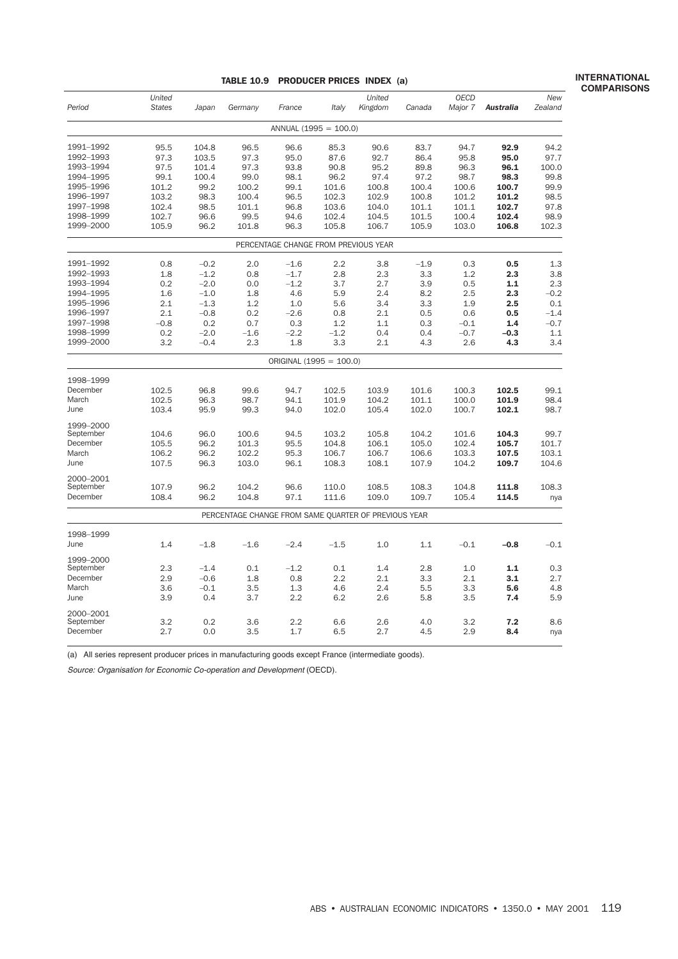# **INTERNATIONAL**

## TABLE 10.9 PRODUCER PRICES INDEX (a)

| Period                 | United<br><b>States</b> | Japan         | Germany        | France                                               | Italy          | United<br>Kingdom | Canada         | OECD<br>Major 7  | <b>Australia</b> | <b>New</b><br>Zealand |
|------------------------|-------------------------|---------------|----------------|------------------------------------------------------|----------------|-------------------|----------------|------------------|------------------|-----------------------|
|                        |                         |               |                | $ANNUAL (1995 = 100.0)$                              |                |                   |                |                  |                  |                       |
| 1991-1992              | 95.5                    | 104.8         | 96.5           | 96.6                                                 | 85.3           | 90.6              | 83.7           | 94.7             | 92.9             | 94.2                  |
| 1992-1993              | 97.3                    | 103.5         | 97.3           | 95.0                                                 | 87.6           | 92.7              | 86.4           | 95.8             | 95.0             | 97.7                  |
| 1993-1994              | 97.5                    | 101.4         | 97.3           | 93.8                                                 | 90.8           | 95.2              | 89.8           | 96.3             | 96.1             | 100.0                 |
| 1994-1995              | 99.1                    | 100.4         | 99.0           | 98.1                                                 | 96.2           | 97.4              | 97.2           | 98.7             | 98.3             | 99.8                  |
| 1995-1996              | 101.2                   | 99.2          | 100.2          | 99.1                                                 | 101.6          | 100.8             | 100.4          | 100.6            | 100.7            | 99.9                  |
| 1996-1997              | 103.2                   | 98.3          | 100.4          | 96.5                                                 | 102.3          | 102.9             | 100.8          | 101.2            | 101.2            | 98.5                  |
| 1997-1998              | 102.4                   | 98.5          | 101.1          | 96.8                                                 | 103.6          | 104.0             | 101.1          | 101.1            | 102.7            | 97.8                  |
| 1998-1999              | 102.7                   | 96.6          | 99.5           | 94.6                                                 | 102.4          | 104.5             | 101.5          | 100.4            | 102.4            | 98.9                  |
| 1999-2000              | 105.9                   | 96.2          | 101.8          | 96.3                                                 | 105.8          | 106.7             | 105.9          | 103.0            | 106.8            | 102.3                 |
|                        |                         |               |                | PERCENTAGE CHANGE FROM PREVIOUS YEAR                 |                |                   |                |                  |                  |                       |
| 1991-1992              | 0.8                     | $-0.2$        | 2.0            | $-1.6$                                               | 2.2            | 3.8               | $-1.9$         | 0.3              | 0.5              | 1.3                   |
| 1992-1993              | 1.8                     | $-1.2$        | 0.8            | $-1.7$                                               | 2.8            | 2.3               | 3.3            | 1.2              | 2.3              | 3.8                   |
| 1993-1994              | 0.2                     | $-2.0$        | 0.0            | $-1.2$                                               | 3.7            | 2.7               | 3.9            | 0.5              | 1.1              | 2.3                   |
| 1994-1995              | 1.6                     | $-1.0$        | 1.8            | 4.6                                                  | 5.9            | 2.4               | 8.2            | 2.5              | 2.3              | $-0.2$                |
| 1995-1996<br>1996-1997 | 2.1                     | $-1.3$        | 1.2            | 1.0                                                  | 5.6            | 3.4               | 3.3            | 1.9              | 2.5              | 0.1                   |
| 1997-1998              | 2.1                     | $-0.8$        | 0.2            | $-2.6$                                               | 0.8<br>1.2     | 2.1               | 0.5            | 0.6              | 0.5<br>1.4       | $-1.4$<br>$-0.7$      |
| 1998-1999              | $-0.8$<br>0.2           | 0.2<br>$-2.0$ | 0.7<br>$-1.6$  | 0.3<br>$-2.2$                                        | $-1.2$         | 1.1<br>0.4        | 0.3<br>0.4     | $-0.1$<br>$-0.7$ | $-0.3$           | 1.1                   |
| 1999-2000              | 3.2                     | $-0.4$        | 2.3            | 1.8                                                  | 3.3            | 2.1               | 4.3            | 2.6              | 4.3              | 3.4                   |
|                        |                         |               |                | ORIGINAL $(1995 = 100.0)$                            |                |                   |                |                  |                  |                       |
| 1998-1999              |                         |               |                |                                                      |                |                   |                |                  |                  |                       |
| December               | 102.5                   | 96.8          | 99.6           | 94.7                                                 | 102.5          | 103.9             | 101.6          | 100.3            | 102.5            | 99.1                  |
| March                  | 102.5                   | 96.3          | 98.7           | 94.1                                                 | 101.9          | 104.2             | 101.1          | 100.0            | 101.9            | 98.4                  |
| June                   | 103.4                   | 95.9          | 99.3           | 94.0                                                 | 102.0          | 105.4             | 102.0          | 100.7            | 102.1            | 98.7                  |
| 1999-2000              |                         |               |                |                                                      |                |                   |                |                  |                  |                       |
| September              | 104.6                   | 96.0          | 100.6          | 94.5                                                 | 103.2          | 105.8             | 104.2          | 101.6            | 104.3            | 99.7                  |
| December               | 105.5                   | 96.2          | 101.3          | 95.5                                                 | 104.8          | 106.1             | 105.0          | 102.4            | 105.7            | 101.7                 |
| March                  | 106.2                   | 96.2          | 102.2          | 95.3                                                 | 106.7          | 106.7             | 106.6          | 103.3            | 107.5            | 103.1                 |
| June                   | 107.5                   | 96.3          | 103.0          | 96.1                                                 | 108.3          | 108.1             | 107.9          | 104.2            | 109.7            | 104.6                 |
| 2000-2001              |                         |               |                |                                                      |                |                   |                |                  |                  |                       |
| September<br>December  | 107.9<br>108.4          | 96.2<br>96.2  | 104.2<br>104.8 | 96.6<br>97.1                                         | 110.0<br>111.6 | 108.5<br>109.0    | 108.3<br>109.7 | 104.8<br>105.4   | 111.8<br>114.5   | 108.3<br>nya          |
|                        |                         |               |                | PERCENTAGE CHANGE FROM SAME QUARTER OF PREVIOUS YEAR |                |                   |                |                  |                  |                       |
| 1998-1999              |                         |               |                |                                                      |                |                   |                |                  |                  |                       |
| June                   | 1.4                     | $-1.8$        | $-1.6$         | $-2.4$                                               | $-1.5$         | 1.0               | 1.1            | $-0.1$           | $-0.8$           | $-0.1$                |
| 1999-2000              |                         |               |                |                                                      |                |                   |                |                  |                  |                       |
| September              | 2.3                     | $-1.4$        | 0.1            | $-1.2$                                               | 0.1            | 1.4               | 2.8            | 1.0              | 1.1              | 0.3                   |
| December               | 2.9                     | $-0.6$        | 1.8            | 0.8                                                  | 2.2            | 2.1               | 3.3            | 2.1              | 3.1              | 2.7                   |
| March                  | 3.6                     | $-0.1$        | 3.5            | 1.3                                                  | 4.6            | 2.4               | 5.5            | 3.3              | 5.6              | 4.8                   |
| June                   | 3.9                     | 0.4           | 3.7            | 2.2                                                  | 6.2            | 2.6               | 5.8            | 3.5              | 7.4              | 5.9                   |
| 2000-2001              |                         |               |                |                                                      |                |                   |                |                  |                  |                       |
| September              | 3.2                     | 0.2           | 3.6            | 2.2                                                  | 6.6            | 2.6               | 4.0            | 3.2              | 7.2              | 8.6                   |
| December               | 2.7                     | 0.0           | 3.5            | 1.7                                                  | 6.5            | 2.7               | 4.5            | 2.9              | 8.4              | nya                   |
|                        |                         |               |                |                                                      |                |                   |                |                  |                  |                       |

(a) All series represent producer prices in manufacturing goods except France (intermediate goods).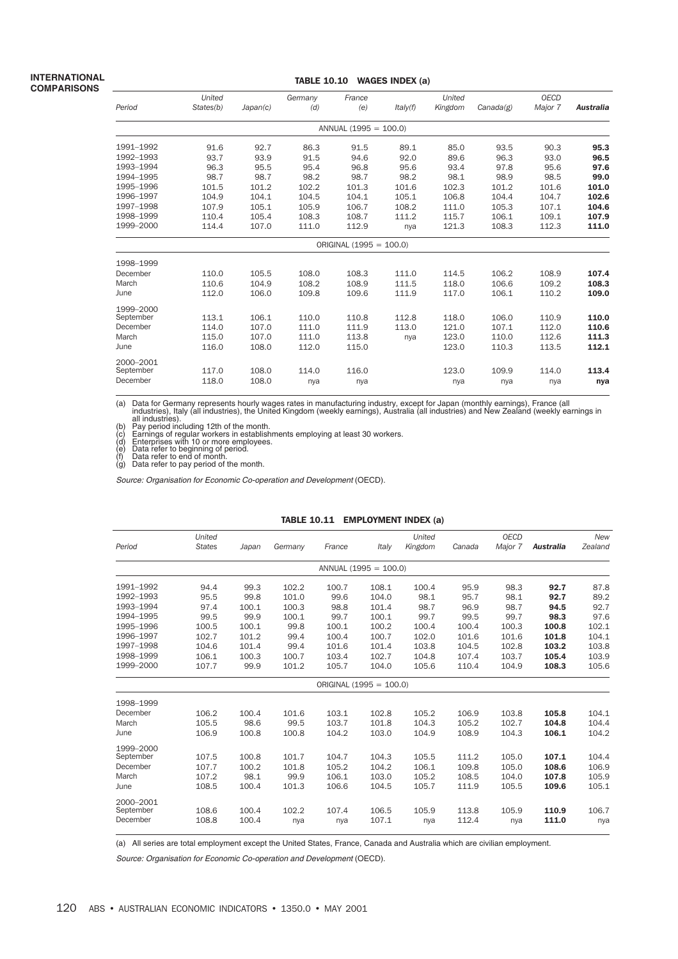#### TABLE 10.10 WAGES INDEX (a)

|           | United    |          | Germany | France                  |          | United  |           | <b>OECD</b> |                  |  |
|-----------|-----------|----------|---------|-------------------------|----------|---------|-----------|-------------|------------------|--|
| Period    | States(b) | Japan(c) | (d)     | (e)                     | ltaky(f) | Kingdom | Canada(g) | Major 7     | <b>Australia</b> |  |
|           |           |          |         | ANNUAL $(1995 = 100.0)$ |          |         |           |             |                  |  |
| 1991-1992 | 91.6      | 92.7     | 86.3    | 91.5                    | 89.1     | 85.0    | 93.5      | 90.3        | 95.3             |  |
| 1992-1993 | 93.7      | 93.9     | 91.5    | 94.6                    | 92.0     | 89.6    | 96.3      | 93.0        | 96.5             |  |
| 1993-1994 | 96.3      | 95.5     | 95.4    | 96.8                    | 95.6     | 93.4    | 97.8      | 95.6        | 97.6             |  |
| 1994-1995 | 98.7      | 98.7     | 98.2    | 98.7                    | 98.2     | 98.1    | 98.9      | 98.5        | 99.0             |  |
| 1995-1996 | 101.5     | 101.2    | 102.2   | 101.3                   | 101.6    | 102.3   | 101.2     | 101.6       | 101.0            |  |
| 1996-1997 | 104.9     | 104.1    | 104.5   | 104.1                   | 105.1    | 106.8   | 104.4     | 104.7       | 102.6            |  |
| 1997-1998 | 107.9     | 105.1    | 105.9   | 106.7                   | 108.2    | 111.0   | 105.3     | 107.1       | 104.6            |  |
| 1998-1999 | 110.4     | 105.4    | 108.3   | 108.7                   | 111.2    | 115.7   | 106.1     | 109.1       | 107.9            |  |
| 1999-2000 | 114.4     | 107.0    | 111.0   | 112.9                   | nya      | 121.3   | 108.3     | 112.3       | 111.0            |  |
|           |           |          |         | ORIGINAL (1995 = 100.0) |          |         |           |             |                  |  |
| 1998-1999 |           |          |         |                         |          |         |           |             |                  |  |
| December  | 110.0     | 105.5    | 108.0   | 108.3                   | 111.0    | 114.5   | 106.2     | 108.9       | 107.4            |  |
| March     | 110.6     | 104.9    | 108.2   | 108.9                   | 111.5    | 118.0   | 106.6     | 109.2       | 108.3            |  |
| June      | 112.0     | 106.0    | 109.8   | 109.6                   | 111.9    | 117.0   | 106.1     | 110.2       | 109.0            |  |
| 1999-2000 |           |          |         |                         |          |         |           |             |                  |  |
| September | 113.1     | 106.1    | 110.0   | 110.8                   | 112.8    | 118.0   | 106.0     | 110.9       | 110.0            |  |
| December  | 114.0     | 107.0    | 111.0   | 111.9                   | 113.0    | 121.0   | 107.1     | 112.0       | 110.6            |  |
| March     | 115.0     | 107.0    | 111.0   | 113.8                   | nya      | 123.0   | 110.0     | 112.6       | 111.3            |  |
| June      | 116.0     | 108.0    | 112.0   | 115.0                   |          | 123.0   | 110.3     | 113.5       | 112.1            |  |
| 2000-2001 |           |          |         |                         |          |         |           |             |                  |  |
| September | 117.0     | 108.0    | 114.0   | 116.0                   |          | 123.0   | 109.9     | 114.0       | 113.4            |  |
| December  | 118.0     | 108.0    | nya     | nya                     |          | nya     | nya       | nya         | nya              |  |

(a) Data for Germany represents hourly wages rates in manufacturing industry, except for Japan (monthly earnings), France (all industries), that) (all industries), the United Kingdom (weekly earnings), Australia (all indus

Source: Organisation for Economic Co-operation and Development (OECD).

|           |                         |       |         |                           |       | TABLE 10.11 EMPLOYMENT INDEX (a) |        |                        |           |                |
|-----------|-------------------------|-------|---------|---------------------------|-------|----------------------------------|--------|------------------------|-----------|----------------|
| Period    | United<br><b>States</b> | Japan | Germany | France                    | Italy | United<br>Kingdom                | Canada | <b>OECD</b><br>Major 7 | Australia | New<br>Zealand |
|           |                         |       |         | $ANNUAL (1995 = 100.0)$   |       |                                  |        |                        |           |                |
| 1991-1992 | 94.4                    | 99.3  | 102.2   | 100.7                     | 108.1 | 100.4                            | 95.9   | 98.3                   | 92.7      | 87.8           |
| 1992-1993 | 95.5                    | 99.8  | 101.0   | 99.6                      | 104.0 | 98.1                             | 95.7   | 98.1                   | 92.7      | 89.2           |
| 1993-1994 | 97.4                    | 100.1 | 100.3   | 98.8                      | 101.4 | 98.7                             | 96.9   | 98.7                   | 94.5      | 92.7           |
| 1994-1995 | 99.5                    | 99.9  | 100.1   | 99.7                      | 100.1 | 99.7                             | 99.5   | 99.7                   | 98.3      | 97.6           |
| 1995-1996 | 100.5                   | 100.1 | 99.8    | 100.1                     | 100.2 | 100.4                            | 100.4  | 100.3                  | 100.8     | 102.1          |
| 1996-1997 | 102.7                   | 101.2 | 99.4    | 100.4                     | 100.7 | 102.0                            | 101.6  | 101.6                  | 101.8     | 104.1          |
| 1997-1998 | 104.6                   | 101.4 | 99.4    | 101.6                     | 101.4 | 103.8                            | 104.5  | 102.8                  | 103.2     | 103.8          |
| 1998-1999 | 106.1                   | 100.3 | 100.7   | 103.4                     | 102.7 | 104.8                            | 107.4  | 103.7                  | 105.4     | 103.9          |
| 1999-2000 | 107.7                   | 99.9  | 101.2   | 105.7                     | 104.0 | 105.6                            | 110.4  | 104.9                  | 108.3     | 105.6          |
|           |                         |       |         | ORIGINAL $(1995 = 100.0)$ |       |                                  |        |                        |           |                |
| 1998-1999 |                         |       |         |                           |       |                                  |        |                        |           |                |
| December  | 106.2                   | 100.4 | 101.6   | 103.1                     | 102.8 | 105.2                            | 106.9  | 103.8                  | 105.8     | 104.1          |
| March     | 105.5                   | 98.6  | 99.5    | 103.7                     | 101.8 | 104.3                            | 105.2  | 102.7                  | 104.8     | 104.4          |
| June      | 106.9                   | 100.8 | 100.8   | 104.2                     | 103.0 | 104.9                            | 108.9  | 104.3                  | 106.1     | 104.2          |
| 1999-2000 |                         |       |         |                           |       |                                  |        |                        |           |                |
| September | 107.5                   | 100.8 | 101.7   | 104.7                     | 104.3 | 105.5                            | 111.2  | 105.0                  | 107.1     | 104.4          |
| December  | 107.7                   | 100.2 | 101.8   | 105.2                     | 104.2 | 106.1                            | 109.8  | 105.0                  | 108.6     | 106.9          |
| March     | 107.2                   | 98.1  | 99.9    | 106.1                     | 103.0 | 105.2                            | 108.5  | 104.0                  | 107.8     | 105.9          |
| June      | 108.5                   | 100.4 | 101.3   | 106.6                     | 104.5 | 105.7                            | 111.9  | 105.5                  | 109.6     | 105.1          |
| 2000-2001 |                         |       |         |                           |       |                                  |        |                        |           |                |
| September | 108.6                   | 100.4 | 102.2   | 107.4                     | 106.5 | 105.9                            | 113.8  | 105.9                  | 110.9     | 106.7          |
| December  | 108.8                   | 100.4 | nya     | nya                       | 107.1 | nya                              | 112.4  | nya                    | 111.0     | nya            |

(a) All series are total employment except the United States, France, Canada and Australia which are civilian employment.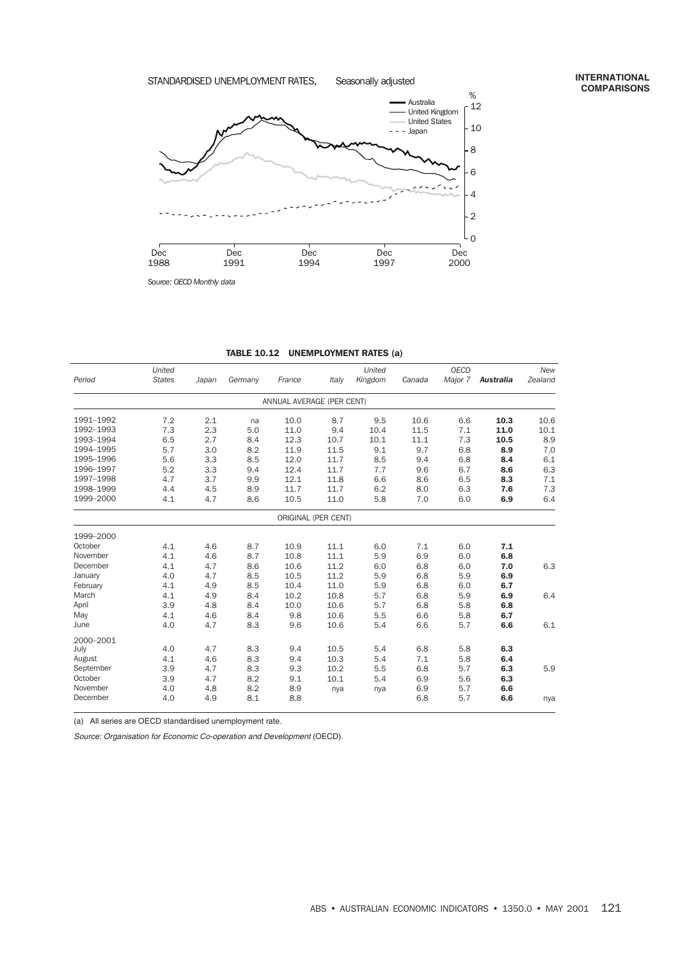

*Source: OECD Monthly data*

| Period    | <b>United</b><br><b>States</b> | Japan | Germany | France                    | Italy | United<br>Kingdom | Canada | <b>OECD</b><br>Major 7 | Australia | New<br>Zealand |  |
|-----------|--------------------------------|-------|---------|---------------------------|-------|-------------------|--------|------------------------|-----------|----------------|--|
|           |                                |       |         | ANNUAL AVERAGE (PER CENT) |       |                   |        |                        |           |                |  |
| 1991-1992 | 7.2                            | 2.1   | na      | 10.0                      | 8.7   | 9.5               | 10.6   | 6.6                    | 10.3      | 10.6           |  |
| 1992-1993 | 7.3                            | 2.3   | 5.0     | 11.0                      | 9.4   | 10.4              | 11.5   | 7.1                    | 11.0      | 10.1           |  |
| 1993-1994 | 6.5                            | 2.7   | 8.4     | 12.3                      | 10.7  | 10.1              | 11.1   | 7.3                    | 10.5      | 8.9            |  |
| 1994-1995 | 5.7                            | 3.0   | 8.2     | 11.9                      | 11.5  | 9.1               | 9.7    | 6.8                    | 8.9       | 7.0            |  |
| 1995-1996 | 5.6                            | 3.3   | 8.5     | 12.0                      | 11.7  | 8.5               | 9.4    | 6.8                    | 8.4       | 6.1            |  |
| 1996-1997 | 5.2                            | 3.3   | 9.4     | 12.4                      | 11.7  | 7.7               | 9.6    | 6.7                    | 8.6       | 6.3            |  |
| 1997-1998 | 4.7                            | 3.7   | 9.9     | 12.1                      | 11.8  | 6.6               | 8.6    | 6.5                    | 8.3       | 7.1            |  |
| 1998-1999 | 4.4                            | 4.5   | 8.9     | 11.7                      | 11.7  | 6.2               | 8.0    | 6.3                    | 7.6       | 7.3            |  |
| 1999-2000 | 4.1                            | 4.7   | 8.6     | 10.5                      | 11.0  | 5.8               | 7.0    | 6.0                    | 6.9       | 6.4            |  |
|           |                                |       |         | ORIGINAL (PER CENT)       |       |                   |        |                        |           |                |  |
| 1999-2000 |                                |       |         |                           |       |                   |        |                        |           |                |  |
| October   | 4.1                            | 4.6   | 8.7     | 10.9                      | 11.1  | 6.0               | 7.1    | 6.0                    | 7.1       |                |  |
| November  | 4.1                            | 4.6   | 8.7     | 10.8                      | 11.1  | 5.9               | 6.9    | 6.0                    | 6.8       |                |  |
| December  | 4.1                            | 4.7   | 8.6     | 10.6                      | 11.2  | 6.0               | 6.8    | 6.0                    | 7.0       | 6.3            |  |
| January   | 4.0                            | 4.7   | 8.5     | 10.5                      | 11.2  | 5.9               | 6.8    | 5.9                    | 6.9       |                |  |
| February  | 4.1                            | 4.9   | 8.5     | 10.4                      | 11.0  | 5.9               | 6.8    | 6.0                    | 6.7       |                |  |
| March     | 4.1                            | 4.9   | 8.4     | 10.2                      | 10.8  | 5.7               | 6.8    | 5.9                    | 6.9       | 6.4            |  |
| April     | 3.9                            | 4.8   | 8.4     | 10.0                      | 10.6  | 5.7               | 6.8    | 5.8                    | 6.8       |                |  |
| May       | 4.1                            | 4.6   | 8.4     | 9.8                       | 10.6  | 5.5               | 6.6    | 5.8                    | 6.7       |                |  |
| June      | 4.0                            | 4.7   | 8.3     | 9.6                       | 10.6  | 5.4               | 6.6    | 5.7                    | 6.6       | 6.1            |  |
| 2000-2001 |                                |       |         |                           |       |                   |        |                        |           |                |  |
| July      | 4.0                            | 4.7   | 8.3     | 9.4                       | 10.5  | 5.4               | 6.8    | 5.8                    | 6.3       |                |  |
| August    | 4.1                            | 4.6   | 8.3     | 9.4                       | 10.3  | 5.4               | 7.1    | 5.8                    | 6.4       |                |  |
| September | 3.9                            | 4.7   | 8.3     | 9.3                       | 10.2  | 5.5               | 6.8    | 5.7                    | 6.3       | 5.9            |  |
| October   | 3.9                            | 4.7   | 8.2     | 9.1                       | 10.1  | 5.4               | 6.9    | 5.6                    | 6.3       |                |  |
| November  | 4.0                            | 4.8   | 8.2     | 8.9                       | nya   | nya               | 6.9    | 5.7                    | 6.6       |                |  |
| December  | 4.0                            | 4.9   | 8.1     | 8.8                       |       |                   | 6.8    | 5.7                    | 6.6       | nya            |  |

(a) All series are OECD standardised unemployment rate.

Source: Organisation for Economic Co-operation and Development (OECD).

#### **INTERNATIONAL COMPARISONS**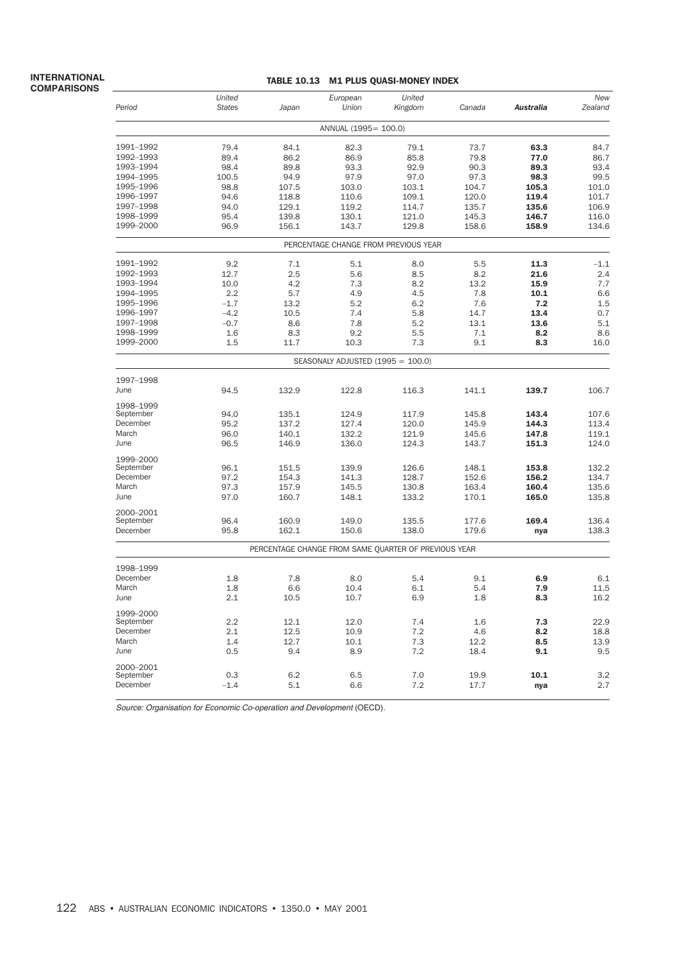# TABLE 10.13 M1 PLUS QUASI-MONEY INDEX

|                        | <b>United</b> |       | European                            | United                                               |        |           | New     |
|------------------------|---------------|-------|-------------------------------------|------------------------------------------------------|--------|-----------|---------|
| Period                 | <b>States</b> | Japan | Union                               | Kingdom                                              | Canada | Australia | Zealand |
|                        |               |       | ANNUAL (1995 = 100.0)               |                                                      |        |           |         |
| 1991-1992              | 79.4          | 84.1  | 82.3                                | 79.1                                                 | 73.7   | 63.3      | 84.7    |
| 1992-1993              | 89.4          | 86.2  | 86.9                                | 85.8                                                 | 79.8   | 77.0      | 86.7    |
| 1993-1994              | 98.4          | 89.8  | 93.3                                | 92.9                                                 | 90.3   | 89.3      | 93.4    |
| 1994-1995              | 100.5         | 94.9  | 97.9                                | 97.0                                                 | 97.3   | 98.3      | 99.5    |
| 1995-1996              | 98.8          | 107.5 | 103.0                               | 103.1                                                | 104.7  | 105.3     | 101.0   |
| 1996-1997              | 94.6          | 118.8 | 110.6                               | 109.1                                                | 120.0  | 119.4     | 101.7   |
| 1997-1998              | 94.0          | 129.1 | 119.2                               | 114.7                                                | 135.7  | 135.6     | 106.9   |
| 1998-1999              | 95.4          | 139.8 | 130.1                               | 121.0                                                | 145.3  | 146.7     | 116.0   |
| 1999-2000              | 96.9          | 156.1 | 143.7                               | 129.8                                                | 158.6  | 158.9     | 134.6   |
|                        |               |       |                                     | PERCENTAGE CHANGE FROM PREVIOUS YEAR                 |        |           |         |
| 1991-1992              | 9.2           | 7.1   | 5.1                                 | 8.0                                                  | 5.5    | 11.3      | $-1.1$  |
| 1992-1993              | 12.7          | 2.5   | 5.6                                 | 8.5                                                  | 8.2    | 21.6      | 2.4     |
| 1993-1994              | 10.0          | 4.2   | 7.3                                 | 8.2                                                  | 13.2   | 15.9      | 7.7     |
| 1994-1995              | 2.2           | 5.7   | 4.9                                 | 4.5                                                  | 7.8    | 10.1      | 6.6     |
| 1995-1996              | $-1.7$        | 13.2  | 5.2                                 | 6.2                                                  | 7.6    | 7.2       | 1.5     |
| 1996-1997              | $-4.2$        | 10.5  | 7.4                                 | 5.8                                                  | 14.7   | 13.4      | 0.7     |
| 1997-1998              | $-0.7$        | 8.6   | 7.8                                 | 5.2                                                  | 13.1   | 13.6      | 5.1     |
| 1998-1999              | 1.6           | 8.3   | 9.2                                 | 5.5                                                  | 7.1    | 8.2       | 8.6     |
| 1999-2000              | 1.5           | 11.7  | 10.3                                | 7.3                                                  | 9.1    | 8.3       | 16.0    |
|                        |               |       | SEASONALY ADJUSTED $(1995 = 100.0)$ |                                                      |        |           |         |
| 1997-1998              |               |       |                                     |                                                      |        |           |         |
| June                   | 94.5          | 132.9 | 122.8                               | 116.3                                                | 141.1  | 139.7     | 106.7   |
| 1998-1999              |               |       |                                     |                                                      |        |           |         |
| September              | 94.0          | 135.1 | 124.9                               | 117.9                                                | 145.8  | 143.4     | 107.6   |
| December               | 95.2          | 137.2 | 127.4                               | 120.0                                                | 145.9  | 144.3     | 113.4   |
| March                  | 96.0          | 140.1 | 132.2                               | 121.9                                                | 145.6  | 147.8     | 119.1   |
| June                   | 96.5          | 146.9 | 136.0                               | 124.3                                                | 143.7  | 151.3     | 124.0   |
| 1999-2000              |               |       |                                     |                                                      |        |           |         |
| September              | 96.1          | 151.5 | 139.9                               | 126.6                                                | 148.1  | 153.8     | 132.2   |
| December               | 97.2          | 154.3 | 141.3                               | 128.7                                                | 152.6  | 156.2     | 134.7   |
| March                  | 97.3          | 157.9 | 145.5                               | 130.8                                                | 163.4  | 160.4     | 135.6   |
| June                   | 97.0          | 160.7 | 148.1                               | 133.2                                                | 170.1  | 165.0     | 135.8   |
| 2000-2001<br>September | 96.4          | 160.9 | 149.0                               | 135.5                                                | 177.6  | 169.4     | 136.4   |
| December               | 95.8          | 162.1 | 150.6                               | 138.0                                                | 179.6  | nya       | 138.3   |
|                        |               |       |                                     | PERCENTAGE CHANGE FROM SAME QUARTER OF PREVIOUS YEAR |        |           |         |
| 1998-1999              |               |       |                                     |                                                      |        |           |         |
| December               | 1.8           | 7.8   | 8.0                                 | 5.4                                                  | 9.1    | 6.9       | 6.1     |
| March                  | 1.8           | 6.6   | 10.4                                | 6.1                                                  | 5.4    | 7.9       | 11.5    |
| June                   | 2.1           | 10.5  | 10.7                                | 6.9                                                  | 1.8    | 8.3       | 16.2    |
| 1999-2000              |               |       |                                     |                                                      |        |           |         |
| September              | 2.2           | 12.1  | 12.0                                | 7.4                                                  | 1.6    | 7.3       | 22.9    |
| December               | 2.1           | 12.5  | 10.9                                | 7.2                                                  | 4.6    | 8.2       | 18.8    |
| March                  | 1.4           | 12.7  | 10.1                                | 7.3                                                  | 12.2   | 8.5       | 13.9    |
| June                   | 0.5           | 9.4   | 8.9                                 | 7.2                                                  | 18.4   | 9.1       | 9.5     |
| 2000-2001              |               |       |                                     |                                                      |        |           |         |
| September              | 0.3           | 6.2   | 6.5                                 | 7.0                                                  | 19.9   | 10.1      | 3.2     |
| December               | $-1.4$        | 5.1   | 6.6                                 | 7.2                                                  | 17.7   | nya       | 2.7     |
|                        |               |       |                                     |                                                      |        |           |         |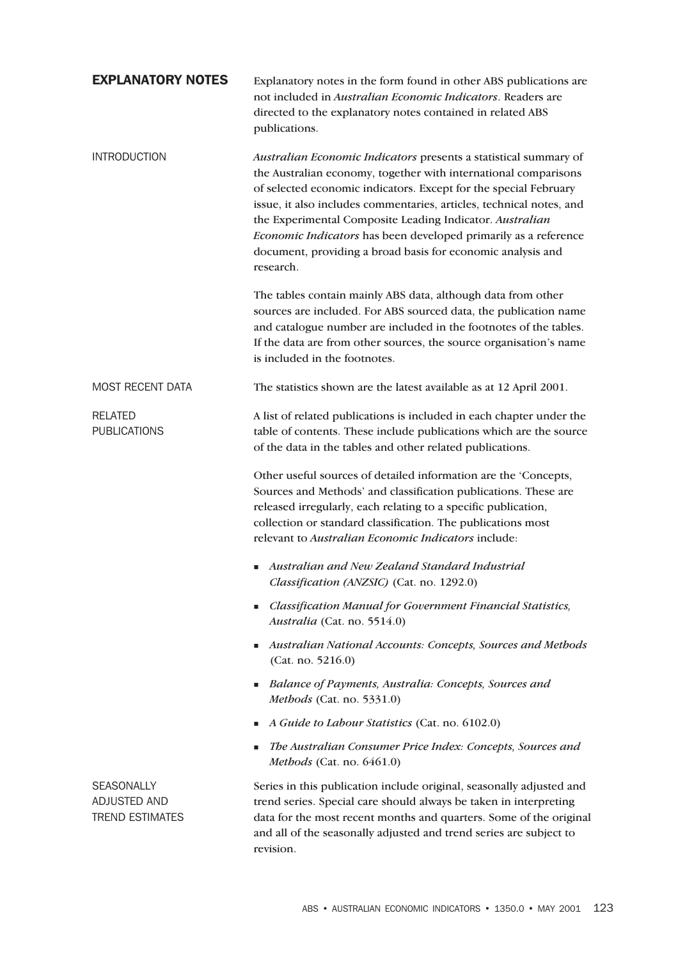| <b>EXPLANATORY NOTES</b>                                    | Explanatory notes in the form found in other ABS publications are<br>not included in Australian Economic Indicators. Readers are<br>directed to the explanatory notes contained in related ABS<br>publications.                                                                                                                                                                                                                                                                            |
|-------------------------------------------------------------|--------------------------------------------------------------------------------------------------------------------------------------------------------------------------------------------------------------------------------------------------------------------------------------------------------------------------------------------------------------------------------------------------------------------------------------------------------------------------------------------|
| <b>INTRODUCTION</b>                                         | Australian Economic Indicators presents a statistical summary of<br>the Australian economy, together with international comparisons<br>of selected economic indicators. Except for the special February<br>issue, it also includes commentaries, articles, technical notes, and<br>the Experimental Composite Leading Indicator. Australian<br>Economic Indicators has been developed primarily as a reference<br>document, providing a broad basis for economic analysis and<br>research. |
|                                                             | The tables contain mainly ABS data, although data from other<br>sources are included. For ABS sourced data, the publication name<br>and catalogue number are included in the footnotes of the tables.<br>If the data are from other sources, the source organisation's name<br>is included in the footnotes.                                                                                                                                                                               |
| MOST RECENT DATA                                            | The statistics shown are the latest available as at 12 April 2001.                                                                                                                                                                                                                                                                                                                                                                                                                         |
| <b>RELATED</b><br><b>PUBLICATIONS</b>                       | A list of related publications is included in each chapter under the<br>table of contents. These include publications which are the source<br>of the data in the tables and other related publications.                                                                                                                                                                                                                                                                                    |
|                                                             | Other useful sources of detailed information are the 'Concepts,<br>Sources and Methods' and classification publications. These are<br>released irregularly, each relating to a specific publication,<br>collection or standard classification. The publications most<br>relevant to Australian Economic Indicators include:                                                                                                                                                                |
|                                                             | Australian and New Zealand Standard Industrial<br>Classification (ANZSIC) (Cat. no. 1292.0)                                                                                                                                                                                                                                                                                                                                                                                                |
|                                                             | <b>Classification Manual for Government Financial Statistics,</b><br>ш<br>Australia (Cat. no. 5514.0)                                                                                                                                                                                                                                                                                                                                                                                      |
|                                                             | Australian National Accounts: Concepts, Sources and Methods<br>п<br>(Cat. no. 5216.0)                                                                                                                                                                                                                                                                                                                                                                                                      |
|                                                             | Balance of Payments, Australia: Concepts, Sources and<br>Methods (Cat. no. 5331.0)                                                                                                                                                                                                                                                                                                                                                                                                         |
|                                                             | A Guide to Labour Statistics (Cat. no. 6102.0)<br>ш                                                                                                                                                                                                                                                                                                                                                                                                                                        |
|                                                             | The Australian Consumer Price Index: Concepts, Sources and<br>Methods (Cat. no. $6461.0$ )                                                                                                                                                                                                                                                                                                                                                                                                 |
| <b>SEASONALLY</b><br>ADJUSTED AND<br><b>TREND ESTIMATES</b> | Series in this publication include original, seasonally adjusted and<br>trend series. Special care should always be taken in interpreting<br>data for the most recent months and quarters. Some of the original<br>and all of the seasonally adjusted and trend series are subject to                                                                                                                                                                                                      |

revision.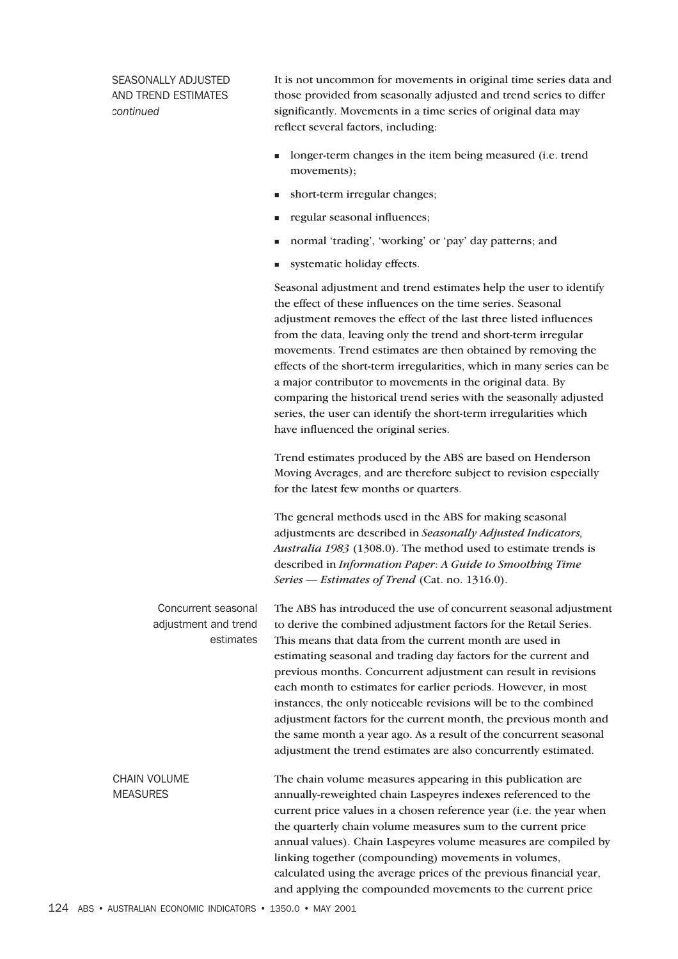SEASONALLY ADJUSTED AND TREND ESTIMATES *continued*

It is not uncommon for movements in original time series data and those provided from seasonally adjusted and trend series to differ significantly. Movements in a time series of original data may reflect several factors, including:

- longer-term changes in the item being measured (i.e. trend movements);
- **short-term irregular changes;**
- regular seasonal influences;
- normal 'trading', 'working' or 'pay' day patterns; and
- systematic holiday effects.

Seasonal adjustment and trend estimates help the user to identify the effect of these influences on the time series. Seasonal adjustment removes the effect of the last three listed influences from the data, leaving only the trend and short-term irregular movements. Trend estimates are then obtained by removing the effects of the short-term irregularities, which in many series can be a major contributor to movements in the original data. By comparing the historical trend series with the seasonally adjusted series, the user can identify the short-term irregularities which have influenced the original series.

Trend estimates produced by the ABS are based on Henderson Moving Averages, and are therefore subject to revision especially for the latest few months or quarters.

The general methods used in the ABS for making seasonal adjustments are described in *Seasonally Adjusted Indicators, Australia 1983* (1308.0). The method used to estimate trends is described in *Information Paper*: *A Guide to Smoothing Time Series — Estimates of Trend* (Cat. no. 1316.0).

Concurrent seasonal adjustment and trend estimates The ABS has introduced the use of concurrent seasonal adjustment to derive the combined adjustment factors for the Retail Series. This means that data from the current month are used in estimating seasonal and trading day factors for the current and previous months. Concurrent adjustment can result in revisions each month to estimates for earlier periods. However, in most instances, the only noticeable revisions will be to the combined adjustment factors for the current month, the previous month and the same month a year ago. As a result of the concurrent seasonal adjustment the trend estimates are also concurrently estimated.

CHAIN VOLUME **MEASURES** The chain volume measures appearing in this publication are annually-reweighted chain Laspeyres indexes referenced to the current price values in a chosen reference year (i.e. the year when the quarterly chain volume measures sum to the current price annual values). Chain Laspeyres volume measures are compiled by linking together (compounding) movements in volumes, calculated using the average prices of the previous financial year, and applying the compounded movements to the current price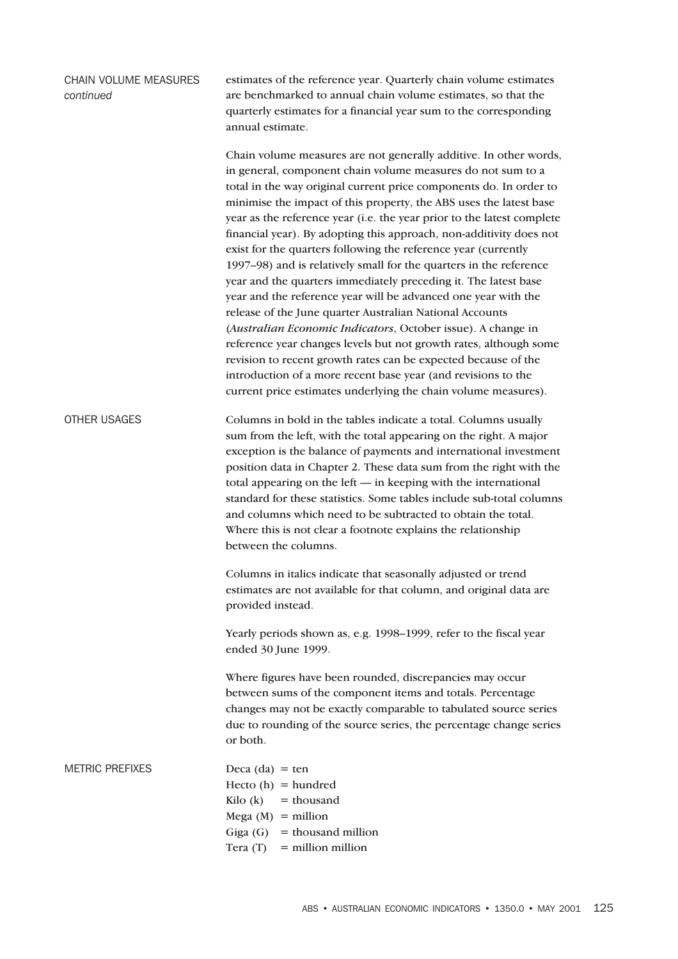| CHAIN VOLUME MEASURES<br>continued | estimates of the reference year. Quarterly chain volume estimates<br>are benchmarked to annual chain volume estimates, so that the<br>quarterly estimates for a financial year sum to the corresponding<br>annual estimate.                                                                                                                                                                                                                                                                                                                                                                                                                                                                                                                                                                                                                                                                                                                                                                                                                                                                                      |  |  |  |  |
|------------------------------------|------------------------------------------------------------------------------------------------------------------------------------------------------------------------------------------------------------------------------------------------------------------------------------------------------------------------------------------------------------------------------------------------------------------------------------------------------------------------------------------------------------------------------------------------------------------------------------------------------------------------------------------------------------------------------------------------------------------------------------------------------------------------------------------------------------------------------------------------------------------------------------------------------------------------------------------------------------------------------------------------------------------------------------------------------------------------------------------------------------------|--|--|--|--|
|                                    | Chain volume measures are not generally additive. In other words,<br>in general, component chain volume measures do not sum to a<br>total in the way original current price components do. In order to<br>minimise the impact of this property, the ABS uses the latest base<br>year as the reference year (i.e. the year prior to the latest complete<br>financial year). By adopting this approach, non-additivity does not<br>exist for the quarters following the reference year (currently<br>1997–98) and is relatively small for the quarters in the reference<br>year and the quarters immediately preceding it. The latest base<br>year and the reference year will be advanced one year with the<br>release of the June quarter Australian National Accounts<br>(Australian Economic Indicators, October issue). A change in<br>reference year changes levels but not growth rates, although some<br>revision to recent growth rates can be expected because of the<br>introduction of a more recent base year (and revisions to the<br>current price estimates underlying the chain volume measures). |  |  |  |  |
| <b>OTHER USAGES</b>                | Columns in bold in the tables indicate a total. Columns usually<br>sum from the left, with the total appearing on the right. A major<br>exception is the balance of payments and international investment<br>position data in Chapter 2. These data sum from the right with the<br>total appearing on the left — in keeping with the international<br>standard for these statistics. Some tables include sub-total columns<br>and columns which need to be subtracted to obtain the total.<br>Where this is not clear a footnote explains the relationship<br>between the columns.                                                                                                                                                                                                                                                                                                                                                                                                                                                                                                                               |  |  |  |  |
|                                    | Columns in italics indicate that seasonally adjusted or trend<br>estimates are not available for that column, and original data are<br>provided instead.                                                                                                                                                                                                                                                                                                                                                                                                                                                                                                                                                                                                                                                                                                                                                                                                                                                                                                                                                         |  |  |  |  |
|                                    | Yearly periods shown as, e.g. 1998–1999, refer to the fiscal year<br>ended 30 June 1999.                                                                                                                                                                                                                                                                                                                                                                                                                                                                                                                                                                                                                                                                                                                                                                                                                                                                                                                                                                                                                         |  |  |  |  |
|                                    | Where figures have been rounded, discrepancies may occur<br>between sums of the component items and totals. Percentage<br>changes may not be exactly comparable to tabulated source series<br>due to rounding of the source series, the percentage change series<br>or both.                                                                                                                                                                                                                                                                                                                                                                                                                                                                                                                                                                                                                                                                                                                                                                                                                                     |  |  |  |  |
| <b>METRIC PREFIXES</b>             | Deca $(da) = ten$<br>Hecto $(h)$ = hundred<br>$=$ thousand<br>Kilo $(k)$<br>$Mega (M) = million$<br>$=$ thousand million<br>Giga $(G)$<br>$=$ million million<br>Tera $(T)$                                                                                                                                                                                                                                                                                                                                                                                                                                                                                                                                                                                                                                                                                                                                                                                                                                                                                                                                      |  |  |  |  |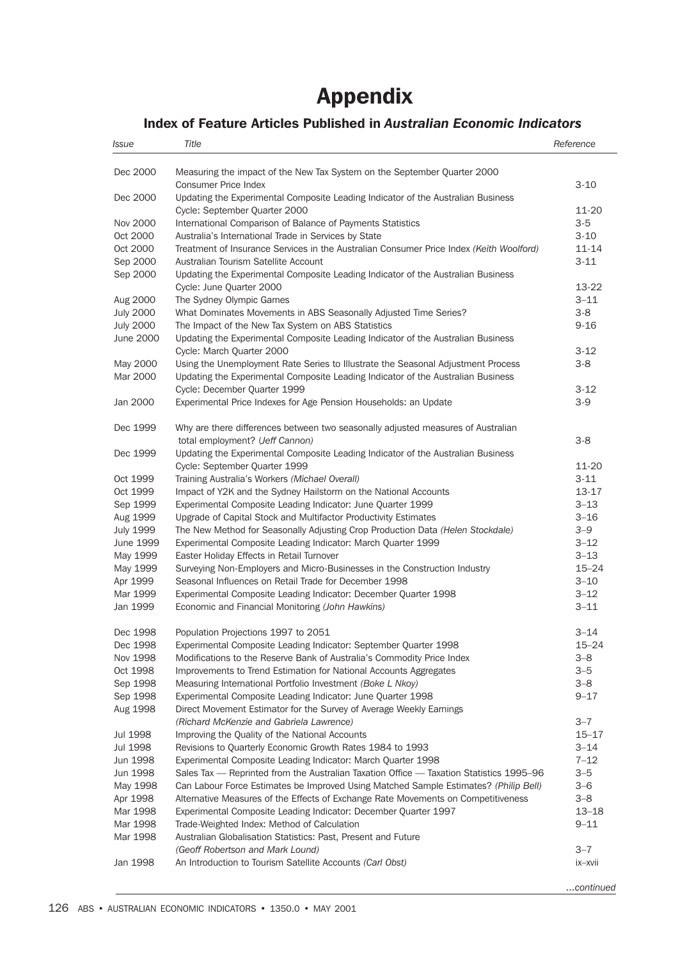# Appendix

# Index of Feature Articles Published in *Australian Economic Indicators*

| <i>Issue</i>     | Title                                                                                   | Reference |
|------------------|-----------------------------------------------------------------------------------------|-----------|
| Dec 2000         | Measuring the impact of the New Tax System on the September Quarter 2000                |           |
|                  | <b>Consumer Price Index</b>                                                             | $3-10$    |
| Dec 2000         | Updating the Experimental Composite Leading Indicator of the Australian Business        |           |
|                  | Cycle: September Quarter 2000                                                           | 11-20     |
| Nov 2000         | International Comparison of Balance of Payments Statistics                              | $3-5$     |
| Oct 2000         | Australia's International Trade in Services by State                                    | $3 - 10$  |
| Oct 2000         | Treatment of Insurance Services in the Australian Consumer Price Index (Keith Woolford) | 11-14     |
| Sep 2000         | Australian Tourism Satellite Account                                                    | $3 - 11$  |
| Sep 2000         | Updating the Experimental Composite Leading Indicator of the Australian Business        |           |
|                  | Cycle: June Quarter 2000                                                                | 13-22     |
| Aug 2000         | The Sydney Olympic Games                                                                | $3 - 11$  |
| <b>July 2000</b> | What Dominates Movements in ABS Seasonally Adjusted Time Series?                        | $3 - 8$   |
| <b>July 2000</b> | The Impact of the New Tax System on ABS Statistics                                      | $9 - 16$  |
| June 2000        | Updating the Experimental Composite Leading Indicator of the Australian Business        |           |
|                  | Cycle: March Quarter 2000                                                               | $3 - 12$  |
| May 2000         | Using the Unemployment Rate Series to Illustrate the Seasonal Adjustment Process        | 3-8       |
| Mar 2000         | Updating the Experimental Composite Leading Indicator of the Australian Business        |           |
|                  | Cycle: December Quarter 1999                                                            | $3-12$    |
| Jan 2000         | Experimental Price Indexes for Age Pension Households: an Update                        | $3-9$     |
|                  |                                                                                         |           |
| Dec 1999         | Why are there differences between two seasonally adjusted measures of Australian        |           |
|                  | total employment? (Jeff Cannon)                                                         | $3 - 8$   |
| Dec 1999         | Updating the Experimental Composite Leading Indicator of the Australian Business        |           |
|                  | Cycle: September Quarter 1999                                                           | 11-20     |
| Oct 1999         | Training Australia's Workers (Michael Overall)                                          | $3-11$    |
| Oct 1999         | Impact of Y2K and the Sydney Hailstorm on the National Accounts                         | 13-17     |
| Sep 1999         | Experimental Composite Leading Indicator: June Quarter 1999                             | $3 - 13$  |
| Aug 1999         | Upgrade of Capital Stock and Multifactor Productivity Estimates                         | $3 - 16$  |
| <b>July 1999</b> | The New Method for Seasonally Adjusting Crop Production Data (Helen Stockdale)          | $3 - 9$   |
| June 1999        | Experimental Composite Leading Indicator: March Quarter 1999                            | $3 - 12$  |
| May 1999         | Easter Holiday Effects in Retail Turnover                                               | $3 - 13$  |
| May 1999         | Surveying Non-Employers and Micro-Businesses in the Construction Industry               | $15 - 24$ |
| Apr 1999         | Seasonal Influences on Retail Trade for December 1998                                   | $3 - 10$  |
| Mar 1999         | Experimental Composite Leading Indicator: December Quarter 1998                         | $3 - 12$  |
| Jan 1999         | Economic and Financial Monitoring (John Hawkins)                                        | $3 - 11$  |
|                  |                                                                                         |           |
| Dec 1998         | Population Projections 1997 to 2051                                                     | $3 - 14$  |
| Dec 1998         | Experimental Composite Leading Indicator: September Quarter 1998                        | $15 - 24$ |
| Nov 1998         | Modifications to the Reserve Bank of Australia's Commodity Price Index                  | $3 - 8$   |
| Oct 1998         | Improvements to Trend Estimation for National Accounts Aggregates                       | $3 - 5$   |
| Sep 1998         | Measuring International Portfolio Investment (Boke L Nkoy)                              | $3 - 8$   |
| Sep 1998         | Experimental Composite Leading Indicator: June Quarter 1998                             | $9 - 17$  |
| Aug 1998         | Direct Movement Estimator for the Survey of Average Weekly Earnings                     |           |
|                  | (Richard McKenzie and Gabriela Lawrence)                                                | $3 - 7$   |
| Jul 1998         | Improving the Quality of the National Accounts                                          | $15 - 17$ |
| Jul 1998         | Revisions to Quarterly Economic Growth Rates 1984 to 1993                               | $3 - 14$  |
| Jun 1998         | Experimental Composite Leading Indicator: March Quarter 1998                            | $7 - 12$  |
| Jun 1998         | Sales Tax - Reprinted from the Australian Taxation Office - Taxation Statistics 1995-96 | $3 - 5$   |
| May 1998         | Can Labour Force Estimates be Improved Using Matched Sample Estimates? (Philip Bell)    | $3 - 6$   |
| Apr 1998         | Alternative Measures of the Effects of Exchange Rate Movements on Competitiveness       | $3 - 8$   |
| Mar 1998         | Experimental Composite Leading Indicator: December Quarter 1997                         | $13 - 18$ |
| Mar 1998         | Trade-Weighted Index: Method of Calculation                                             | $9 - 11$  |
| Mar 1998         | Australian Globalisation Statistics: Past, Present and Future                           |           |
|                  | (Geoff Robertson and Mark Lound)                                                        | $3 - 7$   |
| Jan 1998         | An Introduction to Tourism Satellite Accounts (Carl Obst)                               | ix-xvii   |
|                  |                                                                                         |           |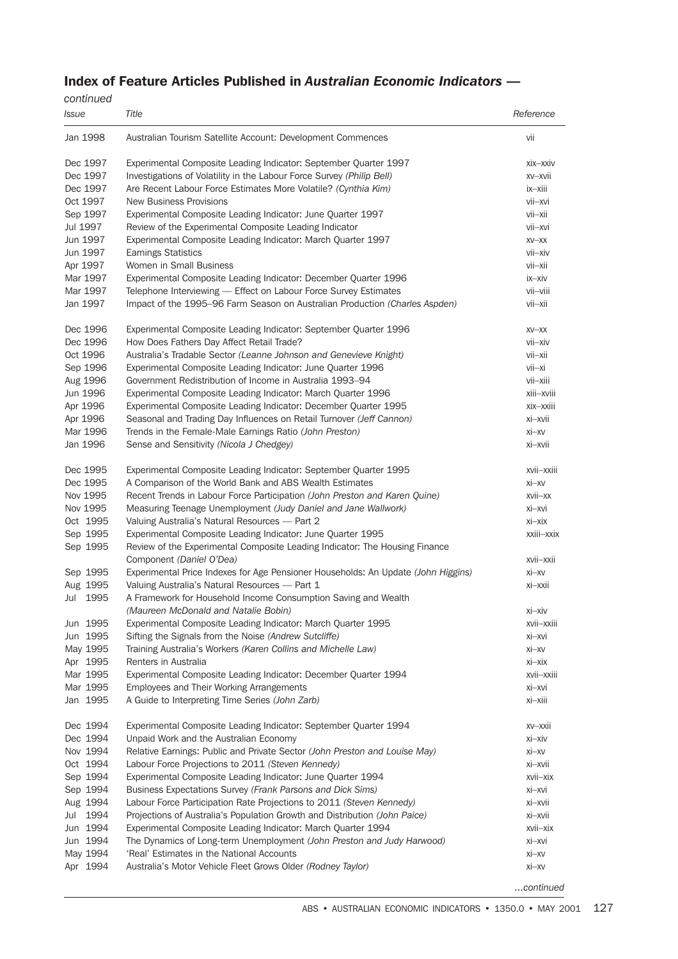# Index of Feature Articles Published in *Australian Economic Indicators* —

| continued |                                                                                                        |            |
|-----------|--------------------------------------------------------------------------------------------------------|------------|
| Issue     | Title                                                                                                  | Reference  |
| Jan 1998  | Australian Tourism Satellite Account: Development Commences                                            | vii        |
| Dec 1997  | Experimental Composite Leading Indicator: September Quarter 1997                                       | XIX-XXIV   |
| Dec 1997  | Investigations of Volatility in the Labour Force Survey (Philip Bell)                                  | XV-XVII    |
| Dec 1997  | Are Recent Labour Force Estimates More Volatile? (Cynthia Kim)                                         | ix-xiii    |
| Oct 1997  | <b>New Business Provisions</b>                                                                         | vii-xvi    |
| Sep 1997  | Experimental Composite Leading Indicator: June Quarter 1997                                            | vii-xii    |
| Jul 1997  | Review of the Experimental Composite Leading Indicator                                                 | vii-xvi    |
| Jun 1997  | Experimental Composite Leading Indicator: March Quarter 1997                                           | $XY$ -XX   |
| Jun 1997  | <b>Earnings Statistics</b>                                                                             | vii-xiv    |
| Apr 1997  | Women in Small Business                                                                                | vii-xii    |
| Mar 1997  | Experimental Composite Leading Indicator: December Quarter 1996                                        | $IX - XIV$ |
| Mar 1997  | Telephone Interviewing - Effect on Labour Force Survey Estimates                                       | vii-viii   |
| Jan 1997  | Impact of the 1995-96 Farm Season on Australian Production (Charles Aspden)                            | vii-xii    |
| Dec 1996  | Experimental Composite Leading Indicator: September Quarter 1996                                       | $XY$ -XX   |
| Dec 1996  | How Does Fathers Day Affect Retail Trade?                                                              | vii-xiv    |
| Oct 1996  | Australia's Tradable Sector (Leanne Johnson and Genevieve Knight)                                      | vii-xii    |
| Sep 1996  | Experimental Composite Leading Indicator: June Quarter 1996                                            | vii-xi     |
| Aug 1996  | Government Redistribution of Income in Australia 1993–94                                               | vii-xiii   |
| Jun 1996  | Experimental Composite Leading Indicator: March Quarter 1996                                           | xiii-xviii |
| Apr 1996  | Experimental Composite Leading Indicator: December Quarter 1995                                        | xix-xxiii  |
| Apr 1996  | Seasonal and Trading Day Influences on Retail Turnover (Jeff Cannon)                                   | xi-xvii    |
| Mar 1996  | Trends in the Female-Male Earnings Ratio (John Preston)                                                | $xi - xy$  |
| Jan 1996  | Sense and Sensitivity (Nicola J Chedgey)                                                               | xi-xvii    |
| Dec 1995  | Experimental Composite Leading Indicator: September Quarter 1995                                       | xvii-xxiii |
| Dec 1995  | A Comparison of the World Bank and ABS Wealth Estimates                                                | $xi - xv$  |
| Nov 1995  | Recent Trends in Labour Force Participation (John Preston and Karen Quine)                             | xvii-xx    |
| Nov 1995  | Measuring Teenage Unemployment (Judy Daniel and Jane Wallwork)                                         | $xi - xvi$ |
| Oct 1995  | Valuing Australia's Natural Resources - Part 2                                                         | $xi$ -xix  |
| Sep 1995  | Experimental Composite Leading Indicator: June Quarter 1995                                            | xxiii-xxix |
| Sep 1995  | Review of the Experimental Composite Leading Indicator: The Housing Finance                            |            |
|           | Component (Daniel O'Dea)                                                                               | xvii-xxii  |
| Sep 1995  | Experimental Price Indexes for Age Pensioner Households: An Update (John Higgins)                      | $xi - xv$  |
| Aug 1995  | Valuing Australia's Natural Resources - Part 1                                                         | xi-xxii    |
| Jul 1995  | A Framework for Household Income Consumption Saving and Wealth<br>(Maureen McDonald and Natalie Bobin) | XI-XIV     |
| Jun 1995  | Experimental Composite Leading Indicator: March Quarter 1995                                           | xvii-xxiii |
| Jun 1995  | Sifting the Signals from the Noise (Andrew Sutcliffe)                                                  | xi-xvi     |
| May 1995  | Training Australia's Workers (Karen Collins and Michelle Law)                                          | $xi - xy$  |
| Apr 1995  | Renters in Australia                                                                                   | xi-xix     |
| Mar 1995  | Experimental Composite Leading Indicator: December Quarter 1994                                        | xvii-xxiii |
| Mar 1995  | Employees and Their Working Arrangements                                                               | xi-xvi     |
| Jan 1995  | A Guide to Interpreting Time Series (John Zarb)                                                        | xi-xiii    |
| Dec 1994  | Experimental Composite Leading Indicator: September Quarter 1994                                       | XV-XXII    |
| Dec 1994  | Unpaid Work and the Australian Economy                                                                 | xi-xiv     |
| Nov 1994  | Relative Earnings: Public and Private Sector (John Preston and Louise May)                             | $xi - xy$  |
| Oct 1994  | Labour Force Projections to 2011 (Steven Kennedy)                                                      | xi-xvii    |
| Sep 1994  | Experimental Composite Leading Indicator: June Quarter 1994                                            | xvii-xix   |
| Sep 1994  | Business Expectations Survey (Frank Parsons and Dick Sims)                                             | xi-xvi     |
| Aug 1994  | Labour Force Participation Rate Projections to 2011 (Steven Kennedy)                                   | xi-xvii    |
| Jul 1994  | Projections of Australia's Population Growth and Distribution (John Paice)                             | xi-xvii    |
| Jun 1994  | Experimental Composite Leading Indicator: March Quarter 1994                                           | xvii-xix   |
| Jun 1994  | The Dynamics of Long-term Unemployment (John Preston and Judy Harwood)                                 | xi-xvi     |
| May 1994  | 'Real' Estimates in the National Accounts                                                              | $xi - xy$  |
| Apr 1994  | Australia's Motor Vehicle Fleet Grows Older (Rodney Taylor)                                            | xi-xv      |
|           |                                                                                                        |            |

*...continued*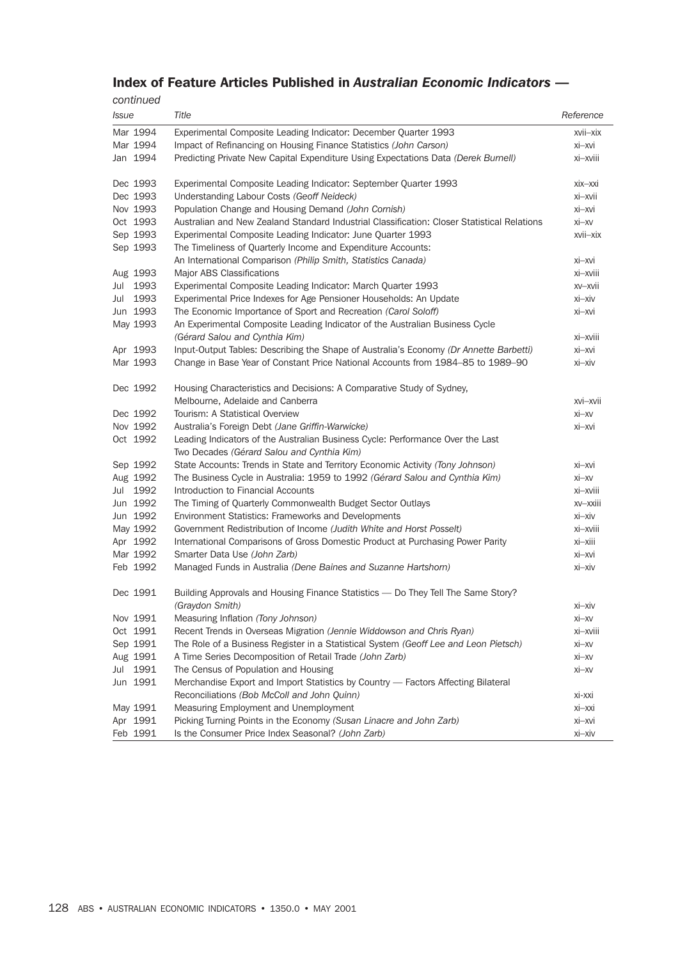| Index of Feature Articles Published in Australian Economic Indicators - |  |  |
|-------------------------------------------------------------------------|--|--|
|-------------------------------------------------------------------------|--|--|

| continued    |                                                                                             |            |
|--------------|---------------------------------------------------------------------------------------------|------------|
| <i>Issue</i> | Title                                                                                       | Reference  |
| Mar 1994     | Experimental Composite Leading Indicator: December Quarter 1993                             | xvii-xix   |
| Mar 1994     | Impact of Refinancing on Housing Finance Statistics (John Carson)                           | xi-xvi     |
| Jan 1994     | Predicting Private New Capital Expenditure Using Expectations Data (Derek Burnell)          | xi-xviii   |
| Dec 1993     | Experimental Composite Leading Indicator: September Quarter 1993                            | xix-xxi    |
| Dec 1993     | Understanding Labour Costs (Geoff Neideck)                                                  | xi-xvii    |
| Nov 1993     | Population Change and Housing Demand (John Cornish)                                         | xi-xvi     |
| Oct 1993     | Australian and New Zealand Standard Industrial Classification: Closer Statistical Relations | $xi - xy$  |
| Sep 1993     | Experimental Composite Leading Indicator: June Quarter 1993                                 | xvii-xix   |
| Sep 1993     | The Timeliness of Quarterly Income and Expenditure Accounts:                                |            |
|              | An International Comparison (Philip Smith, Statistics Canada)                               | xi-xvi     |
| Aug 1993     | Major ABS Classifications                                                                   | xi-xviii   |
| Jul 1993     | Experimental Composite Leading Indicator: March Quarter 1993                                | XV-XVII    |
| Jul 1993     | Experimental Price Indexes for Age Pensioner Households: An Update                          | xi-xiv     |
| Jun 1993     | The Economic Importance of Sport and Recreation (Carol Soloff)                              | xi-xvi     |
| May 1993     | An Experimental Composite Leading Indicator of the Australian Business Cycle                |            |
|              | (Gérard Salou and Cynthia Kim)                                                              | xi-xviii   |
| Apr 1993     | Input-Output Tables: Describing the Shape of Australia's Economy (Dr Annette Barbetti)      | $xi$ -xvi  |
| Mar 1993     | Change in Base Year of Constant Price National Accounts from 1984-85 to 1989-90             | xi-xiv     |
| Dec 1992     | Housing Characteristics and Decisions: A Comparative Study of Sydney,                       |            |
|              | Melbourne, Adelaide and Canberra                                                            | xvi-xvii   |
| Dec 1992     | Tourism: A Statistical Overview                                                             | $xi - xv$  |
| Nov 1992     | Australia's Foreign Debt (Jane Griffin-Warwicke)                                            | $xi - xvi$ |
| Oct 1992     | Leading Indicators of the Australian Business Cycle: Performance Over the Last              |            |
|              | Two Decades (Gérard Salou and Cynthia Kim)                                                  |            |
| Sep 1992     | State Accounts: Trends in State and Territory Economic Activity (Tony Johnson)              | $xi - xvi$ |
| Aug 1992     | The Business Cycle in Australia: 1959 to 1992 (Gérard Salou and Cynthia Kim)                | $Xi-XV$    |
| Jul 1992     | Introduction to Financial Accounts                                                          | xi-xviii   |
| Jun 1992     | The Timing of Quarterly Commonwealth Budget Sector Outlays                                  | XV-XXIII   |
| Jun 1992     | <b>Environment Statistics: Frameworks and Developments</b>                                  | xi-xiv     |
| May 1992     | Government Redistribution of Income (Judith White and Horst Posselt)                        | xi-xviii   |
| Apr 1992     | International Comparisons of Gross Domestic Product at Purchasing Power Parity              | xi-xiii    |
| Mar 1992     | Smarter Data Use (John Zarb)                                                                | $Xi-XVI$   |
| Feb 1992     | Managed Funds in Australia (Dene Baines and Suzanne Hartshorn)                              | xi-xiv     |
| Dec 1991     | Building Approvals and Housing Finance Statistics - Do They Tell The Same Story?            |            |
|              | (Graydon Smith)                                                                             | xi-xiv     |
| Nov 1991     | Measuring Inflation (Tony Johnson)                                                          | $XI - XV$  |
| Oct 1991     | Recent Trends in Overseas Migration (Jennie Widdowson and Chris Ryan)                       | xi-xviii   |
| Sep 1991     | The Role of a Business Register in a Statistical System (Geoff Lee and Leon Pietsch)        | $Xi-XV$    |
| Aug 1991     | A Time Series Decomposition of Retail Trade (John Zarb)                                     | xi-xv      |
| Jul 1991     | The Census of Population and Housing                                                        | $Xi-XV$    |
| Jun 1991     | Merchandise Export and Import Statistics by Country - Factors Affecting Bilateral           |            |
|              | Reconciliations (Bob McColl and John Quinn)                                                 | Xİ-XXİ     |
| May 1991     | Measuring Employment and Unemployment                                                       | xi-xxi     |
| Apr 1991     | Picking Turning Points in the Economy (Susan Linacre and John Zarb)                         | Xİ-XVİ     |
| Feb 1991     | Is the Consumer Price Index Seasonal? (John Zarb)                                           | xi-xiv     |